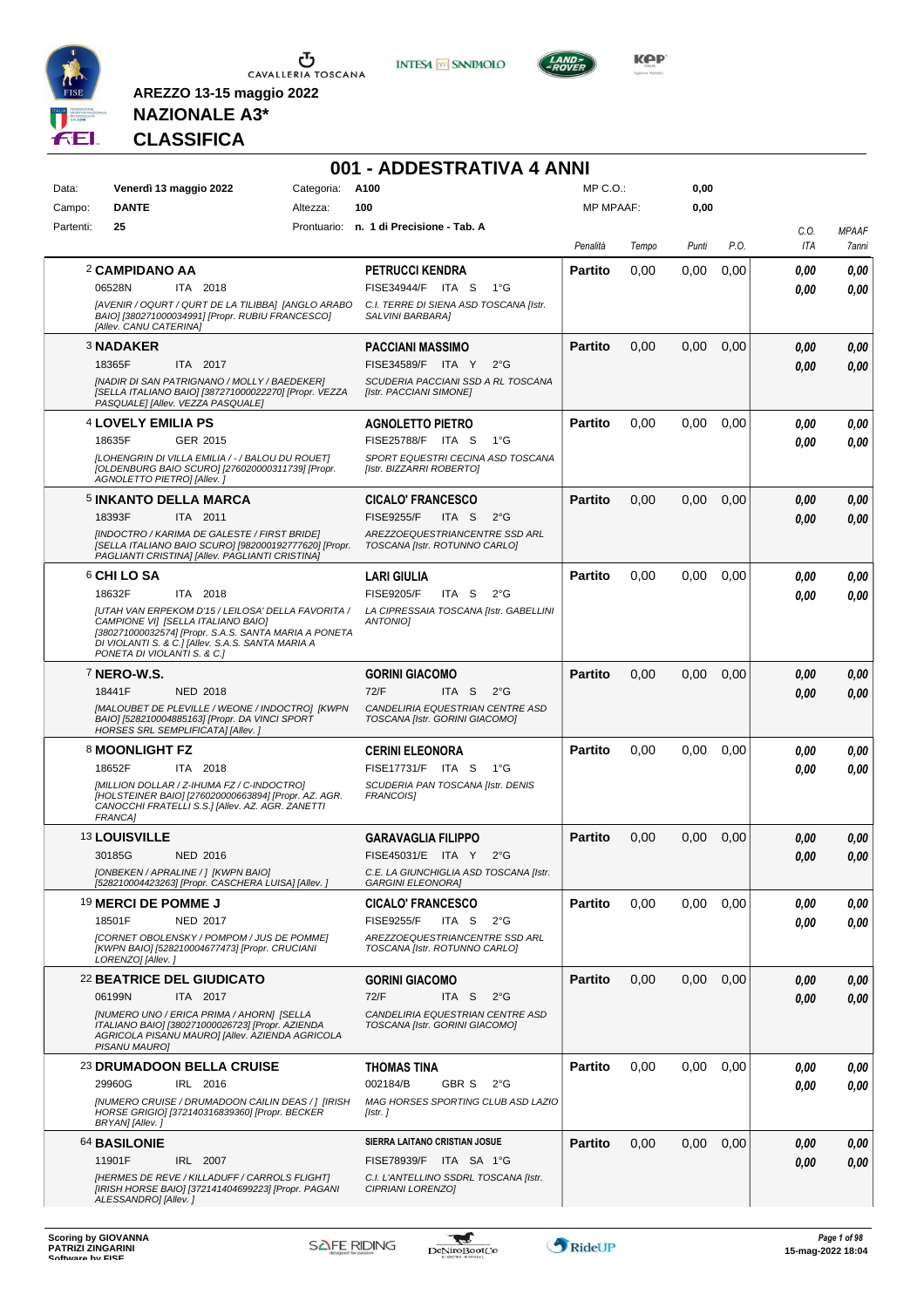

**INTESA M** SANPAOLO



**KOP** 

## **NAZIONALE A3\* CLASSIFICA**

|           |                                                                                                                                                                          |                 | 001 - ADDESTRATIVA 4 ANNI                                          |                  |       |       |      |             |                       |
|-----------|--------------------------------------------------------------------------------------------------------------------------------------------------------------------------|-----------------|--------------------------------------------------------------------|------------------|-------|-------|------|-------------|-----------------------|
| Data:     | Venerdì 13 maggio 2022                                                                                                                                                   | Categoria: A100 |                                                                    | $MP C. O.$ :     |       | 0,00  |      |             |                       |
| Campo:    | <b>DANTE</b>                                                                                                                                                             | Altezza:        | 100                                                                | <b>MP MPAAF:</b> |       | 0,00  |      |             |                       |
| Partenti: | 25                                                                                                                                                                       |                 | Prontuario: n. 1 di Precisione - Tab. A                            | Penalità         | Tempo | Punti | P.O. | C.O.<br>ITA | <b>MPAAF</b><br>7anni |
|           | 2 CAMPIDANO AA                                                                                                                                                           |                 | <b>PETRUCCI KENDRA</b>                                             | <b>Partito</b>   | 0,00  | 0,00  | 0,00 | 0.00        | 0.00                  |
|           | 06528N<br>ITA 2018                                                                                                                                                       |                 | FISE34944/F ITA S<br>1°G                                           |                  |       |       |      | 0.00        | 0,00                  |
|           | [AVENIR / OQURT / QURT DE LA TILIBBA] [ANGLO ARABO<br>BAIO] [380271000034991] [Propr. RUBIU FRANCESCO]<br>[Allev. CANU CATERINA]                                         |                 | C.I. TERRE DI SIENA ASD TOSCANA [Istr.<br>SALVINI BARBARA]         |                  |       |       |      |             |                       |
|           | <b>3 NADAKER</b>                                                                                                                                                         |                 | PACCIANI MASSIMO                                                   | <b>Partito</b>   | 0.00  | 0,00  | 0,00 | 0.00        | 0,00                  |
|           | 18365F<br>ITA 2017                                                                                                                                                       |                 | FISE34589/F ITA Y<br>$2^{\circ}$ G                                 |                  |       |       |      | 0.00        | 0,00                  |
|           | [NADIR DI SAN PATRIGNANO / MOLLY / BAEDEKER]<br>[SELLA ITALIANO BAIO] [387271000022270] [Propr. VEZZA<br>PASQUALE] [Allev. VEZZA PASQUALE]                               |                 | SCUDERIA PACCIANI SSD A RL TOSCANA<br>[Istr. PACCIANI SIMONE]      |                  |       |       |      |             |                       |
|           | <sup>4</sup> LOVELY EMILIA PS                                                                                                                                            |                 | <b>AGNOLETTO PIETRO</b>                                            | <b>Partito</b>   | 0,00  | 0,00  | 0,00 | 0.00        | 0,00                  |
|           | 18635F<br>GER 2015                                                                                                                                                       |                 | FISE25788/F ITA S<br>$1^{\circ}G$                                  |                  |       |       |      | 0.00        | 0,00                  |
|           | [LOHENGRIN DI VILLA EMILIA / - / BALOU DU ROUET]<br>[OLDENBURG BAIO SCURO] [276020000311739] [Propr.<br>AGNOLETTO PIETRO] [Allev.]                                       |                 | SPORT EQUESTRI CECINA ASD TOSCANA<br>[Istr. BIZZARRI ROBERTO]      |                  |       |       |      |             |                       |
|           | <b>5 INKANTO DELLA MARCA</b>                                                                                                                                             |                 | <b>CICALO' FRANCESCO</b>                                           | <b>Partito</b>   | 0,00  | 0,00  | 0,00 | 0.00        | 0,00                  |
|           | 18393F<br>ITA 2011                                                                                                                                                       |                 | <b>FISE9255/F</b><br>ITA S<br>$2^{\circ}G$                         |                  |       |       |      | 0.00        | 0.00                  |
|           | [INDOCTRO / KARIMA DE GALESTE / FIRST BRIDE]<br>[SELLA ITALIANO BAIO SCURO] [982000192777620] [Propr.<br>PAGLIANTI CRISTINAI [Allev. PAGLIANTI CRISTINA]                 |                 | AREZZOEQUESTRIANCENTRE SSD ARL<br>TOSCANA [Istr. ROTUNNO CARLO]    |                  |       |       |      |             |                       |
|           | 6 CHI LO SA                                                                                                                                                              |                 | <b>LARI GIULIA</b>                                                 | <b>Partito</b>   | 0,00  | 0.00  | 0,00 | 0.00        | 0,00                  |
|           | 18632F<br>ITA 2018                                                                                                                                                       |                 | <b>FISE9205/F</b><br>ITA S<br>$2^{\circ}$ G                        |                  |       |       |      | 0.00        | 0,00                  |
|           | [UTAH VAN ERPEKOM D'15 / LEILOSA' DELLA FAVORITA /<br>CAMPIONE VII [SELLA ITALIANO BAIO]                                                                                 |                 | LA CIPRESSAIA TOSCANA [Istr. GABELLINI<br>ANTONIOI                 |                  |       |       |      |             |                       |
|           | [380271000032574] [Propr. S.A.S. SANTA MARIA A PONETA<br>DI VIOLANTI S. & C.] [Allev. S.A.S. SANTA MARIA A<br>PONETA DI VIOLANTI S. & C.]                                |                 |                                                                    |                  |       |       |      |             |                       |
|           | <sup>7</sup> NERO-W.S.                                                                                                                                                   |                 | <b>GORINI GIACOMO</b>                                              | <b>Partito</b>   | 0,00  | 0,00  | 0,00 | 0.00        | 0,00                  |
|           | 18441F<br><b>NED 2018</b>                                                                                                                                                |                 | 72/F<br>ITA S<br>$2^{\circ}$ G                                     |                  |       |       |      | 0.00        | 0,00                  |
|           | [MALOUBET DE PLEVILLE / WEONE / INDOCTRO] [KWPN<br>BAIO] [528210004885163] [Propr. DA VINCI SPORT<br>HORSES SRL SEMPLIFICATA] [Allev.]                                   |                 | CANDELIRIA EQUESTRIAN CENTRE ASD<br>TOSCANA [Istr. GORINI GIACOMO] |                  |       |       |      |             |                       |
|           | 8 MOONLIGHT FZ                                                                                                                                                           |                 | <b>CERINI ELEONORA</b>                                             | <b>Partito</b>   | 0,00  | 0,00  | 0,00 | 0.00        | 0,00                  |
|           | 18652F<br>ITA 2018                                                                                                                                                       |                 | FISE17731/F ITA S<br>1°G                                           |                  |       |       |      | 0.00        | 0,00                  |
|           | [MILLION DOLLAR / Z-IHUMA FZ / C-INDOCTRO]<br>[HOLSTEINER BAIO] [276020000663894] [Propr. AZ. AGR.<br>CANOCCHI FRATELLI S.S.] [Allev. AZ. AGR. ZANETTI<br><b>FRANCA1</b> |                 | SCUDERIA PAN TOSCANA [Istr. DENIS<br>FRANCOIS]                     |                  |       |       |      |             |                       |
|           | <sup>13</sup> LOUISVILLE                                                                                                                                                 |                 | <b>GARAVAGLIA FILIPPO</b>                                          | <b>Partito</b>   | 0,00  | 0,00  | 0,00 | 0.00        | 0.00                  |
|           | 30185G<br>NED 2016                                                                                                                                                       |                 | FISE45031/E ITA Y<br>$2^{\circ}$ G                                 |                  |       |       |      | 0,00        | 0,00                  |
|           | [ONBEKEN / APRALINE / ] [KWPN BAIO]<br>[528210004423263] [Propr. CASCHERA LUISA] [Allev. ]                                                                               |                 | C.E. LA GIUNCHIGLIA ASD TOSCANA [Istr.                             |                  |       |       |      |             |                       |
|           | <sup>19</sup> MERCI DE POMME J                                                                                                                                           |                 | <b>GARGINI ELEONORA]</b><br><b>CICALO' FRANCESCO</b>               | <b>Partito</b>   | 0,00  | 0,00  | 0,00 | 0,00        | 0,00                  |
|           | 18501F<br><b>NED 2017</b>                                                                                                                                                |                 | <b>FISE9255/F</b><br>ITA S<br>$2^{\circ}$ G                        |                  |       |       |      | 0.00        | 0,00                  |
|           | [CORNET OBOLENSKY / POMPOM / JUS DE POMME]<br>[KWPN BAIO] [528210004677473] [Propr. CRUCIANI<br>LORENZO] [Allev. ]                                                       |                 | AREZZOEQUESTRIANCENTRE SSD ARL<br>TOSCANA [Istr. ROTUNNO CARLO]    |                  |       |       |      |             |                       |
|           | 22 BEATRICE DEL GIUDICATO                                                                                                                                                |                 | <b>GORINI GIACOMO</b>                                              | <b>Partito</b>   | 0,00  | 0,00  | 0,00 | 0,00        | 0,00                  |
|           | 06199N<br>ITA 2017                                                                                                                                                       |                 | 72/F<br>$2^{\circ}G$<br>ITA S                                      |                  |       |       |      | 0.00        | 0,00                  |
|           | [NUMERO UNO / ERICA PRIMA / AHORN] [SELLA                                                                                                                                |                 | CANDELIRIA EQUESTRIAN CENTRE ASD                                   |                  |       |       |      |             |                       |
|           | ITALIANO BAIO] [380271000026723] [Propr. AZIENDA<br>AGRICOLA PISANU MAURO] [Allev. AZIENDA AGRICOLA<br>PISANU MAURO]                                                     |                 | TOSCANA [Istr. GORINI GIACOMO]                                     |                  |       |       |      |             |                       |
|           | <b>23 DRUMADOON BELLA CRUISE</b>                                                                                                                                         |                 | THOMAS TINA                                                        | Partito          | 0,00  | 0,00  | 0,00 | 0,00        | 0,00                  |
|           | 29960G<br>IRL 2016                                                                                                                                                       |                 | 002184/B<br><b>GBR S</b><br>$2^{\circ}$ G                          |                  |       |       |      | 0.00        | 0,00                  |
|           | [NUMERO CRUISE / DRUMADOON CAILIN DEAS / ] [IRISH<br>HORSE GRIGIO] [372140316839360] [Propr. BECKER<br>BRYAN] [Allev.]                                                   |                 | MAG HORSES SPORTING CLUB ASD LAZIO<br>[Istr.]                      |                  |       |       |      |             |                       |
|           | 64 BASILONIE                                                                                                                                                             |                 | SIERRA LAITANO CRISTIAN JOSUE                                      | <b>Partito</b>   | 0,00  | 0,00  | 0,00 | 0.00        | 0,00                  |
|           | 11901F<br>IRL 2007                                                                                                                                                       |                 | FISE78939/F ITA SA 1°G                                             |                  |       |       |      | 0.00        | 0,00                  |
|           | [HERMES DE REVE / KILLADUFF / CARROLS FLIGHT]<br>[IRISH HORSE BAIO] [372141404699223] [Propr. PAGANI                                                                     |                 | C.I. L'ANTELLINO SSDRL TOSCANA [Istr.<br>CIPRIANI LORENZO]         |                  |       |       |      |             |                       |
|           | ALESSANDRO] [Allev.]                                                                                                                                                     |                 |                                                                    |                  |       |       |      |             |                       |

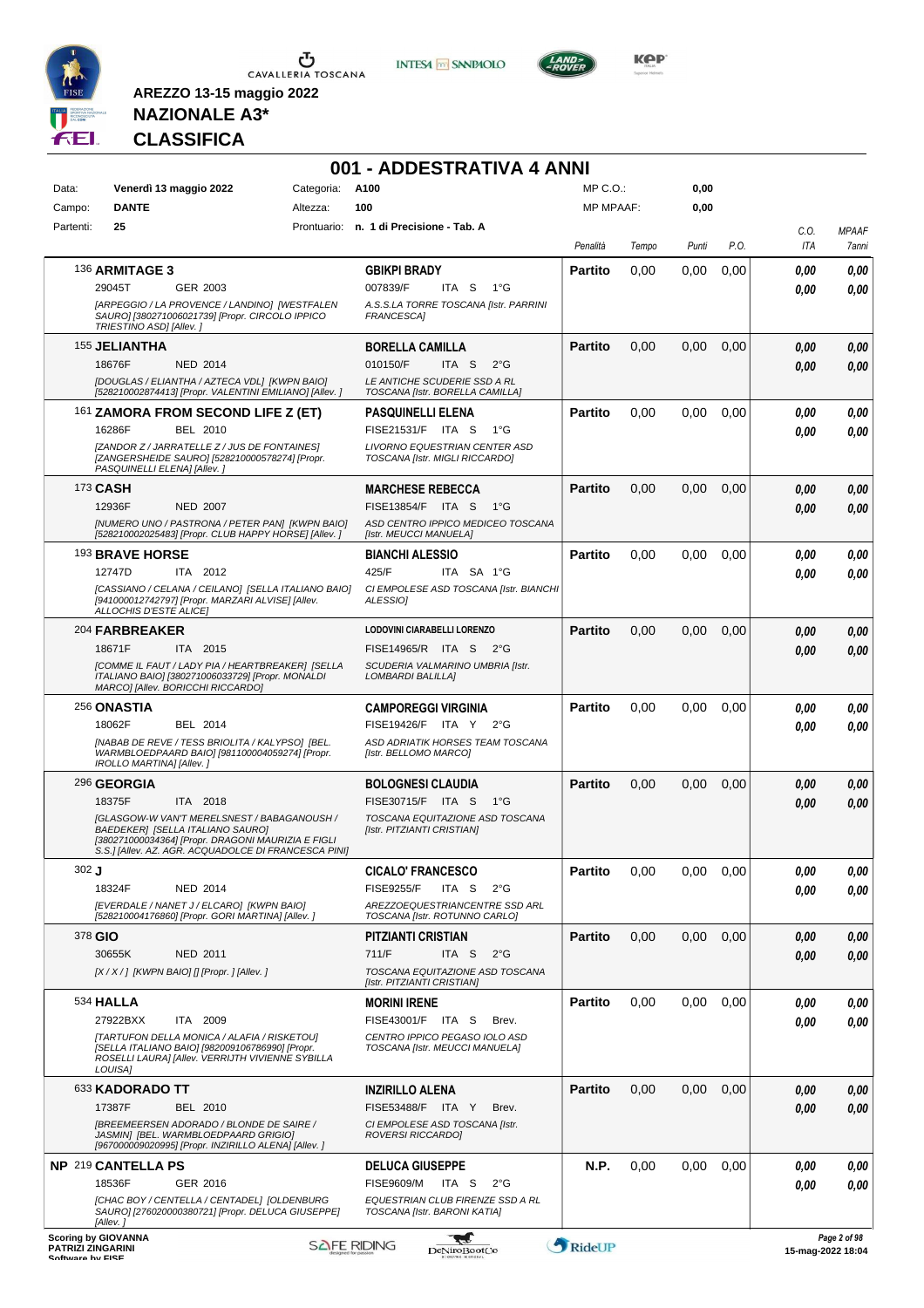

 $\sigma$  cavalleria toscana

**INTESA** M SANPAOLO



**KOP** 

# **NAZIONALE A3\* CLASSIFICA**

|                                              |                                                                                                                                                                                                      |            | 001 - ADDESTRATIVA 4 ANNI                                                                                       |                  |       |       |      |                   |                       |
|----------------------------------------------|------------------------------------------------------------------------------------------------------------------------------------------------------------------------------------------------------|------------|-----------------------------------------------------------------------------------------------------------------|------------------|-------|-------|------|-------------------|-----------------------|
| Data:                                        | Venerdì 13 maggio 2022                                                                                                                                                                               | Categoria: | A100                                                                                                            | $MP C. O.$ :     |       | 0,00  |      |                   |                       |
| Campo:                                       | <b>DANTE</b>                                                                                                                                                                                         | Altezza:   | 100                                                                                                             | <b>MP MPAAF:</b> |       | 0,00  |      |                   |                       |
| Partenti:                                    | 25                                                                                                                                                                                                   |            | Prontuario: n. 1 di Precisione - Tab. A                                                                         | Penalità         | Tempo | Punti | P.O. | C.O.<br>ITA       | <b>MPAAF</b><br>7anni |
|                                              | 136 ARMITAGE 3<br>29045T<br>GER 2003                                                                                                                                                                 |            | <b>GBIKPI BRADY</b><br>007839/F<br>ITA S<br>1°G                                                                 | <b>Partito</b>   | 0.00  | 0,00  | 0,00 | 0,00<br>0.00      | 0,00<br>0.00          |
|                                              | [ARPEGGIO / LA PROVENCE / LANDINO] [WESTFALEN<br>SAURO] [380271006021739] [Propr. CIRCOLO IPPICO<br>TRIESTINO ASD] [Allev.]                                                                          |            | A.S.S.LA TORRE TOSCANA [Istr. PARRINI<br>FRANCESCA]                                                             |                  |       |       |      |                   |                       |
|                                              | <b>155 JELIANTHA</b><br><b>NED 2014</b><br>18676F                                                                                                                                                    |            | <b>BORELLA CAMILLA</b><br>ITA <sub>S</sub><br>$2^{\circ}$ G<br>010150/F                                         | <b>Partito</b>   | 0,00  | 0,00  | 0,00 | 0,00<br>0,00      | 0,00<br>0,00          |
|                                              | [DOUGLAS / ELIANTHA / AZTECA VDL] [KWPN BAIO]<br>[528210002874413] [Propr. VALENTINI EMILIANO] [Allev.]                                                                                              |            | LE ANTICHE SCUDERIE SSD A RL<br>TOSCANA [Istr. BORELLA CAMILLA]                                                 |                  |       |       |      |                   |                       |
|                                              | 161 ZAMORA FROM SECOND LIFE Z (ET)<br>16286F<br><b>BEL 2010</b>                                                                                                                                      |            | <b>PASQUINELLI ELENA</b><br>FISE21531/F ITA S<br>$1^{\circ}G$                                                   | <b>Partito</b>   | 0.00  | 0,00  | 0,00 | 0,00<br>0,00      | 0,00<br>0,00          |
|                                              | [ZANDOR Z / JARRATELLE Z / JUS DE FONTAINES]<br>[ZANGERSHEIDE SAURO] [528210000578274] [Propr.<br>PASQUINELLI ELENA] [Allev.]                                                                        |            | LIVORNO EQUESTRIAN CENTER ASD<br>TOSCANA [Istr. MIGLI RICCARDO]                                                 |                  |       |       |      |                   |                       |
| 173 CASH                                     | 12936F<br><b>NED 2007</b>                                                                                                                                                                            |            | <b>MARCHESE REBECCA</b><br>FISE13854/F ITA S<br>1°G                                                             | <b>Partito</b>   | 0,00  | 0,00  | 0,00 | 0,00              | 0,00<br>0,00          |
|                                              | [NUMERO UNO / PASTRONA / PETER PAN] [KWPN BAIO]<br>[528210002025483] [Propr. CLUB HAPPY HORSE] [Allev. ]                                                                                             |            | ASD CENTRO IPPICO MEDICEO TOSCANA<br>[Istr. MEUCCI MANUELA]                                                     |                  |       |       |      | 0.00              |                       |
|                                              | 193 BRAVE HORSE<br>12747D<br>ITA 2012                                                                                                                                                                |            | <b>BIANCHI ALESSIO</b><br>425/F<br>ITA SA 1°G                                                                   | <b>Partito</b>   | 0,00  | 0,00  | 0.00 | 0.00<br>0.00      | 0,00<br>0.00          |
|                                              | [CASSIANO / CELANA / CEILANO] [SELLA ITALIANO BAIO]<br>[941000012742797] [Propr. MARZARI ALVISE] [Allev.<br>ALLOCHIS D'ESTE ALICE]                                                                   |            | CI EMPOLESE ASD TOSCANA [Istr. BIANCHI<br><b>ALESSIOI</b>                                                       |                  |       |       |      |                   |                       |
|                                              | 204 FARBREAKER                                                                                                                                                                                       |            | LODOVINI CIARABELLI LORENZO                                                                                     | <b>Partito</b>   | 0,00  | 0,00  | 0,00 | 0,00              |                       |
|                                              | 18671F<br>ITA 2015<br>[COMME IL FAUT / LADY PIA / HEARTBREAKER] [SELLA<br>ITALIANO BAIO] [380271006033729] [Propr. MONALDI<br>MARCO] [Allev. BORICCHI RICCARDO]                                      |            | FISE14965/R ITA S<br>2°G<br>SCUDERIA VALMARINO UMBRIA [Istr.<br><b>LOMBARDI BALILLAI</b>                        |                  |       |       |      | 0,00              |                       |
|                                              | 256 ONASTIA                                                                                                                                                                                          |            | <b>CAMPOREGGI VIRGINIA</b>                                                                                      | <b>Partito</b>   | 0,00  | 0,00  | 0,00 | 0.00              |                       |
|                                              | 18062F<br>BEL 2014<br>[NABAB DE REVE / TESS BRIOLITA / KALYPSO] [BEL.<br>WARMBLOEDPAARD BAIO] [981100004059274] [Propr.<br>IROLLO MARTINA] [Allev.]                                                  |            | FISE19426/F ITA Y<br>$2^{\circ}G$<br>ASD ADRIATIK HORSES TEAM TOSCANA<br>[Istr. BELLOMO MARCO]                  |                  |       |       |      | 0.00              |                       |
|                                              | 296 GEORGIA<br>18375F<br>ITA 2018                                                                                                                                                                    |            | <b>BOLOGNESI CLAUDIA</b><br>FISE30715/F ITA S<br>1°G                                                            | <b>Partito</b>   | 0,00  | 0,00  | 0,00 | 0,00              |                       |
|                                              | <b>[GLASGOW-W VAN'T MERELSNEST / BABAGANOUSH /</b><br>BAEDEKER] [SELLA ITALIANO SAURO]<br>[380271000034364] [Propr. DRAGONI MAURIZIA E FIGLI<br>S.S.] [Allev. AZ. AGR. ACQUADOLCE DI FRANCESCA PINI] |            | TOSCANA EQUITAZIONE ASD TOSCANA<br>[Istr. PITZIANTI CRISTIAN]                                                   |                  |       |       |      | 0.00              |                       |
| $302$ J                                      |                                                                                                                                                                                                      |            | <b>CICALO' FRANCESCO</b>                                                                                        | <b>Partito</b>   | 0,00  | 0.00  | 0,00 | 0,00              | 0,00                  |
|                                              | 18324F<br><b>NED 2014</b><br>[EVERDALE / NANET J / ELCARO] [KWPN BAIO]                                                                                                                               |            | <b>FISE9255/F</b><br>ITA S<br>$2^{\circ}G$<br>AREZZOEQUESTRIANCENTRE SSD ARL                                    |                  |       |       |      | 0,00              |                       |
| 378 GIO                                      | [528210004176860] [Propr. GORI MARTINA] [Allev. ]                                                                                                                                                    |            | TOSCANA [Istr. ROTUNNO CARLO]<br><b>PITZIANTI CRISTIAN</b>                                                      | <b>Partito</b>   | 0,00  | 0,00  | 0,00 | 0,00              |                       |
|                                              | 30655K<br>NED 2011<br>$[X/X/$ ] [KWPN BAIO] [] [Propr. ] [Allev. ]                                                                                                                                   |            | 711/F<br>ITA S<br>$2^{\circ}$ G<br>TOSCANA EQUITAZIONE ASD TOSCANA<br>[Istr. PITZIANTI CRISTIAN]                |                  |       |       |      | 0,00              |                       |
|                                              | 534 HALLA                                                                                                                                                                                            |            | <b>MORINI IRENE</b>                                                                                             | <b>Partito</b>   | 0,00  | 0,00  | 0.00 | 0.00              |                       |
|                                              | 27922BXX<br>ITA 2009<br>[TARTUFON DELLA MONICA / ALAFIA / RISKETOU]<br>[SELLA ITALIANO BAIO] [982009106786990] [Propr.<br>ROSELLI LAURAI [Allev. VERRIJTH VIVIENNE SYBILLA                           |            | FISE43001/F ITA S<br>Brev.<br>CENTRO IPPICO PEGASO IOLO ASD<br>TOSCANA [Istr. MEUCCI MANUELA]                   |                  |       |       |      | 0.00              |                       |
|                                              | LOUISA]<br>633 KADORADO TT                                                                                                                                                                           |            | <b>INZIRILLO ALENA</b>                                                                                          | <b>Partito</b>   | 0,00  | 0,00  | 0,00 | 0,00              |                       |
|                                              | BEL 2010<br>17387F<br><b>IBREEMEERSEN ADORADO / BLONDE DE SAIRE /</b><br>JASMIN] [BEL. WARMBLOEDPAARD GRIGIO]<br>[967000009020995] [Propr. INZIRILLO ALENA] [Allev. ]                                |            | FISE53488/F ITA Y<br>Brev.<br>CI EMPOLESE ASD TOSCANA [Istr.<br><b>ROVERSI RICCARDO]</b>                        |                  |       |       |      | 0,00              |                       |
|                                              | NP 219 CANTELLA PS                                                                                                                                                                                   |            | <b>DELUCA GIUSEPPE</b>                                                                                          | N.P.             | 0,00  | 0,00  | 0,00 | 0.00              |                       |
|                                              | 18536F<br>GER 2016<br>[CHAC BOY / CENTELLA / CENTADEL] [OLDENBURG<br>SAURO] [276020000380721] [Propr. DELUCA GIUSEPPE]                                                                               |            | <b>FISE9609/M</b><br>ITA S<br>$2^{\circ}$ G<br>EQUESTRIAN CLUB FIRENZE SSD A RL<br>TOSCANA [Istr. BARONI KATIA] |                  |       |       |      | 0.00              | 0.00                  |
| <b>PATRIZI ZINGARINI</b><br>Coffware by EICE | [Allev.]<br><b>Scoring by GIOVANNA</b>                                                                                                                                                               |            | ₩<br><b>SAFE RIDING</b><br>DeNiroBootCo                                                                         | RideUP           |       |       |      | 15-mag-2022 18:04 | Page 2 of 98          |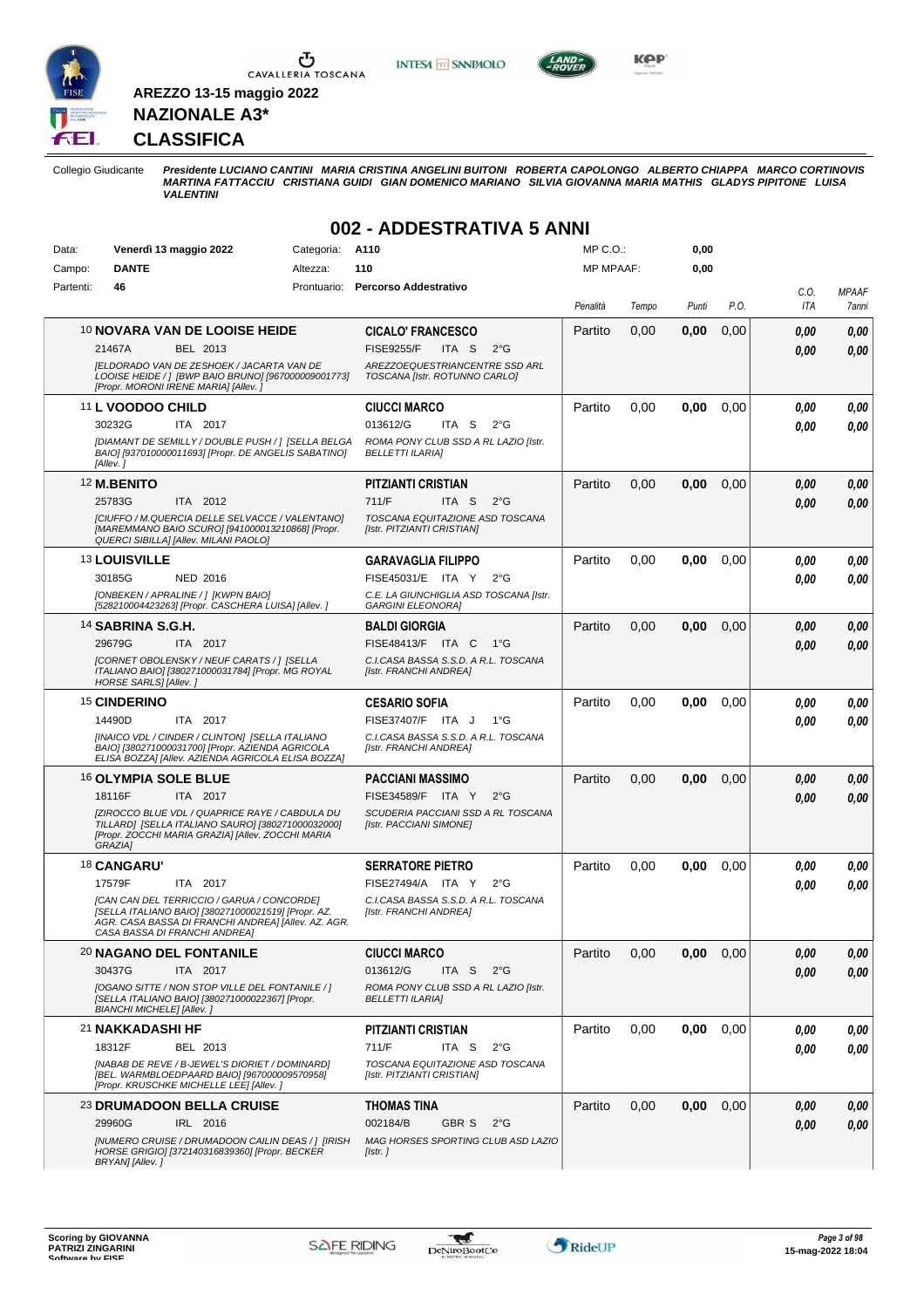

Ⴠ CAVALLERIA TOSCANA **INTESA** M SANPAOLO



**Kep** 

#### **CLASSIFICA**

**NAZIONALE A3\***

**AREZZO 13-15 maggio 2022**

Collegio Giudicante Presidente LUCIANO CANTINI MARIA CRISTINA ANGELINI BUITONI ROBERTA CAPOLONGO ALBERTO CHIAPPA MARCO CORTINOVIS<br>MARTINA FATTACCIU CRISTIANA GUIDI GIAN DOMENICO MARIANO SILVIA GIOVANNA MARIA MATHIS GLADYS

#### **002 - ADDESTRATIVA 5 ANNI**

| Data:     | Venerdì 13 maggio 2022                                                                                     | Categoria:  | A110                                                               | MP C.O.:         |       | 0,00  |      |      |              |
|-----------|------------------------------------------------------------------------------------------------------------|-------------|--------------------------------------------------------------------|------------------|-------|-------|------|------|--------------|
| Campo:    | <b>DANTE</b>                                                                                               | Altezza:    | 110                                                                | <b>MP MPAAF:</b> |       | 0,00  |      |      |              |
| Partenti: | 46                                                                                                         | Prontuario: | <b>Percorso Addestrativo</b>                                       |                  |       |       |      | C.O. | <b>MPAAF</b> |
|           |                                                                                                            |             |                                                                    | Penalità         | Tempo | Punti | P.O. | ITA  | 7anni        |
|           | 10 NOVARA VAN DE LOOISE HEIDE                                                                              |             | <b>CICALO' FRANCESCO</b>                                           | Partito          | 0,00  | 0,00  | 0,00 | 0.00 | 0,00         |
|           | 21467A<br>BEL 2013                                                                                         |             | <b>FISE9255/F</b><br>ITA S<br>$2^{\circ}G$                         |                  |       |       |      | 0.00 | 0.00         |
|           | [ELDORADO VAN DE ZESHOEK / JACARTA VAN DE                                                                  |             | AREZZOEQUESTRIANCENTRE SSD ARL                                     |                  |       |       |      |      |              |
|           | LOOISE HEIDE / ] [BWP BAIO BRUNO] [967000009001773]                                                        |             | TOSCANA [Istr. ROTUNNO CARLO]                                      |                  |       |       |      |      |              |
|           | [Propr. MORONI IRENE MARIA] [Allev.]                                                                       |             |                                                                    |                  |       |       |      |      |              |
|           | 11 L VOODOO CHILD                                                                                          |             | <b>CIUCCI MARCO</b>                                                | Partito          | 0,00  | 0,00  | 0,00 | 0,00 | 0,00         |
|           | 30232G<br>ITA 2017                                                                                         |             | 013612/G<br>ITA S<br>$2^{\circ}G$                                  |                  |       |       |      | 0.00 | 0.00         |
|           | [DIAMANT DE SEMILLY / DOUBLE PUSH / ] [SELLA BELGA                                                         |             | ROMA PONY CLUB SSD A RL LAZIO [Istr.                               |                  |       |       |      |      |              |
|           | BAIO] [937010000011693] [Propr. DE ANGELIS SABATINO]<br>[Allev.]                                           |             | <b>BELLETTI ILARIA]</b>                                            |                  |       |       |      |      |              |
|           | <sup>12</sup> M.BENITO                                                                                     |             | <b>PITZIANTI CRISTIAN</b>                                          | Partito          | 0,00  | 0,00  | 0,00 | 0,00 | 0,00         |
|           | 25783G<br>ITA 2012                                                                                         |             | 711/F<br>ITA S<br>$2^{\circ}$ G                                    |                  |       |       |      | 0,00 | 0,00         |
|           | [CIUFFO / M. QUERCIA DELLE SELVACCE / VALENTANO]                                                           |             | TOSCANA EQUITAZIONE ASD TOSCANA                                    |                  |       |       |      |      |              |
|           | [MAREMMANO BAIO SCURO] [941000013210868] [Propr.                                                           |             | [Istr. PITZIANTI CRISTIAN]                                         |                  |       |       |      |      |              |
|           | QUERCI SIBILLA] [Allev. MILANI PAOLO]                                                                      |             |                                                                    |                  |       |       |      |      |              |
|           | 13 LOUISVILLE                                                                                              |             | <b>GARAVAGLIA FILIPPO</b>                                          | Partito          | 0,00  | 0,00  | 0,00 | 0.00 | 0,00         |
|           | 30185G<br><b>NED 2016</b>                                                                                  |             | FISE45031/E ITA Y<br>$2^{\circ}G$                                  |                  |       |       |      | 0.00 | 0.00         |
|           | [ONBEKEN / APRALINE / ] [KWPN BAIO]<br>[528210004423263] [Propr. CASCHERA LUISA] [Allev.]                  |             | C.E. LA GIUNCHIGLIA ASD TOSCANA [Istr.<br><b>GARGINI ELEONORA]</b> |                  |       |       |      |      |              |
|           | 14 SABRINA S.G.H.                                                                                          |             | <b>BALDI GIORGIA</b>                                               | Partito          | 0,00  | 0,00  | 0,00 | 0.00 | 0,00         |
|           | 29679G<br>ITA 2017                                                                                         |             | FISE48413/F ITA C<br>− 1°G                                         |                  |       |       |      |      |              |
|           | [CORNET OBOLENSKY / NEUF CARATS / ] [SELLA                                                                 |             | C.I.CASA BASSA S.S.D. A R.L. TOSCANA                               |                  |       |       |      | 0.00 | 0.00         |
|           | ITALIANO BAIO] [380271000031784] [Propr. MG ROYAL<br>HORSE SARLS] [Allev.]                                 |             | [Istr. FRANCHI ANDREA]                                             |                  |       |       |      |      |              |
|           | <sup>15</sup> CINDERINO                                                                                    |             | <b>CESARIO SOFIA</b>                                               | Partito          | 0,00  | 0,00  | 0.00 | 0.00 | 0,00         |
|           | 14490D<br>ITA 2017                                                                                         |             | FISE37407/F ITA J<br>$1^{\circ}G$                                  |                  |       |       |      | 0.00 | 0.00         |
|           | [INAICO VDL / CINDER / CLINTON] [SELLA ITALIANO                                                            |             | C.I.CASA BASSA S.S.D. A R.L. TOSCANA                               |                  |       |       |      |      |              |
|           | BAIO] [380271000031700] [Propr. AZIENDA AGRICOLA<br>ELISA BOZZA] [Allev. AZIENDA AGRICOLA ELISA BOZZA]     |             | [Istr. FRANCHI ANDREA]                                             |                  |       |       |      |      |              |
|           | 16 OLYMPIA SOLE BLUE                                                                                       |             | PACCIANI MASSIMO                                                   | Partito          | 0,00  | 0,00  | 0,00 | 0.00 | 0,00         |
|           | 18116F<br>ITA 2017                                                                                         |             | FISE34589/F ITA Y<br>$2^{\circ}G$                                  |                  |       |       |      | 0.00 | 0.00         |
|           | [ZIROCCO BLUE VDL / QUAPRICE RAYE / CABDULA DU                                                             |             | SCUDERIA PACCIANI SSD A RL TOSCANA                                 |                  |       |       |      |      |              |
|           | TILLARD] [SELLA ITALIANO SAURO] [380271000032000]<br>[Propr. ZOCCHI MARIA GRAZIA] [Allev. ZOCCHI MARIA     |             | [Istr. PACCIANI SIMONE]                                            |                  |       |       |      |      |              |
|           | GRAZIA1                                                                                                    |             |                                                                    |                  |       |       |      |      |              |
|           | 18 CANGARU'                                                                                                |             | <b>SERRATORE PIETRO</b>                                            | Partito          | 0,00  | 0,00  | 0,00 | 0,00 | 0,00         |
|           | 17579F<br>ITA 2017                                                                                         |             | FISE27494/A ITA Y<br>$2^{\circ}G$                                  |                  |       |       |      | 0,00 | 0,00         |
|           | [CAN CAN DEL TERRICCIO / GARUA / CONCORDE]                                                                 |             | C.I.CASA BASSA S.S.D. A R.L. TOSCANA                               |                  |       |       |      |      |              |
|           | [SELLA ITALIANO BAIO] [380271000021519] [Propr. AZ.<br>AGR. CASA BASSA DI FRANCHI ANDREA] [Allev. AZ. AGR. |             | [Istr. FRANCHI ANDREA]                                             |                  |       |       |      |      |              |
|           | CASA BASSA DI FRANCHI ANDREA]                                                                              |             |                                                                    |                  |       |       |      |      |              |
|           | <b>20 NAGANO DEL FONTANILE</b>                                                                             |             | <b>CIUCCI MARCO</b>                                                | Partito          | 0,00  | 0,00  | 0,00 | 0,00 | 0,00         |
|           | 30437G<br>ITA 2017                                                                                         |             | 013612/G<br>ITA S $2^{\circ}G$                                     |                  |       |       |      | 0.00 | 0.00         |
|           | [OGANO SITTE / NON STOP VILLE DEL FONTANILE / ]                                                            |             | ROMA PONY CLUB SSD A RL LAZIO [Istr.                               |                  |       |       |      |      |              |
|           | [SELLA ITALIANO BAIO] [380271000022367] [Propr.<br><b>BIANCHI MICHELE] [Allev. ]</b>                       |             | <b>BELLETTI ILARIA]</b>                                            |                  |       |       |      |      |              |
|           | 21 NAKKADASHI HF                                                                                           |             | <b>PITZIANTI CRISTIAN</b>                                          | Partito          | 0,00  | 0,00  | 0,00 | 0,00 | 0,00         |
|           | 18312F<br>BEL 2013                                                                                         |             | 711/F<br>ITA S<br>$2^{\circ}$ G                                    |                  |       |       |      | 0.00 | 0.00         |
|           | [NABAB DE REVE / B-JEWEL'S DIORIET / DOMINARD]<br>[BEL. WARMBLOEDPAARD BAIO] [967000009570958]             |             | TOSCANA EQUITAZIONE ASD TOSCANA<br>[Istr. PITZIANTI CRISTIAN]      |                  |       |       |      |      |              |
|           | [Propr. KRUSCHKE MICHELLE LEE] [Allev. ]                                                                   |             |                                                                    |                  |       |       |      |      |              |
|           | <b>23 DRUMADOON BELLA CRUISE</b>                                                                           |             | THOMAS TINA                                                        | Partito          | 0,00  | 0,00  | 0,00 | 0,00 | 0,00         |
|           | IRL 2016<br>29960G                                                                                         |             | 002184/B<br>GBR S<br>$2^{\circ}G$                                  |                  |       |       |      | 0.00 | 0,00         |
|           | [NUMERO CRUISE / DRUMADOON CAILIN DEAS / ] [IRISH                                                          |             | MAG HORSES SPORTING CLUB ASD LAZIO                                 |                  |       |       |      |      |              |
|           | HORSE GRIGIO] [372140316839360] [Propr. BECKER<br>BRYAN] [Allev.]                                          |             | [Istr.]                                                            |                  |       |       |      |      |              |

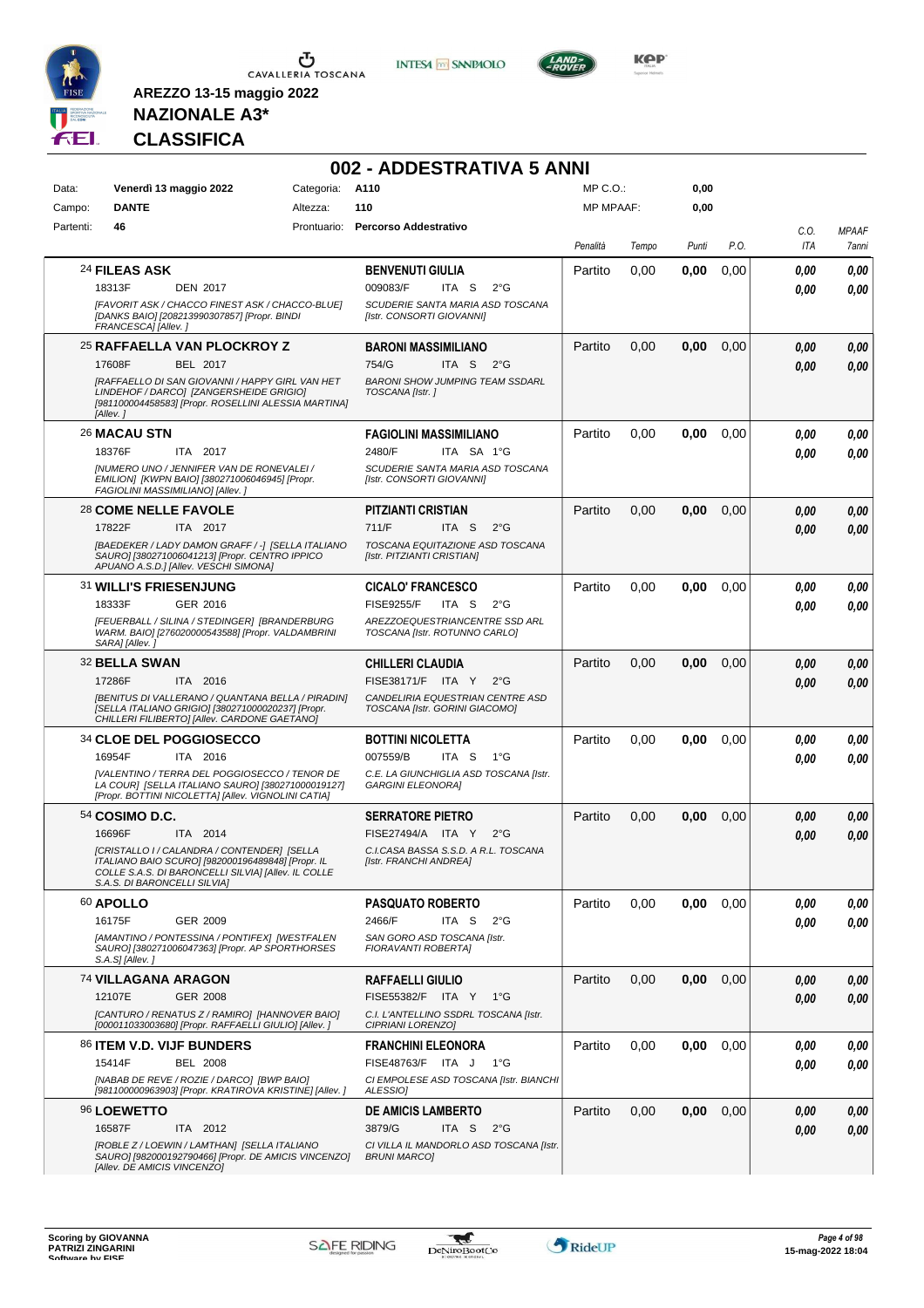

**INTESA M** SANPAOLO



**KOP** 

# **NAZIONALE A3\* CLASSIFICA**

|           |                              |                                                                                                                                                           |                 | 002 - ADDESTRATIVA 5 ANNI                                          |                  |       |       |      |      |              |
|-----------|------------------------------|-----------------------------------------------------------------------------------------------------------------------------------------------------------|-----------------|--------------------------------------------------------------------|------------------|-------|-------|------|------|--------------|
| Data:     |                              | Venerdì 13 maggio 2022                                                                                                                                    | Categoria: A110 |                                                                    | $MP C. O.$ :     |       | 0,00  |      |      |              |
| Campo:    | <b>DANTE</b>                 |                                                                                                                                                           | Altezza:        | 110                                                                | <b>MP MPAAF:</b> |       | 0,00  |      |      |              |
| Partenti: | 46                           |                                                                                                                                                           |                 | Prontuario: Percorso Addestrativo                                  |                  |       |       |      | C.O. | <b>MPAAF</b> |
|           |                              |                                                                                                                                                           |                 |                                                                    | Penalità         | Tempo | Punti | P.O. | ITA  | 7anni        |
|           | 24 FILEAS ASK                |                                                                                                                                                           |                 | <b>BENVENUTI GIULIA</b>                                            | Partito          | 0,00  | 0,00  | 0,00 | 0.00 | 0.00         |
|           | 18313F                       | <b>DEN 2017</b>                                                                                                                                           |                 | 009083/F<br>ITA S<br>$2^{\circ}$ G                                 |                  |       |       |      | 0.00 | 0,00         |
|           | FRANCESCA] [Allev.]          | [FAVORIT ASK / CHACCO FINEST ASK / CHACCO-BLUE]<br>[DANKS BAIO] [208213990307857] [Propr. BINDI                                                           |                 | SCUDERIE SANTA MARIA ASD TOSCANA<br>[Istr. CONSORTI GIOVANNI]      |                  |       |       |      |      |              |
|           |                              | 25 RAFFAELLA VAN PLOCKROY Z                                                                                                                               |                 | <b>BARONI MASSIMILIANO</b>                                         | Partito          | 0,00  | 0,00  | 0,00 | 0.00 | 0,00         |
|           | 17608F                       | BEL 2017                                                                                                                                                  |                 | 754/G<br>ITA <sub>S</sub><br>$2^{\circ}G$                          |                  |       |       |      | 0.00 | 0,00         |
|           | [Allev.]                     | [RAFFAELLO DI SAN GIOVANNI / HAPPY GIRL VAN HET<br>LINDEHOF / DARCO] [ZANGERSHEIDE GRIGIO]<br>[981100004458583] [Propr. ROSELLINI ALESSIA MARTINA]        |                 | <b>BARONI SHOW JUMPING TEAM SSDARL</b><br>TOSCANA [Istr.]          |                  |       |       |      |      |              |
|           | 26 MACAU STN                 |                                                                                                                                                           |                 | <b>FAGIOLINI MASSIMILIANO</b>                                      | Partito          | 0,00  | 0,00  | 0,00 | 0.00 | 0,00         |
|           | 18376F                       | ITA 2017                                                                                                                                                  |                 | 2480/F<br>ITA SA 1°G                                               |                  |       |       |      | 0.00 | 0.00         |
|           |                              | <b>INUMERO UNO / JENNIFER VAN DE RONEVALEI /</b><br>EMILION] [KWPN BAIO] [380271006046945] [Propr.<br>FAGIOLINI MASSIMILIANO] [Allev.]                    |                 | SCUDERIE SANTA MARIA ASD TOSCANA<br>[Istr. CONSORTI GIOVANNI]      |                  |       |       |      |      |              |
|           | 28 COME NELLE FAVOLE         |                                                                                                                                                           |                 | PITZIANTI CRISTIAN                                                 | Partito          | 0,00  | 0,00  | 0,00 | 0.00 | 0,00         |
|           | 17822F                       | ITA 2017                                                                                                                                                  |                 | 711/F<br>ITA S<br>$2^{\circ}$ G                                    |                  |       |       |      | 0.00 | 0,00         |
|           |                              | [BAEDEKER / LADY DAMON GRAFF / -] [SELLA ITALIANO<br>SAURO] [380271006041213] [Propr. CENTRO IPPICO<br>APUANO A.S.D.] [Allev. VESCHI SIMONA]              |                 | TOSCANA EQUITAZIONE ASD TOSCANA<br>[Istr. PITZIANTI CRISTIAN]      |                  |       |       |      |      |              |
|           | 31 WILLI'S FRIESENJUNG       |                                                                                                                                                           |                 | <b>CICALO' FRANCESCO</b>                                           | Partito          | 0,00  | 0,00  | 0.00 | 0.00 | 0,00         |
|           | 18333F                       | GER 2016                                                                                                                                                  |                 | <b>FISE9255/F</b><br>ITA S<br>$2^{\circ}$ G                        |                  |       |       |      | 0.00 | 0,00         |
|           | SARA] [Allev.]               | [FEUERBALL / SILINA / STEDINGER] [BRANDERBURG<br>WARM. BAIO] [276020000543588] [Propr. VALDAMBRINI                                                        |                 | AREZZOEQUESTRIANCENTRE SSD ARL<br>TOSCANA [Istr. ROTUNNO CARLO]    |                  |       |       |      |      |              |
|           | 32 BELLA SWAN                |                                                                                                                                                           |                 | CHILLERI CLAUDIA                                                   | Partito          | 0,00  | 0,00  | 0,00 | 0.00 | 0,00         |
|           | 17286F                       | ITA 2016                                                                                                                                                  |                 | FISE38171/F ITA Y<br>$2^{\circ}G$                                  |                  |       |       |      | 0.00 | 0,00         |
|           |                              | [BENITUS DI VALLERANO / QUANTANA BELLA / PIRADIN]<br>[SELLA ITALIANO GRIGIO] [380271000020237] [Propr.<br>CHILLERI FILIBERTO] [Allev. CARDONE GAETANO]    |                 | CANDELIRIA EQUESTRIAN CENTRE ASD<br>TOSCANA [Istr. GORINI GIACOMO] |                  |       |       |      |      |              |
|           |                              | 34 CLOE DEL POGGIOSECCO                                                                                                                                   |                 | <b>BOTTINI NICOLETTA</b>                                           | Partito          | 0.00  | 0,00  | 0,00 | 0.00 | 0,00         |
|           | 16954F                       | ITA 2016                                                                                                                                                  |                 | 007559/B<br>ITA S<br>1°G                                           |                  |       |       |      | 0.00 | 0,00         |
|           |                              | [VALENTINO / TERRA DEL POGGIOSECCO / TENOR DE<br>LA COURI ISELLA ITALIANO SAURO] [380271000019127]<br>[Propr. BOTTINI NICOLETTA] [Allev. VIGNOLINI CATIA] |                 | C.E. LA GIUNCHIGLIA ASD TOSCANA [Istr.<br><b>GARGINI ELEONORA]</b> |                  |       |       |      |      |              |
|           | 54 COSIMO D.C.               |                                                                                                                                                           |                 | <b>SERRATORE PIETRO</b>                                            | Partito          | 0,00  | 0,00  | 0,00 | 0.00 | 0,00         |
|           | 16696F                       | ITA 2014                                                                                                                                                  |                 | FISE27494/A ITA Y<br>$2^{\circ}$ G                                 |                  |       |       |      | 0.00 | 0,00         |
|           | S.A.S. DI BARONCELLI SILVIA] | [CRISTALLO I / CALANDRA / CONTENDER] [SELLA<br>ITALIANO BAIO SCURO] [982000196489848] [Propr. IL<br>COLLE S.A.S. DI BARONCELLI SILVIA] [Allev. IL COLLE   |                 | C.I.CASA BASSA S.S.D. A R.L. TOSCANA<br>[Istr. FRANCHI ANDREA]     |                  |       |       |      |      |              |
|           | 60 APOLLO                    |                                                                                                                                                           |                 | <b>PASQUATO ROBERTO</b>                                            | Partito          | 0,00  | 0,00  | 0,00 | 0.00 | 0,00         |
|           | 16175F                       | GER 2009                                                                                                                                                  |                 | 2466/F<br>ITA S<br>$2^{\circ}$ G                                   |                  |       |       |      | 0,00 | 0.00         |
|           | S.A.S] [Allev.]              | [AMANTINO / PONTESSINA / PONTIFEX] [WESTFALEN<br>SAURO] [380271006047363] [Propr. AP SPORTHORSES                                                          |                 | SAN GORO ASD TOSCANA [Istr.<br>FIORAVANTI ROBERTA]                 |                  |       |       |      |      |              |
|           | 74 VILLAGANA ARAGON          |                                                                                                                                                           |                 | <b>RAFFAELLI GIULIO</b>                                            | Partito          | 0,00  | 0,00  | 0,00 | 0,00 | 0,00         |
|           | 12107E                       | GER 2008                                                                                                                                                  |                 | FISE55382/F ITA Y 1°G                                              |                  |       |       |      | 0.00 | 0,00         |
|           |                              | [CANTURO / RENATUS Z / RAMIRO] [HANNOVER BAIO]<br>[000011033003680] [Propr. RAFFAELLI GIULIO] [Allev. ]                                                   |                 | C.I. L'ANTELLINO SSDRL TOSCANA [Istr.<br>CIPRIANI LORENZO]         |                  |       |       |      |      |              |
|           |                              | 86 ITEM V.D. VIJF BUNDERS                                                                                                                                 |                 | <b>FRANCHINI ELEONORA</b>                                          | Partito          | 0,00  | 0,00  | 0,00 | 0,00 | 0,00         |
|           | 15414F                       | <b>BEL 2008</b>                                                                                                                                           |                 | FISE48763/F ITA J<br>1°G                                           |                  |       |       |      | 0.00 | 0,00         |
|           |                              | [NABAB DE REVE / ROZIE / DARCO] [BWP BAIO]<br>[981100000963903] [Propr. KRATIROVA KRISTINE] [Allev. ]                                                     |                 | CI EMPOLESE ASD TOSCANA [Istr. BIANCHI<br>ALESSIO]                 |                  |       |       |      |      |              |
|           | 96 LOEWETTO                  |                                                                                                                                                           |                 | <b>DE AMICIS LAMBERTO</b>                                          | Partito          | 0,00  | 0,00  | 0,00 | 0,00 | 0,00         |
|           | 16587F                       | ITA 2012                                                                                                                                                  |                 | 3879/G<br>ITA S<br>$2^{\circ}$ G                                   |                  |       |       |      | 0.00 | 0,00         |
|           | [Allev. DE AMICIS VINCENZO]  | [ROBLE Z / LOEWIN / LAMTHAN] [SELLA ITALIANO<br>SAURO] [982000192790466] [Propr. DE AMICIS VINCENZO]                                                      |                 | CI VILLA IL MANDORLO ASD TOSCANA [Istr.<br><b>BRUNI MARCO]</b>     |                  |       |       |      |      |              |

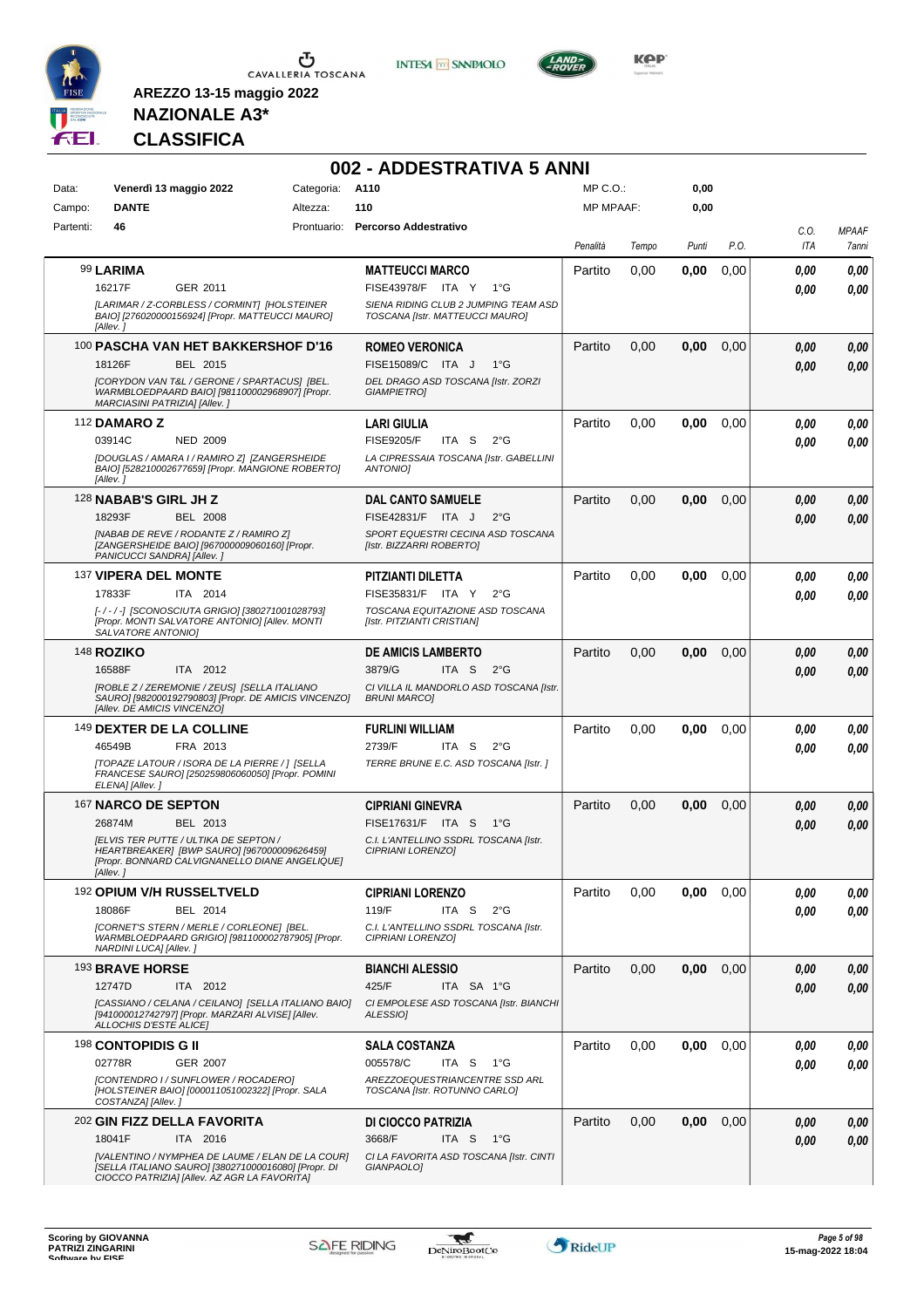

**INTESA M** SANPAOLO



**KOP** 

## **NAZIONALE A3\* CLASSIFICA**

|           |                                                   |                                                                                                                                                         |                 | 002 - ADDESTRATIVA 5 ANNI                                               |                  |       |       |      |      |              |
|-----------|---------------------------------------------------|---------------------------------------------------------------------------------------------------------------------------------------------------------|-----------------|-------------------------------------------------------------------------|------------------|-------|-------|------|------|--------------|
| Data:     | Venerdì 13 maggio 2022                            |                                                                                                                                                         | Categoria: A110 |                                                                         | MP C.O.:         |       | 0,00  |      |      |              |
| Campo:    | <b>DANTE</b>                                      |                                                                                                                                                         | Altezza:        | 110                                                                     | <b>MP MPAAF:</b> |       | 0,00  |      |      |              |
| Partenti: | 46                                                |                                                                                                                                                         |                 | Prontuario: Percorso Addestrativo                                       |                  |       |       |      | C.O. | <b>MPAAF</b> |
|           |                                                   |                                                                                                                                                         |                 |                                                                         | Penalità         | Tempo | Punti | P.O. | ITA  | 7anni        |
|           | 99 LARIMA                                         |                                                                                                                                                         |                 | <b>MATTEUCCI MARCO</b>                                                  | Partito          | 0,00  | 0,00  | 0,00 | 0,00 | 0,00         |
|           | 16217F                                            | GER 2011                                                                                                                                                |                 | FISE43978/F ITA Y 1°G                                                   |                  |       |       |      | 0.00 | 0,00         |
|           | [Allev.]                                          | [LARIMAR / Z-CORBLESS / CORMINT] [HOLSTEINER<br>BAIO] [276020000156924] [Propr. MATTEUCCI MAURO]                                                        |                 | SIENA RIDING CLUB 2 JUMPING TEAM ASD<br>TOSCANA [Istr. MATTEUCCI MAURO] |                  |       |       |      |      |              |
|           |                                                   | 100 PASCHA VAN HET BAKKERSHOF D'16                                                                                                                      |                 | <b>ROMEO VERONICA</b>                                                   | Partito          | 0,00  | 0,00  | 0,00 | 0,00 | 0,00         |
|           | 18126F                                            | <b>BEL 2015</b>                                                                                                                                         |                 | FISE15089/C ITA J<br>$1^{\circ}G$                                       |                  |       |       |      | 0,00 | 0,00         |
|           | MARCIASINI PATRIZIA] [Allev.]                     | [CORYDON VAN T&L / GERONE / SPARTACUS] [BEL.<br>WARMBLOEDPAARD BAIO] [981100002968907] [Propr.                                                          |                 | DEL DRAGO ASD TOSCANA [Istr. ZORZI<br><b>GIAMPIETRO1</b>                |                  |       |       |      |      |              |
|           | 112 DAMARO Z                                      |                                                                                                                                                         |                 | <b>LARI GIULIA</b>                                                      | Partito          | 0,00  | 0,00  | 0.00 | 0,00 | 0,00         |
|           | 03914C                                            | <b>NED 2009</b>                                                                                                                                         |                 | <b>FISE9205/F</b><br>ITA S<br>$2^{\circ}$ G                             |                  |       |       |      | 0.00 | 0.00         |
|           | [Allev.]                                          | [DOUGLAS / AMARA I / RAMIRO Z] [ZANGERSHEIDE<br>BAIO] [528210002677659] [Propr. MANGIONE ROBERTO]                                                       |                 | LA CIPRESSAIA TOSCANA [Istr. GABELLINI<br><b>ANTONIOI</b>               |                  |       |       |      |      |              |
|           | 128 NABAB'S GIRL JH Z                             |                                                                                                                                                         |                 | <b>DAL CANTO SAMUELE</b>                                                | Partito          | 0,00  | 0,00  | 0,00 | 0.00 | 0,00         |
|           | 18293F                                            | <b>BEL 2008</b>                                                                                                                                         |                 | FISE42831/F ITA J<br>$2^{\circ}$ G                                      |                  |       |       |      | 0.00 | 0,00         |
|           | PANICUCCI SANDRAI [Allev.]                        | [NABAB DE REVE / RODANTE Z / RAMIRO Z]<br>[ZANGERSHEIDE BAIO] [967000009060160] [Propr.                                                                 |                 | SPORT EQUESTRI CECINA ASD TOSCANA<br>[Istr. BIZZARRI ROBERTO]           |                  |       |       |      |      |              |
|           | 137 VIPERA DEL MONTE                              |                                                                                                                                                         |                 | <b>PITZIANTI DILETTA</b>                                                | Partito          | 0,00  | 0,00  | 0,00 | 0,00 | 0,00         |
|           | 17833F                                            | ITA 2014                                                                                                                                                |                 | FISE35831/F ITA Y<br>$2^{\circ}G$                                       |                  |       |       |      | 0.00 | 0.00         |
|           | SALVATORE ANTONIOI                                | [-/-/-] [SCONOSCIUTA GRIGIO] [380271001028793]<br>[Propr. MONTI SALVATORE ANTONIO] [Allev. MONTI                                                        |                 | TOSCANA EQUITAZIONE ASD TOSCANA<br>[Istr. PITZIANTI CRISTIAN]           |                  |       |       |      |      |              |
|           | <b>148 ROZIKO</b>                                 |                                                                                                                                                         |                 | <b>DE AMICIS LAMBERTO</b>                                               | Partito          | 0,00  | 0,00  | 0,00 | 0,00 | 0,00         |
|           | 16588F                                            | ITA 2012                                                                                                                                                |                 | 3879/G<br>ITA S<br>$2^{\circ}G$                                         |                  |       |       |      | 0.00 | 0,00         |
|           | [Allev. DE AMICIS VINCENZO]                       | [ROBLE Z / ZEREMONIE / ZEUS] [SELLA ITALIANO<br>SAURO] [982000192790803] [Propr. DE AMICIS VINCENZO]                                                    |                 | CI VILLA IL MANDORLO ASD TOSCANA [Istr.<br><b>BRUNI MARCOI</b>          |                  |       |       |      |      |              |
|           | 149 DEXTER DE LA COLLINE                          |                                                                                                                                                         |                 | <b>FURLINI WILLIAM</b>                                                  | Partito          | 0,00  | 0,00  | 0.00 | 0,00 | 0,00         |
|           | 46549B                                            | FRA 2013                                                                                                                                                |                 | 2739/F<br>ITA S<br>$2^{\circ}$ G                                        |                  |       |       |      | 0,00 | 0.00         |
|           | ELENA] [Allev.]                                   | [TOPAZE LATOUR / ISORA DE LA PIERRE / ] [SELLA<br>FRANCESE SAURO] [250259806060050] [Propr. POMINI                                                      |                 | TERRE BRUNE E.C. ASD TOSCANA [Istr. ]                                   |                  |       |       |      |      |              |
|           | 167 NARCO DE SEPTON                               |                                                                                                                                                         |                 | <b>CIPRIANI GINEVRA</b>                                                 | Partito          | 0,00  | 0,00  | 0,00 | 0,00 | 0,00         |
|           | 26874M                                            | BEL 2013                                                                                                                                                |                 | FISE17631/F ITA S<br>1°G                                                |                  |       |       |      | 0.00 | 0,00         |
|           | IELVIS TER PUTTE / ULTIKA DE SEPTON /<br>[Allev.] | HEARTBREAKER] [BWP SAURO] [967000009626459]<br>[Propr. BONNARD CALVIGNANELLO DIANE ANGELIQUE]                                                           |                 | C.I. L'ANTELLINO SSDRL TOSCANA [Istr.<br>CIPRIANI LORENZOJ              |                  |       |       |      |      |              |
|           | 192 OPIUM V/H RUSSELTVELD                         |                                                                                                                                                         |                 | <b>CIPRIANI LORENZO</b>                                                 | Partito          | 0,00  | 0,00  | 0.00 | 0,00 | 0,00         |
|           | 18086F                                            | BEL 2014                                                                                                                                                |                 | 119/F<br>ITA S<br>$2^{\circ}$ G                                         |                  |       |       |      | 0.00 | 0,00         |
|           | NARDINI LUCA] [Allev. ]                           | [CORNET'S STERN / MERLE / CORLEONE] [BEL.<br>WARMBLOEDPAARD GRIGIO] [981100002787905] [Propr.                                                           |                 | C.I. L'ANTELLINO SSDRL TOSCANA [Istr.<br>CIPRIANI LORENZO]              |                  |       |       |      |      |              |
|           | 193 BRAVE HORSE                                   |                                                                                                                                                         |                 | <b>BIANCHI ALESSIO</b>                                                  | Partito          | 0,00  | 0,00  | 0,00 | 0,00 | 0,00         |
|           | 12747D                                            | ITA 2012                                                                                                                                                |                 | 425/F<br>ITA SA 1°G                                                     |                  |       |       |      | 0,00 | 0,00         |
|           | ALLOCHIS D'ESTE ALICE]                            | [CASSIANO / CELANA / CEILANO] [SELLA ITALIANO BAIO]<br>[941000012742797] [Propr. MARZARI ALVISE] [Allev.                                                |                 | CI EMPOLESE ASD TOSCANA [Istr. BIANCHI<br><b>ALESSIOI</b>               |                  |       |       |      |      |              |
|           | 198 CONTOPIDIS G II                               |                                                                                                                                                         |                 | <b>SALA COSTANZA</b>                                                    | Partito          | 0,00  | 0,00  | 0,00 | 0,00 | 0,00         |
|           | 02778R                                            | <b>GER 2007</b>                                                                                                                                         |                 | 005578/C<br>ITA S<br>1°G                                                |                  |       |       |      | 0,00 | 0,00         |
|           | COSTANZA] [Allev.]                                | [CONTENDRO I / SUNFLOWER / ROCADERO]<br>[HOLSTEINER BAIO] [000011051002322] [Propr. SALA                                                                |                 | AREZZOEQUESTRIANCENTRE SSD ARL<br>TOSCANA [Istr. ROTUNNO CARLO]         |                  |       |       |      |      |              |
|           | <sup>202</sup> GIN FIZZ DELLA FAVORITA            |                                                                                                                                                         |                 | DI CIOCCO PATRIZIA                                                      | Partito          | 0,00  | 0,00  | 0,00 | 0,00 | 0,00         |
|           | 18041F                                            | ITA 2016                                                                                                                                                |                 | 3668/F<br>ITA S<br>$1^{\circ}G$                                         |                  |       |       |      | 0,00 | 0.00         |
|           |                                                   | [VALENTINO / NYMPHEA DE LAUME / ELAN DE LA COUR]<br>[SELLA ITALIANO SAURO] [380271000016080] [Propr. DI<br>CIOCCO PATRIZIA] [Allev. AZ AGR LA FAVORITA] |                 | CI LA FAVORITA ASD TOSCANA [Istr. CINTI<br>GIANPAOLO]                   |                  |       |       |      |      |              |

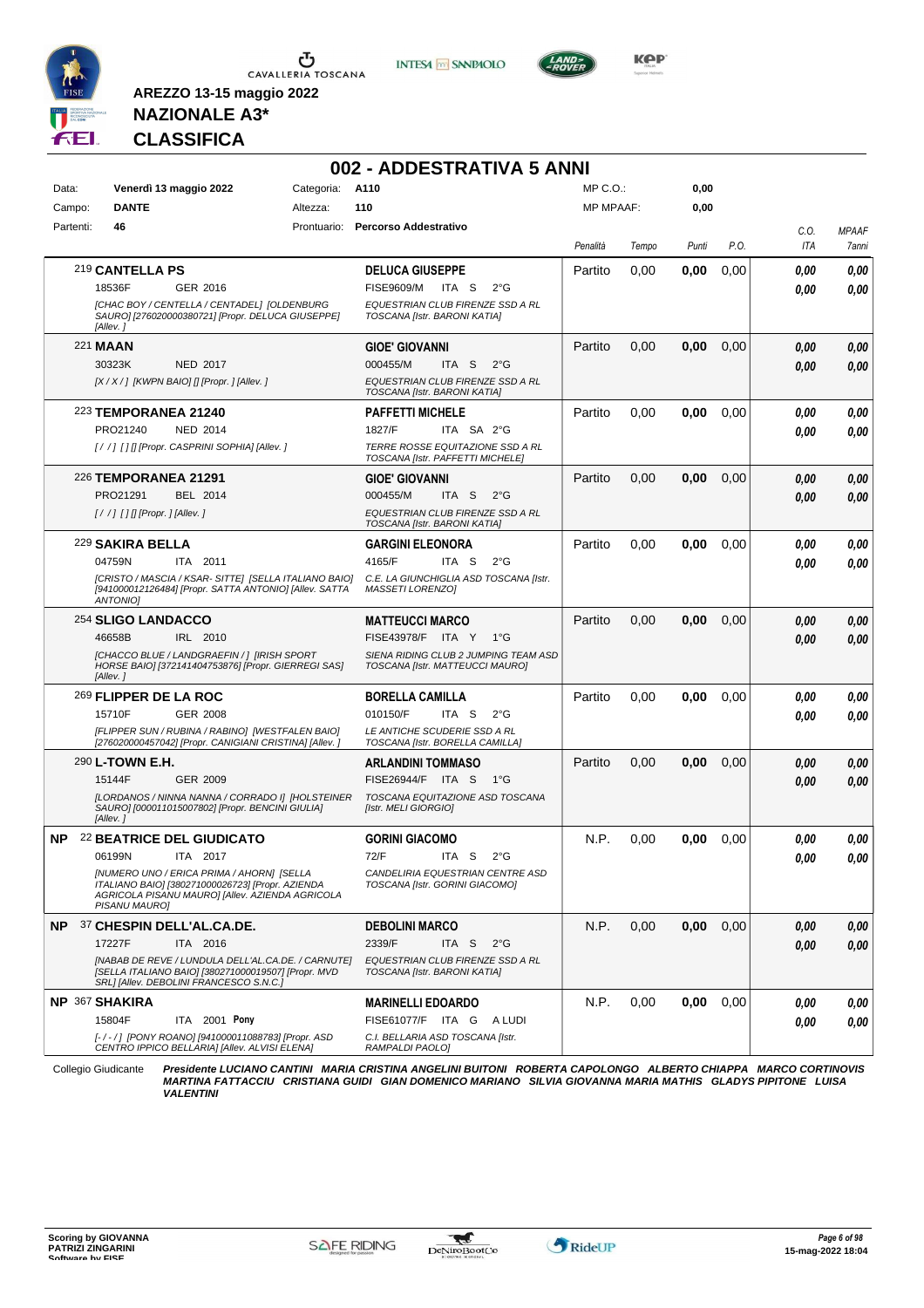

Ⴠ CAVALLERIA TOSCANA

**INTESA M** SANPAOLO



**KPP** 

## **NAZIONALE A3\* CLASSIFICA**

**AREZZO 13-15 maggio 2022**

|           |                                                                                                                                                                   |                 | 002 - ADDESTRATIVA 5 ANNI                                               |           |       |       |      |      |              |
|-----------|-------------------------------------------------------------------------------------------------------------------------------------------------------------------|-----------------|-------------------------------------------------------------------------|-----------|-------|-------|------|------|--------------|
| Data:     | Venerdì 13 maggio 2022                                                                                                                                            | Categoria: A110 |                                                                         | MP C.O.:  |       | 0,00  |      |      |              |
| Campo:    | <b>DANTE</b>                                                                                                                                                      | Altezza:        | 110                                                                     | MP MPAAF: |       | 0,00  |      |      |              |
| Partenti: | 46                                                                                                                                                                |                 | Prontuario: Percorso Addestrativo                                       |           |       |       |      | C.O. | <b>MPAAF</b> |
|           |                                                                                                                                                                   |                 |                                                                         | Penalità  | Tempo | Punti | P.O. | ITA  | 7anni        |
|           | 219 CANTELLA PS                                                                                                                                                   |                 | <b>DELUCA GIUSEPPE</b>                                                  | Partito   | 0.00  | 0,00  | 0,00 | 0.00 | 0,00         |
|           | 18536F<br>GER 2016                                                                                                                                                |                 | <b>FISE9609/M</b><br>ITA S<br>$2^{\circ}G$                              |           |       |       |      | 0.00 | 0,00         |
|           | [CHAC BOY / CENTELLA / CENTADEL] [OLDENBURG<br>SAURO] [276020000380721] [Propr. DELUCA GIUSEPPE]<br>[Allev.]                                                      |                 | EQUESTRIAN CLUB FIRENZE SSD A RL<br>TOSCANA [Istr. BARONI KATIA]        |           |       |       |      |      |              |
|           | 221 <b>MAAN</b>                                                                                                                                                   |                 | <b>GIOE' GIOVANNI</b>                                                   | Partito   | 0,00  | 0,00  | 0,00 | 0.00 | 0,00         |
|           | 30323K<br><b>NED 2017</b>                                                                                                                                         |                 | 000455/M<br>ITA S<br>$2^{\circ}$ G                                      |           |       |       |      | 0.00 | 0,00         |
|           | [X / X / ] [KWPN BAIO] [] [Propr. ] [Allev. ]                                                                                                                     |                 | EQUESTRIAN CLUB FIRENZE SSD A RL<br>TOSCANA [Istr. BARONI KATIA]        |           |       |       |      |      |              |
|           | 223 TEMPORANEA 21240                                                                                                                                              |                 | <b>PAFFETTI MICHELE</b>                                                 | Partito   | 0.00  | 0,00  | 0,00 | 0,00 | 0,00         |
|           | PRO21240<br><b>NED 2014</b>                                                                                                                                       |                 | ITA SA 2°G<br>1827/F                                                    |           |       |       |      | 0.00 | 0,00         |
|           | [/ /] [] [[Propr. CASPRINI SOPHIA] [Allev.]                                                                                                                       |                 | TERRE ROSSE EQUITAZIONE SSD A RL<br>TOSCANA [Istr. PAFFETTI MICHELE]    |           |       |       |      |      |              |
|           | <b>226 TEMPORANEA 21291</b>                                                                                                                                       |                 | <b>GIOE' GIOVANNI</b>                                                   | Partito   | 0,00  | 0,00  | 0,00 | 0,00 | 0,00         |
|           | PRO21291<br>BEL 2014                                                                                                                                              |                 | 000455/M<br>ITA S<br>$2^{\circ}G$                                       |           |       |       |      | 0.00 | 0,00         |
|           | $[!//]$ [] [] [Propr. ] [Allev. ]                                                                                                                                 |                 | EQUESTRIAN CLUB FIRENZE SSD A RL<br>TOSCANA [Istr. BARONI KATIA]        |           |       |       |      |      |              |
|           | <sup>229</sup> SAKIRA BELLA                                                                                                                                       |                 | <b>GARGINI ELEONORA</b>                                                 | Partito   | 0,00  | 0,00  | 0,00 | 0.00 | 0,00         |
|           | 04759N<br>ITA 2011                                                                                                                                                |                 | 4165/F<br>ITA S<br>$2^{\circ}G$                                         |           |       |       |      | 0.00 | 0.00         |
|           | [CRISTO / MASCIA / KSAR- SITTE] [SELLA ITALIANO BAIO]<br>[941000012126484] [Propr. SATTA ANTONIO] [Allev. SATTA<br>ANTONIO]                                       |                 | C.E. LA GIUNCHIGLIA ASD TOSCANA [Istr.<br>MASSETI LORENZO]              |           |       |       |      |      |              |
|           | 254 SLIGO LANDACCO                                                                                                                                                |                 | <b>MATTEUCCI MARCO</b>                                                  | Partito   | 0,00  | 0,00  | 0,00 | 0,00 | 0,00         |
|           | 46658B<br>IRL 2010                                                                                                                                                |                 | FISE43978/F ITA Y<br>$1^{\circ}G$                                       |           |       |       |      | 0.00 | 0.00         |
|           | [CHACCO BLUE / LANDGRAEFIN / ] [IRISH SPORT<br>HORSE BAIO] [372141404753876] [Propr. GIERREGI SAS]<br>[Allev.]                                                    |                 | SIENA RIDING CLUB 2 JUMPING TEAM ASD<br>TOSCANA [Istr. MATTEUCCI MAURO] |           |       |       |      |      |              |
|           | 269 FLIPPER DE LA ROC                                                                                                                                             |                 | <b>BORELLA CAMILLA</b>                                                  | Partito   | 0,00  | 0,00  | 0,00 | 0.00 | 0,00         |
|           | 15710F<br>GER 2008                                                                                                                                                |                 | 010150/F<br>ITA S<br>$2^{\circ}G$                                       |           |       |       |      | 0.00 | 0.00         |
|           | [FLIPPER SUN / RUBINA / RABINO] [WESTFALEN BAIO]<br>[276020000457042] [Propr. CANIGIANI CRISTINA] [Allev.]                                                        |                 | LE ANTICHE SCUDERIE SSD A RL<br>TOSCANA [Istr. BORELLA CAMILLA]         |           |       |       |      |      |              |
|           | 290 <b>L-TOWN E.H.</b>                                                                                                                                            |                 | <b>ARLANDINI TOMMASO</b>                                                | Partito   | 0,00  | 0,00  | 0,00 | 0.00 | 0,00         |
|           | 15144F<br>GER 2009                                                                                                                                                |                 | FISE26944/F ITA S<br>1°G                                                |           |       |       |      | 0.00 | 0.00         |
|           | [LORDANOS / NINNA NANNA / CORRADO I] [HOLSTEINER<br>SAURO] [000011015007802] [Propr. BENCINI GIULIA]<br>[Allev.]                                                  |                 | TOSCANA EQUITAZIONE ASD TOSCANA<br>[Istr. MELI GIORGIO]                 |           |       |       |      |      |              |
| NP.       | <b>22 BEATRICE DEL GIUDICATO</b>                                                                                                                                  |                 | <b>GORINI GIACOMO</b>                                                   | N.P.      | 0,00  | 0,00  | 0,00 | 0.00 | 0,00         |
|           | 06199N<br>ITA 2017                                                                                                                                                |                 | 72/F<br>ITA S<br>$2^{\circ}$ G                                          |           |       |       |      | 0,00 | 0,00         |
|           | [NUMERO UNO / ERICA PRIMA / AHORN] [SELLA<br>ITALIANO BAIO] [380271000026723] [Propr. AZIENDA<br>AGRICOLA PISANU MAURO] [Allev. AZIENDA AGRICOLA<br>PISANU MAURO] |                 | CANDELIRIA EQUESTRIAN CENTRE ASD<br>TOSCANA [Istr. GORINI GIACOMO]      |           |       |       |      |      |              |
|           | NP 37 CHESPIN DELL'AL.CA.DE.                                                                                                                                      |                 | <b>DEBOLINI MARCO</b>                                                   | N.P.      | 0,00  | 0,00  | 0,00 | 0,00 | 0,00         |
|           | 17227F<br>ITA 2016                                                                                                                                                |                 | 2339/F<br>$2^{\circ}$ G<br>ITA S                                        |           |       |       |      | 0.00 | 0,00         |
|           | [NABAB DE REVE / LUNDULA DELL'AL.CA.DE. / CARNUTE]<br>[SELLA ITALIANO BAIO] [380271000019507] [Propr. MVD<br>SRL] [Allev. DEBOLINI FRANCESCO S.N.C.]              |                 | EQUESTRIAN CLUB FIRENZE SSD A RL<br>TOSCANA [Istr. BARONI KATIA]        |           |       |       |      |      |              |
|           | <b>NP 367 SHAKIRA</b>                                                                                                                                             |                 | <b>MARINELLI EDOARDO</b>                                                | N.P.      | 0,00  | 0,00  | 0,00 | 0.00 | 0,00         |
|           | 15804F<br>ITA 2001 Pony                                                                                                                                           |                 | FISE61077/F ITA G ALUDI                                                 |           |       |       |      | 0.00 | 0.00         |
|           | [-/-/] [PONY ROANO] [941000011088783] [Propr. ASD<br>CENTRO IPPICO BELLARIA] [Allev. ALVISI ELENA]                                                                |                 | C.I. BELLARIA ASD TOSCANA [Istr.<br>RAMPALDI PAOLO]                     |           |       |       |      |      |              |

Collegio Giudicante Presidente LUCIANO CANTINI MARIA CRISTINA ANGELINI BUITONI ROBERTA CAPOLONGO ALBERTO CHIAPPA MARCO CORTINOVIS<br>MARTINA FATTACCIU CRISTIANA GUIDI GIAN DOMENICO MARIANO SILVIA GIOVANNA MARIA MATHIS GLADYS

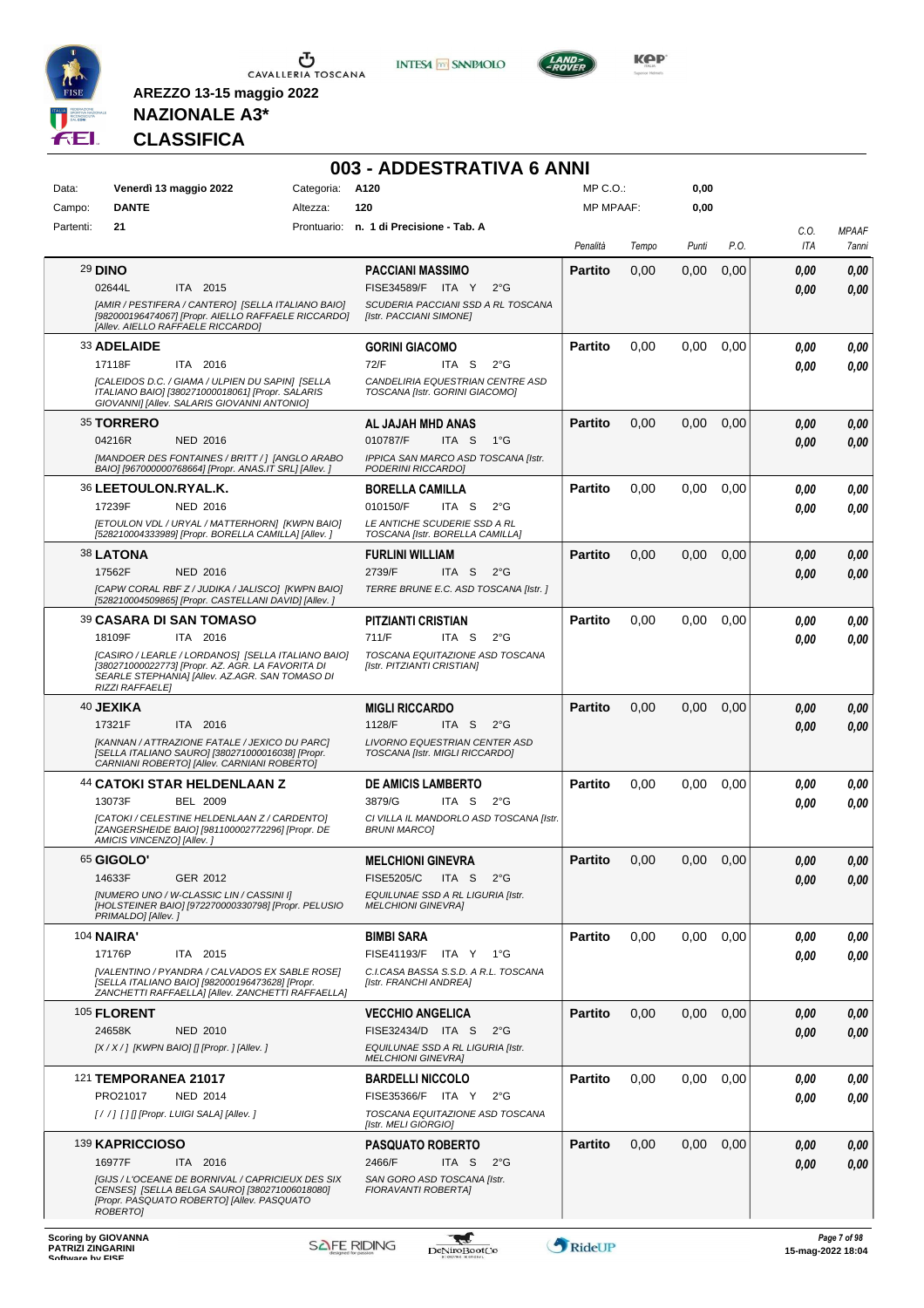

**INTESA M** SANPAOLO

**003 - ADDESTRATIVA 6 ANNI**



**Kep** 

# **NAZIONALE A3\* CLASSIFICA**

| Data:     |                           | Venerdì 13 maggio 2022                                                                                                                                     | Categoria: | A120                                                               | MP C. O.         |       | 0,00  |      |             |                       |
|-----------|---------------------------|------------------------------------------------------------------------------------------------------------------------------------------------------------|------------|--------------------------------------------------------------------|------------------|-------|-------|------|-------------|-----------------------|
| Campo:    | <b>DANTE</b>              |                                                                                                                                                            | Altezza:   | 120                                                                | <b>MP MPAAF:</b> |       | 0,00  |      |             |                       |
| Partenti: | 21                        |                                                                                                                                                            |            | Prontuario: n. 1 di Precisione - Tab. A                            | Penalità         | Tempo | Punti | P.O. | C.O.<br>ITA | <b>MPAAF</b><br>7anni |
|           | <b>29 DINO</b>            |                                                                                                                                                            |            | <b>PACCIANI MASSIMO</b>                                            | <b>Partito</b>   | 0,00  | 0,00  | 0,00 | 0.00        | 0,00                  |
|           | 02644L                    | ITA 2015                                                                                                                                                   |            | FISE34589/F ITA Y<br>$2^{\circ}G$                                  |                  |       |       |      | 0.00        | 0,00                  |
|           |                           | [AMIR / PESTIFERA / CANTERO] [SELLA ITALIANO BAIO]<br>[982000196474067] [Propr. AIELLO RAFFAELE RICCARDO]<br>[Allev. AIELLO RAFFAELE RICCARDO]             |            | SCUDERIA PACCIANI SSD A RL TOSCANA<br>[Istr. PACCIANI SIMONE]      |                  |       |       |      |             |                       |
|           | 33 ADELAIDE               |                                                                                                                                                            |            | <b>GORINI GIACOMO</b>                                              | <b>Partito</b>   | 0,00  | 0,00  | 0,00 | 0.00        | 0,00                  |
|           | 17118F                    | ITA 2016                                                                                                                                                   |            | 72/F<br>ITA S<br>$2^{\circ}G$                                      |                  |       |       |      | 0.00        | 0,00                  |
|           |                           | [CALEIDOS D.C. / GIAMA / ULPIEN DU SAPIN] [SELLA<br>ITALIANO BAIO] [380271000018061] [Propr. SALARIS<br>GIOVANNI] [Allev. SALARIS GIOVANNI ANTONIO]        |            | CANDELIRIA EQUESTRIAN CENTRE ASD<br>TOSCANA [Istr. GORINI GIACOMO] |                  |       |       |      |             |                       |
|           | 35 TORRERO                |                                                                                                                                                            |            | AL JAJAH MHD ANAS                                                  | <b>Partito</b>   | 0,00  | 0,00  | 0,00 | 0.00        | 0,00                  |
|           | 04216R                    | <b>NED 2016</b>                                                                                                                                            |            | 010787/F<br>ITA <sub>S</sub><br>$1^{\circ}G$                       |                  |       |       |      | 0.00        | 0,00                  |
|           |                           | [MANDOER DES FONTAINES / BRITT / ] [ANGLO ARABO<br>BAIO] [967000000768664] [Propr. ANAS.IT SRL] [Allev. ]                                                  |            | IPPICA SAN MARCO ASD TOSCANA [Istr.<br>PODERINI RICCARDO]          |                  |       |       |      |             |                       |
|           | 36 LEETOULON.RYAL.K.      |                                                                                                                                                            |            | <b>BORELLA CAMILLA</b>                                             | <b>Partito</b>   | 0,00  | 0,00  | 0,00 | 0.00        | 0,00                  |
|           | 17239F                    | NED 2016                                                                                                                                                   |            | 010150/F<br>ITA S<br>$2^{\circ}$ G                                 |                  |       |       |      | 0.00        | 0,00                  |
|           |                           | [ETOULON VDL / URYAL / MATTERHORN] [KWPN BAIO]<br>[528210004333989] [Propr. BORELLA CAMILLA] [Allev.]                                                      |            | LE ANTICHE SCUDERIE SSD A RL<br>TOSCANA [Istr. BORELLA CAMILLA]    |                  |       |       |      |             |                       |
|           | 38 LATONA                 |                                                                                                                                                            |            | <b>FURLINI WILLIAM</b>                                             | <b>Partito</b>   | 0,00  | 0,00  | 0,00 | 0.00        | 0,00                  |
|           | 17562F                    | <b>NED 2016</b>                                                                                                                                            |            | 2739/F<br>ITA <sub>S</sub><br>$2^{\circ}$ G                        |                  |       |       |      | 0.00        | 0,00                  |
|           |                           | [CAPW CORAL RBF Z / JUDIKA / JALISCO] [KWPN BAIO]<br>[528210004509865] [Propr. CASTELLANI DAVID] [Allev. ]                                                 |            | TERRE BRUNE E.C. ASD TOSCANA [Istr.]                               |                  |       |       |      |             |                       |
|           |                           | <b>39 CASARA DI SAN TOMASO</b>                                                                                                                             |            | <b>PITZIANTI CRISTIAN</b>                                          | <b>Partito</b>   | 0,00  | 0,00  | 0,00 | 0.00        | 0,00                  |
|           | 18109F                    | ITA 2016                                                                                                                                                   |            | 711/F<br>ITA S<br>$2^{\circ}G$                                     |                  |       |       |      | 0.00        | 0,00                  |
|           | <b>RIZZI RAFFAELE]</b>    | ICASIRO / LEARLE / LORDANOS] [SELLA ITALIANO BAIO]<br>[380271000022773] [Propr. AZ. AGR. LA FAVORITA DI<br>SEARLE STEPHANIA] [Allev. AZ.AGR. SAN TOMASO DI |            | TOSCANA EQUITAZIONE ASD TOSCANA<br>[Istr. PITZIANTI CRISTIAN]      |                  |       |       |      |             |                       |
|           | 40 JEXIKA                 |                                                                                                                                                            |            | <b>MIGLI RICCARDO</b>                                              | <b>Partito</b>   | 0,00  | 0,00  | 0,00 | 0.00        | 0,00                  |
|           | 17321F                    | ITA 2016                                                                                                                                                   |            | 1128/F<br>ITA S<br>$2^{\circ}G$                                    |                  |       |       |      | 0.00        | 0.00                  |
|           |                           | [KANNAN / ATTRAZIONE FATALE / JEXICO DU PARC]<br>[SELLA ITALIANO SAURO] [380271000016038] [Propr.<br>CARNIANI ROBERTO] [Allev. CARNIANI ROBERTO]           |            | LIVORNO EQUESTRIAN CENTER ASD<br>TOSCANA [Istr. MIGLI RICCARDO]    |                  |       |       |      |             |                       |
|           |                           | 44 CATOKI STAR HELDENLAAN Z                                                                                                                                |            | <b>DE AMICIS LAMBERTO</b>                                          | <b>Partito</b>   | 0,00  | 0,00  | 0,00 | 0.00        | 0,00                  |
|           | 13073F                    | <b>BEL 2009</b>                                                                                                                                            |            | 3879/G<br>ITA S<br>$2^{\circ}G$                                    |                  |       |       |      | 0.00        | 0.00                  |
|           | AMICIS VINCENZO] [Allev.] | [CATOKI / CELESTINE HELDENLAAN Z / CARDENTO]<br>[ZANGERSHEIDE BAIO] [981100002772296] [Propr. DE                                                           |            | CI VILLA IL MANDORLO ASD TOSCANA [Istr.<br><b>BRUNI MARCO]</b>     |                  |       |       |      |             |                       |
|           | 65 GIGOLO'                |                                                                                                                                                            |            | <b>MELCHIONI GINEVRA</b>                                           | <b>Partito</b>   | 0,00  | 0,00  | 0,00 | 0.00        | 0,00                  |
|           | 14633F                    | GER 2012                                                                                                                                                   |            | <b>FISE5205/C</b><br>ITA S 2°G                                     |                  |       |       |      | 0,00        | 0,00                  |
|           | PRIMALDO] [Allev.]        | [NUMERO UNO / W-CLASSIC LIN / CASSINI I]<br>[HOLSTEINER BAIO] [972270000330798] [Propr. PELUSIO                                                            |            | EQUILUNAE SSD A RL LIGURIA [Istr.<br><b>MELCHIONI GINEVRAI</b>     |                  |       |       |      |             |                       |
|           | <b>104 NAIRA'</b>         |                                                                                                                                                            |            | <b>BIMBI SARA</b>                                                  | <b>Partito</b>   | 0,00  | 0,00  | 0,00 | 0.00        | 0,00                  |
|           | 17176P                    | ITA 2015                                                                                                                                                   |            | FISE41193/F ITA Y 1°G                                              |                  |       |       |      | 0.00        | 0,00                  |
|           |                           | [VALENTINO / PYANDRA / CALVADOS EX SABLE ROSE]<br>[SELLA ITALIANO BAIO] [982000196473628] [Propr.<br>ZANCHETTI RAFFAELLA] [Allev. ZANCHETTI RAFFAELLA]     |            | C.I.CASA BASSA S.S.D. A R.L. TOSCANA<br>[Istr. FRANCHI ANDREA]     |                  |       |       |      |             |                       |
|           | 105 FLORENT               |                                                                                                                                                            |            | <b>VECCHIO ANGELICA</b>                                            | <b>Partito</b>   | 0,00  | 0,00  | 0,00 | 0,00        | 0,00                  |
|           | 24658K                    | <b>NED 2010</b>                                                                                                                                            |            | FISE32434/D ITA S<br>$2^{\circ}$ G                                 |                  |       |       |      | 0.00        | 0,00                  |
|           |                           | [X / X / ] [KWPN BAIO] [] [Propr. ] [Allev. ]                                                                                                              |            | EQUILUNAE SSD A RL LIGURIA [Istr.<br><b>MELCHIONI GINEVRAI</b>     |                  |       |       |      |             |                       |
|           | 121 TEMPORANEA 21017      |                                                                                                                                                            |            | <b>BARDELLI NICCOLO</b>                                            | <b>Partito</b>   | 0,00  | 0,00  | 0,00 | 0.00        | 0,00                  |
|           | PRO21017                  | <b>NED 2014</b>                                                                                                                                            |            | FISE35366/F ITA Y<br>$2^{\circ}$ G                                 |                  |       |       |      | 0.00        | 0,00                  |
|           |                           | [/ /] [] [] [Propr. LUIGI SALA] [Allev. ]                                                                                                                  |            | TOSCANA EQUITAZIONE ASD TOSCANA<br>[Istr. MELI GIORGIO]            |                  |       |       |      |             |                       |
|           | 139 KAPRICCIOSO           |                                                                                                                                                            |            | <b>PASQUATO ROBERTO</b>                                            | <b>Partito</b>   | 0,00  | 0,00  | 0,00 | 0.00        | 0,00                  |
|           | 16977F                    | ITA 2016                                                                                                                                                   |            | 2466/F<br>ITA S<br>$2^{\circ}$ G                                   |                  |       |       |      | 0.00        | 0,00                  |
|           | ROBERTO]                  | [GIJS / L'OCEANE DE BORNIVAL / CAPRICIEUX DES SIX<br>CENSESI [SELLA BELGA SAURO] [380271006018080]<br>[Propr. PASQUATO ROBERTO] [Allev. PASQUATO           |            | SAN GORO ASD TOSCANA [Istr.<br>FIORAVANTI ROBERTA]                 |                  |       |       |      |             |                       |



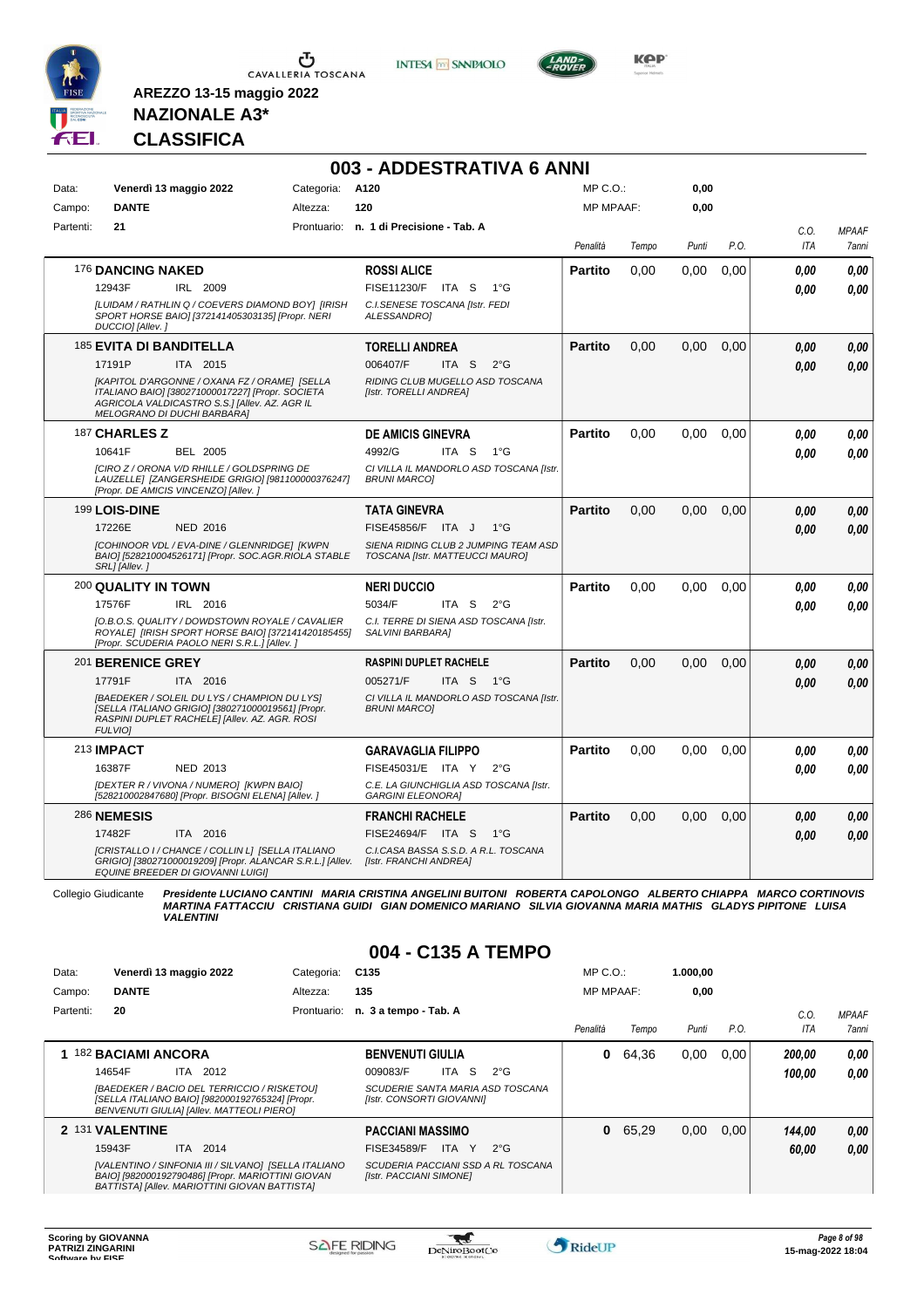

**INTESA** M SANPAOLO



**KPP** 

## **NAZIONALE A3\* CLASSIFICA**

**AREZZO 13-15 maggio 2022**

|           |                                                                                                                                                                                   |            | 003 - ADDESTRATIVA 6 ANNI                                               |                  |       |       |      |      |              |
|-----------|-----------------------------------------------------------------------------------------------------------------------------------------------------------------------------------|------------|-------------------------------------------------------------------------|------------------|-------|-------|------|------|--------------|
| Data:     | Venerdì 13 maggio 2022                                                                                                                                                            | Categoria: | A120                                                                    | MP C.O.:         |       | 0,00  |      |      |              |
| Campo:    | <b>DANTE</b>                                                                                                                                                                      | Altezza:   | 120                                                                     | <b>MP MPAAF:</b> |       | 0,00  |      |      |              |
| Partenti: | 21                                                                                                                                                                                |            | Prontuario: n. 1 di Precisione - Tab. A                                 |                  |       |       |      | C.O. | <b>MPAAF</b> |
|           |                                                                                                                                                                                   |            |                                                                         | Penalità         | Tempo | Punti | P.O. | ITA  | 7anni        |
|           | 176 DANCING NAKED                                                                                                                                                                 |            | <b>ROSSI ALICE</b>                                                      | <b>Partito</b>   | 0,00  | 0,00  | 0,00 | 0.00 | 0,00         |
|           | 12943F<br>IRL 2009                                                                                                                                                                |            | FISE11230/F ITA S<br>$1^{\circ}G$                                       |                  |       |       |      | 0.00 | 0.00         |
|           | [LUIDAM / RATHLIN Q / COEVERS DIAMOND BOY] [IRISH<br>SPORT HORSE BAIO] [372141405303135] [Propr. NERI<br>DUCCIO] [Allev.]                                                         |            | C.I.SENESE TOSCANA [Istr. FEDI<br>ALESSANDRO1                           |                  |       |       |      |      |              |
|           | 185 EVITA DI BANDITELLA                                                                                                                                                           |            | <b>TORELLI ANDREA</b>                                                   | <b>Partito</b>   | 0.00  | 0.00  | 0.00 | 0,00 | 0,00         |
|           | 17191P<br>ITA 2015                                                                                                                                                                |            | 006407/F<br>ITA S<br>$2^{\circ}$ G                                      |                  |       |       |      | 0.00 | 0.00         |
|           | [KAPITOL D'ARGONNE / OXANA FZ / ORAME] [SELLA<br>ITALIANO BAIO] [380271000017227] [Propr. SOCIETA<br>AGRICOLA VALDICASTRO S.S.I [Allev. AZ. AGR IL<br>MELOGRANO DI DUCHI BARBARA] |            | RIDING CLUB MUGELLO ASD TOSCANA<br>[Istr. TORELLI ANDREA]               |                  |       |       |      |      |              |
|           | 187 CHARLES Z                                                                                                                                                                     |            | <b>DE AMICIS GINEVRA</b>                                                | Partito          | 0.00  | 0.00  | 0.00 | 0.00 | 0.00         |
|           | 10641F<br><b>BEL 2005</b>                                                                                                                                                         |            | 4992/G<br>ITA <sub>S</sub><br>$1^{\circ}G$                              |                  |       |       |      | 0.00 | 0.00         |
|           | [CIRO Z / ORONA V/D RHILLE / GOLDSPRING DE<br>LAUZELLE  [ZANGERSHEIDE GRIGIO] [981100000376247]<br>[Propr. DE AMICIS VINCENZO] [Allev.]                                           |            | CI VILLA IL MANDORLO ASD TOSCANA [Istr.<br><b>BRUNI MARCOI</b>          |                  |       |       |      |      |              |
|           | 199 LOIS-DINE                                                                                                                                                                     |            | <b>TATA GINEVRA</b>                                                     | <b>Partito</b>   | 0.00  | 0.00  | 0.00 | 0.00 | 0,00         |
|           | 17226E<br>NED 2016                                                                                                                                                                |            | FISE45856/F ITA J<br>$1^{\circ}G$                                       |                  |       |       |      | 0.00 | 0.00         |
|           | [COHINOOR VDL / EVA-DINE / GLENNRIDGE] [KWPN<br>BAIO] [528210004526171] [Propr. SOC.AGR.RIOLA STABLE<br>SRL1 [Allev.]                                                             |            | SIENA RIDING CLUB 2 JUMPING TEAM ASD<br>TOSCANA [Istr. MATTEUCCI MAURO] |                  |       |       |      |      |              |
|           | <b>200 QUALITY IN TOWN</b>                                                                                                                                                        |            | <b>NERI DUCCIO</b>                                                      | <b>Partito</b>   | 0.00  | 0.00  | 0.00 | 0.00 | 0.00         |
|           | 17576F<br>IRL 2016                                                                                                                                                                |            | 5034/F<br>ITA S<br>$2^{\circ}$ G                                        |                  |       |       |      | 0.00 | 0,00         |
|           | [O.B.O.S. QUALITY / DOWDSTOWN ROYALE / CAVALIER<br>ROYALE] [IRISH SPORT HORSE BAIO] [372141420185455]<br>[Propr. SCUDERIA PAOLO NERI S.R.L.] [Allev.]                             |            | C.I. TERRE DI SIENA ASD TOSCANA [Istr.<br>SALVINI BARBARA]              |                  |       |       |      |      |              |
|           | 201 BERENICE GREY                                                                                                                                                                 |            | <b>RASPINI DUPLET RACHELE</b>                                           | <b>Partito</b>   | 0.00  | 0,00  | 0,00 | 0.00 | 0,00         |
|           | 17791F<br>ITA 2016                                                                                                                                                                |            | 005271/F<br>ITA S 1°G                                                   |                  |       |       |      | 0.00 | 0.00         |
|           | [BAEDEKER / SOLEIL DU LYS / CHAMPION DU LYS]<br>[SELLA ITALIANO GRIGIO] [380271000019561] [Propr.<br>RASPINI DUPLET RACHELE] [Allev. AZ. AGR. ROSI<br><b>FULVIOI</b>              |            | CI VILLA IL MANDORLO ASD TOSCANA [Istr.<br><b>BRUNI MARCOI</b>          |                  |       |       |      |      |              |
|           | 213 <b>IMPACT</b>                                                                                                                                                                 |            | <b>GARAVAGLIA FILIPPO</b>                                               | <b>Partito</b>   | 0.00  | 0.00  | 0,00 | 0.00 | 0,00         |
|           | 16387F<br>NED 2013                                                                                                                                                                |            | FISE45031/E ITA Y<br>$2^{\circ}G$                                       |                  |       |       |      | 0.00 | 0.00         |
|           | [DEXTER R / VIVONA / NUMERO] [KWPN BAIO]<br>[528210002847680] [Propr. BISOGNI ELENA] [Allev.]                                                                                     |            | C.E. LA GIUNCHIGLIA ASD TOSCANA [Istr.<br><b>GARGINI ELEONORA]</b>      |                  |       |       |      |      |              |
|           | 286 NEMESIS                                                                                                                                                                       |            | <b>FRANCHI RACHELE</b>                                                  | <b>Partito</b>   | 0.00  | 0.00  | 0.00 | 0.00 | 0,00         |
|           | 17482F<br>ITA 2016                                                                                                                                                                |            | FISE24694/F ITA S<br>1°G                                                |                  |       |       |      | 0.00 | 0.00         |
|           | [CRISTALLO I / CHANCE / COLLIN L] [SELLA ITALIANO<br>GRIGIO] [380271000019209] [Propr. ALANCAR S.R.L.] [Allev.<br>EQUINE BREEDER DI GIOVANNI LUIGI]                               |            | C.I.CASA BASSA S.S.D. A R.L. TOSCANA<br>[Istr. FRANCHI ANDREA]          |                  |       |       |      |      |              |

Collegio Giudicante Presidente LUCIANO CANTINI MARIA CRISTINA ANGELINI BUITONI ROBERTA CAPOLONGO ALBERTO CHIAPPA MARCO CORTINOVIS<br>MARTINA FATTACCIU CRISTIANA GUIDI GIAN DOMENICO MARIANO SILVIA GIOVANNA MARIA MATHIS GLADYS

#### **004 - C135 A TEMPO**

| Data:     | Venerdì 13 maggio 2022                                                                                                                                     | Categoria:  | C <sub>135</sub>                                              |              | $MP C. O.$ :     |       | 1.000.00 |      |            |                     |
|-----------|------------------------------------------------------------------------------------------------------------------------------------------------------------|-------------|---------------------------------------------------------------|--------------|------------------|-------|----------|------|------------|---------------------|
| Campo:    | <b>DANTE</b>                                                                                                                                               | Altezza:    | 135                                                           |              | <b>MP MPAAF:</b> |       | 0.00     |      |            |                     |
| Partenti: | 20                                                                                                                                                         | Prontuario: | n. 3 a tempo - Tab. A                                         |              |                  |       |          |      | C.0        | <b>MPAAF</b>        |
|           |                                                                                                                                                            |             |                                                               |              | Penalità         | Tempo | Punti    | P.O. | <b>ITA</b> | <i><b>7anni</b></i> |
|           | 1 182 BACIAMI ANCORA                                                                                                                                       |             | <b>BENVENUTI GIULIA</b>                                       |              | 0                | 64.36 | 0.00     | 0.00 | 200.00     | 0.00                |
|           | 14654F<br>ITA 2012                                                                                                                                         |             | -S<br>009083/F<br>ITA                                         | $2^{\circ}G$ |                  |       |          |      | 100.00     | 0.00                |
|           | [BAEDEKER / BACIO DEL TERRICCIO / RISKETOU]<br>[SELLA ITALIANO BAIO] [982000192765324] [Propr.<br>BENVENUTI GIULIA] [Allev. MATTEOLI PIERO]                |             | SCUDERIE SANTA MARIA ASD TOSCANA<br>[Istr. CONSORTI GIOVANNI] |              |                  |       |          |      |            |                     |
|           | 2 131 VALENTINE                                                                                                                                            |             | <b>PACCIANI MASSIMO</b>                                       |              | 0                | 65.29 | 0.00     | 0.00 | 144.00     | 0.00                |
|           | 2014<br>15943F<br>ITA.                                                                                                                                     |             | ITA Y<br>FISE34589/F                                          | $2^{\circ}G$ |                  |       |          |      | 60,00      | 0.00                |
|           | [VALENTINO / SINFONIA III / SILVANO] [SELLA ITALIANO<br>BAIO] [982000192790486] [Propr. MARIOTTINI GIOVAN<br>BATTISTA] [Allev. MARIOTTINI GIOVAN BATTISTA] |             | SCUDERIA PACCIANI SSD A RL TOSCANA<br>[Istr. PACCIANI SIMONE] |              |                  |       |          |      |            |                     |

 $\mathbf{r}$ 

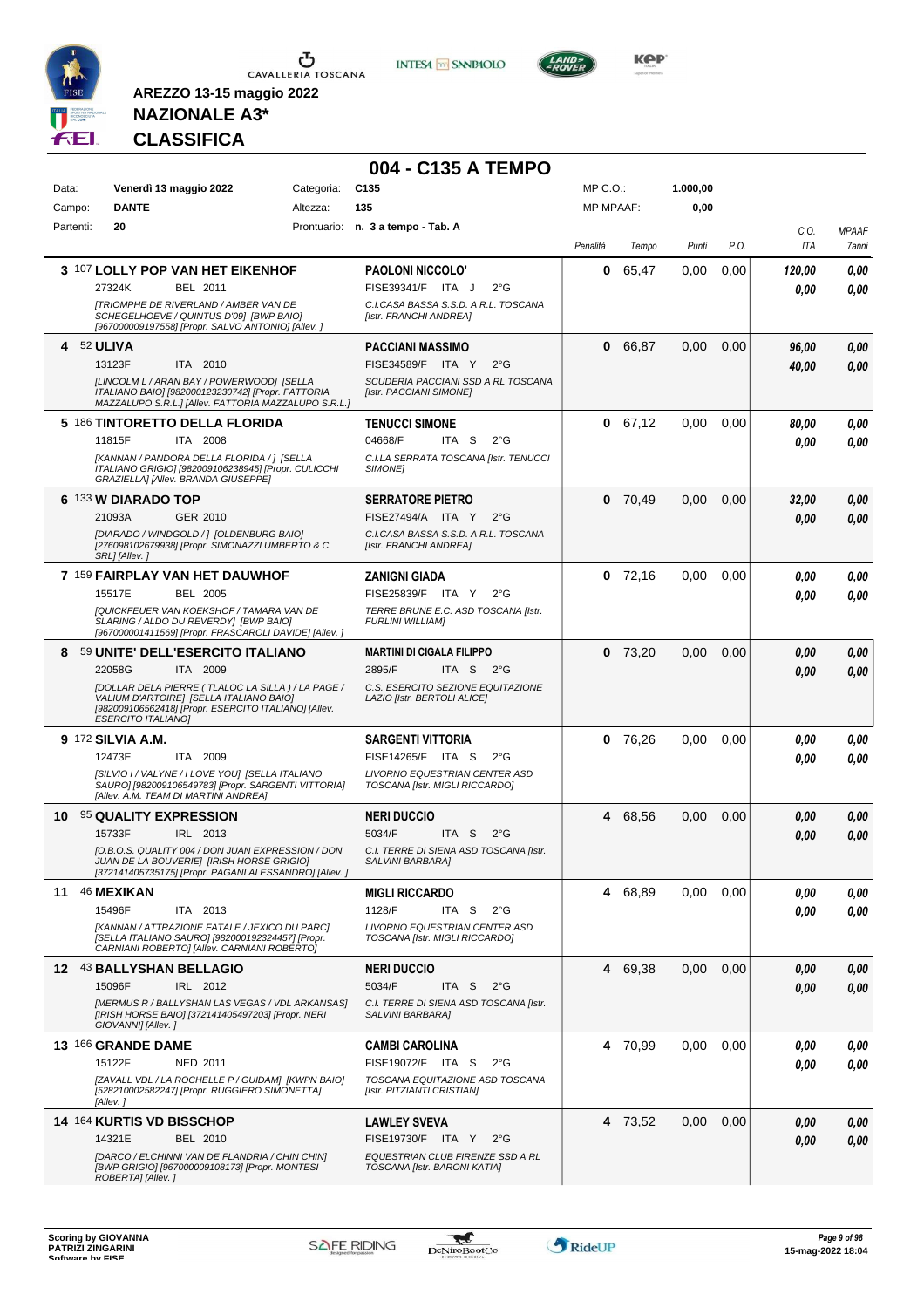

**INTESA M** SANPAOLO



**KOP** 

## **NAZIONALE A3\* CLASSIFICA**

|           |                                                                                                                                                                                   |            | 004 - C135 A TEMPO                                                       |                  |           |          |      |             |                       |
|-----------|-----------------------------------------------------------------------------------------------------------------------------------------------------------------------------------|------------|--------------------------------------------------------------------------|------------------|-----------|----------|------|-------------|-----------------------|
| Data:     | Venerdì 13 maggio 2022                                                                                                                                                            | Categoria: | C <sub>135</sub>                                                         | MP C.O.:         |           | 1.000,00 |      |             |                       |
| Campo:    | <b>DANTE</b>                                                                                                                                                                      | Altezza:   | 135                                                                      | <b>MP MPAAF:</b> |           | 0,00     |      |             |                       |
| Partenti: | 20                                                                                                                                                                                |            | Prontuario: n. 3 a tempo - Tab. A                                        | Penalità         | Tempo     | Punti    | P.O. | C.0.<br>ITA | <b>MPAAF</b><br>7anni |
|           | 3 107 LOLLY POP VAN HET EIKENHOF                                                                                                                                                  |            | <b>PAOLONI NICCOLO'</b>                                                  | 0                | 65,47     | 0,00     | 0,00 | 120,00      | 0,00                  |
|           | 27324K<br>BEL 2011                                                                                                                                                                |            | FISE39341/F ITA J<br>$2^{\circ}$ G                                       |                  |           |          |      | 0.00        | 0,00                  |
|           | <b>[TRIOMPHE DE RIVERLAND / AMBER VAN DE</b><br>SCHEGELHOEVE / QUINTUS D'09] [BWP BAIO]<br>[967000009197558] [Propr. SALVO ANTONIO] [Allev. ]                                     |            | C.I.CASA BASSA S.S.D. A R.L. TOSCANA<br>[Istr. FRANCHI ANDREA]           |                  |           |          |      |             |                       |
| 4         | 52 ULIVA                                                                                                                                                                          |            | <b>PACCIANI MASSIMO</b>                                                  | $\mathbf{0}$     | 66,87     | 0.00     | 0.00 | 96,00       | 0,00                  |
|           | 13123F<br>ITA 2010<br>[LINCOLM L / ARAN BAY / POWERWOOD] [SELLA                                                                                                                   |            | FISE34589/F ITA Y<br>$2^{\circ}$ G<br>SCUDERIA PACCIANI SSD A RL TOSCANA |                  |           |          |      | 40,00       | 0,00                  |
|           | ITALIANO BAIO] [982000123230742] [Propr. FATTORIA<br>MAZZALUPO S.R.L.] [Allev. FATTORIA MAZZALUPO S.R.L.]                                                                         |            | [Istr. PACCIANI SIMONE]                                                  |                  |           |          |      |             |                       |
|           | 5 186 TINTORETTO DELLA FLORIDA                                                                                                                                                    |            | <b>TENUCCI SIMONE</b>                                                    |                  | 0 67,12   | 0,00     | 0.00 | 80,00       | 0,00                  |
|           | 11815F<br>ITA 2008<br>[KANNAN / PANDORA DELLA FLORIDA / ] [SELLA                                                                                                                  |            | 04668/F<br>ITA S<br>$2^{\circ}G$                                         |                  |           |          |      | 0.00        | 0,00                  |
|           | ITALIANO GRIGIO] [982009106238945] [Propr. CULICCHI<br>GRAZIELLA] [Allev. BRANDA GIUSEPPE]                                                                                        |            | C.I.LA SERRATA TOSCANA [Istr. TENUCCI<br><b>SIMONEI</b>                  |                  |           |          |      |             |                       |
|           | 6 133 W DIARADO TOP                                                                                                                                                               |            | <b>SERRATORE PIETRO</b>                                                  |                  | $0$ 70,49 | 0,00     | 0,00 | 32,00       | 0,00                  |
|           | GER 2010<br>21093A                                                                                                                                                                |            | FISE27494/A ITA Y<br>$2^{\circ}$ G                                       |                  |           |          |      | 0.00        | 0.00                  |
|           | [DIARADO / WINDGOLD / ] [OLDENBURG BAIO]<br>[276098102679938] [Propr. SIMONAZZI UMBERTO & C.<br>SRL] [Allev.]                                                                     |            | C.I.CASA BASSA S.S.D. A R.L. TOSCANA<br>[Istr. FRANCHI ANDREA]           |                  |           |          |      |             |                       |
|           | 7 159 FAIRPLAY VAN HET DAUWHOF                                                                                                                                                    |            | <b>ZANIGNI GIADA</b>                                                     |                  | $0$ 72,16 | 0,00     | 0,00 | 0.00        | 0,00                  |
|           | 15517E<br><b>BEL 2005</b>                                                                                                                                                         |            | FISE25839/F ITA Y<br>$2^{\circ}$ G                                       |                  |           |          |      | 0.00        | 0.00                  |
|           | [QUICKFEUER VAN KOEKSHOF / TAMARA VAN DE<br>SLARING / ALDO DU REVERDY] [BWP BAIO]<br>[967000001411569] [Propr. FRASCAROLI DAVIDE] [Allev. ]                                       |            | TERRE BRUNE E.C. ASD TOSCANA [Istr.<br><b>FURLINI WILLIAMI</b>           |                  |           |          |      |             |                       |
| 8         | 59 UNITE' DELL'ESERCITO ITALIANO                                                                                                                                                  |            | <b>MARTINI DI CIGALA FILIPPO</b>                                         |                  | $0$ 73,20 | 0,00     | 0,00 | 0.00        | 0,00                  |
|           | 22058G<br>ITA 2009                                                                                                                                                                |            | 2895/F<br>ITA S<br>$2^{\circ}G$                                          |                  |           |          |      | 0.00        | 0,00                  |
|           | [DOLLAR DELA PIERRE (TLALOC LA SILLA) / LA PAGE /<br>VALIUM D'ARTOIRE] [SELLA ITALIANO BAIO]<br>[982009106562418] [Propr. ESERCITO ITALIANO] [Allev.<br><b>ESERCITO ITALIANO]</b> |            | C.S. ESERCITO SEZIONE EQUITAZIONE<br>LAZIO [Istr. BERTOLI ALICE]         |                  |           |          |      |             |                       |
|           | 9 <sup>172</sup> SILVIA A.M.                                                                                                                                                      |            | <b>SARGENTI VITTORIA</b>                                                 | 0                | 76,26     | 0,00     | 0,00 | 0,00        | 0,00                  |
|           | ITA 2009<br>12473E                                                                                                                                                                |            | FISE14265/F ITA S<br>$2^{\circ}$ G                                       |                  |           |          |      | 0.00        | 0.00                  |
|           | [SILVIO I / VALYNE / I LOVE YOU] [SELLA ITALIANO<br>SAURO] [982009106549783] [Propr. SARGENTI VITTORIA]<br>[Allev. A.M. TEAM DI MARTINI ANDREA]                                   |            | LIVORNO EQUESTRIAN CENTER ASD<br>TOSCANA [Istr. MIGLI RICCARDO]          |                  |           |          |      |             |                       |
|           | 10 95 QUALITY EXPRESSION                                                                                                                                                          |            | <b>NERI DUCCIO</b>                                                       | 4                | 68,56     | 0,00     | 0,00 | 0,00        | 0,00                  |
|           | 15733F<br>IRL 2013                                                                                                                                                                |            | 5034/F<br>ITA <sub>S</sub><br>$2^{\circ}G$                               |                  |           |          |      | 0.00        | 0,00                  |
|           | [O.B.O.S. QUALITY 004 / DON JUAN EXPRESSION / DON<br>JUAN DE LA BOUVERIE] [IRISH HORSE GRIGIO]<br>[372141405735175] [Propr. PAGANI ALESSANDRO] [Allev.]                           |            | C.I. TERRE DI SIENA ASD TOSCANA [Istr.<br>SALVINI BARBARA]               |                  |           |          |      |             |                       |
|           | 11 46 MEXIKAN                                                                                                                                                                     |            | <b>MIGLI RICCARDO</b>                                                    |                  | 4 68,89   | 0,00     | 0,00 | 0.00        | 0,00                  |
|           | 15496F<br>ITA 2013                                                                                                                                                                |            | 1128/F<br>ITA S<br>$2^{\circ}$ G                                         |                  |           |          |      | 0.00        | 0,00                  |
|           | [KANNAN / ATTRAZIONE FATALE / JEXICO DU PARC]<br>[SELLA ITALIANO SAURO] [982000192324457] [Propr.<br>CARNIANI ROBERTO] [Allev. CARNIANI ROBERTO]                                  |            | LIVORNO EQUESTRIAN CENTER ASD<br>TOSCANA [Istr. MIGLI RICCARDO]          |                  |           |          |      |             |                       |
|           | 12 43 BALLYSHAN BELLAGIO                                                                                                                                                          |            | <b>NERI DUCCIO</b>                                                       |                  | 4 69,38   | 0,00     | 0,00 | 0,00        | 0,00                  |
|           | 15096F<br>IRL 2012                                                                                                                                                                |            | 5034/F<br>ITA S<br>$2^{\circ}G$                                          |                  |           |          |      | 0.00        | 0,00                  |
|           | [MERMUS R / BALLYSHAN LAS VEGAS / VDL ARKANSAS]<br>[IRISH HORSE BAIO] [372141405497203] [Propr. NERI<br>GIOVANNI] [Allev.]                                                        |            | C.I. TERRE DI SIENA ASD TOSCANA [Istr.<br>SALVINI BARBARA]               |                  |           |          |      |             |                       |
|           | 13 166 GRANDE DAME                                                                                                                                                                |            | <b>CAMBI CAROLINA</b>                                                    |                  | 4 70,99   | 0,00     | 0,00 | 0,00        | 0,00                  |
|           | 15122F<br><b>NED 2011</b>                                                                                                                                                         |            | FISE19072/F ITA S<br>$2^{\circ}G$                                        |                  |           |          |      | 0.00        | 0,00                  |
|           | [ZAVALL VDL / LA ROCHELLE P / GUIDAM] [KWPN BAIO]<br>[528210002582247] [Propr. RUGGIERO SIMONETTA]<br>[Allev.]                                                                    |            | TOSCANA EQUITAZIONE ASD TOSCANA<br>[Istr. PITZIANTI CRISTIAN]            |                  |           |          |      |             |                       |
|           | 14 164 KURTIS VD BISSCHOP                                                                                                                                                         |            | <b>LAWLEY SVEVA</b>                                                      |                  | 4 73,52   | 0,00     | 0,00 | 0,00        | 0,00                  |
|           | 14321E<br>BEL 2010                                                                                                                                                                |            | FISE19730/F ITA Y<br>$2^{\circ}G$                                        |                  |           |          |      | 0,00        | 0,00                  |
|           | [DARCO / ELCHINNI VAN DE FLANDRIA / CHIN CHIN]<br>[BWP GRIGIO] [967000009108173] [Propr. MONTESI<br>ROBERTA] [Allev.]                                                             |            | EQUESTRIAN CLUB FIRENZE SSD A RL<br>TOSCANA [Istr. BARONI KATIA]         |                  |           |          |      |             |                       |

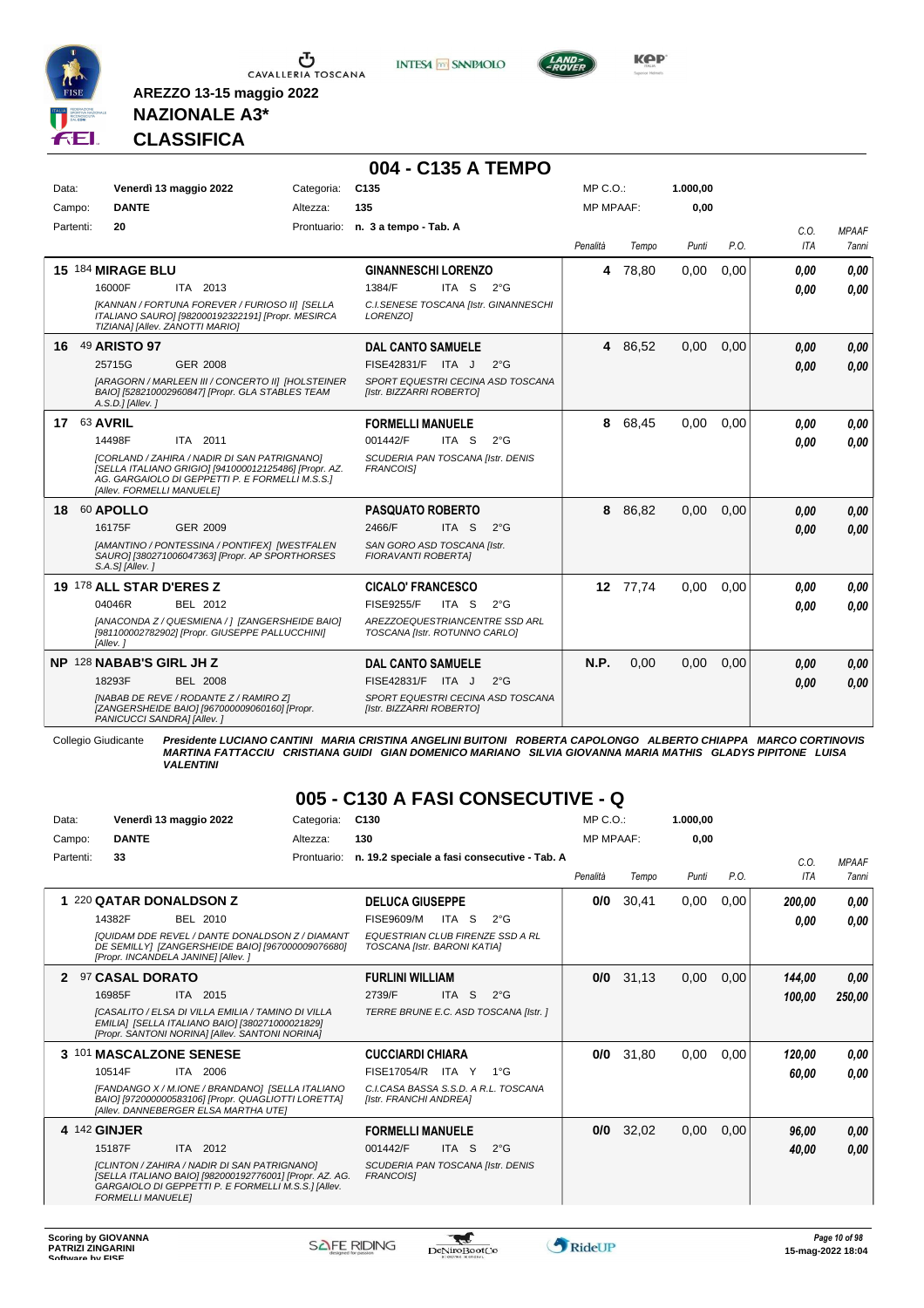

Ⴠ CAVALLERIA TOSCANA **INTESA M** SANPAOLO



**KPP** 

#### **NAZIONALE A3\* CLASSIFICA**

**AREZZO 13-15 maggio 2022**

|       |                    |                            |                                                                                                                                                          |            | 004 - C135 A TEMPO                                              |       |               |                  |          |          |      |                    |                              |
|-------|--------------------|----------------------------|----------------------------------------------------------------------------------------------------------------------------------------------------------|------------|-----------------------------------------------------------------|-------|---------------|------------------|----------|----------|------|--------------------|------------------------------|
| Data: |                    |                            | Venerdì 13 maggio 2022                                                                                                                                   | Categoria: | C <sub>135</sub>                                                |       |               | MP C. O.         |          | 1.000.00 |      |                    |                              |
|       | Campo:             | <b>DANTE</b>               |                                                                                                                                                          | Altezza:   | 135                                                             |       |               | <b>MP MPAAF:</b> |          | 0,00     |      |                    |                              |
|       | Partenti:          | 20                         |                                                                                                                                                          |            | Prontuario: n. 3 a tempo - Tab. A                               |       |               | Penalità         | Tempo    | Punti    | P.O. | C.O.<br><b>ITA</b> | <b>MPAAF</b><br><b>7anni</b> |
|       |                    | 15 184 MIRAGE BLU          |                                                                                                                                                          |            | <b>GINANNESCHI LORENZO</b>                                      |       |               | 4                | 78,80    | 0,00     | 0,00 | 0.00               | 0.00                         |
|       |                    | 16000F                     | ITA 2013                                                                                                                                                 |            | 1384/F                                                          | ITA S | $2^{\circ}G$  |                  |          |          |      | 0.00               | 0.00                         |
|       |                    |                            | [KANNAN / FORTUNA FOREVER / FURIOSO II] [SELLA<br>ITALIANO SAURO] [982000192322191] [Propr. MESIRCA<br>TIZIANA] [Allev. ZANOTTI MARIO]                   |            | C.I.SENESE TOSCANA [Istr. GINANNESCHI<br>LORENZO1               |       |               |                  |          |          |      |                    |                              |
|       |                    | 16 49 ARISTO 97            |                                                                                                                                                          |            | <b>DAL CANTO SAMUELE</b>                                        |       |               |                  | 4 86,52  | 0,00     | 0,00 | 0.00               | 0,00                         |
|       |                    | 25715G                     | GER 2008                                                                                                                                                 |            | FISE42831/F ITA J                                               |       | $2^{\circ}$ G |                  |          |          |      | 0.00               | 0.00                         |
|       |                    | A.S.D.] [Allev.]           | [ARAGORN / MARLEEN III / CONCERTO II] [HOLSTEINER<br>BAIO] [528210002960847] [Propr. GLA STABLES TEAM                                                    |            | SPORT EQUESTRI CECINA ASD TOSCANA<br>[Istr. BIZZARRI ROBERTO]   |       |               |                  |          |          |      |                    |                              |
|       | <b>17 63 AVRIL</b> |                            |                                                                                                                                                          |            | <b>FORMELLI MANUELE</b>                                         |       |               | 8                | 68,45    | 0,00     | 0,00 | 0.00               | 0,00                         |
|       |                    | 14498F                     | ITA 2011                                                                                                                                                 |            | 001442/F                                                        | ITA S | $2^{\circ}$ G |                  |          |          |      | 0.00               | 0.00                         |
|       |                    | [Allev. FORMELLI MANUELE]  | [CORLAND / ZAHIRA / NADIR DI SAN PATRIGNANO]<br>[SELLA ITALIANO GRIGIO] [941000012125486] [Propr. AZ.<br>AG. GARGAIOLO DI GEPPETTI P. E FORMELLI M.S.S.1 |            | SCUDERIA PAN TOSCANA [Istr. DENIS<br><b>FRANCOISI</b>           |       |               |                  |          |          |      |                    |                              |
|       |                    | 18 60 APOLLO               |                                                                                                                                                          |            | <b>PASQUATO ROBERTO</b>                                         |       |               |                  | 8 86,82  | 0,00     | 0.00 | 0,00               | 0,00                         |
|       |                    | 16175F                     | GER 2009                                                                                                                                                 |            | 2466/F                                                          | ITA S | $2^{\circ}G$  |                  |          |          |      | 0.00               | 0.00                         |
|       |                    | S.A.S] [Allev.]            | [AMANTINO / PONTESSINA / PONTIFEX] [WESTFALEN<br>SAURO] [380271006047363] [Propr. AP SPORTHORSES                                                         |            | SAN GORO ASD TOSCANA [Istr.<br><b>FIORAVANTI ROBERTAI</b>       |       |               |                  |          |          |      |                    |                              |
|       |                    | 19 178 ALL STAR D'ERES Z   |                                                                                                                                                          |            | <b>CICALO' FRANCESCO</b>                                        |       |               |                  | 12 77,74 | 0,00     | 0,00 | 0.00               | 0.00                         |
|       |                    | 04046R                     | <b>BEL 2012</b>                                                                                                                                          |            | <b>FISE9255/F</b>                                               | ITA S | $2^{\circ}$ G |                  |          |          |      | 0.00               | 0.00                         |
|       |                    | [Allev.]                   | [ANACONDA Z / QUESMIENA / ] [ZANGERSHEIDE BAIO]<br>[981100002782902] [Propr. GIUSEPPE PALLUCCHINI]                                                       |            | AREZZOEQUESTRIANCENTRE SSD ARL<br>TOSCANA [Istr. ROTUNNO CARLO] |       |               |                  |          |          |      |                    |                              |
|       |                    | NP 128 NABAB'S GIRL JH Z   |                                                                                                                                                          |            | <b>DAL CANTO SAMUELE</b>                                        |       |               | N.P.             | 0,00     | 0,00     | 0.00 | 0,00               | 0,00                         |
|       |                    | 18293F                     | <b>BEL 2008</b>                                                                                                                                          |            | FISE42831/F ITA J                                               |       | $2^{\circ}$ G |                  |          |          |      | 0.00               | 0.00                         |
|       |                    | PANICUCCI SANDRA] [Allev.] | [NABAB DE REVE / RODANTE Z / RAMIRO Z]<br>[ZANGERSHEIDE BAIO] [967000009060160] [Propr.                                                                  |            | SPORT EQUESTRI CECINA ASD TOSCANA<br>[Istr. BIZZARRI ROBERTO]   |       |               |                  |          |          |      |                    |                              |

Collegio Giudicante Presidente LUCIANO CANTINI MARIA CRISTINA ANGELINI BUITONI ROBERTA CAPOLONGO ALBERTO CHIAPPA MARCO CORTINOVIS<br>MARTINA FATTACCIU CRISTIANA GUIDI GIAN DOMENICO MARIANO SILVIA GIOVANNA MARIA MATHIS GLADYS

### **005 - C130 A FASI CONSECUTIVE - Q**

| Data:        | Venerdì 13 maggio 2022                                                                                                                                                                     | Categoria:  | C <sub>130</sub>                                                 | $MP C. O.$ :     |       | 1.000.00 |      |             |                              |
|--------------|--------------------------------------------------------------------------------------------------------------------------------------------------------------------------------------------|-------------|------------------------------------------------------------------|------------------|-------|----------|------|-------------|------------------------------|
| Campo:       | <b>DANTE</b>                                                                                                                                                                               | Altezza:    | 130                                                              | <b>MP MPAAF:</b> |       | 0.00     |      |             |                              |
| Partenti:    | 33                                                                                                                                                                                         | Prontuario: | n. 19.2 speciale a fasi consecutive - Tab. A                     | Penalità         | Tempo | Punti    | P.O. | C.0.<br>ITA | <b>MPAAF</b><br><b>7anni</b> |
|              | 1 220 QATAR DONALDSON Z                                                                                                                                                                    |             | <b>DELUCA GIUSEPPE</b>                                           | 0/0              | 30,41 | 0.00     | 0,00 | 200,00      | 0,00                         |
|              | 14382F<br><b>BEL 2010</b>                                                                                                                                                                  |             | <b>FISE9609/M</b><br><b>ITA</b><br>S<br>$2^{\circ}G$             |                  |       |          |      | 0.00        | 0,00                         |
|              | <b>IQUIDAM DDE REVEL / DANTE DONALDSON Z / DIAMANT</b><br>DE SEMILLY] [ZANGERSHEIDE BAIO] [967000009076680]<br>[Propr. INCANDELA JANINE] [Allev.]                                          |             | EQUESTRIAN CLUB FIRENZE SSD A RL<br>TOSCANA [Istr. BARONI KATIA] |                  |       |          |      |             |                              |
| $\mathbf{2}$ | 97 CASAL DORATO                                                                                                                                                                            |             | <b>FURLINI WILLIAM</b>                                           | 0/0              | 31,13 | 0.00     | 0,00 | 144,00      | 0,00                         |
|              | 16985F<br>ITA 2015                                                                                                                                                                         |             | <sub>S</sub><br>2739/F<br><b>ITA</b><br>$2^{\circ}$ G            |                  |       |          |      | 100,00      | 250,00                       |
|              | [CASALITO / ELSA DI VILLA EMILIA / TAMINO DI VILLA<br>EMILIA] [SELLA ITALIANO BAIO] [380271000021829]<br>[Propr. SANTONI NORINA] [Allev. SANTONI NORINA]                                   |             | TERRE BRUNE E.C. ASD TOSCANA [Istr. ]                            |                  |       |          |      |             |                              |
|              | 3 101 MASCALZONE SENESE                                                                                                                                                                    |             | <b>CUCCIARDI CHIARA</b>                                          | 0/0              | 31,80 | 0,00     | 0,00 | 120,00      | 0.00                         |
|              | 10514F<br>ITA 2006                                                                                                                                                                         |             | FISE17054/R ITA Y<br>$1^{\circ}G$                                |                  |       |          |      | 60.00       | 0,00                         |
|              | [FANDANGO X / M.IONE / BRANDANO] [SELLA ITALIANO<br>BAIO] [972000000583106] [Propr. QUAGLIOTTI LORETTA]<br>[Allev. DANNEBERGER ELSA MARTHA UTE]                                            |             | C.I.CASA BASSA S.S.D. A R.L. TOSCANA<br>[Istr. FRANCHI ANDREA]   |                  |       |          |      |             |                              |
| 4 142 GINJER |                                                                                                                                                                                            |             | <b>FORMELLI MANUELE</b>                                          | 0/0              | 32,02 | 0,00     | 0,00 | 96,00       | 0,00                         |
|              | 15187F<br>ITA 2012                                                                                                                                                                         |             | ITA <sub>S</sub><br>001442/F<br>$2^{\circ}G$                     |                  |       |          |      | 40,00       | 0.00                         |
|              | [CLINTON / ZAHIRA / NADIR DI SAN PATRIGNANO]<br>[SELLA ITALIANO BAIO] [982000192776001] [Propr. AZ. AG.<br>GARGAIOLO DI GEPPETTI P. E FORMELLI M.S.S.] [Allev.<br><b>FORMELLI MANUELEI</b> |             | SCUDERIA PAN TOSCANA [Istr. DENIS<br><b>FRANCOISI</b>            |                  |       |          |      |             |                              |

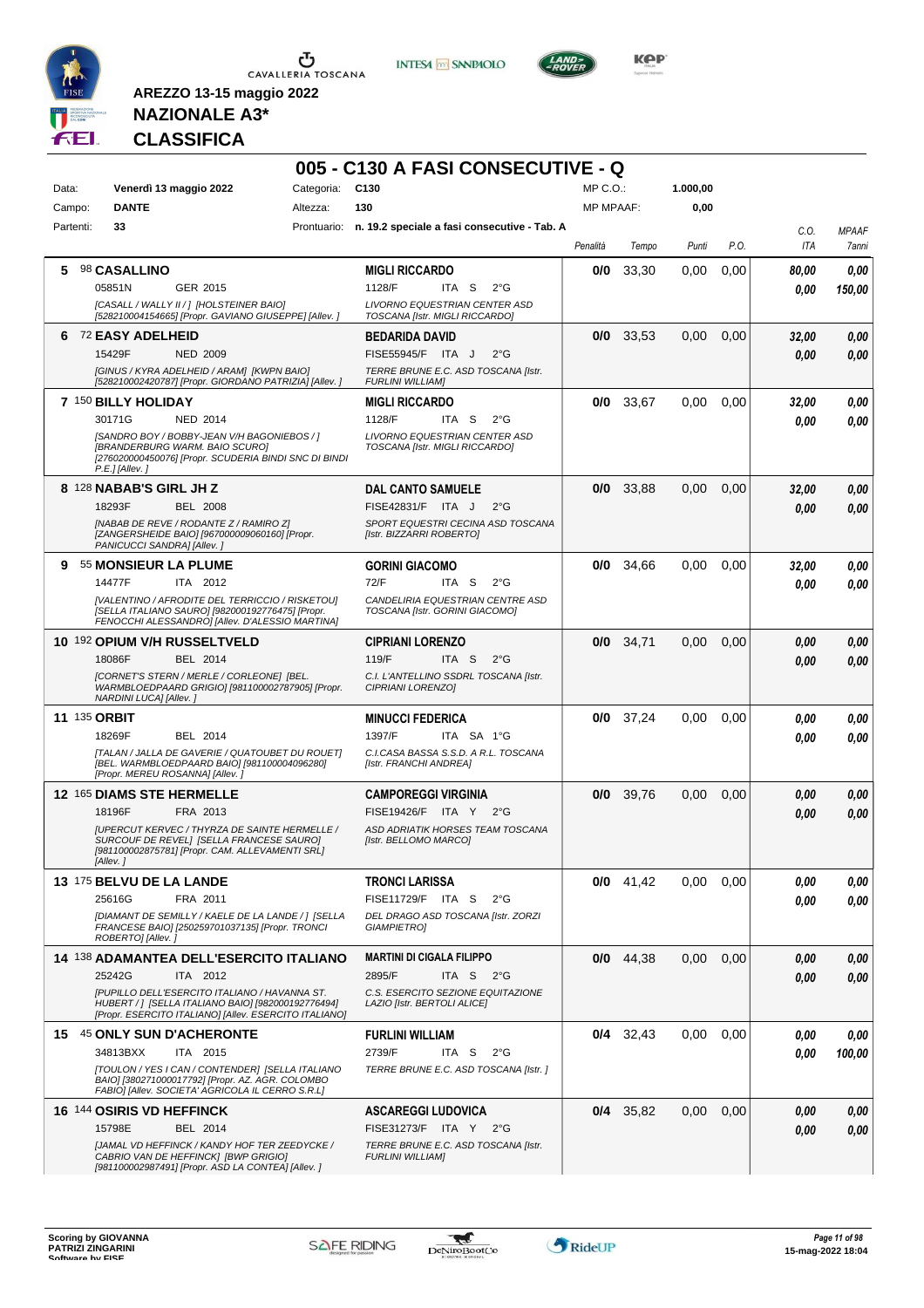





**Kep** 

## **NAZIONALE A3\* CLASSIFICA**

|                     |                                                                                                                                                                 | Categoria: | 005 - C130 A FASI CONSECUTIVE - Q<br>C <sub>130</sub>              | $MP C. O.$ :     |             | 1.000,00 |      |             |                       |
|---------------------|-----------------------------------------------------------------------------------------------------------------------------------------------------------------|------------|--------------------------------------------------------------------|------------------|-------------|----------|------|-------------|-----------------------|
| Data:<br>Campo:     | Venerdì 13 maggio 2022<br><b>DANTE</b>                                                                                                                          | Altezza:   | 130                                                                | <b>MP MPAAF:</b> |             | 0,00     |      |             |                       |
| Partenti:           | 33                                                                                                                                                              |            | Prontuario: n. 19.2 speciale a fasi consecutive - Tab. A           |                  |             |          |      |             |                       |
|                     |                                                                                                                                                                 |            |                                                                    | Penalità         | Tempo       | Punti    | P.O. | C.O.<br>ITA | <b>MPAAF</b><br>7anni |
| 5.                  | <b>98 CASALLINO</b>                                                                                                                                             |            | <b>MIGLI RICCARDO</b>                                              | 0/0              | 33,30       | 0,00     | 0,00 | 80,00       | 0,00                  |
|                     | GER 2015<br>05851N                                                                                                                                              |            | 1128/F<br>ITA S<br>$2^{\circ}G$                                    |                  |             |          |      | 0,00        | 150,00                |
|                     | [CASALL / WALLY II / ] [HOLSTEINER BAIO]<br>[528210004154665] [Propr. GAVIANO GIUSEPPE] [Allev. ]                                                               |            | LIVORNO EQUESTRIAN CENTER ASD<br>TOSCANA [Istr. MIGLI RICCARDO]    |                  |             |          |      |             |                       |
| 6                   | 72 EASY ADELHEID                                                                                                                                                |            | <b>BEDARIDA DAVID</b>                                              | 0/0              | 33,53       | 0,00     | 0,00 | 32,00       | 0,00                  |
|                     | <b>NED 2009</b><br>15429F                                                                                                                                       |            | FISE55945/F ITA J<br>$2^{\circ}$ G                                 |                  |             |          |      | 0.00        | 0.00                  |
|                     | [GINUS / KYRA ADELHEID / ARAM] [KWPN BAIO]<br>[528210002420787] [Propr. GIORDANO PATRIZIA] [Allev. ]                                                            |            | TERRE BRUNE E.C. ASD TOSCANA [Istr.<br><b>FURLINI WILLIAM]</b>     |                  |             |          |      |             |                       |
|                     | 7 150 BILLY HOLIDAY                                                                                                                                             |            | <b>MIGLI RICCARDO</b>                                              | 0/0              | 33,67       | 0,00     | 0,00 | 32,00       | 0.00                  |
|                     | 30171G<br><b>NED 2014</b>                                                                                                                                       |            | 1128/F<br>ITA S<br>$2^{\circ}$ G                                   |                  |             |          |      | 0.00        | 0.00                  |
|                     | [SANDRO BOY / BOBBY-JEAN V/H BAGONIEBOS / ]<br>[BRANDERBURG WARM. BAIO SCURO]<br>[276020000450076] [Propr. SCUDERIA BINDI SNC DI BINDI<br>P.E.] [Allev.]        |            | LIVORNO EQUESTRIAN CENTER ASD<br>TOSCANA [Istr. MIGLI RICCARDO]    |                  |             |          |      |             |                       |
|                     | 8 128 NABAB'S GIRL JH Z                                                                                                                                         |            | <b>DAL CANTO SAMUELE</b>                                           |                  | $0/0$ 33,88 | 0,00     | 0,00 | 32,00       | 0,00                  |
|                     | 18293F<br><b>BEL 2008</b>                                                                                                                                       |            | FISE42831/F ITA J<br>$2^{\circ}$ G                                 |                  |             |          |      | 0,00        | 0,00                  |
|                     | [NABAB DE REVE / RODANTE Z / RAMIRO Z]<br>[ZANGERSHEIDE BAIO] [967000009060160] [Propr.<br>PANICUCCI SANDRA] [Allev.]                                           |            | SPORT EQUESTRI CECINA ASD TOSCANA<br>[Istr. BIZZARRI ROBERTO]      |                  |             |          |      |             |                       |
| 9                   | 55 MONSIEUR LA PLUME                                                                                                                                            |            | <b>GORINI GIACOMO</b>                                              | 0/0              | 34,66       | 0,00     | 0,00 | 32,00       | 0.00                  |
|                     | 14477F<br>ITA 2012                                                                                                                                              |            | 72/F<br>ITA S<br>$2^{\circ}G$                                      |                  |             |          |      | 0.00        | 0.00                  |
|                     | [VALENTINO / AFRODITE DEL TERRICCIO / RISKETOU]<br>[SELLA ITALIANO SAURO] [982000192776475] [Propr.<br>FENOCCHI ALESSANDRO] [Allev. D'ALESSIO MARTINA]          |            | CANDELIRIA EQUESTRIAN CENTRE ASD<br>TOSCANA [Istr. GORINI GIACOMO] |                  |             |          |      |             |                       |
|                     | 10 192 OPIUM V/H RUSSELTVELD                                                                                                                                    |            | <b>CIPRIANI LORENZO</b>                                            |                  | $0/0$ 34,71 | 0,00     | 0,00 | 0,00        | 0,00                  |
|                     | 18086F<br>BEL 2014                                                                                                                                              |            | 119/F<br>ITA S<br>$2^{\circ}$ G                                    |                  |             |          |      | 0,00        | 0,00                  |
|                     | [CORNET'S STERN / MERLE / CORLEONE] [BEL.<br>WARMBLOEDPAARD GRIGIO] [981100002787905] [Propr.<br>NARDINI LUCA] [Allev.]                                         |            | C.I. L'ANTELLINO SSDRL TOSCANA [Istr.<br>CIPRIANI LORENZO]         |                  |             |          |      |             |                       |
| <b>11 135 ORBIT</b> |                                                                                                                                                                 |            | <b>MINUCCI FEDERICA</b>                                            | 0/0              | 37,24       | 0,00     | 0,00 | 0,00        | 0,00                  |
|                     | 18269F<br>BEL 2014                                                                                                                                              |            | 1397/F<br>ITA SA 1°G                                               |                  |             |          |      | 0.00        | 0.00                  |
|                     | [TALAN / JALLA DE GAVERIE / QUATOUBET DU ROUET]<br>[BEL. WARMBLOEDPAARD BAIO] [981100004096280]<br>[Propr. MEREU ROSANNA] [Allev. ]                             |            | C.I.CASA BASSA S.S.D. A R.L. TOSCANA<br>[Istr. FRANCHI ANDREA]     |                  |             |          |      |             |                       |
|                     | <b>12 165 DIAMS STE HERMELLE</b>                                                                                                                                |            | <b>CAMPOREGGI VIRGINIA</b>                                         | 0/0              | 39,76       | 0,00     | 0,00 | 0,00        | 0,00                  |
|                     | 18196F<br>FRA 2013                                                                                                                                              |            | FISE19426/F ITA Y 2°G                                              |                  |             |          |      | 0,00        | 0.00                  |
|                     | <b>JUPERCUT KERVEC / THYRZA DE SAINTE HERMELLE /</b><br>SURCOUF DE REVELJ [SELLA FRANCESE SAURO]<br>[981100002875781] [Propr. CAM. ALLEVAMENTI SRL]<br>[Allev.] |            | ASD ADRIATIK HORSES TEAM TOSCANA<br>[Istr. BELLOMO MARCO]          |                  |             |          |      |             |                       |
|                     | 13 175 BELVU DE LA LANDE                                                                                                                                        |            | <b>TRONCI LARISSA</b>                                              |                  | $0/0$ 41,42 | 0,00     | 0.00 | 0,00        | 0,00                  |
|                     | 25616G<br>FRA 2011                                                                                                                                              |            | FISE11729/F ITA S<br>$2^{\circ}G$                                  |                  |             |          |      | 0.00        | 0.00                  |
|                     | [DIAMANT DE SEMILLY / KAELE DE LA LANDE / ] [SELLA<br>FRANCESE BAIO] [250259701037135] [Propr. TRONCI<br>ROBERTO] [Allev.]                                      |            | DEL DRAGO ASD TOSCANA [Istr. ZORZI<br><b>GIAMPIETROI</b>           |                  |             |          |      |             |                       |
|                     | 14 138 ADAMANTEA DELL'ESERCITO ITALIANO                                                                                                                         |            | <b>MARTINI DI CIGALA FILIPPO</b>                                   | 0/0              | 44,38       | 0,00     | 0,00 | 0,00        | 0,00                  |
|                     | 25242G<br>ITA 2012                                                                                                                                              |            | 2895/F<br>ITA S $2^{\circ}G$                                       |                  |             |          |      | 0.00        | 0.00                  |
|                     | [PUPILLO DELL'ESERCITO ITALIANO / HAVANNA ST.<br>HUBERT /   [SELLA ITALIANO BAIO] [982000192776494]<br>[Propr. ESERCITO ITALIANO] [Allev. ESERCITO ITALIANO]    |            | C.S. ESERCITO SEZIONE EQUITAZIONE<br>LAZIO [Istr. BERTOLI ALICE]   |                  |             |          |      |             |                       |
|                     | 15 45 ONLY SUN D'ACHERONTE                                                                                                                                      |            | <b>FURLINI WILLIAM</b>                                             |                  | $0/4$ 32,43 | 0,00     | 0,00 | 0,00        | 0,00                  |
|                     | 34813BXX<br>ITA 2015                                                                                                                                            |            | 2739/F<br>ITA S<br>$2^{\circ}G$                                    |                  |             |          |      | 0,00        | 100,00                |
|                     | [TOULON / YES I CAN / CONTENDER] [SELLA ITALIANO<br>BAIO] [380271000017792] [Propr. AZ. AGR. COLOMBO<br>FABIO] [Allev. SOCIETA' AGRICOLA IL CERRO S.R.L]        |            | TERRE BRUNE E.C. ASD TOSCANA [Istr.]                               |                  |             |          |      |             |                       |
|                     | 16 144 OSIRIS VD HEFFINCK                                                                                                                                       |            | <b>ASCAREGGI LUDOVICA</b>                                          |                  | $0/4$ 35,82 | 0,00     | 0,00 | 0,00        | 0,00                  |
|                     | 15798E<br>BEL 2014                                                                                                                                              |            | FISE31273/F ITA Y 2°G                                              |                  |             |          |      | 0,00        | 0.00                  |
|                     | [JAMAL VD HEFFINCK / KANDY HOF TER ZEEDYCKE /<br>CABRIO VAN DE HEFFINCK] [BWP GRIGIO]<br>[981100002987491] [Propr. ASD LA CONTEA] [Allev.]                      |            | TERRE BRUNE E.C. ASD TOSCANA [Istr.<br><b>FURLINI WILLIAM]</b>     |                  |             |          |      |             |                       |

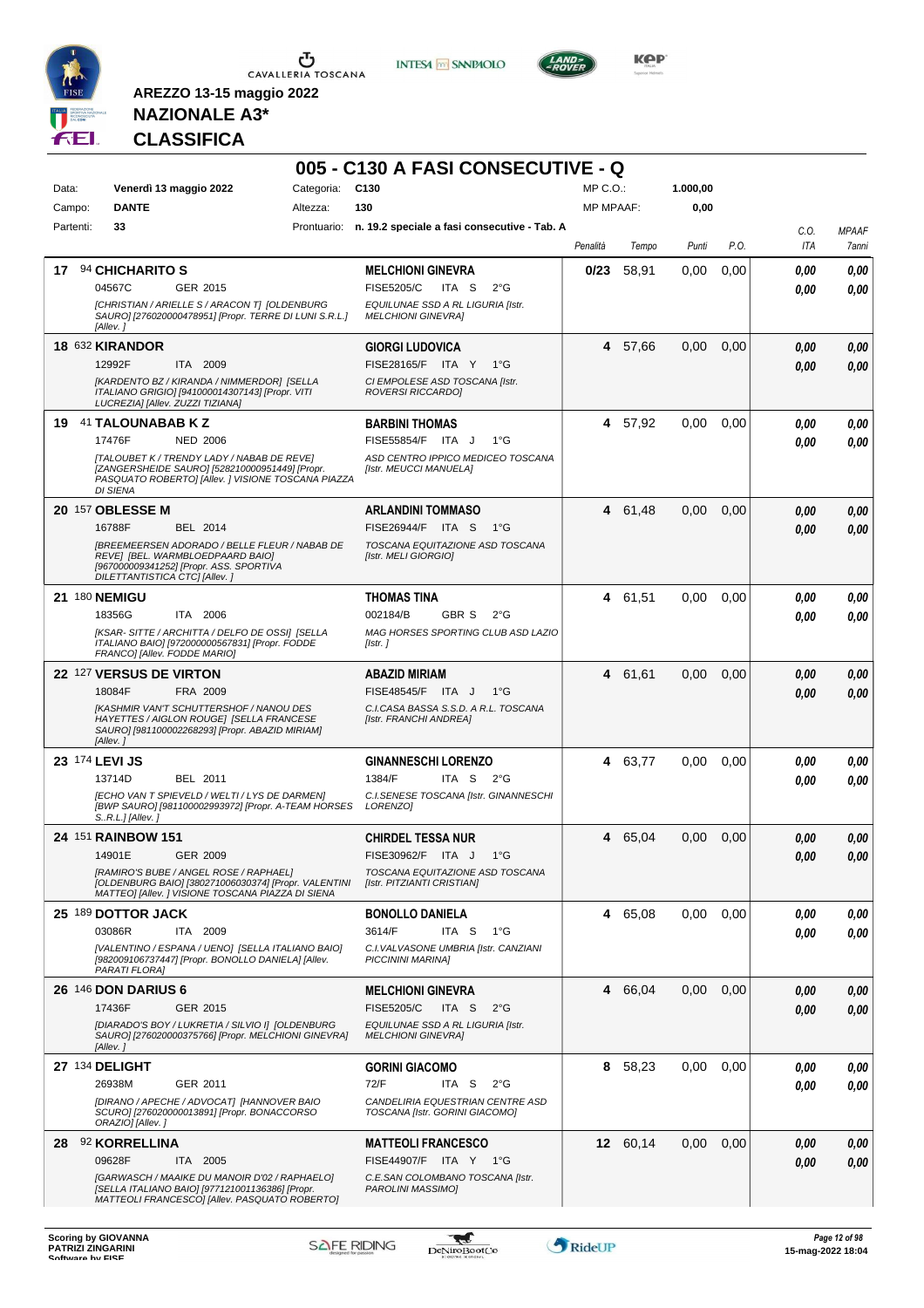

**INTESA M** SANPAOLO

**005 - C130 A FASI CONSECUTIVE - Q**



**Kep** 

### **NAZIONALE A3\* CLASSIFICA**

| Data:     | Venerdì 13 maggio 2022                                                                                                                                                | Categoria: | C <sub>130</sub>                                                                       | MP C.O.:         |          | 1.000,00 |      |              |                       |
|-----------|-----------------------------------------------------------------------------------------------------------------------------------------------------------------------|------------|----------------------------------------------------------------------------------------|------------------|----------|----------|------|--------------|-----------------------|
| Campo:    | <b>DANTE</b>                                                                                                                                                          | Altezza:   | 130                                                                                    | <b>MP MPAAF:</b> |          | 0,00     |      |              |                       |
| Partenti: | 33                                                                                                                                                                    |            | Prontuario: n. 19.2 speciale a fasi consecutive - Tab. A                               | Penalità         | Tempo    | Punti    | P.O. | C.O.<br>ITA  | <b>MPAAF</b><br>7anni |
|           | 17 94 CHICHARITO S<br>04567C<br>GER 2015                                                                                                                              |            | <b>MELCHIONI GINEVRA</b><br>ITA S<br><b>FISE5205/C</b><br>$2^{\circ}$ G                | 0/23             | 58,91    | 0,00     | 0,00 | 0,00<br>0.00 | 0,00<br>0.00          |
|           | [CHRISTIAN / ARIELLE S / ARACON T] [OLDENBURG<br>SAURO] [276020000478951] [Propr. TERRE DI LUNI S.R.L.]<br>[Allev.]                                                   |            | EQUILUNAE SSD A RL LIGURIA [Istr.<br><b>MELCHIONI GINEVRAI</b>                         |                  |          |          |      |              |                       |
|           | 18 632 KIRANDOR                                                                                                                                                       |            | <b>GIORGI LUDOVICA</b>                                                                 | 4                | 57,66    | 0,00     | 0,00 | 0.00         | 0,00                  |
|           | 12992F<br>ITA 2009<br>[KARDENTO BZ / KIRANDA / NIMMERDOR] [SELLA<br>ITALIANO GRIGIO] [941000014307143] [Propr. VITI<br>LUCREZIA] [Allev. ZUZZI TIZIANA]               |            | FISE28165/F ITA Y<br>1°G<br>CI EMPOLESE ASD TOSCANA [Istr.<br><b>ROVERSI RICCARDOI</b> |                  |          |          |      | 0.00         | 0,00                  |
| 19        | 41 TALOUNABAB K Z                                                                                                                                                     |            | <b>BARBINI THOMAS</b>                                                                  | 4                | 57,92    | 0,00     | 0,00 | 0.00         | 0,00                  |
|           | 17476F<br><b>NED 2006</b>                                                                                                                                             |            | FISE55854/F ITA J<br>$1^{\circ}G$                                                      |                  |          |          |      | 0.00         | 0.00                  |
|           | [TALOUBET K / TRENDY LADY / NABAB DE REVE]<br>[ZANGERSHEIDE SAURO] [528210000951449] [Propr.<br>PASQUATO ROBERTO] [Allev. ] VISIONE TOSCANA PIAZZA<br><b>DI SIENA</b> |            | ASD CENTRO IPPICO MEDICEO TOSCANA<br>[Istr. MEUCCI MANUELA]                            |                  |          |          |      |              |                       |
|           | 20 157 OBLESSE M                                                                                                                                                      |            | <b>ARLANDINI TOMMASO</b>                                                               | 4                | 61,48    | 0,00     | 0,00 | 0.00         | 0,00                  |
|           | 16788F<br>BEL 2014<br><b>IBREEMEERSEN ADORADO / BELLE FLEUR / NABAB DE</b>                                                                                            |            | FISE26944/F ITA S<br>1°G<br>TOSCANA EQUITAZIONE ASD TOSCANA                            |                  |          |          |      | 0.00         | 0.00                  |
|           | REVE] [BEL. WARMBLOEDPAARD BAIO]<br>[967000009341252] [Propr. ASS. SPORTIVA<br><b>DILETTANTISTICA CTCI [Allev.]</b>                                                   |            | [Istr. MELI GIORGIO]                                                                   |                  |          |          |      |              |                       |
|           | 21 180 NEMIGU                                                                                                                                                         |            | <b>THOMAS TINA</b>                                                                     |                  | 4 61,51  | 0,00     | 0,00 | 0.00         | 0,00                  |
|           | 18356G<br>ITA 2006<br>[KSAR-SITTE / ARCHITTA / DELFO DE OSSI] [SELLA                                                                                                  |            | 002184/B<br><b>GBR S</b><br>$2^{\circ}G$<br>MAG HORSES SPORTING CLUB ASD LAZIO         |                  |          |          |      | 0.00         | 0.00                  |
|           | ITALIANO BAIO] [972000000567831] [Propr. FODDE<br>FRANCO] [Allev. FODDE MARIO]                                                                                        |            | [Istr.]                                                                                |                  |          |          |      |              |                       |
|           | 22 127 VERSUS DE VIRTON                                                                                                                                               |            | <b>ABAZID MIRIAM</b>                                                                   | 4                | 61,61    | 0.00     | 0.00 | 0,00         | 0,00                  |
|           | 18084F<br>FRA 2009<br><b>IKASHMIR VAN'T SCHUTTERSHOF / NANOU DES</b>                                                                                                  |            | FISE48545/F ITA J<br>$1^{\circ}G$<br>C.I.CASA BASSA S.S.D. A R.L. TOSCANA              |                  |          |          |      | 0.00         | 0,00                  |
|           | HAYETTES / AIGLON ROUGE] [SELLA FRANCESE<br>SAURO] [981100002268293] [Propr. ABAZID MIRIAM]<br>[Allev.]                                                               |            | [Istr. FRANCHI ANDREA]                                                                 |                  |          |          |      |              |                       |
|           | 23 174 LEVI JS                                                                                                                                                        |            | <b>GINANNESCHI LORENZO</b>                                                             | 4                | 63,77    | 0,00     | 0,00 | 0.00         | 0,00                  |
|           | 13714D<br>BEL 2011<br><b>IECHO VAN T SPIEVELD / WELTI / LYS DE DARMEN]</b>                                                                                            |            | ITA S<br>1384/F<br>$2^{\circ}G$<br>C.I.SENESE TOSCANA [Istr. GINANNESCHI               |                  |          |          |      | 0.00         | 0.00                  |
|           | [BWP SAURO] [981100002993972] [Propr. A-TEAM HORSES<br>SR.L.] [Allev.]                                                                                                |            | LORENZO]                                                                               |                  |          |          |      |              |                       |
|           | 24 151 RAINBOW 151                                                                                                                                                    |            | <b>CHIRDEL TESSA NUR</b>                                                               | 4                | 65,04    | 0,00     | 0,00 | 0,00         | 0,00                  |
|           | 14901E<br>GER 2009<br>[RAMIRO'S BUBE / ANGEL ROSE / RAPHAEL]                                                                                                          |            | FISE30962/F ITA J<br>$1^{\circ}G$<br>TOSCANA EQUITAZIONE ASD TOSCANA                   |                  |          |          |      | 0.00         | 0,00                  |
|           | [OLDENBURG BAIO] [380271006030374] [Propr. VALENTINI<br>MATTEO] [Allev. ] VISIONE TOSCANA PIAZZA DI SIENA                                                             |            | [Istr. PITZIANTI CRISTIAN]                                                             |                  |          |          |      |              |                       |
|           | 25 189 DOTTOR JACK                                                                                                                                                    |            | <b>BONOLLO DANIELA</b>                                                                 |                  | 4 65,08  | 0.00     | 0,00 | 0,00         | 0,00                  |
|           | 03086R<br>ITA 2009                                                                                                                                                    |            | 3614/F<br>ITA S<br>1°G                                                                 |                  |          |          |      | 0.00         | 0,00                  |
|           | [VALENTINO / ESPANA / UENO] [SELLA ITALIANO BAIO]<br>[982009106737447] [Propr. BONOLLO DANIELA] [Allev.<br>PARATI FLORA]                                              |            | C.I. VALVASONE UMBRIA [Istr. CANZIANI<br>PICCININI MARINA]                             |                  |          |          |      |              |                       |
|           | <b>26 146 DON DARIUS 6</b>                                                                                                                                            |            | <b>MELCHIONI GINEVRA</b>                                                               | 4                | 66,04    | 0,00     | 0,00 | 0,00         | 0,00                  |
|           | 17436F<br>GER 2015<br>[DIARADO'S BOY / LUKRETIA / SILVIO I] [OLDENBURG                                                                                                |            | <b>FISE5205/C</b><br>ITA S<br>$2^{\circ}$ G<br>EQUILUNAE SSD A RL LIGURIA [Istr.       |                  |          |          |      | 0,00         | 0,00                  |
|           | SAURO] [276020000375766] [Propr. MELCHIONI GINEVRA]<br>[Allev.]                                                                                                       |            | <b>MELCHIONI GINEVRA]</b>                                                              |                  |          |          |      |              |                       |
|           | 27 134 DELIGHT                                                                                                                                                        |            | <b>GORINI GIACOMO</b>                                                                  | 8                | 58,23    | 0,00     | 0,00 | 0.00         | 0,00                  |
|           | 26938M<br>GER 2011<br>[DIRANO / APECHE / ADVOCAT] [HANNOVER BAIO                                                                                                      |            | 72/F<br>ITA S<br>$2^{\circ}G$<br>CANDELIRIA EQUESTRIAN CENTRE ASD                      |                  |          |          |      | 0.00         | 0,00                  |
|           | SCURO] [276020000013891] [Propr. BONACCORSO<br>ORAZIO] [Allev.]                                                                                                       |            | TOSCANA [Istr. GORINI GIACOMO]                                                         |                  |          |          |      |              |                       |
| 28.       | 92 KORRELLINA                                                                                                                                                         |            | <b>MATTEOLI FRANCESCO</b>                                                              |                  | 12 60,14 | 0,00     | 0,00 | 0,00         | 0,00                  |
|           | 09628F<br>ITA 2005<br>[GARWASCH / MAAIKE DU MANOIR D'02 / RAPHAELO]                                                                                                   |            | FISE44907/F ITA Y 1°G<br>C.E.SAN COLOMBANO TOSCANA [Istr.                              |                  |          |          |      | 0.00         | 0,00                  |
|           | [SELLA ITALIANO BAIO] [977121001136386] [Propr.<br>MATTEOLI FRANCESCO] [Allev. PASQUATO ROBERTO]                                                                      |            | PAROLINI MASSIMO]                                                                      |                  |          |          |      |              |                       |

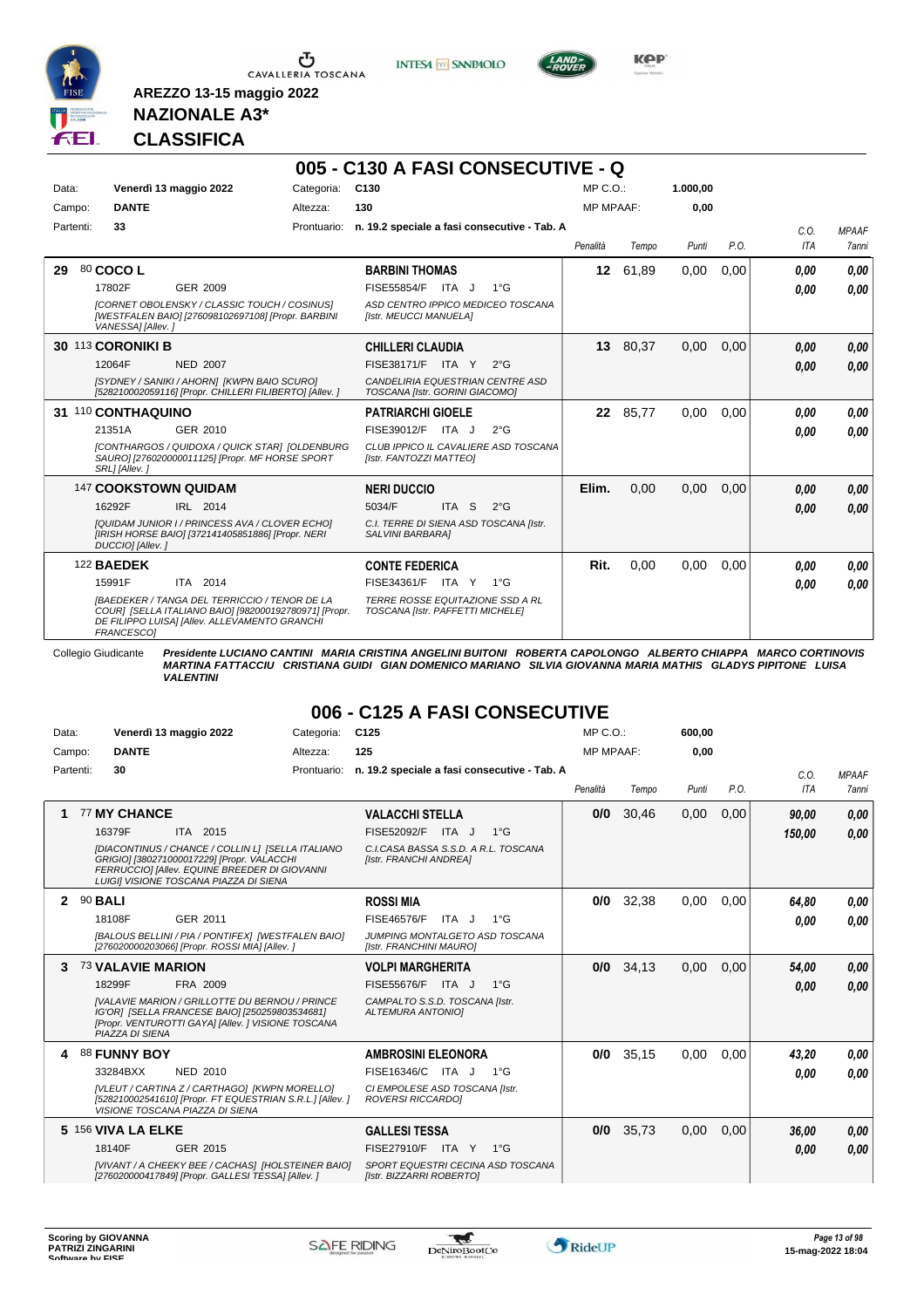

Ⴠ CAVALLERIA TOSCANA





**KPP** 

**600,00**

#### **NAZIONALE A3\* CLASSIFICA**

**AREZZO 13-15 maggio 2022**

|           |                                                                                                                                                                              |            | 005 - C130 A FASI CONSECUTIVE - Q                                    |                  |          |          |      |                    |                       |
|-----------|------------------------------------------------------------------------------------------------------------------------------------------------------------------------------|------------|----------------------------------------------------------------------|------------------|----------|----------|------|--------------------|-----------------------|
| Data:     | Venerdì 13 maggio 2022                                                                                                                                                       | Categoria: | C130                                                                 | MP C. O.         |          | 1.000,00 |      |                    |                       |
| Campo:    | <b>DANTE</b>                                                                                                                                                                 | Altezza:   | 130                                                                  | <b>MP MPAAF:</b> |          | 0.00     |      |                    |                       |
| Partenti: | 33                                                                                                                                                                           |            | Prontuario: n. 19.2 speciale a fasi consecutive - Tab. A             | Penalità         | Tempo    | Punti    | P.O. | C.0.<br><b>ITA</b> | <b>MPAAF</b><br>7anni |
| 29        | 80 COCO L                                                                                                                                                                    |            | <b>BARBINI THOMAS</b>                                                | 12 <sup>12</sup> | 61,89    | 0.00     | 0.00 | 0.00               | 0.00                  |
|           | GER 2009<br>17802F                                                                                                                                                           |            | FISE55854/F<br>ITA J<br>$1^{\circ}$ G                                |                  |          |          |      | 0.00               | 0.00                  |
|           | [CORNET OBOLENSKY / CLASSIC TOUCH / COSINUS]<br>[WESTFALEN BAIO] [276098102697108] [Propr. BARBINI<br>VANESSA] [Allev.]                                                      |            | ASD CENTRO IPPICO MEDICEO TOSCANA<br>[Istr. MEUCCI MANUELA]          |                  |          |          |      |                    |                       |
|           | 30 113 CORONIKI B                                                                                                                                                            |            | <b>CHILLERI CLAUDIA</b>                                              |                  | 13 80,37 | 0,00     | 0.00 | 0.00               | 0.00                  |
|           | 12064F<br><b>NED 2007</b>                                                                                                                                                    |            | $FISE38171/F$ ITA Y<br>$2^{\circ}G$                                  |                  |          |          |      | 0,00               | 0.00                  |
|           | [SYDNEY / SANIKI / AHORN] [KWPN BAIO SCURO]<br>[528210002059116] [Propr. CHILLERI FILIBERTO] [Allev. ]                                                                       |            | CANDELIRIA EQUESTRIAN CENTRE ASD<br>TOSCANA [Istr. GORINI GIACOMO]   |                  |          |          |      |                    |                       |
|           | 31 110 CONTHAQUINO                                                                                                                                                           |            | <b>PATRIARCHI GIOELE</b>                                             |                  | 22 85,77 | 0.00     | 0.00 | 0.00               | 0,00                  |
|           | GER 2010<br>21351A                                                                                                                                                           |            | FISE39012/F<br>ITA J<br>$2^{\circ}G$                                 |                  |          |          |      | 0.00               | 0.00                  |
|           | [CONTHARGOS / QUIDOXA / QUICK STAR] [OLDENBURG<br>SAURO] [276020000011125] [Propr. MF HORSE SPORT<br>SRL] [Allev.]                                                           |            | CLUB IPPICO IL CAVALIERE ASD TOSCANA<br>[Istr. FANTOZZI MATTEO]      |                  |          |          |      |                    |                       |
|           | 147 COOKSTOWN QUIDAM                                                                                                                                                         |            | <b>NERI DUCCIO</b>                                                   | Elim.            | 0,00     | 0,00     | 0.00 | 0.00               | 0.00                  |
|           | IRL 2014<br>16292F                                                                                                                                                           |            | 5034/F<br>ITA S<br>$2^{\circ}$ G                                     |                  |          |          |      | 0.00               | 0.00                  |
|           | [QUIDAM JUNIOR I / PRINCESS AVA / CLOVER ECHO]<br>[IRISH HORSE BAIO] [372141405851886] [Propr. NERI<br>DUCCIO] [Allev.]                                                      |            | C.I. TERRE DI SIENA ASD TOSCANA [Istr.<br>SALVINI BARBARA]           |                  |          |          |      |                    |                       |
|           | 122 BAEDEK                                                                                                                                                                   |            | <b>CONTE FEDERICA</b>                                                | Rit.             | 0.00     | 0.00     | 0.00 | 0.00               | 0.00                  |
|           | 15991F<br>ITA 2014                                                                                                                                                           |            | FISE34361/F ITA Y<br>$1^{\circ}G$                                    |                  |          |          |      | 0.00               | 0.00                  |
|           | <b>IBAEDEKER / TANGA DEL TERRICCIO / TENOR DE LA</b><br>COUR] [SELLA ITALIANO BAIO] [982000192780971] [Propr.<br>DE FILIPPO LUISAI [Allev. ALLEVAMENTO GRANCHI<br>FRANCESCO1 |            | TERRE ROSSE EQUITAZIONE SSD A RL<br>TOSCANA [Istr. PAFFETTI MICHELE] |                  |          |          |      |                    |                       |

Collegio Giudicante Presidente LUCIANO CANTINI MARIA CRISTINA ANGELINI BUITONI ROBERTA CAPOLONGO ALBERTO CHIAPPA MARCO CORTINOVIS<br>MARTINA FATTACCIU CRISTIANA GUIDI GIAN DOMENICO MARIANO SILVIA GIOVANNA MARIA MATHIS GLADYS

#### **006 - C125 A FASI CONSECUTIVE**  $MDCO$ :

| Data:        |                | Venerdì 13 maggio 2022                                                                                                                                                                     | Categoria:  | C <sub>125</sub>                                               | MP C. O.         |       | 600,00 |      |            |              |
|--------------|----------------|--------------------------------------------------------------------------------------------------------------------------------------------------------------------------------------------|-------------|----------------------------------------------------------------|------------------|-------|--------|------|------------|--------------|
|              | Campo:         | <b>DANTE</b>                                                                                                                                                                               | Altezza:    | 125                                                            | <b>MP MPAAF:</b> |       | 0.00   |      |            |              |
|              | Partenti:      | 30                                                                                                                                                                                         | Prontuario: | n. 19.2 speciale a fasi consecutive - Tab. A                   |                  |       |        |      | C.O.       | <b>MPAAF</b> |
|              |                |                                                                                                                                                                                            |             |                                                                | Penalità         | Tempo | Punti  | P.O. | <b>ITA</b> | <b>7anni</b> |
|              |                | 77 MY CHANCE                                                                                                                                                                               |             | <b>VALACCHI STELLA</b>                                         | 0/0              | 30,46 | 0,00   | 0,00 | 90.00      | 0.00         |
|              |                | 16379F<br>ITA 2015                                                                                                                                                                         |             | FISE52092/F<br>ITA J<br>$1^{\circ}$ G                          |                  |       |        |      | 150.00     | 0.00         |
|              |                | [DIACONTINUS / CHANCE / COLLIN L] [SELLA ITALIANO<br>GRIGIO] [380271000017229] [Propr. VALACCHI<br>FERRUCCIO] [Allev. EQUINE BREEDER DI GIOVANNI<br>LUIGII VISIONE TOSCANA PIAZZA DI SIENA |             | C.I.CASA BASSA S.S.D. A R.L. TOSCANA<br>[Istr. FRANCHI ANDREA] |                  |       |        |      |            |              |
| $\mathbf{2}$ | 90 <b>BALI</b> |                                                                                                                                                                                            |             | <b>ROSSI MIA</b>                                               | 0/0              | 32,38 | 0,00   | 0,00 | 64.80      | 0.00         |
|              |                | GER 2011<br>18108F                                                                                                                                                                         |             | $1^{\circ}G$<br><b>FISE46576/F</b><br>ITA J                    |                  |       |        |      | 0,00       | 0.00         |
|              |                | [BALOUS BELLINI / PIA / PONTIFEX] [WESTFALEN BAIO]<br>[276020000203066] [Propr. ROSSI MIA] [Allev. ]                                                                                       |             | JUMPING MONTALGETO ASD TOSCANA<br>[Istr. FRANCHINI MAURO]      |                  |       |        |      |            |              |
|              |                | <b>73 VALAVIE MARION</b>                                                                                                                                                                   |             | <b>VOLPI MARGHERITA</b>                                        | 0/0              | 34,13 | 0,00   | 0,00 | 54.00      | 0.00         |
|              |                | 18299F<br>FRA 2009                                                                                                                                                                         |             | FISE55676/F ITA J<br>$1^{\circ}G$                              |                  |       |        |      | 0,00       | 0.00         |
|              |                | <b>IVALAVIE MARION / GRILLOTTE DU BERNOU / PRINCE</b><br>IG'OR] [SELLA FRANCESE BAIO] [250259803534681]<br>[Propr. VENTUROTTI GAYA] [Allev. ] VISIONE TOSCANA<br>PIAZZA DI SIENA           |             | CAMPALTO S.S.D. TOSCANA [Istr.<br><b>ALTEMURA ANTONIOI</b>     |                  |       |        |      |            |              |
|              |                | 88 FUNNY BOY                                                                                                                                                                               |             | <b>AMBROSINI ELEONORA</b>                                      | 0/0              | 35,15 | 0,00   | 0,00 | 43,20      | 0.00         |
|              |                | 33284BXX<br>NED 2010                                                                                                                                                                       |             | FISE16346/C ITA J<br>$1^{\circ}G$                              |                  |       |        |      | 0.00       | 0.00         |
|              |                | [VLEUT / CARTINA Z / CARTHAGO] [KWPN MORELLO]<br>[528210002541610] [Propr. FT EQUESTRIAN S.R.L.] [Allev.]<br>VISIONE TOSCANA PIAZZA DI SIENA                                               |             | CI EMPOLESE ASD TOSCANA [Istr.<br><b>ROVERSI RICCARDOI</b>     |                  |       |        |      |            |              |
|              |                | 5 156 VIVA LA ELKE                                                                                                                                                                         |             | <b>GALLESI TESSA</b>                                           | 0/0              | 35.73 | 0.00   | 0.00 | 36.00      | 0,00         |
|              |                | 18140F<br>GER 2015                                                                                                                                                                         |             | <b>FISE27910/F</b><br>ITA Y<br>$1^{\circ}G$                    |                  |       |        |      | 0,00       | 0.00         |
|              |                | [VIVANT / A CHEEKY BEE / CACHAS] [HOLSTEINER BAIO]<br>[276020000417849] [Propr. GALLESI TESSA] [Allev. ]                                                                                   |             | SPORT EQUESTRI CECINA ASD TOSCANA<br>[Istr. BIZZARRI ROBERTO]  |                  |       |        |      |            |              |

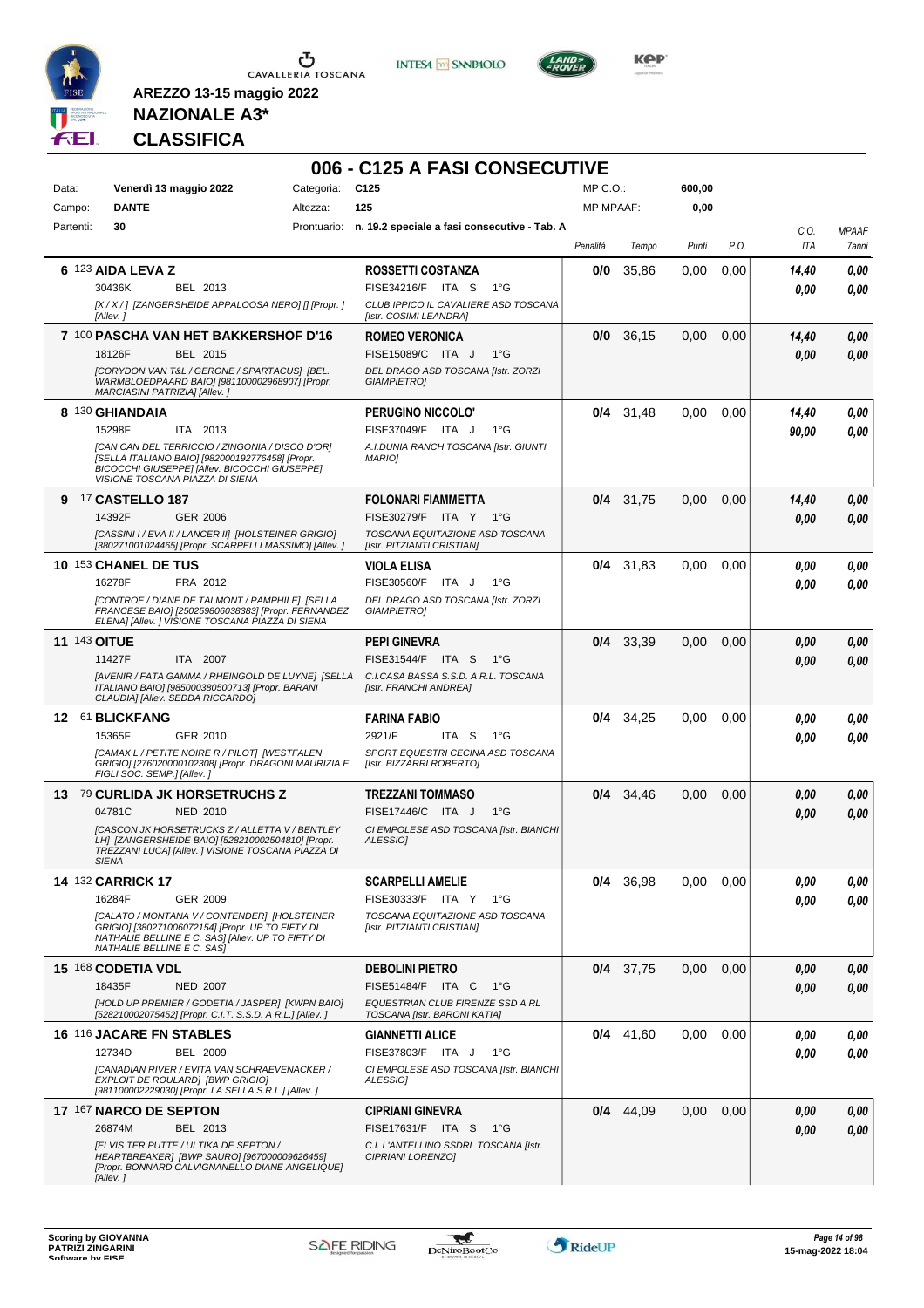

**INTESA M** SANPAOLO



**KOP** 

## **NAZIONALE A3\* CLASSIFICA**

|                     |                                                                                                                                                                                        |            | 006 - C125 A FASI CONSECUTIVE                                    |                  |             |        |      |       |              |
|---------------------|----------------------------------------------------------------------------------------------------------------------------------------------------------------------------------------|------------|------------------------------------------------------------------|------------------|-------------|--------|------|-------|--------------|
| Data:               | Venerdì 13 maggio 2022                                                                                                                                                                 | Categoria: | C <sub>125</sub>                                                 | $MP C. O.$ :     |             | 600,00 |      |       |              |
| Campo:              | <b>DANTE</b>                                                                                                                                                                           | Altezza:   | 125                                                              | <b>MP MPAAF:</b> |             | 0,00   |      |       |              |
| Partenti:           | 30                                                                                                                                                                                     |            | Prontuario: n. 19.2 speciale a fasi consecutive - Tab. A         |                  |             |        |      | C.O.  | <b>MPAAF</b> |
|                     |                                                                                                                                                                                        |            |                                                                  | Penalità         | Tempo       | Punti  | P.O. | ITA   | 7anni        |
|                     | 6 123 AIDA LEVA Z                                                                                                                                                                      |            | <b>ROSSETTI COSTANZA</b>                                         | 0/0              | 35.86       | 0,00   | 0,00 | 14,40 | 0,00         |
|                     | 30436K<br>BEL 2013                                                                                                                                                                     |            | FISE34216/F ITA S<br>1°G                                         |                  |             |        |      | 0.00  | 0.00         |
|                     | [X / X / ] [ZANGERSHEIDE APPALOOSA NERO] [] [Propr. ]<br>[Allev.]                                                                                                                      |            | CLUB IPPICO IL CAVALIERE ASD TOSCANA<br>[Istr. COSIMI LEANDRA]   |                  |             |        |      |       |              |
|                     | 7 100 PASCHA VAN HET BAKKERSHOF D'16                                                                                                                                                   |            | <b>ROMEO VERONICA</b>                                            | 0/0              | 36,15       | 0,00   | 0,00 | 14,40 | 0,00         |
|                     | 18126F<br>BEL 2015                                                                                                                                                                     |            | FISE15089/C ITA J<br>$1^{\circ}G$                                |                  |             |        |      | 0.00  | 0.00         |
|                     | [CORYDON VAN T&L / GERONE / SPARTACUS] [BEL.<br>WARMBLOEDPAARD BAIO] [981100002968907] [Propr.<br>MARCIASINI PATRIZIA] [Allev.]                                                        |            | DEL DRAGO ASD TOSCANA [Istr. ZORZI<br><b>GIAMPIETRO]</b>         |                  |             |        |      |       |              |
|                     | 8 130 GHIANDAIA                                                                                                                                                                        |            | PERUGINO NICCOLO'                                                |                  | $0/4$ 31,48 | 0,00   | 0,00 | 14,40 | 0,00         |
|                     | 15298F<br>ITA 2013                                                                                                                                                                     |            | FISE37049/F ITA J<br>$1^{\circ}G$                                |                  |             |        |      | 90,00 | 0.00         |
|                     | [CAN CAN DEL TERRICCIO / ZINGONIA / DISCO D'OR]<br>[SELLA ITALIANO BAIO] [982000192776458] [Propr.<br>BICOCCHI GIUSEPPE] [Allev. BICOCCHI GIUSEPPE]<br>VISIONE TOSCANA PIAZZA DI SIENA |            | A.I.DUNIA RANCH TOSCANA [Istr. GIUNTI<br><b>MARIO]</b>           |                  |             |        |      |       |              |
|                     | 9 17 CASTELLO 187                                                                                                                                                                      |            | <b>FOLONARI FIAMMETTA</b>                                        |                  | $0/4$ 31,75 | 0,00   | 0,00 | 14,40 | 0,00         |
|                     | 14392F<br><b>GER 2006</b>                                                                                                                                                              |            | FISE30279/F ITA Y 1°G                                            |                  |             |        |      | 0.00  | 0.00         |
|                     | [CASSINI I / EVA II / LANCER II] [HOLSTEINER GRIGIO]<br>[380271001024465] [Propr. SCARPELLI MASSIMO] [Allev.]                                                                          |            | TOSCANA EQUITAZIONE ASD TOSCANA<br>[Istr. PITZIANTI CRISTIAN]    |                  |             |        |      |       |              |
|                     | 10 153 CHANEL DE TUS                                                                                                                                                                   |            | <b>VIOLA ELISA</b>                                               |                  | $0/4$ 31,83 | 0,00   | 0,00 | 0.00  | 0,00         |
|                     | 16278F<br>FRA 2012                                                                                                                                                                     |            | FISE30560/F<br>ITA J<br>$1^{\circ}G$                             |                  |             |        |      | 0.00  | 0.00         |
|                     | [CONTROE / DIANE DE TALMONT / PAMPHILE] [SELLA<br>FRANCESE BAIO] [250259806038383] [Propr. FERNANDEZ<br>ELENA] [Allev. ] VISIONE TOSCANA PIAZZA DI SIENA                               |            | DEL DRAGO ASD TOSCANA [Istr. ZORZI<br><b>GIAMPIETRO]</b>         |                  |             |        |      |       |              |
| <b>11 143 OITUE</b> |                                                                                                                                                                                        |            | <b>PEPI GINEVRA</b>                                              | 0/4              | 33,39       | 0,00   | 0,00 | 0,00  | 0,00         |
|                     | 11427F<br>ITA 2007                                                                                                                                                                     |            | FISE31544/F ITA S<br>1°G                                         |                  |             |        |      | 0.00  | 0.00         |
|                     | [AVENIR / FATA GAMMA / RHEINGOLD DE LUYNE] [SELLA<br>ITALIANO BAIO] [985000380500713] [Propr. BARANI<br>CLAUDIA] [Allev. SEDDA RICCARDO]                                               |            | C.I.CASA BASSA S.S.D. A R.L. TOSCANA<br>[Istr. FRANCHI ANDREA]   |                  |             |        |      |       |              |
|                     | 12 61 BLICKFANG                                                                                                                                                                        |            | <b>FARINA FABIO</b>                                              | 0/4              | 34,25       | 0,00   | 0,00 | 0.00  | 0,00         |
|                     | 15365F<br>GER 2010                                                                                                                                                                     |            | 2921/F<br>ITA S<br>$1^{\circ}G$                                  |                  |             |        |      | 0.00  | 0.00         |
|                     | [CAMAX L / PETITE NOIRE R / PILOT] [WESTFALEN<br>GRIGIO] [276020000102308] [Propr. DRAGONI MAURIZIA E<br>FIGLI SOC. SEMP.] [Allev.]                                                    |            | SPORT EQUESTRI CECINA ASD TOSCANA<br>[Istr. BIZZARRI ROBERTO]    |                  |             |        |      |       |              |
|                     | 13 79 CURLIDA JK HORSETRUCHS Z                                                                                                                                                         |            | <b>TREZZANI TOMMASO</b>                                          |                  | 0/4 34.46   | 0,00   | 0,00 | 0,00  | 0,00         |
|                     | 04781C<br><b>NED 2010</b>                                                                                                                                                              |            | FISE17446/C ITA J<br>$1^{\circ}G$                                |                  |             |        |      | 0,00  | 0.00         |
|                     | <b>ICASCON JK HORSETRUCKS Z / ALLETTA V / BENTLEY</b><br>LH] [ZANGERSHEIDE BAIO] [528210002504810] [Propr.<br>TREZZANI LUCA] [Allev. ] VISIONE TOSCANA PIAZZA DI<br>SIENA              |            | CI EMPOLESE ASD TOSCANA [Istr. BIANCHI<br>ALESSIO]               |                  |             |        |      |       |              |
|                     | <b>14 132 CARRICK 17</b>                                                                                                                                                               |            | <b>SCARPELLI AMELIE</b>                                          |                  | $0/4$ 36,98 | 0,00   | 0,00 | 0,00  | 0,00         |
|                     | 16284F<br>GER 2009                                                                                                                                                                     |            | FISE30333/F ITA Y<br>1°G                                         |                  |             |        |      | 0,00  | 0,00         |
|                     | [CALATO / MONTANA V / CONTENDER] [HOLSTEINER<br>GRIGIO] [380271006072154] [Propr. UP TO FIFTY DI<br>NATHALIE BELLINE E C. SAS] [Allev. UP TO FIFTY DI<br>NATHALIE BELLINE E C. SAS]    |            | TOSCANA EQUITAZIONE ASD TOSCANA<br>[Istr. PITZIANTI CRISTIAN]    |                  |             |        |      |       |              |
|                     | 15 168 CODETIA VDL                                                                                                                                                                     |            | <b>DEBOLINI PIETRO</b>                                           |                  | $0/4$ 37,75 | 0,00   | 0,00 | 0.00  | 0,00         |
|                     | 18435F<br><b>NED 2007</b>                                                                                                                                                              |            | FISE51484/F ITA C 1°G                                            |                  |             |        |      | 0.00  | 0,00         |
|                     | [HOLD UP PREMIER / GODETIA / JASPER] [KWPN BAIO]<br>[528210002075452] [Propr. C.I.T. S.S.D. A R.L.] [Allev. ]                                                                          |            | EQUESTRIAN CLUB FIRENZE SSD A RL<br>TOSCANA [Istr. BARONI KATIA] |                  |             |        |      |       |              |
|                     | 16 116 JACARE FN STABLES                                                                                                                                                               |            | <b>GIANNETTI ALICE</b>                                           |                  | $0/4$ 41,60 | 0,00   | 0,00 | 0.00  | 0,00         |
|                     | 12734D<br>BEL 2009                                                                                                                                                                     |            | FISE37803/F ITA J<br>$1^{\circ}G$                                |                  |             |        |      | 0.00  | 0.00         |
|                     | [CANADIAN RIVER / EVITA VAN SCHRAEVENACKER /<br>EXPLOIT DE ROULARD] [BWP GRIGIO]<br>[981100002229030] [Propr. LA SELLA S.R.L.] [Allev. ]                                               |            | CI EMPOLESE ASD TOSCANA [Istr. BIANCHI<br>ALESSIO]               |                  |             |        |      |       |              |
|                     | 17 167 NARCO DE SEPTON                                                                                                                                                                 |            | <b>CIPRIANI GINEVRA</b>                                          |                  | $0/4$ 44,09 | 0,00   | 0,00 | 0,00  | 0,00         |
|                     | 26874M<br>BEL 2013                                                                                                                                                                     |            | FISE17631/F ITA S<br>1°G                                         |                  |             |        |      | 0.00  | 0,00         |
|                     | <b>IELVIS TER PUTTE / ULTIKA DE SEPTON /</b><br>HEARTBREAKER] [BWP SAURO] [967000009626459]<br>[Propr. BONNARD CALVIGNANELLO DIANE ANGELIQUE]<br>[Allev.]                              |            | C.I. L'ANTELLINO SSDRL TOSCANA [Istr.<br>CIPRIANI LORENZO]       |                  |             |        |      |       |              |
|                     |                                                                                                                                                                                        |            |                                                                  |                  |             |        |      |       |              |

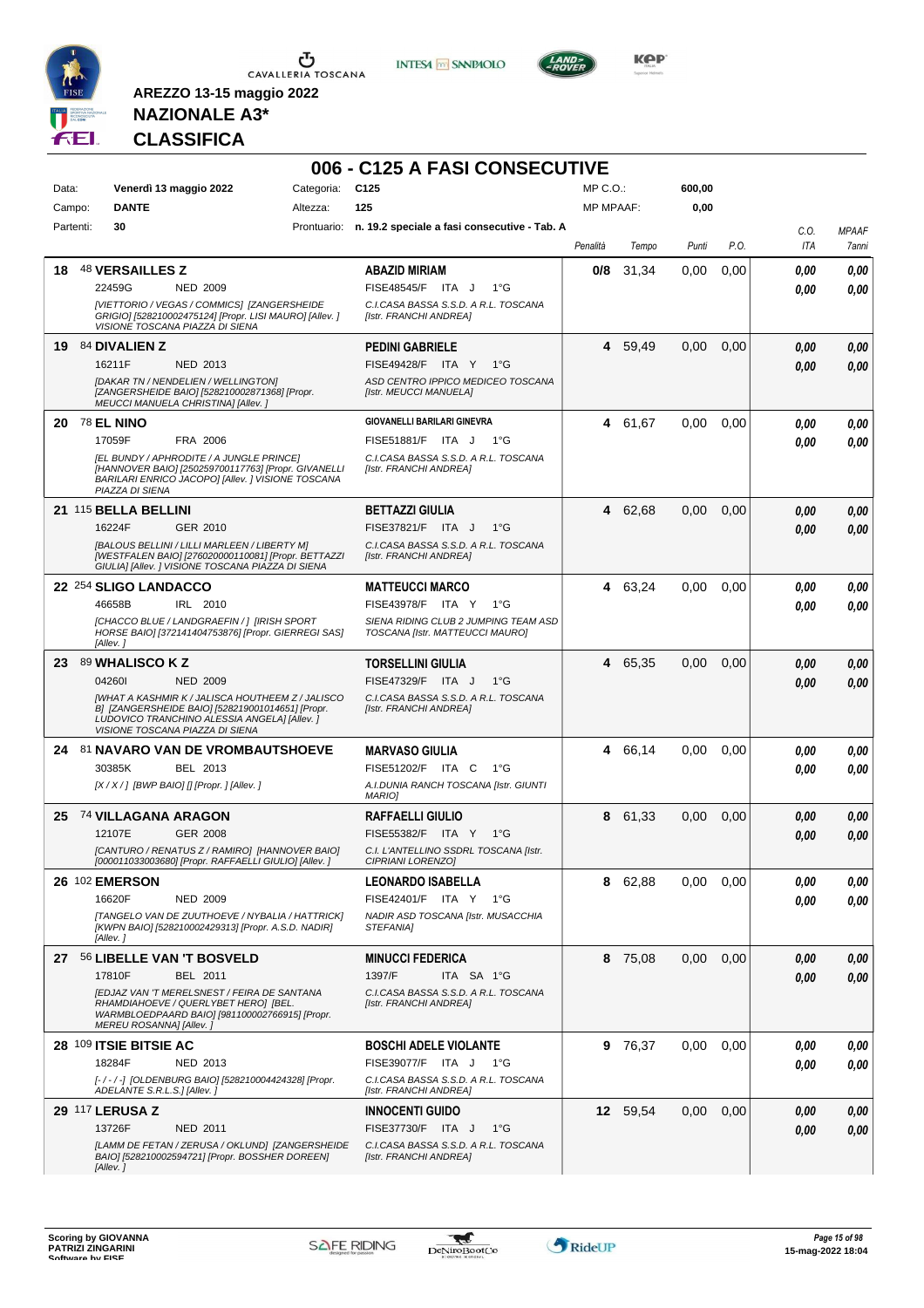

**INTESA** M SANPAOLO

**006 - C125 A FASI CONSECUTIVE**



**KOP** 

### **NAZIONALE A3\* CLASSIFICA**

| Data:     | Venerdì 13 maggio 2022             |                                                                                                                                                            | Categoria: | C <sub>125</sub>                                                        | MP C.O.:         |          | 600,00 |      |                    |                       |
|-----------|------------------------------------|------------------------------------------------------------------------------------------------------------------------------------------------------------|------------|-------------------------------------------------------------------------|------------------|----------|--------|------|--------------------|-----------------------|
| Campo:    | <b>DANTE</b>                       |                                                                                                                                                            | Altezza:   | 125                                                                     | <b>MP MPAAF:</b> |          | 0,00   |      |                    |                       |
| Partenti: | 30                                 |                                                                                                                                                            |            | Prontuario: n. 19.2 speciale a fasi consecutive - Tab. A                | Penalità         | Tempo    | Punti  | P.O. | C.O.<br><b>ITA</b> | <b>MPAAF</b><br>7anni |
|           |                                    |                                                                                                                                                            |            |                                                                         |                  |          |        |      |                    |                       |
| 18        | <b>48 VERSAILLES Z</b>             |                                                                                                                                                            |            | <b>ABAZID MIRIAM</b>                                                    | 0/8              | 31,34    | 0,00   | 0,00 | 0,00               | 0.00                  |
|           | 22459G                             | <b>NED 2009</b>                                                                                                                                            |            | FISE48545/F ITA J<br>$1^{\circ}G$                                       |                  |          |        |      | 0.00               | 0.00                  |
|           | VISIONE TOSCANA PIAZZA DI SIENA    | [VIETTORIO / VEGAS / COMMICS] [ZANGERSHEIDE<br>GRIGIO] [528210002475124] [Propr. LISI MAURO] [Allev. ]                                                     |            | C.I.CASA BASSA S.S.D. A R.L. TOSCANA<br>[Istr. FRANCHI ANDREA]          |                  |          |        |      |                    |                       |
|           | 19 84 DIVALIEN Z                   |                                                                                                                                                            |            | <b>PEDINI GABRIELE</b>                                                  |                  | 4 59,49  | 0,00   | 0,00 | 0,00               | 0,00                  |
|           | 16211F                             | <b>NED 2013</b>                                                                                                                                            |            | <b>FISE49428/F ITA Y</b><br>$1^{\circ}G$                                |                  |          |        |      | 0.00               | 0.00                  |
|           |                                    | <b>IDAKAR TN / NENDELIEN / WELLINGTONI</b><br>[ZANGERSHEIDE BAIO] [528210002871368] [Propr.<br><b>MEUCCI MANUELA CHRISTINAI [Allev. ]</b>                  |            | ASD CENTRO IPPICO MEDICEO TOSCANA<br>[Istr. MEUCCI MANUELA]             |                  |          |        |      |                    |                       |
|           | <b>20 78 EL NINO</b>               |                                                                                                                                                            |            | <b>GIOVANELLI BARILARI GINEVRA</b>                                      |                  | 4 61,67  | 0,00   | 0,00 | 0,00               | 0,00                  |
|           | 17059F                             | FRA 2006                                                                                                                                                   |            | FISE51881/F ITA J<br>1°G                                                |                  |          |        |      | 0.00               | 0.00                  |
|           | PIAZZA DI SIENA                    | [EL BUNDY / APHRODITE / A JUNGLE PRINCE]<br>[HANNOVER BAIO] [250259700117763] [Propr. GIVANELLI<br>BARILARI ENRICO JACOPO] [Allev. ] VISIONE TOSCANA       |            | C.I.CASA BASSA S.S.D. A R.L. TOSCANA<br>[Istr. FRANCHI ANDREA]          |                  |          |        |      |                    |                       |
|           | 21 115 BELLA BELLINI               |                                                                                                                                                            |            | <b>BETTAZZI GIULIA</b>                                                  |                  | 4 62,68  | 0,00   | 0,00 | 0,00               | 0,00                  |
|           | 16224F                             | GER 2010                                                                                                                                                   |            | FISE37821/F ITA J<br>$1^{\circ}G$                                       |                  |          |        |      | 0.00               | 0.00                  |
|           |                                    | [BALOUS BELLINI / LILLI MARLEEN / LIBERTY M]<br>[WESTFALEN BAIO] [276020000110081] [Propr. BETTAZZI<br>GIULIA] [Allev. ] VISIONE TOSCANA PIAZZA DI SIENA   |            | C.I.CASA BASSA S.S.D. A R.L. TOSCANA<br>[Istr. FRANCHI ANDREA]          |                  |          |        |      |                    |                       |
|           | 22 254 SLIGO LANDACCO              |                                                                                                                                                            |            | <b>MATTEUCCI MARCO</b>                                                  |                  | 4 63,24  | 0,00   | 0,00 | 0.00               | 0,00                  |
|           | 46658B                             | IRL 2010                                                                                                                                                   |            | FISE43978/F ITA Y<br>1°G                                                |                  |          |        |      | 0.00               | 0.00                  |
|           | [Allev.]                           | [CHACCO BLUE / LANDGRAEFIN / 1 [IRISH SPORT<br>HORSE BAIO] [372141404753876] [Propr. GIERREGI SAS]                                                         |            | SIENA RIDING CLUB 2 JUMPING TEAM ASD<br>TOSCANA [Istr. MATTEUCCI MAURO] |                  |          |        |      |                    |                       |
| 23        | 89 WHALISCO K Z                    |                                                                                                                                                            |            | <b>TORSELLINI GIULIA</b>                                                |                  | 4 65,35  | 0,00   | 0,00 | 0,00               | 0,00                  |
|           | 042601                             | <b>NED 2009</b>                                                                                                                                            |            | FISE47329/F ITA J<br>$1^{\circ}G$                                       |                  |          |        |      | 0.00               | 0.00                  |
|           | VISIONE TOSCANA PIAZZA DI SIENA    | <b>IWHAT A KASHMIR K / JALISCA HOUTHEEM Z / JALISCO</b><br>B] [ZANGERSHEIDE BAIO] [528219001014651] [Propr.<br>LUDOVICO TRANCHINO ALESSIA ANGELA] [Allev.] |            | C.I.CASA BASSA S.S.D. A R.L. TOSCANA<br>[Istr. FRANCHI ANDREA]          |                  |          |        |      |                    |                       |
|           | 24 81 NAVARO VAN DE VROMBAUTSHOEVE |                                                                                                                                                            |            | <b>MARVASO GIULIA</b>                                                   |                  | 4 66,14  | 0,00   | 0.00 | 0,00               | 0,00                  |
|           | 30385K                             | BEL 2013                                                                                                                                                   |            | FISE51202/F ITA C<br>1°G                                                |                  |          |        |      | 0,00               | 0.00                  |
|           |                                    | $[X/X$ / ] [BWP BAIO] [] [Propr. ] [Allev. ]                                                                                                               |            | A.I.DUNIA RANCH TOSCANA [Istr. GIUNTI<br><b>MARIO]</b>                  |                  |          |        |      |                    |                       |
|           | 25 74 VILLAGANA ARAGON             |                                                                                                                                                            |            | <b>RAFFAELLI GIULIO</b>                                                 |                  | 8 61,33  | 0,00   | 0,00 | 0,00               | 0,00                  |
|           | 12107E                             | <b>GER 2008</b>                                                                                                                                            |            | FISE55382/F ITA Y<br>1°G                                                |                  |          |        |      | 0,00               | 0,00                  |
|           |                                    | [CANTURO / RENATUS Z / RAMIRO] [HANNOVER BAIO]                                                                                                             |            | C.I. L'ANTELLINO SSDRL TOSCANA [Istr.                                   |                  |          |        |      |                    |                       |
|           | 26 102 EMERSON                     | [000011033003680] [Propr. RAFFAELLI GIULIO] [Allev. ]                                                                                                      |            | CIPRIANI LORENZOI                                                       | 8                |          | 0,00   | 0,00 |                    |                       |
|           | 16620F                             |                                                                                                                                                            |            | <b>LEONARDO ISABELLA</b><br>FISE42401/F ITA Y 1°G                       |                  | 62,88    |        |      | 0,00               | 0,00                  |
|           |                                    | <b>NED 2009</b><br>[TANGELO VAN DE ZUUTHOEVE / NYBALIA / HATTRICK]                                                                                         |            | NADIR ASD TOSCANA [Istr. MUSACCHIA                                      |                  |          |        |      | 0.00               | 0,00                  |
|           | [Allev.]                           | [KWPN BAIO] [528210002429313] [Propr. A.S.D. NADIR]                                                                                                        |            | STEFANIA]                                                               |                  |          |        |      |                    |                       |
| 27        | 56 LIBELLE VAN 'T BOSVELD          |                                                                                                                                                            |            | <b>MINUCCI FEDERICA</b>                                                 |                  | 8 75,08  | 0,00   | 0,00 | 0,00               | 0,00                  |
|           | 17810F                             | BEL 2011                                                                                                                                                   |            | 1397/F<br>ITA SA 1°G                                                    |                  |          |        |      | 0,00               | 0,00                  |
|           | MEREU ROSANNA] [Allev. ]           | <b>IEDJAZ VAN 'T MERELSNEST / FEIRA DE SANTANA</b><br>RHAMDIAHOEVE / QUERLYBET HERO] [BEL.<br>WARMBLOEDPAARD BAIO] [981100002766915] [Propr.               |            | C.I.CASA BASSA S.S.D. A R.L. TOSCANA<br>[Istr. FRANCHI ANDREA]          |                  |          |        |      |                    |                       |
|           | 28 109 ITSIE BITSIE AC             |                                                                                                                                                            |            | <b>BOSCHI ADELE VIOLANTE</b>                                            |                  | 9 76,37  | 0.00   | 0.00 | 0,00               | 0,00                  |
|           | 18284F                             | NED 2013                                                                                                                                                   |            | FISE39077/F ITA J<br>1°G                                                |                  |          |        |      | 0.00               | 0.00                  |
|           | ADELANTE S.R.L.S.] [Allev.]        | [-/-/-] [OLDENBURG BAIO] [528210004424328] [Propr.                                                                                                         |            | C.I.CASA BASSA S.S.D. A R.L. TOSCANA<br>[Istr. FRANCHI ANDREA]          |                  |          |        |      |                    |                       |
|           | <b>29 117 LERUSA Z</b>             |                                                                                                                                                            |            | <b>INNOCENTI GUIDO</b>                                                  |                  | 12 59,54 | 0,00   | 0,00 | 0,00               | 0,00                  |
|           | 13726F                             | <b>NED 2011</b>                                                                                                                                            |            | FISE37730/F ITA J<br>1°G                                                |                  |          |        |      | 0,00               | 0,00                  |
|           | [Allev.]                           | [LAMM DE FETAN / ZERUSA / OKLUND] [ZANGERSHEIDE<br>BAIO] [528210002594721] [Propr. BOSSHER DOREEN]                                                         |            | C.I.CASA BASSA S.S.D. A R.L. TOSCANA<br>[Istr. FRANCHI ANDREA]          |                  |          |        |      |                    |                       |

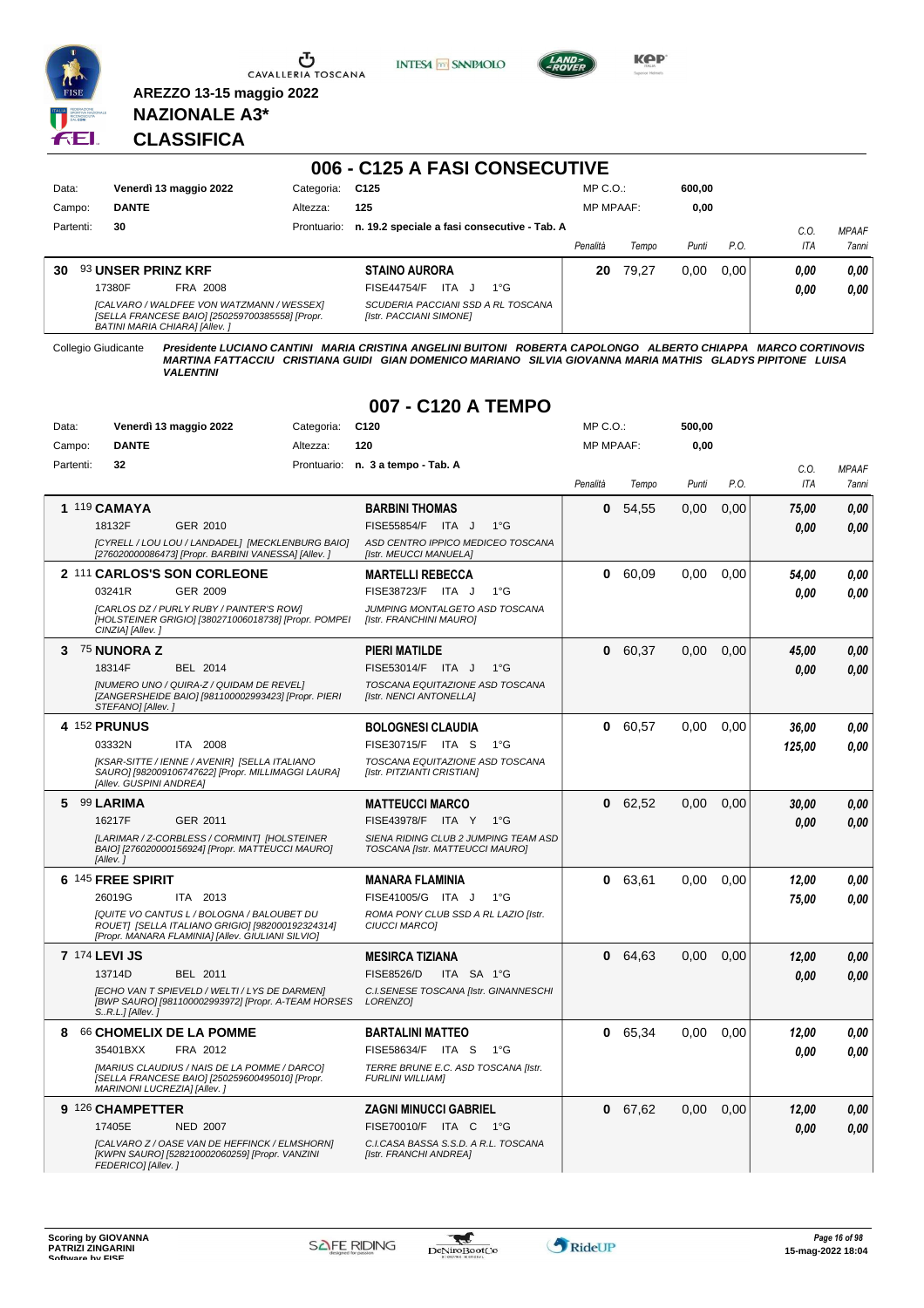

Ⴠ CAVALLERIA TOSCANA **INTESA m** SANPAOLO



**KOP** 

#### **NAZIONALE A3\* CLASSIFICA**

**AREZZO 13-15 maggio 2022**

#### **006 - C125 A FASI CONSECUTIVE** Data: Venerdì 13 maggio 2022 Categoria: C125 Prontuario: **n. 19.2 speciale a fasi consecutive - Tab. A** Campo: **DANTE** Partenti: **30** Altezza: **125** MP C.O.: MP MPAAF: **600,00 0,00** *Penalità Tempo Punti P.O. C.O. ITA MPAAF 7anni* **30** 93 **UNSER PRINZ KRF** FRA 2008 **STAINO AURORA** *[CALVARO / WALDFEE VON WATZMANN / WESSEX] [SELLA FRANCESE BAIO] [250259700385558] [Propr. BATINI MARIA CHIARA] [Allev. ] SCUDERIA PACCIANI SSD A RL TOSCANA [Istr. PACCIANI SIMONE]* ITA J 1°G 17380F FISE44754/F *0,00* **20** 79,27 0,00 0,00 *0,00 0,00 0,00*

Collegio Giudicante Presidente LUCIANO CANTINI MARIA CRISTINA ANGELINI BUITONI ROBERTA CAPOLONGO ALBERTO CHIAPPA MARCO CORTINOVIS<br>MARTINA FATTACCIU CRISTIANA GUIDI GIAN DOMENICO MARIANO SILVIA GIOVANNA MARIA MATHIS GLADYS

#### **007 - C120 A TEMPO**

| Data:     | Venerdì 13 maggio 2022                                                                                                                              | Categoria: | C <sub>120</sub>                                                        | MP C. O.         |         | 500,00 |      |        |              |
|-----------|-----------------------------------------------------------------------------------------------------------------------------------------------------|------------|-------------------------------------------------------------------------|------------------|---------|--------|------|--------|--------------|
| Campo:    | <b>DANTE</b>                                                                                                                                        | Altezza:   | 120                                                                     | <b>MP MPAAF:</b> |         | 0,00   |      |        |              |
| Partenti: | 32                                                                                                                                                  |            | Prontuario: n. 3 a tempo - Tab. A                                       |                  |         |        |      | C.O.   | <b>MPAAF</b> |
|           |                                                                                                                                                     |            |                                                                         | Penalità         | Tempo   | Punti  | P.O. | ITA    | 7anni        |
|           | 1 119 CAMAYA                                                                                                                                        |            | <b>BARBINI THOMAS</b>                                                   | 0                | 54,55   | 0,00   | 0,00 | 75,00  | 0,00         |
|           | 18132F<br>GER 2010                                                                                                                                  |            | FISE55854/F<br>ITA J<br>$1^{\circ}G$                                    |                  |         |        |      | 0.00   | 0.00         |
|           | [CYRELL / LOU LOU / LANDADEL] [MECKLENBURG BAIO]<br>[276020000086473] [Propr. BARBINI VANESSA] [Allev. ]                                            |            | ASD CENTRO IPPICO MEDICEO TOSCANA<br>[Istr. MEUCCI MANUELA]             |                  |         |        |      |        |              |
|           | 2 111 CARLOS'S SON CORLEONE                                                                                                                         |            | <b>MARTELLI REBECCA</b>                                                 | 0                | 60.09   | 0.00   | 0.00 | 54,00  | 0.00         |
|           | 03241R<br>GER 2009                                                                                                                                  |            | FISE38723/F ITA J<br>$1^{\circ}$ G                                      |                  |         |        |      | 0.00   | 0.00         |
|           | [CARLOS DZ / PURLY RUBY / PAINTER'S ROW]<br>[HOLSTEINER GRIGIO] [380271006018738] [Propr. POMPEI<br>CINZIA] [Allev.]                                |            | JUMPING MONTALGETO ASD TOSCANA<br>[Istr. FRANCHINI MAURO]               |                  |         |        |      |        |              |
| 3         | 75 NUNORA Z                                                                                                                                         |            | <b>PIERI MATILDE</b>                                                    | 0                | 60,37   | 0.00   | 0.00 | 45,00  | 0.00         |
|           | 18314F<br><b>BEL 2014</b>                                                                                                                           |            | FISE53014/F ITA J<br>$1^{\circ}G$                                       |                  |         |        |      | 0.00   | 0.00         |
|           | [NUMERO UNO / QUIRA-Z / QUIDAM DE REVEL]<br>[ZANGERSHEIDE BAIO] [981100002993423] [Propr. PIERI<br>STEFANO] [Allev.]                                |            | TOSCANA EQUITAZIONE ASD TOSCANA<br>[Istr. NENCI ANTONELLA]              |                  |         |        |      |        |              |
|           | 4 152 PRUNUS                                                                                                                                        |            | <b>BOLOGNESI CLAUDIA</b>                                                | 0                | 60,57   | 0.00   | 0,00 | 36,00  | 0,00         |
|           | 03332N<br>ITA 2008                                                                                                                                  |            | FISE30715/F<br>ITA S<br>$1^{\circ}G$                                    |                  |         |        |      | 125,00 | 0.00         |
|           | [KSAR-SITTE / IENNE / AVENIR] [SELLA ITALIANO<br>SAURO] [982009106747622] [Propr. MILLIMAGGI LAURA]<br>[Allev. GUSPINI ANDREA]                      |            | TOSCANA EQUITAZIONE ASD TOSCANA<br>[Istr. PITZIANTI CRISTIAN]           |                  |         |        |      |        |              |
| 5         | 99 LARIMA                                                                                                                                           |            | <b>MATTEUCCI MARCO</b>                                                  | $\mathbf{0}$     | 62,52   | 0,00   | 0,00 | 30,00  | 0,00         |
|           | 16217F<br>GER 2011                                                                                                                                  |            | FISE43978/F ITA Y<br>$1^{\circ}G$                                       |                  |         |        |      | 0.00   | 0.00         |
|           | [LARIMAR / Z-CORBLESS / CORMINT] [HOLSTEINER<br>BAIO] [276020000156924] [Propr. MATTEUCCI MAURO]<br>[Allev.]                                        |            | SIENA RIDING CLUB 2 JUMPING TEAM ASD<br>TOSCANA [Istr. MATTEUCCI MAURO] |                  |         |        |      |        |              |
|           | 6 145 FREE SPIRIT                                                                                                                                   |            | <b>MANARA FLAMINIA</b>                                                  | 0                | 63,61   | 0,00   | 0,00 | 12,00  | 0,00         |
|           | 26019G<br>ITA 2013                                                                                                                                  |            | FISE41005/G ITA J<br>$1^{\circ}G$                                       |                  |         |        |      | 75,00  | 0.00         |
|           | [QUITE VO CANTUS L / BOLOGNA / BALOUBET DU<br>ROUET  [SELLA ITALIANO GRIGIO] [982000192324314]<br>[Propr. MANARA FLAMINIA] [Allev. GIULIANI SILVIO] |            | ROMA PONY CLUB SSD A RL LAZIO [Istr.<br>CIUCCI MARCOI                   |                  |         |        |      |        |              |
|           | <b>7 174 LEVI JS</b>                                                                                                                                |            | <b>MESIRCA TIZIANA</b>                                                  | 0                | 64,63   | 0,00   | 0,00 | 12,00  | 0,00         |
|           | 13714D<br>BEL 2011                                                                                                                                  |            | <b>FISE8526/D</b><br>ITA SA 1°G                                         |                  |         |        |      | 0.00   | 0.00         |
|           | [ECHO VAN T SPIEVELD / WELTI / LYS DE DARMEN]<br>[BWP SAURO] [981100002993972] [Propr. A-TEAM HORSES<br>$SR.L.$ ] [Allev.]                          |            | C.I.SENESE TOSCANA [Istr. GINANNESCHI<br>LORENZO1                       |                  |         |        |      |        |              |
| 8         | 66 CHOMELIX DE LA POMME                                                                                                                             |            | <b>BARTALINI MATTEO</b>                                                 | 0                | 65,34   | 0,00   | 0.00 | 12,00  | 0,00         |
|           | 35401BXX<br>FRA 2012                                                                                                                                |            | FISE58634/F ITA S<br>$1^{\circ}G$                                       |                  |         |        |      | 0.00   | 0.00         |
|           | [MARIUS CLAUDIUS / NAIS DE LA POMME / DARCO]<br>[SELLA FRANCESE BAIO] [250259600495010] [Propr.<br>MARINONI LUCREZIA] [Allev.]                      |            | TERRE BRUNE E.C. ASD TOSCANA [Istr.<br><b>FURLINI WILLIAMI</b>          |                  |         |        |      |        |              |
|           | 9 126 CHAMPETTER                                                                                                                                    |            | <b>ZAGNI MINUCCI GABRIEL</b>                                            |                  | 0 67,62 | 0,00   | 0,00 | 12,00  | 0,00         |
|           | 17405E<br><b>NED 2007</b>                                                                                                                           |            | FISE70010/F ITA C 1°G                                                   |                  |         |        |      | 0.00   | 0.00         |
|           | [CALVARO Z / OASE VAN DE HEFFINCK / ELMSHORN]<br>[KWPN SAURO] [528210002060259] [Propr. VANZINI<br>FEDERICOI [Allev.]                               |            | C.I.CASA BASSA S.S.D. A R.L. TOSCANA<br>[Istr. FRANCHI ANDREA]          |                  |         |        |      |        |              |



 $\mathcal{L}$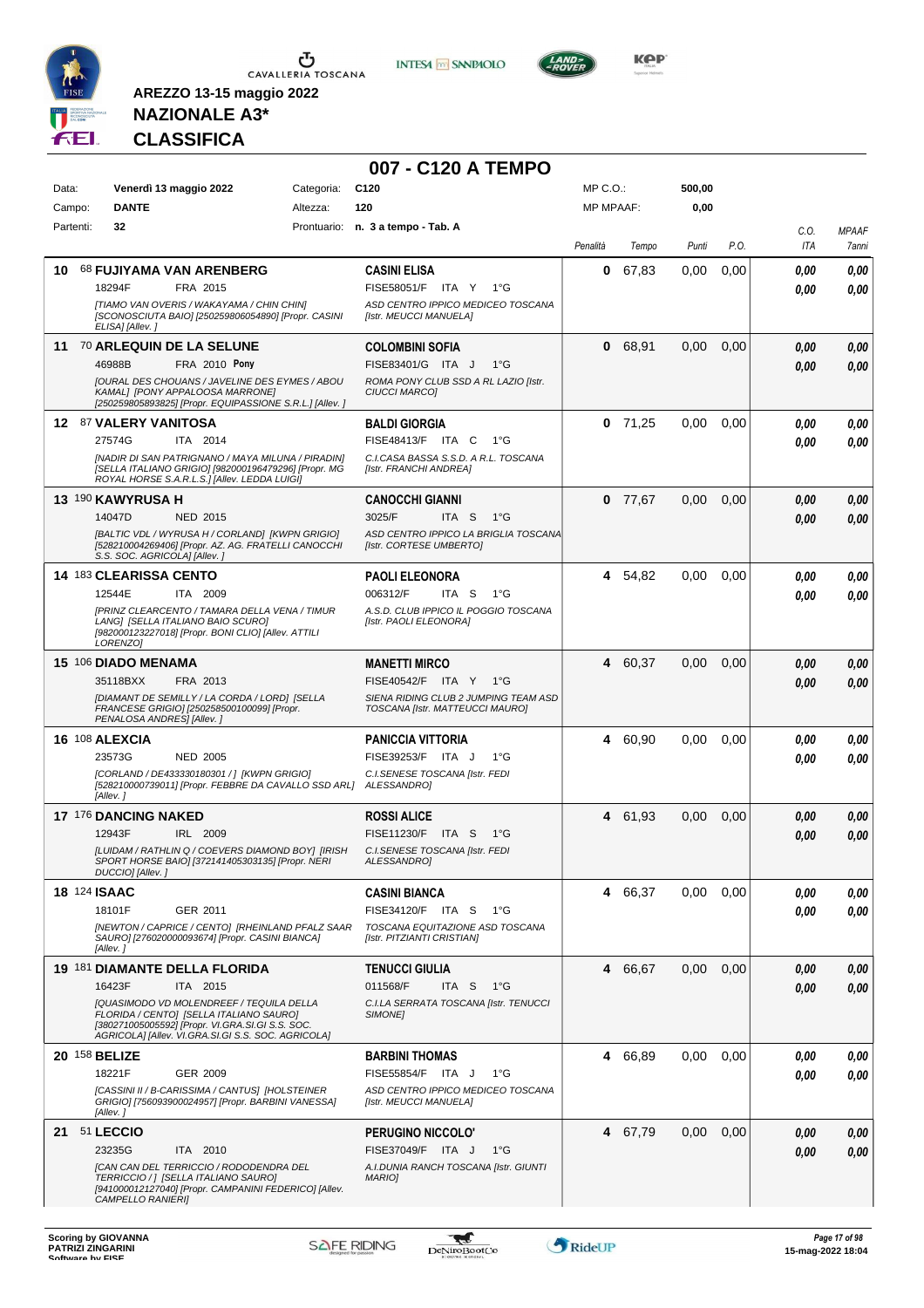

**INTESA M** SANPAOLO

**007 - C120 A TEMPO**



**KOP** 

## **NAZIONALE A3\* CLASSIFICA**

| Data:<br>Campo: | Venerdì 13 maggio 2022<br><b>DANTE</b>                                                                                                                                                                                                               | Categoria:<br>Altezza: | C <sub>120</sub><br>120                                                                                                            | MP C.O.:<br><b>MP MPAAF:</b> |           | 500,00<br>0,00 |      |              |                       |
|-----------------|------------------------------------------------------------------------------------------------------------------------------------------------------------------------------------------------------------------------------------------------------|------------------------|------------------------------------------------------------------------------------------------------------------------------------|------------------------------|-----------|----------------|------|--------------|-----------------------|
| Partenti:       | 32                                                                                                                                                                                                                                                   |                        | Prontuario: n. 3 a tempo - Tab. A                                                                                                  | Penalità                     | Tempo     | Punti          | P.O. | C.O.<br>ITA  | <b>MPAAF</b><br>7anni |
| 10.             | 68 FUJIYAMA VAN ARENBERG<br>18294F<br>FRA 2015<br>[TIAMO VAN OVERIS / WAKAYAMA / CHIN CHIN]<br>[SCONOSCIUTA BAIO] [250259806054890] [Propr. CASINI<br>ELISA] [Allev.]                                                                                |                        | <b>CASINI ELISA</b><br>FISE58051/F ITA Y<br>1°G<br>ASD CENTRO IPPICO MEDICEO TOSCANA<br>[Istr. MEUCCI MANUELA]                     | 0                            | 67,83     | 0,00           | 0,00 | 0,00<br>0.00 | 0,00<br>0.00          |
|                 | 11 70 ARLEQUIN DE LA SELUNE<br>46988B<br>FRA 2010 Pony<br>JOURAL DES CHOUANS / JAVELINE DES EYMES / ABOU<br>KAMAL] [PONY APPALOOSA MARRONE]<br>[250259805893825] [Propr. EQUIPASSIONE S.R.L.] [Allev. ]                                              |                        | <b>COLOMBINI SOFIA</b><br>FISE83401/G ITA J<br>1°G<br>ROMA PONY CLUB SSD A RL LAZIO [Istr.<br><b>CIUCCI MARCOI</b>                 | 0                            | 68,91     | 0,00           | 0,00 | 0,00<br>0,00 | 0,00<br>0,00          |
|                 | 12 87 VALERY VANITOSA<br>27574G<br>ITA 2014<br>[NADIR DI SAN PATRIGNANO / MAYA MILUNA / PIRADIN]<br>[SELLA ITALIANO GRIGIO] [982000196479296] [Propr. MG<br>ROYAL HORSE S.A.R.L.S.] [Allev. LEDDA LUIGI]                                             |                        | <b>BALDI GIORGIA</b><br><b>FISE48413/F ITA C</b><br>$1^{\circ}G$<br>C.I.CASA BASSA S.S.D. A R.L. TOSCANA<br>[Istr. FRANCHI ANDREA] |                              | $0$ 71,25 | 0,00           | 0,00 | 0.00<br>0.00 | 0,00<br>0.00          |
|                 | 13 190 KAWYRUSA H<br>14047D<br><b>NED 2015</b><br>[BALTIC VDL / WYRUSA H / CORLAND] [KWPN GRIGIO]<br>[528210004269406] [Propr. AZ. AG. FRATELLI CANOCCHI<br>S.S. SOC. AGRICOLA] [Allev.]                                                             |                        | <b>CANOCCHI GIANNI</b><br>3025/F<br>ITA S<br>1°G<br>ASD CENTRO IPPICO LA BRIGLIA TOSCANA<br>[Istr. CORTESE UMBERTO]                |                              | $0$ 77,67 | 0,00           | 0,00 | 0,00<br>0.00 | 0,00<br>0.00          |
|                 | <b>14 183 CLEARISSA CENTO</b><br>ITA 2009<br>12544E<br>[PRINZ CLEARCENTO / TAMARA DELLA VENA / TIMUR<br>LANGI [SELLA ITALIANO BAIO SCURO]<br>[982000123227018] [Propr. BONI CLIO] [Allev. ATTILI<br>LORENZO]                                         |                        | <b>PAOLI ELEONORA</b><br>006312/F<br>ITA S<br>1°G<br>A.S.D. CLUB IPPICO IL POGGIO TOSCANA<br>[Istr. PAOLI ELEONORA]                |                              | 4 54,82   | 0,00           | 0,00 | 0,00<br>0,00 | 0,00<br>0.00          |
|                 | 15 106 DIADO MENAMA<br>35118BXX<br>FRA 2013<br>[DIAMANT DE SEMILLY / LA CORDA / LORD] [SELLA<br>FRANCESE GRIGIO] [250258500100099] [Propr.<br>PENALOSA ANDRES] [Allev.]                                                                              |                        | <b>MANETTI MIRCO</b><br>FISE40542/F ITA Y<br>1°G<br>SIENA RIDING CLUB 2 JUMPING TEAM ASD<br>TOSCANA [Istr. MATTEUCCI MAURO]        |                              | 4 60,37   | 0,00           | 0,00 | 0,00<br>0,00 | 0,00<br>0.00          |
|                 | <b>16 108 ALEXCIA</b><br>23573G<br><b>NED 2005</b><br>[CORLAND / DE433330180301 / ] [KWPN GRIGIO]<br>[528210000739011] [Propr. FEBBRE DA CAVALLO SSD ARL]<br>[Allev.]                                                                                |                        | <b>PANICCIA VITTORIA</b><br>FISE39253/F ITA J<br>$1^{\circ}G$<br>C.I.SENESE TOSCANA [Istr. FEDI<br>ALESSANDRO]                     |                              | 4 60,90   | 0,00           | 0,00 | 0.00<br>0.00 | 0,00<br>0.00          |
|                 | 17 176 DANCING NAKED<br>12943F<br>IRL 2009<br>[LUIDAM / RATHLIN Q / COEVERS DIAMOND BOY] [IRISH<br>SPORT HORSE BAIO] [372141405303135] [Propr. NERI<br>DUCCIO] [Allev. ]                                                                             |                        | <b>ROSSI ALICE</b><br>FISE11230/F<br>ITA S<br>1°G<br>C.I.SENESE TOSCANA [Istr. FEDI<br>ALESSANDRO]                                 | 4                            | 61,93     | 0,00           | 0,00 | 0,00<br>0,00 | 0,00<br>0,00          |
|                 | <b>18 124 ISAAC</b><br>18101F<br>GER 2011<br>[NEWTON / CAPRICE / CENTO] [RHEINLAND PFALZ SAAR<br>SAURO] [276020000093674] [Propr. CASINI BIANCA]<br>[Allev.]                                                                                         |                        | <b>CASINI BIANCA</b><br>FISE34120/F ITA S<br>1°G<br>TOSCANA EQUITAZIONE ASD TOSCANA<br>[Istr. PITZIANTI CRISTIAN]                  | 4                            | 66,37     | 0,00           | 0,00 | 0,00<br>0,00 | 0,00<br>0,00          |
|                 | 19 181 DIAMANTE DELLA FLORIDA<br>16423F<br>ITA 2015<br>[QUASIMODO VD MOLENDREEF / TEQUILA DELLA<br>FLORIDA / CENTO] [SELLA ITALIANO SAURO]<br>[380271005005592] [Propr. VI.GRA.SI.GI S.S. SOC.<br>AGRICOLA] [Allev. VI.GRA.SI.GI S.S. SOC. AGRICOLA] |                        | <b>TENUCCI GIULIA</b><br>011568/F<br>ITA S<br>− 1°G<br>C.I.LA SERRATA TOSCANA [Istr. TENUCCI<br><b>SIMONE1</b>                     |                              | 4 66,67   | 0,00           | 0.00 | 0,00<br>0,00 | 0,00<br>0,00          |
|                 | 20 158 BELIZE<br>18221F<br>GER 2009<br>[CASSINI II / B-CARISSIMA / CANTUS] [HOLSTEINER<br>GRIGIO] [756093900024957] [Propr. BARBINI VANESSA]<br>[Allev.]                                                                                             |                        | <b>BARBINI THOMAS</b><br>FISE55854/F ITA J<br>1°G<br>ASD CENTRO IPPICO MEDICEO TOSCANA<br>[Istr. MEUCCI MANUELA]                   |                              | 4 66,89   | 0,00           | 0,00 | 0,00<br>0.00 | 0,00<br>0.00          |
|                 | 21 51 LECCIO<br>23235G<br>ITA 2010<br>[CAN CAN DEL TERRICCIO / RODODENDRA DEL<br>TERRICCIO /   [SELLA ITALIANO SAURO]<br>[941000012127040] [Propr. CAMPANINI FEDERICO] [Allev.<br>CAMPELLO RANIERI]                                                  |                        | PERUGINO NICCOLO'<br>FISE37049/F ITA J<br>1°G<br>A.I.DUNIA RANCH TOSCANA [Istr. GIUNTI<br><b>MARIO]</b>                            |                              | 4 67,79   | 0,00           | 0,00 | 0,00<br>0.00 | 0,00<br>0.00          |

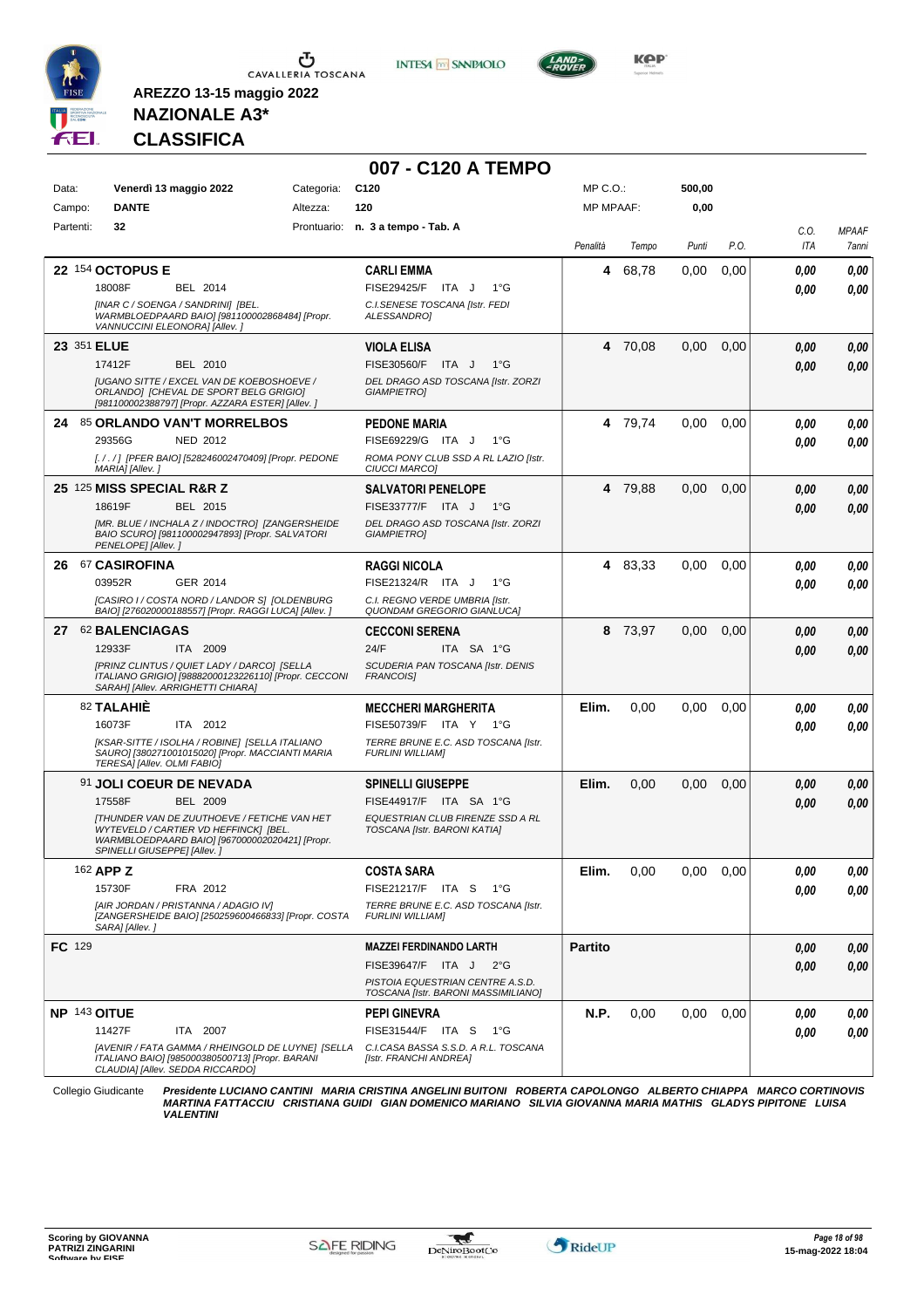





**Kep** 

## **NAZIONALE A3\* CLASSIFICA**

**AREZZO 13-15 maggio 2022**

|              |                                                                                                                                                                              |            | 007 - C120 A TEMPO                                                      |                  |         |        |      |      |              |
|--------------|------------------------------------------------------------------------------------------------------------------------------------------------------------------------------|------------|-------------------------------------------------------------------------|------------------|---------|--------|------|------|--------------|
| Data:        | Venerdì 13 maggio 2022                                                                                                                                                       | Categoria: | C <sub>120</sub>                                                        | MP C.O.:         |         | 500,00 |      |      |              |
| Campo:       | <b>DANTE</b>                                                                                                                                                                 | Altezza:   | 120                                                                     | <b>MP MPAAF:</b> |         | 0,00   |      |      |              |
| Partenti:    | 32                                                                                                                                                                           |            | Prontuario: n. 3 a tempo - Tab. A                                       |                  |         |        |      | C.O. | <b>MPAAF</b> |
|              |                                                                                                                                                                              |            |                                                                         | Penalità         | Tempo   | Punti  | P.O. | ITA  | 7anni        |
|              | 22 154 OCTOPUS E                                                                                                                                                             |            | <b>CARLI EMMA</b>                                                       | 4                | 68,78   | 0,00   | 0,00 | 0.00 | 0,00         |
|              | 18008F<br>BEL 2014                                                                                                                                                           |            | <b>FISE29425/F</b><br>ITA J<br>$1^{\circ}G$                             |                  |         |        |      | 0.00 | 0,00         |
|              | [INAR C / SOENGA / SANDRINI] [BEL.<br>WARMBLOEDPAARD BAIO] [981100002868484] [Propr.<br>VANNUCCINI ELEONORA] [Allev.]                                                        |            | C.I.SENESE TOSCANA [Istr. FEDI<br>ALESSANDRO]                           |                  |         |        |      |      |              |
| 23 351 ELUE  |                                                                                                                                                                              |            | <b>VIOLA ELISA</b>                                                      |                  | 4 70,08 | 0,00   | 0,00 | 0.00 | 0,00         |
|              | 17412F<br>BEL 2010                                                                                                                                                           |            | FISE30560/F<br>ITA J<br>$1^{\circ}$ G                                   |                  |         |        |      | 0.00 | 0,00         |
|              | [UGANO SITTE / EXCEL VAN DE KOEBOSHOEVE /<br>ORLANDO] [CHEVAL DE SPORT BELG GRIGIO]<br>[981100002388797] [Propr. AZZARA ESTER] [Allev. ]                                     |            | DEL DRAGO ASD TOSCANA [Istr. ZORZI<br><b>GIAMPIETRO]</b>                |                  |         |        |      |      |              |
|              | 24 85 ORLANDO VAN'T MORRELBOS                                                                                                                                                |            | PEDONE MARIA                                                            |                  | 4 79,74 | 0,00   | 0.00 | 0.00 | 0,00         |
|              | 29356G<br><b>NED 2012</b>                                                                                                                                                    |            | FISE69229/G ITA J<br>$1^{\circ}G$                                       |                  |         |        |      | 0.00 | 0.00         |
|              | [. / . / ] [PFER BAIO] [528246002470409] [Propr. PEDONE<br>MARIA] [Allev.]                                                                                                   |            | ROMA PONY CLUB SSD A RL LAZIO [Istr.<br>CIUCCI MARCO]                   |                  |         |        |      |      |              |
|              | 25 125 MISS SPECIAL R&R Z                                                                                                                                                    |            | SALVATORI PENELOPE                                                      |                  | 4 79,88 | 0,00   | 0,00 | 0,00 | 0,00         |
|              | 18619F<br>BEL 2015                                                                                                                                                           |            | FISE33777/F ITA J<br>$1^{\circ}G$                                       |                  |         |        |      | 0,00 | 0,00         |
|              | [MR. BLUE / INCHALA Z / INDOCTRO] [ZANGERSHEIDE<br>BAIO SCURO] [981100002947893] [Propr. SALVATORI<br>PENELOPE] [Allev.]                                                     |            | DEL DRAGO ASD TOSCANA [Istr. ZORZI<br><b>GIAMPIETRO]</b>                |                  |         |        |      |      |              |
|              | 26 67 CASIROFINA                                                                                                                                                             |            | <b>RAGGI NICOLA</b>                                                     |                  | 4 83,33 | 0,00   | 0,00 | 0,00 | 0,00         |
|              | 03952R<br>GER 2014                                                                                                                                                           |            | FISE21324/R ITA J<br>$1^{\circ}$ G                                      |                  |         |        |      | 0.00 | 0,00         |
|              | [CASIRO I / COSTA NORD / LANDOR S] [OLDENBURG<br>BAIO] [276020000188557] [Propr. RAGGI LUCA] [Allev. ]                                                                       |            | C.I. REGNO VERDE UMBRIA [Istr.<br>QUONDAM GREGORIO GIANLUCA]            |                  |         |        |      |      |              |
|              | 27 62 BALENCIAGAS                                                                                                                                                            |            | <b>CECCONI SERENA</b>                                                   | 8                | 73,97   | 0,00   | 0,00 | 0,00 | 0,00         |
|              | 12933F<br>ITA 2009                                                                                                                                                           |            | 24/F<br>ITA SA 1°G                                                      |                  |         |        |      | 0.00 | 0.00         |
|              | [PRINZ CLINTUS / QUIET LADY / DARCO] [SELLA<br>ITALIANO GRIGIO] [98882000123226110] [Propr. CECCONI<br>SARAH] [Allev. ARRIGHETTI CHIARA]                                     |            | SCUDERIA PAN TOSCANA [Istr. DENIS<br>FRANCOIS]                          |                  |         |        |      |      |              |
|              | 82 TALAHIÊ                                                                                                                                                                   |            | <b>MECCHERI MARGHERITA</b>                                              | Elim.            | 0,00    | 0,00   | 0.00 | 0.00 | 0,00         |
|              | 16073F<br>ITA 2012                                                                                                                                                           |            | FISE50739/F ITA Y 1°G                                                   |                  |         |        |      | 0.00 | 0.00         |
|              | [KSAR-SITTE / ISOLHA / ROBINE] [SELLA ITALIANO                                                                                                                               |            | TERRE BRUNE E.C. ASD TOSCANA [Istr.                                     |                  |         |        |      |      |              |
|              | SAURO] [380271001015020] [Propr. MACCIANTI MARIA<br>TERESA] [Allev. OLMI FABIO]                                                                                              |            | <b>FURLINI WILLIAM]</b>                                                 |                  |         |        |      |      |              |
|              | 91 JOLI COEUR DE NEVADA                                                                                                                                                      |            | <b>SPINELLI GIUSEPPE</b>                                                | Elim.            | 0,00    | 0,00   | 0,00 | 0,00 | 0,00         |
|              | 17558F<br>BEL 2009                                                                                                                                                           |            | FISE44917/F ITA SA 1°G                                                  |                  |         |        |      | 0.00 | 0,00         |
|              | <b>ITHUNDER VAN DE ZUUTHOEVE / FETICHE VAN HET</b><br>WYTEVELD / CARTIER VD HEFFINCK] [BEL.<br>WARMBLOEDPAARD BAIO] [967000002020421] [Propr.<br>SPINELLI GIUSEPPE] [Allev.] |            | EQUESTRIAN CLUB FIRENZE SSD A RL<br>TOSCANA [Istr. BARONI KATIA]        |                  |         |        |      |      |              |
|              | 162 APP Z                                                                                                                                                                    |            | <b>COSTA SARA</b>                                                       | Elim.            | 0,00    | 0,00   | 0,00 | 0,00 | 0,00         |
|              | 15730F<br>FRA 2012                                                                                                                                                           |            | FISE21217/F ITA S 1°G                                                   |                  |         |        |      | 0.00 | 0,00         |
|              | [AIR JORDAN / PRISTANNA / ADAGIO IV]<br>[ZANGERSHEIDE BAIO] [250259600466833] [Propr. COSTA<br>SARA] [Allev.]                                                                |            | TERRE BRUNE E.C. ASD TOSCANA [Istr.<br><b>FURLINI WILLIAM]</b>          |                  |         |        |      |      |              |
| FC 129       |                                                                                                                                                                              |            | MAZZEI FERDINANDO LARTH                                                 | <b>Partito</b>   |         |        |      | 0,00 | 0,00         |
|              |                                                                                                                                                                              |            | FISE39647/F ITA J<br>$2^{\circ}$ G                                      |                  |         |        |      | 0,00 | 0,00         |
|              |                                                                                                                                                                              |            | PISTOIA EQUESTRIAN CENTRE A.S.D.<br>TOSCANA [Istr. BARONI MASSIMILIANO] |                  |         |        |      |      |              |
| NP 143 OITUE |                                                                                                                                                                              |            | <b>PEPI GINEVRA</b>                                                     | N.P.             | 0,00    | 0,00   | 0,00 | 0,00 | 0,00         |
|              | 11427F<br>ITA 2007                                                                                                                                                           |            | FISE31544/F ITA S<br>1°G                                                |                  |         |        |      | 0.00 | 0,00         |
|              | [AVENIR / FATA GAMMA / RHEINGOLD DE LUYNE] [SELLA<br>ITALIANO BAIO] [985000380500713] [Propr. BARANI<br>CLAUDIA] [Allev. SEDDA RICCARDO]                                     |            | C.I.CASA BASSA S.S.D. A R.L. TOSCANA<br>[Istr. FRANCHI ANDREA]          |                  |         |        |      |      |              |

Collegio Giudicante Presidente LUCIANO CANTINI MARIA CRISTINA ANGELINI BUITONI ROBERTA CAPOLONGO ALBERTO CHIAPPA MARCO CORTINOVIS<br>MARTINA FATTACCIU CRISTIANA GUIDI GIAN DOMENICO MARIANO SILVIA GIOVANNA MARIA MATHIS GLADYS

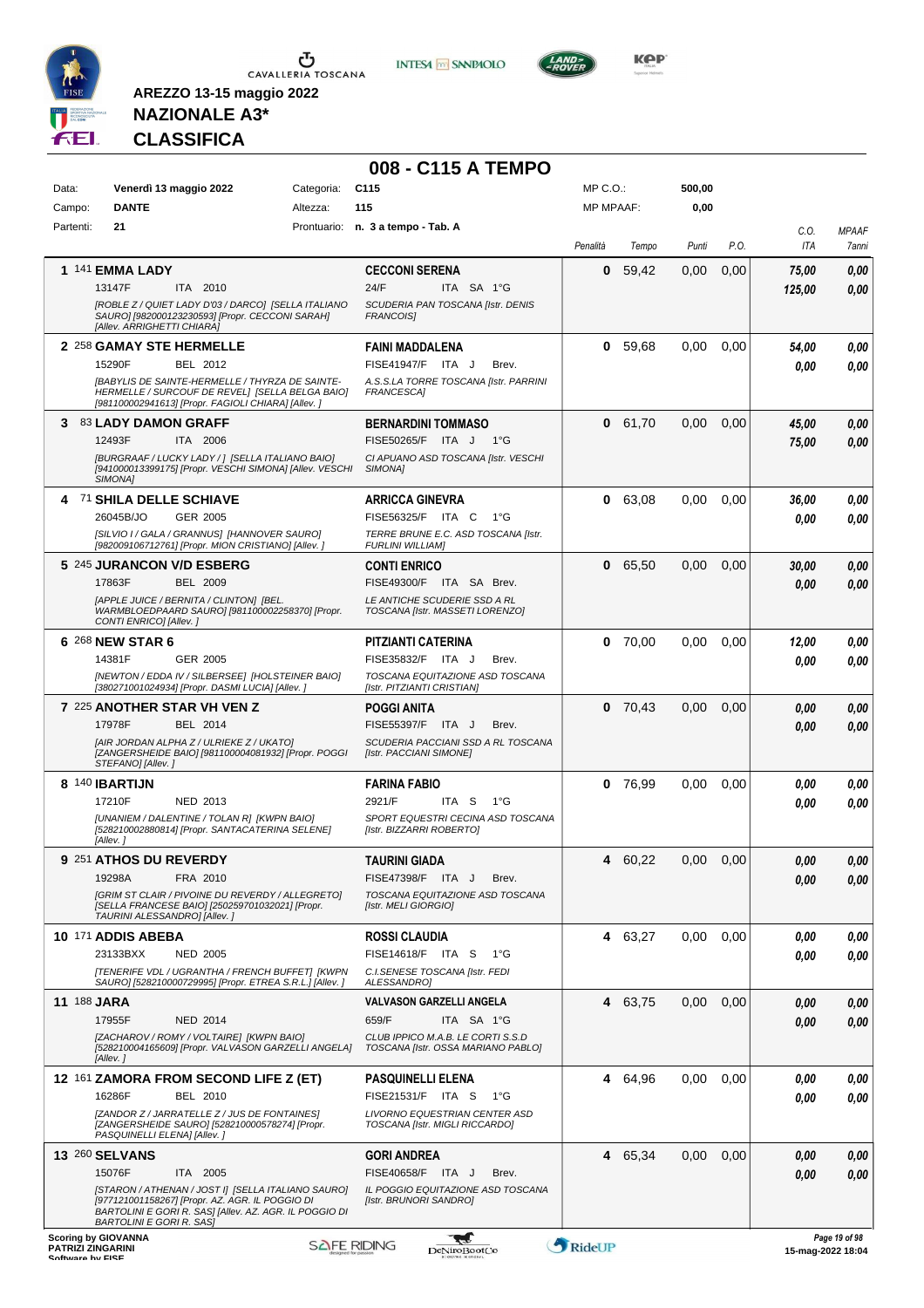

**INTESA** M SANPAOLO



**KOP** 

# **NAZIONALE A3\* CLASSIFICA**

|                          |                                                                                                                                                                                                    |            | 008 - C115 A TEMPO                                                      |                  |           |        |      |                   |                       |
|--------------------------|----------------------------------------------------------------------------------------------------------------------------------------------------------------------------------------------------|------------|-------------------------------------------------------------------------|------------------|-----------|--------|------|-------------------|-----------------------|
| Data:                    | Venerdì 13 maggio 2022                                                                                                                                                                             | Categoria: | C <sub>115</sub>                                                        | MP C.O.:         |           | 500,00 |      |                   |                       |
| Campo:                   | <b>DANTE</b>                                                                                                                                                                                       | Altezza:   | 115                                                                     | <b>MP MPAAF:</b> |           | 0,00   |      |                   |                       |
| Partenti:                | 21                                                                                                                                                                                                 |            | Prontuario: n. 3 a tempo - Tab. A                                       | Penalità         | Tempo     | Punti  | P.O. | C.O.<br>ITA       | <b>MPAAF</b><br>7anni |
|                          | 1 141 EMMA LADY                                                                                                                                                                                    |            | <b>CECCONI SERENA</b>                                                   | 0                | 59,42     | 0,00   | 0,00 | 75,00             | 0,00                  |
|                          | 13147F<br>ITA 2010<br>[ROBLE Z / QUIET LADY D'03 / DARCO] [SELLA ITALIANO                                                                                                                          |            | 24/F<br>ITA SA 1°G<br>SCUDERIA PAN TOSCANA [Istr. DENIS                 |                  |           |        |      | 125,00            | 0,00                  |
|                          | SAURO] [982000123230593] [Propr. CECCONI SARAH]<br>[Allev. ARRIGHETTI CHIARA]                                                                                                                      |            | <b>FRANCOIS]</b>                                                        |                  |           |        |      |                   |                       |
|                          | 2 258 GAMAY STE HERMELLE<br>15290F<br>BEL 2012                                                                                                                                                     |            | <b>FAINI MADDALENA</b><br>FISE41947/F ITA J<br>Brev.                    | 0                | 59,68     | 0,00   | 0.00 | 54,00<br>0.00     | 0,00<br>0,00          |
|                          | <b>IBABYLIS DE SAINTE-HERMELLE / THYRZA DE SAINTE-</b><br>HERMELLE / SURCOUF DE REVEL] [SELLA BELGA BAIO]<br>[981100002941613] [Propr. FAGIOLI CHIARA] [Allev.]                                    |            | A.S.S.LA TORRE TOSCANA [Istr. PARRINI<br>FRANCESCA]                     |                  |           |        |      |                   |                       |
|                          | 3 83 LADY DAMON GRAFF                                                                                                                                                                              |            | <b>BERNARDINI TOMMASO</b>                                               | 0                | 61,70     | 0,00   | 0,00 | 45,00             | 0,00                  |
|                          | ITA 2006<br>12493F<br>[BURGRAAF / LUCKY LADY / ] [SELLA ITALIANO BAIO]                                                                                                                             |            | FISE50265/F ITA J<br>1°G                                                |                  |           |        |      | 75,00             | 0,00                  |
|                          | [941000013399175] [Propr. VESCHI SIMONA] [Allev. VESCHI<br>SIMONA <sub>1</sub>                                                                                                                     |            | CI APUANO ASD TOSCANA [Istr. VESCHI<br>SIMONA]                          |                  |           |        |      |                   |                       |
|                          | 4 71 SHILA DELLE SCHIAVE                                                                                                                                                                           |            | <b>ARRICCA GINEVRA</b>                                                  | 0                | 63,08     | 0,00   | 0,00 | 36,00             | 0,00                  |
|                          | 26045B/JO<br>GER 2005                                                                                                                                                                              |            | FISE56325/F ITA C<br>1°G                                                |                  |           |        |      | 0.00              | 0.00                  |
|                          | [SILVIO I / GALA / GRANNUS] [HANNOVER SAURO]<br>[982009106712761] [Propr. MION CRISTIANO] [Allev. ]                                                                                                |            | TERRE BRUNE E.C. ASD TOSCANA [Istr.<br><b>FURLINI WILLIAM]</b>          |                  |           |        |      |                   |                       |
|                          | 5 245 JURANCON V/D ESBERG                                                                                                                                                                          |            | <b>CONTI ENRICO</b>                                                     | 0                | 65,50     | 0,00   | 0,00 | 30,00             | 0,00                  |
|                          | <b>BEL 2009</b><br>17863F<br>[APPLE JUICE / BERNITA / CLINTON] [BEL.                                                                                                                               |            | FISE49300/F ITA SA Brev.<br>LE ANTICHE SCUDERIE SSD A RL                |                  |           |        |      | 0.00              | 0.00                  |
|                          | WARMBLOEDPAARD SAURO] [981100002258370] [Propr.<br>CONTI ENRICO] [Allev.]                                                                                                                          |            | TOSCANA [Istr. MASSETI LORENZO]                                         |                  |           |        |      |                   |                       |
|                          | 6 268 NEW STAR 6                                                                                                                                                                                   |            | PITZIANTI CATERINA                                                      | 0                | 70,00     | 0,00   | 0,00 | 12,00             | 0,00                  |
|                          | GER 2005<br>14381F<br>[NEWTON / EDDA IV / SILBERSEE] [HOLSTEINER BAIO]                                                                                                                             |            | FISE35832/F ITA J<br>Brev.<br>TOSCANA EQUITAZIONE ASD TOSCANA           |                  |           |        |      | 0.00              | 0,00                  |
|                          | [380271001024934] [Propr. DASMI LUCIA] [Allev. ]                                                                                                                                                   |            | [Istr. PITZIANTI CRISTIAN]                                              |                  |           |        |      |                   |                       |
|                          | 7 225 ANOTHER STAR VH VEN Z                                                                                                                                                                        |            | <b>POGGI ANITA</b>                                                      |                  | $0$ 70,43 | 0,00   | 0,00 | 0.00              | 0,00                  |
|                          | 17978F<br>BEL 2014<br>[AIR JORDAN ALPHA Z / ULRIEKE Z / UKATO]                                                                                                                                     |            | FISE55397/F ITA J<br>Brev.<br>SCUDERIA PACCIANI SSD A RL TOSCANA        |                  |           |        |      | 0.00              | 0.00                  |
|                          | [ZANGERSHEIDE BAIO] [981100004081932] [Propr. POGGI<br>STEFANO] [Allev.]                                                                                                                           |            | [Istr. PACCIANI SIMONE]                                                 |                  |           |        |      |                   |                       |
|                          | 8 140 <b>IBARTIJN</b>                                                                                                                                                                              |            | <b>FARINA FABIO</b>                                                     | $\mathbf 0$      | 76,99     | 0,00   | 0,00 | 0.00              | 0,00                  |
|                          | 17210F<br>NED 2013<br>[UNANIEM / DALENTINE / TOLAN R] [KWPN BAIO]                                                                                                                                  |            | 2921/F<br>ITA S<br>1°G<br>SPORT EQUESTRI CECINA ASD TOSCANA             |                  |           |        |      | 0.00              | 0,00                  |
|                          | [528210002880814] [Propr. SANTACATERINA SELENE]<br>[Allev.]                                                                                                                                        |            | [Istr. BIZZARRI ROBERTO]                                                |                  |           |        |      |                   |                       |
|                          | 9 251 ATHOS DU REVERDY                                                                                                                                                                             |            | <b>TAURINI GIADA</b>                                                    | 4                | 60,22     | 0,00   | 0,00 | 0,00              | 0,00                  |
|                          | 19298A<br>FRA 2010<br>[GRIM ST CLAIR / PIVOINE DU REVERDY / ALLEGRETO]                                                                                                                             |            | FISE47398/F ITA J<br>Brev.<br>TOSCANA EQUITAZIONE ASD TOSCANA           |                  |           |        |      | 0.00              | 0,00                  |
|                          | [SELLA FRANCESE BAIO] [250259701032021] [Propr.<br>TAURINI ALESSANDRO] [Allev.]                                                                                                                    |            | [Istr. MELI GIORGIO]                                                    |                  |           |        |      |                   |                       |
|                          | 10 171 ADDIS ABEBA                                                                                                                                                                                 |            | <b>ROSSI CLAUDIA</b>                                                    |                  | 4 63,27   | 0,00   | 0.00 | 0,00              | 0,00                  |
|                          | 23133BXX<br><b>NED 2005</b>                                                                                                                                                                        |            | FISE14618/F ITA S<br>1°G                                                |                  |           |        |      | 0.00              | 0.00                  |
|                          | [TENERIFE VDL / UGRANTHA / FRENCH BUFFET] [KWPN<br>SAURO] [528210000729995] [Propr. ETREA S.R.L.] [Allev. ]                                                                                        |            | C.I. SENESE TOSCANA [Istr. FEDI<br>ALESSANDRO]                          |                  |           |        |      |                   |                       |
| <b>11 188 JARA</b>       |                                                                                                                                                                                                    |            | <b>VALVASON GARZELLI ANGELA</b>                                         |                  | 4 63.75   | 0,00   | 0,00 | 0,00              | 0,00                  |
|                          | 17955F<br><b>NED 2014</b>                                                                                                                                                                          |            | 659/F<br>ITA SA 1°G                                                     |                  |           |        |      | 0.00              | 0.00                  |
|                          | [ZACHAROV / ROMY / VOLTAIRE] [KWPN BAIO]<br>[528210004165609] [Propr. VALVASON GARZELLI ANGELA]<br>[Allev.]                                                                                        |            | CLUB IPPICO M.A.B. LE CORTI S.S.D<br>TOSCANA [Istr. OSSA MARIANO PABLO] |                  |           |        |      |                   |                       |
|                          | 12 161 ZAMORA FROM SECOND LIFE Z (ET)                                                                                                                                                              |            | <b>PASQUINELLI ELENA</b>                                                |                  | 4 64,96   | 0,00   | 0,00 | 0.00              | 0,00                  |
|                          | 16286F<br>BEL 2010                                                                                                                                                                                 |            | FISE21531/F ITA S<br>1°G                                                |                  |           |        |      | 0.00              | 0,00                  |
|                          | [ZANDOR Z / JARRATELLE Z / JUS DE FONTAINES]<br>[ZANGERSHEIDE SAURO] [528210000578274] [Propr.<br>PASQUINELLI ELENA] [Allev.]                                                                      |            | LIVORNO EQUESTRIAN CENTER ASD<br>TOSCANA [Istr. MIGLI RICCARDO]         |                  |           |        |      |                   |                       |
|                          | <b>13 260 SELVANS</b>                                                                                                                                                                              |            | <b>GORI ANDREA</b>                                                      | 4                | 65,34     | 0,00   | 0,00 | 0,00              | 0,00                  |
|                          | 15076F<br>ITA 2005                                                                                                                                                                                 |            | FISE40658/F ITA J<br>Brev.                                              |                  |           |        |      | 0.00              | 0,00                  |
|                          | [STARON / ATHENAN / JOST I] [SELLA ITALIANO SAURO]<br>[977121001158267] [Propr. AZ. AGR. IL POGGIO DI<br>BARTOLINI E GORI R. SAS] [Allev. AZ. AGR. IL POGGIO DI<br><b>BARTOLINI E GORI R. SAS]</b> |            | IL POGGIO EQUITAZIONE ASD TOSCANA<br>[Istr. BRUNORI SANDRO]             |                  |           |        |      |                   |                       |
| <b>PATRIZI ZINGARINI</b> | <b>Scoring by GIOVANNA</b><br>Coffware by EICE                                                                                                                                                     |            | <b>SAFE RIDING</b><br><b>DeNiroBootCo</b>                               | RideUP           |           |        |      | 15-mag-2022 18:04 | Page 19 of 98         |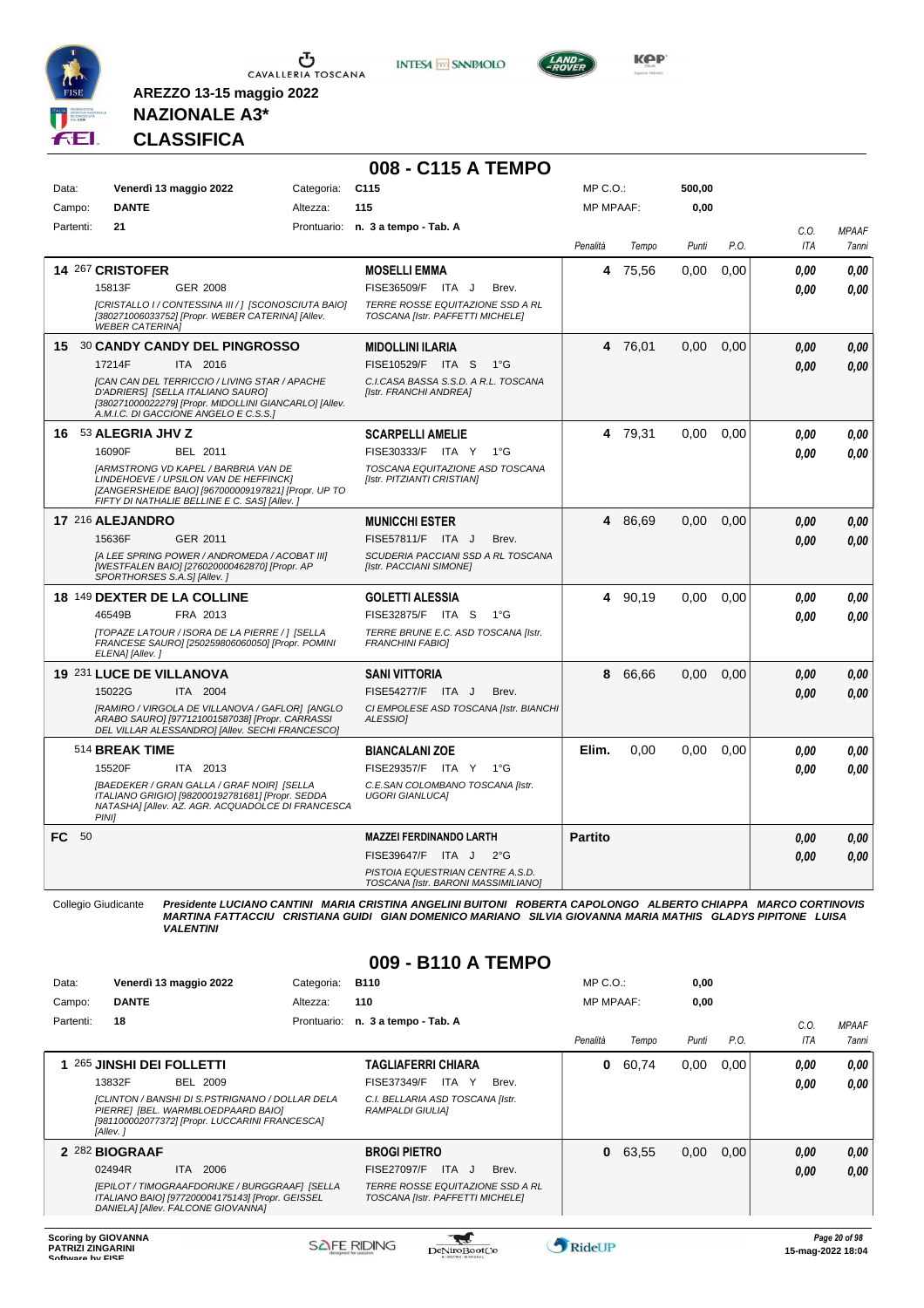

**INTESA M** SANPAOLO



**Kep** 

### **NAZIONALE A3\* CLASSIFICA**

**AREZZO 13-15 maggio 2022**

|           |                        |                                                                                                                                                                                              |            | 008 - C115 A TEMPO                                                      |                  |         |        |      |            |              |
|-----------|------------------------|----------------------------------------------------------------------------------------------------------------------------------------------------------------------------------------------|------------|-------------------------------------------------------------------------|------------------|---------|--------|------|------------|--------------|
| Data:     |                        | Venerdì 13 maggio 2022                                                                                                                                                                       | Categoria: | C <sub>115</sub>                                                        | $MP C. O.$ :     |         | 500,00 |      |            |              |
| Campo:    | <b>DANTE</b>           |                                                                                                                                                                                              | Altezza:   | 115                                                                     | <b>MP MPAAF:</b> |         | 0.00   |      |            |              |
| Partenti: | 21                     |                                                                                                                                                                                              |            | Prontuario: n. 3 a tempo - Tab. A                                       |                  |         |        |      | C.O.       | <b>MPAAF</b> |
|           |                        |                                                                                                                                                                                              |            |                                                                         | Penalità         | Tempo   | Punti  | P.O. | <b>ITA</b> | 7anni        |
|           | 14 267 CRISTOFER       |                                                                                                                                                                                              |            | <b>MOSELLI EMMA</b>                                                     | 4                | 75,56   | 0,00   | 0.00 | 0.00       | 0.00         |
|           | 15813F                 | GER 2008                                                                                                                                                                                     |            | FISE36509/F ITA J<br>Brev.                                              |                  |         |        |      | 0.00       | 0.00         |
|           | <b>WEBER CATERINAI</b> | [CRISTALLO I/ CONTESSINA III / ] [SCONOSCIUTA BAIO]<br>[380271006033752] [Propr. WEBER CATERINA] [Allev.                                                                                     |            | TERRE ROSSE EQUITAZIONE SSD A RL<br>TOSCANA [Istr. PAFFETTI MICHELE]    |                  |         |        |      |            |              |
|           |                        | 15 30 CANDY CANDY DEL PINGROSSO                                                                                                                                                              |            | <b>MIDOLLINI ILARIA</b>                                                 |                  | 4 76,01 | 0,00   | 0.00 | 0.00       | 0.00         |
|           | 17214F                 | ITA 2016                                                                                                                                                                                     |            | FISE10529/F ITA S<br>1°G                                                |                  |         |        |      | 0.00       | 0.00         |
|           |                        | <b>[CAN CAN DEL TERRICCIO / LIVING STAR / APACHE</b><br>D'ADRIERS] [SELLA ITALIANO SAURO]<br>[380271000022279] [Propr. MIDOLLINI GIANCARLO] [Allev.<br>A.M.I.C. DI GACCIONE ANGELO E C.S.S.] |            | C.I.CASA BASSA S.S.D. A R.L. TOSCANA<br>[Istr. FRANCHI ANDREA]          |                  |         |        |      |            |              |
|           | 16 53 ALEGRIA JHV Z    |                                                                                                                                                                                              |            | <b>SCARPELLI AMELIE</b>                                                 |                  | 4 79,31 | 0.00   | 0.00 | 0.00       | 0.00         |
|           | 16090F                 | BEL 2011                                                                                                                                                                                     |            | FISE30333/F ITA Y<br>1°G                                                |                  |         |        |      | 0.00       | 0.00         |
|           |                        | <b>JARMSTRONG VD KAPEL / BARBRIA VAN DE</b><br>LINDEHOEVE / UPSILON VAN DE HEFFINCKI<br>[ZANGERSHEIDE BAIO] [967000009197821] [Propr. UP TO<br>FIFTY DI NATHALIE BELLINE E C. SAS] [Allev.]  |            | TOSCANA EQUITAZIONE ASD TOSCANA<br>[Istr. PITZIANTI CRISTIAN]           |                  |         |        |      |            |              |
|           | 17 216 ALEJANDRO       |                                                                                                                                                                                              |            | <b>MUNICCHI ESTER</b>                                                   |                  | 4 86,69 | 0,00   | 0,00 | 0.00       | 0,00         |
|           | 15636F                 | GER 2011                                                                                                                                                                                     |            | FISE57811/F ITA J<br>Brev.                                              |                  |         |        |      | 0.00       | 0.00         |
|           |                        | [A LEE SPRING POWER / ANDROMEDA / ACOBAT III]<br>[WESTFALEN BAIO] [276020000462870] [Propr. AP<br>SPORTHORSES S.A.S] [Allev.]                                                                |            | SCUDERIA PACCIANI SSD A RL TOSCANA<br>[Istr. PACCIANI SIMONE]           |                  |         |        |      |            |              |
|           |                        | 18 149 DEXTER DE LA COLLINE                                                                                                                                                                  |            | <b>GOLETTI ALESSIA</b>                                                  |                  | 4 90.19 | 0.00   | 0.00 | 0.00       | 0.00         |
|           | 46549B                 | FRA 2013                                                                                                                                                                                     |            | FISE32875/F ITA S<br>1°G                                                |                  |         |        |      | 0.00       | 0.00         |
|           | ELENA] [Allev.]        | [TOPAZE LATOUR / ISORA DE LA PIERRE / ] [SELLA<br>FRANCESE SAURO] [250259806060050] [Propr. POMINI                                                                                           |            | TERRE BRUNE E.C. ASD TOSCANA [Istr.<br><b>FRANCHINI FABIOI</b>          |                  |         |        |      |            |              |
|           |                        | 19 231 LUCE DE VILLANOVA                                                                                                                                                                     |            | <b>SANI VITTORIA</b>                                                    | 8                | 66.66   | 0.00   | 0.00 | 0.00       | 0.00         |
|           | 15022G                 | ITA 2004                                                                                                                                                                                     |            | FISE54277/F ITA J<br>Brev.                                              |                  |         |        |      | 0.00       | 0.00         |
|           |                        | [RAMIRO / VIRGOLA DE VILLANOVA / GAFLOR] [ANGLO<br>ARABO SAURO] [977121001587038] [Propr. CARRASSI<br>DEL VILLAR ALESSANDRO] [Allev. SECHI FRANCESCO]                                        |            | CI EMPOLESE ASD TOSCANA [Istr. BIANCHI<br><b>ALESSIOI</b>               |                  |         |        |      |            |              |
|           | 514 BREAK TIME         |                                                                                                                                                                                              |            | <b>BIANCALANI ZOE</b>                                                   | Elim.            | 0.00    | 0.00   | 0.00 | 0.00       | 0.00         |
|           | 15520F                 | ITA 2013                                                                                                                                                                                     |            | FISE29357/F ITA Y<br>1°G                                                |                  |         |        |      | 0.00       | 0,00         |
|           | <b>PINII</b>           | [BAEDEKER / GRAN GALLA / GRAF NOIR] [SELLA<br>ITALIANO GRIGIO] [982000192781681] [Propr. SEDDA<br>NATASHAI [Allev. AZ. AGR. ACQUADOLCE DI FRANCESCA                                          |            | C.E.SAN COLOMBANO TOSCANA [Istr.<br><b>UGORI GIANLUCAI</b>              |                  |         |        |      |            |              |
| FC 50     |                        |                                                                                                                                                                                              |            | <b>MAZZEI FERDINANDO LARTH</b>                                          | <b>Partito</b>   |         |        |      | 0.00       | 0.00         |
|           |                        |                                                                                                                                                                                              |            | FISE39647/F ITA J<br>$2^{\circ}G$                                       |                  |         |        |      | 0.00       | 0.00         |
|           |                        |                                                                                                                                                                                              |            | PISTOIA EQUESTRIAN CENTRE A.S.D.<br>TOSCANA [Istr. BARONI MASSIMILIANO] |                  |         |        |      |            |              |

Collegio Giudicante Presidente LUCIANO CANTINI MARIA CRISTINA ANGELINI BUITONI ROBERTA CAPOLONGO ALBERTO CHIAPPA MARCO CORTINOVIS<br>MARTINA FATTACCIU CRISTIANA GUIDI GIAN DOMENICO MARIANO SILVIA GIOVANNA MARIA MATHIS GLADYS

#### **009 - B110 A TEMPO**

| Data:     | Venerdì 13 maggio 2022                                                                                                                              | Categoria:  | <b>B110</b>                                                                 | $MP C. O.$ :     |       | 0,00  |      |      |              |
|-----------|-----------------------------------------------------------------------------------------------------------------------------------------------------|-------------|-----------------------------------------------------------------------------|------------------|-------|-------|------|------|--------------|
| Campo:    | <b>DANTE</b>                                                                                                                                        | Altezza:    | 110                                                                         | <b>MP MPAAF:</b> |       | 0,00  |      |      |              |
| Partenti: | 18                                                                                                                                                  | Prontuario: | n. 3 a tempo - Tab. A                                                       |                  |       |       |      | C.0  | <b>MPAAF</b> |
|           |                                                                                                                                                     |             |                                                                             | Penalità         | Tempo | Punti | P.O. | ITA  | 7anni        |
|           | 265 JINSHI DEI FOLLETTI                                                                                                                             |             | <b>TAGLIAFERRI CHIARA</b>                                                   | 0                | 60.74 | 0,00  | 0.00 | 0.00 | 0.00         |
|           | 13832F<br><b>BEL 2009</b>                                                                                                                           |             | <b>FISE37349/F</b><br>ITA Y<br>Brev.                                        |                  |       |       |      | 0,00 | 0.00         |
|           | [CLINTON / BANSHI DI S.PSTRIGNANO / DOLLAR DELA<br>PIERRE] [BEL. WARMBLOEDPAARD BAIO]<br>[981100002077372] [Propr. LUCCARINI FRANCESCA]<br>[Allev.] |             | C.I. BELLARIA ASD TOSCANA [Istr.<br><b>RAMPALDI GIULIAI</b>                 |                  |       |       |      |      |              |
|           | 2 282 BIOGRAAF                                                                                                                                      |             | <b>BROGI PIETRO</b>                                                         | $\bf{0}$         | 63,55 | 0,00  | 0,00 | 0,00 | 0,00         |
|           | 02494R<br>2006<br>ITA.                                                                                                                              |             | <b>FISE27097/F</b><br>ITA J<br>Brev.                                        |                  |       |       |      | 0,00 | 0.00         |
|           | [EPILOT / TIMOGRAAFDORIJKE / BURGGRAAF] [SELLA<br>ITALIANO BAIO] [977200004175143] [Propr. GEISSEL<br>DANIELA] [Allev. FALCONE GIOVANNA]            |             | <b>TERRE ROSSE EQUITAZIONE SSD A RL</b><br>TOSCANA [Istr. PAFFETTI MICHELE] |                  |       |       |      |      |              |
|           |                                                                                                                                                     |             |                                                                             |                  |       |       |      |      |              |

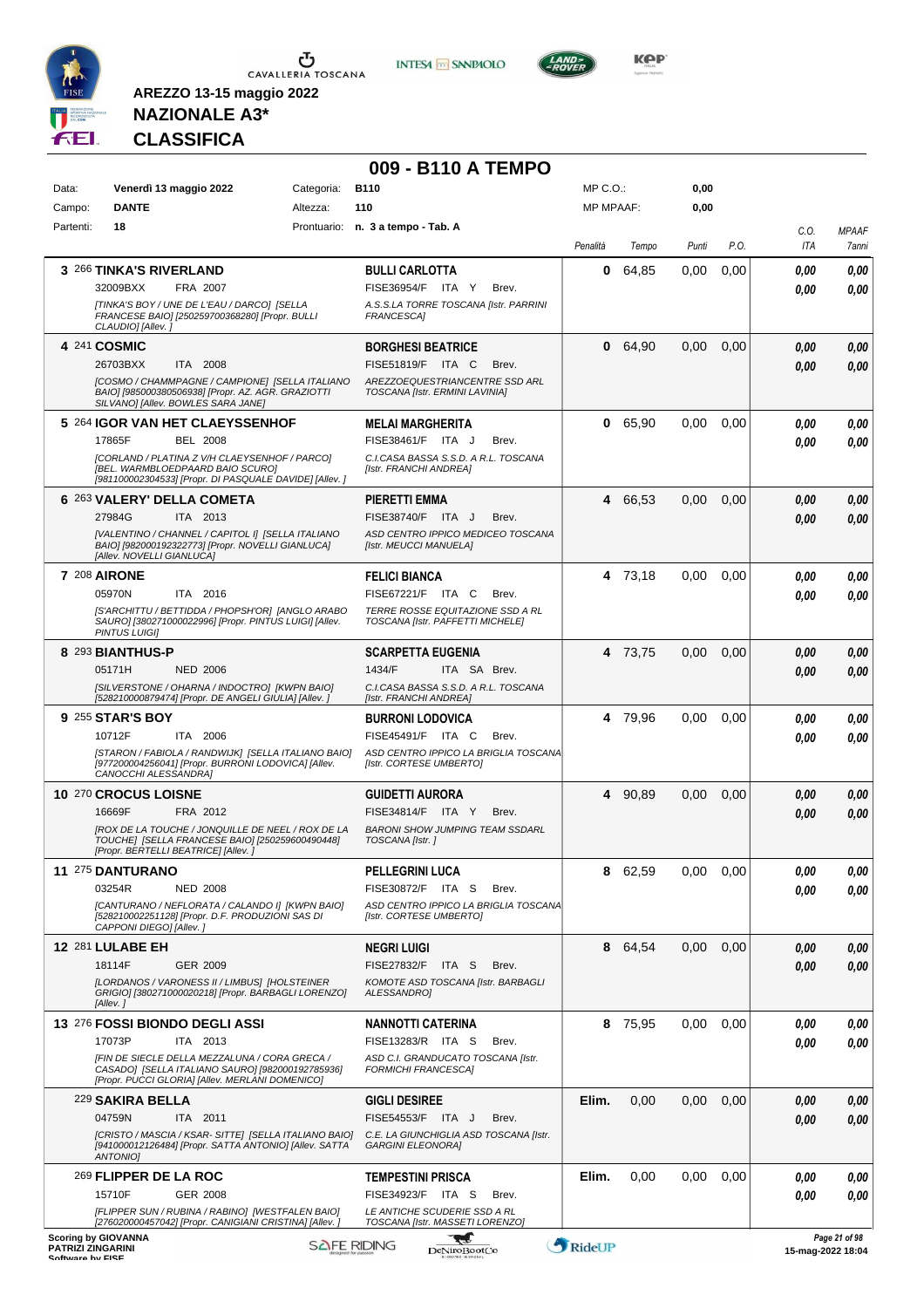

 $\mathbf 5$  Cavalleria Toscana

**INTESA** M SANPAOLO



**KOP** 

# **NAZIONALE A3\* CLASSIFICA**

|                                              |                                                                                                                                                      |            | 009 - B110 A TEMPO                                                   |                  |         |          |      |                   |                       |
|----------------------------------------------|------------------------------------------------------------------------------------------------------------------------------------------------------|------------|----------------------------------------------------------------------|------------------|---------|----------|------|-------------------|-----------------------|
| Data:                                        | Venerdì 13 maggio 2022                                                                                                                               | Categoria: | <b>B110</b>                                                          | MP C.O.:         |         | 0,00     |      |                   |                       |
| Campo:<br>Partenti:                          | <b>DANTE</b><br>18                                                                                                                                   | Altezza:   | 110<br>Prontuario: n. 3 a tempo - Tab. A                             | <b>MP MPAAF:</b> |         | 0,00     |      |                   |                       |
|                                              |                                                                                                                                                      |            |                                                                      | Penalità         | Tempo   | Punti    | P.O. | C.O.<br>ITA       | <b>MPAAF</b><br>7anni |
|                                              | 3 266 TINKA'S RIVERLAND                                                                                                                              |            | <b>BULLI CARLOTTA</b>                                                | 0                | 64,85   | 0,00     | 0,00 | 0.00              | 0,00                  |
|                                              | 32009BXX<br>FRA 2007                                                                                                                                 |            | FISE36954/F ITA Y<br>Brev.                                           |                  |         |          |      | 0.00              | 0,00                  |
|                                              | [TINKA'S BOY / UNE DE L'EAU / DARCO] [SELLA<br>FRANCESE BAIO] [250259700368280] [Propr. BULLI<br>CLAUDIO] [Allev.]                                   |            | A.S.S.LA TORRE TOSCANA [Istr. PARRINI<br>FRANCESCA]                  |                  |         |          |      |                   |                       |
|                                              | 4 241 COSMIC<br>26703BXX<br>ITA 2008                                                                                                                 |            | <b>BORGHESI BEATRICE</b><br>FISE51819/F ITA C<br>Brev.               |                  | 0 64,90 | 0,00     | 0,00 | 0,00              | 0,00                  |
|                                              | ICOSMO / CHAMMPAGNE / CAMPIONE] [SELLA ITALIANO<br>BAIO] [985000380506938] [Propr. AZ. AGR. GRAZIOTTI                                                |            | AREZZOEQUESTRIANCENTRE SSD ARL<br>TOSCANA [Istr. ERMINI LAVINIA]     |                  |         |          |      | 0.00              | 0,00                  |
|                                              | SILVANO] [Allev. BOWLES SARA JANE]                                                                                                                   |            |                                                                      |                  |         |          |      |                   |                       |
|                                              | 5 264 IGOR VAN HET CLAEYSSENHOF                                                                                                                      |            | <b>MELAI MARGHERITA</b>                                              | 0                | 65,90   | 0.00     | 0,00 | 0.00              | 0,00                  |
|                                              | 17865F<br><b>BEL 2008</b><br>[CORLAND / PLATINA Z V/H CLAEYSENHOF / PARCO]                                                                           |            | FISE38461/F ITA J<br>Brev.<br>C.I.CASA BASSA S.S.D. A R.L. TOSCANA   |                  |         |          |      | 0.00              | 0.00                  |
|                                              | [BEL. WARMBLOEDPAARD BAIO SCURO]<br>[981100002304533] [Propr. DI PASQUALE DAVIDE] [Allev.]                                                           |            | [Istr. FRANCHI ANDREA]                                               |                  |         |          |      |                   |                       |
|                                              | 6 263 VALERY' DELLA COMETA                                                                                                                           |            | PIERETTI EMMA                                                        |                  | 4 66,53 | 0,00     | 0,00 | 0.00              | 0,00                  |
|                                              | ITA 2013<br>27984G                                                                                                                                   |            | FISE38740/F ITA J<br>Brev.                                           |                  |         |          |      | 0.00              | 0,00                  |
|                                              | [VALENTINO / CHANNEL / CAPITOL I] [SELLA ITALIANO<br>BAIO] [982000192322773] [Propr. NOVELLI GIANLUCA]<br>[Allev. NOVELLI GIANLUCA]                  |            | ASD CENTRO IPPICO MEDICEO TOSCANA<br>[Istr. MEUCCI MANUELA]          |                  |         |          |      |                   |                       |
|                                              | <b>7 208 AIRONE</b>                                                                                                                                  |            | <b>FELICI BIANCA</b>                                                 |                  | 4 73,18 | 0,00     | 0,00 | 0.00              | 0,00                  |
|                                              | 05970N<br>ITA 2016                                                                                                                                   |            | FISE67221/F ITA C<br>Brev.                                           |                  |         |          |      | 0.00              | 0.00                  |
|                                              | [S'ARCHITTU / BETTIDDA / PHOPSH'OR] [ANGLO ARABO<br>SAURO] [380271000022996] [Propr. PINTUS LUIGI] [Allev.<br><b>PINTUS LUIGII</b>                   |            | TERRE ROSSE EQUITAZIONE SSD A RL<br>TOSCANA [Istr. PAFFETTI MICHELE] |                  |         |          |      |                   |                       |
|                                              | 8 293 BIANTHUS-P                                                                                                                                     |            | <b>SCARPETTA EUGENIA</b>                                             |                  | 4 73,75 | 0,00     | 0,00 | 0,00              | 0,00                  |
|                                              | 05171H<br><b>NED 2006</b>                                                                                                                            |            | 1434/F<br>ITA SA Brev.                                               |                  |         |          |      | 0.00              | 0,00                  |
|                                              | [SILVERSTONE / OHARNA / INDOCTRO] [KWPN BAIO]<br>[528210000879474] [Propr. DE ANGELI GIULIA] [Allev.]                                                |            | C.I.CASA BASSA S.S.D. A R.L. TOSCANA<br>[Istr. FRANCHI ANDREA]       |                  |         |          |      |                   |                       |
|                                              | 9 255 STAR'S BOY                                                                                                                                     |            | <b>BURRONI LODOVICA</b>                                              |                  | 4 79,96 | $0.00\,$ | 0,00 | 0.00              | 0,00                  |
|                                              | 10712F<br>ITA 2006                                                                                                                                   |            | <b>FISE45491/F ITA C</b><br>Brev.                                    |                  |         |          |      | 0.00              | 0.00                  |
|                                              | [STARON / FABIOLA / RANDWIJK] [SELLA ITALIANO BAIO]<br>[977200004256041] [Propr. BURRONI LODOVICA] [Allev.<br>CANOCCHI ALESSANDRA]                   |            | ASD CENTRO IPPICO LA BRIGLIA TOSCANA<br>[Istr. CORTESE UMBERTO]      |                  |         |          |      |                   |                       |
|                                              | 10 270 CROCUS LOISNE                                                                                                                                 |            | <b>GUIDETTI AURORA</b>                                               |                  | 4 90,89 | 0.00     | 0,00 | 0,00              | 0,00                  |
|                                              | 16669F<br>FRA 2012<br><b>IROX DE LA TOUCHE / JONQUILLE DE NEEL / ROX DE LA</b>                                                                       |            | FISE34814/F ITA Y<br>Brev.<br><b>BARONI SHOW JUMPING TEAM SSDARL</b> |                  |         |          |      | 0.00              | 0.00                  |
|                                              | TOUCHE] [SELLA FRANCESE BAIO] [250259600490448]<br>[Propr. BERTELLI BEATRICE] [Allev. j                                                              |            | TOSCANA [Istr.]                                                      |                  |         |          |      |                   |                       |
|                                              | 11 275 DANTURANO                                                                                                                                     |            | <b>PELLEGRINI LUCA</b>                                               |                  | 8 62,59 | $0.00\,$ | 0,00 | 0.00              | 0,00                  |
|                                              | 03254R<br><b>NED 2008</b>                                                                                                                            |            | FISE30872/F ITA S<br>Brev.<br>ASD CENTRO IPPICO LA BRIGLIA TOSCANA   |                  |         |          |      | 0.00              | 0,00                  |
|                                              | [CANTURANO / NEFLORATA / CALANDO I] [KWPN BAIO]<br>[528210002251128] [Propr. D.F. PRODUZIONI SAS DI<br>CAPPONI DIEGO] [Allev.]                       |            | [Istr. CORTESE UMBERTO]                                              |                  |         |          |      |                   |                       |
|                                              | <b>12 281 LULABE EH</b>                                                                                                                              |            | <b>NEGRI LUIGI</b>                                                   |                  | 8 64,54 | 0,00     | 0,00 | 0,00              | 0,00                  |
|                                              | 18114F<br>GER 2009                                                                                                                                   |            | FISE27832/F ITA S<br>Brev.                                           |                  |         |          |      | 0.00              | 0,00                  |
|                                              | [LORDANOS / VARONESS II / LIMBUS] [HOLSTEINER<br>GRIGIO] [380271000020218] [Propr. BARBAGLI LORENZO]<br>[Allev.]                                     |            | KOMOTE ASD TOSCANA [Istr. BARBAGLI<br>ALESSANDRO]                    |                  |         |          |      |                   |                       |
|                                              | 13 276 FOSSI BIONDO DEGLI ASSI                                                                                                                       |            | <b>NANNOTTI CATERINA</b>                                             | 8                | 75,95   | 0,00     | 0,00 | 0.00              | 0,00                  |
|                                              | 17073P<br>ITA 2013                                                                                                                                   |            | FISE13283/R ITA S<br>Brev.                                           |                  |         |          |      | 0.00              | 0,00                  |
|                                              | [FIN DE SIECLE DELLA MEZZALUNA / CORA GRECA /<br>CASADO] [SELLA ITALIANO SAURO] [982000192785936]<br>[Propr. PUCCI GLORIA] [Allev. MERLANI DOMENICO] |            | ASD C.I. GRANDUCATO TOSCANA [Istr.<br><b>FORMICHI FRANCESCA]</b>     |                  |         |          |      |                   |                       |
|                                              | 229 SAKIRA BELLA                                                                                                                                     |            | <b>GIGLI DESIREE</b>                                                 | Elim.            | 0,00    | 0,00     | 0,00 | 0,00              | 0,00                  |
|                                              | 04759N<br>ITA 2011                                                                                                                                   |            | FISE54553/F ITA J<br>Brev.                                           |                  |         |          |      | 0.00              | 0,00                  |
|                                              | [CRISTO / MASCIA / KSAR- SITTE] [SELLA ITALIANO BAIO]<br>[941000012126484] [Propr. SATTA ANTONIO] [Allev. SATTA<br>ANTONIO]                          |            | C.E. LA GIUNCHIGLIA ASD TOSCANA [Istr.<br><b>GARGINI ELEONORA]</b>   |                  |         |          |      |                   |                       |
|                                              | 269 FLIPPER DE LA ROC                                                                                                                                |            | <b>TEMPESTINI PRISCA</b>                                             | Elim.            | 0,00    | 0.00     | 0.00 | 0,00              | 0,00                  |
|                                              | 15710F<br><b>GER 2008</b>                                                                                                                            |            | FISE34923/F ITA S<br>Brev.                                           |                  |         |          |      | 0.00              | 0.00                  |
|                                              | [FLIPPER SUN / RUBINA / RABINO] [WESTFALEN BAIO]<br>[276020000457042] [Propr. CANIGIANI CRISTINA] [Allev.]                                           |            | LE ANTICHE SCUDERIE SSD A RL<br>TOSCANA [Istr. MASSETI LORENZO]      |                  |         |          |      |                   |                       |
| <b>PATRIZI ZINGARINI</b><br>Coffware by EICE | <b>Scoring by GIOVANNA</b>                                                                                                                           |            | 3,35<br><b>SAFE RIDING</b><br><b>DeNiroBootCo</b>                    | RideUP           |         |          |      | 15-mag-2022 18:04 | Page 21 of 98         |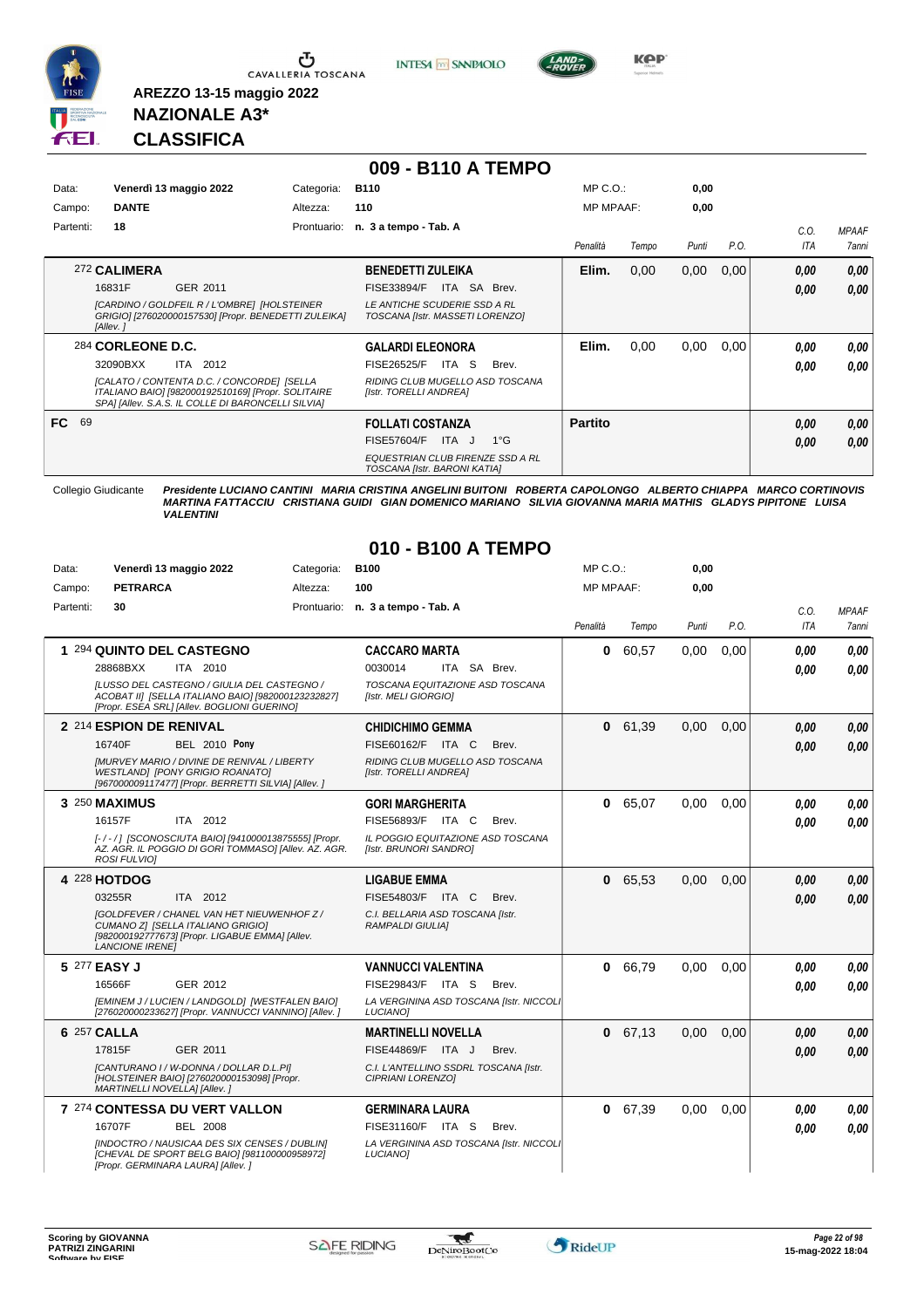

**INTESA M** SANPAOLO



**Kep** 

# **NAZIONALE A3\* CLASSIFICA**

**AREZZO 13-15 maggio 2022**

|           |                   |                                                                                                                                                        |             | 009 - B110 A TEMPO                                                      |                  |       |       |      |            |              |
|-----------|-------------------|--------------------------------------------------------------------------------------------------------------------------------------------------------|-------------|-------------------------------------------------------------------------|------------------|-------|-------|------|------------|--------------|
| Data:     |                   | Venerdì 13 maggio 2022                                                                                                                                 | Categoria:  | <b>B110</b>                                                             | MP C. O.         |       | 0.00  |      |            |              |
| Campo:    | <b>DANTE</b>      |                                                                                                                                                        | Altezza:    | 110                                                                     | <b>MP MPAAF:</b> |       | 0.00  |      |            |              |
| Partenti: | 18                |                                                                                                                                                        | Prontuario: | n. 3 a tempo - Tab. A                                                   |                  |       |       |      | C.0.       | <b>MPAAF</b> |
|           |                   |                                                                                                                                                        |             |                                                                         | Penalità         | Tempo | Punti | P.O. | <b>ITA</b> | <b>7anni</b> |
|           | 272 CALIMERA      |                                                                                                                                                        |             | <b>BENEDETTI ZULEIKA</b>                                                | Elim.            | 0,00  | 0,00  | 0,00 | 0.00       | 0,00         |
|           | 16831F            | GER 2011                                                                                                                                               |             | ITA SA<br>Brev.<br>FISE33894/F                                          |                  |       |       |      | 0.00       | 0.00         |
|           | [Allev.]          | [CARDINO / GOLDFEIL R / L'OMBRE] [HOLSTEINER<br>GRIGIO] [276020000157530] [Propr. BENEDETTI ZULEIKA]                                                   |             | LE ANTICHE SCUDERIE SSD A RL<br>TOSCANA [Istr. MASSETI LORENZO]         |                  |       |       |      |            |              |
|           | 284 CORLEONE D.C. |                                                                                                                                                        |             | <b>GALARDI ELEONORA</b>                                                 | Elim.            | 0,00  | 0.00  | 0,00 | 0.00       | 0.00         |
|           | 32090BXX          | 2012<br>ITA                                                                                                                                            |             | FISE26525/F<br>ITA S<br>Brev.                                           |                  |       |       |      | 0.00       | 0.00         |
|           |                   | ICALATO / CONTENTA D.C. / CONCORDEI ISELLA<br>ITALIANO BAIO] [982000192510169] [Propr. SOLITAIRE<br>SPAI [Allev. S.A.S. IL COLLE DI BARONCELLI SILVIA] |             | RIDING CLUB MUGELLO ASD TOSCANA<br>[Istr. TORELLI ANDREA]               |                  |       |       |      |            |              |
| 69<br>FC. |                   |                                                                                                                                                        |             | <b>FOLLATI COSTANZA</b>                                                 | <b>Partito</b>   |       |       |      | 0,00       | 0,00         |
|           |                   |                                                                                                                                                        |             | FISE57604/F<br>ITA J<br>$1^{\circ}G$                                    |                  |       |       |      | 0.00       | 0.00         |
|           |                   |                                                                                                                                                        |             | <b>EQUESTRIAN CLUB FIRENZE SSD A RL</b><br>TOSCANA [Istr. BARONI KATIA] |                  |       |       |      |            |              |

#### **010 - B100 A TEMPO**

| Data:     | Venerdì 13 maggio 2022                                                                                                                                              | Categoria: | <b>B100</b>                                                 | MP C.O.:         |       | 0,00  |      |      |              |
|-----------|---------------------------------------------------------------------------------------------------------------------------------------------------------------------|------------|-------------------------------------------------------------|------------------|-------|-------|------|------|--------------|
| Campo:    | <b>PETRARCA</b>                                                                                                                                                     | Altezza:   | 100                                                         | <b>MP MPAAF:</b> |       | 0,00  |      |      |              |
| Partenti: | 30                                                                                                                                                                  |            | Prontuario: n. 3 a tempo - Tab. A                           |                  |       |       |      | C.O. | <b>MPAAF</b> |
|           |                                                                                                                                                                     |            |                                                             | Penalità         | Tempo | Punti | P.O. | ITA  | 7anni        |
|           | 1 294 QUINTO DEL CASTEGNO                                                                                                                                           |            | <b>CACCARO MARTA</b>                                        | 0                | 60.57 | 0,00  | 0.00 | 0.00 | 0.00         |
|           | 28868BXX<br>ITA 2010                                                                                                                                                |            | 0030014<br>ITA SA Brev.                                     |                  |       |       |      | 0.00 | 0.00         |
|           | ILUSSO DEL CASTEGNO / GIULIA DEL CASTEGNO /<br>ACOBAT III ISELLA ITALIANO BAIOI [982000123232827]<br>[Propr. ESEA SRL] [Allev. BOGLIONI GUERINO]                    |            | TOSCANA EQUITAZIONE ASD TOSCANA<br>[Istr. MELI GIORGIO]     |                  |       |       |      |      |              |
|           | 2 214 ESPION DE RENIVAL                                                                                                                                             |            | <b>CHIDICHIMO GEMMA</b>                                     | 0                | 61,39 | 0,00  | 0,00 | 0.00 | 0.00         |
|           | 16740F<br><b>BEL 2010 Pony</b>                                                                                                                                      |            | FISE60162/F ITA C<br>Brev.                                  |                  |       |       |      | 0.00 | 0.00         |
|           | <b>IMURVEY MARIO / DIVINE DE RENIVAL / LIBERTY</b><br>WESTLAND] [PONY GRIGIO ROANATO]<br>[967000009117477] [Propr. BERRETTI SILVIA] [Allev. ]                       |            | RIDING CLUB MUGELLO ASD TOSCANA<br>[Istr. TORELLI ANDREA]   |                  |       |       |      |      |              |
|           | 3 250 MAXIMUS                                                                                                                                                       |            | <b>GORI MARGHERITA</b>                                      | 0                | 65,07 | 0,00  | 0.00 | 0.00 | 0.00         |
|           | ITA 2012<br>16157F                                                                                                                                                  |            | FISE56893/F ITA C<br>Brev.                                  |                  |       |       |      | 0.00 | 0.00         |
|           | [-/-/] [SCONOSCIUTA BAIO] [941000013875555] [Propr.<br>AZ. AGR. IL POGGIO DI GORI TOMMASOI [Allev. AZ. AGR.<br><b>ROSI FULVIOI</b>                                  |            | IL POGGIO EQUITAZIONE ASD TOSCANA<br>[Istr. BRUNORI SANDRO] |                  |       |       |      |      |              |
|           | 4 228 HOTDOG                                                                                                                                                        |            | <b>LIGABUE EMMA</b>                                         | 0                | 65,53 | 0.00  | 0.00 | 0,00 | 0.00         |
|           | ITA 2012<br>03255R                                                                                                                                                  |            | FISE54803/F ITA C<br>Brev.                                  |                  |       |       |      | 0,00 | 0,00         |
|           | <b>IGOLDFEVER / CHANEL VAN HET NIEUWENHOF Z /</b><br>CUMANO ZI [SELLA ITALIANO GRIGIO]<br>[982000192777673] [Propr. LIGABUE EMMA] [Allev.<br><b>LANCIONE IRENEI</b> |            | C.I. BELLARIA ASD TOSCANA [Istr.<br><b>RAMPALDI GIULIAI</b> |                  |       |       |      |      |              |
|           | 5 277 EASY J                                                                                                                                                        |            | <b>VANNUCCI VALENTINA</b>                                   | 0                | 66,79 | 0.00  | 0.00 | 0.00 | 0.00         |
|           | 16566F<br>GER 2012                                                                                                                                                  |            | FISE29843/F ITA S<br>Brev.                                  |                  |       |       |      | 0.00 | 0.00         |
|           | [EMINEM J / LUCIEN / LANDGOLD] [WESTFALEN BAIO]<br>[276020000233627] [Propr. VANNUCCI VANNINO] [Allev. ]                                                            |            | LA VERGININA ASD TOSCANA [Istr. NICCOLI<br><b>LUCIANO1</b>  |                  |       |       |      |      |              |
|           | <b>6 257 CALLA</b>                                                                                                                                                  |            | <b>MARTINELLI NOVELLA</b>                                   | 0                | 67,13 | 0,00  | 0.00 | 0,00 | 0.00         |
|           | 17815F<br>GER 2011                                                                                                                                                  |            | FISE44869/F ITA J<br>Brev.                                  |                  |       |       |      | 0.00 | 0.00         |
|           | [CANTURANO I / W-DONNA / DOLLAR D.L.PI]<br>[HOLSTEINER BAIO] [276020000153098] [Propr.<br>MARTINELLI NOVELLA] [Allev.]                                              |            | C.I. L'ANTELLINO SSDRL TOSCANA [Istr.<br>CIPRIANI LORENZO]  |                  |       |       |      |      |              |
|           | 7 274 CONTESSA DU VERT VALLON                                                                                                                                       |            | <b>GERMINARA LAURA</b>                                      | 0                | 67,39 | 0,00  | 0.00 | 0.00 | 0.00         |
|           | 16707F<br><b>BEL 2008</b>                                                                                                                                           |            | FISE31160/F ITA S<br>Brev.                                  |                  |       |       |      | 0,00 | 0.00         |
|           | [INDOCTRO / NAUSICAA DES SIX CENSES / DUBLIN]<br>[CHEVAL DE SPORT BELG BAIO] [981100000958972]<br>[Propr. GERMINARA LAURA] [Allev. ]                                |            | LA VERGININA ASD TOSCANA [Istr. NICCOLI<br>LUCIANO]         |                  |       |       |      |      |              |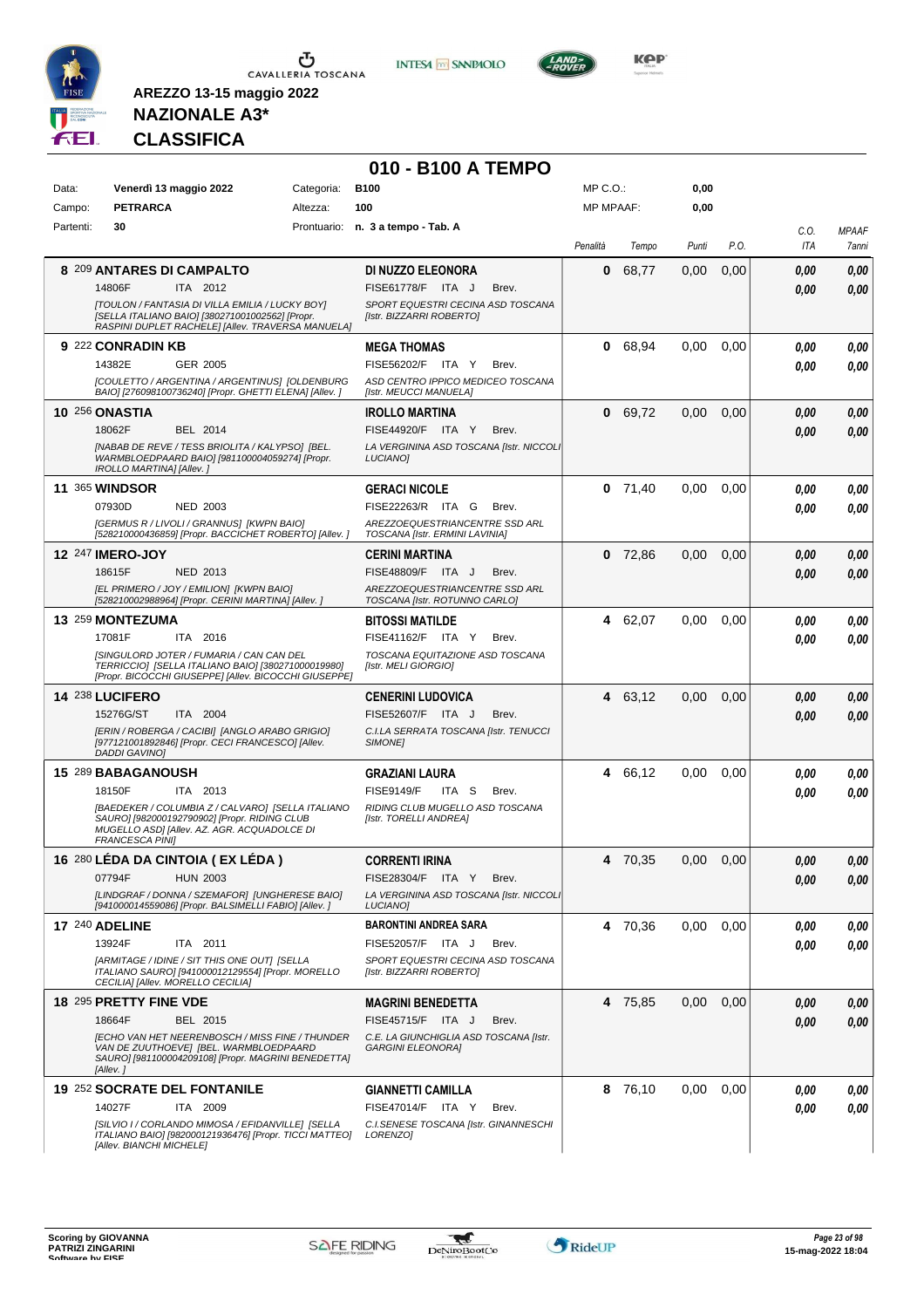

**INTESA M** SANPAOLO



**KOP** 

## **NAZIONALE A3\* CLASSIFICA**

|           |                                                                                                                                                                            |            | 010 - B100 A TEMPO                                                 |                  |           |       |      |      |              |
|-----------|----------------------------------------------------------------------------------------------------------------------------------------------------------------------------|------------|--------------------------------------------------------------------|------------------|-----------|-------|------|------|--------------|
| Data:     | Venerdì 13 maggio 2022                                                                                                                                                     | Categoria: | <b>B100</b>                                                        | MP C.O.:         |           | 0,00  |      |      |              |
| Campo:    | <b>PETRARCA</b>                                                                                                                                                            | Altezza:   | 100                                                                | <b>MP MPAAF:</b> |           | 0,00  |      |      |              |
| Partenti: | 30                                                                                                                                                                         |            | Prontuario: n. 3 a tempo - Tab. A                                  |                  |           |       |      | C.O. | <b>MPAAF</b> |
|           |                                                                                                                                                                            |            |                                                                    | Penalità         | Tempo     | Punti | P.O. | ITA  | 7anni        |
|           | 8 209 ANTARES DI CAMPALTO                                                                                                                                                  |            | DI NUZZO ELEONORA                                                  | 0                | 68,77     | 0,00  | 0,00 | 0,00 | 0,00         |
|           | 14806F<br>ITA 2012                                                                                                                                                         |            | FISE61778/F ITA J<br>Brev.                                         |                  |           |       |      | 0.00 | 0,00         |
|           | [TOULON / FANTASIA DI VILLA EMILIA / LUCKY BOY]<br>[SELLA ITALIANO BAIO] [380271001002562] [Propr.<br>RASPINI DUPLET RACHELE] [Allev. TRAVERSA MANUELA]                    |            | SPORT EQUESTRI CECINA ASD TOSCANA<br>[Istr. BIZZARRI ROBERTO]      |                  |           |       |      |      |              |
|           | 9 222 CONRADIN KB                                                                                                                                                          |            | <b>MEGA THOMAS</b>                                                 | 0                | 68,94     | 0,00  | 0,00 | 0.00 | 0,00         |
|           | GER 2005<br>14382E                                                                                                                                                         |            | FISE56202/F ITA Y<br>Brev.                                         |                  |           |       |      | 0.00 | 0,00         |
|           | [COULETTO / ARGENTINA / ARGENTINUS] [OLDENBURG<br>BAIO] [276098100736240] [Propr. GHETTI ELENA] [Allev. ]                                                                  |            | ASD CENTRO IPPICO MEDICEO TOSCANA<br>[Istr. MEUCCI MANUELA]        |                  |           |       |      |      |              |
|           | <b>10 256 ONASTIA</b>                                                                                                                                                      |            | <b>IROLLO MARTINA</b>                                              | 0                | 69,72     | 0,00  | 0,00 | 0,00 | 0,00         |
|           | 18062F<br>BEL 2014                                                                                                                                                         |            | FISE44920/F ITA Y<br>Brev.                                         |                  |           |       |      | 0.00 | 0,00         |
|           | [NABAB DE REVE / TESS BRIOLITA / KALYPSO] [BEL.<br>WARMBLOEDPAARD BAIO] [981100004059274] [Propr.<br>IROLLO MARTINA] [Allev.]                                              |            | LA VERGININA ASD TOSCANA [Istr. NICCOLI<br><b>LUCIANO1</b>         |                  |           |       |      |      |              |
|           | <b>11 365 WINDSOR</b>                                                                                                                                                      |            | <b>GERACI NICOLE</b>                                               |                  | $0$ 71,40 | 0,00  | 0,00 | 0.00 | 0,00         |
|           | 07930D<br><b>NED 2003</b>                                                                                                                                                  |            | FISE22263/R ITA G<br>Brev.                                         |                  |           |       |      | 0.00 | 0.00         |
|           | <b>IGERMUS R / LIVOLI / GRANNUSI [KWPN BAIO]</b><br>[528210000436859] [Propr. BACCICHET ROBERTO] [Allev.]                                                                  |            | AREZZOEQUESTRIANCENTRE SSD ARL<br>TOSCANA [Istr. ERMINI LAVINIA]   |                  |           |       |      |      |              |
|           | 12 247 IMERO-JOY                                                                                                                                                           |            | <b>CERINI MARTINA</b>                                              |                  | $0$ 72,86 | 0,00  | 0,00 | 0.00 | 0,00         |
|           | 18615F<br>NED 2013                                                                                                                                                         |            | FISE48809/F ITA J<br>Brev.                                         |                  |           |       |      | 0.00 | 0.00         |
|           | [EL PRIMERO / JOY / EMILION] [KWPN BAIO]<br>[528210002988964] [Propr. CERINI MARTINA] [Allev. ]                                                                            |            | AREZZOEQUESTRIANCENTRE SSD ARL<br>TOSCANA [Istr. ROTUNNO CARLO]    |                  |           |       |      |      |              |
|           | 13 259 MONTEZUMA                                                                                                                                                           |            | <b>BITOSSI MATILDE</b>                                             |                  | 4 62,07   | 0.00  | 0.00 | 0.00 | 0,00         |
|           | 17081F<br>ITA 2016                                                                                                                                                         |            | FISE41162/F ITA Y<br>Brev.                                         |                  |           |       |      | 0.00 | 0.00         |
|           | [SINGULORD JOTER / FUMARIA / CAN CAN DEL<br>TERRICCIO] [SELLA ITALIANO BAIO] [380271000019980]<br>[Propr. BICOCCHI GIUSEPPE] [Allev. BICOCCHI GIUSEPPE]                    |            | TOSCANA EQUITAZIONE ASD TOSCANA<br>[Istr. MELI GIORGIO]            |                  |           |       |      |      |              |
|           | 14 238 LUCIFERO                                                                                                                                                            |            | <b>CENERINI LUDOVICA</b>                                           |                  | 4 63,12   | 0,00  | 0,00 | 0.00 | 0,00         |
|           | 15276G/ST<br>ITA 2004                                                                                                                                                      |            | FISE52607/F ITA J<br>Brev.                                         |                  |           |       |      | 0.00 | 0.00         |
|           | [ERIN / ROBERGA / CACIBI] [ANGLO ARABO GRIGIO]<br>[977121001892846] [Propr. CECI FRANCESCO] [Allev.<br><b>DADDI GAVINO1</b>                                                |            | C.I.LA SERRATA TOSCANA [Istr. TENUCCI<br>SIMONE <sub>1</sub>       |                  |           |       |      |      |              |
|           | 15 289 BABAGANOUSH                                                                                                                                                         |            | <b>GRAZIANI LAURA</b>                                              | 4                | 66,12     | 0,00  | 0,00 | 0.00 | 0,00         |
|           | ITA 2013<br>18150F                                                                                                                                                         |            | <b>FISE9149/F</b><br>ITA S<br>Brev.                                |                  |           |       |      | 0.00 | 0,00         |
|           | [BAEDEKER / COLUMBIA Z / CALVARO] [SELLA ITALIANO<br>SAURO] [982000192790902] [Propr. RIDING CLUB<br>MUGELLO ASD] [Allev. AZ. AGR. ACQUADOLCE DI<br><b>FRANCESCA PINI]</b> |            | RIDING CLUB MUGELLO ASD TOSCANA<br>[Istr. TORELLI ANDREA]          |                  |           |       |      |      |              |
|           | 16 280 LÉDA DA CINTOIA (EX LÉDA)                                                                                                                                           |            | <b>CORRENTI IRINA</b>                                              |                  | 4 70,35   | 0,00  | 0,00 | 0,00 | 0,00         |
|           | <b>HUN 2003</b><br>07794F                                                                                                                                                  |            | FISE28304/F ITA Y<br>Brev.                                         |                  |           |       |      | 0,00 | 0,00         |
|           | [LINDGRAF / DONNA / SZEMAFOR] [UNGHERESE BAIO]<br>[941000014559086] [Propr. BALSIMELLI FABIO] [Allev. ]                                                                    |            | LA VERGININA ASD TOSCANA [Istr. NICCOLI<br>LUCIANO]                |                  |           |       |      |      |              |
|           | <b>17 240 ADELINE</b>                                                                                                                                                      |            | <b>BARONTINI ANDREA SARA</b>                                       |                  | 4 70,36   | 0.00  | 0,00 | 0,00 | 0,00         |
|           | 13924F<br>ITA 2011                                                                                                                                                         |            | FISE52057/F ITA J<br>Brev.                                         |                  |           |       |      | 0,00 | 0,00         |
|           | [ARMITAGE / IDINE / SIT THIS ONE OUT] [SELLA<br>ITALIANO SAURO] [941000012129554] [Propr. MORELLO<br>CECILIA] [Allev. MORELLO CECILIA]                                     |            | SPORT EQUESTRI CECINA ASD TOSCANA<br>[Istr. BIZZARRI ROBERTO]      |                  |           |       |      |      |              |
|           | 18 295 PRETTY FINE VDE                                                                                                                                                     |            | <b>MAGRINI BENEDETTA</b>                                           |                  | 4 75,85   | 0,00  | 0,00 | 0,00 | 0,00         |
|           | 18664F<br>BEL 2015                                                                                                                                                         |            | FISE45715/F ITA J<br>Brev.                                         |                  |           |       |      | 0,00 | 0,00         |
|           | <b>JECHO VAN HET NEERENBOSCH / MISS FINE / THUNDER</b><br>VAN DE ZUUTHOEVE] [BEL. WARMBLOEDPAARD<br>SAURO] [981100004209108] [Propr. MAGRINI BENEDETTA]<br>[Allev.]        |            | C.E. LA GIUNCHIGLIA ASD TOSCANA [Istr.<br><b>GARGINI ELEONORA]</b> |                  |           |       |      |      |              |
|           | <b>19 252 SOCRATE DEL FONTANILE</b>                                                                                                                                        |            | <b>GIANNETTI CAMILLA</b>                                           |                  | 8 76,10   | 0,00  | 0,00 | 0,00 | 0,00         |
|           | 14027F<br>ITA 2009                                                                                                                                                         |            | FISE47014/F ITA Y<br>Brev.                                         |                  |           |       |      | 0.00 | 0,00         |
|           | [SILVIO I / CORLANDO MIMOSA / EFIDANVILLE] [SELLA<br>ITALIANO BAIO] [982000121936476] [Propr. TICCI MATTEO]                                                                |            | C.I.SENESE TOSCANA [Istr. GINANNESCHI<br>LORENZO]                  |                  |           |       |      |      |              |
|           | [Allev. BIANCHI MICHELE]                                                                                                                                                   |            |                                                                    |                  |           |       |      |      |              |

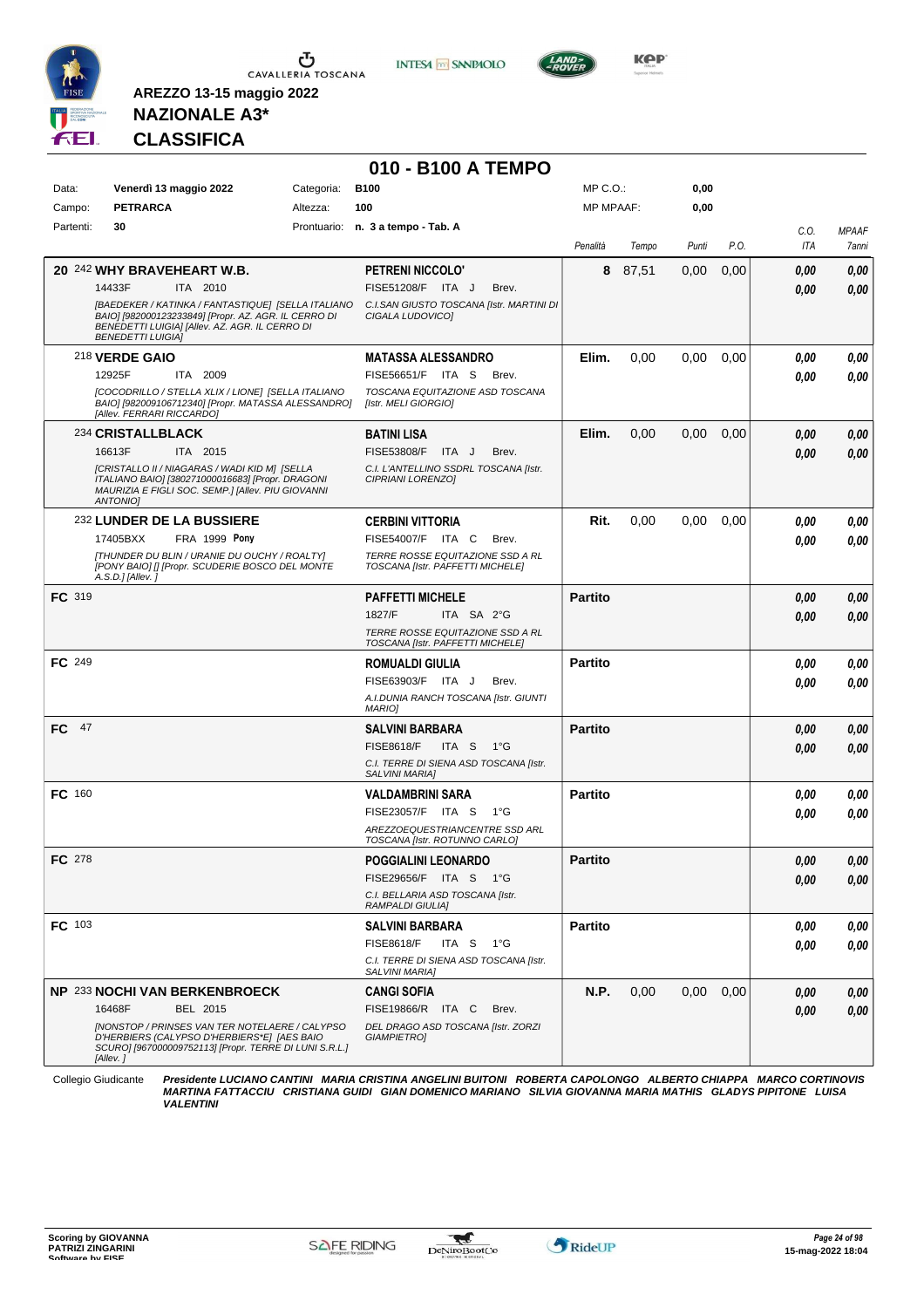

**INTESA** M SANPAOLO



**Kep** 

## **NAZIONALE A3\* CLASSIFICA**

**AREZZO 13-15 maggio 2022**

| Data:<br>Campo: | Venerdì 13 maggio 2022                                                                                                                                                                   | Categoria: |                                                                      |                  |       |       |      |      |              |
|-----------------|------------------------------------------------------------------------------------------------------------------------------------------------------------------------------------------|------------|----------------------------------------------------------------------|------------------|-------|-------|------|------|--------------|
|                 |                                                                                                                                                                                          |            | <b>B100</b>                                                          | MP C.O.:         |       | 0,00  |      |      |              |
|                 | <b>PETRARCA</b>                                                                                                                                                                          | Altezza:   | 100                                                                  | <b>MP MPAAF:</b> |       | 0,00  |      |      |              |
| Partenti:       | 30                                                                                                                                                                                       |            | Prontuario: n. 3 a tempo - Tab. A                                    |                  |       |       |      | C.O. | <b>MPAAF</b> |
|                 |                                                                                                                                                                                          |            |                                                                      | Penalità         | Tempo | Punti | P.O. | ITA  | 7anni        |
|                 | 20 242 WHY BRAVEHEART W.B.                                                                                                                                                               |            | <b>PETRENI NICCOLO'</b>                                              | 8                | 87,51 | 0,00  | 0,00 | 0.00 | 0,00         |
|                 | 14433F<br>ITA 2010                                                                                                                                                                       |            | FISE51208/F ITA J<br>Brev.                                           |                  |       |       |      | 0.00 | 0,00         |
|                 | [BAEDEKER / KATINKA / FANTASTIQUE] [SELLA ITALIANO<br>BAIO] [982000123233849] [Propr. AZ. AGR. IL CERRO DI<br>BENEDETTI LUIGIA] [Allev. AZ. AGR. IL CERRO DI<br><b>BENEDETTI LUIGIA]</b> |            | C.I.SAN GIUSTO TOSCANA [Istr. MARTINI DI<br>CIGALA LUDOVICO]         |                  |       |       |      |      |              |
|                 | 218 VERDE GAIO                                                                                                                                                                           |            | <b>MATASSA ALESSANDRO</b>                                            | Elim.            | 0,00  | 0,00  | 0,00 | 0,00 | 0,00         |
|                 | 12925F<br>ITA 2009                                                                                                                                                                       |            | FISE56651/F ITA S<br>Brev.                                           |                  |       |       |      | 0.00 | 0,00         |
|                 | [COCODRILLO / STELLA XLIX / LIONE] [SELLA ITALIANO<br>BAIO] [982009106712340] [Propr. MATASSA ALESSANDRO]<br>[Allev. FERRARI RICCARDO]                                                   |            | TOSCANA EQUITAZIONE ASD TOSCANA<br>[Istr. MELI GIORGIO]              |                  |       |       |      |      |              |
|                 | 234 CRISTALLBLACK                                                                                                                                                                        |            | <b>BATINI LISA</b>                                                   | Elim.            | 0,00  | 0,00  | 0,00 | 0,00 | 0,00         |
|                 | 16613F<br>ITA 2015                                                                                                                                                                       |            | <b>FISE53808/F</b><br>ITA J<br>Brev.                                 |                  |       |       |      | 0.00 | 0,00         |
|                 | [CRISTALLO II / NIAGARAS / WADI KID M] [SELLA<br>ITALIANO BAIO] [380271000016683] [Propr. DRAGONI<br>MAURIZIA E FIGLI SOC. SEMP.] [Allev. PIU GIOVANNI<br><b>ANTONIOI</b>                |            | C.I. L'ANTELLINO SSDRL TOSCANA [Istr.<br>CIPRIANI LORENZO]           |                  |       |       |      |      |              |
|                 | 232 LUNDER DE LA BUSSIERE                                                                                                                                                                |            | <b>CERBINI VITTORIA</b>                                              | Rit.             | 0,00  | 0.00  | 0,00 | 0,00 | 0,00         |
|                 | FRA 1999 Pony<br>17405BXX                                                                                                                                                                |            | FISE54007/F ITA C<br>Brev.                                           |                  |       |       |      | 0.00 | 0.00         |
|                 | [THUNDER DU BLIN / URANIE DU OUCHY / ROALTY]<br>[PONY BAIO] [] [Propr. SCUDERIE BOSCO DEL MONTE<br>A.S.D.] [Allev.]                                                                      |            | TERRE ROSSE EQUITAZIONE SSD A RL<br>TOSCANA [Istr. PAFFETTI MICHELE] |                  |       |       |      |      |              |
| <b>FC</b> 319   |                                                                                                                                                                                          |            | <b>PAFFETTI MICHELE</b>                                              | <b>Partito</b>   |       |       |      | 0,00 | 0,00         |
|                 |                                                                                                                                                                                          |            | 1827/F<br>ITA SA 2°G                                                 |                  |       |       |      | 0,00 | 0.00         |
|                 |                                                                                                                                                                                          |            | TERRE ROSSE EQUITAZIONE SSD A RL<br>TOSCANA [Istr. PAFFETTI MICHELE] |                  |       |       |      |      |              |
| FC 249          |                                                                                                                                                                                          |            | <b>ROMUALDI GIULIA</b>                                               | <b>Partito</b>   |       |       |      | 0,00 | 0,00         |
|                 |                                                                                                                                                                                          |            | FISE63903/F ITA J<br>Brev.                                           |                  |       |       |      | 0.00 | 0.00         |
|                 |                                                                                                                                                                                          |            | A.I.DUNIA RANCH TOSCANA [Istr. GIUNTI<br><b>MARIO]</b>               |                  |       |       |      |      |              |
| FC 47           |                                                                                                                                                                                          |            | SALVINI BARBARA                                                      | <b>Partito</b>   |       |       |      | 0,00 | 0,00         |
|                 |                                                                                                                                                                                          |            | <b>FISE8618/F</b><br>ITA S<br>− 1°G                                  |                  |       |       |      | 0,00 | 0.00         |
|                 |                                                                                                                                                                                          |            | C.I. TERRE DI SIENA ASD TOSCANA [Istr.<br><b>SALVINI MARIA]</b>      |                  |       |       |      |      |              |
| FC 160          |                                                                                                                                                                                          |            | <b>VALDAMBRINI SARA</b>                                              | <b>Partito</b>   |       |       |      | 0,00 | 0,00         |
|                 |                                                                                                                                                                                          |            | FISE23057/F ITA S<br>$1^{\circ}G$                                    |                  |       |       |      | 0.00 | 0,00         |
|                 |                                                                                                                                                                                          |            | AREZZOEQUESTRIANCENTRE SSD ARL<br>TOSCANA [Istr. ROTUNNO CARLO]      |                  |       |       |      |      |              |
| FC 278          |                                                                                                                                                                                          |            | POGGIALINI LEONARDO                                                  | <b>Partito</b>   |       |       |      | 0,00 | 0,00         |
|                 |                                                                                                                                                                                          |            | FISE29656/F ITA S 1°G                                                |                  |       |       |      | 0,00 | 0,00         |
|                 |                                                                                                                                                                                          |            | C.I. BELLARIA ASD TOSCANA [Istr.<br>RAMPALDI GIULIA]                 |                  |       |       |      |      |              |
| FC 103          |                                                                                                                                                                                          |            | <b>SALVINI BARBARA</b>                                               | <b>Partito</b>   |       |       |      | 0,00 | 0,00         |
|                 |                                                                                                                                                                                          |            | <b>FISE8618/F</b><br>ITA S 1°G                                       |                  |       |       |      | 0,00 | 0,00         |
|                 |                                                                                                                                                                                          |            | C.I. TERRE DI SIENA ASD TOSCANA [Istr.<br><b>SALVINI MARIA]</b>      |                  |       |       |      |      |              |
|                 | NP 233 NOCHI VAN BERKENBROECK                                                                                                                                                            |            | <b>CANGI SOFIA</b>                                                   | N.P.             | 0,00  | 0,00  | 0,00 | 0,00 | 0,00         |
|                 | 16468F<br>BEL 2015                                                                                                                                                                       |            | FISE19866/R ITA C<br>Brev.                                           |                  |       |       |      | 0,00 | 0,00         |
|                 | [NONSTOP / PRINSES VAN TER NOTELAERE / CALYPSO<br>D'HERBIERS (CALYPSO D'HERBIERS*E] [AES BAIO<br>SCURO] [967000009752113] [Propr. TERRE DI LUNI S.R.L.]<br>[Allev.]                      |            | DEL DRAGO ASD TOSCANA [Istr. ZORZI<br><b>GIAMPIETRO1</b>             |                  |       |       |      |      |              |

Collegio Giudicante Presidente LUCIANO CANTINI MARIA CRISTINA ANGELINI BUITONI ROBERTA CAPOLONGO ALBERTO CHIAPPA MARCO CORTINOVIS<br>MARTINA FATTACCIU CRISTIANA GUIDI GIAN DOMENICO MARIANO SILVIA GIOVANNA MARIA MATHIS GLADYS

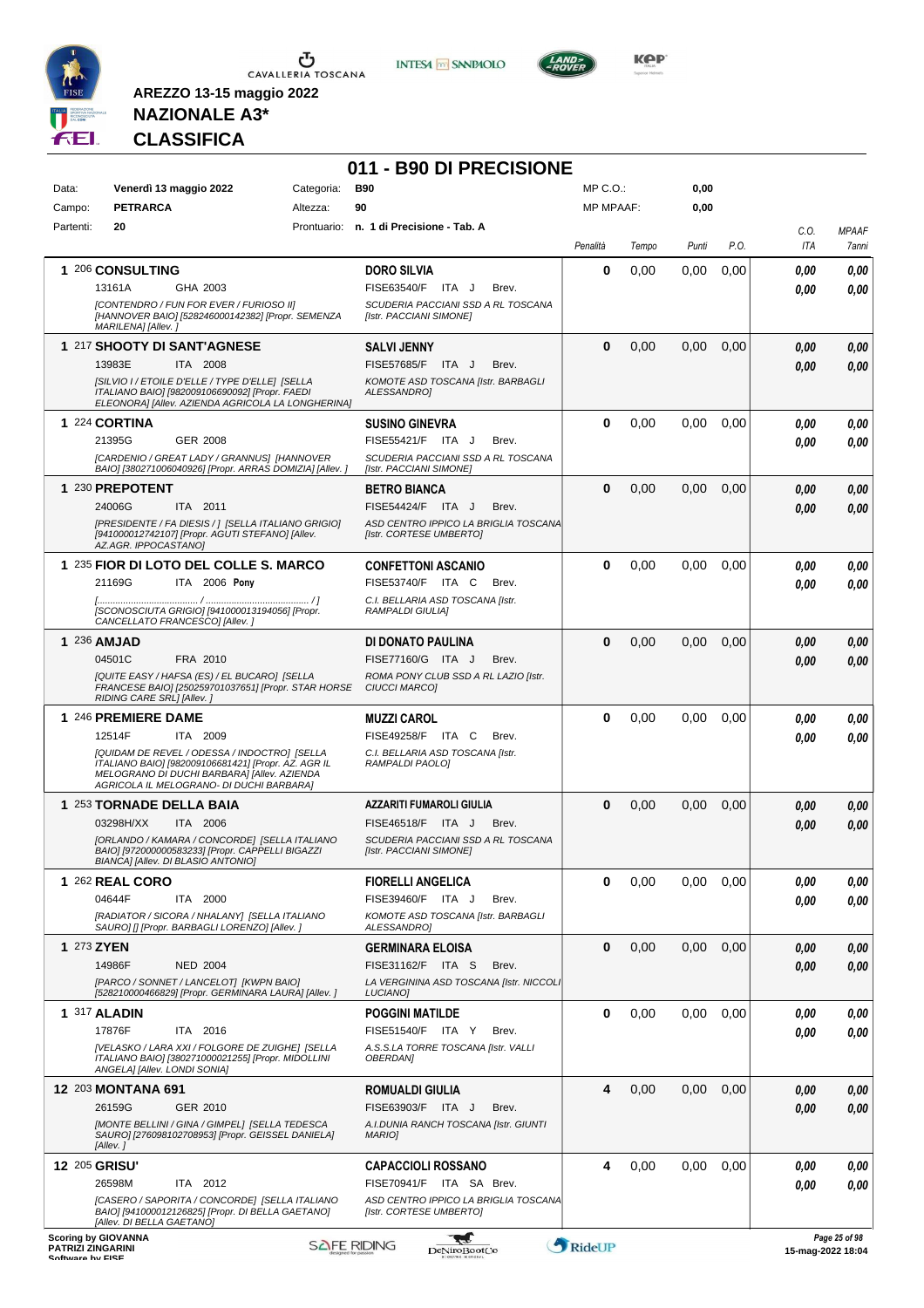

**INTESA** M SANPAOLO



**KOP** 

## **NAZIONALE A3\* CLASSIFICA**

| Data:         | Venerdì 13 maggio 2022                                                                                                                                                                         | Categoria: | <b>B90</b>                                                       | $MP C. O.$ : |       | 0,00  |      |            |              |
|---------------|------------------------------------------------------------------------------------------------------------------------------------------------------------------------------------------------|------------|------------------------------------------------------------------|--------------|-------|-------|------|------------|--------------|
| Campo:        | <b>PETRARCA</b>                                                                                                                                                                                | Altezza:   | 90                                                               | MP MPAAF:    |       | 0,00  |      |            |              |
| Partenti:     | 20                                                                                                                                                                                             |            | Prontuario: n. 1 di Precisione - Tab. A                          |              |       |       |      | C.O.       | <b>MPAAF</b> |
|               |                                                                                                                                                                                                |            |                                                                  | Penalità     | Tempo | Punti | P.O. | <b>ITA</b> | 7anni        |
|               | 1 206 CONSULTING                                                                                                                                                                               |            | <b>DORO SILVIA</b>                                               | 0            | 0,00  | 0,00  | 0,00 | 0.00       | 0.00         |
|               | 13161A<br>GHA 2003                                                                                                                                                                             |            | FISE63540/F ITA J<br>Brev.                                       |              |       |       |      | 0.00       | 0.00         |
|               | [CONTENDRO / FUN FOR EVER / FURIOSO II]<br>[HANNOVER BAIO] [528246000142382] [Propr. SEMENZA<br>MARILENA] [Allev.]                                                                             |            | SCUDERIA PACCIANI SSD A RL TOSCANA<br>[Istr. PACCIANI SIMONE]    |              |       |       |      |            |              |
|               | 1 217 SHOOTY DI SANT'AGNESE                                                                                                                                                                    |            | <b>SALVI JENNY</b>                                               | $\bf{0}$     | 0,00  | 0,00  | 0,00 | 0.00       | 0,00         |
|               | 13983E<br>ITA 2008<br>[SILVIO I / ETOILE D'ELLE / TYPE D'ELLE] [SELLA                                                                                                                          |            | FISE57685/F ITA J<br>Brev.<br>KOMOTE ASD TOSCANA [Istr. BARBAGLI |              |       |       |      | 0.00       | 0,00         |
|               | ITALIANO BAIO] [982009106690092] [Propr. FAEDI<br>ELEONORA] [Allev. AZIENDA AGRICOLA LA LONGHERINA]                                                                                            |            | ALESSANDRO1                                                      |              |       |       |      |            |              |
|               | 1 224 CORTINA                                                                                                                                                                                  |            | <b>SUSINO GINEVRA</b>                                            | $\bf{0}$     | 0,00  | 0.00  | 0,00 | 0.00       | 0,00         |
|               | 21395G<br><b>GER 2008</b><br>[CARDENIO / GREAT LADY / GRANNUS] [HANNOVER                                                                                                                       |            | FISE55421/F ITA J<br>Brev.<br>SCUDERIA PACCIANI SSD A RL TOSCANA |              |       |       |      | 0.00       | 0.00         |
|               | BAIO] [380271006040926] [Propr. ARRAS DOMIZIA] [Allev. ]                                                                                                                                       |            | [Istr. PACCIANI SIMONE]                                          |              |       |       |      |            |              |
|               | 1 230 PREPOTENT                                                                                                                                                                                |            | <b>BETRO BIANCA</b>                                              | $\bf{0}$     | 0,00  | 0,00  | 0,00 | 0.00       | 0,00         |
|               | 24006G<br>ITA 2011                                                                                                                                                                             |            | FISE54424/F ITA J<br>Brev.                                       |              |       |       |      | 0.00       | 0.00         |
|               | [PRESIDENTE / FA DIESIS / ] [SELLA ITALIANO GRIGIO]<br>[941000012742107] [Propr. AGUTI STEFANO] [Allev.<br>AZ.AGR. IPPOCASTANO]                                                                |            | ASD CENTRO IPPICO LA BRIGLIA TOSCANA<br>[Istr. CORTESE UMBERTO]  |              |       |       |      |            |              |
|               | 1 235 FIOR DI LOTO DEL COLLE S. MARCO                                                                                                                                                          |            | <b>CONFETTONI ASCANIO</b>                                        | 0            | 0,00  | 0,00  | 0,00 | 0.00       | 0,00         |
|               | 21169G<br>ITA 2006 Pony                                                                                                                                                                        |            | FISE53740/F ITA C<br>Brev.                                       |              |       |       |      | 0.00       | 0.00         |
|               | [SCONOSCIUTA GRIGIO] [941000013194056] [Propr.<br>CANCELLATO FRANCESCO] [Allev.]                                                                                                               |            | C.I. BELLARIA ASD TOSCANA [Istr.<br>RAMPALDI GIULIAI             |              |       |       |      |            |              |
| 1 236 AMJAD   |                                                                                                                                                                                                |            | DI DONATO PAULINA                                                | $\Omega$     | 0,00  | 0,00  | 0,00 | 0.00       | 0,00         |
|               | 04501C<br>FRA 2010                                                                                                                                                                             |            | FISE77160/G ITA J<br>Brev.                                       |              |       |       |      | 0.00       | 0,00         |
|               | [QUITE EASY / HAFSA (ES) / EL BUCARO] [SELLA<br>FRANCESE BAIO] [250259701037651] [Propr. STAR HORSE<br>RIDING CARE SRL] [Allev.]                                                               |            | ROMA PONY CLUB SSD A RL LAZIO [Istr.<br>CIUCCI MARCO]            |              |       |       |      |            |              |
|               | 1 246 PREMIERE DAME                                                                                                                                                                            |            | <b>MUZZI CAROL</b>                                               | $\bf{0}$     | 0,00  | 0.00  | 0.00 | 0.00       | 0,00         |
|               | 12514F<br>ITA 2009                                                                                                                                                                             |            | <b>FISE49258/F ITA C</b><br>Brev.                                |              |       |       |      | 0.00       | 0.00         |
|               | [QUIDAM DE REVEL / ODESSA / INDOCTRO] [SELLA<br>ITALIANO BAIO] [982009106681421] [Propr. AZ. AGR IL<br>MELOGRANO DI DUCHI BARBARA] [Allev. AZIENDA<br>AGRICOLA IL MELOGRANO- DI DUCHI BARBARA] |            | C.I. BELLARIA ASD TOSCANA [Istr.<br>RAMPALDI PAOLO]              |              |       |       |      |            |              |
|               | 1 253 TORNADE DELLA BAIA                                                                                                                                                                       |            | AZZARITI FUMAROLI GIULIA                                         | $\bf{0}$     | 0,00  | 0.00  | 0,00 | 0.00       | 0,00         |
|               | 03298H/XX<br>ITA 2006                                                                                                                                                                          |            | FISE46518/F ITA J<br>Brev.                                       |              |       |       |      | 0.00       | 0.00         |
|               | [ORLANDO / KAMARA / CONCORDE] [SELLA ITALIANO<br>BAIO] [972000000583233] [Propr. CAPPELLI BIGAZZI<br>BIANCA] [Allev. DI BLASIO ANTONIO]                                                        |            | SCUDERIA PACCIANI SSD A RL TOSCANA<br>[Istr. PACCIANI SIMONE]    |              |       |       |      |            |              |
|               | 1 262 REAL CORO                                                                                                                                                                                |            | <b>FIORELLI ANGELICA</b>                                         | $\bf{0}$     | 0,00  | 0,00  | 0,00 | 0.00       | 0,00         |
|               | 04644F<br>ITA 2000                                                                                                                                                                             |            | FISE39460/F ITA J<br>Brev.                                       |              |       |       |      | 0.00       | 0.00         |
|               | [RADIATOR / SICORA / NHALANY] [SELLA ITALIANO<br>SAURO] [] [Propr. BARBAGLI LORENZO] [Allev. ]                                                                                                 |            | KOMOTE ASD TOSCANA [Istr. BARBAGLI<br>ALESSANDRO]                |              |       |       |      |            |              |
| 1 273 ZYEN    |                                                                                                                                                                                                |            | <b>GERMINARA ELOISA</b>                                          | $\bf{0}$     | 0,00  | 0,00  | 0,00 | 0,00       | 0,00         |
|               | 14986F<br><b>NED 2004</b>                                                                                                                                                                      |            | FISE31162/F ITA S<br>Brev.                                       |              |       |       |      | 0,00       | 0,00         |
|               | [PARCO / SONNET / LANCELOT] [KWPN BAIO]<br>[528210000466829] [Propr. GERMINARA LAURA] [Allev. ]                                                                                                |            | LA VERGININA ASD TOSCANA [Istr. NICCOLI<br>LUCIANO]              |              |       |       |      |            |              |
| 1 317 ALADIN  |                                                                                                                                                                                                |            | <b>POGGINI MATILDE</b>                                           | 0            | 0,00  | 0,00  | 0,00 | 0.00       | 0,00         |
|               | 17876F<br>ITA 2016                                                                                                                                                                             |            | FISE51540/F ITA Y<br>Brev.                                       |              |       |       |      | 0.00       | 0,00         |
|               | [VELASKO / LARA XXI / FOLGORE DE ZUIGHE] [SELLA<br>ITALIANO BAIO] [380271000021255] [Propr. MIDOLLINI<br>ANGELA] [Allev. LONDI SONIA]                                                          |            | A.S.S.LA TORRE TOSCANA [Istr. VALLI<br><b>OBERDAN</b>            |              |       |       |      |            |              |
|               | 12 203 MONTANA 691<br>26159G<br>GER 2010                                                                                                                                                       |            | <b>ROMUALDI GIULIA</b><br>FISE63903/F ITA J<br>Brev.             | 4            | 0,00  | 0,00  | 0,00 | 0.00       | 0,00         |
|               | [MONTE BELLINI / GINA / GIMPEL] [SELLA TEDESCA<br>SAURO] [276098102708953] [Propr. GEISSEL DANIELA]<br>[Allev.]                                                                                |            | A.I.DUNIA RANCH TOSCANA [Istr. GIUNTI<br><b>MARIO]</b>           |              |       |       |      | 0.00       | 0.00         |
| 12 205 GRISU' |                                                                                                                                                                                                |            | <b>CAPACCIOLI ROSSANO</b>                                        | 4            | 0,00  | 0,00  | 0,00 | 0.00       | 0,00         |
|               | 26598M<br>ITA 2012                                                                                                                                                                             |            | FISE70941/F ITA SA Brev.                                         |              |       |       |      | 0.00       | 0,00         |
|               | ICASERO / SAPORITA / CONCORDE] [SELLA ITALIANO<br>BAIO] [941000012126825] [Propr. DI BELLA GAETANO]<br>[Allev. DI BELLA GAETANO]                                                               |            | ASD CENTRO IPPICO LA BRIGLIA TOSCANA<br>[Istr. CORTESE UMBERTO]  |              |       |       |      |            |              |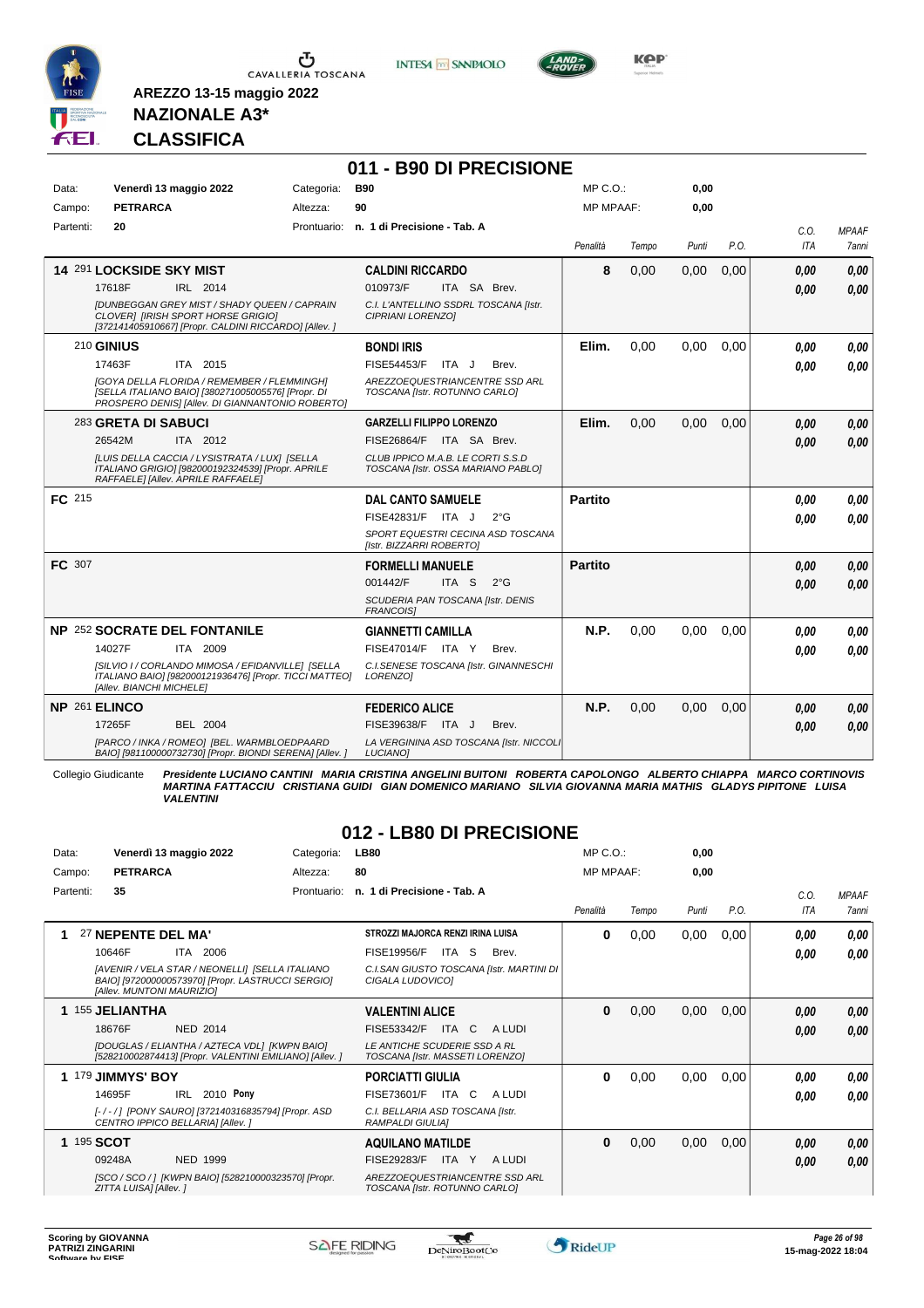

Ⴠ CAVALLERIA TOSCANA **INTESA M** SANPAOLO



**KPP** 

## **NAZIONALE A3\* CLASSIFICA**

**AREZZO 13-15 maggio 2022**

|           |                                                                                                                                                           |            | 011 - B90 DI PRECISIONE                                                 |                  |       |       |      |             |                       |
|-----------|-----------------------------------------------------------------------------------------------------------------------------------------------------------|------------|-------------------------------------------------------------------------|------------------|-------|-------|------|-------------|-----------------------|
| Data:     | Venerdì 13 maggio 2022                                                                                                                                    | Categoria: | <b>B90</b>                                                              | $MP C. O.$ :     |       | 0,00  |      |             |                       |
| Campo:    | <b>PETRARCA</b>                                                                                                                                           | Altezza:   | 90                                                                      | <b>MP MPAAF:</b> |       | 0.00  |      |             |                       |
| Partenti: | 20                                                                                                                                                        |            | Prontuario: n. 1 di Precisione - Tab. A                                 | Penalità         | Tempo | Punti | P.O. | C.O.<br>ITA | <b>MPAAF</b><br>7anni |
|           | 14 291 LOCKSIDE SKY MIST                                                                                                                                  |            | <b>CALDINI RICCARDO</b>                                                 | 8                | 0,00  | 0,00  | 0,00 | 0,00        | 0.00                  |
|           | 17618F<br>IRL 2014                                                                                                                                        |            | 010973/F<br>ITA SA Brev.                                                |                  |       |       |      | 0,00        | 0.00                  |
|           | <b>IDUNBEGGAN GREY MIST / SHADY QUEEN / CAPRAIN</b><br><b>CLOVERI [IRISH SPORT HORSE GRIGIO]</b><br>[372141405910667] [Propr. CALDINI RICCARDO] [Allev. ] |            | C.I. L'ANTELLINO SSDRL TOSCANA [Istr.<br>CIPRIANI LORENZO]              |                  |       |       |      |             |                       |
|           | <b>210 GINIUS</b>                                                                                                                                         |            | <b>BONDI IRIS</b>                                                       | Elim.            | 0.00  | 0.00  | 0.00 | 0.00        | 0.00                  |
|           | 17463F<br>ITA 2015                                                                                                                                        |            | FISE54453/F<br>ITA J<br>Brev.                                           |                  |       |       |      | 0.00        | 0.00                  |
|           | [GOYA DELLA FLORIDA / REMEMBER / FLEMMINGH]<br>[SELLA ITALIANO BAIO] [380271005005576] [Propr. DI<br>PROSPERO DENISI [Allev. DI GIANNANTONIO ROBERTO]     |            | AREZZOEQUESTRIANCENTRE SSD ARL<br>TOSCANA [Istr. ROTUNNO CARLO]         |                  |       |       |      |             |                       |
|           | 283 GRETA DI SABUCI                                                                                                                                       |            | <b>GARZELLI FILIPPO LORENZO</b>                                         | Elim.            | 0,00  | 0,00  | 0,00 | 0,00        | 0.00                  |
|           | 26542M<br>ITA 2012                                                                                                                                        |            | FISE26864/F ITA SA Brev.                                                |                  |       |       |      | 0.00        | 0,00                  |
|           | ILUIS DELLA CACCIA / LYSISTRATA / LUXI ISELLA<br>ITALIANO GRIGIO] [982000192324539] [Propr. APRILE<br>RAFFAELE] [Allev. APRILE RAFFAELE]                  |            | CLUB IPPICO M.A.B. LE CORTI S.S.D<br>TOSCANA [Istr. OSSA MARIANO PABLO] |                  |       |       |      |             |                       |
| FC 215    |                                                                                                                                                           |            | <b>DAL CANTO SAMUELE</b>                                                | <b>Partito</b>   |       |       |      | 0.00        | 0.00                  |
|           |                                                                                                                                                           |            | FISE42831/F ITA J<br>$2^{\circ}$ G                                      |                  |       |       |      | 0,00        | 0.00                  |
|           |                                                                                                                                                           |            | SPORT EQUESTRI CECINA ASD TOSCANA<br>[Istr. BIZZARRI ROBERTO]           |                  |       |       |      |             |                       |
| FC 307    |                                                                                                                                                           |            | <b>FORMELLI MANUELE</b>                                                 | <b>Partito</b>   |       |       |      | 0,00        | 0.00                  |
|           |                                                                                                                                                           |            | 001442/F<br>ITA <sub>S</sub><br>$2^{\circ}$ G                           |                  |       |       |      | 0.00        | 0,00                  |
|           |                                                                                                                                                           |            | SCUDERIA PAN TOSCANA [Istr. DENIS<br><b>FRANCOISI</b>                   |                  |       |       |      |             |                       |
|           | <b>NP 252 SOCRATE DEL FONTANILE</b>                                                                                                                       |            | <b>GIANNETTI CAMILLA</b>                                                | N.P.             | 0.00  | 0.00  | 0.00 | 0.00        | 0.00                  |
|           | 14027F<br>ITA 2009                                                                                                                                        |            | <b>FISE47014/F ITA Y</b><br>Brev.                                       |                  |       |       |      | 0.00        | 0.00                  |
|           | [SILVIO I / CORLANDO MIMOSA / EFIDANVILLE] [SELLA<br>ITALIANO BAIO] [982000121936476] [Propr. TICCI MATTEO]<br>[Allev. BIANCHI MICHELE]                   |            | C.I.SENESE TOSCANA [Istr. GINANNESCHI<br>LORENZOI                       |                  |       |       |      |             |                       |
|           | NP 261 ELINCO                                                                                                                                             |            | <b>FEDERICO ALICE</b>                                                   | N.P.             | 0,00  | 0,00  | 0,00 | 0,00        | 0,00                  |
|           | <b>BEL 2004</b><br>17265F                                                                                                                                 |            | FISE39638/F ITA J<br>Brev.                                              |                  |       |       |      | 0,00        | 0.00                  |
|           | [PARCO / INKA / ROMEO] [BEL. WARMBLOEDPAARD<br>BAIO] [981100000732730] [Propr. BIONDI SERENA] [Allev. ]                                                   |            | LA VERGININA ASD TOSCANA [Istr. NICCOLI<br>LUCIANO]                     |                  |       |       |      |             |                       |

Collegio Giudicante Presidente LUCIANO CANTINI MARIA CRISTINA ANGELINI BUITONI ROBERTA CAPOLONGO ALBERTO CHIAPPA MARCO CORTINOVIS<br>MARTINA FATTACCIU CRISTIANA GUIDI GIAN DOMENICO MARIANO SILVIA GIOVANNA MARIA MATHIS GLADYS *VALENTINI*

#### **012 - LB80 DI PRECISIONE**

| Data:     | Venerdì 13 maggio 2022                                                                                                                   | Categoria:  | <b>LB80</b>                                                     | $MP C. O.$ :     |       | 0,00  |      |             |                              |
|-----------|------------------------------------------------------------------------------------------------------------------------------------------|-------------|-----------------------------------------------------------------|------------------|-------|-------|------|-------------|------------------------------|
| Campo:    | <b>PETRARCA</b>                                                                                                                          | Altezza:    | 80                                                              | <b>MP MPAAF:</b> |       | 0,00  |      |             |                              |
| Partenti: | 35                                                                                                                                       | Prontuario: | n. 1 di Precisione - Tab. A                                     | Penalità         | Tempo | Punti | P.O. | C.O.<br>ITA | <b>MPAAF</b><br><b>7anni</b> |
|           | 27 NEPENTE DEL MA'                                                                                                                       |             | STROZZI MAJORCA RENZI IRINA LUISA                               | 0                | 0,00  | 0,00  | 0,00 | 0,00        | 0,00                         |
|           | 10646F<br>2006<br>ITA                                                                                                                    |             | <b>FISE19956/F</b><br>ITA<br><sub>S</sub><br>Brev.              |                  |       |       |      | 0,00        | 0.00                         |
|           | [AVENIR / VELA STAR / NEONELLI] [SELLA ITALIANO<br>BAIO] [972000000573970] [Propr. LASTRUCCI SERGIO]<br><b>IAlley, MUNTONI MAURIZIOI</b> |             | C.I.SAN GIUSTO TOSCANA [Istr. MARTINI DI<br>CIGALA LUDOVICO]    |                  |       |       |      |             |                              |
|           | 1 155 JELIANTHA                                                                                                                          |             | <b>VALENTINI ALICE</b>                                          | $\bf{0}$         | 0,00  | 0,00  | 0,00 | 0,00        | 0,00                         |
|           | 18676F<br><b>NED 2014</b>                                                                                                                |             | ITA C<br>FISE53342/F<br>A LUDI                                  |                  |       |       |      | 0.00        | 0,00                         |
|           | [DOUGLAS / ELIANTHA / AZTECA VDL] [KWPN BAIO]<br>[528210002874413] [Propr. VALENTINI EMILIANO] [Allev. ]                                 |             | LE ANTICHE SCUDERIE SSD A RL<br>TOSCANA [Istr. MASSETI LORENZO] |                  |       |       |      |             |                              |
|           | 1 179 JIMMYS' BOY                                                                                                                        |             | <b>PORCIATTI GIULIA</b>                                         | 0                | 0,00  | 0,00  | 0,00 | 0,00        | 0,00                         |
|           | IRL 2010 Pony<br>14695F                                                                                                                  |             | FISE73601/F<br>ITA C<br>A LUDI                                  |                  |       |       |      | 0.00        | 0.00                         |
|           | [-/-/] [PONY SAURO] [372140316835794] [Propr. ASD<br>CENTRO IPPICO BELLARIA] [Allev. ]                                                   |             | C.I. BELLARIA ASD TOSCANA [Istr.<br><b>RAMPALDI GIULIAI</b>     |                  |       |       |      |             |                              |
|           | 1 195 SCOT                                                                                                                               |             | <b>AQUILANO MATILDE</b>                                         | $\bf{0}$         | 0,00  | 0,00  | 0,00 | 0,00        | 0,00                         |
|           | 09248A<br><b>NED 1999</b>                                                                                                                |             | FISE29283/F<br>ITA Y<br>A LUDI                                  |                  |       |       |      | 0,00        | 0.00                         |
|           | [SCO / SCO / ] [KWPN BAIO] [528210000323570] [Propr.<br>ZITTA LUISAI [Allev.]                                                            |             | AREZZOEQUESTRIANCENTRE SSD ARL<br>TOSCANA [Istr. ROTUNNO CARLO] |                  |       |       |      |             |                              |

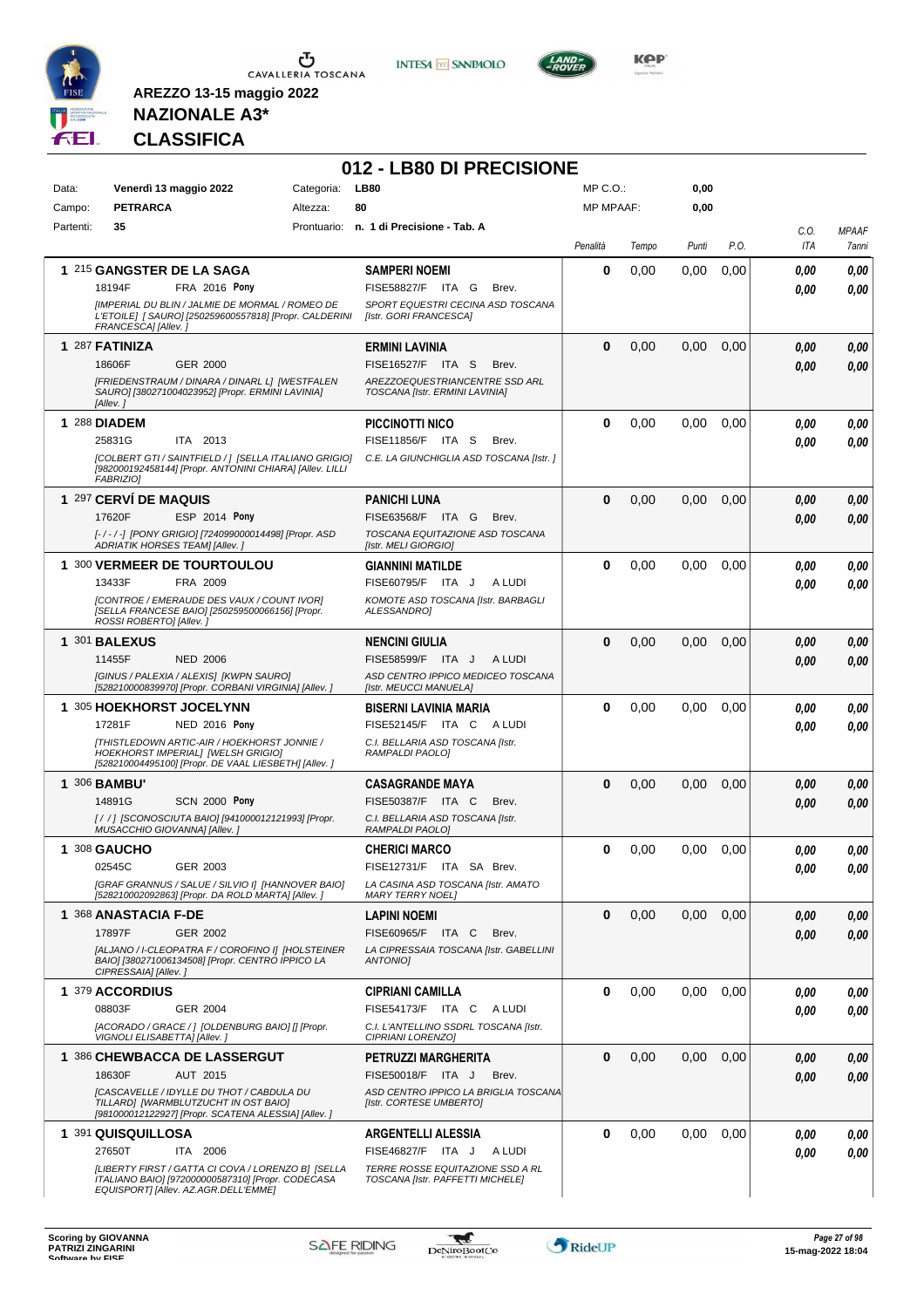

**INTESA M** SANPAOLO



**KOP** 

## **NAZIONALE A3\* CLASSIFICA**

|           |                                                                                                                                                 |            | 012 - LB80 DI PRECISIONE                                             |                  |       |       |               |             |                       |
|-----------|-------------------------------------------------------------------------------------------------------------------------------------------------|------------|----------------------------------------------------------------------|------------------|-------|-------|---------------|-------------|-----------------------|
| Data:     | Venerdì 13 maggio 2022                                                                                                                          | Categoria: | <b>LB80</b>                                                          | MP C.O.:         |       | 0,00  |               |             |                       |
| Campo:    | <b>PETRARCA</b>                                                                                                                                 | Altezza:   | 80                                                                   | <b>MP MPAAF:</b> |       | 0,00  |               |             |                       |
| Partenti: | 35                                                                                                                                              |            | Prontuario: n. 1 di Precisione - Tab. A                              | Penalità         | Tempo | Punti | P.O.          | C.O.<br>ITA | <b>MPAAF</b><br>7anni |
|           | 1 215 GANGSTER DE LA SAGA                                                                                                                       |            | <b>SAMPERI NOEMI</b>                                                 | 0                | 0,00  | 0,00  | 0,00          | 0,00        | 0,00                  |
|           | 18194F<br>FRA 2016 Pony                                                                                                                         |            | FISE58827/F ITA G<br>Brev.                                           |                  |       |       |               | 0.00        | 0,00                  |
|           | [IMPERIAL DU BLIN / JALMIE DE MORMAL / ROMEO DE<br>L'ETOILE] [ SAURO] [250259600557818] [Propr. CALDERINI<br>FRANCESCA] [Allev.]                |            | SPORT EQUESTRI CECINA ASD TOSCANA<br>[Istr. GORI FRANCESCA]          |                  |       |       |               |             |                       |
|           | 1 287 FATINIZA                                                                                                                                  |            | <b>ERMINI LAVINIA</b>                                                | $\bf{0}$         | 0,00  | 0,00  | 0,00          | 0,00        | 0,00                  |
|           | 18606F<br><b>GER 2000</b>                                                                                                                       |            | FISE16527/F ITA S<br>Brev.                                           |                  |       |       |               | 0,00        | 0,00                  |
|           | [FRIEDENSTRAUM / DINARA / DINARL L] [WESTFALEN<br>SAURO] [380271004023952] [Propr. ERMINI LAVINIA]<br>[Allev.]                                  |            | AREZZOEQUESTRIANCENTRE SSD ARL<br>TOSCANA [Istr. ERMINI LAVINIA]     |                  |       |       |               |             |                       |
|           | 1 288 DIADEM                                                                                                                                    |            | PICCINOTTI NICO                                                      | 0                | 0,00  | 0,00  | 0.00          | 0,00        | 0.00                  |
|           | ITA 2013<br>25831G                                                                                                                              |            | FISE11856/F ITA S<br>Brev.                                           |                  |       |       |               | 0,00        | 0.00                  |
|           | [COLBERT GTI / SAINTFIELD / ] [SELLA ITALIANO GRIGIO]<br>[982000192458144] [Propr. ANTONINI CHIARA] [Allev. LILLI<br><b>FABRIZIO1</b>           |            | C.E. LA GIUNCHIGLIA ASD TOSCANA [Istr. ]                             |                  |       |       |               |             |                       |
|           | 1 297 CERVÍ DE MAQUIS                                                                                                                           |            | <b>PANICHI LUNA</b>                                                  | $\Omega$         | 0,00  | 0,00  | 0,00          | 0,00        | 0,00                  |
|           | ESP 2014 Pony<br>17620F                                                                                                                         |            | FISE63568/F ITA G<br>Brev.                                           |                  |       |       |               | 0.00        | 0,00                  |
|           | [-/-/-] [PONY GRIGIO] [724099000014498] [Propr. ASD<br>ADRIATIK HORSES TEAM] [Allev.]                                                           |            | TOSCANA EQUITAZIONE ASD TOSCANA<br>[Istr. MELI GIORGIO]              |                  |       |       |               |             |                       |
|           | 1 300 VERMEER DE TOURTOULOU                                                                                                                     |            | <b>GIANNINI MATILDE</b>                                              | 0                | 0,00  | 0,00  | 0,00          | 0.00        | 0,00                  |
|           | 13433F<br>FRA 2009                                                                                                                              |            | FISE60795/F ITA J<br>A LUDI                                          |                  |       |       |               | 0,00        | 0.00                  |
|           | [CONTROE / EMERAUDE DES VAUX / COUNT IVOR]<br>[SELLA FRANCESE BAIO] [250259500066156] [Propr.<br>ROSSI ROBERTO] [Allev.]                        |            | KOMOTE ASD TOSCANA [Istr. BARBAGLI<br>ALESSANDRO1                    |                  |       |       |               |             |                       |
|           | 1 301 BALEXUS                                                                                                                                   |            | <b>NENCINI GIULIA</b>                                                | $\Omega$         | 0,00  | 0,00  | 0,00          | 0.00        | 0,00                  |
|           | 11455F<br><b>NED 2006</b>                                                                                                                       |            | FISE58599/F ITA J<br>A LUDI                                          |                  |       |       |               | 0.00        | 0.00                  |
|           | [GINUS / PALEXIA / ALEXIS] [KWPN SAURO]<br>[528210000839970] [Propr. CORBANI VIRGINIA] [Allev. ]                                                |            | ASD CENTRO IPPICO MEDICEO TOSCANA<br>[Istr. MEUCCI MANUELA]          |                  |       |       |               |             |                       |
|           | 1 305 HOEKHORST JOCELYNN                                                                                                                        |            | <b>BISERNI LAVINIA MARIA</b>                                         | 0                | 0,00  | 0,00  | 0.00          | 0.00        | 0,00                  |
|           | NED 2016 Pony<br>17281F<br>[THISTLEDOWN ARTIC-AIR / HOEKHORST JONNIE /                                                                          |            | FISE52145/F ITA C<br>A LUDI<br>C.I. BELLARIA ASD TOSCANA [Istr.      |                  |       |       |               | 0.00        | 0.00                  |
|           | HOEKHORST IMPERIAL] [WELSH GRIGIO]<br>[528210004495100] [Propr. DE VAAL LIESBETH] [Allev. ]                                                     |            | RAMPALDI PAOLO1                                                      |                  |       |       |               |             |                       |
|           | 1 306 <b>BAMBU'</b>                                                                                                                             |            | <b>CASAGRANDE MAYA</b>                                               | $\bf{0}$         | 0,00  | 0,00  | 0,00          | 0,00        | 0,00                  |
|           | 14891G<br><b>SCN 2000 Pony</b>                                                                                                                  |            | FISE50387/F ITA C<br>Brev.                                           |                  |       |       |               | 0.00        | 0.00                  |
|           | [/ / ] [SCONOSCIUTA BAIO] [941000012121993] [Propr.<br>MUSACCHIO GIOVANNA] [Allev. ]                                                            |            | C.I. BELLARIA ASD TOSCANA [Istr.<br>RAMPALDI PAOLO]                  |                  |       |       |               |             |                       |
| 1         | 308 GAUCHO                                                                                                                                      |            | <b>CHERICI MARCO</b>                                                 | <sup>0</sup>     | 0,00  |       | $0,00$ $0,00$ | $\it 0,00$  | 0,00                  |
|           | 02545C<br>GER 2003                                                                                                                              |            | FISE12731/F ITA SA Brev.                                             |                  |       |       |               | 0,00        | 0,00                  |
|           | [GRAF GRANNUS / SALUE / SILVIO I] [HANNOVER BAIO]<br>[528210002092863] [Propr. DA ROLD MARTA] [Allev. ]                                         |            | LA CASINA ASD TOSCANA [Istr. AMATO<br><b>MARY TERRY NOEL1</b>        |                  |       |       |               |             |                       |
|           | 1 368 ANASTACIA F-DE                                                                                                                            |            | <b>LAPINI NOEMI</b>                                                  | $\bf{0}$         | 0,00  | 0,00  | 0,00          | 0,00        | 0,00                  |
|           | 17897F<br><b>GER 2002</b>                                                                                                                       |            | FISE60965/F ITA C<br>Brev.                                           |                  |       |       |               | 0,00        | 0,00                  |
|           | [ALJANO / I-CLEOPATRA F / COROFINO I] [HOLSTEINER<br>BAIO] [380271006134508] [Propr. CENTRO IPPICO LA<br>CIPRESSAIA] [Allev.]                   |            | LA CIPRESSAIA TOSCANA [Istr. GABELLINI<br><b>ANTONIOI</b>            |                  |       |       |               |             |                       |
|           | 1 379 ACCORDIUS                                                                                                                                 |            | <b>CIPRIANI CAMILLA</b>                                              | $\bf{0}$         | 0,00  | 0,00  | 0,00          | 0,00        | 0,00                  |
|           | 08803F<br>GER 2004                                                                                                                              |            | FISE54173/F ITA C ALUDI                                              |                  |       |       |               | 0,00        | 0.00                  |
|           | [ACORADO / GRACE / ] [OLDENBURG BAIO] [] [Propr.<br>VIGNOLI ELISABETTA] [Allev.]                                                                |            | C.I. L'ANTELLINO SSDRL TOSCANA [Istr.<br>CIPRIANI LORENZO]           |                  |       |       |               |             |                       |
|           | 1 386 CHEWBACCA DE LASSERGUT                                                                                                                    |            | PETRUZZI MARGHERITA                                                  | 0                | 0,00  | 0,00  | 0,00          | 0,00        | 0,00                  |
|           | AUT 2015<br>18630F                                                                                                                              |            | FISE50018/F ITA J<br>Brev.                                           |                  |       |       |               | 0,00        | 0,00                  |
|           | [CASCAVELLE / IDYLLE DU THOT / CABDULA DU<br>TILLARD] [WARMBLUTZUCHT IN OST BAIO]<br>[981000012122927] [Propr. SCATENA ALESSIA] [Allev.]        |            | ASD CENTRO IPPICO LA BRIGLIA TOSCANA<br>[Istr. CORTESE UMBERTO]      |                  |       |       |               |             |                       |
|           | 1 391 QUISQUILLOSA                                                                                                                              |            | <b>ARGENTELLI ALESSIA</b>                                            | 0                | 0,00  | 0,00  | 0,00          | 0,00        | 0,00                  |
|           | 27650T<br>ITA 2006                                                                                                                              |            | FISE46827/F ITA J<br>A LUDI                                          |                  |       |       |               | 0,00        | 0,00                  |
|           | [LIBERTY FIRST / GATTA CI COVA / LORENZO B] [SELLA<br>ITALIANO BAIO] [972000000587310] [Propr. CODECASA<br>EQUISPORT] [Allev. AZ.AGR.DELL'EMME] |            | TERRE ROSSE EQUITAZIONE SSD A RL<br>TOSCANA [Istr. PAFFETTI MICHELE] |                  |       |       |               |             |                       |

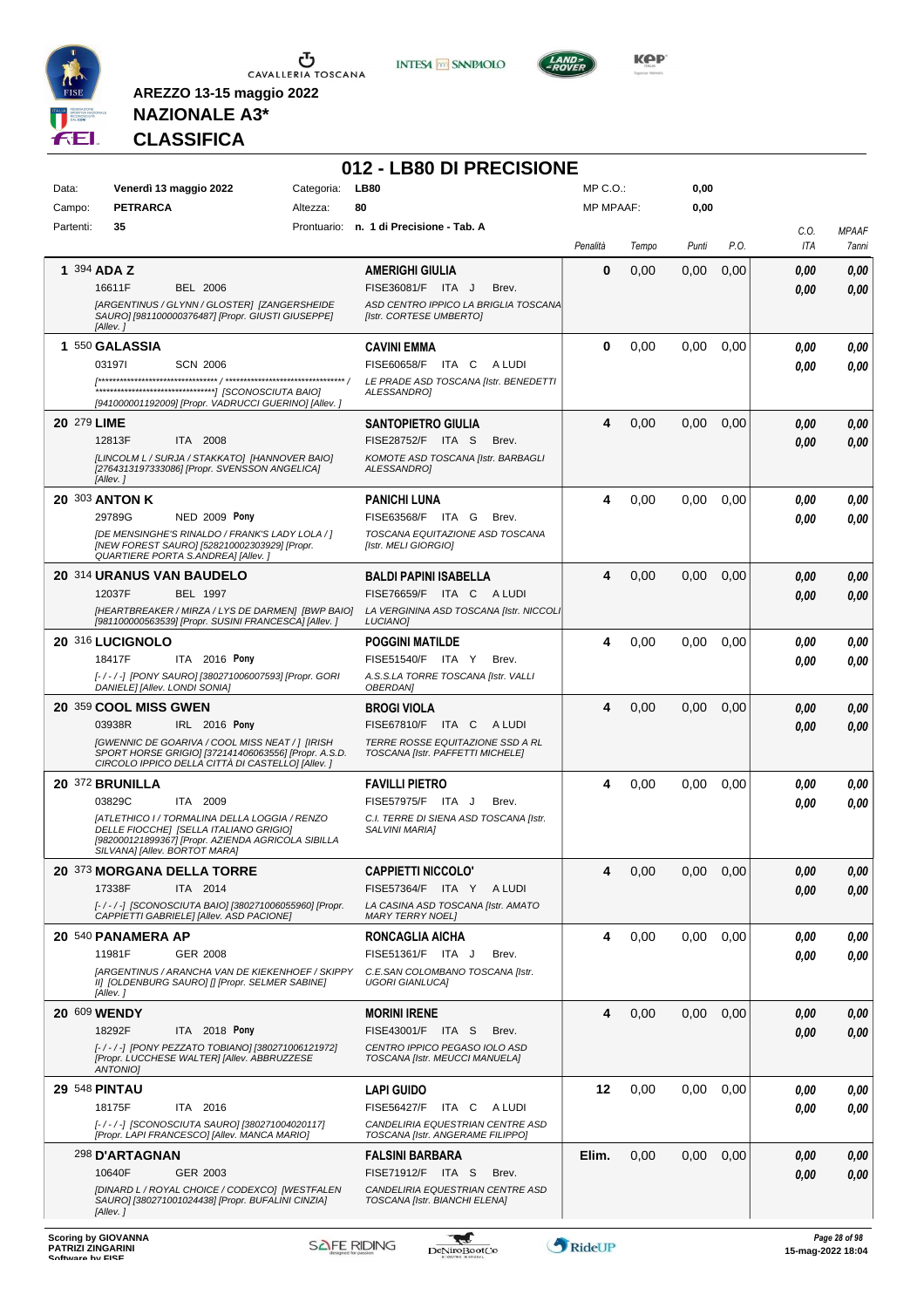





**KOP** 

## **NAZIONALE A3\* CLASSIFICA**

|                            |                                                                                                                                                                                |                        | 012 - LB80 DI PRECISIONE<br><b>LB80</b>                                |                                  |       |                   |      |                   |               |
|----------------------------|--------------------------------------------------------------------------------------------------------------------------------------------------------------------------------|------------------------|------------------------------------------------------------------------|----------------------------------|-------|-------------------|------|-------------------|---------------|
| Data:<br>Campo:            | Venerdì 13 maggio 2022<br><b>PETRARCA</b>                                                                                                                                      | Categoria:<br>Altezza: | 80                                                                     | $MP C. O.$ :<br><b>MP MPAAF:</b> |       | 0,00<br>0,00      |      |                   |               |
| Partenti:                  | 35                                                                                                                                                                             |                        | Prontuario: n. 1 di Precisione - Tab. A                                |                                  |       |                   |      | C.O.              | <b>MPAAF</b>  |
|                            |                                                                                                                                                                                |                        |                                                                        | Penalità                         | Tempo | Punti             | P.O. | ITA               | 7anni         |
| 1 394 ADA Z                |                                                                                                                                                                                |                        | <b>AMERIGHI GIULIA</b>                                                 | 0                                | 0,00  | 0,00              | 0,00 | 0.00              | 0,00          |
|                            | 16611F<br><b>BEL 2006</b>                                                                                                                                                      |                        | FISE36081/F ITA J<br>Brev.                                             |                                  |       |                   |      | 0.00              | 0,00          |
|                            | [ARGENTINUS / GLYNN / GLOSTER] [ZANGERSHEIDE<br>SAURO] [981100000376487] [Propr. GIUSTI GIUSEPPE]                                                                              |                        | ASD CENTRO IPPICO LA BRIGLIA TOSCANA<br>[Istr. CORTESE UMBERTO]        |                                  |       |                   |      |                   |               |
|                            | [Allev.]                                                                                                                                                                       |                        |                                                                        |                                  |       |                   |      |                   |               |
|                            | 1 550 GALASSIA                                                                                                                                                                 |                        | <b>CAVINI EMMA</b>                                                     | 0                                | 0,00  | 0.00              | 0,00 | 0.00              | 0,00          |
|                            | 031971<br><b>SCN 2006</b>                                                                                                                                                      |                        | FISE60658/F ITA C<br>A LUDI<br>LE PRADE ASD TOSCANA [Istr. BENEDETTI   |                                  |       |                   |      | 0.00              | 0.00          |
|                            | [941000001192009] [Propr. VADRUCCI GUERINO] [Allev.]                                                                                                                           |                        | ALESSANDROI                                                            |                                  |       |                   |      |                   |               |
| 20 279 LIME                |                                                                                                                                                                                |                        | <b>SANTOPIETRO GIULIA</b>                                              | 4                                | 0,00  | 0,00              | 0,00 | 0.00              | 0,00          |
|                            | 12813F<br>ITA 2008                                                                                                                                                             |                        | FISE28752/F ITA S<br>Brev.                                             |                                  |       |                   |      | 0.00              | 0.00          |
|                            | [LINCOLM L / SURJA / STAKKATO] [HANNOVER BAIO]                                                                                                                                 |                        | KOMOTE ASD TOSCANA [Istr. BARBAGLI                                     |                                  |       |                   |      |                   |               |
|                            | [2764313197333086] [Propr. SVENSSON ANGELICA]<br>[Allev.]                                                                                                                      |                        | <b>ALESSANDROI</b>                                                     |                                  |       |                   |      |                   |               |
| 20 303 ANTON K             |                                                                                                                                                                                |                        | <b>PANICHI LUNA</b>                                                    | 4                                | 0,00  | 0,00              | 0,00 | 0,00              | 0.00          |
|                            | 29789G<br><b>NED 2009 Pony</b>                                                                                                                                                 |                        | FISE63568/F ITA G<br>Brev.                                             |                                  |       |                   |      | 0.00              | 0.00          |
|                            | [DE MENSINGHE'S RINALDO / FRANK'S LADY LOLA / ]<br>[NEW FOREST SAURO] [528210002303929] [Propr.                                                                                |                        | TOSCANA EQUITAZIONE ASD TOSCANA<br>[Istr. MELI GIORGIO]                |                                  |       |                   |      |                   |               |
|                            | <b>QUARTIERE PORTA S.ANDREA] [Allev.]</b>                                                                                                                                      |                        |                                                                        |                                  |       |                   |      |                   |               |
|                            | 20 314 URANUS VAN BAUDELO                                                                                                                                                      |                        | <b>BALDI PAPINI ISABELLA</b>                                           | 4                                | 0,00  | 0,00              | 0,00 | 0,00              | 0,00          |
|                            | 12037F<br>BEL 1997<br>[HEARTBREAKER / MIRZA / LYS DE DARMEN] [BWP BAIO]                                                                                                        |                        | FISE76659/F ITA C<br>A LUDI<br>LA VERGININA ASD TOSCANA [Istr. NICCOLI |                                  |       |                   |      | 0.00              | 0.00          |
|                            | [981100000563539] [Propr. SUSINI FRANCESCA] [Allev. ]                                                                                                                          |                        | LUCIANO]                                                               |                                  |       |                   |      |                   |               |
|                            | 20 316 LUCIGNOLO                                                                                                                                                               |                        | <b>POGGINI MATILDE</b>                                                 | 4                                | 0,00  | 0,00              | 0,00 | 0.00              | 0.00          |
|                            | 18417F<br>ITA 2016 Pony                                                                                                                                                        |                        | FISE51540/F ITA Y<br>Brev.                                             |                                  |       |                   |      | 0.00              | 0.00          |
|                            | [-/-/-] [PONY SAURO] [380271006007593] [Propr. GORI<br>DANIELE] [Allev. LONDI SONIA]                                                                                           |                        | A.S.S.LA TORRE TOSCANA [Istr. VALLI<br><b>OBERDANI</b>                 |                                  |       |                   |      |                   |               |
|                            | 20 359 COOL MISS GWEN                                                                                                                                                          |                        | <b>BROGI VIOLA</b>                                                     | 4                                | 0,00  | 0,00              | 0,00 | 0.00              | 0.00          |
|                            | 03938R<br>IRL 2016 Pony                                                                                                                                                        |                        | FISE67810/F ITA C<br>A LUDI                                            |                                  |       |                   |      | 0.00              | 0,00          |
|                            | [GWENNIC DE GOARIVA / COOL MISS NEAT / 1 [IRISH<br>SPORT HORSE GRIGIO] [372141406063556] [Propr. A.S.D.<br>CIRCOLO IPPICO DELLA CITTÀ DI CASTELLO] [Allev.]                    |                        | TERRE ROSSE EQUITAZIONE SSD A RL<br>TOSCANA [Istr. PAFFETTI MICHELE]   |                                  |       |                   |      |                   |               |
|                            | 20 372 BRUNILLA                                                                                                                                                                |                        | <b>FAVILLI PIETRO</b>                                                  | 4                                | 0,00  | 0,00              | 0,00 | 0,00              | 0.00          |
|                            | 03829C<br>ITA 2009                                                                                                                                                             |                        | FISE57975/F ITA J<br>Brev.                                             |                                  |       |                   |      | 0.00              | 0.00          |
|                            | IATLETHICO I / TORMALINA DELLA LOGGIA / RENZO<br>DELLE FIOCCHE] [SELLA ITALIANO GRIGIO]<br>[982000121899367] [Propr. AZIENDA AGRICOLA SIBILLA<br>SILVANA] [Allev. BORTOT MARA] |                        | C.I. TERRE DI SIENA ASD TOSCANA [Istr.<br><b>SALVINI MARIAI</b>        |                                  |       |                   |      |                   |               |
|                            | 20 373 MORGANA DELLA TORRE                                                                                                                                                     |                        | <b>CAPPIETTI NICCOLO'</b>                                              | 4                                | 0,00  | 0,00              | 0,00 | 0,00              | 0,00          |
|                            | 17338F<br>ITA 2014                                                                                                                                                             |                        | FISE57364/F ITA Y ALUDI                                                |                                  |       |                   |      | 0.00              | 0.00          |
|                            | [-/-/-] [SCONOSCIUTA BAIO] [380271006055960] [Propr.<br>CAPPIETTI GABRIELE] [Allev. ASD PACIONE]                                                                               |                        | LA CASINA ASD TOSCANA [Istr. AMATO<br><b>MARY TERRY NOEL1</b>          |                                  |       |                   |      |                   |               |
|                            | 20 540 PANAMERA AP                                                                                                                                                             |                        | <b>RONCAGLIA AICHA</b>                                                 | 4                                | 0,00  | 0,00              | 0.00 | 0.00              | 0,00          |
|                            | 11981F<br><b>GER 2008</b>                                                                                                                                                      |                        | FISE51361/F ITA J<br>Brev.                                             |                                  |       |                   |      | 0.00              | 0.00          |
|                            | [ARGENTINUS / ARANCHA VAN DE KIEKENHOEF / SKIPPY<br>II] [OLDENBURG SAURO] [] [Propr. SELMER SABINE]                                                                            |                        | C.E.SAN COLOMBANO TOSCANA [Istr.<br><b>UGORI GIANLUCA]</b>             |                                  |       |                   |      |                   |               |
|                            | [Allev.]                                                                                                                                                                       |                        |                                                                        |                                  |       |                   |      |                   |               |
| 20 609 WENDY               | ITA 2018 Pony<br>18292F                                                                                                                                                        |                        | <b>MORINI IRENE</b><br>FISE43001/F ITA S<br>Brev.                      | 4                                | 0,00  | 0,00              | 0,00 | 0,00<br>0.00      | 0,00<br>0,00  |
|                            | [-/-/-] [PONY PEZZATO TOBIANO] [380271006121972]                                                                                                                               |                        | CENTRO IPPICO PEGASO IOLO ASD                                          |                                  |       |                   |      |                   |               |
|                            | [Propr. LUCCHESE WALTER] [Allev. ABBRUZZESE<br>ANTONIO]                                                                                                                        |                        | TOSCANA [Istr. MEUCCI MANUELA]                                         |                                  |       |                   |      |                   |               |
| <b>29 548 PINTAU</b>       |                                                                                                                                                                                |                        | <b>LAPI GUIDO</b>                                                      | 12                               | 0,00  | 0.00 <sub>1</sub> | 0.00 | 0.00              | 0,00          |
|                            | 18175F<br>ITA 2016                                                                                                                                                             |                        | FISE56427/F ITA C<br>A LUDI                                            |                                  |       |                   |      | 0.00              | 0.00          |
|                            | [-/-/-] [SCONOSCIUTA SAURO] [380271004020117]<br>[Propr. LAPI FRANCESCO] [Allev. MANCA MARIO]                                                                                  |                        | CANDELIRIA EQUESTRIAN CENTRE ASD<br>TOSCANA [Istr. ANGERAME FILIPPO]   |                                  |       |                   |      |                   |               |
|                            | 298 D'ARTAGNAN                                                                                                                                                                 |                        | <b>FALSINI BARBARA</b>                                                 | Elim.                            | 0,00  | 0,00              | 0,00 | 0.00              | 0,00          |
|                            | GER 2003<br>10640F                                                                                                                                                             |                        | FISE71912/F ITA S<br>Brev.                                             |                                  |       |                   |      | 0.00              | 0,00          |
|                            | [DINARD L / ROYAL CHOICE / CODEXCO] [WESTFALEN<br>SAURO] [380271001024438] [Propr. BUFALINI CINZIA]<br>[Allev.]                                                                |                        | CANDELIRIA EQUESTRIAN CENTRE ASD<br>TOSCANA [Istr. BIANCHI ELENA]      |                                  |       |                   |      |                   |               |
| <b>Scoring by GIOVANNA</b> | <b>PATRIZI ZINGARINI</b>                                                                                                                                                       |                        | <b>SAFE RIDING</b><br><b>DeNiroBootCo</b>                              | RideUP                           |       |                   |      | 15-mag-2022 18:04 | Page 28 of 98 |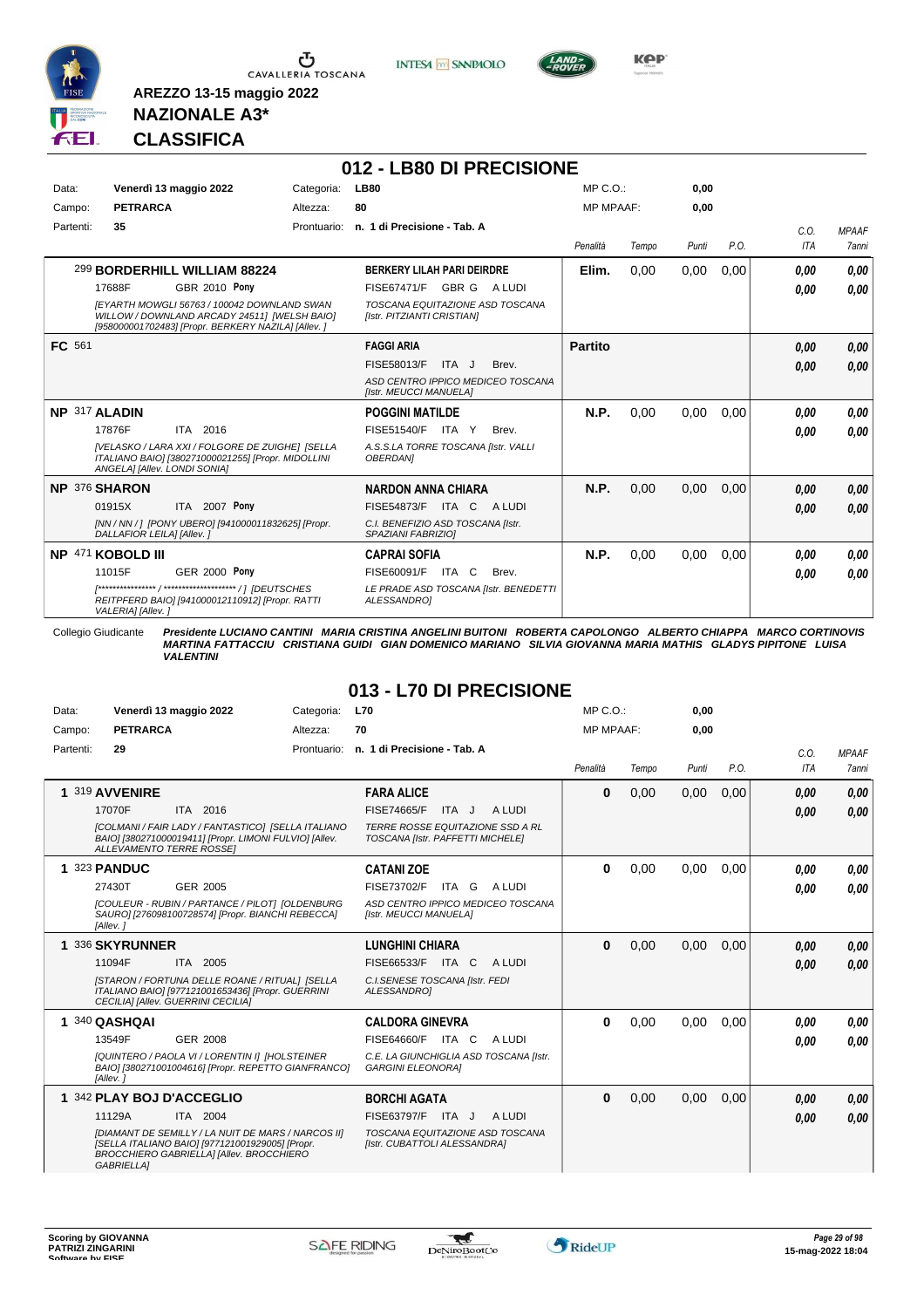





**Kep** 

### **NAZIONALE A3\* CLASSIFICA**

**AREZZO 13-15 maggio 2022**

|           |                                                                                                                                                    |                      |             | 012 - LB80 DI PRECISIONE                                      |       |                                       |                  |       |       |      |            |              |
|-----------|----------------------------------------------------------------------------------------------------------------------------------------------------|----------------------|-------------|---------------------------------------------------------------|-------|---------------------------------------|------------------|-------|-------|------|------------|--------------|
| Data:     | Venerdì 13 maggio 2022                                                                                                                             |                      | Categoria:  | <b>LB80</b>                                                   |       |                                       | MP C.O.          |       | 0.00  |      |            |              |
| Campo:    | <b>PETRARCA</b>                                                                                                                                    |                      | Altezza:    | 80                                                            |       |                                       | <b>MP MPAAF:</b> |       | 0,00  |      |            |              |
| Partenti: | 35                                                                                                                                                 |                      | Prontuario: | n. 1 di Precisione - Tab. A                                   |       |                                       |                  |       |       |      | C.0.       | <b>MPAAF</b> |
|           |                                                                                                                                                    |                      |             |                                                               |       |                                       | Penalità         | Tempo | Punti | P.O. | <b>ITA</b> | <b>7anni</b> |
|           | 299 BORDERHILL WILLIAM 88224                                                                                                                       |                      |             | <b>BERKERY LILAH PARI DEIRDRE</b>                             |       |                                       | Elim.            | 0.00  | 0,00  | 0.00 | 0.00       | 0.00         |
|           | 17688F                                                                                                                                             | <b>GBR 2010 Pony</b> |             | FISE67471/F GBR G A LUDI                                      |       |                                       |                  |       |       |      | 0.00       | 0.00         |
|           | IEYARTH MOWGLI 56763 / 100042 DOWNLAND SWAN<br>WILLOW / DOWNLAND ARCADY 24511] [WELSH BAIO]<br>[958000001702483] [Propr. BERKERY NAZILA] [Allev. ] |                      |             | TOSCANA EQUITAZIONE ASD TOSCANA<br>[Istr. PITZIANTI CRISTIAN] |       |                                       |                  |       |       |      |            |              |
| FC 561    |                                                                                                                                                    |                      |             | <b>FAGGI ARIA</b>                                             |       |                                       | <b>Partito</b>   |       |       |      | 0.00       | 0.00         |
|           |                                                                                                                                                    |                      |             | FISE58013/F                                                   | ITA J | Brev.                                 |                  |       |       |      | 0.00       | 0.00         |
|           |                                                                                                                                                    |                      |             | [Istr. MEUCCI MANUELA]                                        |       | ASD CENTRO IPPICO MEDICEO TOSCANA     |                  |       |       |      |            |              |
|           | NP 317 ALADIN                                                                                                                                      |                      |             | <b>POGGINI MATILDE</b>                                        |       |                                       | N.P.             | 0.00  | 0,00  | 0.00 | 0.00       | 0.00         |
|           | 17876F<br>ITA 2016                                                                                                                                 |                      |             | <b>FISE51540/F</b>                                            | ITA Y | Brev.                                 |                  |       |       |      | 0.00       | 0.00         |
|           | [VELASKO / LARA XXI / FOLGORE DE ZUIGHE] [SELLA<br>ITALIANO BAIO] [380271000021255] [Propr. MIDOLLINI<br>ANGELA] [Allev. LONDI SONIA]              |                      |             | A.S.S.LA TORRE TOSCANA [Istr. VALLI<br><b>OBERDANI</b>        |       |                                       |                  |       |       |      |            |              |
|           | <b>NP 376 SHARON</b>                                                                                                                               |                      |             | <b>NARDON ANNA CHIARA</b>                                     |       |                                       | N.P.             | 0.00  | 0.00  | 0.00 | 0,00       | 0,00         |
|           | 01915X                                                                                                                                             | ITA 2007 Pony        |             | <b>FISE54873/F ITA C</b>                                      |       | A LUDI                                |                  |       |       |      | 0,00       | 0.00         |
|           | [NN / NN / ] [PONY UBERO] [941000011832625] [Propr.<br>DALLAFIOR LEILA] [Allev. ]                                                                  |                      |             | C.I. BENEFIZIO ASD TOSCANA [Istr.<br>SPAZIANI FABRIZIOI       |       |                                       |                  |       |       |      |            |              |
|           | NP 471 KOBOLD III                                                                                                                                  |                      |             | <b>CAPRAI SOFIA</b>                                           |       |                                       | N.P.             | 0,00  | 0,00  | 0.00 | 0.00       | 0.00         |
|           | 11015F                                                                                                                                             | <b>GER 2000 Pony</b> |             | FISE60091/F ITA C                                             |       | Brev.                                 |                  |       |       |      | 0.00       | 0,00         |
|           | REITPFERD BAIO] [941000012110912] [Propr. RATTI<br>VALERIA] [Allev.]                                                                               |                      |             | ALESSANDROI                                                   |       | LE PRADE ASD TOSCANA [Istr. BENEDETTI |                  |       |       |      |            |              |

Collegio Giudicante Presidente LUCIANO CANTINI MARIA CRISTINA ANGELINI BUITONI ROBERTA CAPOLONGO ALBERTO CHIAPPA MARCO CORTINOVIS<br>MARTINA FATTACCIU CRISTIANA GUIDI GIAN DOMENICO MARIANO SILVIA GIOVANNA MARIA MATHIS GLADYS

#### **013 - L70 DI PRECISIONE**

| Data:     | Venerdì 13 maggio 2022                                                                                                                                                 | Categoria:  | <b>L70</b>                                                           | $MP C. O.$ :     |       | 0.00  |      |      |              |
|-----------|------------------------------------------------------------------------------------------------------------------------------------------------------------------------|-------------|----------------------------------------------------------------------|------------------|-------|-------|------|------|--------------|
| Campo:    | <b>PETRARCA</b>                                                                                                                                                        | Altezza:    | 70                                                                   | <b>MP MPAAF:</b> |       | 0,00  |      |      |              |
| Partenti: | 29                                                                                                                                                                     | Prontuario: | n. 1 di Precisione - Tab. A                                          |                  |       |       |      | C.O. | <b>MPAAF</b> |
|           |                                                                                                                                                                        |             |                                                                      | Penalità         | Tempo | Punti | P.O. | ITA  | 7anni        |
|           | 1 319 AVVENIRE                                                                                                                                                         |             | <b>FARA ALICE</b>                                                    | $\bf{0}$         | 0,00  | 0,00  | 0,00 | 0.00 | 0,00         |
|           | 17070F<br>ITA 2016                                                                                                                                                     |             | <b>FISE74665/F</b><br>A LUDI<br>ITA J                                |                  |       |       |      | 0.00 | 0,00         |
|           | <b>ICOLMANI / FAIR LADY / FANTASTICO1 ISELLA ITALIANO</b><br>BAIO] [380271000019411] [Propr. LIMONI FULVIO] [Allev.<br><b>ALLEVAMENTO TERRE ROSSEI</b>                 |             | TERRE ROSSE EQUITAZIONE SSD A RL<br>TOSCANA [Istr. PAFFETTI MICHELE] |                  |       |       |      |      |              |
|           | 1 323 PANDUC                                                                                                                                                           |             | <b>CATANI ZOE</b>                                                    | 0                | 0,00  | 0,00  | 0,00 | 0.00 | 0.00         |
|           | 27430T<br>GER 2005                                                                                                                                                     |             | <b>FISE73702/F</b><br>A LUDI<br>ITA G                                |                  |       |       |      | 0.00 | 0.00         |
|           | [COULEUR - RUBIN / PARTANCE / PILOT] [OLDENBURG<br>SAURO] [276098100728574] [Propr. BIANCHI REBECCA]<br>[Allev.]                                                       |             | ASD CENTRO IPPICO MEDICEO TOSCANA<br>[Istr. MEUCCI MANUELA]          |                  |       |       |      |      |              |
|           | 1 336 SKYRUNNER                                                                                                                                                        |             | <b>LUNGHINI CHIARA</b>                                               | $\bf{0}$         | 0,00  | 0,00  | 0,00 | 0.00 | 0,00         |
|           | 11094F<br>ITA 2005                                                                                                                                                     |             | FISE66533/F ITA C<br>A LUDI                                          |                  |       |       |      | 0.00 | 0.00         |
|           | [STARON / FORTUNA DELLE ROANE / RITUAL] [SELLA<br>ITALIANO BAIO] [977121001653436] [Propr. GUERRINI<br>CECILIA] [Allev. GUERRINI CECILIA]                              |             | C.I.SENESE TOSCANA [Istr. FEDI<br>ALESSANDROI                        |                  |       |       |      |      |              |
|           | 1 340 QASHQAI                                                                                                                                                          |             | <b>CALDORA GINEVRA</b>                                               | $\bf{0}$         | 0.00  | 0.00  | 0.00 | 0.00 | 0.00         |
|           | 13549F<br>GER 2008                                                                                                                                                     |             | <b>FISE64660/F ITA C</b><br>A LUDI                                   |                  |       |       |      | 0.00 | 0.00         |
|           | [QUINTERO / PAOLA VI / LORENTIN I] [HOLSTEINER<br>BAIO] [380271001004616] [Propr. REPETTO GIANFRANCO]<br>[Allev.]                                                      |             | C.E. LA GIUNCHIGLIA ASD TOSCANA [Istr.<br><b>GARGINI ELEONORAI</b>   |                  |       |       |      |      |              |
|           | 1 342 PLAY BOJ D'ACCEGLIO                                                                                                                                              |             | <b>BORCHI AGATA</b>                                                  | $\bf{0}$         | 0,00  | 0.00  | 0.00 | 0,00 | 0,00         |
|           | 11129A<br>ITA 2004                                                                                                                                                     |             | FISE63797/F<br>ITA J<br>A LUDI                                       |                  |       |       |      | 0.00 | 0.00         |
|           | [DIAMANT DE SEMILLY / LA NUIT DE MARS / NARCOS II]<br>[SELLA ITALIANO BAIO] [977121001929005] [Propr.<br>BROCCHIERO GABRIELLA] [Allev. BROCCHIERO<br><b>GABRIELLA1</b> |             | TOSCANA EQUITAZIONE ASD TOSCANA<br>[Istr. CUBATTOLI ALESSANDRA]      |                  |       |       |      |      |              |

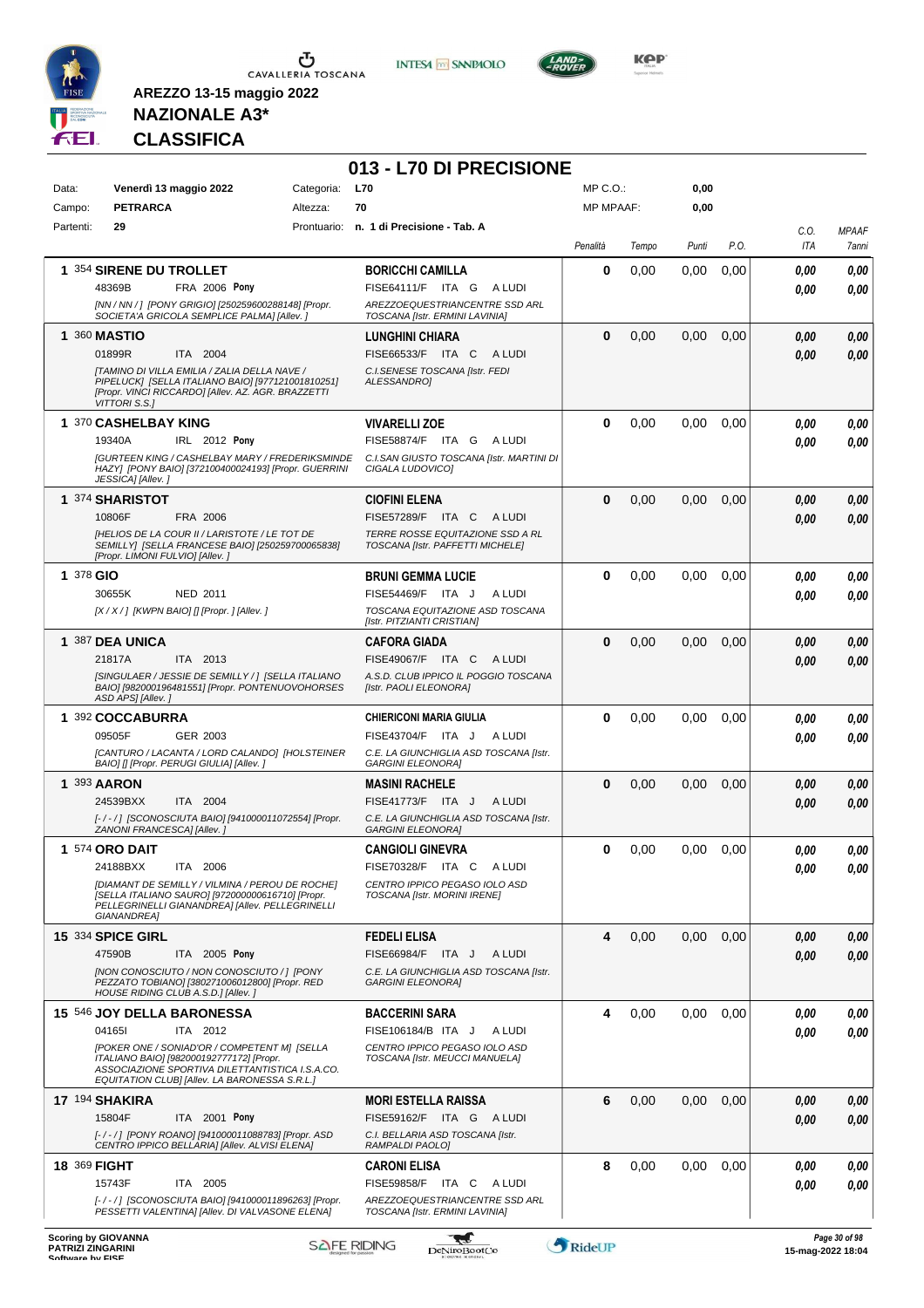

**INTESA M** SANPAOLO



**KOP** 

# **NAZIONALE A3\* CLASSIFICA**

**AREZZO 13-15 maggio 2022**

#### **013 - L70 DI PRECISIONE**

| Data:<br>Campo: | Venerdì 13 maggio 2022<br>Categoria:<br><b>PETRARCA</b><br>Altezza:                                                                                                      |  | <b>L70</b><br>70                                                     | MP C.O.:<br><b>MP MPAAF:</b> |       | 0,00<br>0,00 |      |            |              |
|-----------------|--------------------------------------------------------------------------------------------------------------------------------------------------------------------------|--|----------------------------------------------------------------------|------------------------------|-------|--------------|------|------------|--------------|
| Partenti:       | 29                                                                                                                                                                       |  | Prontuario: n. 1 di Precisione - Tab. A                              |                              |       |              |      | C.0.       | <b>MPAAF</b> |
|                 |                                                                                                                                                                          |  |                                                                      | Penalità                     | Tempo | Punti        | P.O. | <b>ITA</b> | 7anni        |
|                 | 1 354 SIRENE DU TROLLET                                                                                                                                                  |  | <b>BORICCHI CAMILLA</b>                                              | 0                            | 0,00  | 0,00         | 0,00 | 0.00       | 0,00         |
|                 | 48369B<br><b>FRA 2006 Pony</b>                                                                                                                                           |  | FISE64111/F ITA G ALUDI                                              |                              |       |              |      | 0.00       | 0,00         |
|                 | [NN / NN / ] [PONY GRIGIO] [250259600288148] [Propr.<br>SOCIETA'A GRICOLA SEMPLICE PALMA] [Allev. ]                                                                      |  | AREZZOEQUESTRIANCENTRE SSD ARL<br>TOSCANA [Istr. ERMINI LAVINIA]     |                              |       |              |      |            |              |
|                 | 1 360 MASTIO                                                                                                                                                             |  | LUNGHINI CHIARA                                                      | 0                            | 0,00  | 0,00         | 0,00 | 0,00       | 0,00         |
|                 | 01899R<br>ITA 2004                                                                                                                                                       |  | FISE66533/F ITA C<br>A LUDI                                          |                              |       |              |      | 0.00       | 0,00         |
|                 | [TAMINO DI VILLA EMILIA / ZALIA DELLA NAVE /<br>PIPELUCK] [SELLA ITALIANO BAIO] [977121001810251]<br>[Propr. VINCI RICCARDO] [Allev. AZ. AGR. BRAZZETTI<br>VITTORI S.S.] |  | C.I.SENESE TOSCANA [Istr. FEDI<br>ALESSANDRO]                        |                              |       |              |      |            |              |
|                 | 1 370 CASHELBAY KING                                                                                                                                                     |  | <b>VIVARELLI ZOE</b>                                                 | $\bf{0}$                     | 0,00  | 0,00         | 0,00 | 0,00       | 0,00         |
|                 | 19340A<br><b>IRL</b> 2012 Pony                                                                                                                                           |  | FISE58874/F ITA G<br>A LUDI                                          |                              |       |              |      | 0.00       | 0,00         |
|                 | <b>[GURTEEN KING / CASHELBAY MARY / FREDERIKSMINDE</b><br>HAZY] [PONY BAIO] [372100400024193] [Propr. GUERRINI<br>JESSICA] [Allev.]                                      |  | C.I.SAN GIUSTO TOSCANA [Istr. MARTINI DI<br>CIGALA LUDOVICO]         |                              |       |              |      |            |              |
|                 | 1 374 SHARISTOT                                                                                                                                                          |  | CIOFINI ELENA                                                        | $\bf{0}$                     | 0,00  | 0,00         | 0,00 | 0,00       | 0,00         |
|                 | 10806F<br>FRA 2006                                                                                                                                                       |  | FISE57289/F ITA C<br>A LUDI                                          |                              |       |              |      | 0.00       | 0,00         |
|                 | <b>IHELIOS DE LA COUR II / LARISTOTE / LE TOT DE</b><br>SEMILLY] [SELLA FRANCESE BAIO] [250259700065838]<br>[Propr. LIMONI FULVIO] [Allev.]                              |  | TERRE ROSSE EQUITAZIONE SSD A RL<br>TOSCANA [Istr. PAFFETTI MICHELE] |                              |       |              |      |            |              |
| 1 378 GIO       |                                                                                                                                                                          |  | <b>BRUNI GEMMA LUCIE</b>                                             | $\bf{0}$                     | 0,00  | 0,00         | 0,00 | 0.00       | 0,00         |
|                 | NED 2011<br>30655K<br>[X / X / ] [KWPN BAIO] [] [Propr. ] [Allev. ]                                                                                                      |  | A LUDI<br>FISE54469/F ITA J<br>TOSCANA EQUITAZIONE ASD TOSCANA       |                              |       |              |      | 0.00       | 0,00         |
|                 |                                                                                                                                                                          |  | [Istr. PITZIANTI CRISTIAN]                                           |                              |       |              |      |            |              |
|                 | 1 387 DEA UNICA                                                                                                                                                          |  | <b>CAFORA GIADA</b>                                                  | 0                            | 0,00  | 0,00         | 0,00 | 0,00       | 0,00         |
|                 | 21817A<br>ITA 2013                                                                                                                                                       |  | FISE49067/F ITA C<br>A LUDI                                          |                              |       |              |      | 0.00       | 0,00         |
|                 | [SINGULAER / JESSIE DE SEMILLY / ] [SELLA ITALIANO<br>BAIO] [982000196481551] [Propr. PONTENUOVOHORSES<br>ASD APS] [Allev.]                                              |  | A.S.D. CLUB IPPICO IL POGGIO TOSCANA<br>[Istr. PAOLI ELEONORA]       |                              |       |              |      |            |              |
|                 | 1 392 COCCABURRA                                                                                                                                                         |  | <b>CHIERICONI MARIA GIULIA</b>                                       | 0                            | 0,00  | 0.00         | 0,00 | 0.00       | 0,00         |
|                 | 09505F<br>GER 2003                                                                                                                                                       |  | FISE43704/F ITA J<br>A LUDI                                          |                              |       |              |      | 0.00       | 0.00         |
|                 | [CANTURO / LACANTA / LORD CALANDO] [HOLSTEINER<br>BAIO] [] [Propr. PERUGI GIULIA] [Allev. ]                                                                              |  | C.E. LA GIUNCHIGLIA ASD TOSCANA [Istr.<br><b>GARGINI ELEONORA]</b>   |                              |       |              |      |            |              |
|                 | 1 393 AARON                                                                                                                                                              |  | <b>MASINI RACHELE</b>                                                | $\bf{0}$                     | 0,00  | 0,00         | 0,00 | 0,00       | 0,00         |
|                 | 24539BXX<br>ITA 2004                                                                                                                                                     |  | FISE41773/F ITA J<br>A LUDI                                          |                              |       |              |      | 0.00       | 0,00         |
|                 | [-/-/] [SCONOSCIUTA BAIO] [941000011072554] [Propr.<br>ZANONI FRANCESCA] [Allev.]                                                                                        |  | C.E. LA GIUNCHIGLIA ASD TOSCANA [Istr.<br><b>GARGINI ELEONORA]</b>   |                              |       |              |      |            |              |
|                 | <b>1 574 ORO DAIT</b>                                                                                                                                                    |  | <b>CANGIOLI GINEVRA</b>                                              | 0                            | 0,00  | 0.00         | 0,00 | 0,00       | 0,00         |
|                 | 24188BXX<br>ITA 2006                                                                                                                                                     |  | FISE70328/F ITA C<br>A LUDI                                          |                              |       |              |      | 0.00       | 0.00         |
|                 | [DIAMANT DE SEMILLY / VILMINA / PEROU DE ROCHE]<br>[SELLA ITALIANO SAURO] [972000000616710] [Propr.                                                                      |  | CENTRO IPPICO PEGASO IOLO ASD<br>TOSCANA [Istr. MORINI IRENE]        |                              |       |              |      |            |              |
|                 | PELLEGRINELLI GIANANDREA] [Allev. PELLEGRINELLI<br>GIANANDREA]                                                                                                           |  |                                                                      |                              |       |              |      |            |              |
|                 | <b>15 334 SPICE GIRL</b>                                                                                                                                                 |  | <b>FEDELI ELISA</b>                                                  | 4                            | 0,00  | 0,00         | 0,00 | 0.00       | 0,00         |
|                 | 47590B<br>ITA 2005 Pony                                                                                                                                                  |  | FISE66984/F ITA J<br>A LUDI                                          |                              |       |              |      | 0.00       | 0,00         |
|                 | [NON CONOSCIUTO / NON CONOSCIUTO / ] [PONY<br>PEZZATO TOBIANO] [380271006012800] [Propr. RED                                                                             |  | C.E. LA GIUNCHIGLIA ASD TOSCANA [Istr.<br><b>GARGINI ELEONORA]</b>   |                              |       |              |      |            |              |
|                 | HOUSE RIDING CLUB A.S.D.] [Allev.]                                                                                                                                       |  |                                                                      |                              |       |              |      |            |              |
|                 | 15 546 JOY DELLA BARONESSA<br>041651<br>ITA 2012                                                                                                                         |  | BACCERINI SARA<br>A LUDI<br>FISE106184/B ITA J                       | 4                            | 0,00  | 0,00         | 0.00 | 0.00       | 0,00         |
|                 | [POKER ONE / SONIAD'OR / COMPETENT M] [SELLA                                                                                                                             |  | CENTRO IPPICO PEGASO IOLO ASD                                        |                              |       |              |      | 0.00       | 0,00         |
|                 | ITALIANO BAIO] [982000192777172] [Propr.<br>ASSOCIAZIONE SPORTIVA DILETTANTISTICA I.S.A.CO.                                                                              |  | TOSCANA [Istr. MEUCCI MANUELA]                                       |                              |       |              |      |            |              |
|                 | EQUITATION CLUB] [Allev. LA BARONESSA S.R.L.]                                                                                                                            |  |                                                                      |                              |       |              |      |            |              |
|                 | <b>17 194 SHAKIRA</b><br>15804F<br>ITA 2001 Pony                                                                                                                         |  | <b>MORI ESTELLA RAISSA</b><br>FISE59162/F ITA G ALUDI                | 6                            | 0,00  | 0,00         | 0,00 | 0,00       | 0,00         |
|                 | [-/-/] [PONY ROANO] [941000011088783] [Propr. ASD                                                                                                                        |  | C.I. BELLARIA ASD TOSCANA [Istr.                                     |                              |       |              |      | 0.00       | 0,00         |
|                 | CENTRO IPPICO BELLARIA] [Allev. ALVISI ELENA]                                                                                                                            |  | RAMPALDI PAOLO]                                                      |                              |       |              |      |            |              |
|                 | <b>18 369 FIGHT</b>                                                                                                                                                      |  | <b>CARONI ELISA</b>                                                  | 8                            | 0,00  | 0,00         | 0,00 | 0.00       | 0,00         |
|                 | 15743F<br>ITA 2005<br>[-/-/] [SCONOSCIUTA BAIO] [941000011896263] [Propr.                                                                                                |  | FISE59858/F ITA C ALUDI<br>AREZZOEQUESTRIANCENTRE SSD ARL            |                              |       |              |      | 0.00       | 0,00         |
|                 | PESSETTI VALENTINA] [Allev. DI VALVASONE ELENA]                                                                                                                          |  | TOSCANA [Istr. ERMINI LAVINIA]                                       |                              |       |              |      |            |              |

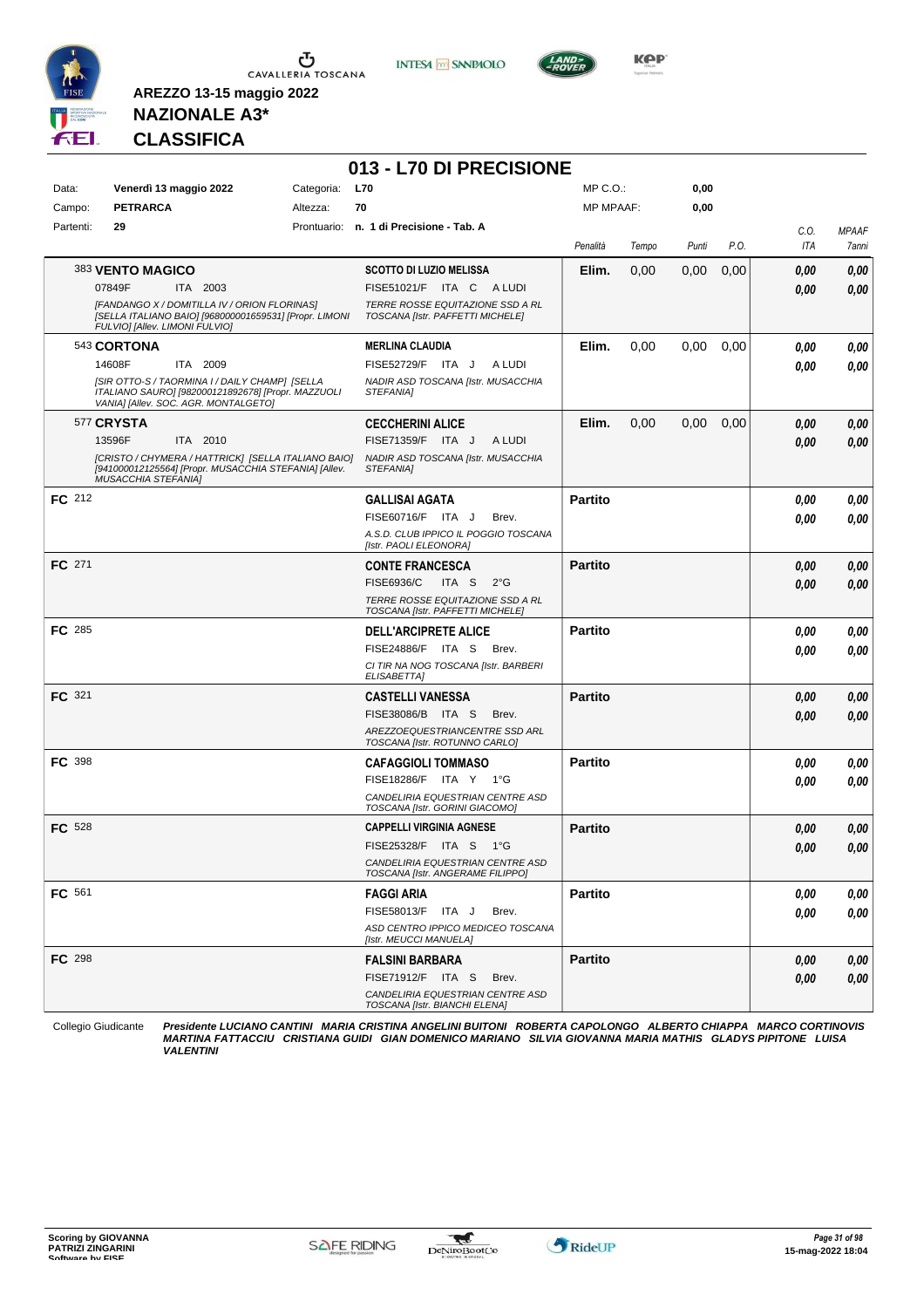

**INTESA** M SANPAOLO

**013 - L70 DI PRECISIONE**



**Kep** 

## **NAZIONALE A3\* CLASSIFICA**

**AREZZO 13-15 maggio 2022**

| Data:         | Venerdì 13 maggio 2022<br><b>PETRARCA</b>                                                                                                    | Categoria:<br><b>L70</b><br>Altezza:<br>70 |                                                                      | $MP C. O.$ :     |       | 0,00  |      |             |                       |
|---------------|----------------------------------------------------------------------------------------------------------------------------------------------|--------------------------------------------|----------------------------------------------------------------------|------------------|-------|-------|------|-------------|-----------------------|
| Campo:        |                                                                                                                                              |                                            |                                                                      | <b>MP MPAAF:</b> |       | 0,00  |      |             |                       |
| Partenti:     | 29                                                                                                                                           |                                            | Prontuario: n. 1 di Precisione - Tab. A                              | Penalità         | Tempo | Punti | P.O. | C.O.<br>ITA | <b>MPAAF</b><br>7anni |
|               | 383 VENTO MAGICO                                                                                                                             |                                            | <b>SCOTTO DI LUZIO MELISSA</b>                                       | Elim.            | 0,00  | 0,00  | 0,00 | 0.00        | 0,00                  |
|               | 07849F<br>ITA 2003                                                                                                                           |                                            | FISE51021/F ITA C ALUDI                                              |                  |       |       |      | 0.00        | 0,00                  |
|               | [FANDANGO X / DOMITILLA IV / ORION FLORINAS]<br>[SELLA ITALIANO BAIO] [968000001659531] [Propr. LIMONI<br>FULVIO] [Allev. LIMONI FULVIO]     |                                            | TERRE ROSSE EQUITAZIONE SSD A RL<br>TOSCANA [Istr. PAFFETTI MICHELE] |                  |       |       |      |             |                       |
|               | 543 CORTONA                                                                                                                                  |                                            | <b>MERLINA CLAUDIA</b>                                               | Elim.            | 0,00  | 0,00  | 0,00 | 0.00        | 0,00                  |
|               | 14608F<br>ITA 2009                                                                                                                           |                                            | FISE52729/F ITA J<br>A LUDI                                          |                  |       |       |      | 0.00        | 0,00                  |
|               | ISIR OTTO-S / TAORMINA I / DAILY CHAMP] [SELLA<br>ITALIANO SAURO] [982000121892678] [Propr. MAZZUOLI<br>VANIA] [Allev. SOC. AGR. MONTALGETO] |                                            | NADIR ASD TOSCANA [Istr. MUSACCHIA<br>STEFANIA]                      |                  |       |       |      |             |                       |
|               | 577 CRYSTA                                                                                                                                   |                                            | <b>CECCHERINI ALICE</b>                                              | Elim.            | 0,00  | 0,00  | 0,00 | 0,00        | 0,00                  |
|               | 13596F<br>ITA 2010                                                                                                                           |                                            | FISE71359/F ITA J<br>A LUDI                                          |                  |       |       |      | 0,00        | 0,00                  |
|               | [CRISTO / CHYMERA / HATTRICK] [SELLA ITALIANO BAIO]<br>[941000012125564] [Propr. MUSACCHIA STEFANIA] [Allev.<br><b>MUSACCHIA STEFANIA]</b>   |                                            | NADIR ASD TOSCANA [Istr. MUSACCHIA<br>STEFANIA]                      |                  |       |       |      |             |                       |
| FC 212        |                                                                                                                                              |                                            | <b>GALLISAI AGATA</b>                                                | <b>Partito</b>   |       |       |      | 0,00        | 0,00                  |
|               |                                                                                                                                              |                                            | FISE60716/F ITA J<br>Brev.                                           |                  |       |       |      | 0.00        | 0,00                  |
|               |                                                                                                                                              |                                            | A.S.D. CLUB IPPICO IL POGGIO TOSCANA<br>[Istr. PAOLI ELEONORA]       |                  |       |       |      |             |                       |
| FC 271        |                                                                                                                                              |                                            | <b>CONTE FRANCESCA</b>                                               | <b>Partito</b>   |       |       |      | 0.00        | 0,00                  |
|               |                                                                                                                                              |                                            | <b>FISE6936/C</b><br>ITA S<br>$2^{\circ}$ G                          |                  |       |       |      | 0.00        | 0,00                  |
|               |                                                                                                                                              |                                            | TERRE ROSSE EQUITAZIONE SSD A RL<br>TOSCANA [Istr. PAFFETTI MICHELE] |                  |       |       |      |             |                       |
| FC 285        |                                                                                                                                              |                                            | <b>DELL'ARCIPRETE ALICE</b>                                          | <b>Partito</b>   |       |       |      | 0.00        | 0,00                  |
|               |                                                                                                                                              |                                            | FISE24886/F ITA S<br>Brev.                                           |                  |       |       |      | 0.00        | 0,00                  |
|               |                                                                                                                                              |                                            | CI TIR NA NOG TOSCANA [Istr. BARBERI<br>ELISABETTA]                  |                  |       |       |      |             |                       |
| FC 321        |                                                                                                                                              |                                            | <b>CASTELLI VANESSA</b>                                              | <b>Partito</b>   |       |       |      | 0.00        | 0,00                  |
|               |                                                                                                                                              |                                            | FISE38086/B ITA S<br>Brev.                                           |                  |       |       |      | 0.00        | 0,00                  |
|               |                                                                                                                                              |                                            | AREZZOEQUESTRIANCENTRE SSD ARL<br>TOSCANA [Istr. ROTUNNO CARLO]      |                  |       |       |      |             |                       |
| <b>FC</b> 398 |                                                                                                                                              |                                            | <b>CAFAGGIOLI TOMMASO</b>                                            | <b>Partito</b>   |       |       |      | 0.00        | 0,00                  |
|               |                                                                                                                                              |                                            | FISE18286/F ITA Y 1°G                                                |                  |       |       |      | 0.00        | 0,00                  |
|               |                                                                                                                                              |                                            | CANDELIRIA EQUESTRIAN CENTRE ASD<br>TOSCANA [Istr. GORINI GIACOMO]   |                  |       |       |      |             |                       |
| <b>FC</b> 528 |                                                                                                                                              |                                            | <b>CAPPELLI VIRGINIA AGNESE</b>                                      | <b>Partito</b>   |       |       |      | 0,00        | 0,00                  |
|               |                                                                                                                                              |                                            | FISE25328/F ITA S 1°G                                                |                  |       |       |      | 0.00        | 0,00                  |
|               |                                                                                                                                              |                                            | CANDELIRIA EQUESTRIAN CENTRE ASD<br>TOSCANA [Istr. ANGERAME FILIPPO] |                  |       |       |      |             |                       |
| FC 561        |                                                                                                                                              |                                            | <b>FAGGI ARIA</b>                                                    | <b>Partito</b>   |       |       |      | 0,00        | 0,00                  |
|               |                                                                                                                                              |                                            | FISE58013/F ITA J<br>Brev.                                           |                  |       |       |      | 0,00        | 0,00                  |
|               |                                                                                                                                              |                                            | ASD CENTRO IPPICO MEDICEO TOSCANA<br>[Istr. MEUCCI MANUELA]          |                  |       |       |      |             |                       |
| FC 298        |                                                                                                                                              |                                            | <b>FALSINI BARBARA</b>                                               | <b>Partito</b>   |       |       |      | 0,00        | 0,00                  |
|               |                                                                                                                                              |                                            | FISE71912/F ITA S<br>Brev.                                           |                  |       |       |      | 0,00        | 0,00                  |
|               |                                                                                                                                              |                                            | CANDELIRIA EQUESTRIAN CENTRE ASD<br>TOSCANA [Istr. BIANCHI ELENA]    |                  |       |       |      |             |                       |

Collegio Giudicante Presidente LUCIANO CANTINI MARIA CRISTINA ANGELINI BUITONI ROBERTA CAPOLONGO ALBERTO CHIAPPA MARCO CORTINOVIS<br>MARTINA FATTACCIU CRISTIANA GUIDI GIAN DOMENICO MARIANO SILVIA GIOVANNA MARIA MATHIS GLADYS

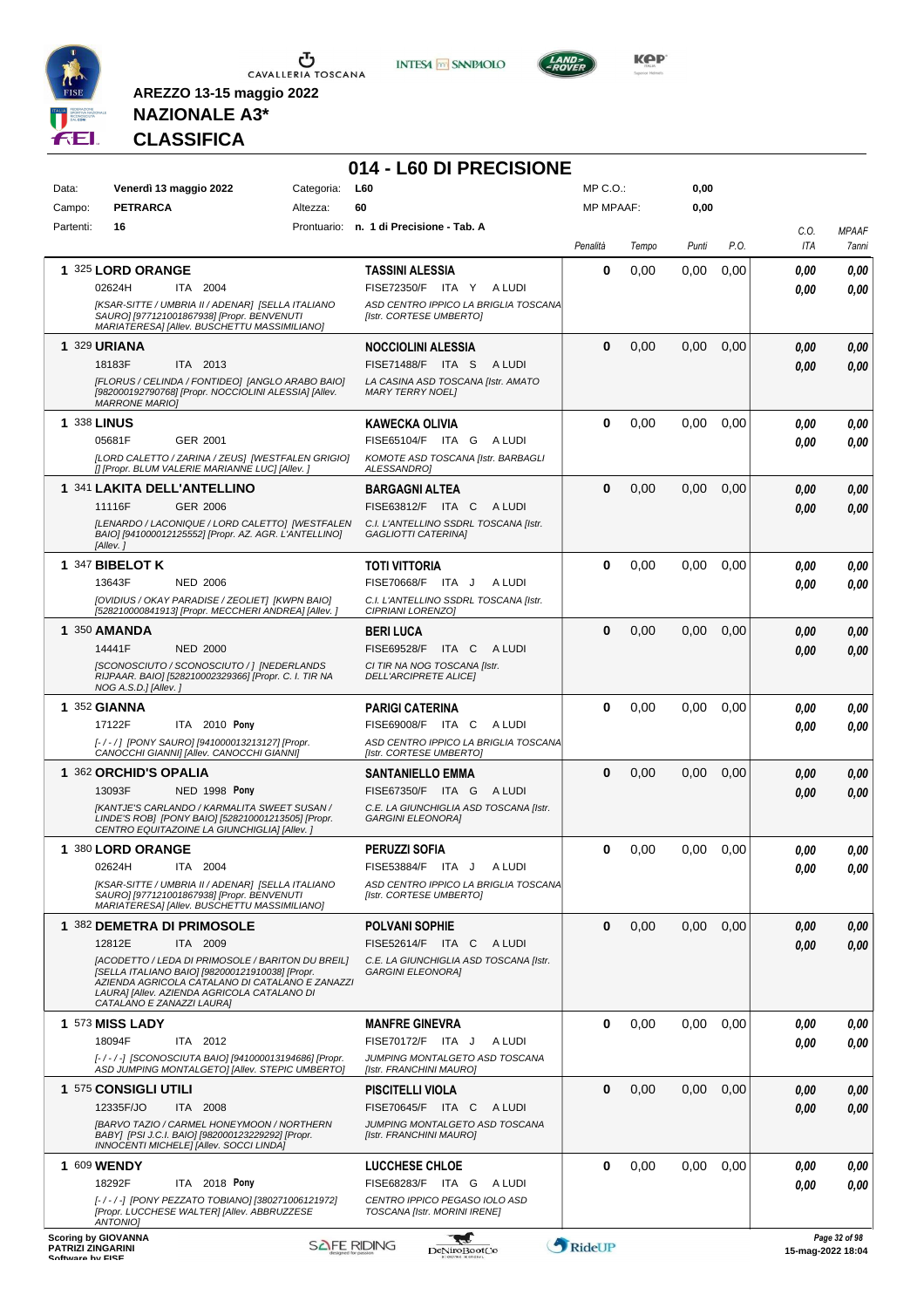

**INTESA** M SANPAOLO

**014 - L60 DI PRECISIONE**



**KOP** 

## **NAZIONALE A3\* CLASSIFICA**

| Data:              | Venerdì 13 maggio 2022                                                                                                                                                                                 | Categoria: | L60                                                                 | $MP C. O.$ :     |       | 0,00  |      |      |              |
|--------------------|--------------------------------------------------------------------------------------------------------------------------------------------------------------------------------------------------------|------------|---------------------------------------------------------------------|------------------|-------|-------|------|------|--------------|
| Campo:             | <b>PETRARCA</b>                                                                                                                                                                                        | Altezza:   | 60                                                                  | <b>MP MPAAF:</b> |       | 0,00  |      |      |              |
| Partenti:          | 16                                                                                                                                                                                                     |            | Prontuario: n. 1 di Precisione - Tab. A                             |                  |       |       |      | C.O. | <b>MPAAF</b> |
|                    |                                                                                                                                                                                                        |            |                                                                     | Penalità         | Tempo | Punti | P.O. | ITA  | 7anni        |
|                    | 1 325 LORD ORANGE                                                                                                                                                                                      |            | <b>TASSINI ALESSIA</b>                                              | 0                | 0,00  | 0,00  | 0,00 | 0.00 | 0,00         |
|                    | 02624H<br>ITA 2004                                                                                                                                                                                     |            | FISE72350/F ITA Y<br>A LUDI                                         |                  |       |       |      | 0.00 | 0,00         |
|                    | [KSAR-SITTE / UMBRIA II / ADENAR] [SELLA ITALIANO<br>SAURO] [977121001867938] [Propr. BENVENUTI<br>MARIATERESA] [Allev. BUSCHETTU MASSIMILIANO]                                                        |            | ASD CENTRO IPPICO LA BRIGLIA TOSCANA<br>[Istr. CORTESE UMBERTO]     |                  |       |       |      |      |              |
| 1 329 URIANA       |                                                                                                                                                                                                        |            | <b>NOCCIOLINI ALESSIA</b>                                           | 0                | 0,00  | 0,00  | 0,00 | 0.00 | 0,00         |
|                    | 18183F<br>ITA 2013                                                                                                                                                                                     |            | FISE71488/F ITA S<br>A LUDI                                         |                  |       |       |      | 0.00 | 0,00         |
|                    | [FLORUS / CELINDA / FONTIDEO] [ANGLO ARABO BAIO]<br>[982000192790768] [Propr. NOCCIOLINI ALESSIA] [Allev.<br><b>MARRONE MARIO]</b>                                                                     |            | LA CASINA ASD TOSCANA [Istr. AMATO<br><b>MARY TERRY NOEL1</b>       |                  |       |       |      |      |              |
| <b>1 338 LINUS</b> |                                                                                                                                                                                                        |            | <b>KAWECKA OLIVIA</b>                                               | 0                | 0,00  | 0,00  | 0,00 | 0.00 | 0,00         |
|                    | 05681F<br>GER 2001                                                                                                                                                                                     |            | FISE65104/F ITA G<br>A LUDI                                         |                  |       |       |      | 0.00 | 0,00         |
|                    | [LORD CALETTO / ZARINA / ZEUS] [WESTFALEN GRIGIO]<br>[] [Propr. BLUM VALERIE MARIANNE LUC] [Allev. ]                                                                                                   |            | KOMOTE ASD TOSCANA [Istr. BARBAGLI<br>ALESSANDRO]                   |                  |       |       |      |      |              |
|                    | 1 341 LAKITA DELL'ANTELLINO                                                                                                                                                                            |            | <b>BARGAGNI ALTEA</b>                                               | 0                | 0,00  | 0,00  | 0,00 | 0.00 | 0,00         |
|                    | <b>GER 2006</b><br>11116F                                                                                                                                                                              |            | FISE63812/F ITA C<br>A LUDI                                         |                  |       |       |      | 0.00 | 0,00         |
|                    | [LENARDO / LACONIQUE / LORD CALETTO] [WESTFALEN<br>BAIO] [941000012125552] [Propr. AZ. AGR. L'ANTELLINO]<br>[Allev.]                                                                                   |            | C.I. L'ANTELLINO SSDRL TOSCANA [Istr.<br><b>GAGLIOTTI CATERINAI</b> |                  |       |       |      |      |              |
|                    | 1 347 BIBELOT K                                                                                                                                                                                        |            | <b>TOTI VITTORIA</b>                                                | 0                | 0,00  | 0.00  | 0.00 | 0.00 | 0.00         |
|                    | 13643F<br><b>NED 2006</b>                                                                                                                                                                              |            | FISE70668/F ITA J<br>A LUDI                                         |                  |       |       |      | 0.00 | 0.00         |
|                    | [OVIDIUS / OKAY PARADISE / ZEOLIET] [KWPN BAIO]<br>[528210000841913] [Propr. MECCHERI ANDREA] [Allev. ]                                                                                                |            | C.I. L'ANTELLINO SSDRL TOSCANA [Istr.<br>CIPRIANI LORENZO]          |                  |       |       |      |      |              |
|                    | 1 350 AMANDA                                                                                                                                                                                           |            | <b>BERI LUCA</b>                                                    | 0                | 0,00  | 0,00  | 0,00 | 0.00 | 0,00         |
|                    | 14441F<br><b>NED 2000</b>                                                                                                                                                                              |            | FISE69528/F<br>ITA C<br>A LUDI                                      |                  |       |       |      | 0.00 | 0.00         |
|                    | [SCONOSCIUTO / SCONOSCIUTO / ] [NEDERLANDS                                                                                                                                                             |            | CI TIR NA NOG TOSCANA [Istr.                                        |                  |       |       |      |      |              |
|                    | RIJPAAR. BAIO] [528210002329366] [Propr. C. I. TIR NA<br>NOG A.S.D.] [Allev.]                                                                                                                          |            | <b>DELL'ARCIPRETE ALICE </b>                                        |                  |       |       |      |      |              |
|                    | <b>1 352 GIANNA</b>                                                                                                                                                                                    |            | <b>PARIGI CATERINA</b>                                              | 0                | 0,00  | 0,00  | 0,00 | 0.00 | 0,00         |
|                    | ITA 2010 Pony<br>17122F                                                                                                                                                                                |            | FISE69008/F ITA C<br>A LUDI                                         |                  |       |       |      | 0.00 | 0.00         |
|                    | [-/-/] [PONY SAURO] [941000013213127] [Propr.<br>CANOCCHI GIANNI] [Allev. CANOCCHI GIANNI]                                                                                                             |            | ASD CENTRO IPPICO LA BRIGLIA TOSCANA<br>[Istr. CORTESE UMBERTO]     |                  |       |       |      |      |              |
|                    | 1 362 ORCHID'S OPALIA                                                                                                                                                                                  |            | <b>SANTANIELLO EMMA</b>                                             | 0                | 0,00  | 0,00  | 0,00 | 0.00 | 0,00         |
|                    | 13093F<br>NED 1998 Pony                                                                                                                                                                                |            | FISE67350/F ITA G<br>A LUDI                                         |                  |       |       |      | 0.00 | 0,00         |
|                    | [KANTJE'S CARLANDO / KARMALITA SWEET SUSAN /<br>LINDE'S ROB] [PONY BAIO] [528210001213505] [Propr.<br>CENTRO EQUITAZOINE LA GIUNCHIGLIA] [Allev. ]                                                     |            | C.E. LA GIUNCHIGLIA ASD TOSCANA [Istr.<br><b>GARGINI ELEONORA]</b>  |                  |       |       |      |      |              |
|                    | 1 380 LORD ORANGE                                                                                                                                                                                      |            | <b>PERUZZI SOFIA</b>                                                | 0                | 0,00  | 0,00  | 0,00 | 0.00 | 0,00         |
|                    | 02624H<br>ITA 2004                                                                                                                                                                                     |            | FISE53884/F ITA J<br>A LUDI                                         |                  |       |       |      | 0.00 | 0.00         |
|                    | [KSAR-SITTE / UMBRIA II / ADENAR] [SELLA ITALIANO<br>SAURO] [977121001867938] [Propr. BENVENUTI<br>MARIATERESA] [Allev. BUSCHETTU MASSIMILIANO]                                                        |            | ASD CENTRO IPPICO LA BRIGLIA TOSCANA<br>[Istr. CORTESE UMBERTO]     |                  |       |       |      |      |              |
|                    | 1 382 DEMETRA DI PRIMOSOLE                                                                                                                                                                             |            | <b>POLVANI SOPHIE</b>                                               | 0                | 0,00  | 0,00  | 0,00 | 0,00 | 0,00         |
|                    | 12812E<br>ITA 2009                                                                                                                                                                                     |            | FISE52614/F ITA C<br>A LUDI                                         |                  |       |       |      | 0.00 | 0,00         |
|                    | [ACODETTO / LEDA DI PRIMOSOLE / BARITON DU BREIL]<br>[SELLA ITALIANO BAIO] [982000121910038] [Propr.<br>AZIENDA AGRICOLA CATALANO DI CATALANO E ZANAZZI<br>LAURA] [Allev. AZIENDA AGRICOLA CATALANO DI |            | C.E. LA GIUNCHIGLIA ASD TOSCANA [Istr.<br><b>GARGINI ELEONORA]</b>  |                  |       |       |      |      |              |
|                    | CATALANO E ZANAZZI LAURA]                                                                                                                                                                              |            |                                                                     |                  |       |       |      |      |              |
|                    | <b>1 573 MISS LADY</b>                                                                                                                                                                                 |            | <b>MANFRE GINEVRA</b>                                               | 0                | 0,00  | 0,00  | 0,00 | 0,00 | 0,00         |
|                    | 18094F<br>ITA 2012<br>[-/-/-] [SCONOSCIUTA BAIO] [941000013194686] [Propr.                                                                                                                             |            | FISE70172/F ITA J<br>A LUDI<br>JUMPING MONTALGETO ASD TOSCANA       |                  |       |       |      | 0.00 | 0.00         |
|                    | ASD JUMPING MONTALGETO] [Allev. STEPIC UMBERTO]                                                                                                                                                        |            | [Istr. FRANCHINI MAURO]                                             |                  |       |       |      |      |              |
|                    | 1 575 CONSIGLI UTILI                                                                                                                                                                                   |            | <b>PISCITELLI VIOLA</b>                                             | 0                | 0,00  | 0,00  | 0,00 | 0,00 | 0,00         |
|                    | 12335F/JO<br>ITA 2008                                                                                                                                                                                  |            | FISE70645/F ITA C<br>A LUDI                                         |                  |       |       |      | 0.00 | 0,00         |
|                    | [BARVO TAZIO / CARMEL HONEYMOON / NORTHERN<br>BABY] [PSI J.C.I. BAIO] [982000123229292] [Propr.<br>INNOCENTI MICHELE] [Allev. SOCCI LINDA]                                                             |            | JUMPING MONTALGETO ASD TOSCANA<br>[Istr. FRANCHINI MAURO]           |                  |       |       |      |      |              |
|                    | 1 609 WENDY                                                                                                                                                                                            |            | LUCCHESE CHLOE                                                      | 0                | 0,00  | 0,00  | 0,00 | 0.00 | 0,00         |
|                    | 18292F<br>ITA 2018 Pony                                                                                                                                                                                |            | FISE68283/F ITA G<br>A LUDI                                         |                  |       |       |      | 0.00 | 0,00         |
|                    | [-/-/-] [PONY PEZZATO TOBIANO] [380271006121972]<br>[Propr. LUCCHESE WALTER] [Allev. ABBRUZZESE<br><b>ANTONIOI</b>                                                                                     |            | CENTRO IPPICO PEGASO IOLO ASD<br>TOSCANA [Istr. MORINI IRENE]       |                  |       |       |      |      |              |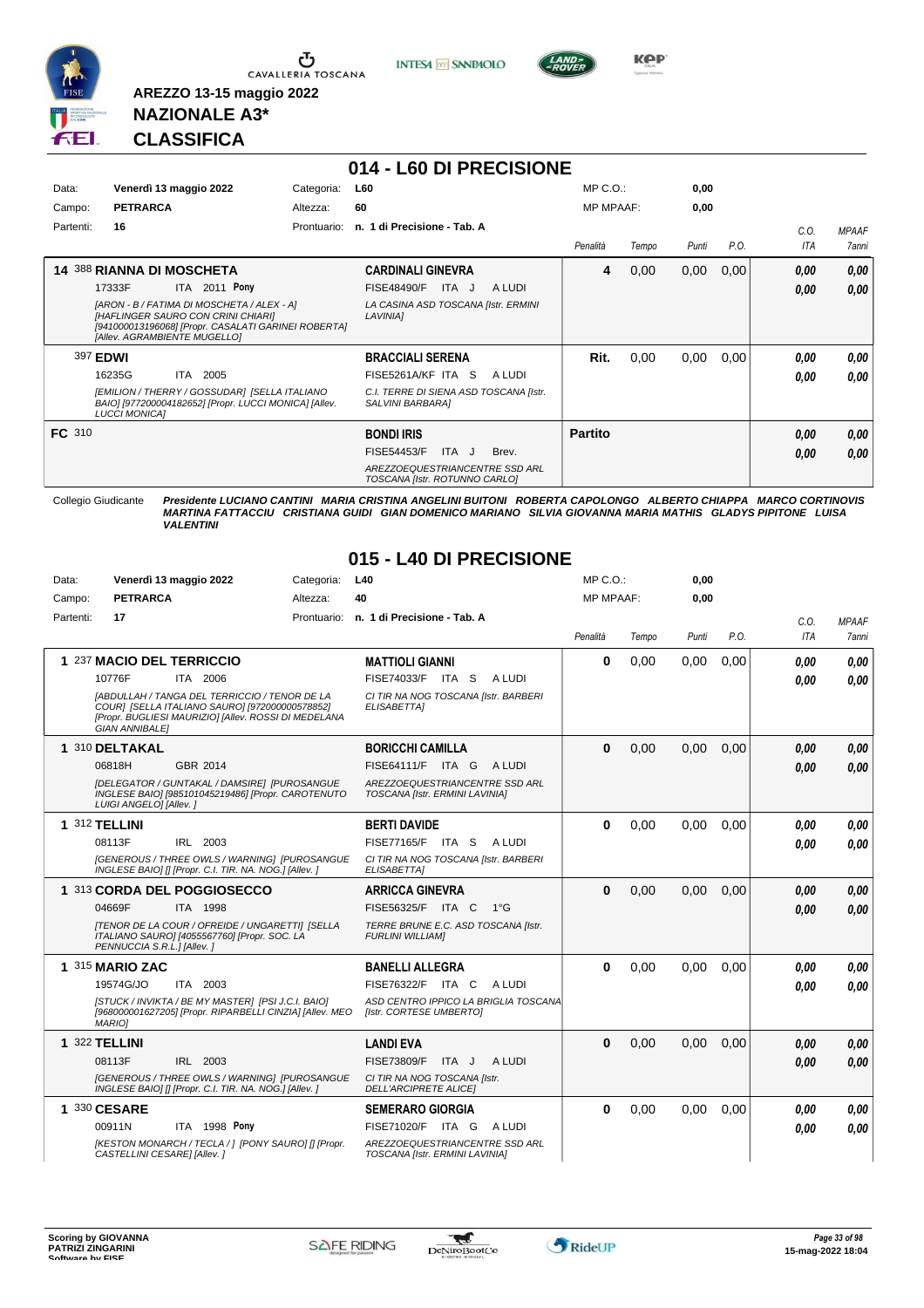

**INTESA** M SANPAOLO



**KPP** 

### **NAZIONALE A3\* CLASSIFICA**

**AREZZO 13-15 maggio 2022**

Data: **Venerdì 13 maggio 2022** Categoria: L40

|               |                                                                                                                                                                         |                                                 | 014 - L60 DI PRECISIONE                                         |                |                  |       |      |            |              |
|---------------|-------------------------------------------------------------------------------------------------------------------------------------------------------------------------|-------------------------------------------------|-----------------------------------------------------------------|----------------|------------------|-------|------|------------|--------------|
| Data:         | Venerdì 13 maggio 2022<br>Categoria:                                                                                                                                    |                                                 | <b>L60</b>                                                      |                | $MP C. O.$ :     |       | 0,00 |            |              |
| Campo:        | <b>PETRARCA</b><br>Altezza:                                                                                                                                             |                                                 | 60                                                              |                | <b>MP MPAAF:</b> |       | 0,00 |            |              |
| Partenti:     | 16<br>Prontuario:                                                                                                                                                       |                                                 | n. 1 di Precisione - Tab. A                                     |                |                  |       |      |            | <b>MPAAF</b> |
|               |                                                                                                                                                                         |                                                 |                                                                 | Penalità       | Tempo            | Punti | P.O. | <b>ITA</b> | <b>7anni</b> |
|               | <b>14 388 RIANNA DI MOSCHETA</b>                                                                                                                                        |                                                 | <b>CARDINALI GINEVRA</b>                                        | 4              | 0,00             | 0,00  | 0,00 | 0,00       | 0.00         |
|               | ITA 2011 Pony<br>17333F                                                                                                                                                 |                                                 | ITA J<br>A LUDI<br>FISE48490/F                                  |                |                  |       |      | 0,00       | 0.00         |
|               | [ARON - B / FATIMA DI MOSCHETA / ALEX - A]<br>[HAFLINGER SAURO CON CRINI CHIARI]<br>[941000013196068] [Propr. CASALATI GARINEI ROBERTA]<br>[Allev. AGRAMBIENTE MUGELLO] | LA CASINA ASD TOSCANA [Istr. ERMINI<br>LAVINIA] |                                                                 |                |                  |       |      |            |              |
|               | 397 EDWI                                                                                                                                                                |                                                 | <b>BRACCIALI SERENA</b>                                         | Rit.           | 0.00             | 0.00  | 0,00 | 0.00       | 0.00         |
|               | 2005<br>16235G<br><b>ITA</b>                                                                                                                                            |                                                 | FISE5261A/KF ITA S<br>A LUDI                                    |                |                  |       |      | 0.00       | 0.00         |
|               | [EMILION / THERRY / GOSSUDAR] [SELLA ITALIANO<br>BAIO] [977200004182652] [Propr. LUCCI MONICA] [Allev.<br><b>LUCCI MONICAI</b>                                          |                                                 | C.I. TERRE DI SIENA ASD TOSCANA [Istr.<br>SALVINI BARBARA]      |                |                  |       |      |            |              |
| <b>FC</b> 310 |                                                                                                                                                                         |                                                 | <b>BONDI IRIS</b>                                               | <b>Partito</b> |                  |       |      | 0,00       | 0,00         |
|               |                                                                                                                                                                         |                                                 | ITA J<br>Brev.<br><b>FISE54453/F</b>                            |                |                  |       |      | 0.00       | 0,00         |
|               |                                                                                                                                                                         |                                                 | AREZZOEQUESTRIANCENTRE SSD ARL<br>TOSCANA [Istr. ROTUNNO CARLO] |                |                  |       |      |            |              |

Collegio Giudicante *Presidente LUCIANO CANTINI MARIA CRISTINA ANGELINI BUITONI ROBERTA CAPOLONGO ALBERTO CHIAPPA MARCO CORTINOVIS MARTINA FATTACCIU CRISTIANA GUIDI GIAN DOMENICO MARIANO SILVIA GIOVANNA MARIA MATHIS GLADYS PIPITONE LUISA VALENTINI*

MP C.O.:

**0,00**

#### **015 - L40 DI PRECISIONE**

| Campo:    | <b>PETRARCA</b>             | Altezza:                                                                                                                                                       | 40                                                               | <b>MP MPAAF:</b> |       | 0,00  |      |      |              |
|-----------|-----------------------------|----------------------------------------------------------------------------------------------------------------------------------------------------------------|------------------------------------------------------------------|------------------|-------|-------|------|------|--------------|
| Partenti: | 17                          |                                                                                                                                                                | Prontuario: n. 1 di Precisione - Tab. A                          |                  |       |       |      | C.O. | <b>MPAAF</b> |
|           |                             |                                                                                                                                                                |                                                                  | Penalità         | Tempo | Punti | P.O. | ITA  | 7anni        |
|           | 1 237 MACIO DEL TERRICCIO   |                                                                                                                                                                | <b>MATTIOLI GIANNI</b>                                           | $\bf{0}$         | 0.00  | 0.00  | 0.00 | 0.00 | 0.00         |
|           | 10776F                      | ITA 2006                                                                                                                                                       | FISE74033/F ITA S<br>A LUDI                                      |                  |       |       |      | 0.00 | 0.00         |
|           | <b>GIAN ANNIBALE1</b>       | <b>IABDULLAH / TANGA DEL TERRICCIO / TENOR DE LA</b><br>COUR] [SELLA ITALIANO SAURO] [972000000578852]<br>[Propr. BUGLIESI MAURIZIO] [Allev. ROSSI DI MEDELANA | CI TIR NA NOG TOSCANA [Istr. BARBERI<br>ELISABETTA]              |                  |       |       |      |      |              |
|           | 1 310 DELTAKAL              |                                                                                                                                                                | <b>BORICCHI CAMILLA</b>                                          | $\bf{0}$         | 0,00  | 0.00  | 0.00 | 0.00 | 0.00         |
|           | 06818H                      | GBR 2014                                                                                                                                                       | FISE64111/F ITA G<br>A LUDI                                      |                  |       |       |      | 0.00 | 0,00         |
|           | LUIGI ANGELO] [Allev. ]     | [DELEGATOR / GUNTAKAL / DAMSIRE] [PUROSANGUE<br>INGLESE BAIO] [985101045219486] [Propr. CAROTENUTO                                                             | AREZZOEQUESTRIANCENTRE SSD ARL<br>TOSCANA [Istr. ERMINI LAVINIA] |                  |       |       |      |      |              |
|           | 1 312 TELLINI               |                                                                                                                                                                | <b>BERTI DAVIDE</b>                                              | $\bf{0}$         | 0,00  | 0,00  | 0,00 | 0.00 | 0.00         |
|           | 08113F                      | IRL 2003                                                                                                                                                       | <b>FISE77165/F</b><br>A LUDI<br>ITA S                            |                  |       |       |      | 0.00 | 0.00         |
|           |                             | [GENEROUS / THREE OWLS / WARNING] [PUROSANGUE<br>INGLESE BAIO] [] [Propr. C.I. TIR. NA. NOG.] [Allev. ]                                                        | CI TIR NA NOG TOSCANA [Istr. BARBERI<br>ELISABETTA]              |                  |       |       |      |      |              |
|           | 1 313 CORDA DEL POGGIOSECCO |                                                                                                                                                                | <b>ARRICCA GINEVRA</b>                                           | $\bf{0}$         | 0.00  | 0.00  | 0.00 | 0,00 | 0.00         |
|           | 04669F                      | ITA 1998                                                                                                                                                       | FISE56325/F ITA C<br>$1^{\circ}G$                                |                  |       |       |      | 0.00 | 0,00         |
|           | PENNUCCIA S.R.L.] [Allev.]  | [TENOR DE LA COUR / OFREIDE / UNGARETTI] [SELLA<br>ITALIANO SAURO] [4055567760] [Propr. SOC. LA                                                                | TERRE BRUNE E.C. ASD TOSCANA [Istr.<br><b>FURLINI WILLIAMI</b>   |                  |       |       |      |      |              |
|           | 1 315 MARIO ZAC             |                                                                                                                                                                | <b>BANELLI ALLEGRA</b>                                           | 0                | 0,00  | 0.00  | 0.00 | 0.00 | 0.00         |
|           | 19574G/JO                   | ITA 2003                                                                                                                                                       | FISE76322/F ITA C<br>A LUDI                                      |                  |       |       |      | 0.00 | 0.00         |
|           | <b>MARIO1</b>               | [STUCK / INVIKTA / BE MY MASTER] [PSI J.C.I. BAIO]<br>[968000001627205] [Propr. RIPARBELLI CINZIA] [Allev. MEO                                                 | ASD CENTRO IPPICO LA BRIGLIA TOSCANA<br>[Istr. CORTESE UMBERTO]  |                  |       |       |      |      |              |
|           | 1 322 TELLINI               |                                                                                                                                                                | <b>LANDI EVA</b>                                                 | $\bf{0}$         | 0,00  | 0,00  | 0,00 | 0.00 | 0.00         |
|           | 08113F                      | IRL 2003                                                                                                                                                       | <b>FISE73809/F</b><br>ITA J<br>A LUDI                            |                  |       |       |      | 0.00 | 0.00         |
|           |                             | <b>IGENEROUS / THREE OWLS / WARNING1 IPUROSANGUE</b><br>INGLESE BAIO] [] [Propr. C.I. TIR. NA. NOG.] [Allev. ]                                                 | CI TIR NA NOG TOSCANA [Istr.<br><b>DELL'ARCIPRETE ALICE </b>     |                  |       |       |      |      |              |
|           | 1 330 CESARE                |                                                                                                                                                                | <b>SEMERARO GIORGIA</b>                                          | $\bf{0}$         | 0.00  | 0.00  | 0.00 | 0,00 | 0.00         |
|           | 00911N                      | <b>ITA 1998 Pony</b>                                                                                                                                           | <b>FISE71020/F</b><br>ITA G<br>A LUDI                            |                  |       |       |      | 0,00 | 0.00         |
|           | CASTELLINI CESARE] [Allev.] | [KESTON MONARCH / TECLA / ] [PONY SAURO] [] [Propr.                                                                                                            | AREZZOEQUESTRIANCENTRE SSD ARL<br>TOSCANA [Istr. ERMINI LAVINIA] |                  |       |       |      |      |              |



 $\mathcal{L}$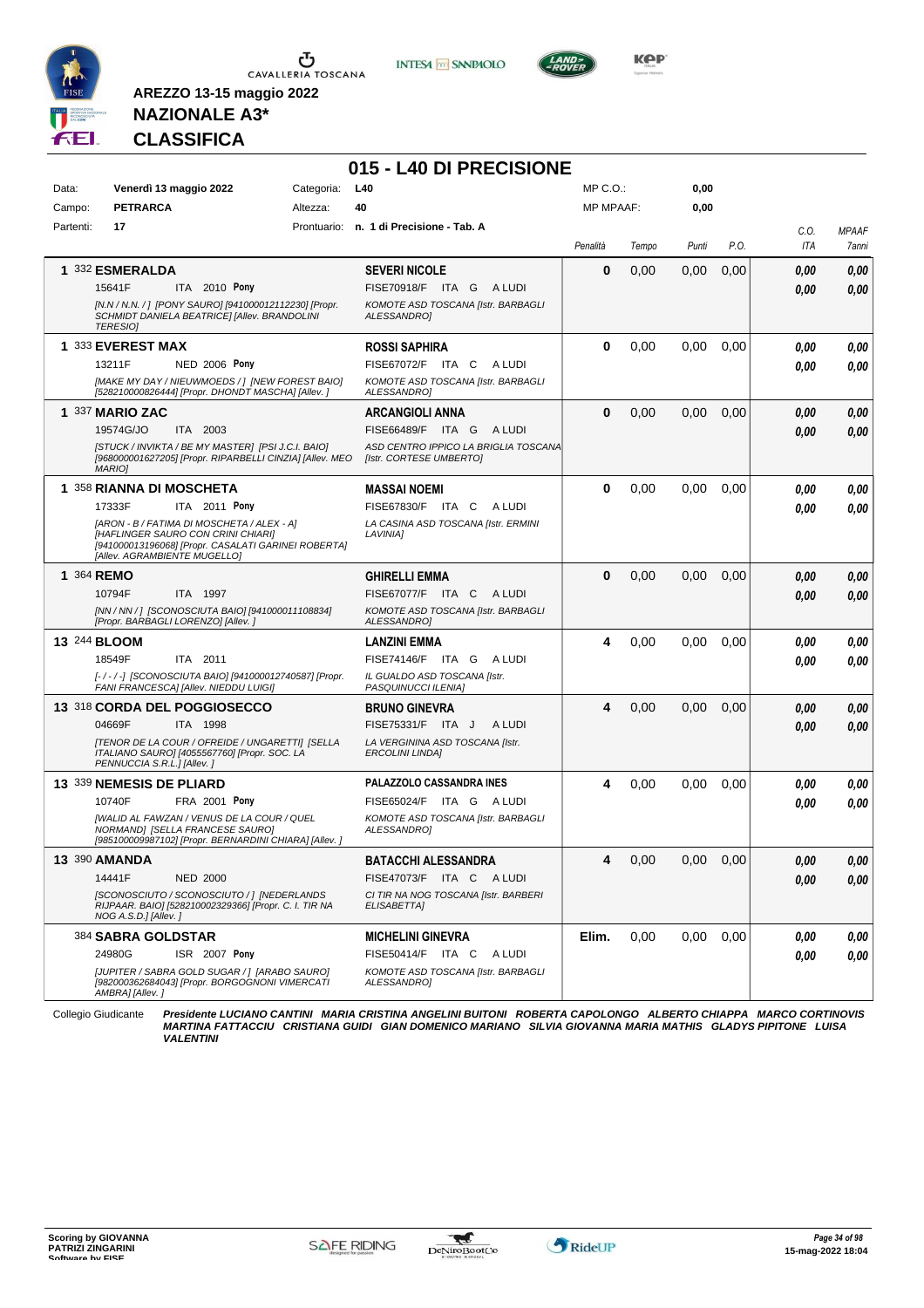

**INTESA** M SANPAOLO

**015 - L40 DI PRECISIONE**



**KPP** 

## **NAZIONALE A3\* CLASSIFICA**

**AREZZO 13-15 maggio 2022**

| Data:<br>Campo: | Venerdì 13 maggio 2022<br><b>PETRARCA</b>                                                                                                                                                                                      | Categoria:<br>Altezza: | L40<br>40                                                                                                            | MP C.O.:<br><b>MP MPAAF:</b> |       | 0,00<br>0,00 |      |              |                       |
|-----------------|--------------------------------------------------------------------------------------------------------------------------------------------------------------------------------------------------------------------------------|------------------------|----------------------------------------------------------------------------------------------------------------------|------------------------------|-------|--------------|------|--------------|-----------------------|
| Partenti:       | 17                                                                                                                                                                                                                             |                        | Prontuario: n. 1 di Precisione - Tab. A                                                                              | Penalità                     | Tempo | Punti        | P.O. | C.O.<br>ITA  | <b>MPAAF</b><br>7anni |
|                 | 1 332 ESMERALDA<br>15641F<br>ITA 2010 Pony<br>[N.N / N.N. /] [PONY SAURO] [941000012112230] [Propr.<br>SCHMIDT DANIELA BEATRICE] [Allev. BRANDOLINI<br><b>TERESIO]</b>                                                         |                        | <b>SEVERI NICOLE</b><br>FISE70918/F ITA G<br>A LUDI<br>KOMOTE ASD TOSCANA [Istr. BARBAGLI<br>ALESSANDRO]             | 0                            | 0,00  | 0,00         | 0,00 | 0.00<br>0.00 | 0,00<br>0,00          |
|                 | 1 333 EVEREST MAX<br>13211F<br><b>NED 2006 Pony</b><br>[MAKE MY DAY / NIEUWMOEDS / ] [NEW FOREST BAIO]<br>[528210000826444] [Propr. DHONDT MASCHA] [Allev. ]                                                                   |                        | <b>ROSSI SAPHIRA</b><br>FISE67072/F ITA C<br>A LUDI<br>KOMOTE ASD TOSCANA [Istr. BARBAGLI<br>ALESSANDRO]             | $\bf{0}$                     | 0,00  | 0,00         | 0.00 | 0.00<br>0.00 | 0,00<br>0.00          |
|                 | 1 337 MARIO ZAC<br>19574G/JO<br>ITA 2003<br>[STUCK / INVIKTA / BE MY MASTER] [PSI J.C.I. BAIO]<br>[968000001627205] [Propr. RIPARBELLI CINZIA] [Allev. MEO<br>MARIO]                                                           |                        | <b>ARCANGIOLI ANNA</b><br>FISE66489/F ITA G ALUDI<br>ASD CENTRO IPPICO LA BRIGLIA TOSCANA<br>[Istr. CORTESE UMBERTO] | $\bf{0}$                     | 0,00  | 0,00         | 0,00 | 0.00<br>0.00 | 0,00<br>0.00          |
|                 | 1 358 RIANNA DI MOSCHETA<br>ITA 2011 Pony<br>17333F<br>[ARON - B / FATIMA DI MOSCHETA / ALEX - A]<br>[HAFLINGER SAURO CON CRINI CHIARI]<br>[941000013196068] [Propr. CASALATI GARINEI ROBERTA]<br>[Allev. AGRAMBIENTE MUGELLO] |                        | MASSAI NOEMI<br>FISE67830/F ITA C<br>A LUDI<br>LA CASINA ASD TOSCANA [Istr. ERMINI<br>LAVINIA]                       | 0                            | 0,00  | 0,00         | 0,00 | 0,00<br>0.00 | 0,00<br>0.00          |
| 1 364 REMO      | 10794F<br><b>ITA 1997</b><br>[NN / NN / ] [SCONOSCIUTA BAIO] [941000011108834]<br>[Propr. BARBAGLI LORENZO] [Allev.]                                                                                                           |                        | <b>GHIRELLI EMMA</b><br>FISE67077/F ITA C ALUDI<br>KOMOTE ASD TOSCANA [Istr. BARBAGLI<br><b>ALESSANDROI</b>          | $\bf{0}$                     | 0,00  | 0,00         | 0,00 | 0,00<br>0,00 | 0,00<br>0.00          |
| 13 244 BLOOM    | 18549F<br>ITA 2011<br>[-/-/-] [SCONOSCIUTA BAIO] [941000012740587] [Propr.<br>FANI FRANCESCA] [Allev. NIEDDU LUIGI]                                                                                                            |                        | <b>LANZINI EMMA</b><br><b>FISE74146/F ITA G</b><br>A LUDI<br>IL GUALDO ASD TOSCANA [Istr.<br>PASQUINUCCI ILENIA]     | 4                            | 0,00  | 0,00         | 0,00 | 0,00<br>0.00 | 0,00<br>0.00          |
|                 | 13 318 CORDA DEL POGGIOSECCO<br>04669F<br><b>ITA 1998</b><br>[TENOR DE LA COUR / OFREIDE / UNGARETTI] [SELLA<br>ITALIANO SAURO] [4055567760] [Propr. SOC. LA<br>PENNUCCIA S.R.L.] [Allev.]                                     |                        | <b>BRUNO GINEVRA</b><br>FISE75331/F ITA J<br>A LUDI<br>LA VERGININA ASD TOSCANA [Istr.<br><b>ERCOLINI LINDA]</b>     | 4                            | 0,00  | 0,00         | 0,00 | 0,00<br>0.00 | 0,00<br>0.00          |
|                 | 13 339 NEMESIS DE PLIARD<br>10740F<br>FRA 2001 Pony<br>[WALID AL FAWZAN / VENUS DE LA COUR / QUEL<br>NORMAND] [SELLA FRANCESE SAURO]<br>[985100009987102] [Propr. BERNARDINI CHIARA] [Allev. ]                                 |                        | PALAZZOLO CASSANDRA INES<br>FISE65024/F<br>ITA GALUDI<br>KOMOTE ASD TOSCANA [Istr. BARBAGLI<br>ALESSANDRO]           | 4                            | 0,00  | 0,00         | 0,00 | 0.00<br>0.00 | 0,00<br>0.00          |
|                 | <b>13 390 AMANDA</b><br>14441F<br><b>NED 2000</b><br>[SCONOSCIUTO / SCONOSCIUTO / ] [NEDERLANDS<br>RIJPAAR. BAIO] [528210002329366] [Propr. C. I. TIR NA<br>NOG A.S.D.] [Allev.]                                               |                        | <b>BATACCHI ALESSANDRA</b><br>FISE47073/F ITA C ALUDI<br>CI TIR NA NOG TOSCANA [Istr. BARBERI<br><b>ELISABETTAI</b>  | 4                            | 0,00  | 0,00         | 0,00 | 0.00<br>0,00 | 0.00<br>0,00          |
|                 | 384 SABRA GOLDSTAR<br>24980G<br>ISR 2007 Pony<br>[JUPITER / SABRA GOLD SUGAR / ] [ARABO SAURO]<br>[982000362684043] [Propr. BORGOGNONI VIMERCATI<br>AMBRA] [Allev.]                                                            |                        | <b>MICHELINI GINEVRA</b><br>FISE50414/F ITA C ALUDI<br>KOMOTE ASD TOSCANA [Istr. BARBAGLI<br>ALESSANDRO]             | Elim.                        | 0,00  | 0,00         | 0,00 | 0,00<br>0,00 | 0,00<br>0.00          |

Collegio Giudicante Presidente LUCIANO CANTINI MARIA CRISTINA ANGELINI BUITONI ROBERTA CAPOLONGO ALBERTO CHIAPPA MARCO CORTINOVIS<br>MARTINA FATTACCIU CRISTIANA GUIDI GIAN DOMENICO MARIANO SILVIA GIOVANNA MARIA MATHIS GLADYS *VALENTINI*

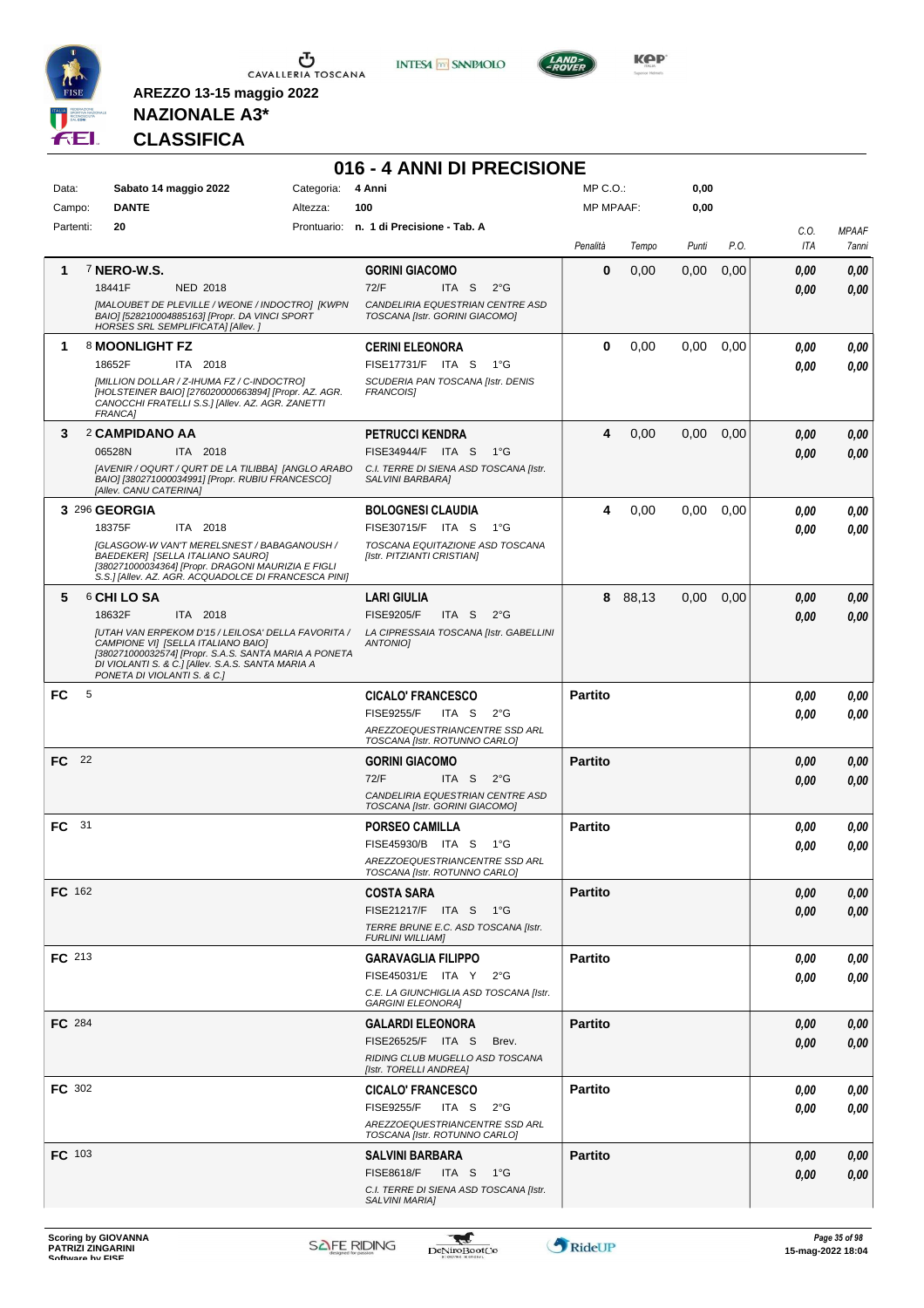

**INTESA M** SANPAOLO



## **NAZIONALE A3\* CLASSIFICA**

| 016 - 4 ANNI DI PRECISIONE<br>$MP C. O.$ : |                                                                                                                                                                                                                                       |          |                                                                    |                |       |       |      |             |                       |  |  |  |
|--------------------------------------------|---------------------------------------------------------------------------------------------------------------------------------------------------------------------------------------------------------------------------------------|----------|--------------------------------------------------------------------|----------------|-------|-------|------|-------------|-----------------------|--|--|--|
| Data:                                      | Sabato 14 maggio 2022                                                                                                                                                                                                                 |          | 4 Anni<br>Categoria:                                               |                |       | 0,00  |      |             |                       |  |  |  |
| Campo:                                     | <b>DANTE</b>                                                                                                                                                                                                                          | Altezza: | 100                                                                | MP MPAAF:      |       | 0,00  |      |             |                       |  |  |  |
| Partenti:                                  | 20                                                                                                                                                                                                                                    |          | Prontuario: n. 1 di Precisione - Tab. A                            | Penalità       | Tempo | Punti | P.O. | C.O.<br>ITA | <b>MPAAF</b><br>7anni |  |  |  |
| 1                                          | 7 NERO-W.S.                                                                                                                                                                                                                           |          | <b>GORINI GIACOMO</b>                                              | 0              | 0,00  | 0,00  | 0,00 | 0.00        | 0,00                  |  |  |  |
|                                            | 18441F<br>NED 2018                                                                                                                                                                                                                    |          | 72/F<br>ITA S<br>$2^{\circ}$ G                                     |                |       |       |      | 0.00        | 0,00                  |  |  |  |
|                                            | [MALOUBET DE PLEVILLE / WEONE / INDOCTRO] [KWPN<br>BAIO] [528210004885163] [Propr. DA VINCI SPORT<br>HORSES SRL SEMPLIFICATA] [Allev.]                                                                                                |          | CANDELIRIA EQUESTRIAN CENTRE ASD<br>TOSCANA [Istr. GORINI GIACOMO] |                |       |       |      |             |                       |  |  |  |
| 1                                          | 8 MOONLIGHT FZ                                                                                                                                                                                                                        |          | <b>CERINI ELEONORA</b>                                             | 0              | 0,00  | 0.00  | 0,00 | 0,00        | 0,00                  |  |  |  |
|                                            | 18652F<br>ITA 2018                                                                                                                                                                                                                    |          | FISE17731/F ITA S<br>$1^{\circ}G$                                  |                |       |       |      | 0,00        | 0,00                  |  |  |  |
|                                            | [MILLION DOLLAR / Z-IHUMA FZ / C-INDOCTRO]<br>[HOLSTEINER BAIO] [276020000663894] [Propr. AZ. AGR.<br>CANOCCHI FRATELLI S.S.] [Allev. AZ. AGR. ZANETTI<br>FRANCA]                                                                     |          | SCUDERIA PAN TOSCANA [Istr. DENIS<br><b>FRANCOISI</b>              |                |       |       |      |             |                       |  |  |  |
| 3                                          | 2 CAMPIDANO AA                                                                                                                                                                                                                        |          | <b>PETRUCCI KENDRA</b>                                             | 4              | 0,00  | 0,00  | 0,00 | 0,00        | 0,00                  |  |  |  |
|                                            | 06528N<br>ITA 2018                                                                                                                                                                                                                    |          | FISE34944/F ITA S<br>− 1°G                                         |                |       |       |      | 0.00        | 0,00                  |  |  |  |
|                                            | [AVENIR / OQURT / QURT DE LA TILIBBA] [ANGLO ARABO<br>BAIO] [380271000034991] [Propr. RUBIU FRANCESCO]<br>[Allev. CANU CATERINA]                                                                                                      |          | C.I. TERRE DI SIENA ASD TOSCANA [Istr.<br>SALVINI BARBARA]         |                |       |       |      |             |                       |  |  |  |
|                                            | 3 296 GEORGIA                                                                                                                                                                                                                         |          | <b>BOLOGNESI CLAUDIA</b>                                           | 4              | 0,00  | 0,00  | 0,00 | 0,00        | 0,00                  |  |  |  |
|                                            | 18375F<br>ITA 2018                                                                                                                                                                                                                    |          | FISE30715/F ITA S 1°G                                              |                |       |       |      | 0.00        | 0.00                  |  |  |  |
|                                            | <b>IGLASGOW-W VAN'T MERELSNEST / BABAGANOUSH /</b><br>BAEDEKER] [SELLA ITALIANO SAURO]<br>[380271000034364] [Propr. DRAGONI MAURIZIA E FIGLI<br>S.S.] [Allev. AZ. AGR. ACQUADOLCE DI FRANCESCA PINI]                                  |          | TOSCANA EQUITAZIONE ASD TOSCANA<br>[Istr. PITZIANTI CRISTIAN]      |                |       |       |      |             |                       |  |  |  |
| 5                                          | <b>6 CHI LO SA</b>                                                                                                                                                                                                                    |          | <b>LARI GIULIA</b>                                                 | 8              | 88,13 | 0,00  | 0,00 | 0,00        | 0,00                  |  |  |  |
|                                            | 18632F<br>ITA 2018                                                                                                                                                                                                                    |          | <b>FISE9205/F</b><br>ITA S<br>$2^{\circ}$ G                        |                |       |       |      | 0.00        | 0,00                  |  |  |  |
|                                            | JUTAH VAN ERPEKOM D'15 / LEILOSA' DELLA FAVORITA /<br>CAMPIONE VI] [SELLA ITALIANO BAIO]<br>[380271000032574] [Propr. S.A.S. SANTA MARIA A PONETA<br>DI VIOLANTI S. & C.] [Allev. S.A.S. SANTA MARIA A<br>PONETA DI VIOLANTI S. & C.] |          | LA CIPRESSAIA TOSCANA [Istr. GABELLINI<br><b>ANTONIOI</b>          |                |       |       |      |             |                       |  |  |  |
| 5<br>FC                                    |                                                                                                                                                                                                                                       |          | <b>CICALO' FRANCESCO</b>                                           | <b>Partito</b> |       |       |      | 0,00        | 0,00                  |  |  |  |
|                                            |                                                                                                                                                                                                                                       |          | <b>FISE9255/F</b><br>ITA S<br>$2^{\circ}$ G                        |                |       |       |      | 0.00        | 0.00                  |  |  |  |
|                                            |                                                                                                                                                                                                                                       |          | AREZZOEQUESTRIANCENTRE SSD ARL<br>TOSCANA [Istr. ROTUNNO CARLO]    |                |       |       |      |             |                       |  |  |  |
| FC 22                                      |                                                                                                                                                                                                                                       |          | <b>GORINI GIACOMO</b>                                              | <b>Partito</b> |       |       |      | 0,00        | 0,00                  |  |  |  |
|                                            |                                                                                                                                                                                                                                       |          | 72/F<br>ITA S $2^{\circ}G$                                         |                |       |       |      | 0.00        | 0,00                  |  |  |  |
|                                            |                                                                                                                                                                                                                                       |          | CANDELIRIA EQUESTRIAN CENTRE ASD<br>TOSCANA [Istr. GORINI GIACOMO] |                |       |       |      |             |                       |  |  |  |
| FC 31                                      |                                                                                                                                                                                                                                       |          | <b>PORSEO CAMILLA</b>                                              | <b>Partito</b> |       |       |      | 0,00        | 0,00                  |  |  |  |
|                                            |                                                                                                                                                                                                                                       |          | FISE45930/B ITA S<br>$1^{\circ}G$                                  |                |       |       |      | 0,00        | 0.00                  |  |  |  |
|                                            |                                                                                                                                                                                                                                       |          | AREZZOEQUESTRIANCENTRE SSD ARL<br>TOSCANA [Istr. ROTUNNO CARLO]    |                |       |       |      |             |                       |  |  |  |
| <b>FC</b> 162                              |                                                                                                                                                                                                                                       |          | <b>COSTA SARA</b>                                                  | <b>Partito</b> |       |       |      | 0,00        | 0,00                  |  |  |  |
|                                            |                                                                                                                                                                                                                                       |          | FISE21217/F ITA S 1°G                                              |                |       |       |      | 0.00        | 0,00                  |  |  |  |
|                                            |                                                                                                                                                                                                                                       |          | TERRE BRUNE E.C. ASD TOSCANA [Istr.<br><b>FURLINI WILLIAMI</b>     |                |       |       |      |             |                       |  |  |  |
| <b>FC</b> 213                              |                                                                                                                                                                                                                                       |          | <b>GARAVAGLIA FILIPPO</b>                                          | <b>Partito</b> |       |       |      | 0,00        | 0,00                  |  |  |  |
|                                            |                                                                                                                                                                                                                                       |          | FISE45031/E ITA Y 2°G                                              |                |       |       |      | 0,00        | 0,00                  |  |  |  |
|                                            |                                                                                                                                                                                                                                       |          | C.E. LA GIUNCHIGLIA ASD TOSCANA [Istr.<br><b>GARGINI ELEONORA]</b> |                |       |       |      |             |                       |  |  |  |
| <b>FC</b> 284                              |                                                                                                                                                                                                                                       |          | <b>GALARDI ELEONORA</b>                                            | <b>Partito</b> |       |       |      | 0,00        | 0,00                  |  |  |  |
|                                            |                                                                                                                                                                                                                                       |          | FISE26525/F ITA S<br>Brev.                                         |                |       |       |      | 0.00        | 0,00                  |  |  |  |
|                                            |                                                                                                                                                                                                                                       |          | RIDING CLUB MUGELLO ASD TOSCANA<br>[Istr. TORELLI ANDREA]          |                |       |       |      |             |                       |  |  |  |
| <b>FC</b> 302                              |                                                                                                                                                                                                                                       |          | <b>CICALO' FRANCESCO</b>                                           | <b>Partito</b> |       |       |      | 0.00        | 0,00                  |  |  |  |
|                                            |                                                                                                                                                                                                                                       |          | <b>FISE9255/F</b><br>ITA S $2^{\circ}G$                            |                |       |       |      | 0,00        | 0,00                  |  |  |  |
|                                            |                                                                                                                                                                                                                                       |          | AREZZOEQUESTRIANCENTRE SSD ARL<br>TOSCANA [Istr. ROTUNNO CARLO]    |                |       |       |      |             |                       |  |  |  |
| <b>FC</b> 103                              |                                                                                                                                                                                                                                       |          | <b>SALVINI BARBARA</b>                                             | <b>Partito</b> |       |       |      | 0,00        | 0,00                  |  |  |  |
|                                            |                                                                                                                                                                                                                                       |          | <b>FISE8618/F</b><br>ITA S 1°G                                     |                |       |       |      | 0,00        | 0,00                  |  |  |  |
|                                            |                                                                                                                                                                                                                                       |          | C.I. TERRE DI SIENA ASD TOSCANA [Istr.<br>SALVINI MARIA]           |                |       |       |      |             |                       |  |  |  |
|                                            |                                                                                                                                                                                                                                       |          |                                                                    |                |       |       |      |             |                       |  |  |  |

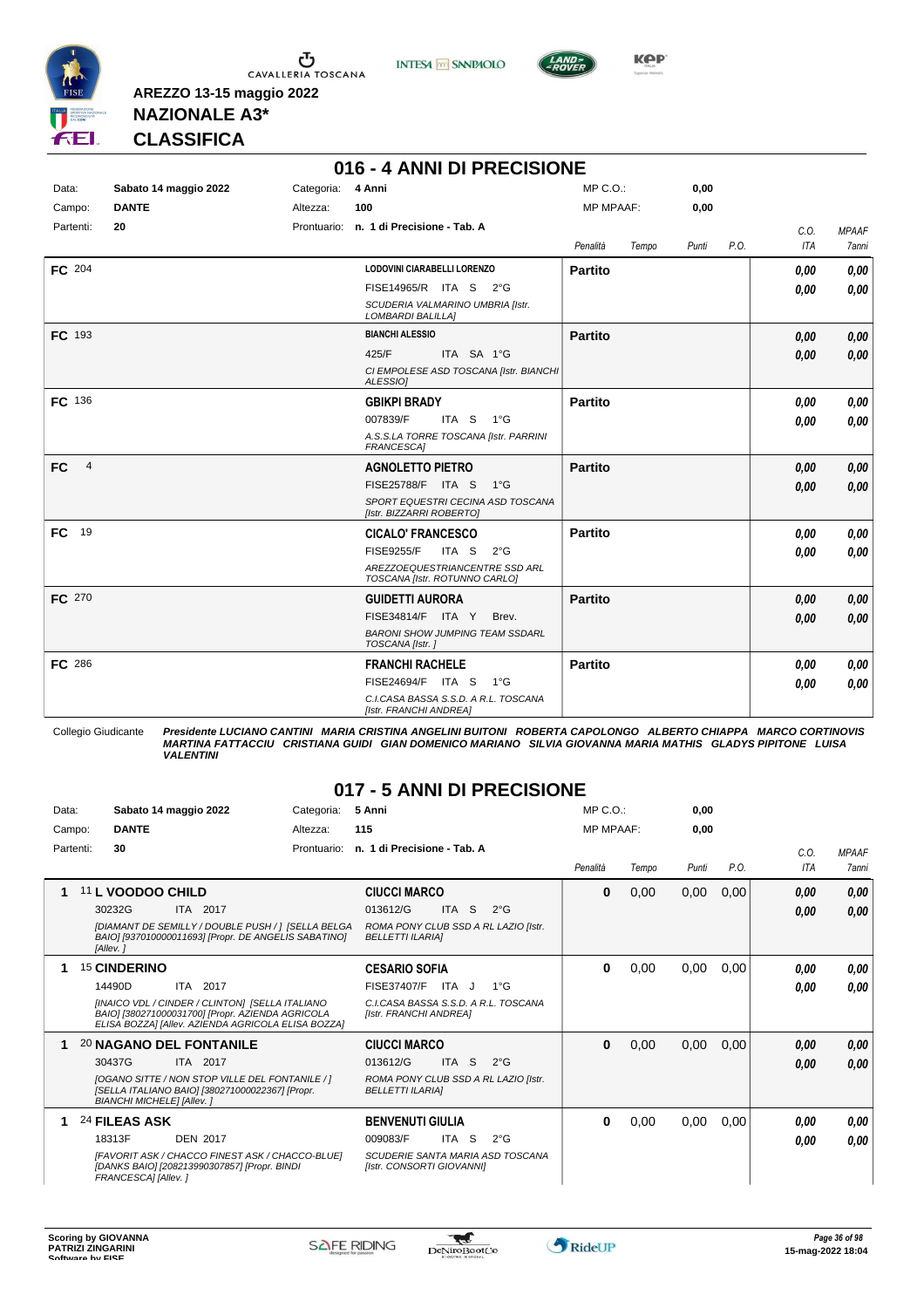





**KPP** 

## **NAZIONALE A3\* CLASSIFICA**

**AREZZO 13-15 maggio 2022**

|                                                          | 016 - 4 ANNI DI PRECISIONE |                        |                                                                 |                             |       |              |      |                    |                              |  |  |  |  |
|----------------------------------------------------------|----------------------------|------------------------|-----------------------------------------------------------------|-----------------------------|-------|--------------|------|--------------------|------------------------------|--|--|--|--|
| Sabato 14 maggio 2022<br>Data:<br><b>DANTE</b><br>Campo: |                            | Categoria:<br>Altezza: | 4 Anni<br>100                                                   | MP C.O.<br><b>MP MPAAF:</b> |       | 0,00<br>0,00 |      |                    |                              |  |  |  |  |
| Partenti:                                                | 20                         |                        | Prontuario: n. 1 di Precisione - Tab. A                         | Penalità                    | Tempo | Punti        | P.O. | C.0.<br><b>ITA</b> | <b>MPAAF</b><br><b>7anni</b> |  |  |  |  |
| FC 204                                                   |                            |                        | LODOVINI CIARABELLI LORENZO                                     | <b>Partito</b>              |       |              |      | 0.00               | 0,00                         |  |  |  |  |
|                                                          |                            |                        | FISE14965/R ITA S 2°G                                           |                             |       |              |      | 0.00               | 0,00                         |  |  |  |  |
|                                                          |                            |                        | SCUDERIA VALMARINO UMBRIA [Istr.<br><b>LOMBARDI BALILLAI</b>    |                             |       |              |      |                    |                              |  |  |  |  |
| FC 193                                                   |                            |                        | <b>BIANCHI ALESSIO</b>                                          | <b>Partito</b>              |       |              |      | 0.00               | 0,00                         |  |  |  |  |
|                                                          |                            |                        | 425/F<br>ITA SA 1°G                                             |                             |       |              |      | 0.00               | 0,00                         |  |  |  |  |
|                                                          |                            |                        | CI EMPOLESE ASD TOSCANA [Istr. BIANCHI<br>ALESSIOI              |                             |       |              |      |                    |                              |  |  |  |  |
| FC 136                                                   |                            |                        | <b>GBIKPI BRADY</b>                                             | <b>Partito</b>              |       |              |      | 0.00               | 0,00                         |  |  |  |  |
|                                                          |                            |                        | ITA S 1°G<br>007839/F                                           |                             |       |              |      | 0.00               | 0,00                         |  |  |  |  |
|                                                          |                            |                        | A.S.S.LA TORRE TOSCANA [Istr. PARRINI<br><b>FRANCESCA]</b>      |                             |       |              |      |                    |                              |  |  |  |  |
| <b>FC</b><br>$\overline{4}$                              |                            |                        | <b>AGNOLETTO PIETRO</b>                                         | <b>Partito</b>              |       |              |      | 0,00               | 0,00                         |  |  |  |  |
|                                                          |                            |                        | FISE25788/F ITA S<br>$1^{\circ}G$                               |                             |       |              |      | 0.00               | 0,00                         |  |  |  |  |
|                                                          |                            |                        | SPORT EQUESTRI CECINA ASD TOSCANA<br>[Istr. BIZZARRI ROBERTO]   |                             |       |              |      |                    |                              |  |  |  |  |
| <b>FC</b><br>19                                          |                            |                        | <b>CICALO' FRANCESCO</b>                                        | <b>Partito</b>              |       |              |      | 0.00               | 0,00                         |  |  |  |  |
|                                                          |                            |                        | <b>FISE9255/F</b><br>ITA <sub>S</sub><br>$2^{\circ}$ G          |                             |       |              |      | 0.00               | 0.00                         |  |  |  |  |
|                                                          |                            |                        | AREZZOEQUESTRIANCENTRE SSD ARL<br>TOSCANA [Istr. ROTUNNO CARLO] |                             |       |              |      |                    |                              |  |  |  |  |
| FC 270                                                   |                            |                        | <b>GUIDETTI AURORA</b>                                          | <b>Partito</b>              |       |              |      | 0,00               | 0,00                         |  |  |  |  |
|                                                          |                            |                        | FISE34814/F ITA Y<br>Brev.                                      |                             |       |              |      | 0.00               | 0,00                         |  |  |  |  |
|                                                          |                            |                        | <b>BARONI SHOW JUMPING TEAM SSDARL</b><br>TOSCANA [Istr.]       |                             |       |              |      |                    |                              |  |  |  |  |
| FC 286                                                   |                            |                        | <b>FRANCHI RACHELE</b>                                          | <b>Partito</b>              |       |              |      | 0.00               | 0.00                         |  |  |  |  |
|                                                          |                            |                        | FISE24694/F ITA S<br>1°G                                        |                             |       |              |      | 0.00               | 0,00                         |  |  |  |  |
|                                                          |                            |                        | C.I.CASA BASSA S.S.D. A R.L. TOSCANA<br>[Istr. FRANCHI ANDREA]  |                             |       |              |      |                    |                              |  |  |  |  |

Collegio Giudicante Presidente LUCIANO CANTINI MARIA CRISTINA ANGELINI BUITONI ROBERTA CAPOLONGO ALBERTO CHIAPPA MARCO CORTINOVIS<br>MARTINA FATTACCIU CRISTIANA GUIDI GIAN DOMENICO MARIANO SILVIA GIOVANNA MARIA MATHIS GLADYS

#### **017 - 5 ANNI DI PRECISIONE**

| Data: | Sabato 14 maggio 2022<br><b>DANTE</b><br>Campo: |                                                | Categoria:<br>Altezza:                                                                                                                                                   | 5 Anni<br>115 |                                                                                                       | MP C. O.<br><b>MP MPAAF:</b> |                                                   | 0,00<br>0.00 |       |       |      |              |                       |
|-------|-------------------------------------------------|------------------------------------------------|--------------------------------------------------------------------------------------------------------------------------------------------------------------------------|---------------|-------------------------------------------------------------------------------------------------------|------------------------------|---------------------------------------------------|--------------|-------|-------|------|--------------|-----------------------|
|       | Partenti:                                       | 30                                             |                                                                                                                                                                          | Prontuario:   | n. 1 di Precisione - Tab. A                                                                           |                              |                                                   | Penalità     | Tempo | Punti | P.O. | C.0.<br>ITA  | <b>MPAAF</b><br>7anni |
| 1     |                                                 | 11 L VOODOO CHILD<br>30232G<br>[Allev.]        | ITA 2017<br>[DIAMANT DE SEMILLY / DOUBLE PUSH / ] [SELLA BELGA<br>BAIO] [937010000011693] [Propr. DE ANGELIS SABATINO]                                                   |               | <b>CIUCCI MARCO</b><br>013612/G<br>ROMA PONY CLUB SSD A RL LAZIO [Istr.<br><b>BELLETTI ILARIAI</b>    | ITA S                        | $2^{\circ}G$                                      | $\bf{0}$     | 0,00  | 0,00  | 0,00 | 0.00<br>0,00 | 0,00<br>0.00          |
|       |                                                 | <sup>15</sup> CINDERINO<br>14490D              | 2017<br>ITA<br>[INAICO VDL / CINDER / CLINTON] [SELLA ITALIANO<br>BAIOI [380271000031700] [Propr. AZIENDA AGRICOLA<br>ELISA BOZZA] [Allev. AZIENDA AGRICOLA ELISA BOZZA] |               | <b>CESARIO SOFIA</b><br>FISE37407/F<br>C.I.CASA BASSA S.S.D. A R.L. TOSCANA<br>[Istr. FRANCHI ANDREA] | ITA J                        | $1^{\circ}G$                                      | 0            | 0,00  | 0,00  | 0,00 | 0.00<br>0.00 | 0,00<br>0.00          |
| 1     |                                                 | 30437G<br><b>BIANCHI MICHELE] [Allev. ]</b>    | <b>20 NAGANO DEL FONTANILE</b><br>ITA 2017<br><b>IOGANO SITTE / NON STOP VILLE DEL FONTANILE / 1</b><br>[SELLA ITALIANO BAIO] [380271000022367] [Propr.                  |               | <b>CIUCCI MARCO</b><br>013612/G<br>ROMA PONY CLUB SSD A RL LAZIO [Istr.<br><b>BELLETTI ILARIAI</b>    | ITA S                        | $2^{\circ}$ G                                     | $\bf{0}$     | 0,00  | 0,00  | 0,00 | 0.00<br>0,00 | 0,00<br>0,00          |
| 1.    |                                                 | 24 FILEAS ASK<br>18313F<br>FRANCESCA] [Allev.] | <b>DEN 2017</b><br>IFAVORIT ASK / CHACCO FINEST ASK / CHACCO-BLUE1<br>[DANKS BAIO] [208213990307857] [Propr. BINDI                                                       |               | <b>BENVENUTI GIULIA</b><br>009083/F<br>[Istr. CONSORTI GIOVANNI]                                      | ITA S                        | $2^{\circ}$ G<br>SCUDERIE SANTA MARIA ASD TOSCANA | 0            | 0,00  | 0,00  | 0,00 | 0.00<br>0.00 | 0,00<br>0.00          |

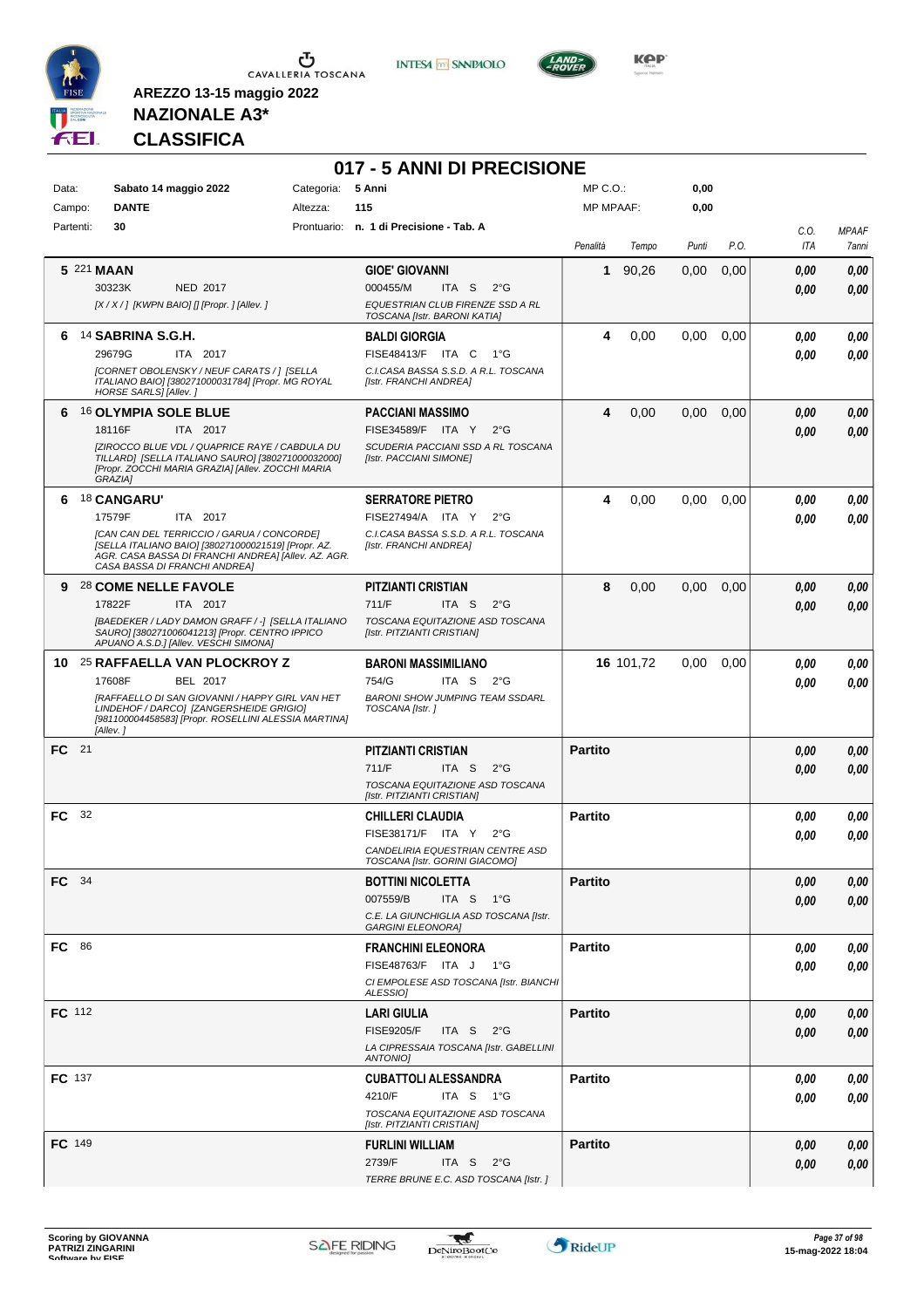

**INTESA M** SANPAOLO



**KOP** 

### **NAZIONALE A3\* CLASSIFICA**

|               |                                                                                                                                                                                           |                   | 017 - 5 ANNI DI PRECISIONE                                         |                |           |       |      |                    |                       |
|---------------|-------------------------------------------------------------------------------------------------------------------------------------------------------------------------------------------|-------------------|--------------------------------------------------------------------|----------------|-----------|-------|------|--------------------|-----------------------|
| Data:         | Sabato 14 maggio 2022                                                                                                                                                                     | Categoria: 5 Anni |                                                                    | $MP C. O.$ :   |           | 0,00  |      |                    |                       |
| Campo:        | <b>DANTE</b>                                                                                                                                                                              | Altezza:          | 115                                                                | MP MPAAF:      |           | 0,00  |      |                    |                       |
| Partenti:     | 30                                                                                                                                                                                        |                   | Prontuario: n. 1 di Precisione - Tab. A                            | Penalità       | Tempo     | Punti | P.O. | C.0.<br><b>ITA</b> | <b>MPAAF</b><br>7anni |
| 5 221 MAAN    |                                                                                                                                                                                           |                   | <b>GIOE' GIOVANNI</b>                                              | 1              | 90,26     | 0,00  | 0,00 | 0.00               | 0,00                  |
|               | 30323K<br>NED 2017                                                                                                                                                                        |                   | 000455/M<br>ITA S<br>$2^{\circ}G$                                  |                |           |       |      | 0.00               | 0,00                  |
|               | [X / X / ] [KWPN BAIO] [] [Propr. ] [Allev. ]                                                                                                                                             |                   | EQUESTRIAN CLUB FIRENZE SSD A RL<br>TOSCANA [Istr. BARONI KATIA]   |                |           |       |      |                    |                       |
| 6             | <sup>14</sup> SABRINA S.G.H.                                                                                                                                                              |                   | <b>BALDI GIORGIA</b>                                               | 4              | 0,00      | 0,00  | 0,00 | 0.00               | 0,00                  |
|               | 29679G<br>ITA 2017                                                                                                                                                                        |                   | FISE48413/F ITA C<br>1°G                                           |                |           |       |      | 0.00               | 0.00                  |
|               | [CORNET OBOLENSKY / NEUF CARATS / 1 [SELLA<br>ITALIANO BAIO] [380271000031784] [Propr. MG ROYAL<br>HORSE SARLS] [Allev.]                                                                  |                   | C.I.CASA BASSA S.S.D. A R.L. TOSCANA<br>[Istr. FRANCHI ANDREA]     |                |           |       |      |                    |                       |
|               | 6 16 OLYMPIA SOLE BLUE                                                                                                                                                                    |                   | PACCIANI MASSIMO                                                   | 4              | 0,00      | 0,00  | 0,00 | 0.00               | 0,00                  |
|               | 18116F<br>ITA 2017                                                                                                                                                                        |                   | FISE34589/F ITA Y<br>$2^{\circ}$ G                                 |                |           |       |      | 0.00               | 0,00                  |
|               | [ZIROCCO BLUE VDL / QUAPRICE RAYE / CABDULA DU<br>TILLARD] [SELLA ITALIANO SAURO] [380271000032000]<br>[Propr. ZOCCHI MARIA GRAZIA] [Allev. ZOCCHI MARIA<br>GRAZIA1                       |                   | SCUDERIA PACCIANI SSD A RL TOSCANA<br>[Istr. PACCIANI SIMONE]      |                |           |       |      |                    |                       |
| 6             | <b>18 CANGARU'</b>                                                                                                                                                                        |                   | <b>SERRATORE PIETRO</b>                                            | 4              | 0,00      | 0,00  | 0,00 | 0.00               | 0,00                  |
|               | 17579F<br>ITA 2017                                                                                                                                                                        |                   | FISE27494/A ITA Y<br>$2^{\circ}$ G                                 |                |           |       |      | 0.00               | 0,00                  |
|               | ICAN CAN DEL TERRICCIO / GARUA / CONCORDEI<br>[SELLA ITALIANO BAIO] [380271000021519] [Propr. AZ.<br>AGR. CASA BASSA DI FRANCHI ANDREA] [Allev. AZ. AGR.<br>CASA BASSA DI FRANCHI ANDREA] |                   | C.I.CASA BASSA S.S.D. A R.L. TOSCANA<br>[Istr. FRANCHI ANDREA]     |                |           |       |      |                    |                       |
|               | 9 28 COME NELLE FAVOLE                                                                                                                                                                    |                   | PITZIANTI CRISTIAN                                                 | 8              | 0,00      | 0,00  | 0,00 | 0.00               | 0,00                  |
|               | 17822F<br>ITA 2017                                                                                                                                                                        |                   | 711/F<br>ITA S<br>$2^{\circ}$ G                                    |                |           |       |      | 0.00               | 0,00                  |
|               | [BAEDEKER / LADY DAMON GRAFF / -] [SELLA ITALIANO<br>SAURO] [380271006041213] [Propr. CENTRO IPPICO<br>APUANO A.S.D.] [Allev. VESCHI SIMONA]                                              |                   | TOSCANA EQUITAZIONE ASD TOSCANA<br>[Istr. PITZIANTI CRISTIAN]      |                |           |       |      |                    |                       |
|               | 10 <sup>25</sup> RAFFAELLA VAN PLOCKROY Z                                                                                                                                                 |                   | <b>BARONI MASSIMILIANO</b>                                         |                | 16 101,72 | 0,00  | 0,00 | 0.00               | 0,00                  |
|               | 17608F<br>BEL 2017                                                                                                                                                                        |                   | 754/G<br>ITA S<br>$2^{\circ}G$                                     |                |           |       |      | 0.00               | 0.00                  |
|               | [RAFFAELLO DI SAN GIOVANNI / HAPPY GIRL VAN HET<br>LINDEHOF / DARCO] [ZANGERSHEIDE GRIGIO]<br>[981100004458583] [Propr. ROSELLINI ALESSIA MARTINA]<br>[Allev.]                            |                   | <b>BARONI SHOW JUMPING TEAM SSDARL</b><br>TOSCANA [Istr.]          |                |           |       |      |                    |                       |
| FC 21         |                                                                                                                                                                                           |                   | PITZIANTI CRISTIAN                                                 | <b>Partito</b> |           |       |      | 0.00               | 0,00                  |
|               |                                                                                                                                                                                           |                   | 711/F<br>ITA S<br>$2^{\circ}$ G                                    |                |           |       |      | 0.00               | 0.00                  |
|               |                                                                                                                                                                                           |                   | TOSCANA EQUITAZIONE ASD TOSCANA<br>[Istr. PITZIANTI CRISTIAN]      |                |           |       |      |                    |                       |
| FC 32         |                                                                                                                                                                                           |                   | <b>CHILLERI CLAUDIA</b>                                            | <b>Partito</b> |           |       |      | 0.00               | 0,00                  |
|               |                                                                                                                                                                                           |                   | FISE38171/F ITA Y<br>$2^{\circ}$ G                                 |                |           |       |      | 0,00               | 0.00                  |
|               |                                                                                                                                                                                           |                   | CANDELIRIA EQUESTRIAN CENTRE ASD<br>TOSCANA [Istr. GORINI GIACOMO] |                |           |       |      |                    |                       |
| FC 34         |                                                                                                                                                                                           |                   | <b>BOTTINI NICOLETTA</b>                                           | <b>Partito</b> |           |       |      | 0.00               | 0,00                  |
|               |                                                                                                                                                                                           |                   | 007559/B<br>ITA S 1°G                                              |                |           |       |      | 0.00               | 0,00                  |
|               |                                                                                                                                                                                           |                   | C.E. LA GIUNCHIGLIA ASD TOSCANA [Istr.<br><b>GARGINI ELEONORA]</b> |                |           |       |      |                    |                       |
| <b>FC</b> 86  |                                                                                                                                                                                           |                   | <b>FRANCHINI ELEONORA</b>                                          | <b>Partito</b> |           |       |      | 0.00               | 0,00                  |
|               |                                                                                                                                                                                           |                   | FISE48763/F ITA J 1°G                                              |                |           |       |      | 0.00               | 0,00                  |
|               |                                                                                                                                                                                           |                   | CI EMPOLESE ASD TOSCANA [Istr. BIANCHI<br>ALESSIOI                 |                |           |       |      |                    |                       |
| <b>FC</b> 112 |                                                                                                                                                                                           |                   | <b>LARI GIULIA</b>                                                 | <b>Partito</b> |           |       |      | 0.00               | 0,00                  |
|               |                                                                                                                                                                                           |                   | <b>FISE9205/F</b><br>ITA S $2^{\circ}G$                            |                |           |       |      | 0.00               | 0,00                  |
|               |                                                                                                                                                                                           |                   | LA CIPRESSAIA TOSCANA [Istr. GABELLINI<br><b>ANTONIO]</b>          |                |           |       |      |                    |                       |
| <b>FC</b> 137 |                                                                                                                                                                                           |                   | <b>CUBATTOLI ALESSANDRA</b>                                        | <b>Partito</b> |           |       |      | 0,00               | 0,00                  |
|               |                                                                                                                                                                                           |                   | 4210/F<br>ITA S 1°G                                                |                |           |       |      | 0.00               | 0,00                  |
|               |                                                                                                                                                                                           |                   | TOSCANA EQUITAZIONE ASD TOSCANA<br>[Istr. PITZIANTI CRISTIAN]      |                |           |       |      |                    |                       |
| <b>FC</b> 149 |                                                                                                                                                                                           |                   | <b>FURLINI WILLIAM</b>                                             | <b>Partito</b> |           |       |      | 0.00               | 0,00                  |
|               |                                                                                                                                                                                           |                   | 2739/F<br>ITA S $2^{\circ}G$                                       |                |           |       |      | 0,00               | 0,00                  |
|               |                                                                                                                                                                                           |                   | TERRE BRUNE E.C. ASD TOSCANA [Istr.]                               |                |           |       |      |                    |                       |

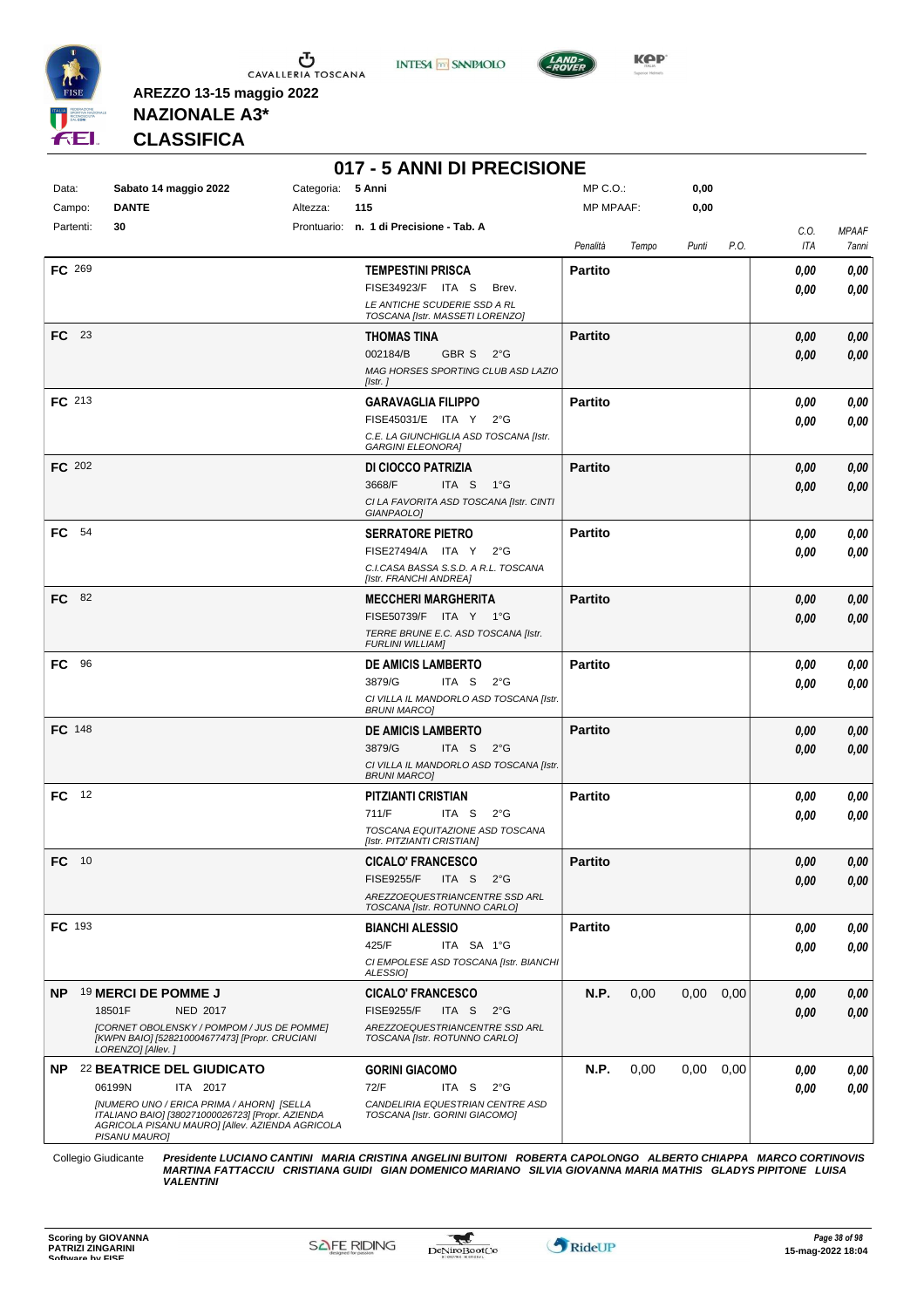

Ⴠ CAVALLERIA TOSCANA





**Kep** 

**AREZZO 13-15 maggio 2022 NAZIONALE A3\***

**CLASSIFICA**

|  | 017 - 5 ANNI DI PRECISIONE |
|--|----------------------------|

| Data:<br>Campo: | Sabato 14 maggio 2022<br><b>DANTE</b><br>Altezza:                                                                                                                 | Categoria:<br>5 Anni<br>115                                             | MP C.O.:<br><b>MP MPAAF:</b> |       | 0,00<br>0,00 |      |             |                       |
|-----------------|-------------------------------------------------------------------------------------------------------------------------------------------------------------------|-------------------------------------------------------------------------|------------------------------|-------|--------------|------|-------------|-----------------------|
| Partenti:       | 30                                                                                                                                                                | Prontuario: n. 1 di Precisione - Tab. A                                 |                              |       |              |      |             |                       |
|                 |                                                                                                                                                                   |                                                                         | Penalità                     | Tempo | Punti        | P.O. | C.O.<br>ITA | <b>MPAAF</b><br>7anni |
| FC 269          |                                                                                                                                                                   | <b>TEMPESTINI PRISCA</b>                                                | <b>Partito</b>               |       |              |      | 0,00        | 0,00                  |
|                 |                                                                                                                                                                   | FISE34923/F ITA S<br>Brev.                                              |                              |       |              |      | 0.00        | 0,00                  |
|                 |                                                                                                                                                                   | LE ANTICHE SCUDERIE SSD A RL<br>TOSCANA [Istr. MASSETI LORENZO]         |                              |       |              |      |             |                       |
| $FC$ 23         |                                                                                                                                                                   | <b>THOMAS TINA</b>                                                      | <b>Partito</b>               |       |              |      | 0,00        | 0,00                  |
|                 |                                                                                                                                                                   | 002184/B<br>GBR S<br>$2^{\circ}$ G                                      |                              |       |              |      | 0,00        | 0,00                  |
|                 |                                                                                                                                                                   | MAG HORSES SPORTING CLUB ASD LAZIO                                      |                              |       |              |      |             |                       |
|                 |                                                                                                                                                                   | [Istr.]                                                                 |                              |       |              |      |             |                       |
| <b>FC</b> 213   |                                                                                                                                                                   | <b>GARAVAGLIA FILIPPO</b>                                               | <b>Partito</b>               |       |              |      | 0.00        | 0,00                  |
|                 |                                                                                                                                                                   | FISE45031/E ITA Y 2°G                                                   |                              |       |              |      | 0.00        | 0,00                  |
|                 |                                                                                                                                                                   | C.E. LA GIUNCHIGLIA ASD TOSCANA [Istr.<br><b>GARGINI ELEONORA]</b>      |                              |       |              |      |             |                       |
| <b>FC</b> 202   |                                                                                                                                                                   | DI CIOCCO PATRIZIA                                                      | <b>Partito</b>               |       |              |      | 0,00        | 0,00                  |
|                 |                                                                                                                                                                   | 3668/F<br>ITA S 1°G                                                     |                              |       |              |      | 0,00        | 0,00                  |
|                 |                                                                                                                                                                   | CI LA FAVORITA ASD TOSCANA [Istr. CINTI<br>GIANPAOLO1                   |                              |       |              |      |             |                       |
| FC 54           |                                                                                                                                                                   | <b>SERRATORE PIETRO</b>                                                 | <b>Partito</b>               |       |              |      | 0,00        | 0,00                  |
|                 |                                                                                                                                                                   | FISE27494/A ITA Y<br>$2^{\circ}$ G                                      |                              |       |              |      | 0,00        | 0,00                  |
|                 |                                                                                                                                                                   | C.I.CASA BASSA S.S.D. A R.L. TOSCANA                                    |                              |       |              |      |             |                       |
|                 |                                                                                                                                                                   | [Istr. FRANCHI ANDREA]                                                  |                              |       |              |      |             |                       |
| <b>FC</b> 82    |                                                                                                                                                                   | <b>MECCHERI MARGHERITA</b>                                              | <b>Partito</b>               |       |              |      | 0,00        | 0,00                  |
|                 |                                                                                                                                                                   | FISE50739/F ITA Y 1°G<br>TERRE BRUNE E.C. ASD TOSCANA [Istr.            |                              |       |              |      | 0,00        | 0,00                  |
|                 |                                                                                                                                                                   | <b>FURLINI WILLIAM]</b>                                                 |                              |       |              |      |             |                       |
| FC              | 96                                                                                                                                                                | <b>DE AMICIS LAMBERTO</b>                                               | <b>Partito</b>               |       |              |      | 0,00        | 0,00                  |
|                 |                                                                                                                                                                   | 3879/G<br>ITA S<br>$2^{\circ}$ G                                        |                              |       |              |      | 0,00        | 0,00                  |
|                 |                                                                                                                                                                   | CI VILLA IL MANDORLO ASD TOSCANA [Istr.<br><i>BRUNI MARCO]</i>          |                              |       |              |      |             |                       |
| FC 148          |                                                                                                                                                                   | <b>DE AMICIS LAMBERTO</b>                                               | <b>Partito</b>               |       |              |      | 0,00        | 0,00                  |
|                 |                                                                                                                                                                   | 3879/G<br>ITA S $2^{\circ}G$                                            |                              |       |              |      | 0.00        | 0,00                  |
|                 |                                                                                                                                                                   | CI VILLA IL MANDORLO ASD TOSCANA [Istr.<br><b>BRUNI MARCO]</b>          |                              |       |              |      |             |                       |
| FC.             | 12                                                                                                                                                                | PITZIANTI CRISTIAN                                                      | <b>Partito</b>               |       |              |      | 0.00        | 0,00                  |
|                 |                                                                                                                                                                   | 711/F<br>ITA S<br>$2^{\circ}G$                                          |                              |       |              |      | 0.00        | 0,00                  |
|                 |                                                                                                                                                                   | TOSCANA EQUITAZIONE ASD TOSCANA                                         |                              |       |              |      |             |                       |
|                 |                                                                                                                                                                   | [Istr. PITZIANTI CRISTIAN]                                              |                              |       |              |      |             |                       |
| FC 10           |                                                                                                                                                                   | <b>CICALO' FRANCESCO</b><br>$2^{\circ}$ G<br><b>FISE9255/F</b><br>ITA S | <b>Partito</b>               |       |              |      | 0.00        | 0,00                  |
|                 |                                                                                                                                                                   | AREZZOEQUESTRIANCENTRE SSD ARL                                          |                              |       |              |      | 0,00        | 0,00                  |
|                 |                                                                                                                                                                   | TOSCANA [Istr. ROTUNNO CARLO]                                           |                              |       |              |      |             |                       |
| <b>FC</b> 193   |                                                                                                                                                                   | <b>BIANCHI ALESSIO</b>                                                  | <b>Partito</b>               |       |              |      | 0.00        | 0,00                  |
|                 |                                                                                                                                                                   | 425/F<br>ITA SA 1°G                                                     |                              |       |              |      | 0.00        | 0,00                  |
|                 |                                                                                                                                                                   | CI EMPOLESE ASD TOSCANA [Istr. BIANCHI<br>ALESSIOI                      |                              |       |              |      |             |                       |
| <b>NP</b>       | 19 MERCI DE POMME J                                                                                                                                               | <b>CICALO' FRANCESCO</b>                                                | N.P.                         | 0,00  | 0,00         | 0,00 | 0,00        | 0,00                  |
|                 | 18501F<br>NED 2017                                                                                                                                                | <b>FISE9255/F</b><br>ITA S<br>$2^{\circ}$ G                             |                              |       |              |      | 0,00        | 0,00                  |
|                 | [CORNET OBOLENSKY / POMPOM / JUS DE POMME]<br>[KWPN BAIO] [528210004677473] [Propr. CRUCIANI<br>LORENZO] [Allev.]                                                 | AREZZOEQUESTRIANCENTRE SSD ARL<br>TOSCANA [Istr. ROTUNNO CARLO]         |                              |       |              |      |             |                       |
|                 | NP 22 BEATRICE DEL GIUDICATO                                                                                                                                      | <b>GORINI GIACOMO</b>                                                   | N.P.                         | 0,00  | 0.00         | 0.00 | 0,00        | 0,00                  |
|                 | 06199N<br>ITA 2017                                                                                                                                                | 72/F<br>ITA S<br>$2^{\circ}G$                                           |                              |       |              |      | 0.00        | 0,00                  |
|                 | [NUMERO UNO / ERICA PRIMA / AHORN] [SELLA<br>ITALIANO BAIO] [380271000026723] [Propr. AZIENDA<br>AGRICOLA PISANU MAURO] [Allev. AZIENDA AGRICOLA<br>PISANU MAURO] | CANDELIRIA EQUESTRIAN CENTRE ASD<br>TOSCANA [Istr. GORINI GIACOMO]      |                              |       |              |      |             |                       |
|                 |                                                                                                                                                                   |                                                                         |                              |       |              |      |             |                       |

Collegio Giudicante Presidente LUCIANO CANTINI MARIA CRISTINA ANGELINI BUITONI ROBERTA CAPOLONGO ALBERTO CHIAPPA MARCO CORTINOVIS<br>MARTINA FATTACCIU CRISTIANA GUIDI GIAN DOMENICO MARIANO SILVIA GIOVANNA MARIA MATHIS GLADYS

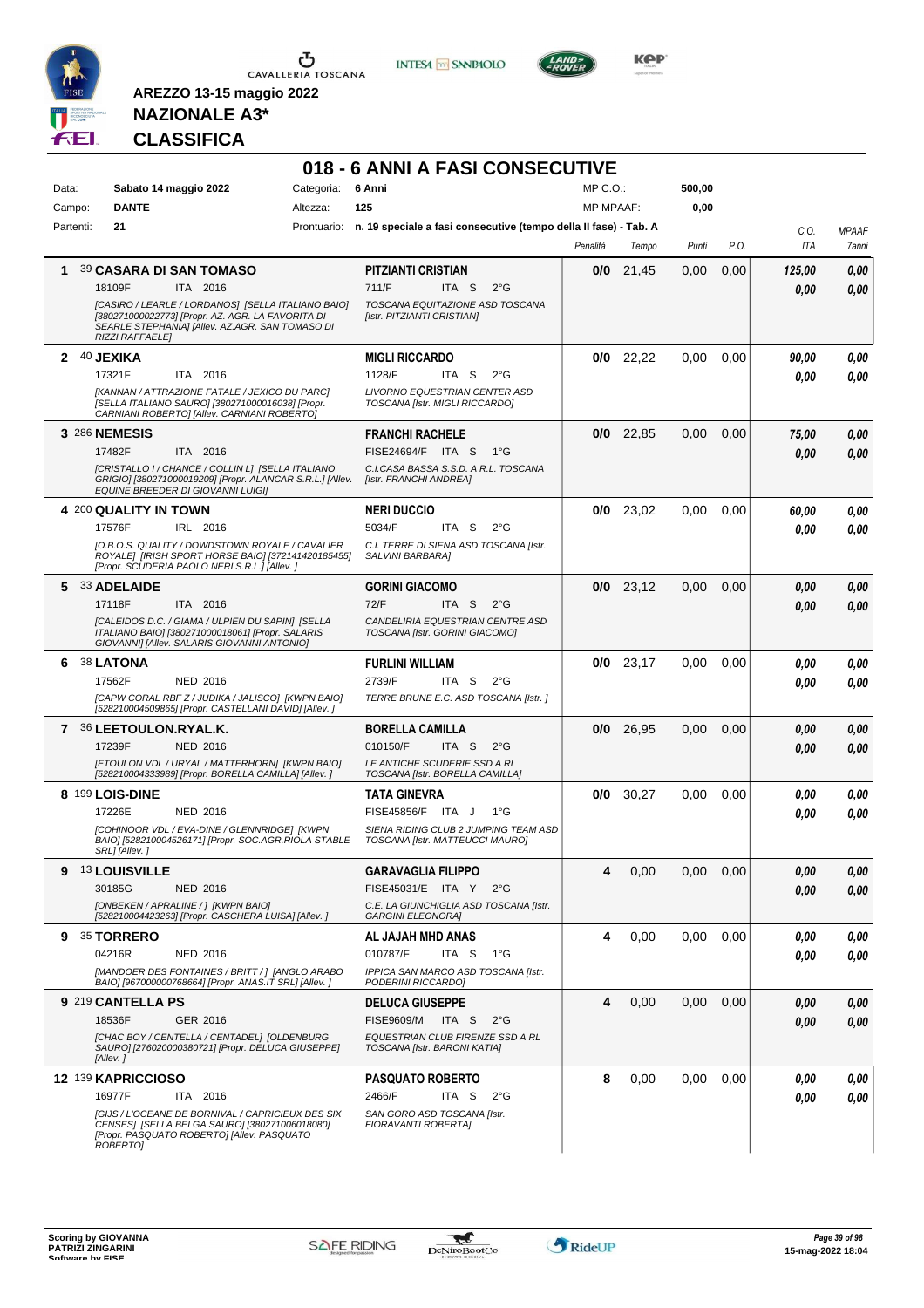

**INTESA M** SANPAOLO

**018 - 6 ANNI A FASI CONSECUTIVE**



**Kep** 

### **NAZIONALE A3\* CLASSIFICA**

| Data:     | Sabato 14 maggio 2022                                                                                                                                                                | Categoria: | 6 Anni                                                                          | MP C.O.:         |             | 500,00            |      |        |              |
|-----------|--------------------------------------------------------------------------------------------------------------------------------------------------------------------------------------|------------|---------------------------------------------------------------------------------|------------------|-------------|-------------------|------|--------|--------------|
| Campo:    | <b>DANTE</b>                                                                                                                                                                         | Altezza:   | 125                                                                             | <b>MP MPAAF:</b> |             | 0,00              |      |        |              |
| Partenti: | 21                                                                                                                                                                                   |            | Prontuario: n. 19 speciale a fasi consecutive (tempo della II fase) - Tab. A    |                  |             |                   |      | C.0.   | <b>MPAAF</b> |
|           |                                                                                                                                                                                      |            |                                                                                 | Penalità         | Tempo       | Punti             | P.O. | ITA    | 7anni        |
| 1.        | 39 CASARA DI SAN TOMASO                                                                                                                                                              |            | <b>PITZIANTI CRISTIAN</b>                                                       |                  | $0/0$ 21,45 | 0,00              | 0,00 | 125,00 | 0.00         |
|           | 18109F<br>ITA 2016                                                                                                                                                                   |            | 711/F<br>ITA <sub>S</sub><br>$2^{\circ}$ G                                      |                  |             |                   |      | 0.00   | 0,00         |
|           | [CASIRO / LEARLE / LORDANOS] [SELLA ITALIANO BAIO]<br>[380271000022773] [Propr. AZ. AGR. LA FAVORITA DI<br>SEARLE STEPHANIA] [Allev. AZ.AGR. SAN TOMASO DI<br><b>RIZZI RAFFAELE]</b> |            | TOSCANA EQUITAZIONE ASD TOSCANA<br>[Istr. PITZIANTI CRISTIAN]                   |                  |             |                   |      |        |              |
| 2         | 40 JEXIKA                                                                                                                                                                            |            | <b>MIGLI RICCARDO</b>                                                           | 0/0              | 22,22       | 0,00              | 0,00 | 90,00  | 0,00         |
|           | 17321F<br>ITA 2016                                                                                                                                                                   |            | 1128/F<br>ITA S<br>$2^{\circ}$ G                                                |                  |             |                   |      | 0.00   | 0,00         |
|           | [KANNAN / ATTRAZIONE FATALE / JEXICO DU PARC]<br>[SELLA ITALIANO SAURO] [380271000016038] [Propr.<br>CARNIANI ROBERTO] [Allev. CARNIANI ROBERTO]                                     |            | LIVORNO EQUESTRIAN CENTER ASD<br>TOSCANA [Istr. MIGLI RICCARDO]                 |                  |             |                   |      |        |              |
|           | 3 286 NEMESIS                                                                                                                                                                        |            | <b>FRANCHI RACHELE</b>                                                          |                  | $0/0$ 22,85 | 0,00              | 0,00 | 75,00  | 0,00         |
|           | 17482F<br>ITA 2016                                                                                                                                                                   |            | <b>FISE24694/F ITA S</b><br>$1^{\circ}G$                                        |                  |             |                   |      | 0.00   | 0,00         |
|           | [CRISTALLO I / CHANCE / COLLIN L] [SELLA ITALIANO<br>GRIGIO] [380271000019209] [Propr. ALANCAR S.R.L.] [Allev.<br>EQUINE BREEDER DI GIOVANNI LUIGI]                                  |            | C.I.CASA BASSA S.S.D. A R.L. TOSCANA<br>[Istr. FRANCHI ANDREA]                  |                  |             |                   |      |        |              |
|           | 4 200 QUALITY IN TOWN                                                                                                                                                                |            | <b>NERI DUCCIO</b>                                                              |                  | $0/0$ 23,02 | 0.00              | 0,00 | 60,00  | 0,00         |
|           | 17576F<br>IRL 2016                                                                                                                                                                   |            | 5034/F<br>ITA S<br>$2^{\circ}G$                                                 |                  |             |                   |      | 0.00   | 0.00         |
|           | [O.B.O.S. QUALITY / DOWDSTOWN ROYALE / CAVALIER<br>ROYALE] [IRISH SPORT HORSE BAIO] [372141420185455]<br>[Propr. SCUDERIA PAOLO NERI S.R.L.] [Allev.]                                |            | C.I. TERRE DI SIENA ASD TOSCANA [Istr.<br>SALVINI BARBARA]                      |                  |             |                   |      |        |              |
|           | 5 33 ADELAIDE                                                                                                                                                                        |            | <b>GORINI GIACOMO</b>                                                           |                  | $0/0$ 23,12 | 0,00              | 0,00 | 0.00   | 0,00         |
|           | 17118F<br>ITA 2016                                                                                                                                                                   |            | 72/F<br>ITA S<br>$2^{\circ}G$                                                   |                  |             |                   |      | 0.00   | 0,00         |
|           | [CALEIDOS D.C. / GIAMA / ULPIEN DU SAPIN] [SELLA<br>ITALIANO BAIO] [380271000018061] [Propr. SALARIS<br>GIOVANNI] [Allev. SALARIS GIOVANNI ANTONIO]                                  |            | CANDELIRIA EQUESTRIAN CENTRE ASD<br>TOSCANA [Istr. GORINI GIACOMO]              |                  |             |                   |      |        |              |
| 6         | <b>38 LATONA</b>                                                                                                                                                                     |            | <b>FURLINI WILLIAM</b>                                                          |                  | $0/0$ 23,17 | 0,00              | 0,00 | 0.00   | 0,00         |
|           | 17562F<br><b>NED 2016</b>                                                                                                                                                            |            | 2739/F<br>ITA S<br>$2^{\circ}G$                                                 |                  |             |                   |      | 0.00   | 0,00         |
|           | [CAPW CORAL RBF Z / JUDIKA / JALISCO] [KWPN BAIO]<br>[528210004509865] [Propr. CASTELLANI DAVID] [Allev. ]                                                                           |            | TERRE BRUNE E.C. ASD TOSCANA [Istr.]                                            |                  |             |                   |      |        |              |
|           | 7 36 LEETOULON.RYAL.K.                                                                                                                                                               |            | <b>BORELLA CAMILLA</b>                                                          | 0/0              | 26,95       | 0,00              | 0,00 | 0.00   | 0,00         |
|           | 17239F<br><b>NED 2016</b>                                                                                                                                                            |            | 010150/F<br>ITA S<br>$2^{\circ}$ G                                              |                  |             |                   |      | 0.00   | 0.00         |
|           | [ETOULON VDL / URYAL / MATTERHORN] [KWPN BAIO]<br>[528210004333989] [Propr. BORELLA CAMILLA] [Allev. ]                                                                               |            | LE ANTICHE SCUDERIE SSD A RL<br>TOSCANA [Istr. BORELLA CAMILLA]                 |                  |             |                   |      |        |              |
|           | 8 199 LOIS-DINE                                                                                                                                                                      |            | <b>TATA GINEVRA</b>                                                             | 0/0              | 30,27       | 0,00              | 0,00 | 0.00   | 0,00         |
|           | 17226E<br><b>NED 2016</b>                                                                                                                                                            |            | FISE45856/F ITA J<br>$1^{\circ}G$                                               |                  |             |                   |      | 0.00   | 0.00         |
|           | [COHINOOR VDL / EVA-DINE / GLENNRIDGE] [KWPN<br>BAIO] [528210004526171] [Propr. SOC.AGR.RIOLA STABLE<br>SRL] [Allev.]                                                                |            | SIENA RIDING CLUB 2 JUMPING TEAM ASD<br>TOSCANA [Istr. MATTEUCCI MAURO]         |                  |             |                   |      |        |              |
| 9         | <b>13 LOUISVILLE</b>                                                                                                                                                                 |            | <b>GARAVAGLIA FILIPPO</b>                                                       | 4                | 0,00        | 0,00              | 0,00 | 0.00   | 0.00         |
|           | 30185G<br><b>NED 2016</b>                                                                                                                                                            |            | FISE45031/E ITA Y 2°G                                                           |                  |             |                   |      | 0,00   | 0,00         |
|           | [ONBEKEN / APRALINE / ] [KWPN BAIO]<br>[528210004423263] [Propr. CASCHERA LUISA] [Allev. ]                                                                                           |            | C.E. LA GIUNCHIGLIA ASD TOSCANA [Istr.<br><b>GARGINI ELEONORAI</b>              |                  |             |                   |      |        |              |
| 9         | 35 TORRERO                                                                                                                                                                           |            | AL JAJAH MHD ANAS                                                               | 4                | 0,00        | 0,00              | 0,00 | 0.00   | 0,00         |
|           | 04216R<br><b>NED 2016</b>                                                                                                                                                            |            | 010787/F<br>ITA S<br>1°G                                                        |                  |             |                   |      | 0.00   | 0,00         |
|           | [MANDOER DES FONTAINES / BRITT / ] [ANGLO ARABO                                                                                                                                      |            | IPPICA SAN MARCO ASD TOSCANA [Istr.                                             |                  |             |                   |      |        |              |
|           | BAIO] [967000000768664] [Propr. ANAS.IT SRL] [Allev. ]                                                                                                                               |            | PODERINI RICCARDO]                                                              |                  |             |                   |      |        |              |
|           | 9 219 CANTELLA PS                                                                                                                                                                    |            | <b>DELUCA GIUSEPPE</b>                                                          | 4                | 0,00        | 0,00              | 0,00 | 0,00   | 0,00         |
|           | 18536F<br>GER 2016<br>[CHAC BOY / CENTELLA / CENTADEL] [OLDENBURG                                                                                                                    |            | <b>FISE9609/M</b><br>ITA S<br>$2^{\circ}$ G<br>EQUESTRIAN CLUB FIRENZE SSD A RL |                  |             |                   |      | 0.00   | 0,00         |
|           | SAURO] [276020000380721] [Propr. DELUCA GIUSEPPE]<br>[Allev.]                                                                                                                        |            | TOSCANA [Istr. BARONI KATIA]                                                    |                  |             |                   |      |        |              |
|           | 12 139 KAPRICCIOSO                                                                                                                                                                   |            | <b>PASQUATO ROBERTO</b>                                                         | 8                | 0,00        | 0.00 <sub>1</sub> | 0,00 | 0,00   | 0,00         |
|           | 16977F<br>ITA 2016                                                                                                                                                                   |            | 2466/F<br>ITA S<br>$2^{\circ}$ G                                                |                  |             |                   |      | 0.00   | 0.00         |
|           | [GIJS / L'OCEANE DE BORNIVAL / CAPRICIEUX DES SIX<br>CENSES] [SELLA BELGA SAURO] [380271006018080]<br>[Propr. PASQUATO ROBERTO] [Allev. PASQUATO<br>ROBERTO]                         |            | SAN GORO ASD TOSCANA [Istr.<br>FIORAVANTI ROBERTA]                              |                  |             |                   |      |        |              |

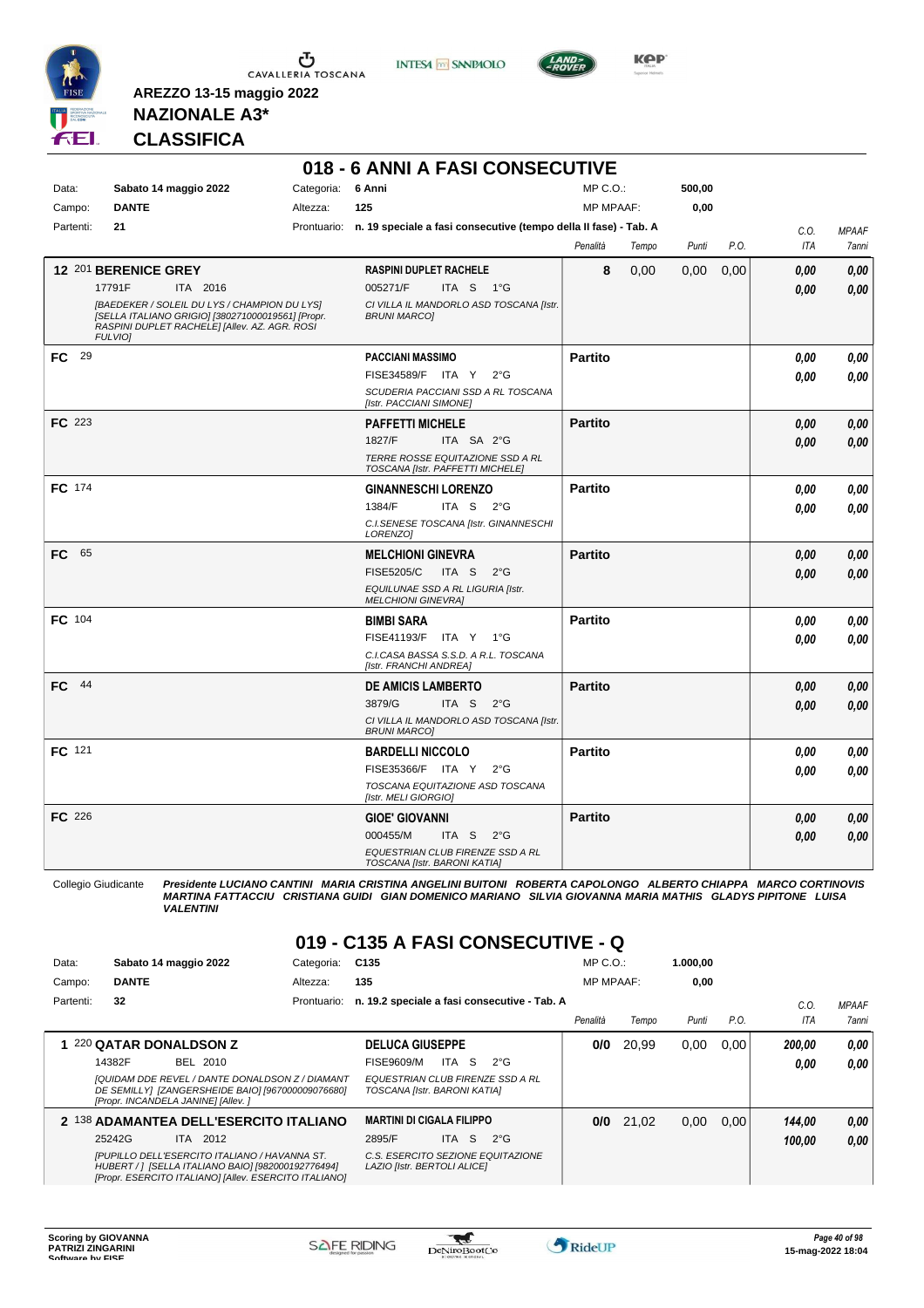

 $\sigma$  CAVALLERIA TOSCANA





**Kep** 

**NAZIONALE A3\* CLASSIFICA**

**AREZZO 13-15 maggio 2022**

|                 |                                                                                                                                                                      |                               | 018 - 6 ANNI A FASI CONSECUTIVE                                              |                                  |       |                |      |      |              |
|-----------------|----------------------------------------------------------------------------------------------------------------------------------------------------------------------|-------------------------------|------------------------------------------------------------------------------|----------------------------------|-------|----------------|------|------|--------------|
| Data:<br>Campo: | Sabato 14 maggio 2022<br><b>DANTE</b>                                                                                                                                | Categoria: 6 Anni<br>Altezza: | 125                                                                          | $MP C. O.$ :<br><b>MP MPAAF:</b> |       | 500,00<br>0,00 |      |      |              |
| Partenti:       | 21                                                                                                                                                                   |                               | Prontuario: n. 19 speciale a fasi consecutive (tempo della II fase) - Tab. A |                                  |       |                |      | C.O. | <b>MPAAF</b> |
|                 |                                                                                                                                                                      |                               |                                                                              | Penalità                         | Tempo | Punti          | P.O. | ITA  | 7anni        |
|                 | 12 201 BERENICE GREY                                                                                                                                                 |                               | <b>RASPINI DUPLET RACHELE</b>                                                | 8                                | 0,00  | 0,00           | 0.00 | 0.00 | 0,00         |
|                 | 17791F<br>ITA 2016                                                                                                                                                   |                               | 005271/F<br>ITA S 1°G                                                        |                                  |       |                |      | 0.00 | 0,00         |
|                 | [BAEDEKER / SOLEIL DU LYS / CHAMPION DU LYS]<br>[SELLA ITALIANO GRIGIO] [380271000019561] [Propr.<br>RASPINI DUPLET RACHELE] [Allev. AZ. AGR. ROSI<br><b>FULVIO1</b> |                               | CI VILLA IL MANDORLO ASD TOSCANA [Istr.<br><b>BRUNI MARCOI</b>               |                                  |       |                |      |      |              |
| 29<br>FC.       |                                                                                                                                                                      |                               | <b>PACCIANI MASSIMO</b>                                                      | <b>Partito</b>                   |       |                |      | 0.00 | 0,00         |
|                 |                                                                                                                                                                      |                               | FISE34589/F ITA Y<br>$2^{\circ}G$                                            |                                  |       |                |      | 0.00 | 0.00         |
|                 |                                                                                                                                                                      |                               | SCUDERIA PACCIANI SSD A RL TOSCANA<br>[Istr. PACCIANI SIMONE]                |                                  |       |                |      |      |              |
| <b>FC</b> 223   |                                                                                                                                                                      |                               | <b>PAFFETTI MICHELE</b>                                                      | <b>Partito</b>                   |       |                |      | 0.00 | 0,00         |
|                 |                                                                                                                                                                      |                               | 1827/F<br>ITA SA 2°G                                                         |                                  |       |                |      | 0.00 | 0,00         |
|                 |                                                                                                                                                                      |                               | TERRE ROSSE EQUITAZIONE SSD A RL<br>TOSCANA [Istr. PAFFETTI MICHELE]         |                                  |       |                |      |      |              |
| FC 174          |                                                                                                                                                                      |                               | <b>GINANNESCHI LORENZO</b>                                                   | <b>Partito</b>                   |       |                |      | 0.00 | 0,00         |
|                 |                                                                                                                                                                      |                               | 1384/F<br>ITA S<br>$2^{\circ}G$                                              |                                  |       |                |      | 0.00 | 0,00         |
|                 |                                                                                                                                                                      |                               | C.I.SENESE TOSCANA [Istr. GINANNESCHI<br>LORENZO1                            |                                  |       |                |      |      |              |
| FC 65           |                                                                                                                                                                      |                               | <b>MELCHIONI GINEVRA</b>                                                     | <b>Partito</b>                   |       |                |      | 0.00 | 0,00         |
|                 |                                                                                                                                                                      |                               | <b>FISE5205/C</b><br>ITA S<br>$2^{\circ}G$                                   |                                  |       |                |      | 0.00 | 0.00         |
|                 |                                                                                                                                                                      |                               | EQUILUNAE SSD A RL LIGURIA [Istr.<br><b>MELCHIONI GINEVRAI</b>               |                                  |       |                |      |      |              |
| FC 104          |                                                                                                                                                                      |                               | <b>BIMBI SARA</b>                                                            | <b>Partito</b>                   |       |                |      | 0.00 | 0,00         |
|                 |                                                                                                                                                                      |                               | FISE41193/F ITA Y 1°G                                                        |                                  |       |                |      | 0.00 | 0.00         |
|                 |                                                                                                                                                                      |                               | C.I.CASA BASSA S.S.D. A R.L. TOSCANA<br>[Istr. FRANCHI ANDREA]               |                                  |       |                |      |      |              |
| $FC$ 44         |                                                                                                                                                                      |                               | <b>DE AMICIS LAMBERTO</b>                                                    | <b>Partito</b>                   |       |                |      | 0.00 | 0,00         |
|                 |                                                                                                                                                                      |                               | 3879/G<br>ITA S<br>$2^{\circ}$ G                                             |                                  |       |                |      | 0.00 | 0,00         |
|                 |                                                                                                                                                                      |                               | CI VILLA IL MANDORLO ASD TOSCANA [Istr.<br><b>BRUNI MARCOI</b>               |                                  |       |                |      |      |              |
| FC 121          |                                                                                                                                                                      |                               | <b>BARDELLI NICCOLO</b>                                                      | <b>Partito</b>                   |       |                |      | 0.00 | 0,00         |
|                 |                                                                                                                                                                      |                               | FISE35366/F ITA Y<br>$2^{\circ}$ G                                           |                                  |       |                |      | 0.00 | 0.00         |
|                 |                                                                                                                                                                      |                               | TOSCANA EQUITAZIONE ASD TOSCANA<br>[Istr. MELI GIORGIO]                      |                                  |       |                |      |      |              |
| <b>FC</b> 226   |                                                                                                                                                                      |                               | <b>GIOE' GIOVANNI</b>                                                        | <b>Partito</b>                   |       |                |      | 0.00 | 0,00         |
|                 |                                                                                                                                                                      |                               | 000455/M<br>$2^{\circ}$ G<br>ITA S                                           |                                  |       |                |      | 0.00 | 0.00         |
|                 |                                                                                                                                                                      |                               | EQUESTRIAN CLUB FIRENZE SSD A RL<br>TOSCANA [Istr. BARONI KATIA]             |                                  |       |                |      |      |              |

Collegio Giudicante Presidente LUCIANO CANTINI MARIA CRISTINA ANGELINI BUITONI ROBERTA CAPOLONGO ALBERTO CHIAPPA MARCO CORTINOVIS<br>MARTINA FATTACCIU CRISTIANA GUIDI GIAN DOMENICO MARIANO SILVIA GIOVANNA MARIA MATHIS GLADYS

#### **019 - C135 A FASI CONSECUTIVE - Q**

| Data:     | Sabato 14 maggio 2022                                                                                                                                        | Categoria:  | C <sub>135</sub>                                                 |      |    |              | $MP C. O.$ :     |       | 1.000.00 |      |        |              |
|-----------|--------------------------------------------------------------------------------------------------------------------------------------------------------------|-------------|------------------------------------------------------------------|------|----|--------------|------------------|-------|----------|------|--------|--------------|
| Campo:    | <b>DANTE</b>                                                                                                                                                 | Altezza:    | 135                                                              |      |    |              | <b>MP MPAAF:</b> |       | 0.00     |      |        |              |
| Partenti: | 32                                                                                                                                                           | Prontuario: | n. 19.2 speciale a fasi consecutive - Tab. A                     |      |    |              |                  |       |          |      | C.O.   | <b>MPAAF</b> |
|           |                                                                                                                                                              |             |                                                                  |      |    |              | Penalità         | Tempo | Punti    | P.O. | ITA    | 7anni        |
|           | 1 220 QATAR DONALDSON Z                                                                                                                                      |             | <b>DELUCA GIUSEPPE</b>                                           |      |    |              | 0/0              | 20,99 | 0.00     | 0.00 | 200.00 | 0.00         |
|           | 14382F<br>BEL 2010                                                                                                                                           |             | FISE9609/M                                                       | ITA  | -S | $2^{\circ}G$ |                  |       |          |      | 0.00   | 0.00         |
|           | [QUIDAM DDE REVEL / DANTE DONALDSON Z / DIAMANT<br>DE SEMILLY] [ZANGERSHEIDE BAIO] [967000009076680]<br>[Propr. INCANDELA JANINE] [Allev. ]                  |             | EQUESTRIAN CLUB FIRENZE SSD A RL<br>TOSCANA [Istr. BARONI KATIA] |      |    |              |                  |       |          |      |        |              |
|           | 2 138 ADAMANTEA DELL'ESERCITO ITALIANO                                                                                                                       |             | <b>MARTINI DI CIGALA FILIPPO</b>                                 |      |    |              | 0/0              | 21,02 | 0.00     | 0.00 | 144.00 | 0,00         |
|           | <b>ITA 2012</b><br>25242G                                                                                                                                    |             | 2895/F                                                           | ITA. | S. | $2^{\circ}G$ |                  |       |          |      | 100.00 | 0.00         |
|           | [PUPILLO DELL'ESERCITO ITALIANO / HAVANNA ST.<br>HUBERT / 1 [SELLA ITALIANO BAIO] [982000192776494]<br>[Propr. ESERCITO ITALIANO] [Allev. ESERCITO ITALIANO] |             | C.S. ESERCITO SEZIONE EQUITAZIONE<br>LAZIO [Istr. BERTOLI ALICE] |      |    |              |                  |       |          |      |        |              |

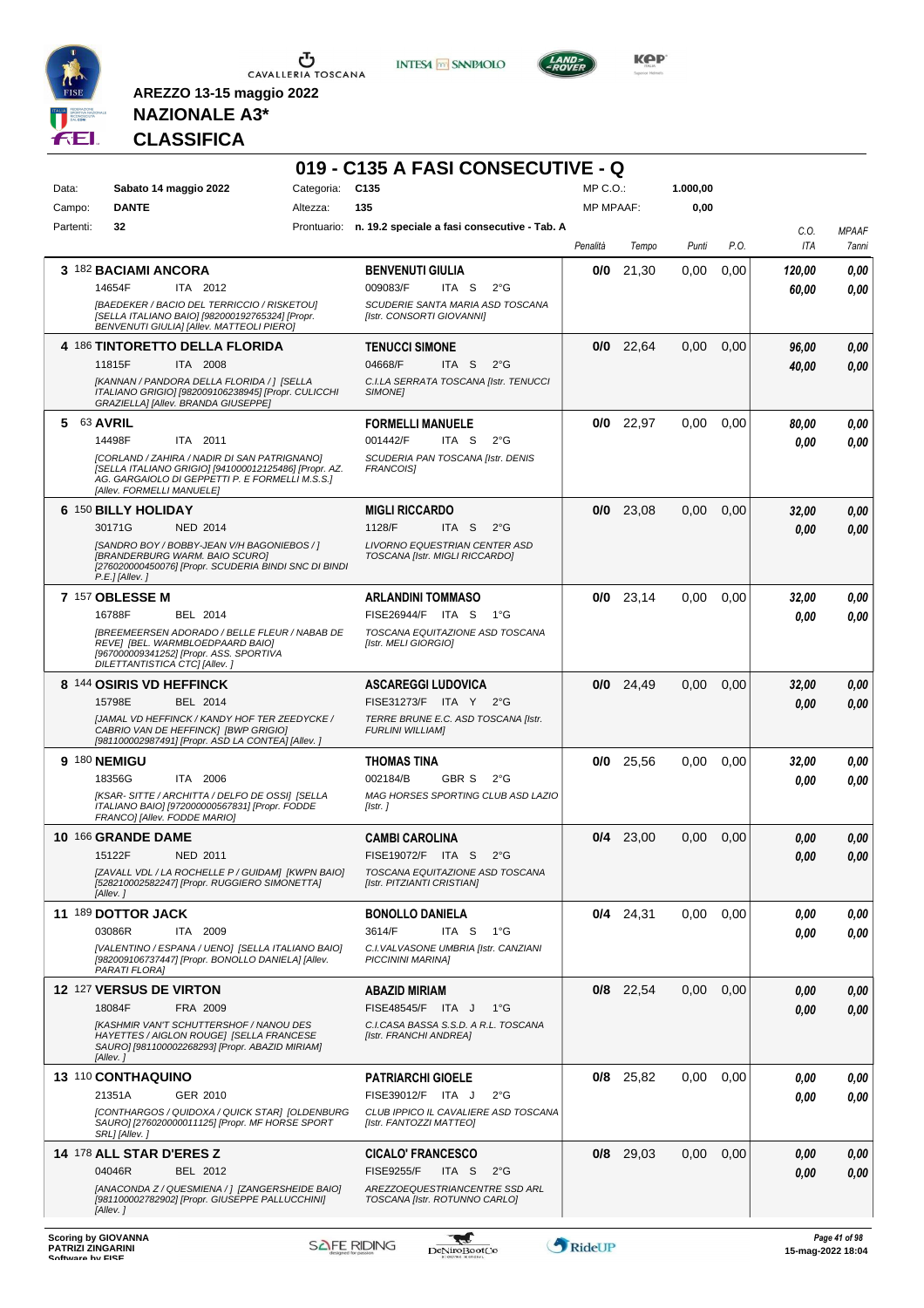

**INTESA M** SANPAOLO

**019 - C135 A FASI CONSECUTIVE - Q**



**Kep** 

# **NAZIONALE A3\* CLASSIFICA**

| Data:     | Sabato 14 maggio 2022                                                                                                                                                                    | Categoria: | C <sub>135</sub>                                                                                     | MP C. O.         |             | 1.000,00          |      |                 |                       |
|-----------|------------------------------------------------------------------------------------------------------------------------------------------------------------------------------------------|------------|------------------------------------------------------------------------------------------------------|------------------|-------------|-------------------|------|-----------------|-----------------------|
| Campo:    | <b>DANTE</b>                                                                                                                                                                             | Altezza:   | 135                                                                                                  | <b>MP MPAAF:</b> |             | 0,00              |      |                 |                       |
| Partenti: | 32                                                                                                                                                                                       |            | Prontuario: n. 19.2 speciale a fasi consecutive - Tab. A                                             | Penalità         | Tempo       | Punti             | P.O. | C.O.<br>ITA     | <b>MPAAF</b><br>7anni |
|           | 3 182 BACIAMI ANCORA<br>ITA 2012<br>14654F                                                                                                                                               |            | <b>BENVENUTI GIULIA</b><br>009083/F<br>ITA S<br>$2^{\circ}G$                                         | 0/0              | 21,30       | 0,00              | 0,00 | 120,00<br>60,00 | 0,00<br>0.00          |
|           | [BAEDEKER / BACIO DEL TERRICCIO / RISKETOU]<br>[SELLA ITALIANO BAIO] [982000192765324] [Propr.<br>BENVENUTI GIULIA] [Allev. MATTEOLI PIERO]                                              |            | SCUDERIE SANTA MARIA ASD TOSCANA<br>[Istr. CONSORTI GIOVANNI]                                        |                  |             |                   |      |                 |                       |
|           | 4 186 TINTORETTO DELLA FLORIDA                                                                                                                                                           |            | <b>TENUCCI SIMONE</b>                                                                                |                  | $0/0$ 22,64 | 0,00              | 0,00 | 96,00           | 0,00                  |
|           | ITA 2008<br>11815F<br>[KANNAN / PANDORA DELLA FLORIDA / 1 [SELLA<br>ITALIANO GRIGIO] [982009106238945] [Propr. CULICCHI<br>GRAZIELLA] [Allev. BRANDA GIUSEPPE]                           |            | 04668/F<br>ITA S<br>$2^{\circ}$ G<br>C.I.LA SERRATA TOSCANA [Istr. TENUCCI<br>SIMONE]                |                  |             |                   |      | 40,00           | 0.00                  |
| 5         | 63 AVRIL<br>14498F<br>ITA 2011                                                                                                                                                           |            | <b>FORMELLI MANUELE</b><br>001442/F<br>ITA S<br>$2^{\circ}$ G                                        | 0/0              | 22,97       | 0,00              | 0.00 | 80,00<br>0.00   | 0,00<br>0.00          |
|           | [CORLAND / ZAHIRA / NADIR DI SAN PATRIGNANO]<br>[SELLA ITALIANO GRIGIO] [941000012125486] [Propr. AZ.<br>AG. GARGAIOLO DI GEPPETTI P. E FORMELLI M.S.S.]<br>[Allev. FORMELLI MANUELE]    |            | SCUDERIA PAN TOSCANA [Istr. DENIS<br><b>FRANCOISI</b>                                                |                  |             |                   |      |                 |                       |
|           | 6 150 BILLY HOLIDAY                                                                                                                                                                      |            | <b>MIGLI RICCARDO</b>                                                                                |                  | $0/0$ 23,08 | 0,00              | 0,00 | 32,00           | 0,00                  |
|           | 30171G<br><b>NED 2014</b><br>[SANDRO BOY / BOBBY-JEAN V/H BAGONIEBOS / ]<br>[BRANDERBURG WARM. BAIO SCURO]<br>[276020000450076] [Propr. SCUDERIA BINDI SNC DI BINDI<br>$P.E.$ ] [Allev.] |            | 1128/F<br>ITA S<br>$2^{\circ}G$<br>LIVORNO EQUESTRIAN CENTER ASD<br>TOSCANA [Istr. MIGLI RICCARDO]   |                  |             |                   |      | 0.00            | 0,00                  |
|           | <b>7 157 OBLESSE M</b>                                                                                                                                                                   |            | ARLANDINI TOMMASO                                                                                    |                  | $0/0$ 23,14 | 0.00              | 0.00 | 32,00           | 0,00                  |
|           | 16788F<br>BEL 2014<br><b>[BREEMEERSEN ADORADO / BELLE FLEUR / NABAB DE</b><br>REVE] [BEL. WARMBLOEDPAARD BAIO]<br>[967000009341252] [Propr. ASS. SPORTIVA                                |            | FISE26944/F ITA S<br>1°G<br>TOSCANA EQUITAZIONE ASD TOSCANA<br>[Istr. MELI GIORGIO]                  |                  |             |                   |      | 0.00            | 0.00                  |
|           | DILETTANTISTICA CTC] [Allev.]<br>8 144 OSIRIS VD HEFFINCK                                                                                                                                |            | <b>ASCAREGGI LUDOVICA</b>                                                                            |                  | $0/0$ 24,49 | 0,00              | 0.00 | 32,00           | 0,00                  |
|           | 15798E<br>BEL 2014<br>JJAMAL VD HEFFINCK / KANDY HOF TER ZEEDYCKE /<br>CABRIO VAN DE HEFFINCK] [BWP GRIGIO]<br>[981100002987491] [Propr. ASD LA CONTEA] [Allev. ]                        |            | FISE31273/F ITA Y 2°G<br>TERRE BRUNE E.C. ASD TOSCANA [Istr.<br><b>FURLINI WILLIAM]</b>              |                  |             |                   |      | 0,00            | 0,00                  |
|           | 9 180 NEMIGU                                                                                                                                                                             |            | THOMAS TINA                                                                                          | 0/0              | 25,56       | 0,00              | 0,00 | 32,00           | 0,00                  |
|           | 18356G<br>ITA 2006<br>[KSAR-SITTE / ARCHITTA / DELFO DE OSSI] [SELLA<br>ITALIANO BAIO] [972000000567831] [Propr. FODDE<br>FRANCOI [Allev. FODDE MARIO]                                   |            | 002184/B<br>GBR S<br>$2^{\circ}G$<br>MAG HORSES SPORTING CLUB ASD LAZIO<br>[Istr.]                   |                  |             |                   |      | 0.00            | 0.00                  |
|           | 10 166 GRANDE DAME                                                                                                                                                                       |            | <b>CAMBI CAROLINA</b>                                                                                |                  | $0/4$ 23,00 | 0,00              | 0,00 | 0,00            | 0,00                  |
|           | 15122F<br>NED 2011<br>[ZAVALL VDL / LA ROCHELLE P / GUIDAM] [KWPN BAIO]<br>[528210002582247] [Propr. RUGGIERO SIMONETTA]<br>[Allev.]                                                     |            | FISE19072/F ITA S<br>$2^{\circ}$ G<br>TOSCANA EQUITAZIONE ASD TOSCANA<br>[Istr. PITZIANTI CRISTIAN]  |                  |             |                   |      | 0.00            | 0.00                  |
|           | 11 189 DOTTOR JACK                                                                                                                                                                       |            | <b>BONOLLO DANIELA</b>                                                                               |                  | $0/4$ 24,31 | $0.00 \quad 0.00$ |      | 0,00            | 0,00                  |
|           | 03086R<br>ITA 2009<br>[VALENTINO / ESPANA / UENO] [SELLA ITALIANO BAIO]<br>[982009106737447] [Propr. BONOLLO DANIELA] [Allev.<br>PARATI FLORA]                                           |            | 3614/F<br>ITA S<br>1°G<br>C.I. VALVASONE UMBRIA [Istr. CANZIANI<br>PICCININI MARINA]                 |                  |             |                   |      | 0.00            | 0,00                  |
|           | <b>12 127 VERSUS DE VIRTON</b>                                                                                                                                                           |            | <b>ABAZID MIRIAM</b>                                                                                 |                  | $0/8$ 22,54 | 0.00              | 0.00 | 0,00            | 0,00                  |
|           | 18084F<br>FRA 2009<br>[KASHMIR VAN'T SCHUTTERSHOF / NANOU DES<br>HAYETTES / AIGLON ROUGE] [SELLA FRANCESE<br>SAURO] [981100002268293] [Propr. ABAZID MIRIAM]<br>[Allev.]                 |            | FISE48545/F ITA J<br>$1^{\circ}G$<br>C.I.CASA BASSA S.S.D. A R.L. TOSCANA<br>[Istr. FRANCHI ANDREA]  |                  |             |                   |      | 0.00            | 0.00                  |
|           | 13 110 CONTHAQUINO                                                                                                                                                                       |            | <b>PATRIARCHI GIOELE</b>                                                                             |                  | $0/8$ 25,82 | $0.00\,$          | 0.00 | 0,00            | 0,00                  |
|           | 21351A<br>GER 2010<br>[CONTHARGOS / QUIDOXA / QUICK STAR] [OLDENBURG<br>SAURO] [276020000011125] [Propr. MF HORSE SPORT<br>SRL] [Allev.]                                                 |            | FISE39012/F ITA J<br>$2^{\circ}G$<br>CLUB IPPICO IL CAVALIERE ASD TOSCANA<br>[Istr. FANTOZZI MATTEO] |                  |             |                   |      | 0,00            | 0,00                  |
|           | 14 178 ALL STAR D'ERES Z<br>04046R<br>BEL 2012                                                                                                                                           |            | <b>CICALO' FRANCESCO</b><br><b>FISE9255/F</b><br>ITA S<br>2°G                                        |                  | $0/8$ 29,03 | 0.00              | 0,00 | 0,00<br>0,00    | 0,00<br>0.00          |
|           | [ANACONDA Z / QUESMIENA / ] [ZANGERSHEIDE BAIO]<br>[981100002782902] [Propr. GIUSEPPE PALLUCCHINI]<br>[Allev.]                                                                           |            | AREZZOEQUESTRIANCENTRE SSD ARL<br>TOSCANA [Istr. ROTUNNO CARLO]                                      |                  |             |                   |      |                 |                       |



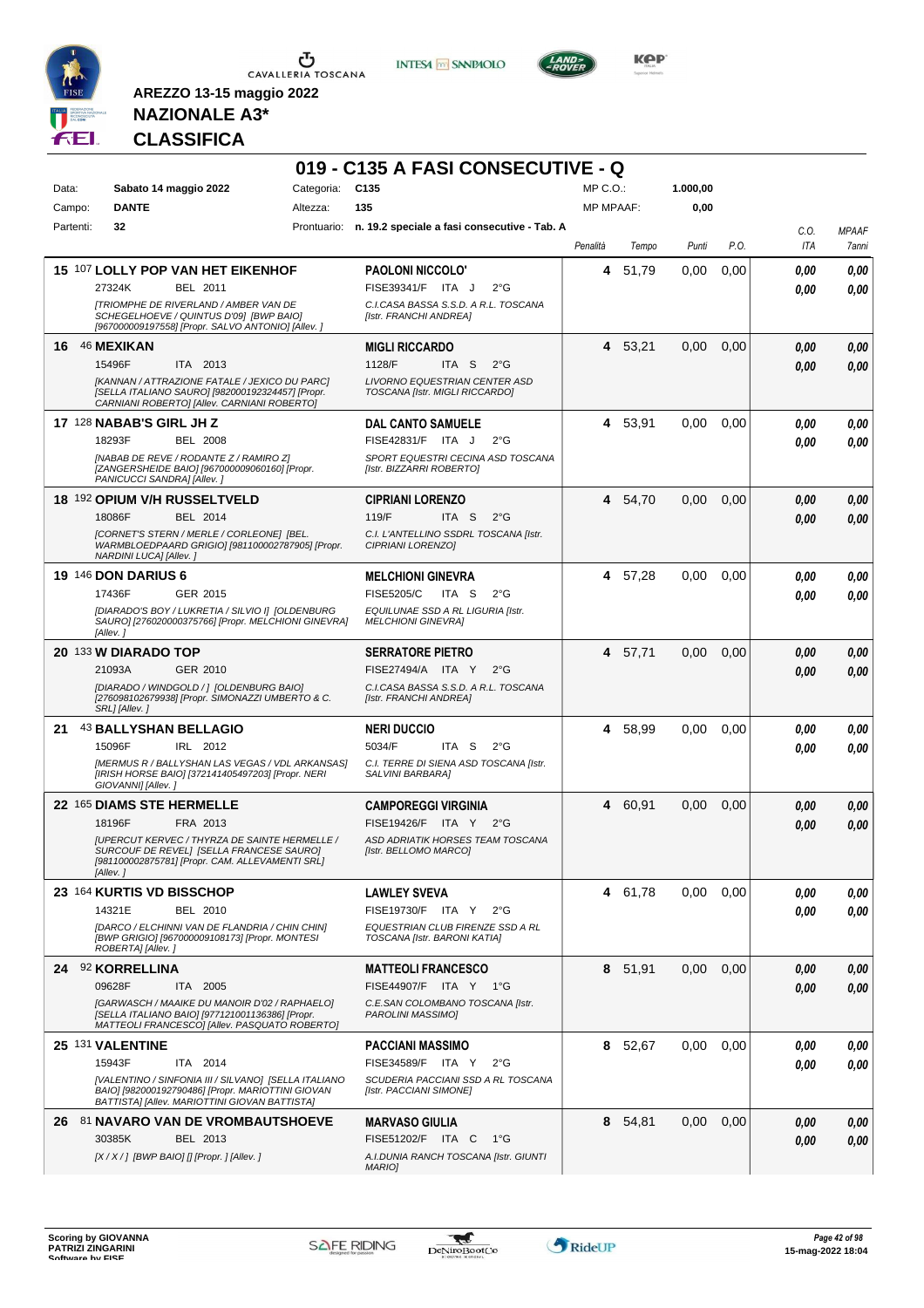

**INTESA M** SANPAOLO



**Kep** 

### **NAZIONALE A3\* CLASSIFICA**

| Categoria: C135<br>$MP C. O.$ :<br>1.000,00<br>Data:<br>Sabato 14 maggio 2022<br><b>DANTE</b><br>135<br><b>MP MPAAF:</b><br>0,00<br>Campo:<br>Altezza:<br>32<br>Prontuario: n. 19.2 speciale a fasi consecutive - Tab. A<br>Partenti:<br>C.O.<br><b>MPAAF</b><br>Penalità<br>P.O.<br>ITA<br>Tempo<br>Punti<br>7anni<br>15 107 LOLLY POP VAN HET EIKENHOF<br>51,79<br>0.00<br>0,00<br><b>PAOLONI NICCOLO'</b><br>4<br>0,00<br>0.00<br>27324K<br>BEL 2011<br>FISE39341/F ITA J<br>$2^{\circ}$ G<br>0.00<br>0.00<br><b>[TRIOMPHE DE RIVERLAND / AMBER VAN DE</b><br>C.I.CASA BASSA S.S.D. A R.L. TOSCANA<br>SCHEGELHOEVE / QUINTUS D'091 [BWP BAIO]<br>[Istr. FRANCHI ANDREA]<br>[967000009197558] [Propr. SALVO ANTONIO] [Allev. ]<br>46 MEXIKAN<br><b>MIGLI RICCARDO</b><br>4 53,21<br>0,00<br>0,00<br>0.00<br>0,00<br>16.<br>15496F<br>ITA 2013<br>1128/F<br>ITA S<br>$2^{\circ}$ G<br>0,00<br>0.00<br>[KANNAN / ATTRAZIONE FATALE / JEXICO DU PARC]<br><b>LIVORNO EQUESTRIAN CENTER ASD</b><br>[SELLA ITALIANO SAURO] [982000192324457] [Propr.<br>TOSCANA [Istr. MIGLI RICCARDO]<br>CARNIANI ROBERTO] [Allev. CARNIANI ROBERTO]<br><b>17 128 NABAB'S GIRL JH Z</b><br><b>DAL CANTO SAMUELE</b><br>4 53,91<br>0,00<br>0,00<br>0,00<br>0.00<br>18293F<br><b>BEL 2008</b><br>FISE42831/F ITA J<br>$2^{\circ}$ G<br>0.00<br>0.00<br>[NABAB DE REVE / RODANTE Z / RAMIRO Z]<br>SPORT EQUESTRI CECINA ASD TOSCANA<br>[ZANGERSHEIDE BAIO] [967000009060160] [Propr.<br>[Istr. BIZZARRI ROBERTO]<br>PANICUCCI SANDRA] [Allev.]<br>18 192 OPIUM V/H RUSSELTVELD<br><b>CIPRIANI LORENZO</b><br>0,00<br>4<br>54,70<br>0,00<br>0.00<br>0,00<br>18086F<br>BEL 2014<br>119/F<br>ITA S<br>$2^{\circ}$ G<br>0.00<br>0.00<br>[CORNET'S STERN / MERLE / CORLEONE] [BEL.<br>C.I. L'ANTELLINO SSDRL TOSCANA [Istr.<br>WARMBLOEDPAARD GRIGIO] [981100002787905] [Propr.<br>CIPRIANI LORENZOI<br>NARDINI LUCA] [Allev. ]<br><b>19 146 DON DARIUS 6</b><br>4 57,28<br>0,00<br>0,00<br><b>MELCHIONI GINEVRA</b><br>0.00<br>0,00<br>FISE5205/C<br>ITA <sub>S</sub><br>17436F<br>GER 2015<br>$2^{\circ}$ G<br>0.00<br>0.00<br>[DIARADO'S BOY / LUKRETIA / SILVIO I] [OLDENBURG<br>EQUILUNAE SSD A RL LIGURIA [Istr.<br>SAURO] [276020000375766] [Propr. MELCHIONI GINEVRA]<br><b>MELCHIONI GINEVRAI</b><br>[Allev.]<br>20 133 W DIARADO TOP<br>4 57,71<br>0,00<br><b>SERRATORE PIETRO</b><br>0,00<br>0.00<br>0,00<br>21093A<br>GER 2010<br>FISE27494/A ITA Y<br>$2^{\circ}$ G<br>0.00<br>0.00<br>[DIARADO / WINDGOLD / ] [OLDENBURG BAIO]<br>C.I.CASA BASSA S.S.D. A R.L. TOSCANA<br>[276098102679938] [Propr. SIMONAZZI UMBERTO & C.<br>[Istr. FRANCHI ANDREA]<br>SRL] [Allev.]<br><b>NERI DUCCIO</b><br>4 58,99<br>43 BALLYSHAN BELLAGIO<br>0,00<br>0,00<br>0.00<br>0,00<br>21<br>15096F<br>IRL 2012<br>5034/F<br>ITA S<br>$2^{\circ}$ G<br>0.00<br>0.00<br>[MERMUS R / BALLYSHAN LAS VEGAS / VDL ARKANSAS]<br>C.I. TERRE DI SIENA ASD TOSCANA [Istr.<br>[IRISH HORSE BAIO] [372141405497203] [Propr. NERI<br>SALVINI BARBARAI<br>GIOVANNI] [Allev.]<br>22 165 DIAMS STE HERMELLE<br><b>CAMPOREGGI VIRGINIA</b><br>60,91<br>0,00<br>0,00<br>0,00<br>0,00<br>4<br>FRA 2013<br>FISE19426/F ITA Y<br>18196F<br>$2^{\circ}G$<br>0.00<br>0.00<br>ASD ADRIATIK HORSES TEAM TOSCANA<br>[UPERCUT KERVEC / THYRZA DE SAINTE HERMELLE /<br>SURCOUF DE REVEL] [SELLA FRANCESE SAURO]<br>[Istr. BELLOMO MARCO]<br>[981100002875781] [Propr. CAM. ALLEVAMENTI SRL]<br>[Allev.]<br>23 164 KURTIS VD BISSCHOP<br>0,00<br>0,00<br><b>LAWLEY SVEVA</b><br>4 61,78<br>0.00<br>0,00<br>14321E<br>BEL 2010<br>FISE19730/F ITA Y 2°G<br>0.00<br>0,00<br>IDARCO / ELCHINNI VAN DE FLANDRIA / CHIN CHIN]<br>EQUESTRIAN CLUB FIRENZE SSD A RL<br>[BWP GRIGIO] [967000009108173] [Propr. MONTESI<br>TOSCANA [Istr. BARONI KATIA]<br>ROBERTA] [Allev.]<br>24 92 KORRELLINA<br>8 51,91<br>0,00<br><b>MATTEOLI FRANCESCO</b><br>0,00<br>0.00<br>0,00<br>09628F<br>ITA 2005<br>FISE44907/F ITA Y 1°G<br>0,00<br>0.00<br>[GARWASCH / MAAIKE DU MANOIR D'02 / RAPHAELO]<br>C.E.SAN COLOMBANO TOSCANA [Istr.<br>[SELLA ITALIANO BAIO] [977121001136386] [Propr.<br>PAROLINI MASSIMO]<br>MATTEOLI FRANCESCO] [Allev. PASQUATO ROBERTO]<br>25 131 VALENTINE<br><b>PACCIANI MASSIMO</b><br>8 52,67<br>0,00<br>0.00<br>0,00<br>0.00<br>15943F<br>ITA 2014<br>FISE34589/F ITA Y<br>$2^{\circ}G$<br>0,00<br>0.00<br>[VALENTINO / SINFONIA III / SILVANO] [SELLA ITALIANO<br>SCUDERIA PACCIANI SSD A RL TOSCANA<br>BAIO] [982000192790486] [Propr. MARIOTTINI GIOVAN<br>[Istr. PACCIANI SIMONE]<br>BATTISTA] [Allev. MARIOTTINI GIOVAN BATTISTA]<br>26 81 NAVARO VAN DE VROMBAUTSHOEVE<br>0,00<br><b>MARVASO GIULIA</b><br>8 54,81<br>0,00<br>0,00<br>FISE51202/F ITA C<br>30385K<br>BEL 2013<br>1°G<br>0,00<br>0,00<br>$[X/X/$ ] [BWP BAIO] [] [Propr. ] [Allev. ]<br>A.I.DUNIA RANCH TOSCANA [Istr. GIUNTI<br>MARIO] |  | 019 - C135 A FASI CONSECUTIVE - Q |  |  |      |
|-----------------------------------------------------------------------------------------------------------------------------------------------------------------------------------------------------------------------------------------------------------------------------------------------------------------------------------------------------------------------------------------------------------------------------------------------------------------------------------------------------------------------------------------------------------------------------------------------------------------------------------------------------------------------------------------------------------------------------------------------------------------------------------------------------------------------------------------------------------------------------------------------------------------------------------------------------------------------------------------------------------------------------------------------------------------------------------------------------------------------------------------------------------------------------------------------------------------------------------------------------------------------------------------------------------------------------------------------------------------------------------------------------------------------------------------------------------------------------------------------------------------------------------------------------------------------------------------------------------------------------------------------------------------------------------------------------------------------------------------------------------------------------------------------------------------------------------------------------------------------------------------------------------------------------------------------------------------------------------------------------------------------------------------------------------------------------------------------------------------------------------------------------------------------------------------------------------------------------------------------------------------------------------------------------------------------------------------------------------------------------------------------------------------------------------------------------------------------------------------------------------------------------------------------------------------------------------------------------------------------------------------------------------------------------------------------------------------------------------------------------------------------------------------------------------------------------------------------------------------------------------------------------------------------------------------------------------------------------------------------------------------------------------------------------------------------------------------------------------------------------------------------------------------------------------------------------------------------------------------------------------------------------------------------------------------------------------------------------------------------------------------------------------------------------------------------------------------------------------------------------------------------------------------------------------------------------------------------------------------------------------------------------------------------------------------------------------------------------------------------------------------------------------------------------------------------------------------------------------------------------------------------------------------------------------------------------------------------------------------------------------------------------------------------------------------------------------------------------------------------------------------------------------------------------------------------------------------------------------------------------------------------------------------------------------------------------------------------------------------------------------------------------------------------------------------------------------------------------------------------------------------------------------------------------------------------------------------------------------------------------------------------------------------------------------------------------------------------------------------------------------------------------------------------------------------------------------------------------------|--|-----------------------------------|--|--|------|
|                                                                                                                                                                                                                                                                                                                                                                                                                                                                                                                                                                                                                                                                                                                                                                                                                                                                                                                                                                                                                                                                                                                                                                                                                                                                                                                                                                                                                                                                                                                                                                                                                                                                                                                                                                                                                                                                                                                                                                                                                                                                                                                                                                                                                                                                                                                                                                                                                                                                                                                                                                                                                                                                                                                                                                                                                                                                                                                                                                                                                                                                                                                                                                                                                                                                                                                                                                                                                                                                                                                                                                                                                                                                                                                                                                                                                                                                                                                                                                                                                                                                                                                                                                                                                                                                                                                                                                                                                                                                                                                                                                                                                                                                                                                                                                                                                                                           |  |                                   |  |  |      |
|                                                                                                                                                                                                                                                                                                                                                                                                                                                                                                                                                                                                                                                                                                                                                                                                                                                                                                                                                                                                                                                                                                                                                                                                                                                                                                                                                                                                                                                                                                                                                                                                                                                                                                                                                                                                                                                                                                                                                                                                                                                                                                                                                                                                                                                                                                                                                                                                                                                                                                                                                                                                                                                                                                                                                                                                                                                                                                                                                                                                                                                                                                                                                                                                                                                                                                                                                                                                                                                                                                                                                                                                                                                                                                                                                                                                                                                                                                                                                                                                                                                                                                                                                                                                                                                                                                                                                                                                                                                                                                                                                                                                                                                                                                                                                                                                                                                           |  |                                   |  |  |      |
|                                                                                                                                                                                                                                                                                                                                                                                                                                                                                                                                                                                                                                                                                                                                                                                                                                                                                                                                                                                                                                                                                                                                                                                                                                                                                                                                                                                                                                                                                                                                                                                                                                                                                                                                                                                                                                                                                                                                                                                                                                                                                                                                                                                                                                                                                                                                                                                                                                                                                                                                                                                                                                                                                                                                                                                                                                                                                                                                                                                                                                                                                                                                                                                                                                                                                                                                                                                                                                                                                                                                                                                                                                                                                                                                                                                                                                                                                                                                                                                                                                                                                                                                                                                                                                                                                                                                                                                                                                                                                                                                                                                                                                                                                                                                                                                                                                                           |  |                                   |  |  |      |
|                                                                                                                                                                                                                                                                                                                                                                                                                                                                                                                                                                                                                                                                                                                                                                                                                                                                                                                                                                                                                                                                                                                                                                                                                                                                                                                                                                                                                                                                                                                                                                                                                                                                                                                                                                                                                                                                                                                                                                                                                                                                                                                                                                                                                                                                                                                                                                                                                                                                                                                                                                                                                                                                                                                                                                                                                                                                                                                                                                                                                                                                                                                                                                                                                                                                                                                                                                                                                                                                                                                                                                                                                                                                                                                                                                                                                                                                                                                                                                                                                                                                                                                                                                                                                                                                                                                                                                                                                                                                                                                                                                                                                                                                                                                                                                                                                                                           |  |                                   |  |  |      |
|                                                                                                                                                                                                                                                                                                                                                                                                                                                                                                                                                                                                                                                                                                                                                                                                                                                                                                                                                                                                                                                                                                                                                                                                                                                                                                                                                                                                                                                                                                                                                                                                                                                                                                                                                                                                                                                                                                                                                                                                                                                                                                                                                                                                                                                                                                                                                                                                                                                                                                                                                                                                                                                                                                                                                                                                                                                                                                                                                                                                                                                                                                                                                                                                                                                                                                                                                                                                                                                                                                                                                                                                                                                                                                                                                                                                                                                                                                                                                                                                                                                                                                                                                                                                                                                                                                                                                                                                                                                                                                                                                                                                                                                                                                                                                                                                                                                           |  |                                   |  |  |      |
|                                                                                                                                                                                                                                                                                                                                                                                                                                                                                                                                                                                                                                                                                                                                                                                                                                                                                                                                                                                                                                                                                                                                                                                                                                                                                                                                                                                                                                                                                                                                                                                                                                                                                                                                                                                                                                                                                                                                                                                                                                                                                                                                                                                                                                                                                                                                                                                                                                                                                                                                                                                                                                                                                                                                                                                                                                                                                                                                                                                                                                                                                                                                                                                                                                                                                                                                                                                                                                                                                                                                                                                                                                                                                                                                                                                                                                                                                                                                                                                                                                                                                                                                                                                                                                                                                                                                                                                                                                                                                                                                                                                                                                                                                                                                                                                                                                                           |  |                                   |  |  |      |
|                                                                                                                                                                                                                                                                                                                                                                                                                                                                                                                                                                                                                                                                                                                                                                                                                                                                                                                                                                                                                                                                                                                                                                                                                                                                                                                                                                                                                                                                                                                                                                                                                                                                                                                                                                                                                                                                                                                                                                                                                                                                                                                                                                                                                                                                                                                                                                                                                                                                                                                                                                                                                                                                                                                                                                                                                                                                                                                                                                                                                                                                                                                                                                                                                                                                                                                                                                                                                                                                                                                                                                                                                                                                                                                                                                                                                                                                                                                                                                                                                                                                                                                                                                                                                                                                                                                                                                                                                                                                                                                                                                                                                                                                                                                                                                                                                                                           |  |                                   |  |  |      |
|                                                                                                                                                                                                                                                                                                                                                                                                                                                                                                                                                                                                                                                                                                                                                                                                                                                                                                                                                                                                                                                                                                                                                                                                                                                                                                                                                                                                                                                                                                                                                                                                                                                                                                                                                                                                                                                                                                                                                                                                                                                                                                                                                                                                                                                                                                                                                                                                                                                                                                                                                                                                                                                                                                                                                                                                                                                                                                                                                                                                                                                                                                                                                                                                                                                                                                                                                                                                                                                                                                                                                                                                                                                                                                                                                                                                                                                                                                                                                                                                                                                                                                                                                                                                                                                                                                                                                                                                                                                                                                                                                                                                                                                                                                                                                                                                                                                           |  |                                   |  |  |      |
|                                                                                                                                                                                                                                                                                                                                                                                                                                                                                                                                                                                                                                                                                                                                                                                                                                                                                                                                                                                                                                                                                                                                                                                                                                                                                                                                                                                                                                                                                                                                                                                                                                                                                                                                                                                                                                                                                                                                                                                                                                                                                                                                                                                                                                                                                                                                                                                                                                                                                                                                                                                                                                                                                                                                                                                                                                                                                                                                                                                                                                                                                                                                                                                                                                                                                                                                                                                                                                                                                                                                                                                                                                                                                                                                                                                                                                                                                                                                                                                                                                                                                                                                                                                                                                                                                                                                                                                                                                                                                                                                                                                                                                                                                                                                                                                                                                                           |  |                                   |  |  |      |
|                                                                                                                                                                                                                                                                                                                                                                                                                                                                                                                                                                                                                                                                                                                                                                                                                                                                                                                                                                                                                                                                                                                                                                                                                                                                                                                                                                                                                                                                                                                                                                                                                                                                                                                                                                                                                                                                                                                                                                                                                                                                                                                                                                                                                                                                                                                                                                                                                                                                                                                                                                                                                                                                                                                                                                                                                                                                                                                                                                                                                                                                                                                                                                                                                                                                                                                                                                                                                                                                                                                                                                                                                                                                                                                                                                                                                                                                                                                                                                                                                                                                                                                                                                                                                                                                                                                                                                                                                                                                                                                                                                                                                                                                                                                                                                                                                                                           |  |                                   |  |  |      |
|                                                                                                                                                                                                                                                                                                                                                                                                                                                                                                                                                                                                                                                                                                                                                                                                                                                                                                                                                                                                                                                                                                                                                                                                                                                                                                                                                                                                                                                                                                                                                                                                                                                                                                                                                                                                                                                                                                                                                                                                                                                                                                                                                                                                                                                                                                                                                                                                                                                                                                                                                                                                                                                                                                                                                                                                                                                                                                                                                                                                                                                                                                                                                                                                                                                                                                                                                                                                                                                                                                                                                                                                                                                                                                                                                                                                                                                                                                                                                                                                                                                                                                                                                                                                                                                                                                                                                                                                                                                                                                                                                                                                                                                                                                                                                                                                                                                           |  |                                   |  |  |      |
|                                                                                                                                                                                                                                                                                                                                                                                                                                                                                                                                                                                                                                                                                                                                                                                                                                                                                                                                                                                                                                                                                                                                                                                                                                                                                                                                                                                                                                                                                                                                                                                                                                                                                                                                                                                                                                                                                                                                                                                                                                                                                                                                                                                                                                                                                                                                                                                                                                                                                                                                                                                                                                                                                                                                                                                                                                                                                                                                                                                                                                                                                                                                                                                                                                                                                                                                                                                                                                                                                                                                                                                                                                                                                                                                                                                                                                                                                                                                                                                                                                                                                                                                                                                                                                                                                                                                                                                                                                                                                                                                                                                                                                                                                                                                                                                                                                                           |  |                                   |  |  |      |
|                                                                                                                                                                                                                                                                                                                                                                                                                                                                                                                                                                                                                                                                                                                                                                                                                                                                                                                                                                                                                                                                                                                                                                                                                                                                                                                                                                                                                                                                                                                                                                                                                                                                                                                                                                                                                                                                                                                                                                                                                                                                                                                                                                                                                                                                                                                                                                                                                                                                                                                                                                                                                                                                                                                                                                                                                                                                                                                                                                                                                                                                                                                                                                                                                                                                                                                                                                                                                                                                                                                                                                                                                                                                                                                                                                                                                                                                                                                                                                                                                                                                                                                                                                                                                                                                                                                                                                                                                                                                                                                                                                                                                                                                                                                                                                                                                                                           |  |                                   |  |  |      |
|                                                                                                                                                                                                                                                                                                                                                                                                                                                                                                                                                                                                                                                                                                                                                                                                                                                                                                                                                                                                                                                                                                                                                                                                                                                                                                                                                                                                                                                                                                                                                                                                                                                                                                                                                                                                                                                                                                                                                                                                                                                                                                                                                                                                                                                                                                                                                                                                                                                                                                                                                                                                                                                                                                                                                                                                                                                                                                                                                                                                                                                                                                                                                                                                                                                                                                                                                                                                                                                                                                                                                                                                                                                                                                                                                                                                                                                                                                                                                                                                                                                                                                                                                                                                                                                                                                                                                                                                                                                                                                                                                                                                                                                                                                                                                                                                                                                           |  |                                   |  |  |      |
|                                                                                                                                                                                                                                                                                                                                                                                                                                                                                                                                                                                                                                                                                                                                                                                                                                                                                                                                                                                                                                                                                                                                                                                                                                                                                                                                                                                                                                                                                                                                                                                                                                                                                                                                                                                                                                                                                                                                                                                                                                                                                                                                                                                                                                                                                                                                                                                                                                                                                                                                                                                                                                                                                                                                                                                                                                                                                                                                                                                                                                                                                                                                                                                                                                                                                                                                                                                                                                                                                                                                                                                                                                                                                                                                                                                                                                                                                                                                                                                                                                                                                                                                                                                                                                                                                                                                                                                                                                                                                                                                                                                                                                                                                                                                                                                                                                                           |  |                                   |  |  |      |
|                                                                                                                                                                                                                                                                                                                                                                                                                                                                                                                                                                                                                                                                                                                                                                                                                                                                                                                                                                                                                                                                                                                                                                                                                                                                                                                                                                                                                                                                                                                                                                                                                                                                                                                                                                                                                                                                                                                                                                                                                                                                                                                                                                                                                                                                                                                                                                                                                                                                                                                                                                                                                                                                                                                                                                                                                                                                                                                                                                                                                                                                                                                                                                                                                                                                                                                                                                                                                                                                                                                                                                                                                                                                                                                                                                                                                                                                                                                                                                                                                                                                                                                                                                                                                                                                                                                                                                                                                                                                                                                                                                                                                                                                                                                                                                                                                                                           |  |                                   |  |  |      |
|                                                                                                                                                                                                                                                                                                                                                                                                                                                                                                                                                                                                                                                                                                                                                                                                                                                                                                                                                                                                                                                                                                                                                                                                                                                                                                                                                                                                                                                                                                                                                                                                                                                                                                                                                                                                                                                                                                                                                                                                                                                                                                                                                                                                                                                                                                                                                                                                                                                                                                                                                                                                                                                                                                                                                                                                                                                                                                                                                                                                                                                                                                                                                                                                                                                                                                                                                                                                                                                                                                                                                                                                                                                                                                                                                                                                                                                                                                                                                                                                                                                                                                                                                                                                                                                                                                                                                                                                                                                                                                                                                                                                                                                                                                                                                                                                                                                           |  |                                   |  |  |      |
|                                                                                                                                                                                                                                                                                                                                                                                                                                                                                                                                                                                                                                                                                                                                                                                                                                                                                                                                                                                                                                                                                                                                                                                                                                                                                                                                                                                                                                                                                                                                                                                                                                                                                                                                                                                                                                                                                                                                                                                                                                                                                                                                                                                                                                                                                                                                                                                                                                                                                                                                                                                                                                                                                                                                                                                                                                                                                                                                                                                                                                                                                                                                                                                                                                                                                                                                                                                                                                                                                                                                                                                                                                                                                                                                                                                                                                                                                                                                                                                                                                                                                                                                                                                                                                                                                                                                                                                                                                                                                                                                                                                                                                                                                                                                                                                                                                                           |  |                                   |  |  |      |
|                                                                                                                                                                                                                                                                                                                                                                                                                                                                                                                                                                                                                                                                                                                                                                                                                                                                                                                                                                                                                                                                                                                                                                                                                                                                                                                                                                                                                                                                                                                                                                                                                                                                                                                                                                                                                                                                                                                                                                                                                                                                                                                                                                                                                                                                                                                                                                                                                                                                                                                                                                                                                                                                                                                                                                                                                                                                                                                                                                                                                                                                                                                                                                                                                                                                                                                                                                                                                                                                                                                                                                                                                                                                                                                                                                                                                                                                                                                                                                                                                                                                                                                                                                                                                                                                                                                                                                                                                                                                                                                                                                                                                                                                                                                                                                                                                                                           |  |                                   |  |  |      |
|                                                                                                                                                                                                                                                                                                                                                                                                                                                                                                                                                                                                                                                                                                                                                                                                                                                                                                                                                                                                                                                                                                                                                                                                                                                                                                                                                                                                                                                                                                                                                                                                                                                                                                                                                                                                                                                                                                                                                                                                                                                                                                                                                                                                                                                                                                                                                                                                                                                                                                                                                                                                                                                                                                                                                                                                                                                                                                                                                                                                                                                                                                                                                                                                                                                                                                                                                                                                                                                                                                                                                                                                                                                                                                                                                                                                                                                                                                                                                                                                                                                                                                                                                                                                                                                                                                                                                                                                                                                                                                                                                                                                                                                                                                                                                                                                                                                           |  |                                   |  |  |      |
|                                                                                                                                                                                                                                                                                                                                                                                                                                                                                                                                                                                                                                                                                                                                                                                                                                                                                                                                                                                                                                                                                                                                                                                                                                                                                                                                                                                                                                                                                                                                                                                                                                                                                                                                                                                                                                                                                                                                                                                                                                                                                                                                                                                                                                                                                                                                                                                                                                                                                                                                                                                                                                                                                                                                                                                                                                                                                                                                                                                                                                                                                                                                                                                                                                                                                                                                                                                                                                                                                                                                                                                                                                                                                                                                                                                                                                                                                                                                                                                                                                                                                                                                                                                                                                                                                                                                                                                                                                                                                                                                                                                                                                                                                                                                                                                                                                                           |  |                                   |  |  |      |
|                                                                                                                                                                                                                                                                                                                                                                                                                                                                                                                                                                                                                                                                                                                                                                                                                                                                                                                                                                                                                                                                                                                                                                                                                                                                                                                                                                                                                                                                                                                                                                                                                                                                                                                                                                                                                                                                                                                                                                                                                                                                                                                                                                                                                                                                                                                                                                                                                                                                                                                                                                                                                                                                                                                                                                                                                                                                                                                                                                                                                                                                                                                                                                                                                                                                                                                                                                                                                                                                                                                                                                                                                                                                                                                                                                                                                                                                                                                                                                                                                                                                                                                                                                                                                                                                                                                                                                                                                                                                                                                                                                                                                                                                                                                                                                                                                                                           |  |                                   |  |  |      |
|                                                                                                                                                                                                                                                                                                                                                                                                                                                                                                                                                                                                                                                                                                                                                                                                                                                                                                                                                                                                                                                                                                                                                                                                                                                                                                                                                                                                                                                                                                                                                                                                                                                                                                                                                                                                                                                                                                                                                                                                                                                                                                                                                                                                                                                                                                                                                                                                                                                                                                                                                                                                                                                                                                                                                                                                                                                                                                                                                                                                                                                                                                                                                                                                                                                                                                                                                                                                                                                                                                                                                                                                                                                                                                                                                                                                                                                                                                                                                                                                                                                                                                                                                                                                                                                                                                                                                                                                                                                                                                                                                                                                                                                                                                                                                                                                                                                           |  |                                   |  |  |      |
|                                                                                                                                                                                                                                                                                                                                                                                                                                                                                                                                                                                                                                                                                                                                                                                                                                                                                                                                                                                                                                                                                                                                                                                                                                                                                                                                                                                                                                                                                                                                                                                                                                                                                                                                                                                                                                                                                                                                                                                                                                                                                                                                                                                                                                                                                                                                                                                                                                                                                                                                                                                                                                                                                                                                                                                                                                                                                                                                                                                                                                                                                                                                                                                                                                                                                                                                                                                                                                                                                                                                                                                                                                                                                                                                                                                                                                                                                                                                                                                                                                                                                                                                                                                                                                                                                                                                                                                                                                                                                                                                                                                                                                                                                                                                                                                                                                                           |  |                                   |  |  |      |
|                                                                                                                                                                                                                                                                                                                                                                                                                                                                                                                                                                                                                                                                                                                                                                                                                                                                                                                                                                                                                                                                                                                                                                                                                                                                                                                                                                                                                                                                                                                                                                                                                                                                                                                                                                                                                                                                                                                                                                                                                                                                                                                                                                                                                                                                                                                                                                                                                                                                                                                                                                                                                                                                                                                                                                                                                                                                                                                                                                                                                                                                                                                                                                                                                                                                                                                                                                                                                                                                                                                                                                                                                                                                                                                                                                                                                                                                                                                                                                                                                                                                                                                                                                                                                                                                                                                                                                                                                                                                                                                                                                                                                                                                                                                                                                                                                                                           |  |                                   |  |  |      |
|                                                                                                                                                                                                                                                                                                                                                                                                                                                                                                                                                                                                                                                                                                                                                                                                                                                                                                                                                                                                                                                                                                                                                                                                                                                                                                                                                                                                                                                                                                                                                                                                                                                                                                                                                                                                                                                                                                                                                                                                                                                                                                                                                                                                                                                                                                                                                                                                                                                                                                                                                                                                                                                                                                                                                                                                                                                                                                                                                                                                                                                                                                                                                                                                                                                                                                                                                                                                                                                                                                                                                                                                                                                                                                                                                                                                                                                                                                                                                                                                                                                                                                                                                                                                                                                                                                                                                                                                                                                                                                                                                                                                                                                                                                                                                                                                                                                           |  |                                   |  |  |      |
|                                                                                                                                                                                                                                                                                                                                                                                                                                                                                                                                                                                                                                                                                                                                                                                                                                                                                                                                                                                                                                                                                                                                                                                                                                                                                                                                                                                                                                                                                                                                                                                                                                                                                                                                                                                                                                                                                                                                                                                                                                                                                                                                                                                                                                                                                                                                                                                                                                                                                                                                                                                                                                                                                                                                                                                                                                                                                                                                                                                                                                                                                                                                                                                                                                                                                                                                                                                                                                                                                                                                                                                                                                                                                                                                                                                                                                                                                                                                                                                                                                                                                                                                                                                                                                                                                                                                                                                                                                                                                                                                                                                                                                                                                                                                                                                                                                                           |  |                                   |  |  |      |
|                                                                                                                                                                                                                                                                                                                                                                                                                                                                                                                                                                                                                                                                                                                                                                                                                                                                                                                                                                                                                                                                                                                                                                                                                                                                                                                                                                                                                                                                                                                                                                                                                                                                                                                                                                                                                                                                                                                                                                                                                                                                                                                                                                                                                                                                                                                                                                                                                                                                                                                                                                                                                                                                                                                                                                                                                                                                                                                                                                                                                                                                                                                                                                                                                                                                                                                                                                                                                                                                                                                                                                                                                                                                                                                                                                                                                                                                                                                                                                                                                                                                                                                                                                                                                                                                                                                                                                                                                                                                                                                                                                                                                                                                                                                                                                                                                                                           |  |                                   |  |  |      |
|                                                                                                                                                                                                                                                                                                                                                                                                                                                                                                                                                                                                                                                                                                                                                                                                                                                                                                                                                                                                                                                                                                                                                                                                                                                                                                                                                                                                                                                                                                                                                                                                                                                                                                                                                                                                                                                                                                                                                                                                                                                                                                                                                                                                                                                                                                                                                                                                                                                                                                                                                                                                                                                                                                                                                                                                                                                                                                                                                                                                                                                                                                                                                                                                                                                                                                                                                                                                                                                                                                                                                                                                                                                                                                                                                                                                                                                                                                                                                                                                                                                                                                                                                                                                                                                                                                                                                                                                                                                                                                                                                                                                                                                                                                                                                                                                                                                           |  |                                   |  |  |      |
|                                                                                                                                                                                                                                                                                                                                                                                                                                                                                                                                                                                                                                                                                                                                                                                                                                                                                                                                                                                                                                                                                                                                                                                                                                                                                                                                                                                                                                                                                                                                                                                                                                                                                                                                                                                                                                                                                                                                                                                                                                                                                                                                                                                                                                                                                                                                                                                                                                                                                                                                                                                                                                                                                                                                                                                                                                                                                                                                                                                                                                                                                                                                                                                                                                                                                                                                                                                                                                                                                                                                                                                                                                                                                                                                                                                                                                                                                                                                                                                                                                                                                                                                                                                                                                                                                                                                                                                                                                                                                                                                                                                                                                                                                                                                                                                                                                                           |  |                                   |  |  |      |
|                                                                                                                                                                                                                                                                                                                                                                                                                                                                                                                                                                                                                                                                                                                                                                                                                                                                                                                                                                                                                                                                                                                                                                                                                                                                                                                                                                                                                                                                                                                                                                                                                                                                                                                                                                                                                                                                                                                                                                                                                                                                                                                                                                                                                                                                                                                                                                                                                                                                                                                                                                                                                                                                                                                                                                                                                                                                                                                                                                                                                                                                                                                                                                                                                                                                                                                                                                                                                                                                                                                                                                                                                                                                                                                                                                                                                                                                                                                                                                                                                                                                                                                                                                                                                                                                                                                                                                                                                                                                                                                                                                                                                                                                                                                                                                                                                                                           |  |                                   |  |  |      |
|                                                                                                                                                                                                                                                                                                                                                                                                                                                                                                                                                                                                                                                                                                                                                                                                                                                                                                                                                                                                                                                                                                                                                                                                                                                                                                                                                                                                                                                                                                                                                                                                                                                                                                                                                                                                                                                                                                                                                                                                                                                                                                                                                                                                                                                                                                                                                                                                                                                                                                                                                                                                                                                                                                                                                                                                                                                                                                                                                                                                                                                                                                                                                                                                                                                                                                                                                                                                                                                                                                                                                                                                                                                                                                                                                                                                                                                                                                                                                                                                                                                                                                                                                                                                                                                                                                                                                                                                                                                                                                                                                                                                                                                                                                                                                                                                                                                           |  |                                   |  |  |      |
|                                                                                                                                                                                                                                                                                                                                                                                                                                                                                                                                                                                                                                                                                                                                                                                                                                                                                                                                                                                                                                                                                                                                                                                                                                                                                                                                                                                                                                                                                                                                                                                                                                                                                                                                                                                                                                                                                                                                                                                                                                                                                                                                                                                                                                                                                                                                                                                                                                                                                                                                                                                                                                                                                                                                                                                                                                                                                                                                                                                                                                                                                                                                                                                                                                                                                                                                                                                                                                                                                                                                                                                                                                                                                                                                                                                                                                                                                                                                                                                                                                                                                                                                                                                                                                                                                                                                                                                                                                                                                                                                                                                                                                                                                                                                                                                                                                                           |  |                                   |  |  |      |
|                                                                                                                                                                                                                                                                                                                                                                                                                                                                                                                                                                                                                                                                                                                                                                                                                                                                                                                                                                                                                                                                                                                                                                                                                                                                                                                                                                                                                                                                                                                                                                                                                                                                                                                                                                                                                                                                                                                                                                                                                                                                                                                                                                                                                                                                                                                                                                                                                                                                                                                                                                                                                                                                                                                                                                                                                                                                                                                                                                                                                                                                                                                                                                                                                                                                                                                                                                                                                                                                                                                                                                                                                                                                                                                                                                                                                                                                                                                                                                                                                                                                                                                                                                                                                                                                                                                                                                                                                                                                                                                                                                                                                                                                                                                                                                                                                                                           |  |                                   |  |  |      |
|                                                                                                                                                                                                                                                                                                                                                                                                                                                                                                                                                                                                                                                                                                                                                                                                                                                                                                                                                                                                                                                                                                                                                                                                                                                                                                                                                                                                                                                                                                                                                                                                                                                                                                                                                                                                                                                                                                                                                                                                                                                                                                                                                                                                                                                                                                                                                                                                                                                                                                                                                                                                                                                                                                                                                                                                                                                                                                                                                                                                                                                                                                                                                                                                                                                                                                                                                                                                                                                                                                                                                                                                                                                                                                                                                                                                                                                                                                                                                                                                                                                                                                                                                                                                                                                                                                                                                                                                                                                                                                                                                                                                                                                                                                                                                                                                                                                           |  |                                   |  |  |      |
|                                                                                                                                                                                                                                                                                                                                                                                                                                                                                                                                                                                                                                                                                                                                                                                                                                                                                                                                                                                                                                                                                                                                                                                                                                                                                                                                                                                                                                                                                                                                                                                                                                                                                                                                                                                                                                                                                                                                                                                                                                                                                                                                                                                                                                                                                                                                                                                                                                                                                                                                                                                                                                                                                                                                                                                                                                                                                                                                                                                                                                                                                                                                                                                                                                                                                                                                                                                                                                                                                                                                                                                                                                                                                                                                                                                                                                                                                                                                                                                                                                                                                                                                                                                                                                                                                                                                                                                                                                                                                                                                                                                                                                                                                                                                                                                                                                                           |  |                                   |  |  |      |
|                                                                                                                                                                                                                                                                                                                                                                                                                                                                                                                                                                                                                                                                                                                                                                                                                                                                                                                                                                                                                                                                                                                                                                                                                                                                                                                                                                                                                                                                                                                                                                                                                                                                                                                                                                                                                                                                                                                                                                                                                                                                                                                                                                                                                                                                                                                                                                                                                                                                                                                                                                                                                                                                                                                                                                                                                                                                                                                                                                                                                                                                                                                                                                                                                                                                                                                                                                                                                                                                                                                                                                                                                                                                                                                                                                                                                                                                                                                                                                                                                                                                                                                                                                                                                                                                                                                                                                                                                                                                                                                                                                                                                                                                                                                                                                                                                                                           |  |                                   |  |  |      |
|                                                                                                                                                                                                                                                                                                                                                                                                                                                                                                                                                                                                                                                                                                                                                                                                                                                                                                                                                                                                                                                                                                                                                                                                                                                                                                                                                                                                                                                                                                                                                                                                                                                                                                                                                                                                                                                                                                                                                                                                                                                                                                                                                                                                                                                                                                                                                                                                                                                                                                                                                                                                                                                                                                                                                                                                                                                                                                                                                                                                                                                                                                                                                                                                                                                                                                                                                                                                                                                                                                                                                                                                                                                                                                                                                                                                                                                                                                                                                                                                                                                                                                                                                                                                                                                                                                                                                                                                                                                                                                                                                                                                                                                                                                                                                                                                                                                           |  |                                   |  |  | 0,00 |
|                                                                                                                                                                                                                                                                                                                                                                                                                                                                                                                                                                                                                                                                                                                                                                                                                                                                                                                                                                                                                                                                                                                                                                                                                                                                                                                                                                                                                                                                                                                                                                                                                                                                                                                                                                                                                                                                                                                                                                                                                                                                                                                                                                                                                                                                                                                                                                                                                                                                                                                                                                                                                                                                                                                                                                                                                                                                                                                                                                                                                                                                                                                                                                                                                                                                                                                                                                                                                                                                                                                                                                                                                                                                                                                                                                                                                                                                                                                                                                                                                                                                                                                                                                                                                                                                                                                                                                                                                                                                                                                                                                                                                                                                                                                                                                                                                                                           |  |                                   |  |  |      |
|                                                                                                                                                                                                                                                                                                                                                                                                                                                                                                                                                                                                                                                                                                                                                                                                                                                                                                                                                                                                                                                                                                                                                                                                                                                                                                                                                                                                                                                                                                                                                                                                                                                                                                                                                                                                                                                                                                                                                                                                                                                                                                                                                                                                                                                                                                                                                                                                                                                                                                                                                                                                                                                                                                                                                                                                                                                                                                                                                                                                                                                                                                                                                                                                                                                                                                                                                                                                                                                                                                                                                                                                                                                                                                                                                                                                                                                                                                                                                                                                                                                                                                                                                                                                                                                                                                                                                                                                                                                                                                                                                                                                                                                                                                                                                                                                                                                           |  |                                   |  |  |      |

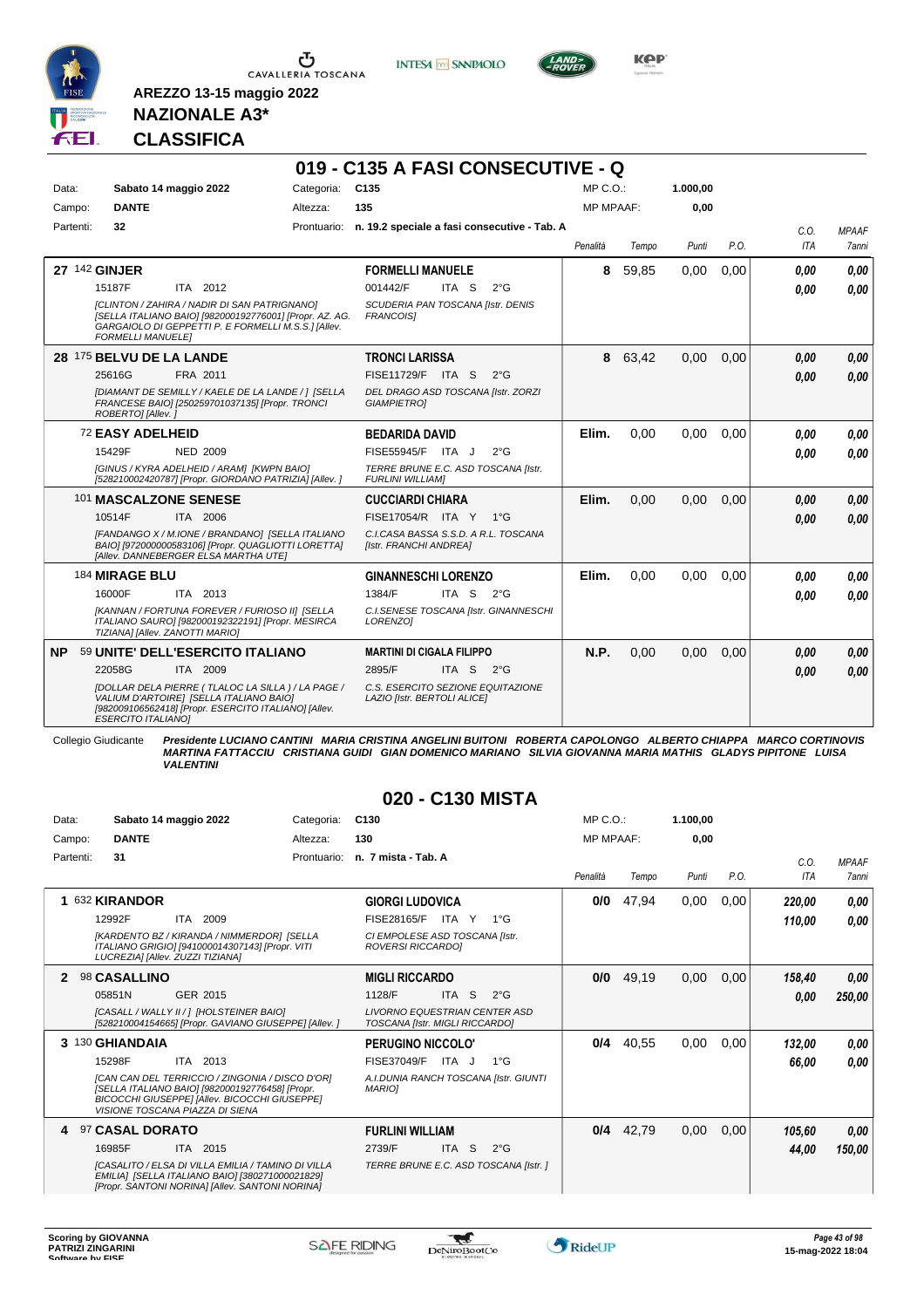

Ⴠ CAVALLERIA TOSCANA **INTESA M** SANPAOLO

**019 - C135 A FASI CONSECUTIVE - Q**



**Kep** 

#### **NAZIONALE A3\* CLASSIFICA**

**AREZZO 13-15 maggio 2022**

| Data:     | Sabato 14 maggio 2022            |                                                                                                                                                                | Categoria:  | C <sub>135</sub>                                                 |                  |                                              | MP C.O.:         |         | 1.000,00 |      |                    |                              |
|-----------|----------------------------------|----------------------------------------------------------------------------------------------------------------------------------------------------------------|-------------|------------------------------------------------------------------|------------------|----------------------------------------------|------------------|---------|----------|------|--------------------|------------------------------|
| Campo:    | <b>DANTE</b>                     |                                                                                                                                                                | Altezza:    | 135                                                              |                  |                                              | <b>MP MPAAF:</b> |         | 0.00     |      |                    |                              |
| Partenti: | 32                               |                                                                                                                                                                | Prontuario: |                                                                  |                  | n. 19.2 speciale a fasi consecutive - Tab. A | Penalità         | Tempo   | Punti    | P.O. | C.0.<br><b>ITA</b> | <b>MPAAF</b><br><b>7anni</b> |
|           | 27 142 GINJER                    |                                                                                                                                                                |             | <b>FORMELLI MANUELE</b>                                          |                  |                                              | 8                | 59,85   | 0,00     | 0,00 | 0.00               | 0.00                         |
|           | 15187F                           | ITA 2012                                                                                                                                                       |             | 001442/F                                                         | ITA <sub>S</sub> | $2^{\circ}$ G                                |                  |         |          |      | 0.00               | 0.00                         |
|           | <b>FORMELLI MANUELE]</b>         | [CLINTON / ZAHIRA / NADIR DI SAN PATRIGNANO]<br>[SELLA ITALIANO BAIO] [982000192776001] [Propr. AZ. AG.<br>GARGAIOLO DI GEPPETTI P. E FORMELLI M.S.S.] [Allev. |             | SCUDERIA PAN TOSCANA [Istr. DENIS<br><b>FRANCOISI</b>            |                  |                                              |                  |         |          |      |                    |                              |
|           | 28 175 BELVU DE LA LANDE         |                                                                                                                                                                |             | <b>TRONCI LARISSA</b>                                            |                  |                                              |                  | 8 63,42 | 0.00     | 0,00 | 0.00               | 0.00                         |
|           | 25616G                           | FRA 2011                                                                                                                                                       |             | <b>FISE11729/F</b>                                               | ITA S            | $2^{\circ}$ G                                |                  |         |          |      | 0,00               | 0.00                         |
|           | ROBERTO] [Allev.]                | [DIAMANT DE SEMILLY / KAELE DE LA LANDE / ] [SELLA<br>FRANCESE BAIO] [250259701037135] [Propr. TRONCI                                                          |             | DEL DRAGO ASD TOSCANA [Istr. ZORZI<br><b>GIAMPIETROI</b>         |                  |                                              |                  |         |          |      |                    |                              |
|           | 72 EASY ADELHEID                 |                                                                                                                                                                |             | <b>BEDARIDA DAVID</b>                                            |                  |                                              | Elim.            | 0.00    | 0.00     | 0.00 | 0.00               | 0.00                         |
|           | 15429F                           | <b>NED 2009</b>                                                                                                                                                |             | FISE55945/F ITA J                                                |                  | $2^{\circ}$ G                                |                  |         |          |      | 0,00               | 0.00                         |
|           |                                  | [GINUS / KYRA ADELHEID / ARAM] [KWPN BAIO]<br>[528210002420787] [Propr. GIORDANO PATRIZIA] [Allev. ]                                                           |             | TERRE BRUNE E.C. ASD TOSCANA [Istr.<br><b>FURLINI WILLIAMI</b>   |                  |                                              |                  |         |          |      |                    |                              |
|           | 101 MASCALZONE SENESE            |                                                                                                                                                                |             | <b>CUCCIARDI CHIARA</b>                                          |                  |                                              | Elim.            | 0.00    | 0.00     | 0.00 | 0.00               | 0.00                         |
|           | 10514F                           | ITA 2006                                                                                                                                                       |             | FISE17054/R ITA Y 1°G                                            |                  |                                              |                  |         |          |      | 0,00               | 0.00                         |
|           |                                  | [FANDANGO X / M.IONE / BRANDANO] [SELLA ITALIANO<br>BAIO] [972000000583106] [Propr. QUAGLIOTTI LORETTA]<br>[Allev. DANNEBERGER ELSA MARTHA UTE]                |             | C.I.CASA BASSA S.S.D. A R.L. TOSCANA<br>[Istr. FRANCHI ANDREA]   |                  |                                              |                  |         |          |      |                    |                              |
|           | 184 MIRAGE BLU                   |                                                                                                                                                                |             | <b>GINANNESCHI LORENZO</b>                                       |                  |                                              | Elim.            | 0.00    | 0.00     | 0.00 | 0.00               | 0.00                         |
|           | 16000F                           | ITA 2013                                                                                                                                                       |             | 1384/F                                                           | ITA S            | $2^{\circ}$ G                                |                  |         |          |      | 0.00               | 0.00                         |
|           | TIZIANA] [Allev. ZANOTTI MARIO]  | [KANNAN / FORTUNA FOREVER / FURIOSO II] [SELLA<br>ITALIANO SAURO] [982000192322191] [Propr. MESIRCA                                                            |             | LORENZO1                                                         |                  | C.I.SENESE TOSCANA [Istr. GINANNESCHI        |                  |         |          |      |                    |                              |
| NP.       |                                  | 59 UNITE' DELL'ESERCITO ITALIANO                                                                                                                               |             | <b>MARTINI DI CIGALA FILIPPO</b>                                 |                  |                                              | N.P.             | 0,00    | 0.00     | 0,00 | 0,00               | 0,00                         |
|           | 22058G                           | ITA 2009                                                                                                                                                       |             | 2895/F                                                           | ITA <sub>S</sub> | $2^{\circ}G$                                 |                  |         |          |      | 0.00               | 0.00                         |
|           | <i><b>ESERCITO ITALIANOI</b></i> | [DOLLAR DELA PIERRE (TLALOC LA SILLA) / LA PAGE /<br>VALIUM D'ARTOIRE] [SELLA ITALIANO BAIO]<br>[982009106562418] [Propr. ESERCITO ITALIANO] [Allev.           |             | C.S. ESERCITO SEZIONE EQUITAZIONE<br>LAZIO [Istr. BERTOLI ALICE] |                  |                                              |                  |         |          |      |                    |                              |

Collegio Giudicante Presidente LUCIANO CANTINI MARIA CRISTINA ANGELINI BUITONI ROBERTA CAPOLONGO ALBERTO CHIAPPA MARCO CORTINOVIS<br>MARTINA FATTACCIU CRISTIANA GUIDI GIAN DOMENICO MARIANO SILVIA GIOVANNA MARIA MATHIS GLADYS

#### **020 - C130 MISTA**

| Data:     | Sabato 14 maggio 2022                                                                                                                                                                  | Categoria:  | C <sub>130</sub>                                                       | MP C. O.         |       | 1.100,00 |      |        |              |
|-----------|----------------------------------------------------------------------------------------------------------------------------------------------------------------------------------------|-------------|------------------------------------------------------------------------|------------------|-------|----------|------|--------|--------------|
| Campo:    | <b>DANTE</b>                                                                                                                                                                           | Altezza:    | 130                                                                    | <b>MP MPAAF:</b> |       | 0.00     |      |        |              |
| Partenti: | 31                                                                                                                                                                                     | Prontuario: | n. 7 mista - Tab. A                                                    |                  |       |          |      | C.0.   | <b>MPAAF</b> |
|           |                                                                                                                                                                                        |             |                                                                        | Penalità         | Tempo | Punti    | P.O. | ITA    | <b>7anni</b> |
|           | 632 KIRANDOR                                                                                                                                                                           |             | <b>GIORGI LUDOVICA</b>                                                 | 0/0              | 47,94 | 0,00     | 0,00 | 220,00 | 0,00         |
|           | 12992F<br>2009<br>ITA                                                                                                                                                                  |             | FISE28165/F<br>ITA Y<br>$1^{\circ}G$                                   |                  |       |          |      | 110,00 | 0.00         |
|           | [KARDENTO BZ / KIRANDA / NIMMERDOR] [SELLA<br>ITALIANO GRIGIO] [941000014307143] [Propr. VITI<br>LUCREZIA] [Allev. ZUZZI TIZIANA]                                                      |             | CI EMPOLESE ASD TOSCANA [Istr.<br>ROVERSI RICCARDO]                    |                  |       |          |      |        |              |
|           | 98 CASALLINO                                                                                                                                                                           |             | <b>MIGLI RICCARDO</b>                                                  | 0/0              | 49,19 | 0,00     | 0,00 | 158,40 | 0,00         |
|           | 05851N<br>GER 2015                                                                                                                                                                     |             | ITA S<br>1128/F<br>$2^{\circ}$ G                                       |                  |       |          |      | 0.00   | 250,00       |
|           | [CASALL / WALLY II / 1 [HOLSTEINER BAIO]<br>[528210004154665] [Propr. GAVIANO GIUSEPPE] [Allev. ]                                                                                      |             | <b>LIVORNO EQUESTRIAN CENTER ASD</b><br>TOSCANA [Istr. MIGLI RICCARDO] |                  |       |          |      |        |              |
|           | 3 130 GHIANDAIA                                                                                                                                                                        |             | <b>PERUGINO NICCOLO'</b>                                               | 0/4              | 40,55 | 0,00     | 0,00 | 132,00 | 0,00         |
|           | 15298F<br>ITA 2013                                                                                                                                                                     |             | FISE37049/F<br>ITA J<br>$1^{\circ}G$                                   |                  |       |          |      | 66,00  | 0.00         |
|           | [CAN CAN DEL TERRICCIO / ZINGONIA / DISCO D'OR]<br>[SELLA ITALIANO BAIO] [982000192776458] [Propr.<br>BICOCCHI GIUSEPPE] [Allev. BICOCCHI GIUSEPPE]<br>VISIONE TOSCANA PIAZZA DI SIENA |             | A.I.DUNIA RANCH TOSCANA [Istr. GIUNTI<br><b>MARIOI</b>                 |                  |       |          |      |        |              |
| 4         | 97 CASAL DORATO                                                                                                                                                                        |             | <b>FURLINI WILLIAM</b>                                                 | 0/4              | 42,79 | 0,00     | 0,00 | 105.60 | 0,00         |
|           | 16985F<br>ITA 2015                                                                                                                                                                     |             | <b>ITA</b><br>2739/F<br><sub>S</sub><br>$2^{\circ}$ G                  |                  |       |          |      | 44,00  | 150,00       |
|           | <b>ICASALITO / ELSA DI VILLA EMILIA / TAMINO DI VILLA</b><br>EMILIA] [SELLA ITALIANO BAIO] [380271000021829]<br>[Propr. SANTONI NORINA] [Allev. SANTONI NORINA]                        |             | TERRE BRUNE E.C. ASD TOSCANA [Istr. ]                                  |                  |       |          |      |        |              |

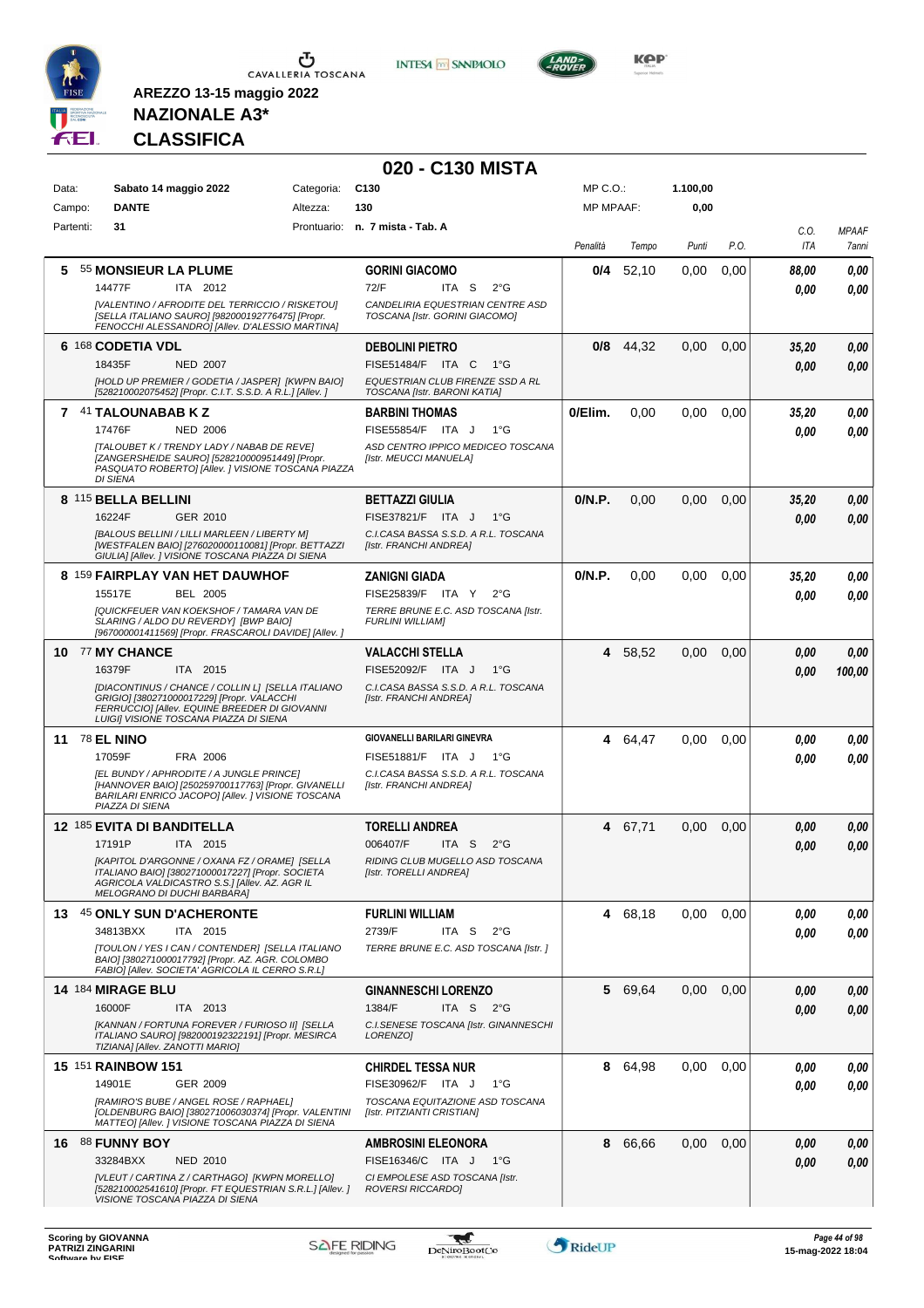

**INTESA M** SANPAOLO



**NAZIONALE A3\* CLASSIFICA**

| C <sub>130</sub><br>MP C.O.:<br>1.100,00<br>Data:<br>Sabato 14 maggio 2022<br>Categoria:<br><b>DANTE</b><br>130<br><b>MP MPAAF:</b><br>0,00<br>Altezza:<br>Campo:<br>Partenti:<br>31<br>Prontuario: n. 7 mista - Tab. A<br>C.O.<br>P.O.<br>ITA<br>Penalità<br>Tempo<br>Punti<br>55 MONSIEUR LA PLUME<br>52,10<br>0,00<br>5<br><b>GORINI GIACOMO</b><br>0/4<br>0,00<br>88,00<br>14477F<br>ITA 2012<br>72/F<br>ITA S<br>$2^{\circ}$ G<br>0.00<br>[VALENTINO / AFRODITE DEL TERRICCIO / RISKETOU]<br>CANDELIRIA EQUESTRIAN CENTRE ASD<br>TOSCANA [Istr. GORINI GIACOMO]<br>[SELLA ITALIANO SAURO] [982000192776475] [Propr.<br>FENOCCHI ALESSANDRO] [Allev. D'ALESSIO MARTINA]<br>6 168 CODETIA VDL<br>44,32<br><b>DEBOLINI PIETRO</b><br>0/8<br>0,00<br>0,00<br>35,20<br>18435F<br><b>NED 2007</b><br>FISE51484/F ITA C<br>1°G<br>0.00<br>[HOLD UP PREMIER / GODETIA / JASPER] [KWPN BAIO]<br>EQUESTRIAN CLUB FIRENZE SSD A RL<br>[528210002075452] [Propr. C.I.T. S.S.D. A R.L.] [Allev. ]<br>TOSCANA [Istr. BARONI KATIA]<br>7 41 TALOUNABAB K Z<br>0/Elim.<br>0,00<br>0,00<br>0.00<br><b>BARBINI THOMAS</b><br>35,20<br>17476F<br><b>NED 2006</b><br>FISE55854/F ITA J<br>$1^{\circ}G$<br>0.00<br>ASD CENTRO IPPICO MEDICEO TOSCANA<br>[TALOUBET K / TRENDY LADY / NABAB DE REVE]<br>[ZANGERSHEIDE SAURO] [528210000951449] [Propr.<br>[Istr. MEUCCI MANUELA]<br>PASQUATO ROBERTO] [Allev. ] VISIONE TOSCANA PIAZZA<br><b>DI SIENA</b><br>8 115 BELLA BELLINI<br>0/N.P.<br>0,00<br>0,00<br><b>BETTAZZI GIULIA</b><br>0,00<br>35,20<br>16224F<br>GER 2010<br>FISE37821/F ITA J<br>1°G<br>0.00<br>[BALOUS BELLINI / LILLI MARLEEN / LIBERTY M]<br>C.I.CASA BASSA S.S.D. A R.L. TOSCANA<br>[WESTFALEN BAIO] [276020000110081] [Propr. BETTAZZI<br>[Istr. FRANCHI ANDREA]<br>GIULIA] [Allev. ] VISIONE TOSCANA PIAZZA DI SIENA<br>8 159 FAIRPLAY VAN HET DAUWHOF<br>0/N.P.<br><b>ZANIGNI GIADA</b><br>0.00<br>0.00<br>0.00<br>35,20<br>15517E<br>BEL 2005<br>FISE25839/F ITA Y<br>$2^{\circ}G$<br>0.00<br><b>[QUICKFEUER VAN KOEKSHOF / TAMARA VAN DE</b><br>TERRE BRUNE E.C. ASD TOSCANA [Istr.<br>SLARING / ALDO DU REVERDY] [BWP BAIO]<br><b>FURLINI WILLIAMI</b><br>[967000001411569] [Propr. FRASCAROLI DAVIDE] [Allev.]<br>10 77 MY CHANCE<br>58,52<br>0,00<br><b>VALACCHI STELLA</b><br>4<br>0,00<br>0,00<br>ITA 2015<br>FISE52092/F ITA J<br>$1^{\circ}G$<br>16379F<br>0.00<br>[DIACONTINUS / CHANCE / COLLIN L] [SELLA ITALIANO<br>C.I.CASA BASSA S.S.D. A R.L. TOSCANA<br>GRIGIO] [380271000017229] [Propr. VALACCHI<br>[Istr. FRANCHI ANDREA]<br>FERRUCCIO] [Allev. EQUINE BREEDER DI GIOVANNI<br>LUIGI] VISIONE TOSCANA PIAZZA DI SIENA<br><b>GIOVANELLI BARILARI GINEVRA</b><br><b>11 78 EL NINO</b><br>4 64,47<br>0,00<br>0,00<br>0.00<br>17059F<br>FRA 2006<br>FISE51881/F ITA J<br>1°G<br>0.00<br>[EL BUNDY / APHRODITE / A JUNGLE PRINCE]<br>C.I.CASA BASSA S.S.D. A R.L. TOSCANA<br>[HANNOVER BAIO] [250259700117763] [Propr. GIVANELLI<br>[Istr. FRANCHI ANDREA]<br>BARILARI ENRICO JACOPO] [Allev. ] VISIONE TOSCANA<br>PIAZZA DI SIENA<br><b>12 185 EVITA DI BANDITELLA</b><br><b>TORELLI ANDREA</b><br>67,71<br>4<br>0,00<br>0,00<br>0.00<br>17191P<br>ITA 2015<br>006407/F<br>ITA S<br>$2^{\circ}G$<br>0.00<br>[KAPITOL D'ARGONNE / OXANA FZ / ORAME]  [SELLA<br>RIDING CLUB MUGELLO ASD TOSCANA<br>ITALIANO BAIO] [380271000017227] [Propr. SOCIETA<br>[Istr. TORELLI ANDREA]<br>AGRICOLA VALDICASTRO S.S.] [Allev. AZ. AGR IL<br>MELOGRANO DI DUCHI BARBARA]<br>13 45 ONLY SUN D'ACHERONTE<br>4 68,18<br>0,00<br>0,00<br>0,00<br><b>FURLINI WILLIAM</b><br>2739/F<br>ITA S<br>34813BXX<br>ITA 2015<br>$2^{\circ}$ G<br>0.00<br>[TOULON / YES I CAN / CONTENDER] [SELLA ITALIANO<br>TERRE BRUNE E.C. ASD TOSCANA [Istr.]<br>BAIO] [380271000017792] [Propr. AZ. AGR. COLOMBO<br>FABIO] [Allev. SOCIETA' AGRICOLA IL CERRO S.R.L]<br>14 184 MIRAGE BLU<br>5 69,64<br>0,00<br><b>GINANNESCHI LORENZO</b><br>0,00<br>0.00<br>16000F<br>1384/F<br>ITA S $2^{\circ}G$<br>ITA 2013<br>0.00<br>[KANNAN / FORTUNA FOREVER / FURIOSO II] [SELLA<br>C.I.SENESE TOSCANA [Istr. GINANNESCHI<br>ITALIANO SAURO] [982000192322191] [Propr. MESIRCA<br>LORENZO]<br>TIZIANA] [Allev. ZANOTTI MARIO] |                           | 020 - C130 MISTA         |   |       |      |      |      |              |
|----------------------------------------------------------------------------------------------------------------------------------------------------------------------------------------------------------------------------------------------------------------------------------------------------------------------------------------------------------------------------------------------------------------------------------------------------------------------------------------------------------------------------------------------------------------------------------------------------------------------------------------------------------------------------------------------------------------------------------------------------------------------------------------------------------------------------------------------------------------------------------------------------------------------------------------------------------------------------------------------------------------------------------------------------------------------------------------------------------------------------------------------------------------------------------------------------------------------------------------------------------------------------------------------------------------------------------------------------------------------------------------------------------------------------------------------------------------------------------------------------------------------------------------------------------------------------------------------------------------------------------------------------------------------------------------------------------------------------------------------------------------------------------------------------------------------------------------------------------------------------------------------------------------------------------------------------------------------------------------------------------------------------------------------------------------------------------------------------------------------------------------------------------------------------------------------------------------------------------------------------------------------------------------------------------------------------------------------------------------------------------------------------------------------------------------------------------------------------------------------------------------------------------------------------------------------------------------------------------------------------------------------------------------------------------------------------------------------------------------------------------------------------------------------------------------------------------------------------------------------------------------------------------------------------------------------------------------------------------------------------------------------------------------------------------------------------------------------------------------------------------------------------------------------------------------------------------------------------------------------------------------------------------------------------------------------------------------------------------------------------------------------------------------------------------------------------------------------------------------------------------------------------------------------------------------------------------------------------------------------------------------------------------------------------------------------------------------------------------------------------------------------------------------------------------------------------------------------------------------------------------------------------------------------------------------------------------------------------------------------------------------------------------------------------------------------------------------------------------------------------------------------------------------------------------------------------------|---------------------------|--------------------------|---|-------|------|------|------|--------------|
|                                                                                                                                                                                                                                                                                                                                                                                                                                                                                                                                                                                                                                                                                                                                                                                                                                                                                                                                                                                                                                                                                                                                                                                                                                                                                                                                                                                                                                                                                                                                                                                                                                                                                                                                                                                                                                                                                                                                                                                                                                                                                                                                                                                                                                                                                                                                                                                                                                                                                                                                                                                                                                                                                                                                                                                                                                                                                                                                                                                                                                                                                                                                                                                                                                                                                                                                                                                                                                                                                                                                                                                                                                                                                                                                                                                                                                                                                                                                                                                                                                                                                                                                                                                                          |                           |                          |   |       |      |      |      |              |
|                                                                                                                                                                                                                                                                                                                                                                                                                                                                                                                                                                                                                                                                                                                                                                                                                                                                                                                                                                                                                                                                                                                                                                                                                                                                                                                                                                                                                                                                                                                                                                                                                                                                                                                                                                                                                                                                                                                                                                                                                                                                                                                                                                                                                                                                                                                                                                                                                                                                                                                                                                                                                                                                                                                                                                                                                                                                                                                                                                                                                                                                                                                                                                                                                                                                                                                                                                                                                                                                                                                                                                                                                                                                                                                                                                                                                                                                                                                                                                                                                                                                                                                                                                                                          |                           |                          |   |       |      |      |      |              |
|                                                                                                                                                                                                                                                                                                                                                                                                                                                                                                                                                                                                                                                                                                                                                                                                                                                                                                                                                                                                                                                                                                                                                                                                                                                                                                                                                                                                                                                                                                                                                                                                                                                                                                                                                                                                                                                                                                                                                                                                                                                                                                                                                                                                                                                                                                                                                                                                                                                                                                                                                                                                                                                                                                                                                                                                                                                                                                                                                                                                                                                                                                                                                                                                                                                                                                                                                                                                                                                                                                                                                                                                                                                                                                                                                                                                                                                                                                                                                                                                                                                                                                                                                                                                          |                           |                          |   |       |      |      |      | <b>MPAAF</b> |
|                                                                                                                                                                                                                                                                                                                                                                                                                                                                                                                                                                                                                                                                                                                                                                                                                                                                                                                                                                                                                                                                                                                                                                                                                                                                                                                                                                                                                                                                                                                                                                                                                                                                                                                                                                                                                                                                                                                                                                                                                                                                                                                                                                                                                                                                                                                                                                                                                                                                                                                                                                                                                                                                                                                                                                                                                                                                                                                                                                                                                                                                                                                                                                                                                                                                                                                                                                                                                                                                                                                                                                                                                                                                                                                                                                                                                                                                                                                                                                                                                                                                                                                                                                                                          |                           |                          |   |       |      |      |      | 7anni        |
|                                                                                                                                                                                                                                                                                                                                                                                                                                                                                                                                                                                                                                                                                                                                                                                                                                                                                                                                                                                                                                                                                                                                                                                                                                                                                                                                                                                                                                                                                                                                                                                                                                                                                                                                                                                                                                                                                                                                                                                                                                                                                                                                                                                                                                                                                                                                                                                                                                                                                                                                                                                                                                                                                                                                                                                                                                                                                                                                                                                                                                                                                                                                                                                                                                                                                                                                                                                                                                                                                                                                                                                                                                                                                                                                                                                                                                                                                                                                                                                                                                                                                                                                                                                                          |                           |                          |   |       |      |      |      | 0,00         |
|                                                                                                                                                                                                                                                                                                                                                                                                                                                                                                                                                                                                                                                                                                                                                                                                                                                                                                                                                                                                                                                                                                                                                                                                                                                                                                                                                                                                                                                                                                                                                                                                                                                                                                                                                                                                                                                                                                                                                                                                                                                                                                                                                                                                                                                                                                                                                                                                                                                                                                                                                                                                                                                                                                                                                                                                                                                                                                                                                                                                                                                                                                                                                                                                                                                                                                                                                                                                                                                                                                                                                                                                                                                                                                                                                                                                                                                                                                                                                                                                                                                                                                                                                                                                          |                           |                          |   |       |      |      |      | 0.00         |
|                                                                                                                                                                                                                                                                                                                                                                                                                                                                                                                                                                                                                                                                                                                                                                                                                                                                                                                                                                                                                                                                                                                                                                                                                                                                                                                                                                                                                                                                                                                                                                                                                                                                                                                                                                                                                                                                                                                                                                                                                                                                                                                                                                                                                                                                                                                                                                                                                                                                                                                                                                                                                                                                                                                                                                                                                                                                                                                                                                                                                                                                                                                                                                                                                                                                                                                                                                                                                                                                                                                                                                                                                                                                                                                                                                                                                                                                                                                                                                                                                                                                                                                                                                                                          |                           |                          |   |       |      |      |      |              |
|                                                                                                                                                                                                                                                                                                                                                                                                                                                                                                                                                                                                                                                                                                                                                                                                                                                                                                                                                                                                                                                                                                                                                                                                                                                                                                                                                                                                                                                                                                                                                                                                                                                                                                                                                                                                                                                                                                                                                                                                                                                                                                                                                                                                                                                                                                                                                                                                                                                                                                                                                                                                                                                                                                                                                                                                                                                                                                                                                                                                                                                                                                                                                                                                                                                                                                                                                                                                                                                                                                                                                                                                                                                                                                                                                                                                                                                                                                                                                                                                                                                                                                                                                                                                          |                           |                          |   |       |      |      |      | 0,00         |
|                                                                                                                                                                                                                                                                                                                                                                                                                                                                                                                                                                                                                                                                                                                                                                                                                                                                                                                                                                                                                                                                                                                                                                                                                                                                                                                                                                                                                                                                                                                                                                                                                                                                                                                                                                                                                                                                                                                                                                                                                                                                                                                                                                                                                                                                                                                                                                                                                                                                                                                                                                                                                                                                                                                                                                                                                                                                                                                                                                                                                                                                                                                                                                                                                                                                                                                                                                                                                                                                                                                                                                                                                                                                                                                                                                                                                                                                                                                                                                                                                                                                                                                                                                                                          |                           |                          |   |       |      |      |      | 0.00         |
|                                                                                                                                                                                                                                                                                                                                                                                                                                                                                                                                                                                                                                                                                                                                                                                                                                                                                                                                                                                                                                                                                                                                                                                                                                                                                                                                                                                                                                                                                                                                                                                                                                                                                                                                                                                                                                                                                                                                                                                                                                                                                                                                                                                                                                                                                                                                                                                                                                                                                                                                                                                                                                                                                                                                                                                                                                                                                                                                                                                                                                                                                                                                                                                                                                                                                                                                                                                                                                                                                                                                                                                                                                                                                                                                                                                                                                                                                                                                                                                                                                                                                                                                                                                                          |                           |                          |   |       |      |      |      |              |
|                                                                                                                                                                                                                                                                                                                                                                                                                                                                                                                                                                                                                                                                                                                                                                                                                                                                                                                                                                                                                                                                                                                                                                                                                                                                                                                                                                                                                                                                                                                                                                                                                                                                                                                                                                                                                                                                                                                                                                                                                                                                                                                                                                                                                                                                                                                                                                                                                                                                                                                                                                                                                                                                                                                                                                                                                                                                                                                                                                                                                                                                                                                                                                                                                                                                                                                                                                                                                                                                                                                                                                                                                                                                                                                                                                                                                                                                                                                                                                                                                                                                                                                                                                                                          |                           |                          |   |       |      |      |      | 0,00         |
|                                                                                                                                                                                                                                                                                                                                                                                                                                                                                                                                                                                                                                                                                                                                                                                                                                                                                                                                                                                                                                                                                                                                                                                                                                                                                                                                                                                                                                                                                                                                                                                                                                                                                                                                                                                                                                                                                                                                                                                                                                                                                                                                                                                                                                                                                                                                                                                                                                                                                                                                                                                                                                                                                                                                                                                                                                                                                                                                                                                                                                                                                                                                                                                                                                                                                                                                                                                                                                                                                                                                                                                                                                                                                                                                                                                                                                                                                                                                                                                                                                                                                                                                                                                                          |                           |                          |   |       |      |      |      | 0.00         |
|                                                                                                                                                                                                                                                                                                                                                                                                                                                                                                                                                                                                                                                                                                                                                                                                                                                                                                                                                                                                                                                                                                                                                                                                                                                                                                                                                                                                                                                                                                                                                                                                                                                                                                                                                                                                                                                                                                                                                                                                                                                                                                                                                                                                                                                                                                                                                                                                                                                                                                                                                                                                                                                                                                                                                                                                                                                                                                                                                                                                                                                                                                                                                                                                                                                                                                                                                                                                                                                                                                                                                                                                                                                                                                                                                                                                                                                                                                                                                                                                                                                                                                                                                                                                          |                           |                          |   |       |      |      |      |              |
|                                                                                                                                                                                                                                                                                                                                                                                                                                                                                                                                                                                                                                                                                                                                                                                                                                                                                                                                                                                                                                                                                                                                                                                                                                                                                                                                                                                                                                                                                                                                                                                                                                                                                                                                                                                                                                                                                                                                                                                                                                                                                                                                                                                                                                                                                                                                                                                                                                                                                                                                                                                                                                                                                                                                                                                                                                                                                                                                                                                                                                                                                                                                                                                                                                                                                                                                                                                                                                                                                                                                                                                                                                                                                                                                                                                                                                                                                                                                                                                                                                                                                                                                                                                                          |                           |                          |   |       |      |      |      | 0,00         |
|                                                                                                                                                                                                                                                                                                                                                                                                                                                                                                                                                                                                                                                                                                                                                                                                                                                                                                                                                                                                                                                                                                                                                                                                                                                                                                                                                                                                                                                                                                                                                                                                                                                                                                                                                                                                                                                                                                                                                                                                                                                                                                                                                                                                                                                                                                                                                                                                                                                                                                                                                                                                                                                                                                                                                                                                                                                                                                                                                                                                                                                                                                                                                                                                                                                                                                                                                                                                                                                                                                                                                                                                                                                                                                                                                                                                                                                                                                                                                                                                                                                                                                                                                                                                          |                           |                          |   |       |      |      |      | 0,00         |
|                                                                                                                                                                                                                                                                                                                                                                                                                                                                                                                                                                                                                                                                                                                                                                                                                                                                                                                                                                                                                                                                                                                                                                                                                                                                                                                                                                                                                                                                                                                                                                                                                                                                                                                                                                                                                                                                                                                                                                                                                                                                                                                                                                                                                                                                                                                                                                                                                                                                                                                                                                                                                                                                                                                                                                                                                                                                                                                                                                                                                                                                                                                                                                                                                                                                                                                                                                                                                                                                                                                                                                                                                                                                                                                                                                                                                                                                                                                                                                                                                                                                                                                                                                                                          |                           |                          |   |       |      |      |      |              |
|                                                                                                                                                                                                                                                                                                                                                                                                                                                                                                                                                                                                                                                                                                                                                                                                                                                                                                                                                                                                                                                                                                                                                                                                                                                                                                                                                                                                                                                                                                                                                                                                                                                                                                                                                                                                                                                                                                                                                                                                                                                                                                                                                                                                                                                                                                                                                                                                                                                                                                                                                                                                                                                                                                                                                                                                                                                                                                                                                                                                                                                                                                                                                                                                                                                                                                                                                                                                                                                                                                                                                                                                                                                                                                                                                                                                                                                                                                                                                                                                                                                                                                                                                                                                          |                           |                          |   |       |      |      |      | 0,00         |
|                                                                                                                                                                                                                                                                                                                                                                                                                                                                                                                                                                                                                                                                                                                                                                                                                                                                                                                                                                                                                                                                                                                                                                                                                                                                                                                                                                                                                                                                                                                                                                                                                                                                                                                                                                                                                                                                                                                                                                                                                                                                                                                                                                                                                                                                                                                                                                                                                                                                                                                                                                                                                                                                                                                                                                                                                                                                                                                                                                                                                                                                                                                                                                                                                                                                                                                                                                                                                                                                                                                                                                                                                                                                                                                                                                                                                                                                                                                                                                                                                                                                                                                                                                                                          |                           |                          |   |       |      |      |      | 0.00         |
|                                                                                                                                                                                                                                                                                                                                                                                                                                                                                                                                                                                                                                                                                                                                                                                                                                                                                                                                                                                                                                                                                                                                                                                                                                                                                                                                                                                                                                                                                                                                                                                                                                                                                                                                                                                                                                                                                                                                                                                                                                                                                                                                                                                                                                                                                                                                                                                                                                                                                                                                                                                                                                                                                                                                                                                                                                                                                                                                                                                                                                                                                                                                                                                                                                                                                                                                                                                                                                                                                                                                                                                                                                                                                                                                                                                                                                                                                                                                                                                                                                                                                                                                                                                                          |                           |                          |   |       |      |      |      |              |
|                                                                                                                                                                                                                                                                                                                                                                                                                                                                                                                                                                                                                                                                                                                                                                                                                                                                                                                                                                                                                                                                                                                                                                                                                                                                                                                                                                                                                                                                                                                                                                                                                                                                                                                                                                                                                                                                                                                                                                                                                                                                                                                                                                                                                                                                                                                                                                                                                                                                                                                                                                                                                                                                                                                                                                                                                                                                                                                                                                                                                                                                                                                                                                                                                                                                                                                                                                                                                                                                                                                                                                                                                                                                                                                                                                                                                                                                                                                                                                                                                                                                                                                                                                                                          |                           |                          |   |       |      |      |      | 0,00         |
|                                                                                                                                                                                                                                                                                                                                                                                                                                                                                                                                                                                                                                                                                                                                                                                                                                                                                                                                                                                                                                                                                                                                                                                                                                                                                                                                                                                                                                                                                                                                                                                                                                                                                                                                                                                                                                                                                                                                                                                                                                                                                                                                                                                                                                                                                                                                                                                                                                                                                                                                                                                                                                                                                                                                                                                                                                                                                                                                                                                                                                                                                                                                                                                                                                                                                                                                                                                                                                                                                                                                                                                                                                                                                                                                                                                                                                                                                                                                                                                                                                                                                                                                                                                                          |                           |                          |   |       |      |      |      | 100,00       |
|                                                                                                                                                                                                                                                                                                                                                                                                                                                                                                                                                                                                                                                                                                                                                                                                                                                                                                                                                                                                                                                                                                                                                                                                                                                                                                                                                                                                                                                                                                                                                                                                                                                                                                                                                                                                                                                                                                                                                                                                                                                                                                                                                                                                                                                                                                                                                                                                                                                                                                                                                                                                                                                                                                                                                                                                                                                                                                                                                                                                                                                                                                                                                                                                                                                                                                                                                                                                                                                                                                                                                                                                                                                                                                                                                                                                                                                                                                                                                                                                                                                                                                                                                                                                          |                           |                          |   |       |      |      |      |              |
|                                                                                                                                                                                                                                                                                                                                                                                                                                                                                                                                                                                                                                                                                                                                                                                                                                                                                                                                                                                                                                                                                                                                                                                                                                                                                                                                                                                                                                                                                                                                                                                                                                                                                                                                                                                                                                                                                                                                                                                                                                                                                                                                                                                                                                                                                                                                                                                                                                                                                                                                                                                                                                                                                                                                                                                                                                                                                                                                                                                                                                                                                                                                                                                                                                                                                                                                                                                                                                                                                                                                                                                                                                                                                                                                                                                                                                                                                                                                                                                                                                                                                                                                                                                                          |                           |                          |   |       |      |      |      | 0,00         |
|                                                                                                                                                                                                                                                                                                                                                                                                                                                                                                                                                                                                                                                                                                                                                                                                                                                                                                                                                                                                                                                                                                                                                                                                                                                                                                                                                                                                                                                                                                                                                                                                                                                                                                                                                                                                                                                                                                                                                                                                                                                                                                                                                                                                                                                                                                                                                                                                                                                                                                                                                                                                                                                                                                                                                                                                                                                                                                                                                                                                                                                                                                                                                                                                                                                                                                                                                                                                                                                                                                                                                                                                                                                                                                                                                                                                                                                                                                                                                                                                                                                                                                                                                                                                          |                           |                          |   |       |      |      |      | 0.00         |
|                                                                                                                                                                                                                                                                                                                                                                                                                                                                                                                                                                                                                                                                                                                                                                                                                                                                                                                                                                                                                                                                                                                                                                                                                                                                                                                                                                                                                                                                                                                                                                                                                                                                                                                                                                                                                                                                                                                                                                                                                                                                                                                                                                                                                                                                                                                                                                                                                                                                                                                                                                                                                                                                                                                                                                                                                                                                                                                                                                                                                                                                                                                                                                                                                                                                                                                                                                                                                                                                                                                                                                                                                                                                                                                                                                                                                                                                                                                                                                                                                                                                                                                                                                                                          |                           |                          |   |       |      |      |      |              |
|                                                                                                                                                                                                                                                                                                                                                                                                                                                                                                                                                                                                                                                                                                                                                                                                                                                                                                                                                                                                                                                                                                                                                                                                                                                                                                                                                                                                                                                                                                                                                                                                                                                                                                                                                                                                                                                                                                                                                                                                                                                                                                                                                                                                                                                                                                                                                                                                                                                                                                                                                                                                                                                                                                                                                                                                                                                                                                                                                                                                                                                                                                                                                                                                                                                                                                                                                                                                                                                                                                                                                                                                                                                                                                                                                                                                                                                                                                                                                                                                                                                                                                                                                                                                          |                           |                          |   |       |      |      |      | 0,00         |
|                                                                                                                                                                                                                                                                                                                                                                                                                                                                                                                                                                                                                                                                                                                                                                                                                                                                                                                                                                                                                                                                                                                                                                                                                                                                                                                                                                                                                                                                                                                                                                                                                                                                                                                                                                                                                                                                                                                                                                                                                                                                                                                                                                                                                                                                                                                                                                                                                                                                                                                                                                                                                                                                                                                                                                                                                                                                                                                                                                                                                                                                                                                                                                                                                                                                                                                                                                                                                                                                                                                                                                                                                                                                                                                                                                                                                                                                                                                                                                                                                                                                                                                                                                                                          |                           |                          |   |       |      |      |      | 0.00         |
|                                                                                                                                                                                                                                                                                                                                                                                                                                                                                                                                                                                                                                                                                                                                                                                                                                                                                                                                                                                                                                                                                                                                                                                                                                                                                                                                                                                                                                                                                                                                                                                                                                                                                                                                                                                                                                                                                                                                                                                                                                                                                                                                                                                                                                                                                                                                                                                                                                                                                                                                                                                                                                                                                                                                                                                                                                                                                                                                                                                                                                                                                                                                                                                                                                                                                                                                                                                                                                                                                                                                                                                                                                                                                                                                                                                                                                                                                                                                                                                                                                                                                                                                                                                                          |                           |                          |   |       |      |      |      |              |
|                                                                                                                                                                                                                                                                                                                                                                                                                                                                                                                                                                                                                                                                                                                                                                                                                                                                                                                                                                                                                                                                                                                                                                                                                                                                                                                                                                                                                                                                                                                                                                                                                                                                                                                                                                                                                                                                                                                                                                                                                                                                                                                                                                                                                                                                                                                                                                                                                                                                                                                                                                                                                                                                                                                                                                                                                                                                                                                                                                                                                                                                                                                                                                                                                                                                                                                                                                                                                                                                                                                                                                                                                                                                                                                                                                                                                                                                                                                                                                                                                                                                                                                                                                                                          |                           |                          |   |       |      |      |      | 0,00         |
|                                                                                                                                                                                                                                                                                                                                                                                                                                                                                                                                                                                                                                                                                                                                                                                                                                                                                                                                                                                                                                                                                                                                                                                                                                                                                                                                                                                                                                                                                                                                                                                                                                                                                                                                                                                                                                                                                                                                                                                                                                                                                                                                                                                                                                                                                                                                                                                                                                                                                                                                                                                                                                                                                                                                                                                                                                                                                                                                                                                                                                                                                                                                                                                                                                                                                                                                                                                                                                                                                                                                                                                                                                                                                                                                                                                                                                                                                                                                                                                                                                                                                                                                                                                                          |                           |                          |   |       |      |      |      | 0,00         |
|                                                                                                                                                                                                                                                                                                                                                                                                                                                                                                                                                                                                                                                                                                                                                                                                                                                                                                                                                                                                                                                                                                                                                                                                                                                                                                                                                                                                                                                                                                                                                                                                                                                                                                                                                                                                                                                                                                                                                                                                                                                                                                                                                                                                                                                                                                                                                                                                                                                                                                                                                                                                                                                                                                                                                                                                                                                                                                                                                                                                                                                                                                                                                                                                                                                                                                                                                                                                                                                                                                                                                                                                                                                                                                                                                                                                                                                                                                                                                                                                                                                                                                                                                                                                          |                           |                          |   |       |      |      |      |              |
|                                                                                                                                                                                                                                                                                                                                                                                                                                                                                                                                                                                                                                                                                                                                                                                                                                                                                                                                                                                                                                                                                                                                                                                                                                                                                                                                                                                                                                                                                                                                                                                                                                                                                                                                                                                                                                                                                                                                                                                                                                                                                                                                                                                                                                                                                                                                                                                                                                                                                                                                                                                                                                                                                                                                                                                                                                                                                                                                                                                                                                                                                                                                                                                                                                                                                                                                                                                                                                                                                                                                                                                                                                                                                                                                                                                                                                                                                                                                                                                                                                                                                                                                                                                                          |                           |                          |   |       |      |      |      | 0,00         |
|                                                                                                                                                                                                                                                                                                                                                                                                                                                                                                                                                                                                                                                                                                                                                                                                                                                                                                                                                                                                                                                                                                                                                                                                                                                                                                                                                                                                                                                                                                                                                                                                                                                                                                                                                                                                                                                                                                                                                                                                                                                                                                                                                                                                                                                                                                                                                                                                                                                                                                                                                                                                                                                                                                                                                                                                                                                                                                                                                                                                                                                                                                                                                                                                                                                                                                                                                                                                                                                                                                                                                                                                                                                                                                                                                                                                                                                                                                                                                                                                                                                                                                                                                                                                          |                           |                          |   |       |      |      |      | 0,00         |
|                                                                                                                                                                                                                                                                                                                                                                                                                                                                                                                                                                                                                                                                                                                                                                                                                                                                                                                                                                                                                                                                                                                                                                                                                                                                                                                                                                                                                                                                                                                                                                                                                                                                                                                                                                                                                                                                                                                                                                                                                                                                                                                                                                                                                                                                                                                                                                                                                                                                                                                                                                                                                                                                                                                                                                                                                                                                                                                                                                                                                                                                                                                                                                                                                                                                                                                                                                                                                                                                                                                                                                                                                                                                                                                                                                                                                                                                                                                                                                                                                                                                                                                                                                                                          |                           |                          |   |       |      |      |      |              |
|                                                                                                                                                                                                                                                                                                                                                                                                                                                                                                                                                                                                                                                                                                                                                                                                                                                                                                                                                                                                                                                                                                                                                                                                                                                                                                                                                                                                                                                                                                                                                                                                                                                                                                                                                                                                                                                                                                                                                                                                                                                                                                                                                                                                                                                                                                                                                                                                                                                                                                                                                                                                                                                                                                                                                                                                                                                                                                                                                                                                                                                                                                                                                                                                                                                                                                                                                                                                                                                                                                                                                                                                                                                                                                                                                                                                                                                                                                                                                                                                                                                                                                                                                                                                          | <b>15 151 RAINBOW 151</b> | <b>CHIRDEL TESSA NUR</b> | 8 | 64,98 | 0,00 | 0,00 | 0.00 | 0,00         |
| 14901E<br>GER 2009<br>FISE30962/F ITA J<br>1°G<br>0.00                                                                                                                                                                                                                                                                                                                                                                                                                                                                                                                                                                                                                                                                                                                                                                                                                                                                                                                                                                                                                                                                                                                                                                                                                                                                                                                                                                                                                                                                                                                                                                                                                                                                                                                                                                                                                                                                                                                                                                                                                                                                                                                                                                                                                                                                                                                                                                                                                                                                                                                                                                                                                                                                                                                                                                                                                                                                                                                                                                                                                                                                                                                                                                                                                                                                                                                                                                                                                                                                                                                                                                                                                                                                                                                                                                                                                                                                                                                                                                                                                                                                                                                                                   |                           |                          |   |       |      |      |      | 0,00         |
| [RAMIRO'S BUBE / ANGEL ROSE / RAPHAEL]<br>TOSCANA EQUITAZIONE ASD TOSCANA<br>[OLDENBURG BAIO] [380271006030374] [Propr. VALENTINI<br>[Istr. PITZIANTI CRISTIAN]<br>MATTEO] [Allev. ] VISIONE TOSCANA PIAZZA DI SIENA                                                                                                                                                                                                                                                                                                                                                                                                                                                                                                                                                                                                                                                                                                                                                                                                                                                                                                                                                                                                                                                                                                                                                                                                                                                                                                                                                                                                                                                                                                                                                                                                                                                                                                                                                                                                                                                                                                                                                                                                                                                                                                                                                                                                                                                                                                                                                                                                                                                                                                                                                                                                                                                                                                                                                                                                                                                                                                                                                                                                                                                                                                                                                                                                                                                                                                                                                                                                                                                                                                                                                                                                                                                                                                                                                                                                                                                                                                                                                                                     |                           |                          |   |       |      |      |      |              |
| 16 88 FUNNY BOY<br><b>AMBROSINI ELEONORA</b><br>0,00<br>8<br>66,66<br>0,00<br>0.00                                                                                                                                                                                                                                                                                                                                                                                                                                                                                                                                                                                                                                                                                                                                                                                                                                                                                                                                                                                                                                                                                                                                                                                                                                                                                                                                                                                                                                                                                                                                                                                                                                                                                                                                                                                                                                                                                                                                                                                                                                                                                                                                                                                                                                                                                                                                                                                                                                                                                                                                                                                                                                                                                                                                                                                                                                                                                                                                                                                                                                                                                                                                                                                                                                                                                                                                                                                                                                                                                                                                                                                                                                                                                                                                                                                                                                                                                                                                                                                                                                                                                                                       |                           |                          |   |       |      |      |      | 0,00         |
| 33284BXX<br><b>NED 2010</b><br>FISE16346/C ITA J 1°G<br>0.00                                                                                                                                                                                                                                                                                                                                                                                                                                                                                                                                                                                                                                                                                                                                                                                                                                                                                                                                                                                                                                                                                                                                                                                                                                                                                                                                                                                                                                                                                                                                                                                                                                                                                                                                                                                                                                                                                                                                                                                                                                                                                                                                                                                                                                                                                                                                                                                                                                                                                                                                                                                                                                                                                                                                                                                                                                                                                                                                                                                                                                                                                                                                                                                                                                                                                                                                                                                                                                                                                                                                                                                                                                                                                                                                                                                                                                                                                                                                                                                                                                                                                                                                             |                           |                          |   |       |      |      |      | 0,00         |
| [VLEUT / CARTINA Z / CARTHAGO] [KWPN MORELLO]<br>CI EMPOLESE ASD TOSCANA [Istr.<br>[528210002541610] [Propr. FT EQUESTRIAN S.R.L.] [Allev.]<br><b>ROVERSI RICCARDO]</b><br>VISIONE TOSCANA PIAZZA DI SIENA                                                                                                                                                                                                                                                                                                                                                                                                                                                                                                                                                                                                                                                                                                                                                                                                                                                                                                                                                                                                                                                                                                                                                                                                                                                                                                                                                                                                                                                                                                                                                                                                                                                                                                                                                                                                                                                                                                                                                                                                                                                                                                                                                                                                                                                                                                                                                                                                                                                                                                                                                                                                                                                                                                                                                                                                                                                                                                                                                                                                                                                                                                                                                                                                                                                                                                                                                                                                                                                                                                                                                                                                                                                                                                                                                                                                                                                                                                                                                                                               |                           |                          |   |       |      |      |      |              |

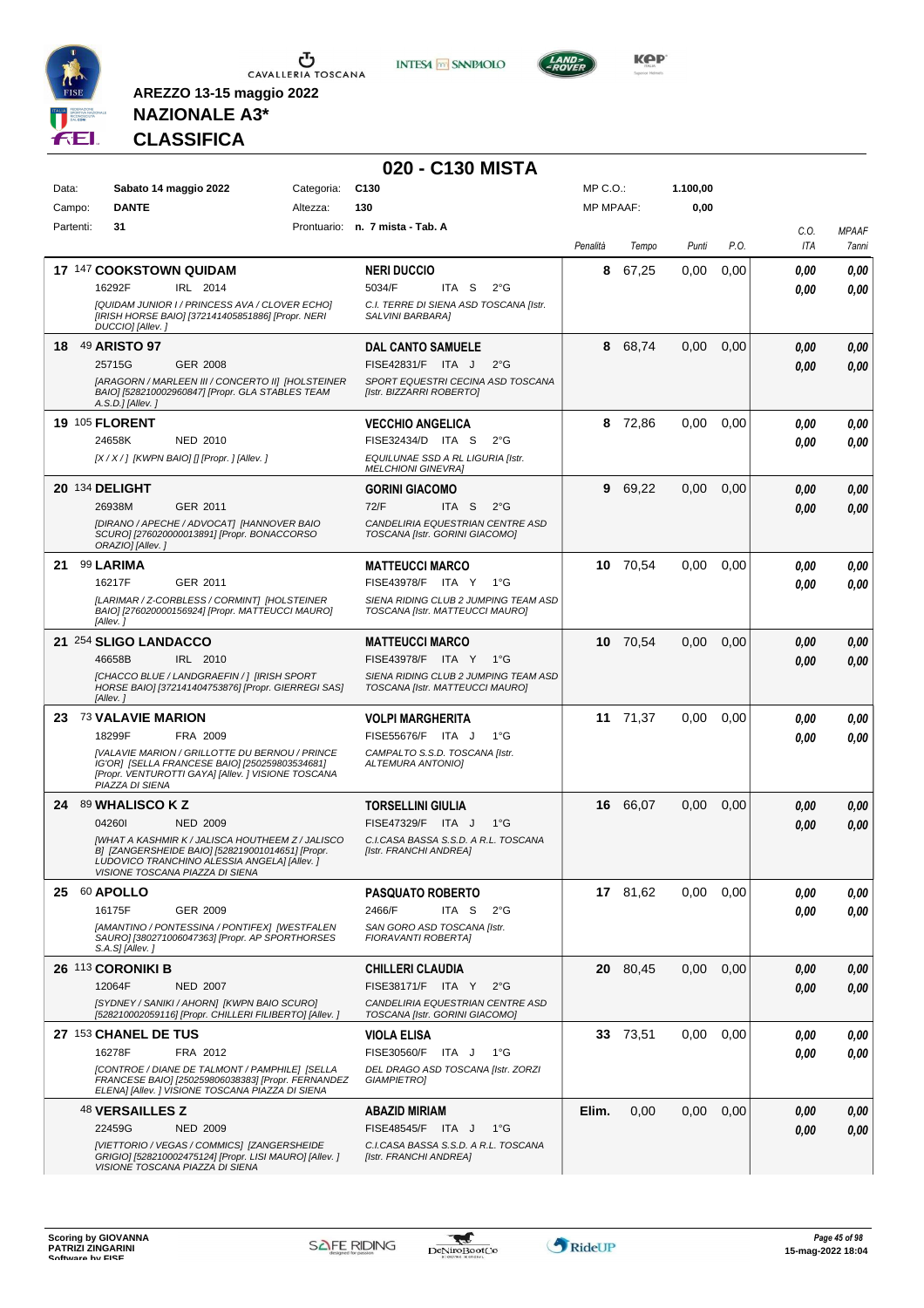

**INTESA M** SANPAOLO



**NAZIONALE A3\* CLASSIFICA**

|           |                                                                                                                                                                                                |            | 020 - C130 MISTA                                                        |                  |          |          |      |             |                       |
|-----------|------------------------------------------------------------------------------------------------------------------------------------------------------------------------------------------------|------------|-------------------------------------------------------------------------|------------------|----------|----------|------|-------------|-----------------------|
| Data:     | Sabato 14 maggio 2022                                                                                                                                                                          | Categoria: | C <sub>130</sub>                                                        | MP C.O.:         |          | 1.100,00 |      |             |                       |
| Campo:    | <b>DANTE</b>                                                                                                                                                                                   | Altezza:   | 130                                                                     | <b>MP MPAAF:</b> |          | 0,00     |      |             |                       |
| Partenti: | 31                                                                                                                                                                                             |            | Prontuario: n. 7 mista - Tab. A                                         |                  |          |          |      |             |                       |
|           |                                                                                                                                                                                                |            |                                                                         | Penalità         | Tempo    | Punti    | P.O. | C.O.<br>ITA | <b>MPAAF</b><br>7anni |
|           | 17 147 COOKSTOWN QUIDAM                                                                                                                                                                        |            | <b>NERI DUCCIO</b>                                                      | 8                | 67,25    | 0,00     | 0,00 | 0,00        | 0,00                  |
|           | 16292F<br>IRL 2014                                                                                                                                                                             |            | 5034/F<br>ITA S<br>$2^{\circ}$ G                                        |                  |          |          |      | 0.00        | 0,00                  |
|           | [QUIDAM JUNIOR I / PRINCESS AVA / CLOVER ECHO]<br>[IRISH HORSE BAIO] [372141405851886] [Propr. NERI<br>DUCCIO] [Allev.]                                                                        |            | C.I. TERRE DI SIENA ASD TOSCANA [Istr.<br>SALVINI BARBARA]              |                  |          |          |      |             |                       |
|           | 18 49 ARISTO 97                                                                                                                                                                                |            | <b>DAL CANTO SAMUELE</b>                                                | 8                | 68,74    | 0,00     | 0,00 | 0.00        | 0,00                  |
|           | 25715G<br><b>GER 2008</b>                                                                                                                                                                      |            | FISE42831/F ITA J<br>$2^{\circ}$ G                                      |                  |          |          |      | 0.00        | 0.00                  |
|           | [ARAGORN / MARLEEN III / CONCERTO II] [HOLSTEINER<br>BAIO] [528210002960847] [Propr. GLA STABLES TEAM<br>A.S.D.] [Allev.]                                                                      |            | SPORT EQUESTRI CECINA ASD TOSCANA<br>[Istr. BIZZARRI ROBERTO]           |                  |          |          |      |             |                       |
|           | <b>19 105 FLORENT</b>                                                                                                                                                                          |            | <b>VECCHIO ANGELICA</b>                                                 | 8                | 72,86    | 0.00     | 0,00 | 0.00        | 0,00                  |
|           | 24658K<br><b>NED 2010</b>                                                                                                                                                                      |            | FISE32434/D ITA S<br>$2^{\circ}G$                                       |                  |          |          |      | 0.00        | 0.00                  |
|           | $[X/X/$ ] [KWPN BAIO] [] [Propr. ] [Allev. ]                                                                                                                                                   |            | EQUILUNAE SSD A RL LIGURIA [Istr.<br><b>MELCHIONI GINEVRAI</b>          |                  |          |          |      |             |                       |
|           | 20 134 DELIGHT                                                                                                                                                                                 |            | <b>GORINI GIACOMO</b>                                                   | 9                | 69,22    | 0,00     | 0,00 | 0.00        | 0,00                  |
|           | 26938M<br>GER 2011                                                                                                                                                                             |            | 72/F<br>ITA S<br>$2^{\circ}$ G                                          |                  |          |          |      | 0.00        | 0,00                  |
|           | [DIRANO / APECHE / ADVOCAT] [HANNOVER BAIO<br>SCURO] [276020000013891] [Propr. BONACCORSO<br>ORAZIO] [Allev.]                                                                                  |            | CANDELIRIA EQUESTRIAN CENTRE ASD<br>TOSCANA [Istr. GORINI GIACOMO]      |                  |          |          |      |             |                       |
| 21        | 99 LARIMA                                                                                                                                                                                      |            | <b>MATTEUCCI MARCO</b>                                                  |                  | 10 70,54 | 0,00     | 0,00 | 0.00        | 0,00                  |
|           | 16217F<br>GER 2011                                                                                                                                                                             |            | FISE43978/F ITA Y 1°G                                                   |                  |          |          |      | 0.00        | 0.00                  |
|           | [LARIMAR / Z-CORBLESS / CORMINT] [HOLSTEINER<br>BAIO] [276020000156924] [Propr. MATTEUCCI MAURO]<br>[Allev.]                                                                                   |            | SIENA RIDING CLUB 2 JUMPING TEAM ASD<br>TOSCANA [Istr. MATTEUCCI MAURO] |                  |          |          |      |             |                       |
|           | 21 254 SLIGO LANDACCO                                                                                                                                                                          |            | <b>MATTEUCCI MARCO</b>                                                  |                  | 10 70.54 | 0,00     | 0,00 | 0.00        | 0,00                  |
|           | 46658B<br>IRL 2010                                                                                                                                                                             |            | FISE43978/F ITA Y 1°G                                                   |                  |          |          |      | 0.00        | 0.00                  |
|           | [CHACCO BLUE / LANDGRAEFIN / ] [IRISH SPORT<br>HORSE BAIO] [372141404753876] [Propr. GIERREGI SAS]<br>[Allev.]                                                                                 |            | SIENA RIDING CLUB 2 JUMPING TEAM ASD<br>TOSCANA [Istr. MATTEUCCI MAURO] |                  |          |          |      |             |                       |
|           | 23 73 VALAVIE MARION                                                                                                                                                                           |            | <b>VOLPI MARGHERITA</b>                                                 |                  | 11 71,37 | 0,00     | 0,00 | 0,00        | 0,00                  |
|           | 18299F<br>FRA 2009                                                                                                                                                                             |            | FISE55676/F ITA J<br>$1^{\circ}G$                                       |                  |          |          |      | 0.00        | 0.00                  |
|           | [VALAVIE MARION / GRILLOTTE DU BERNOU / PRINCE<br>IG'OR] [SELLA FRANCESE BAIO] [250259803534681]<br>[Propr. VENTUROTTI GAYA] [Allev. ] VISIONE TOSCANA<br>PIAZZA DI SIENA                      |            | CAMPALTO S.S.D. TOSCANA [Istr.<br><b>ALTEMURA ANTONIO]</b>              |                  |          |          |      |             |                       |
|           | 24 89 WHALISCO K Z                                                                                                                                                                             |            | <b>TORSELLINI GIULIA</b>                                                |                  | 16 66,07 | 0.00     | 0,00 | 0.00        | 0,00                  |
|           | 042601<br><b>NED 2009</b>                                                                                                                                                                      |            | FISE47329/F ITA J<br>$1^{\circ}$ G                                      |                  |          |          |      | 0.00        | 0.00                  |
|           | <b>IWHAT A KASHMIR K / JALISCA HOUTHEEM Z / JALISCO</b><br>B] [ZANGERSHEIDE BAIO] [528219001014651] [Propr.<br>LUDOVICO TRANCHINO ALESSIA ANGELA] [Allev. ]<br>VISIONE TOSCANA PIAZZA DI SIENA |            | C.I.CASA BASSA S.S.D. A R.L. TOSCANA<br>[Istr. FRANCHI ANDREA]          |                  |          |          |      |             |                       |
|           | 25 60 APOLLO                                                                                                                                                                                   |            | <b>PASQUATO ROBERTO</b>                                                 |                  | 17 81,62 | 0.00     | 0,00 | 0,00        | 0,00                  |
|           | 16175F<br>GER 2009                                                                                                                                                                             |            | ITA S<br>2466/F<br>$2^{\circ}G$                                         |                  |          |          |      | 0.00        | 0,00                  |
|           | [AMANTINO / PONTESSINA / PONTIFEX] [WESTFALEN<br>SAURO] [380271006047363] [Propr. AP SPORTHORSES<br>$S.A.SJ/Allev.$ ]                                                                          |            | SAN GORO ASD TOSCANA [Istr.<br>FIORAVANTI ROBERTA]                      |                  |          |          |      |             |                       |
|           | 26 113 CORONIKI B                                                                                                                                                                              |            | <b>CHILLERI CLAUDIA</b>                                                 |                  | 20 80,45 | 0.00     | 0,00 | 0,00        | 0,00                  |
|           | 12064F<br><b>NED 2007</b>                                                                                                                                                                      |            | FISE38171/F ITA Y<br>$2^{\circ}$ G                                      |                  |          |          |      | 0,00        | 0,00                  |
|           | [SYDNEY / SANIKI / AHORN] [KWPN BAIO SCURO]<br>[528210002059116] [Propr. CHILLERI FILIBERTO] [Allev.]                                                                                          |            | CANDELIRIA EQUESTRIAN CENTRE ASD<br>TOSCANA [Istr. GORINI GIACOMO]      |                  |          |          |      |             |                       |
|           | 27 153 CHANEL DE TUS                                                                                                                                                                           |            | <b>VIOLA ELISA</b>                                                      |                  | 33 73,51 | 0.00     | 0,00 | 0,00        | 0,00                  |
|           | 16278F<br>FRA 2012                                                                                                                                                                             |            | FISE30560/F ITA J<br>1°G                                                |                  |          |          |      | 0.00        | 0,00                  |
|           | [CONTROE / DIANE DE TALMONT / PAMPHILE] [SELLA<br>FRANCESE BAIO] [250259806038383] [Propr. FERNANDEZ<br>ELENA] [Allev. ] VISIONE TOSCANA PIAZZA DI SIENA                                       |            | DEL DRAGO ASD TOSCANA [Istr. ZORZI<br><b>GIAMPIETRO]</b>                |                  |          |          |      |             |                       |
|           | <sup>48</sup> VERSAILLES Z                                                                                                                                                                     |            | <b>ABAZID MIRIAM</b>                                                    | Elim.            | 0,00     | 0.00     | 0,00 | 0,00        | 0,00                  |
|           | 22459G<br><b>NED 2009</b>                                                                                                                                                                      |            | FISE48545/F ITA J<br>1°G                                                |                  |          |          |      | 0.00        | 0,00                  |
|           | [VIETTORIO / VEGAS / COMMICS] [ZANGERSHEIDE<br>GRIGIO] [528210002475124] [Propr. LISI MAURO] [Allev.]<br>VISIONE TOSCANA PIAZZA DI SIENA                                                       |            | C.I.CASA BASSA S.S.D. A R.L. TOSCANA<br>[Istr. FRANCHI ANDREA]          |                  |          |          |      |             |                       |

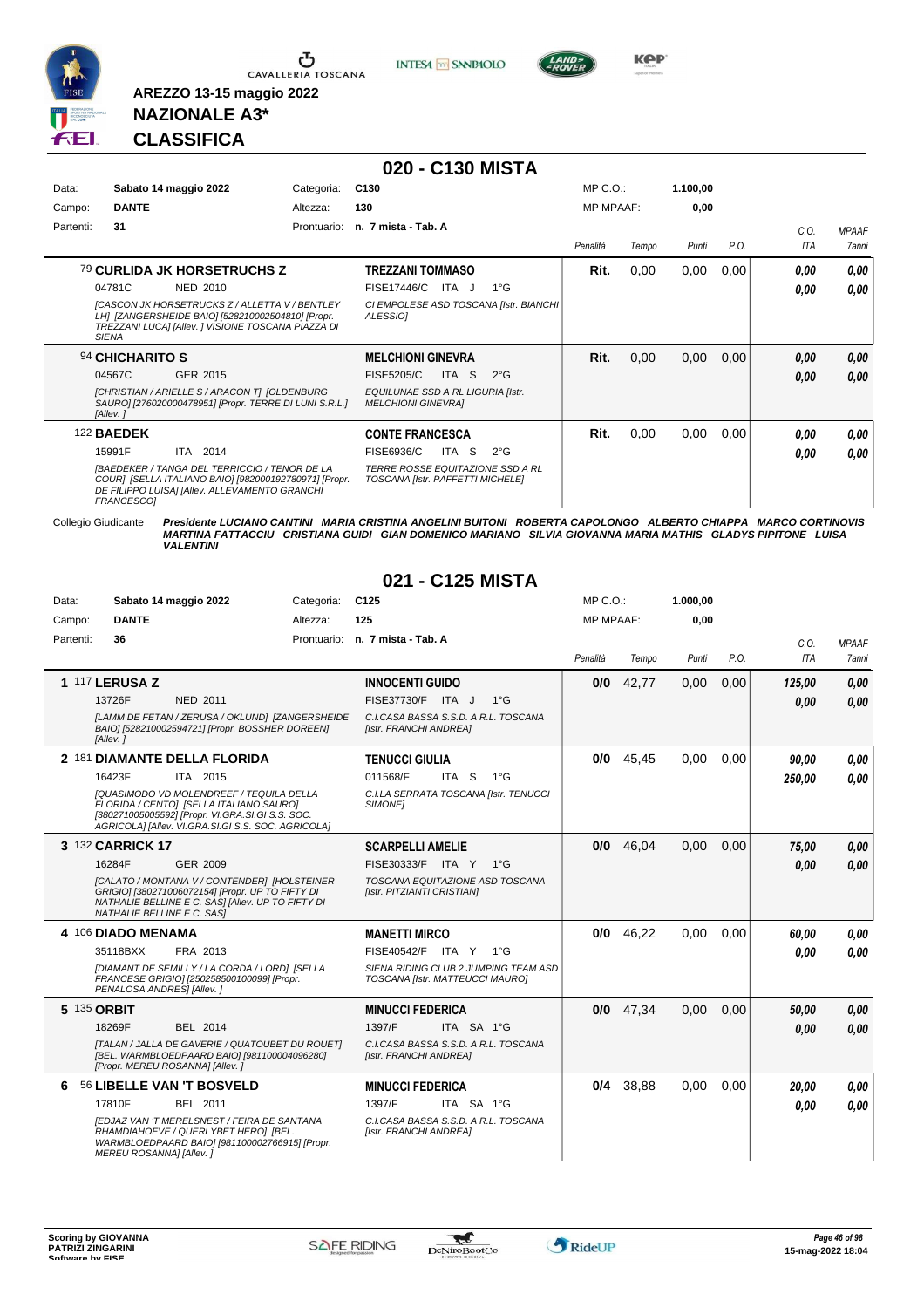

Ⴠ CAVALLERIA TOSCANA **INTESA M** SANPAOLO



**Kep** 

#### **NAZIONALE A3\* CLASSIFICA**

**AREZZO 13-15 maggio 2022**

|           |                                                                                                                                                                                  |             | 020 - C130 MISTA                                                            |                  |       |          |      |            |              |
|-----------|----------------------------------------------------------------------------------------------------------------------------------------------------------------------------------|-------------|-----------------------------------------------------------------------------|------------------|-------|----------|------|------------|--------------|
| Data:     | Sabato 14 maggio 2022                                                                                                                                                            | Categoria:  | C <sub>130</sub>                                                            | $MP C. O.$ :     |       | 1.100,00 |      |            |              |
| Campo:    | <b>DANTE</b>                                                                                                                                                                     | Altezza:    | 130                                                                         | <b>MP MPAAF:</b> |       | 0,00     |      |            |              |
| Partenti: | 31                                                                                                                                                                               | Prontuario: | n. 7 mista - Tab. A                                                         |                  |       |          |      | C.O.       | <b>MPAAF</b> |
|           |                                                                                                                                                                                  |             |                                                                             | Penalità         | Tempo | Punti    | P.O. | <b>ITA</b> | 7anni        |
|           | 79 CURLIDA JK HORSETRUCHS Z                                                                                                                                                      |             | TREZZANI TOMMASO                                                            | Rit.             | 0,00  | 0,00     | 0,00 | 0.00       | 0,00         |
|           | 04781C<br>NED 2010                                                                                                                                                               |             | <b>FISE17446/C</b><br>ITA J<br>$1^{\circ}G$                                 |                  |       |          |      | 0.00       | 0,00         |
|           | <b>ICASCON JK HORSETRUCKS Z / ALLETTA V / BENTLEY</b><br>LH1 [ZANGERSHEIDE BAIO] [528210002504810] [Propr.<br>TREZZANI LUCA] [Allev. ] VISIONE TOSCANA PIAZZA DI<br><b>SIENA</b> |             | CI EMPOLESE ASD TOSCANA [Istr. BIANCHI]<br><b>ALESSIOI</b>                  |                  |       |          |      |            |              |
|           | 94 CHICHARITO S                                                                                                                                                                  |             | <b>MELCHIONI GINEVRA</b>                                                    | Rit.             | 0,00  | 0,00     | 0,00 | 0.00       | 0,00         |
|           | 04567C<br>GER 2015                                                                                                                                                               |             | <sub>S</sub><br>$2^{\circ}$ G<br><b>FISE5205/C</b><br>ITA I                 |                  |       |          |      | 0,00       | 0,00         |
|           | [CHRISTIAN / ARIELLE S / ARACON T] [OLDENBURG<br>SAURO] [276020000478951] [Propr. TERRE DI LUNI S.R.L.]<br>[Allev.]                                                              |             | EQUILUNAE SSD A RL LIGURIA [Istr.<br><b>MELCHIONI GINEVRAI</b>              |                  |       |          |      |            |              |
|           | <b>122 BAEDEK</b>                                                                                                                                                                |             | <b>CONTE FRANCESCA</b>                                                      | Rit.             | 0,00  | 0,00     | 0,00 | 0.00       | 0,00         |
|           | 2014<br>15991F<br>ITA                                                                                                                                                            |             | FISE6936/C<br>$2^{\circ}$ G<br>ITA<br>-S                                    |                  |       |          |      | 0,00       | 0.00         |
|           | <b>IBAEDEKER / TANGA DEL TERRICCIO / TENOR DE LA</b><br>COURI [SELLA ITALIANO BAIO] [982000192780971] [Propr.<br>DE FILIPPO LUISA] [Allev. ALLEVAMENTO GRANCHI<br>FRANCESCO1     |             | <b>TERRE ROSSE EQUITAZIONE SSD A RL</b><br>TOSCANA [Istr. PAFFETTI MICHELE] |                  |       |          |      |            |              |

Collegio Giudicante Presidente LUCIANO CANTINI MARIA CRISTINA ANGELINI BUITONI ROBERTA CAPOLONGO ALBERTO CHIAPPA MARCO CORTINOVIS<br>MARTINA FATTACCIU CRISTIANA GUIDI GIAN DOMENICO MARIANO SILVIA GIOVANNA MARIA MATHIS GLADYS

#### **021 - C125 MISTA**

| Data:     |                            | Sabato 14 maggio 2022                                                                                                                                                                                | Categoria: | C <sub>125</sub>                                                        |            |              | $MP C. O.$ :     |             | 1.000,00 |      |        |              |
|-----------|----------------------------|------------------------------------------------------------------------------------------------------------------------------------------------------------------------------------------------------|------------|-------------------------------------------------------------------------|------------|--------------|------------------|-------------|----------|------|--------|--------------|
| Campo:    | <b>DANTE</b>               |                                                                                                                                                                                                      | Altezza:   | 125                                                                     |            |              | <b>MP MPAAF:</b> |             | 0.00     |      |        |              |
| Partenti: | 36                         |                                                                                                                                                                                                      |            | Prontuario: n. 7 mista - Tab. A                                         |            |              |                  |             |          |      | C.O.   | <b>MPAAF</b> |
|           |                            |                                                                                                                                                                                                      |            |                                                                         |            |              | Penalità         | Tempo       | Punti    | P.O. | ITA    | 7anni        |
|           | <b>1 117 LERUSA Z</b>      |                                                                                                                                                                                                      |            | <b>INNOCENTI GUIDO</b>                                                  |            |              | 0/0              | 42,77       | 0,00     | 0,00 | 125,00 | 0,00         |
|           | 13726F                     | <b>NED 2011</b>                                                                                                                                                                                      |            | FISE37730/F ITA J                                                       |            | $1^{\circ}G$ |                  |             |          |      | 0,00   | 0.00         |
|           | [Allev.]                   | [LAMM DE FETAN / ZERUSA / OKLUND] [ZANGERSHEIDE<br>BAIO] [528210002594721] [Propr. BOSSHER DOREEN]                                                                                                   |            | C.I.CASA BASSA S.S.D. A R.L. TOSCANA<br>[Istr. FRANCHI ANDREA]          |            |              |                  |             |          |      |        |              |
|           |                            | 2 181 DIAMANTE DELLA FLORIDA                                                                                                                                                                         |            | <b>TENUCCI GIULIA</b>                                                   |            |              |                  | $0/0$ 45,45 | 0,00     | 0.00 | 90.00  | 0.00         |
|           | 16423F                     | ITA 2015                                                                                                                                                                                             |            | 011568/F                                                                | ITA S      | $1^{\circ}G$ |                  |             |          |      | 250,00 | 0.00         |
|           |                            | <b>[QUASIMODO VD MOLENDREEF / TEQUILA DELLA</b><br>FLORIDA / CENTO] [SELLA ITALIANO SAURO]<br>[380271005005592] [Propr. VI.GRA.SI.GI S.S. SOC.<br>AGRICOLAI [Allev. VI.GRA.SI.GI S.S. SOC. AGRICOLA] |            | C.I.LA SERRATA TOSCANA [Istr. TENUCCI<br><b>SIMONE1</b>                 |            |              |                  |             |          |      |        |              |
|           | 3 132 CARRICK 17           |                                                                                                                                                                                                      |            | <b>SCARPELLI AMELIE</b>                                                 |            |              | 0/0              | 46.04       | 0,00     | 0.00 | 75,00  | 0,00         |
|           | 16284F                     | GER 2009                                                                                                                                                                                             |            | FISE30333/F ITA Y 1°G                                                   |            |              |                  |             |          |      | 0,00   | 0.00         |
|           | NATHALIE BELLINE E C. SASI | [CALATO / MONTANA V / CONTENDER] [HOLSTEINER<br>GRIGIO] [380271006072154] [Propr. UP TO FIFTY DI<br>NATHALIE BELLINE E C. SASI [Allev. UP TO FIFTY DI                                                |            | TOSCANA EQUITAZIONE ASD TOSCANA<br>[Istr. PITZIANTI CRISTIAN]           |            |              |                  |             |          |      |        |              |
|           | 4 106 DIADO MENAMA         |                                                                                                                                                                                                      |            | <b>MANETTI MIRCO</b>                                                    |            |              | 0/0              | 46,22       | 0.00     | 0.00 | 60,00  | 0.00         |
|           | 35118BXX                   | FRA 2013                                                                                                                                                                                             |            | FISE40542/F ITA Y 1°G                                                   |            |              |                  |             |          |      | 0.00   | 0.00         |
|           | PENALOSA ANDRES] [Allev.]  | [DIAMANT DE SEMILLY / LA CORDA / LORD] [SELLA<br>FRANCESE GRIGIO] [250258500100099] [Propr.                                                                                                          |            | SIENA RIDING CLUB 2 JUMPING TEAM ASD<br>TOSCANA [Istr. MATTEUCCI MAURO] |            |              |                  |             |          |      |        |              |
|           | 5 135 ORBIT                |                                                                                                                                                                                                      |            | <b>MINUCCI FEDERICA</b>                                                 |            |              | 0/0              | 47,34       | 0,00     | 0.00 | 50,00  | 0,00         |
|           | 18269F                     | BEL 2014                                                                                                                                                                                             |            | 1397/F                                                                  | ITA SA 1°G |              |                  |             |          |      | 0.00   | 0.00         |
|           |                            | [TALAN / JALLA DE GAVERIE / QUATOUBET DU ROUET]<br>[BEL. WARMBLOEDPAARD BAIO] [981100004096280]<br>[Propr. MEREU ROSANNA] [Allev.]                                                                   |            | C.I.CASA BASSA S.S.D. A R.L. TOSCANA<br>[Istr. FRANCHI ANDREA]          |            |              |                  |             |          |      |        |              |
| 6         |                            | 56 LIBELLE VAN 'T BOSVELD                                                                                                                                                                            |            | <b>MINUCCI FEDERICA</b>                                                 |            |              | 0/4              | 38,88       | 0,00     | 0.00 | 20,00  | 0.00         |
|           | 17810F                     | BEL 2011                                                                                                                                                                                             |            | 1397/F                                                                  | ITA SA 1°G |              |                  |             |          |      | 0.00   | 0.00         |
|           | MEREU ROSANNA] [Allev. ]   | <b>IEDJAZ VAN 'T MERELSNEST / FEIRA DE SANTANA</b><br>RHAMDIAHOEVE / QUERLYBET HERO] [BEL.<br>WARMBLOEDPAARD BAIO] [981100002766915] [Propr.                                                         |            | C.I.CASA BASSA S.S.D. A R.L. TOSCANA<br>[Istr. FRANCHI ANDREA]          |            |              |                  |             |          |      |        |              |

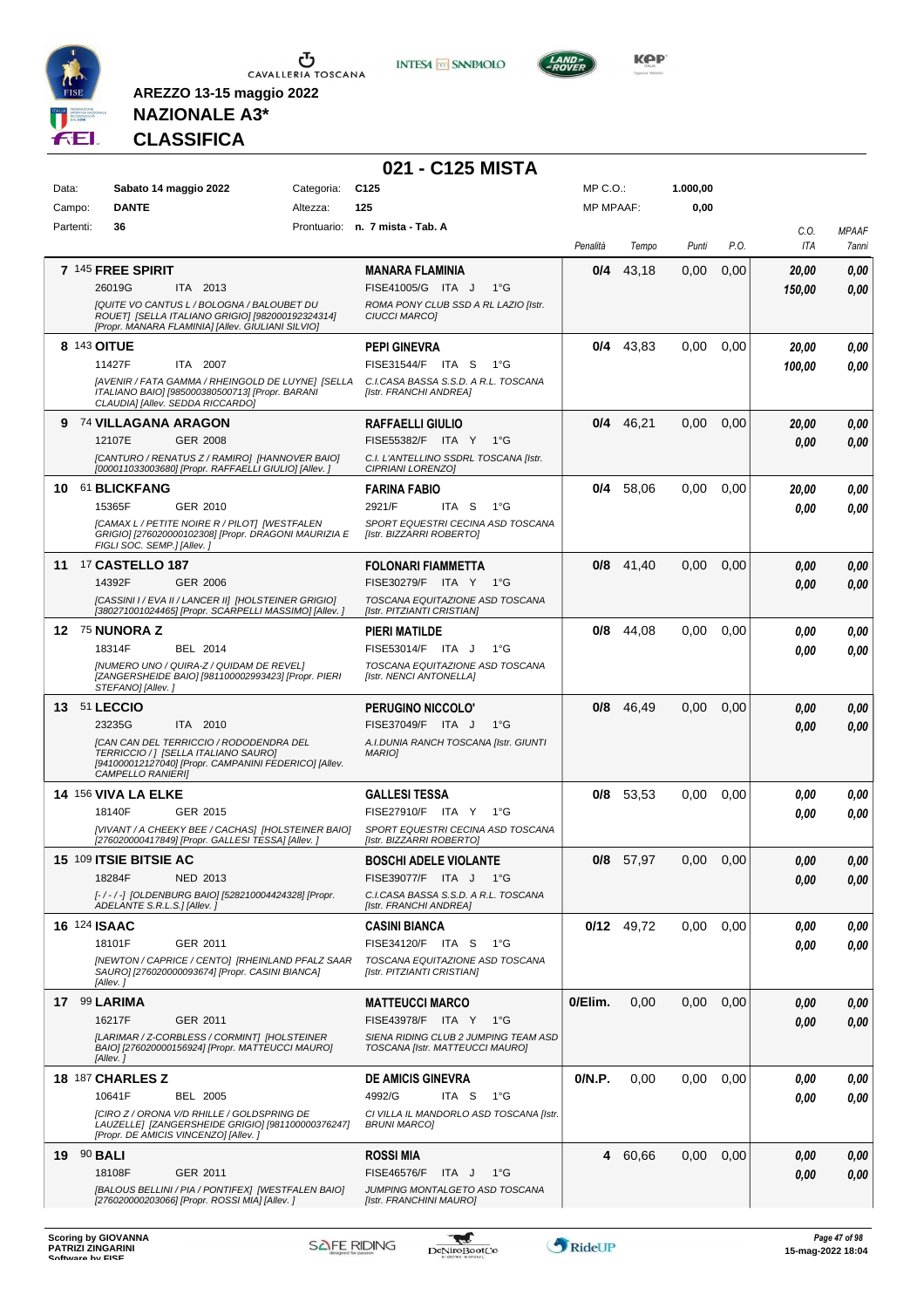

**INTESA M** SANPAOLO



**NAZIONALE A3\* CLASSIFICA**

|                     |                                                                                                                                                                                                   |            | 021 - C125 MISTA                                                                                                             |                  |              |          |      |                 |                       |
|---------------------|---------------------------------------------------------------------------------------------------------------------------------------------------------------------------------------------------|------------|------------------------------------------------------------------------------------------------------------------------------|------------------|--------------|----------|------|-----------------|-----------------------|
| Data:               | Sabato 14 maggio 2022                                                                                                                                                                             | Categoria: | C <sub>125</sub>                                                                                                             | MP C.O.:         |              | 1.000,00 |      |                 |                       |
| Campo:              | <b>DANTE</b>                                                                                                                                                                                      | Altezza:   | 125                                                                                                                          | <b>MP MPAAF:</b> |              | 0,00     |      |                 |                       |
| Partenti:           | 36                                                                                                                                                                                                |            | Prontuario: n. 7 mista - Tab. A                                                                                              | Penalità         | Tempo        | Punti    | P.O. | C.O.<br>ITA     | <b>MPAAF</b><br>7anni |
|                     | 7 145 FREE SPIRIT<br>26019G<br>ITA 2013<br>IQUITE VO CANTUS L / BOLOGNA / BALOUBET DU<br>ROUET] [SELLA ITALIANO GRIGIO] [982000192324314]<br>[Propr. MANARA FLAMINIA] [Allev. GIULIANI SILVIO]    |            | <b>MANARA FLAMINIA</b><br>FISE41005/G ITA J<br>$1^{\circ}$ G<br>ROMA PONY CLUB SSD A RL LAZIO [Istr.<br><b>CIUCCI MARCOI</b> | 0/4              | 43,18        | 0,00     | 0,00 | 20,00<br>150,00 | 0,00<br>0,00          |
| 8 143 OITUE         | 11427F<br>ITA 2007<br>[AVENIR / FATA GAMMA / RHEINGOLD DE LUYNE] [SELLA<br>ITALIANO BAIO] [985000380500713] [Propr. BARANI<br>CLAUDIA] [Allev. SEDDA RICCARDO]                                    |            | <b>PEPI GINEVRA</b><br>FISE31544/F ITA S<br>1°G<br>C.I.CASA BASSA S.S.D. A R.L. TOSCANA<br>[Istr. FRANCHI ANDREA]            |                  | $0/4$ 43,83  | 0,00     | 0,00 | 20,00<br>100,00 | 0.00<br>0.00          |
| 9                   | 74 VILLAGANA ARAGON<br>12107E<br><b>GER 2008</b><br>[CANTURO / RENATUS Z / RAMIRO] [HANNOVER BAIO]<br>[000011033003680] [Propr. RAFFAELLI GIULIO] [Allev.]                                        |            | <b>RAFFAELLI GIULIO</b><br>FISE55382/F ITA Y<br>1°G<br>C.I. L'ANTELLINO SSDRL TOSCANA [Istr.<br>CIPRIANI LORENZO]            |                  | $0/4$ 46,21  | 0,00     | 0,00 | 20,00<br>0,00   | 0,00<br>0,00          |
|                     | 10 61 BLICKFANG<br>15365F<br>GER 2010<br>[CAMAX L / PETITE NOIRE R / PILOT] [WESTFALEN<br>GRIGIO] [276020000102308] [Propr. DRAGONI MAURIZIA E<br>FIGLI SOC. SEMP.] [Allev.]                      |            | <b>FARINA FABIO</b><br>2921/F<br>ITA S<br>1°G<br>SPORT EQUESTRI CECINA ASD TOSCANA<br>[Istr. BIZZARRI ROBERTO]               | 0/4              | 58,06        | 0,00     | 0,00 | 20.00<br>0.00   | 0.00<br>0.00          |
| 11                  | <b>17 CASTELLO 187</b><br>14392F<br><b>GER 2006</b><br>[CASSINI I / EVA II / LANCER II] [HOLSTEINER GRIGIO]<br>[380271001024465] [Propr. SCARPELLI MASSIMO] [Allev. ]                             |            | <b>FOLONARI FIAMMETTA</b><br>FISE30279/F ITA Y 1°G<br>TOSCANA EQUITAZIONE ASD TOSCANA<br>[Istr. PITZIANTI CRISTIAN]          |                  | $0/8$ 41,40  | 0,00     | 0,00 | 0.00<br>0.00    | 0,00<br>0.00          |
|                     | 12 75 NUNORA Z<br>18314F<br>BEL 2014<br>[NUMERO UNO / QUIRA-Z / QUIDAM DE REVEL]<br>[ZANGERSHEIDE BAIO] [981100002993423] [Propr. PIERI<br>STEFANO] [Allev.]                                      |            | <b>PIERI MATILDE</b><br>FISE53014/F ITA J<br>$1^{\circ}G$<br>TOSCANA EQUITAZIONE ASD TOSCANA<br>[Istr. NENCI ANTONELLA]      |                  | $0/8$ 44,08  | 0,00     | 0,00 | 0,00<br>0.00    | 0,00<br>0.00          |
| <b>13 51 LECCIO</b> | 23235G<br>ITA 2010<br><b>[CAN CAN DEL TERRICCIO / RODODENDRA DEL</b><br>TERRICCIO / 1 [SELLA ITALIANO SAURO]<br>[941000012127040] [Propr. CAMPANINI FEDERICO] [Allev.<br><b>CAMPELLO RANIERII</b> |            | PERUGINO NICCOLO'<br>FISE37049/F ITA J<br>$1^{\circ}$ G<br>A.I.DUNIA RANCH TOSCANA [Istr. GIUNTI<br><b>MARIOI</b>            |                  | $0/8$ 46,49  | 0,00     | 0,00 | 0,00<br>0.00    | 0,00<br>0,00          |
|                     | <b>14 156 VIVA LA ELKE</b><br>18140F<br>GER 2015<br>[VIVANT / A CHEEKY BEE / CACHAS] [HOLSTEINER BAIO]<br>[276020000417849] [Propr. GALLESI TESSA] [Allev. ]                                      |            | <b>GALLESI TESSA</b><br>FISE27910/F ITA Y<br>1°G<br>SPORT EQUESTRI CECINA ASD TOSCANA<br>[Istr. BIZZARRI ROBERTO]            | 0/8              | 53,53        | 0,00     | 0,00 | 0,00<br>0.00    | 0,00<br>0.00          |
|                     | 15 109 ITSIE BITSIE AC<br>18284F<br>NED 2013<br>[-/-/-] [OLDENBURG BAIO] [528210004424328] [Propr.<br>ADELANTE S.R.L.S.] [Allev.]                                                                 |            | <b>BOSCHI ADELE VIOLANTE</b><br>FISE39077/F ITA J<br>1°G<br>C.I.CASA BASSA S.S.D. A R.L. TOSCANA<br>[Istr. FRANCHI ANDREA]   |                  | 0/8 57,97    | 0,00     | 0,00 | 0,00<br>0,00    | 0,00  <br>0,00        |
| <b>16 124 ISAAC</b> | 18101F<br>GER 2011<br>[NEWTON / CAPRICE / CENTO] [RHEINLAND PFALZ SAAR<br>SAURO] [276020000093674] [Propr. CASINI BIANCA]<br>[Allev.]                                                             |            | <b>CASINI BIANCA</b><br>FISE34120/F ITA S<br>1°G<br>TOSCANA EQUITAZIONE ASD TOSCANA<br>[Istr. PITZIANTI CRISTIAN]            |                  | $0/12$ 49,72 | 0,00     | 0,00 | 0,00<br>0.00    | 0,00<br>0,00          |
| 17 99 LARIMA        | 16217F<br>GER 2011<br>[LARIMAR / Z-CORBLESS / CORMINT] [HOLSTEINER<br>BAIO] [276020000156924] [Propr. MATTEUCCI MAURO]<br>[Allev.]                                                                |            | <b>MATTEUCCI MARCO</b><br>FISE43978/F ITA Y 1°G<br>SIENA RIDING CLUB 2 JUMPING TEAM ASD<br>TOSCANA [Istr. MATTEUCCI MAURO]   | 0/Elim.          | 0,00         | 0,00     | 0,00 | 0,00<br>0,00    | 0,00<br>0,00          |
|                     | <b>18 187 CHARLES Z</b><br>10641F<br>BEL 2005<br>[CIRO Z / ORONA V/D RHILLE / GOLDSPRING DE<br>LAUZELLE  [ZANGERSHEIDE GRIGIO] [981100000376247]<br>[Propr. DE AMICIS VINCENZO] [Allev. ]         |            | <b>DE AMICIS GINEVRA</b><br>4992/G<br>ITA S<br>1°G<br>CI VILLA IL MANDORLO ASD TOSCANA [Istr.<br><b>BRUNI MARCO]</b>         | 0/N.P.           | 0,00         | 0,00     | 0,00 | 0,00<br>0.00    | 0,00<br>0,00          |
| $19^{90}$ BALI      | GER 2011<br>18108F<br>[BALOUS BELLINI / PIA / PONTIFEX] [WESTFALEN BAIO]<br>[276020000203066] [Propr. ROSSI MIA] [Allev. ]                                                                        |            | <b>ROSSI MIA</b><br><b>FISE46576/F</b><br>ITA J<br>$1^{\circ}G$<br>JUMPING MONTALGETO ASD TOSCANA<br>[Istr. FRANCHINI MAURO] |                  | 4 60,66      | 0,00     | 0,00 | 0,00<br>0,00    | 0,00<br>0,00          |



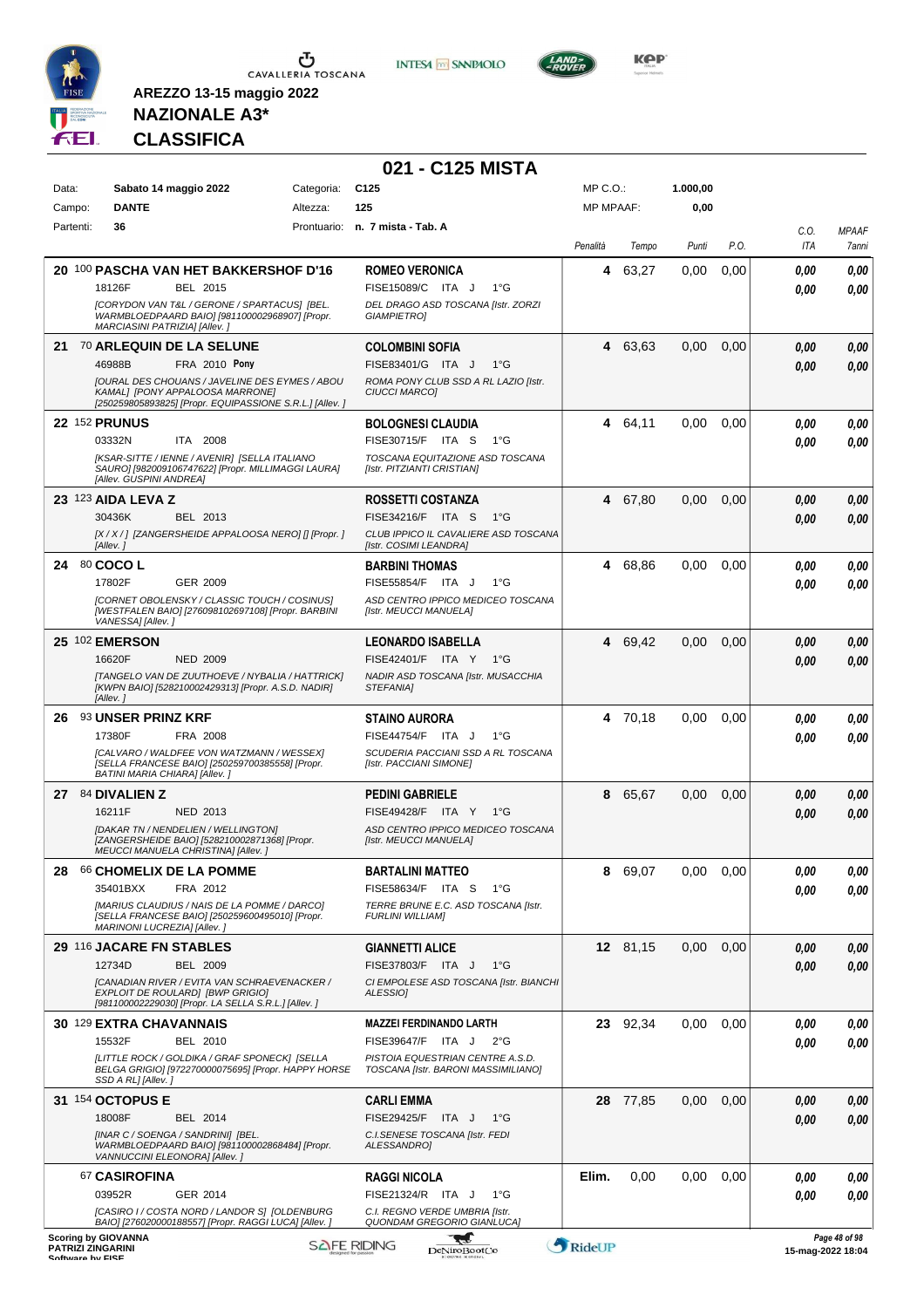

Campo: **DANTE** Partenti: **36**

 $\begin{array}{c}\n\bullet \\
\bullet \\
\bullet \\
\bullet\n\end{array}$  CAVALLERIA TOSCANA

**INTESA M** SANPAOLO



**1.000,00 0,00**

> *C.O. ITA*

*MPAAF 7anni*

**NAZIONALE A3\* CLASSIFICA**

**AREZZO 13-15 maggio 2022**

#### **021 - C125 MISTA** MP C.O.: Data: Sabato 14 maggio 2022 Categoria: C125 MP MPAAF: Altezza: **125** Prontuario: **n. 7 mista - Tab. A** *Penalità Tempo Punti P.O.* Τ **ROMEO VERONICA** ITA J 1°G *DEL DRAGO ASD TOSCANA [Istr. ZORZI*

|    | 20 100 PASCHA VAN HET BAKKERSHOF D'16                                                                                                         | <b>ROMEO VERONICA</b>                                                   | 4      | 63,27    | 0,00 | 0,00 | 0,00              | 0,00          |
|----|-----------------------------------------------------------------------------------------------------------------------------------------------|-------------------------------------------------------------------------|--------|----------|------|------|-------------------|---------------|
|    | BEL 2015<br>18126F                                                                                                                            | FISE15089/C ITA J<br>1°G                                                |        |          |      |      | 0.00              | 0.00          |
|    | [CORYDON VAN T&L / GERONE / SPARTACUS] [BEL.<br>WARMBLOEDPAARD BAIO] [981100002968907] [Propr.                                                | DEL DRAGO ASD TOSCANA [Istr. ZORZI<br><b>GIAMPIETRO]</b>                |        |          |      |      |                   |               |
|    | MARCIASINI PATRIZIA] [Allev.]                                                                                                                 |                                                                         |        |          |      |      |                   |               |
|    | 21 70 ARLEQUIN DE LA SELUNE                                                                                                                   | <b>COLOMBINI SOFIA</b>                                                  | 4      | 63.63    | 0,00 | 0,00 | 0,00              | 0,00          |
|    | 46988B<br>FRA 2010 Pony                                                                                                                       | FISE83401/G ITA J<br>$1^{\circ}$ G                                      |        |          |      |      | 0,00              | 0,00          |
|    | JOURAL DES CHOUANS / JAVELINE DES EYMES / ABOU<br>KAMALI [PONY APPALOOSA MARRONE]<br>[250259805893825] [Propr. EQUIPASSIONE S.R.L.] [Allev. ] | ROMA PONY CLUB SSD A RL LAZIO [Istr.<br><b>CIUCCI MARCOI</b>            |        |          |      |      |                   |               |
|    | <b>22 152 PRUNUS</b>                                                                                                                          | <b>BOLOGNESI CLAUDIA</b>                                                |        | 4 64,11  | 0,00 | 0,00 | 0.00              | 0,00          |
|    | 03332N<br>ITA 2008                                                                                                                            | FISE30715/F ITA S<br>1°G                                                |        |          |      |      | 0.00              | 0.00          |
|    | [KSAR-SITTE / IENNE / AVENIR] [SELLA ITALIANO                                                                                                 | TOSCANA EQUITAZIONE ASD TOSCANA                                         |        |          |      |      |                   |               |
|    | SAURO] [982009106747622] [Propr. MILLIMAGGI LAURA]<br>[Allev. GUSPINI ANDREA]                                                                 | [Istr. PITZIANTI CRISTIAN]                                              |        |          |      |      |                   |               |
|    | 23 123 AIDA LEVA Z                                                                                                                            | <b>ROSSETTI COSTANZA</b>                                                | 4      | 67,80    | 0,00 | 0,00 | 0.00              | 0,00          |
|    | 30436K<br>BEL 2013                                                                                                                            | FISE34216/F ITA S<br>1°G                                                |        |          |      |      | 0.00              | 0,00          |
|    | [X / X / ] [ZANGERSHEIDE APPALOOSA NERO] [] [Propr. ]                                                                                         | CLUB IPPICO IL CAVALIERE ASD TOSCANA                                    |        |          |      |      |                   |               |
|    | [Allev.]                                                                                                                                      | [Istr. COSIMI LEANDRA]                                                  |        |          |      |      |                   |               |
|    | 24 80 COCO L                                                                                                                                  | <b>BARBINI THOMAS</b>                                                   | 4      | 68,86    | 0,00 | 0,00 | 0.00              | 0,00          |
|    | 17802F<br>GER 2009<br>[CORNET OBOLENSKY / CLASSIC TOUCH / COSINUS]                                                                            | FISE55854/F ITA J<br>$1^{\circ}G$<br>ASD CENTRO IPPICO MEDICEO TOSCANA  |        |          |      |      | 0,00              | 0.00          |
|    | [WESTFALEN BAIO] [276098102697108] [Propr. BARBINI                                                                                            | [Istr. MEUCCI MANUELA]                                                  |        |          |      |      |                   |               |
|    | VANESSA] [Allev. ]                                                                                                                            |                                                                         |        |          |      |      |                   |               |
|    | <b>25 102 EMERSON</b>                                                                                                                         | <b>LEONARDO ISABELLA</b>                                                |        | 4 69,42  | 0,00 | 0,00 | 0.00              | 0,00          |
|    | 16620F<br><b>NED 2009</b><br><b>ITANGELO VAN DE ZUUTHOEVE / NYBALIA / HATTRICKI</b>                                                           | FISE42401/F ITA Y 1°G                                                   |        |          |      |      | 0.00              | 0,00          |
|    | [KWPN BAIO] [528210002429313] [Propr. A.S.D. NADIR]<br>[Allev.]                                                                               | NADIR ASD TOSCANA [Istr. MUSACCHIA<br>STEFANIA]                         |        |          |      |      |                   |               |
| 26 | <b>93 UNSER PRINZ KRF</b>                                                                                                                     | STAINO AURORA                                                           |        | 4 70,18  | 0,00 | 0,00 | 0.00              | 0,00          |
|    | 17380F<br>FRA 2008                                                                                                                            | FISE44754/F ITA J<br>$1^{\circ}G$                                       |        |          |      |      | 0.00              | 0.00          |
|    | [CALVARO / WALDFEE VON WATZMANN / WESSEX]<br>[SELLA FRANCESE BAIO] [250259700385558] [Propr.<br>BATINI MARIA CHIARA] [Allev.]                 | SCUDERIA PACCIANI SSD A RL TOSCANA<br>[Istr. PACCIANI SIMONE]           |        |          |      |      |                   |               |
|    | 27 84 DIVALIEN Z                                                                                                                              | <b>PEDINI GABRIELE</b>                                                  | 8      | 65,67    | 0,00 | 0,00 | 0,00              | 0,00          |
|    | 16211F<br>NED 2013                                                                                                                            | FISE49428/F ITA Y<br>$1^{\circ}G$                                       |        |          |      |      | 0.00              | 0,00          |
|    | [DAKAR TN / NENDELIEN / WELLINGTON]<br>[ZANGERSHEIDE BAIO] [528210002871368] [Propr.<br>MEUCCI MANUELA CHRISTINA] [Allev.]                    | ASD CENTRO IPPICO MEDICEO TOSCANA<br>[Istr. MEUCCI MANUELA]             |        |          |      |      |                   |               |
| 28 | <b>66 CHOMELIX DE LA POMME</b>                                                                                                                | <b>BARTALINI MATTEO</b>                                                 | 8      | 69,07    | 0,00 | 0,00 | 0,00              | 0,00          |
|    | 35401BXX<br>FRA 2012                                                                                                                          | FISE58634/F ITA S<br>1°G                                                |        |          |      |      | 0.00              | 0.00          |
|    | [MARIUS CLAUDIUS / NAIS DE LA POMME / DARCO]<br>[SELLA FRANCESE BAIO] [250259600495010] [Propr.<br>MARINONI LUCREZIA] [Allev.]                | TERRE BRUNE E.C. ASD TOSCANA [Istr.<br><b>FURLINI WILLIAMI</b>          |        |          |      |      |                   |               |
|    | 29 116 JACARE FN STABLES                                                                                                                      | <b>GIANNETTI ALICE</b>                                                  |        | 12 81,15 | 0,00 | 0.00 | 0.00              | 0.00          |
|    | 12734D<br>BEL 2009                                                                                                                            | FISE37803/F ITA J<br>1°G                                                |        |          |      |      | 0,00              | 0,00          |
|    | [CANADIAN RIVER / EVITA VAN SCHRAEVENACKER /                                                                                                  | CI EMPOLESE ASD TOSCANA [Istr. BIANCHI                                  |        |          |      |      |                   |               |
|    | EXPLOIT DE ROULARD] [BWP GRIGIO]<br>[981100002229030] [Propr. LA SELLA S.R.L.] [Allev.]                                                       | ALESSIO]                                                                |        |          |      |      |                   |               |
|    | <b>30 129 EXTRA CHAVANNAIS</b>                                                                                                                | <b>MAZZEI FERDINANDO LARTH</b>                                          |        | 23 92,34 | 0,00 | 0,00 | 0.00              | 0,00          |
|    | 15532F<br>BEL 2010                                                                                                                            | FISE39647/F ITA J<br>$2^{\circ}G$                                       |        |          |      |      | 0.00              | 0,00          |
|    | [LITTLE ROCK / GOLDIKA / GRAF SPONECK] [SELLA<br>BELGA GRIGIO] [972270000075695] [Propr. HAPPY HORSE<br>SSD A RL] [Allev.]                    | PISTOIA EQUESTRIAN CENTRE A.S.D.<br>TOSCANA [Istr. BARONI MASSIMILIANO] |        |          |      |      |                   |               |
|    | 31 154 OCTOPUS E                                                                                                                              | <b>CARLI EMMA</b>                                                       |        | 28 77,85 | 0,00 | 0,00 | 0,00              | 0,00          |
|    | 18008F<br>BEL 2014                                                                                                                            | FISE29425/F ITA J<br>1°G                                                |        |          |      |      | 0.00              | 0,00          |
|    | [INAR C / SOENGA / SANDRINI] [BEL.<br>WARMBLOEDPAARD BAIO] [981100002868484] [Propr.<br>VANNUCCINI ELEONORA] [Allev. ]                        | C.I.SENESE TOSCANA [Istr. FEDI<br>ALESSANDRO]                           |        |          |      |      |                   |               |
|    | 67 CASIROFINA                                                                                                                                 | <b>RAGGI NICOLA</b>                                                     | Elim.  | 0,00     | 0,00 | 0.00 | 0,00              | 0,00          |
|    | GER 2014<br>03952R                                                                                                                            | FISE21324/R ITA J<br>1°G                                                |        |          |      |      | 0.00              | 0.00          |
|    | [CASIRO I / COSTA NORD / LANDOR S] [OLDENBURG                                                                                                 | C.I. REGNO VERDE UMBRIA [Istr.                                          |        |          |      |      |                   |               |
|    | BAIO] [276020000188557] [Propr. RAGGI LUCA] [Allev. ]                                                                                         | QUONDAM GREGORIO GIANLUCA]                                              |        |          |      |      |                   |               |
|    | <b>Scoring by GIOVANNA</b><br><b>SAFE RIDING</b><br><b>PATRIZI ZINGARINI</b><br>Coffware by EICE                                              | <b>DeNiroBootCo</b>                                                     | RideUP |          |      |      | 15-mag-2022 18:04 | Page 48 of 98 |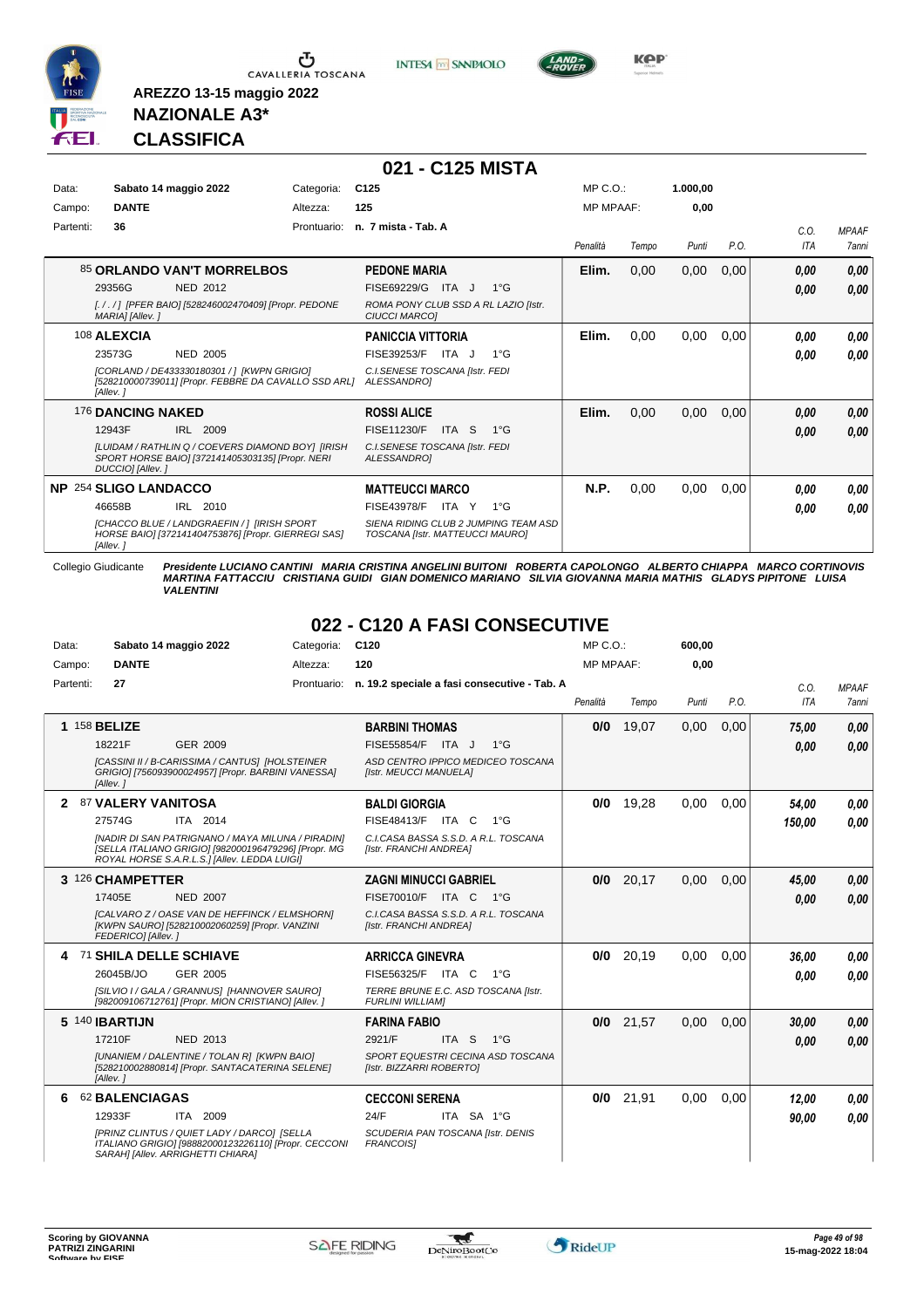

Ⴠ CAVALLERIA TOSCANA **INTESA** M SANPAOLO



**Kep** 

#### **NAZIONALE A3\* CLASSIFICA**

**AREZZO 13-15 maggio 2022**

|           |                                                                                                                           |             | 021 - C125 MISTA                                                        |                  |       |          |      |            |              |
|-----------|---------------------------------------------------------------------------------------------------------------------------|-------------|-------------------------------------------------------------------------|------------------|-------|----------|------|------------|--------------|
| Data:     | Sabato 14 maggio 2022                                                                                                     | Categoria:  | C <sub>125</sub>                                                        | MP C. O.         |       | 1.000,00 |      |            |              |
| Campo:    | <b>DANTE</b>                                                                                                              | Altezza:    | 125                                                                     | <b>MP MPAAF:</b> |       | 0,00     |      |            |              |
| Partenti: | 36                                                                                                                        | Prontuario: | n. 7 mista - Tab. A                                                     |                  |       |          |      | C.0.       | <b>MPAAF</b> |
|           |                                                                                                                           |             |                                                                         | Penalità         | Tempo | Punti    | P.O. | <b>ITA</b> | <b>7anni</b> |
|           | 85 ORLANDO VAN'T MORRELBOS                                                                                                |             | <b>PEDONE MARIA</b>                                                     | Elim.            | 0,00  | 0,00     | 0,00 | 0.00       | 0,00         |
|           | 29356G<br><b>NED 2012</b>                                                                                                 |             | FISE69229/G<br>ITA J<br>$1^{\circ}G$                                    |                  |       |          |      | 0.00       | 0,00         |
|           | [././] [PFER BAIO] [528246002470409] [Propr. PEDONE<br>MARIA] [Allev.]                                                    |             | ROMA PONY CLUB SSD A RL LAZIO [Istr.<br><b>CIUCCI MARCOI</b>            |                  |       |          |      |            |              |
|           | 108 ALEXCIA                                                                                                               |             | <b>PANICCIA VITTORIA</b>                                                | Elim.            | 0,00  | 0,00     | 0,00 | 0.00       | 0,00         |
|           | 23573G<br><b>NED 2005</b>                                                                                                 |             | FISE39253/F<br>ITA J<br>$1^{\circ}G$                                    |                  |       |          |      | 0.00       | 0.00         |
|           | [CORLAND / DE433330180301 / ] [KWPN GRIGIO]<br>[528210000739011] [Propr. FEBBRE DA CAVALLO SSD ARL]<br>[Allev.]           |             | C.I.SENESE TOSCANA [Istr. FEDI<br>ALESSANDROI                           |                  |       |          |      |            |              |
|           | <b>176 DANCING NAKED</b>                                                                                                  |             | <b>ROSSI ALICE</b>                                                      | Elim.            | 0,00  | 0,00     | 0,00 | 0.00       | 0,00         |
|           | 12943F<br>IRL 2009                                                                                                        |             | FISE11230/F<br>ITA S<br>$1^{\circ}G$                                    |                  |       |          |      | 0.00       | 0,00         |
|           | [LUIDAM / RATHLIN Q / COEVERS DIAMOND BOY] [IRISH<br>SPORT HORSE BAIO] [372141405303135] [Propr. NERI<br>DUCCIO] [Allev.] |             | C.I.SENESE TOSCANA [Istr. FEDI<br>ALESSANDROI                           |                  |       |          |      |            |              |
|           | <b>NP 254 SLIGO LANDACCO</b>                                                                                              |             | <b>MATTEUCCI MARCO</b>                                                  | N.P.             | 0,00  | 0,00     | 0,00 | 0.00       | 0,00         |
|           | IRL 2010<br>46658B                                                                                                        |             | <b>FISE43978/F</b><br>$1^{\circ}G$<br>ITA Y                             |                  |       |          |      | 0.00       | 0,00         |
|           | [CHACCO BLUE / LANDGRAEFIN / 1 [IRISH SPORT<br>HORSE BAIO] [372141404753876] [Propr. GIERREGI SAS]<br>[Allev.]            |             | SIENA RIDING CLUB 2 JUMPING TEAM ASD<br>TOSCANA [Istr. MATTEUCCI MAURO] |                  |       |          |      |            |              |

Collegio Giudicante Presidente LUCIANO CANTINI MARIA CRISTINA ANGELINI BUITONI ROBERTA CAPOLONGO ALBERTO CHIAPPA MARCO CORTINOVIS<br>MARTINA FATTACCIU CRISTIANA GUIDI GIAN DOMENICO MARIANO SILVIA GIOVANNA MARIA MATHIS GLADYS

#### **022 - C120 A FASI CONSECUTIVE**

| Data:     | Sabato 14 maggio 2022                                                                                                                    | Categoria:  | C120                                                           | $MP C. O.$ :     |       | 600,00 |      |            |              |
|-----------|------------------------------------------------------------------------------------------------------------------------------------------|-------------|----------------------------------------------------------------|------------------|-------|--------|------|------------|--------------|
| Campo:    | <b>DANTE</b>                                                                                                                             | Altezza:    | 120                                                            | <b>MP MPAAF:</b> |       | 0,00   |      |            |              |
| Partenti: | 27                                                                                                                                       | Prontuario: | n. 19.2 speciale a fasi consecutive - Tab. A                   |                  |       |        |      | C.O.       | <b>MPAAF</b> |
|           |                                                                                                                                          |             |                                                                | Penalità         | Tempo | Punti  | P.O. | <b>ITA</b> | 7anni        |
|           | 1 158 BELIZE                                                                                                                             |             | <b>BARBINI THOMAS</b>                                          | 0/0              | 19,07 | 0,00   | 0,00 | 75,00      | 0.00         |
|           | 18221F<br><b>GER 2009</b>                                                                                                                |             | FISE55854/F ITA J<br>$1^{\circ}G$                              |                  |       |        |      | 0.00       | 0.00         |
|           | [CASSINI II / B-CARISSIMA / CANTUS] [HOLSTEINER<br>GRIGIO] [756093900024957] [Propr. BARBINI VANESSA]<br>[Allev.]                        |             | ASD CENTRO IPPICO MEDICEO TOSCANA<br>[Istr. MEUCCI MANUELA]    |                  |       |        |      |            |              |
|           | 2 87 VALERY VANITOSA                                                                                                                     |             | <b>BALDI GIORGIA</b>                                           | 0/0              | 19.28 | 0.00   | 0.00 | 54,00      | 0,00         |
|           | 27574G<br>ITA 2014                                                                                                                       |             | <b>FISE48413/F</b><br>ITA C<br>$1^{\circ}G$                    |                  |       |        |      | 150.00     | 0.00         |
|           | [NADIR DI SAN PATRIGNANO / MAYA MILUNA / PIRADIN]<br>[SELLA ITALIANO GRIGIO] [982000196479296] [Propr. MG                                |             | C.I.CASA BASSA S.S.D. A R.L. TOSCANA<br>[Istr. FRANCHI ANDREA] |                  |       |        |      |            |              |
|           | ROYAL HORSE S.A.R.L.S.] [Allev. LEDDA LUIGI]                                                                                             |             |                                                                |                  |       |        |      |            |              |
|           | 3 126 CHAMPETTER                                                                                                                         |             | <b>ZAGNI MINUCCI GABRIEL</b>                                   | 0/0              | 20.17 | 0.00   | 0.00 | 45.00      | 0,00         |
|           | 17405E<br><b>NED 2007</b>                                                                                                                |             | FISE70010/F ITA C 1°G                                          |                  |       |        |      | 0.00       | 0.00         |
|           | [CALVARO Z / OASE VAN DE HEFFINCK / ELMSHORN]<br>[KWPN SAURO] [528210002060259] [Propr. VANZINI                                          |             | C.I.CASA BASSA S.S.D. A R.L. TOSCANA<br>[Istr. FRANCHI ANDREA] |                  |       |        |      |            |              |
|           | FEDERICO] [Allev.]                                                                                                                       |             |                                                                |                  |       |        |      |            |              |
| -71       | <b>SHILA DELLE SCHIAVE</b>                                                                                                               |             | <b>ARRICCA GINEVRA</b>                                         | 0/0              | 20,19 | 0,00   | 0.00 | 36,00      | 0.00         |
|           | 26045B/JO<br>GER 2005                                                                                                                    |             | FISE56325/F ITA C<br>1°G                                       |                  |       |        |      | 0.00       | 0.00         |
|           | [SILVIO I / GALA / GRANNUS] [HANNOVER SAURO]<br>[982009106712761] [Propr. MION CRISTIANO] [Allev.]                                       |             | TERRE BRUNE E.C. ASD TOSCANA [Istr.<br><b>FURLINI WILLIAM]</b> |                  |       |        |      |            |              |
|           | 5 140 <b>IBARTIJN</b>                                                                                                                    |             | <b>FARINA FABIO</b>                                            | 0/0              | 21,57 | 0,00   | 0,00 | 30,00      | 0,00         |
|           | 17210F<br>NED 2013                                                                                                                       |             | ITA <sub>S</sub><br>$1^{\circ}G$<br>2921/F                     |                  |       |        |      | 0,00       | 0.00         |
|           | [UNANIEM / DALENTINE / TOLAN R] [KWPN BAIO]<br>[528210002880814] [Propr. SANTACATERINA SELENE]                                           |             | SPORT EQUESTRI CECINA ASD TOSCANA<br>[Istr. BIZZARRI ROBERTO]  |                  |       |        |      |            |              |
|           | [Allev.]                                                                                                                                 |             |                                                                |                  |       |        |      |            |              |
| 6         | 62 BALENCIAGAS                                                                                                                           |             | <b>CECCONI SERENA</b>                                          | 0/0              | 21,91 | 0,00   | 0.00 | 12,00      | 0.00         |
|           | 12933F<br>ITA 2009                                                                                                                       |             | 24/F<br>ITA SA 1°G                                             |                  |       |        |      | 90.00      | 0.00         |
|           | [PRINZ CLINTUS / QUIET LADY / DARCO] [SELLA<br>ITALIANO GRIGIO] [98882000123226110] [Propr. CECCONI<br>SARAH] [Allev. ARRIGHETTI CHIARA] |             | SCUDERIA PAN TOSCANA [Istr. DENIS<br><b>FRANCOISI</b>          |                  |       |        |      |            |              |

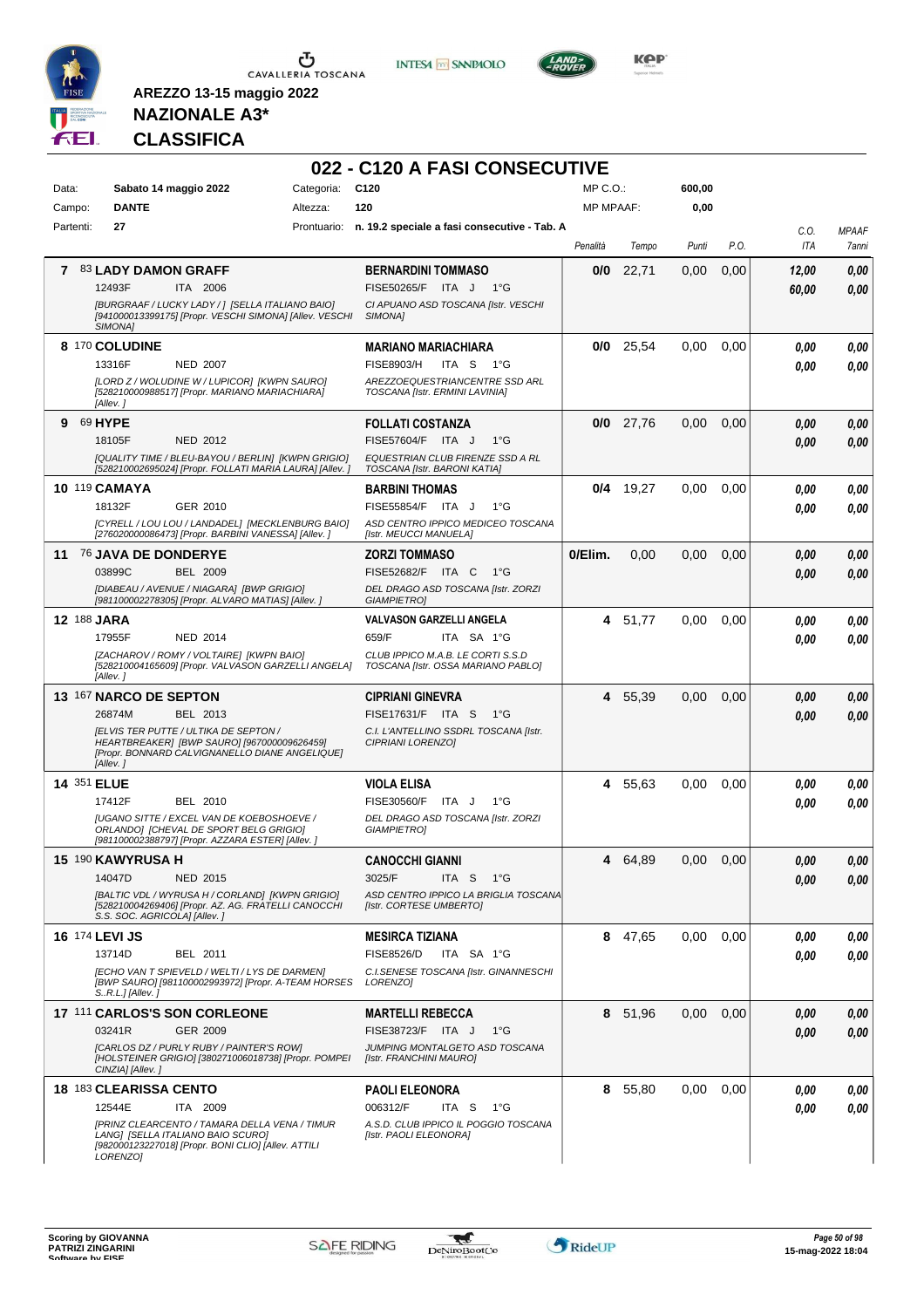

**INTESA M** SANPAOLO



**Kep** 

### **NAZIONALE A3\* CLASSIFICA**

| Data:                 | Sabato 14 maggio 2022                                                                                                                                     | Categoria: | C <sub>120</sub>                                                        | $MP C. O.$ :     |             | 600,00 |      |             |                       |
|-----------------------|-----------------------------------------------------------------------------------------------------------------------------------------------------------|------------|-------------------------------------------------------------------------|------------------|-------------|--------|------|-------------|-----------------------|
| Campo:                | <b>DANTE</b>                                                                                                                                              | Altezza:   | 120                                                                     | <b>MP MPAAF:</b> |             | 0,00   |      |             |                       |
| Partenti:             | 27                                                                                                                                                        |            | Prontuario: n. 19.2 speciale a fasi consecutive - Tab. A                | Penalità         | Tempo       | Punti  | P.O. | C.O.<br>ITA | <b>MPAAF</b><br>7anni |
|                       | 7 83 LADY DAMON GRAFF                                                                                                                                     |            | <b>BERNARDINI TOMMASO</b>                                               | 0/0              | 22,71       | 0,00   | 0,00 | 12,00       | 0,00                  |
|                       | 12493F<br><b>ITA 2006</b>                                                                                                                                 |            | FISE50265/F ITA J<br>1°G                                                |                  |             |        |      | 60,00       | 0,00                  |
|                       | [BURGRAAF / LUCKY LADY / ] [SELLA ITALIANO BAIO]<br>[941000013399175] [Propr. VESCHI SIMONA] [Allev. VESCHI<br>SIMONA]                                    |            | CI APUANO ASD TOSCANA [Istr. VESCHI<br>SIMONA]                          |                  |             |        |      |             |                       |
|                       | 8 170 COLUDINE                                                                                                                                            |            | <b>MARIANO MARIACHIARA</b>                                              | 0/0              | 25,54       | 0,00   | 0,00 | 0.00        | 0.00                  |
|                       | 13316F<br><b>NED 2007</b>                                                                                                                                 |            | <b>FISE8903/H</b><br>ITA S<br>1°G                                       |                  |             |        |      | 0.00        | 0.00                  |
|                       | [LORD Z / WOLUDINE W / LUPICOR] [KWPN SAURO]<br>[528210000988517] [Propr. MARIANO MARIACHIARA]<br>[Allev.]                                                |            | AREZZOEQUESTRIANCENTRE SSD ARL<br>TOSCANA [Istr. ERMINI LAVINIA]        |                  |             |        |      |             |                       |
| 9 69 HYPE             |                                                                                                                                                           |            | <b>FOLLATI COSTANZA</b>                                                 |                  | $0/0$ 27,76 | 0,00   | 0,00 | 0,00        | 0,00                  |
|                       | 18105F<br><b>NED 2012</b>                                                                                                                                 |            | FISE57604/F ITA J<br>$1^{\circ}G$                                       |                  |             |        |      | 0.00        | 0.00                  |
|                       | [QUALITY TIME / BLEU-BAYOU / BERLIN] [KWPN GRIGIO]<br>[528210002695024] [Propr. FOLLATI MARIA LAURA] [Allev. ]                                            |            | <b>EQUESTRIAN CLUB FIRENZE SSD A RL</b><br>TOSCANA [Istr. BARONI KATIA] |                  |             |        |      |             |                       |
|                       | <b>10 119 CAMAYA</b>                                                                                                                                      |            | <b>BARBINI THOMAS</b>                                                   |                  | $0/4$ 19,27 | 0,00   | 0,00 | 0,00        | 0,00                  |
|                       | GER 2010<br>18132F                                                                                                                                        |            | FISE55854/F ITA J<br>$1^{\circ}G$                                       |                  |             |        |      | 0,00        | 0.00                  |
|                       | [CYRELL / LOU LOU / LANDADEL] [MECKLENBURG BAIO]<br>[276020000086473] [Propr. BARBINI VANESSA] [Allev.]                                                   |            | ASD CENTRO IPPICO MEDICEO TOSCANA<br>[Istr. MEUCCI MANUELA]             |                  |             |        |      |             |                       |
|                       | 11 76 JAVA DE DONDERYE                                                                                                                                    |            | <b>ZORZI TOMMASO</b>                                                    | 0/Elim.          | 0.00        | 0,00   | 0,00 | 0,00        | 0,00                  |
|                       | 03899C<br><b>BEL 2009</b>                                                                                                                                 |            | FISE52682/F ITA C<br>1°G                                                |                  |             |        |      | 0,00        | 0.00                  |
|                       | [DIABEAU / AVENUE / NIAGARA] [BWP GRIGIO]<br>[981100002278305] [Propr. ALVARO MATIAS] [Allev. ]                                                           |            | DEL DRAGO ASD TOSCANA [Istr. ZORZI<br><b>GIAMPIETRO]</b>                |                  |             |        |      |             |                       |
| 12 188 JARA           |                                                                                                                                                           |            | VALVASON GARZELLI ANGELA                                                |                  | 4 51,77     | 0,00   | 0,00 | 0,00        | 0,00                  |
|                       | 17955F<br><b>NED 2014</b>                                                                                                                                 |            | 659/F<br>ITA SA 1°G                                                     |                  |             |        |      | 0.00        | 0.00                  |
|                       | [ZACHAROV / ROMY / VOLTAIRE] [KWPN BAIO]<br>[528210004165609] [Propr. VALVASON GARZELLI ANGELA]<br>[Allev.]                                               |            | CLUB IPPICO M.A.B. LE CORTI S.S.D<br>TOSCANA [Istr. OSSA MARIANO PABLO] |                  |             |        |      |             |                       |
|                       | 13 167 NARCO DE SEPTON                                                                                                                                    |            | <b>CIPRIANI GINEVRA</b>                                                 | 4                | 55,39       | 0,00   | 0.00 | 0,00        | 0,00                  |
|                       | 26874M<br>BEL 2013                                                                                                                                        |            | FISE17631/F ITA S<br>1°G                                                |                  |             |        |      | 0.00        | 0,00                  |
|                       | <b>IELVIS TER PUTTE / ULTIKA DE SEPTON /</b><br>HEARTBREAKER] [BWP SAURO] [967000009626459]<br>[Propr. BONNARD CALVIGNANELLO DIANE ANGELIQUE]<br>[Allev.] |            | C.I. L'ANTELLINO SSDRL TOSCANA [Istr.<br>CIPRIANI LORENZOI              |                  |             |        |      |             |                       |
| <b>14 351 ELUE</b>    |                                                                                                                                                           |            | <b>VIOLA ELISA</b>                                                      |                  | 4 55,63     | 0,00   | 0,00 | 0.00        | 0,00                  |
|                       | 17412F<br>BEL 2010                                                                                                                                        |            | FISE30560/F<br>ITA J<br>1°G                                             |                  |             |        |      | 0.00        | 0.00                  |
|                       | [UGANO SITTE / EXCEL VAN DE KOEBOSHOEVE /<br>ORLANDO] [CHEVAL DE SPORT BELG GRIGIO]<br>[981100002388797] [Propr. AZZARA ESTER] [Allev. ]                  |            | DEL DRAGO ASD TOSCANA [Istr. ZORZI<br>GIAMPIETRO]                       |                  |             |        |      |             |                       |
|                       | 15 190 KAWYRUSA H                                                                                                                                         |            | <b>CANOCCHI GIANNI</b>                                                  | 4                | 64,89       | 0,00   | 0,00 | 0,00        | 0,00                  |
|                       | 14047D<br><b>NED 2015</b>                                                                                                                                 |            | 3025/F<br>ITA <sub>S</sub><br>− 1°G                                     |                  |             |        |      | 0,00        | 0,00                  |
|                       | [BALTIC VDL / WYRUSA H / CORLAND] [KWPN GRIGIO]<br>[528210004269406] [Propr. AZ. AG. FRATELLI CANOCCHI<br>S.S. SOC. AGRICOLA] [Allev.]                    |            | ASD CENTRO IPPICO LA BRIGLIA TOSCANA<br>[Istr. CORTESE UMBERTO]         |                  |             |        |      |             |                       |
| <b>16 174 LEVI JS</b> |                                                                                                                                                           |            | <b>MESIRCA TIZIANA</b>                                                  |                  | 8 47,65     | 0,00   | 0,00 | 0,00        | 0,00                  |
|                       | 13714D<br>BEL 2011                                                                                                                                        |            | <b>FISE8526/D</b><br>ITA SA 1°G                                         |                  |             |        |      | 0,00        | 0,00                  |
|                       | [ECHO VAN T SPIEVELD / WELTI / LYS DE DARMEN]<br>[BWP SAURO] [981100002993972] [Propr. A-TEAM HORSES<br>$SR.L.]$ [Allev.]                                 |            | C.I.SENESE TOSCANA [Istr. GINANNESCHI<br>LORENZO]                       |                  |             |        |      |             |                       |
|                       | 17 111 CARLOS'S SON CORLEONE                                                                                                                              |            | <b>MARTELLI REBECCA</b>                                                 |                  | 8 51,96     | 0,00   | 0,00 | 0,00        | 0,00                  |
|                       | 03241R<br>GER 2009                                                                                                                                        |            | FISE38723/F ITA J<br>$1^{\circ}G$                                       |                  |             |        |      | 0,00        | 0,00                  |
|                       | [CARLOS DZ / PURLY RUBY / PAINTER'S ROW]<br>[HOLSTEINER GRIGIO] [380271006018738] [Propr. POMPEI<br>CINZIA] [Allev.]                                      |            | JUMPING MONTALGETO ASD TOSCANA<br>[Istr. FRANCHINI MAURO]               |                  |             |        |      |             |                       |
|                       | <b>18 183 CLEARISSA CENTO</b>                                                                                                                             |            | <b>PAOLI ELEONORA</b>                                                   |                  | 8 55,80     | 0.00   | 0,00 | 0,00        | 0,00                  |
|                       | 12544E<br>ITA 2009                                                                                                                                        |            | 006312/F<br>ITA S<br>$1^{\circ}G$                                       |                  |             |        |      | 0,00        | 0.00                  |
|                       | [PRINZ CLEARCENTO / TAMARA DELLA VENA / TIMUR<br>LANGI [SELLA ITALIANO BAIO SCURO]<br>[982000123227018] [Propr. BONI CLIO] [Allev. ATTILI<br>LORENZO]     |            | A.S.D. CLUB IPPICO IL POGGIO TOSCANA<br>[Istr. PAOLI ELEONORA]          |                  |             |        |      |             |                       |

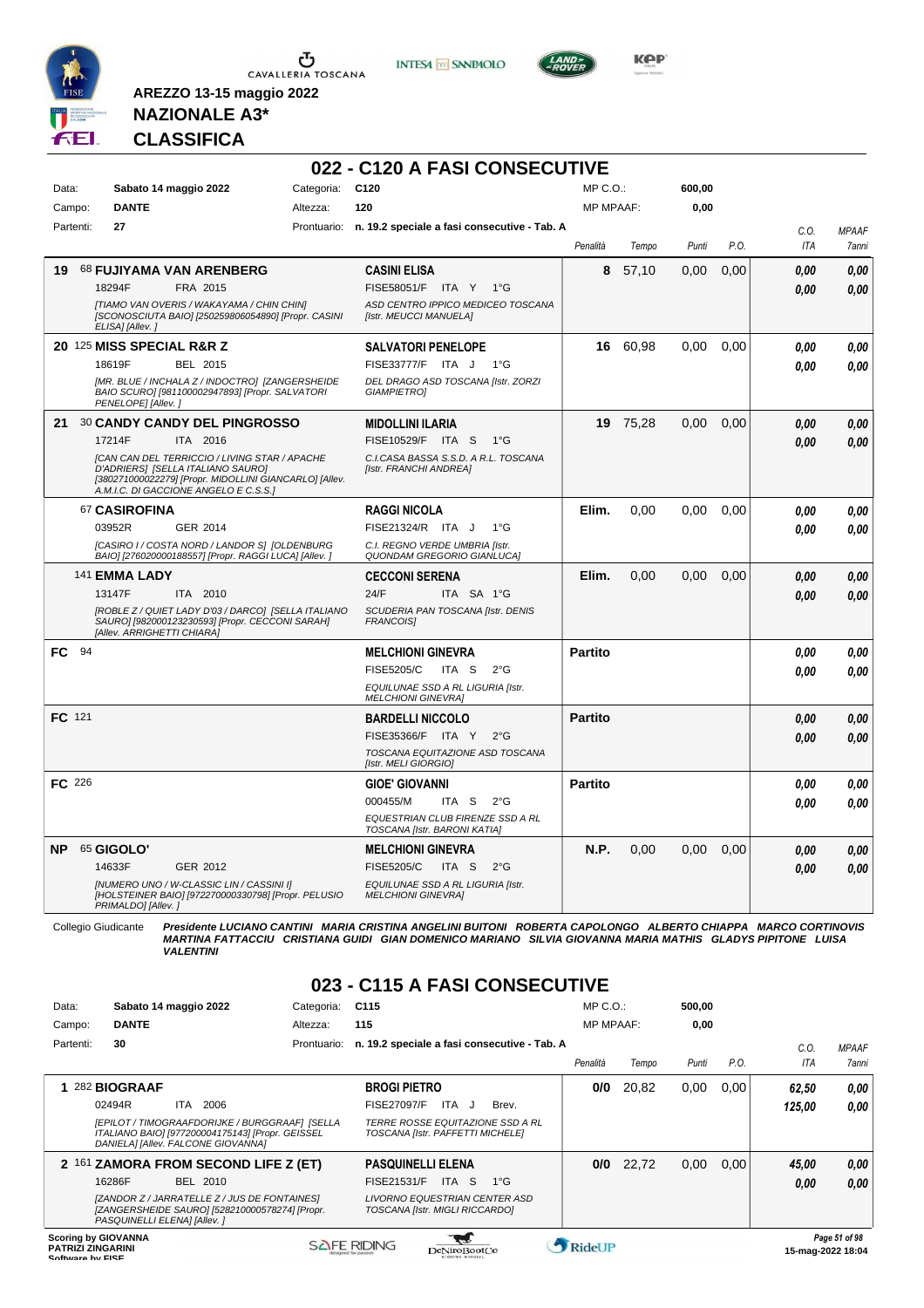

 $\sigma$  CAVALLERIA TOSCANA

**INTESA** M SANPAOLO



**KPP** 

### **NAZIONALE A3\* CLASSIFICA**

**AREZZO 13-15 maggio 2022**

#### **022 - C120 A FASI CONSECUTIVE**

| Data:     |           | Sabato 14 maggio 2022                                                                                                 | Categoria: | C <sub>120</sub>                                               | MP C. O.         |          | 600,00 |      |            |              |
|-----------|-----------|-----------------------------------------------------------------------------------------------------------------------|------------|----------------------------------------------------------------|------------------|----------|--------|------|------------|--------------|
|           | Campo:    | <b>DANTE</b>                                                                                                          | Altezza:   | 120                                                            | <b>MP MPAAF:</b> |          | 0,00   |      |            |              |
|           | Partenti: | 27                                                                                                                    |            | Prontuario: n. 19.2 speciale a fasi consecutive - Tab. A       |                  |          |        |      | C.O.       | <b>MPAAF</b> |
|           |           |                                                                                                                       |            |                                                                | Penalità         | Tempo    | Punti  | P.O. | <b>ITA</b> | 7anni        |
| 19        |           | 68 FUJIYAMA VAN ARENBERG                                                                                              |            | <b>CASINI ELISA</b>                                            | 8                | 57,10    | 0,00   | 0,00 | 0.00       | 0,00         |
|           |           | 18294F<br>FRA 2015                                                                                                    |            | FISE58051/F ITA Y 1°G                                          |                  |          |        |      | 0.00       | 0.00         |
|           |           | [TIAMO VAN OVERIS / WAKAYAMA / CHIN CHIN]                                                                             |            | ASD CENTRO IPPICO MEDICEO TOSCANA                              |                  |          |        |      |            |              |
|           |           | [SCONOSCIUTA BAIO] [250259806054890] [Propr. CASINI<br>ELISA] [Allev.]                                                |            | [Istr. MEUCCI MANUELA]                                         |                  |          |        |      |            |              |
|           |           | 20 125 MISS SPECIAL R&R Z                                                                                             |            | <b>SALVATORI PENELOPE</b>                                      |                  | 16 60,98 | 0,00   | 0,00 | 0.00       | 0.00         |
|           |           | 18619F<br>BEL 2015                                                                                                    |            | FISE33777/F ITA J<br>1°G                                       |                  |          |        |      | 0.00       | 0.00         |
|           |           | [MR. BLUE / INCHALA Z / INDOCTRO] [ZANGERSHEIDE                                                                       |            | DEL DRAGO ASD TOSCANA [Istr. ZORZI                             |                  |          |        |      |            |              |
|           |           | BAIO SCURO] [981100002947893] [Propr. SALVATORI<br>PENELOPE] [Allev.]                                                 |            | <b>GIAMPIETROI</b>                                             |                  |          |        |      |            |              |
| 21        |           | <b>30 CANDY CANDY DEL PINGROSSO</b>                                                                                   |            | <b>MIDOLLINI ILARIA</b>                                        | 19               | 75,28    | 0.00   | 0,00 | 0.00       | 0,00         |
|           |           | 17214F<br>ITA 2016                                                                                                    |            | FISE10529/F ITA S<br>$1^{\circ}G$                              |                  |          |        |      | 0.00       | 0.00         |
|           |           | [CAN CAN DEL TERRICCIO / LIVING STAR / APACHE                                                                         |            | C.I.CASA BASSA S.S.D. A R.L. TOSCANA                           |                  |          |        |      |            |              |
|           |           | D'ADRIERS] [SELLA ITALIANO SAURO]<br>[380271000022279] [Propr. MIDOLLINI GIANCARLO] [Allev.                           |            | [Istr. FRANCHI ANDREA]                                         |                  |          |        |      |            |              |
|           |           | A.M.I.C. DI GACCIONE ANGELO E C.S.S.1                                                                                 |            |                                                                |                  |          |        |      |            |              |
|           |           | 67 CASIROFINA                                                                                                         |            | <b>RAGGI NICOLA</b>                                            | Elim.            | 0.00     | 0.00   | 0.00 | 0.00       | 0,00         |
|           |           | 03952R<br>GER 2014                                                                                                    |            | FISE21324/R ITA J<br>$1^{\circ}G$                              |                  |          |        |      | 0.00       | 0.00         |
|           |           | [CASIRO I / COSTA NORD / LANDOR S] [OLDENBURG<br>BAIO] [276020000188557] [Propr. RAGGI LUCA] [Allev. ]                |            | C.I. REGNO VERDE UMBRIA [Istr.<br>QUONDAM GREGORIO GIANLUCA]   |                  |          |        |      |            |              |
|           |           | 141 EMMA LADY                                                                                                         |            | <b>CECCONI SERENA</b>                                          | Elim.            | 0,00     | 0,00   | 0,00 | 0,00       | 0,00         |
|           |           | 13147F<br>ITA 2010                                                                                                    |            | 24/F<br>ITA SA 1°G                                             |                  |          |        |      | 0.00       | 0.00         |
|           |           | [ROBLE Z / QUIET LADY D'03 / DARCO] [SELLA ITALIANO                                                                   |            | SCUDERIA PAN TOSCANA [Istr. DENIS                              |                  |          |        |      |            |              |
|           |           | SAURO] [982000123230593] [Propr. CECCONI SARAH]<br>[Allev. ARRIGHETTI CHIARA]                                         |            | <b>FRANCOISI</b>                                               |                  |          |        |      |            |              |
| FC.       | 94        |                                                                                                                       |            | <b>MELCHIONI GINEVRA</b>                                       | <b>Partito</b>   |          |        |      | 0.00       | 0,00         |
|           |           |                                                                                                                       |            | <b>FISE5205/C</b><br>ITA S<br>$2^{\circ}G$                     |                  |          |        |      | 0.00       | 0.00         |
|           |           |                                                                                                                       |            | EQUILUNAE SSD A RL LIGURIA [Istr.                              |                  |          |        |      |            |              |
|           |           |                                                                                                                       |            | <b>MELCHIONI GINEVRA]</b>                                      |                  |          |        |      |            |              |
|           | FC 121    |                                                                                                                       |            | <b>BARDELLI NICCOLO</b>                                        | <b>Partito</b>   |          |        |      | 0.00       | 0,00         |
|           |           |                                                                                                                       |            | FISE35366/F ITA Y<br>$2^{\circ}G$                              |                  |          |        |      | 0.00       | 0.00         |
|           |           |                                                                                                                       |            | TOSCANA EQUITAZIONE ASD TOSCANA<br>[Istr. MELI GIORGIO]        |                  |          |        |      |            |              |
|           | FC 226    |                                                                                                                       |            | <b>GIOE' GIOVANNI</b>                                          | <b>Partito</b>   |          |        |      | 0.00       | 0.00         |
|           |           |                                                                                                                       |            | 000455/M<br>$2^{\circ}$ G<br>ITA S                             |                  |          |        |      | 0.00       | 0.00         |
|           |           |                                                                                                                       |            | EQUESTRIAN CLUB FIRENZE SSD A RL                               |                  |          |        |      |            |              |
|           |           |                                                                                                                       |            | TOSCANA [Istr. BARONI KATIA]                                   |                  |          |        |      |            |              |
| <b>NP</b> |           | 65 GIGOLO'                                                                                                            |            | <b>MELCHIONI GINEVRA</b>                                       | N.P.             | 0.00     | 0.00   | 0.00 | 0.00       | 0,00         |
|           |           | 14633F<br>GER 2012                                                                                                    |            | <b>FISE5205/C</b><br>ITA S<br>$2^{\circ}G$                     |                  |          |        |      | 0.00       | 0.00         |
|           |           | [NUMERO UNO / W-CLASSIC LIN / CASSINI I]<br>[HOLSTEINER BAIO] [972270000330798] [Propr. PELUSIO<br>PRIMALDO] [Allev.] |            | EQUILUNAE SSD A RL LIGURIA [Istr.<br><b>MELCHIONI GINEVRA]</b> |                  |          |        |      |            |              |

Collegio Giudicante Presidente LUCIANO CANTINI MARIA CRISTINA ANGELINI BUITONI ROBERTA CAPOLONGO ALBERTO CHIAPPA MARCO CORTINOVIS<br>MARTINA FATTACCIU CRISTIANA GUIDI GIAN DOMENICO MARIANO SILVIA GIOVANNA MARIA MATHIS GLADYS

#### **023 - C115 A FASI CONSECUTIVE**

| Data:                                        | Sabato 14 maggio 2022                                                                                                                    | Categoria:  | C <sub>115</sub>                                                     | $MP C. O.$ :     |       | 500,00 |      |        |                                    |
|----------------------------------------------|------------------------------------------------------------------------------------------------------------------------------------------|-------------|----------------------------------------------------------------------|------------------|-------|--------|------|--------|------------------------------------|
| Campo:                                       | <b>DANTE</b>                                                                                                                             | Altezza:    | 115                                                                  | <b>MP MPAAF:</b> |       | 0.00   |      |        |                                    |
| Partenti:                                    | 30                                                                                                                                       | Prontuario: | n. 19.2 speciale a fasi consecutive - Tab. A                         |                  |       |        |      | C.O.   | <b>MPAAF</b>                       |
|                                              |                                                                                                                                          |             |                                                                      | Penalità         | Tempo | Punti  | P.O. | ITA    | 7anni                              |
|                                              | 282 BIOGRAAF                                                                                                                             |             | <b>BROGI PIETRO</b>                                                  | 0/0              | 20,82 | 0,00   | 0.00 | 62,50  | 0,00                               |
|                                              | 02494R<br>ITA.<br>2006                                                                                                                   |             | <b>FISE27097/F</b><br>ITA J<br>Brev.                                 |                  |       |        |      | 125.00 | 0.00                               |
|                                              | [EPILOT / TIMOGRAAFDORIJKE / BURGGRAAF] [SELLA<br>ITALIANO BAIO] [977200004175143] [Propr. GEISSEL<br>DANIELA] [Allev. FALCONE GIOVANNA] |             | TERRE ROSSE EQUITAZIONE SSD A RL<br>TOSCANA [Istr. PAFFETTI MICHELE] |                  |       |        |      |        |                                    |
|                                              | 2 161 ZAMORA FROM SECOND LIFE Z (ET)                                                                                                     |             | <b>PASQUINELLI ELENA</b>                                             | 0/0              | 22,72 | 0,00   | 0.00 | 45,00  | 0,00                               |
|                                              | 16286F<br>BEL 2010                                                                                                                       |             | <b>FISE21531/F</b><br>ITA S<br>$1^{\circ}G$                          |                  |       |        |      | 0,00   | 0.00                               |
|                                              | [ZANDOR Z / JARRATELLE Z / JUS DE FONTAINES]<br>[ZANGERSHEIDE SAURO] [528210000578274] [Propr.<br>PASQUINELLI ELENAI [Allev.]            |             | LIVORNO EQUESTRIAN CENTER ASD<br>TOSCANA [Istr. MIGLI RICCARDO]      |                  |       |        |      |        |                                    |
| <b>PATRIZI ZINGARINI</b><br>Coffware by EICE | <b>Scoring by GIOVANNA</b>                                                                                                               |             | <b>SAFE RIDING</b><br>DeNiroBootCo                                   | RideUP           |       |        |      |        | Page 51 of 98<br>15-mag-2022 18:04 |

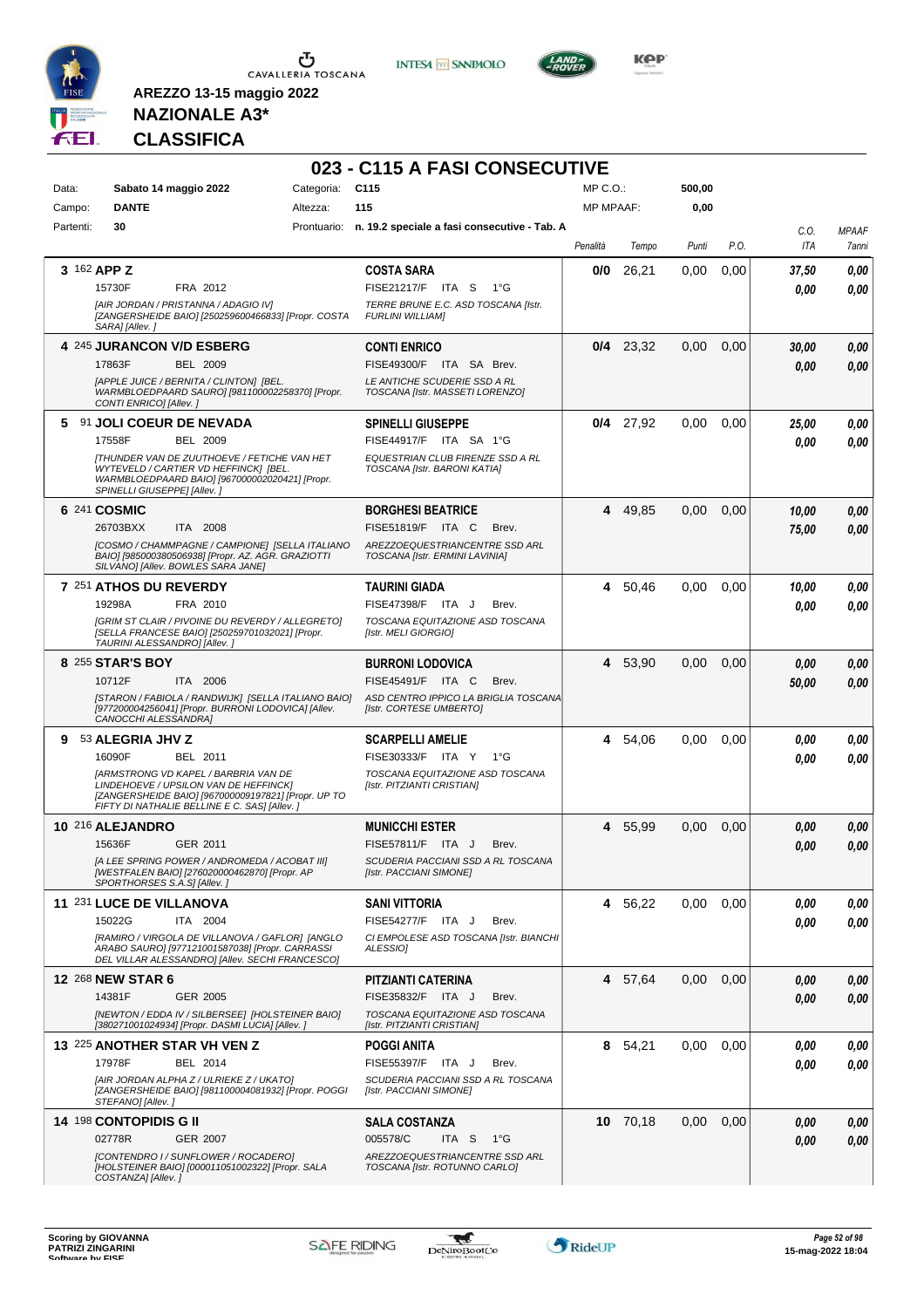



**023 - C115 A FASI CONSECUTIVE**



**Kep** 

### **NAZIONALE A3\* CLASSIFICA**

| Data:     | Sabato 14 maggio 2022                                                                                                                                                                       | Categoria: | C <sub>115</sub>                                                 | MP C.O.:         |             | 500,00 |      |             |                       |
|-----------|---------------------------------------------------------------------------------------------------------------------------------------------------------------------------------------------|------------|------------------------------------------------------------------|------------------|-------------|--------|------|-------------|-----------------------|
| Campo:    | <b>DANTE</b>                                                                                                                                                                                | Altezza:   | 115                                                              | <b>MP MPAAF:</b> |             | 0,00   |      |             |                       |
| Partenti: | 30                                                                                                                                                                                          |            | Prontuario: n. 19.2 speciale a fasi consecutive - Tab. A         | Penalità         | Tempo       | Punti  | P.O. | C.O.<br>ITA | <b>MPAAF</b><br>7anni |
|           | 3 162 APP Z                                                                                                                                                                                 |            | <b>COSTA SARA</b>                                                | 0/0              | 26,21       | 0.00   | 0,00 | 37,50       | 0,00                  |
|           | 15730F<br>FRA 2012                                                                                                                                                                          |            | FISE21217/F ITA S<br>1°G                                         |                  |             |        |      | 0.00        | 0.00                  |
|           | [AIR JORDAN / PRISTANNA / ADAGIO IV]<br>[ZANGERSHEIDE BAIO] [250259600466833] [Propr. COSTA<br>SARA] [Allev.]                                                                               |            | TERRE BRUNE E.C. ASD TOSCANA [Istr.<br><b>FURLINI WILLIAM]</b>   |                  |             |        |      |             |                       |
|           | 4 245 JURANCON V/D ESBERG                                                                                                                                                                   |            | <b>CONTI ENRICO</b>                                              |                  | $0/4$ 23,32 | 0,00   | 0,00 | 30,00       | 0,00                  |
|           | 17863F<br><b>BEL 2009</b>                                                                                                                                                                   |            | FISE49300/F ITA SA Brev.                                         |                  |             |        |      | 0.00        | 0.00                  |
|           | [APPLE JUICE / BERNITA / CLINTON] [BEL.<br>WARMBLOEDPAARD SAURO] [981100002258370] [Propr.<br>CONTI ENRICO] [Allev.]                                                                        |            | LE ANTICHE SCUDERIE SSD A RL<br>TOSCANA [Istr. MASSETI LORENZO]  |                  |             |        |      |             |                       |
|           | 5 91 JOLI COEUR DE NEVADA                                                                                                                                                                   |            | <b>SPINELLI GIUSEPPE</b>                                         |                  | $0/4$ 27,92 | 0,00   | 0,00 | 25,00       | 0,00                  |
|           | 17558F<br><b>BEL 2009</b>                                                                                                                                                                   |            | FISE44917/F ITA SA 1°G                                           |                  |             |        |      | 0.00        | 0.00                  |
|           | <b>[THUNDER VAN DE ZUUTHOEVE / FETICHE VAN HET</b><br>WYTEVELD / CARTIER VD HEFFINCK] [BEL.<br>WARMBLOEDPAARD BAIO] [967000002020421] [Propr.<br>SPINELLI GIUSEPPE] [Allev.]                |            | EQUESTRIAN CLUB FIRENZE SSD A RL<br>TOSCANA [Istr. BARONI KATIA] |                  |             |        |      |             |                       |
|           | 6 241 COSMIC                                                                                                                                                                                |            | <b>BORGHESI BEATRICE</b>                                         |                  | 4 49,85     | 0,00   | 0,00 | 10,00       | 0,00                  |
|           | 26703BXX<br>ITA 2008                                                                                                                                                                        |            | FISE51819/F ITA C<br>Brev.                                       |                  |             |        |      | 75,00       | 0.00                  |
|           | ICOSMO / CHAMMPAGNE / CAMPIONE] [SELLA ITALIANO<br>BAIO] [985000380506938] [Propr. AZ. AGR. GRAZIOTTI<br>SILVANO] [Allev. BOWLES SARA JANE]                                                 |            | AREZZOEQUESTRIANCENTRE SSD ARL<br>TOSCANA [Istr. ERMINI LAVINIA] |                  |             |        |      |             |                       |
|           | 7 251 ATHOS DU REVERDY                                                                                                                                                                      |            | <b>TAURINI GIADA</b>                                             |                  | 4 50,46     | 0,00   | 0,00 | 10,00       | 0,00                  |
|           | 19298A<br>FRA 2010                                                                                                                                                                          |            | FISE47398/F ITA J<br>Brev.                                       |                  |             |        |      | 0.00        | 0.00                  |
|           | <b>IGRIM ST CLAIR / PIVOINE DU REVERDY / ALLEGRETO]</b><br>[SELLA FRANCESE BAIO] [250259701032021] [Propr.<br>TAURINI ALESSANDRO] [Allev.]                                                  |            | TOSCANA EQUITAZIONE ASD TOSCANA<br>[Istr. MELI GIORGIO]          |                  |             |        |      |             |                       |
|           | 8 255 STAR'S BOY                                                                                                                                                                            |            | <b>BURRONI LODOVICA</b>                                          |                  | 4 53,90     | 0,00   | 0,00 | 0,00        | 0,00                  |
|           | 10712F<br>ITA 2006                                                                                                                                                                          |            | FISE45491/F ITA C<br>Brev.                                       |                  |             |        |      | 50,00       | 0.00                  |
|           | [STARON / FABIOLA / RANDWIJK] [SELLA ITALIANO BAIO]<br>[977200004256041] [Propr. BURRONI LODOVICA] [Allev.<br>CANOCCHI ALESSANDRA]                                                          |            | ASD CENTRO IPPICO LA BRIGLIA TOSCANA<br>[Istr. CORTESE UMBERTO]  |                  |             |        |      |             |                       |
| 9         | 53 ALEGRIA JHV Z                                                                                                                                                                            |            | <b>SCARPELLI AMELIE</b>                                          |                  | 4 54,06     | 0,00   | 0.00 | 0.00        | 0,00                  |
|           | 16090F<br>BEL 2011                                                                                                                                                                          |            | FISE30333/F ITA Y 1°G                                            |                  |             |        |      | 0.00        | 0.00                  |
|           | <b>JARMSTRONG VD KAPEL / BARBRIA VAN DE</b><br>LINDEHOEVE / UPSILON VAN DE HEFFINCK]<br>[ZANGERSHEIDE BAIO] [967000009197821] [Propr. UP TO<br>FIFTY DI NATHALIE BELLINE E C. SAS] [Allev.] |            | TOSCANA EQUITAZIONE ASD TOSCANA<br>[Istr. PITZIANTI CRISTIAN]    |                  |             |        |      |             |                       |
|           | 10 216 ALEJANDRO                                                                                                                                                                            |            | <b>MUNICCHI ESTER</b>                                            |                  | 4 55,99     | 0.00   | 0,00 | 0,00        | 0,00                  |
|           | GER 2011<br>15636F                                                                                                                                                                          |            | FISE57811/F ITA J<br>Brev.                                       |                  |             |        |      | 0.00        | 0.00                  |
|           | [A LEE SPRING POWER / ANDROMEDA / ACOBAT III]<br>[WESTFALEN BAIO] [276020000462870] [Propr. AP<br>SPORTHORSES S.A.S] [Allev.]                                                               |            | SCUDERIA PACCIANI SSD A RL TOSCANA<br>[Istr. PACCIANI SIMONE]    |                  |             |        |      |             |                       |
|           | 11 231 LUCE DE VILLANOVA                                                                                                                                                                    |            | <b>SANI VITTORIA</b>                                             | 4                | 56,22       | 0,00   | 0.00 | 0,00        | 0,00                  |
|           | 15022G<br>ITA 2004                                                                                                                                                                          |            | FISE54277/F ITA J<br>Brev.                                       |                  |             |        |      | 0.00        | 0.00                  |
|           | [RAMIRO / VIRGOLA DE VILLANOVA / GAFLOR] [ANGLO<br>ARABO SAURO] [977121001587038] [Propr. CARRASSI<br>DEL VILLAR ALESSANDRO] [Allev. SECHI FRANCESCO]                                       |            | CI EMPOLESE ASD TOSCANA [Istr. BIANCHI<br>ALESSIO]               |                  |             |        |      |             |                       |
|           | 12 268 NEW STAR 6                                                                                                                                                                           |            | PITZIANTI CATERINA                                               |                  | 4 57,64     | 0,00   | 0,00 | 0,00        | 0,00                  |
|           | 14381F<br>GER 2005                                                                                                                                                                          |            | FISE35832/F ITA J<br>Brev.                                       |                  |             |        |      | 0,00        | 0,00                  |
|           | [NEWTON / EDDA IV / SILBERSEE] [HOLSTEINER BAIO]<br>[380271001024934] [Propr. DASMI LUCIA] [Allev.]                                                                                         |            | TOSCANA EQUITAZIONE ASD TOSCANA<br>[Istr. PITZIANTI CRISTIAN]    |                  |             |        |      |             |                       |
|           | 13 225 ANOTHER STAR VH VEN Z                                                                                                                                                                |            | <b>POGGI ANITA</b>                                               |                  | 8 54,21     | 0,00   | 0,00 | 0,00        | 0,00                  |
|           | 17978F<br>BEL 2014                                                                                                                                                                          |            | FISE55397/F ITA J<br>Brev.                                       |                  |             |        |      | 0.00        | 0,00                  |
|           | [AIR JORDAN ALPHA Z / ULRIEKE Z / UKATO]<br>[ZANGERSHEIDE BAIO] [981100004081932] [Propr. POGGI<br>STEFANO] [Allev.]                                                                        |            | SCUDERIA PACCIANI SSD A RL TOSCANA<br>[Istr. PACCIANI SIMONE]    |                  |             |        |      |             |                       |
|           | 14 <sup>198</sup> CONTOPIDIS G II                                                                                                                                                           |            | <b>SALA COSTANZA</b>                                             |                  | 10 70,18    | 0,00   | 0,00 | 0,00        | 0,00                  |
|           | 02778R<br>GER 2007                                                                                                                                                                          |            | 005578/C<br>ITA S<br>− 1°G                                       |                  |             |        |      | 0,00        | 0,00                  |
|           | [CONTENDRO I / SUNFLOWER / ROCADERO]<br>[HOLSTEINER BAIO] [000011051002322] [Propr. SALA<br>COSTANZA] [Allev.]                                                                              |            | AREZZOEQUESTRIANCENTRE SSD ARL<br>TOSCANA [Istr. ROTUNNO CARLO]  |                  |             |        |      |             |                       |

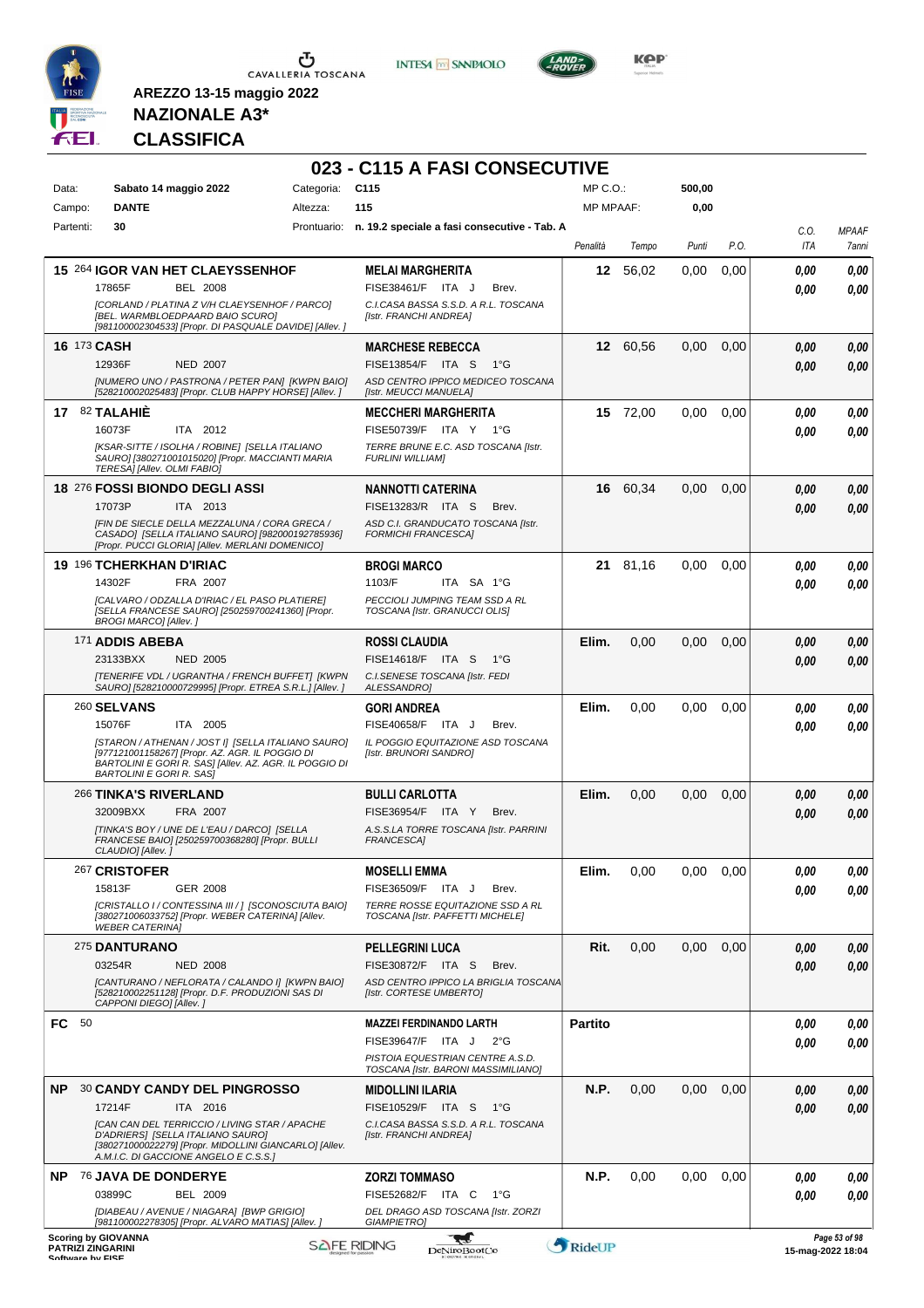

 $\sigma$  cavalleria toscana

**INTESA M** SANPAOLO



**KOP** 

# **NAZIONALE A3\* CLASSIFICA**

|                                              |                                                                                                                                                                                                                          |            | 023 - C115 A FASI CONSECUTIVE                                                             |                  |          |        |      |                   |                       |
|----------------------------------------------|--------------------------------------------------------------------------------------------------------------------------------------------------------------------------------------------------------------------------|------------|-------------------------------------------------------------------------------------------|------------------|----------|--------|------|-------------------|-----------------------|
| Data:                                        | Sabato 14 maggio 2022                                                                                                                                                                                                    | Categoria: | C <sub>115</sub>                                                                          | $MP C. O.$ :     |          | 500,00 |      |                   |                       |
| Campo:                                       | <b>DANTE</b>                                                                                                                                                                                                             | Altezza:   | 115                                                                                       | <b>MP MPAAF:</b> |          | 0,00   |      |                   |                       |
| Partenti:                                    | 30                                                                                                                                                                                                                       |            | Prontuario: n. 19.2 speciale a fasi consecutive - Tab. A                                  | Penalità         | Tempo    | Punti  | P.O. | C.O.<br>ITA       | <b>MPAAF</b><br>7anni |
|                                              | 15 264 IGOR VAN HET CLAEYSSENHOF                                                                                                                                                                                         |            | <b>MELAI MARGHERITA</b>                                                                   | 12               | 56,02    | 0,00   | 0,00 | 0.00              | 0,00                  |
|                                              | 17865F<br><b>BEL 2008</b>                                                                                                                                                                                                |            | FISE38461/F ITA J<br>Brev.                                                                |                  |          |        |      | 0.00              | 0,00                  |
|                                              | [CORLAND / PLATINA Z V/H CLAEYSENHOF / PARCO]<br>[BEL. WARMBLOEDPAARD BAIO SCURO]<br>[981100002304533] [Propr. DI PASQUALE DAVIDE] [Allev. ]                                                                             |            | C.I.CASA BASSA S.S.D. A R.L. TOSCANA<br>[Istr. FRANCHI ANDREA]                            |                  |          |        |      |                   |                       |
| 16 173 CASH                                  |                                                                                                                                                                                                                          |            | <b>MARCHESE REBECCA</b>                                                                   |                  | 12 60,56 | 0,00   | 0,00 | 0,00              | 0,00                  |
|                                              | <b>NED 2007</b><br>12936F                                                                                                                                                                                                |            | FISE13854/F ITA S<br>1°G                                                                  |                  |          |        |      | 0.00              | 0,00                  |
|                                              | [NUMERO UNO / PASTRONA / PETER PAN] [KWPN BAIO]<br>[528210002025483] [Propr. CLUB HAPPY HORSE] [Allev. ]                                                                                                                 |            | ASD CENTRO IPPICO MEDICEO TOSCANA<br>[Istr. MEUCCI MANUELA]                               |                  |          |        |      |                   |                       |
|                                              | 17 82 TALAHIE<br>16073F<br>ITA 2012                                                                                                                                                                                      |            | <b>MECCHERI MARGHERITA</b><br>FISE50739/F ITA Y 1°G                                       |                  | 15 72,00 | 0.00   | 0,00 | 0,00<br>0.00      | 0,00<br>0,00          |
|                                              | [KSAR-SITTE / ISOLHA / ROBINE] [SELLA ITALIANO<br>SAURO] [380271001015020] [Propr. MACCIANTI MARIA<br>TERESA] [Allev. OLMI FABIO]                                                                                        |            | TERRE BRUNE E.C. ASD TOSCANA [Istr.<br><b>FURLINI WILLIAMI</b>                            |                  |          |        |      |                   |                       |
|                                              | 18 276 FOSSI BIONDO DEGLI ASSI                                                                                                                                                                                           |            | NANNOTTI CATERINA                                                                         |                  | 16 60,34 | 0,00   | 0,00 | 0.00              | 0,00                  |
|                                              | 17073P<br>ITA 2013                                                                                                                                                                                                       |            | FISE13283/R ITA S<br>Brev.                                                                |                  |          |        |      | 0.00              | 0,00                  |
|                                              | [FIN DE SIECLE DELLA MEZZALUNA / CORA GRECA /<br>CASADO] [SELLA ITALIANO SAURO] [982000192785936]<br>[Propr. PUCCI GLORIA] [Allev. MERLANI DOMENICO]                                                                     |            | ASD C.I. GRANDUCATO TOSCANA [Istr.<br><b>FORMICHI FRANCESCAI</b>                          |                  |          |        |      |                   |                       |
|                                              | 19 196 TCHERKHAN D'IRIAC                                                                                                                                                                                                 |            | <b>BROGI MARCO</b>                                                                        |                  | 21 81,16 | 0,00   | 0,00 | 0.00              | 0,00                  |
|                                              | 14302F<br>FRA 2007                                                                                                                                                                                                       |            | 1103/F<br>ITA SA 1°G                                                                      |                  |          |        |      | 0.00              | 0.00                  |
|                                              | ICALVARO / ODZALLA D'IRIAC / EL PASO PLATIEREI<br>ISELLA FRANCESE SAUROJ [250259700241360] [Propr.<br><b>BROGI MARCO] [Allev.]</b>                                                                                       |            | PECCIOLI JUMPING TEAM SSD A RL<br>TOSCANA [Istr. GRANUCCI OLIS]                           |                  |          |        |      |                   |                       |
|                                              | 171 ADDIS ABEBA                                                                                                                                                                                                          |            | <b>ROSSI CLAUDIA</b>                                                                      | Elim.            | 0,00     | 0,00   | 0,00 | 0.00              | 0,00                  |
|                                              | 23133BXX<br><b>NED 2005</b><br><b>ITENERIFE VDL / UGRANTHA / FRENCH BUFFET] [KWPN</b>                                                                                                                                    |            | FISE14618/F ITA S<br>1°G<br>C.I. SENESE TOSCANA [Istr. FEDI                               |                  |          |        |      | 0.00              | 0.00                  |
|                                              | SAURO] [528210000729995] [Propr. ETREA S.R.L.] [Allev.]                                                                                                                                                                  |            | ALESSANDRO]                                                                               |                  |          |        |      |                   |                       |
|                                              | 260 SELVANS                                                                                                                                                                                                              |            | <b>GORI ANDREA</b>                                                                        | Elim.            | 0,00     | 0,00   | 0,00 | 0.00              | 0,00                  |
|                                              | 15076F<br>ITA 2005<br>[STARON / ATHENAN / JOST I] [SELLA ITALIANO SAURO]<br>[977121001158267] [Propr. AZ. AGR. IL POGGIO DI<br>BARTOLINI E GORI R. SAS] [Allev. AZ. AGR. IL POGGIO DI<br><b>BARTOLINI E GORI R. SASI</b> |            | FISE40658/F ITA J<br>Brev.<br>IL POGGIO EQUITAZIONE ASD TOSCANA<br>[Istr. BRUNORI SANDRO] |                  |          |        |      | 0.00              | 0.00                  |
|                                              | 266 TINKA'S RIVERLAND                                                                                                                                                                                                    |            | <b>BULLI CARLOTTA</b>                                                                     | Elim.            | 0,00     | 0,00   | 0,00 | 0,00              | 0,00                  |
|                                              | FRA 2007<br>32009BXX                                                                                                                                                                                                     |            | FISE36954/F ITA Y<br>Brev.                                                                |                  |          |        |      | 0,00              | 0,00                  |
|                                              | [TINKA'S BOY / UNE DE L'EAU / DARCO] [SELLA<br>FRANCESE BAIO] [250259700368280] [Propr. BULLI<br>CLAUDIO] [Allev. j                                                                                                      |            | A.S.S.LA TORRE TOSCANA [Istr. PARRINI<br>FRANCESCA]                                       |                  |          |        |      |                   |                       |
|                                              | 267 CRISTOFER                                                                                                                                                                                                            |            | <b>MOSELLI EMMA</b>                                                                       | Elim.            | 0,00     | 0.00   | 0,00 | 0.00              | 0,00                  |
|                                              | 15813F<br>GER 2008                                                                                                                                                                                                       |            | FISE36509/F ITA J<br>Brev.                                                                |                  |          |        |      | 0.00              | 0,00                  |
|                                              | [CRISTALLO I / CONTESSINA III / ] [SCONOSCIUTA BAIO]<br>[380271006033752] [Propr. WEBER CATERINA] [Allev.<br><b>WEBER CATERINAI</b>                                                                                      |            | TERRE ROSSE EQUITAZIONE SSD A RL<br>TOSCANA [Istr. PAFFETTI MICHELE]                      |                  |          |        |      |                   |                       |
|                                              | 275 DANTURANO                                                                                                                                                                                                            |            | <b>PELLEGRINI LUCA</b>                                                                    | Rit.             | 0,00     | 0.00   | 0,00 | 0.00              | 0,00                  |
|                                              | 03254R<br><b>NED 2008</b>                                                                                                                                                                                                |            | FISE30872/F ITA S<br>Brev.<br>ASD CENTRO IPPICO LA BRIGLIA TOSCANA                        |                  |          |        |      | 0.00              | 0,00                  |
|                                              | [CANTURANO / NEFLORATA / CALANDO I] [KWPN BAIO]<br>[528210002251128] [Propr. D.F. PRODUZIONI SAS DI<br>CAPPONI DIEGO] [Allev. ]                                                                                          |            | [Istr. CORTESE UMBERTO]                                                                   |                  |          |        |      |                   |                       |
| - 50<br>FC.                                  |                                                                                                                                                                                                                          |            | <b>MAZZEI FERDINANDO LARTH</b>                                                            | <b>Partito</b>   |          |        |      | 0.00              | 0,00                  |
|                                              |                                                                                                                                                                                                                          |            | FISE39647/F ITA J<br>$2^{\circ}G$                                                         |                  |          |        |      | 0.00              | 0,00                  |
|                                              |                                                                                                                                                                                                                          |            | PISTOIA EQUESTRIAN CENTRE A.S.D.<br>TOSCANA [Istr. BARONI MASSIMILIANO]                   |                  |          |        |      |                   |                       |
| NP.                                          | <b>30 CANDY CANDY DEL PINGROSSO</b>                                                                                                                                                                                      |            | <b>MIDOLLINI ILARIA</b>                                                                   | N.P.             | 0,00     | 0.00   | 0,00 | 0.00              | 0,00                  |
|                                              | 17214F<br>ITA 2016                                                                                                                                                                                                       |            | FISE10529/F ITA S<br>− 1°G                                                                |                  |          |        |      | 0.00              | 0,00                  |
|                                              | [CAN CAN DEL TERRICCIO / LIVING STAR / APACHE<br>D'ADRIERS] [SELLA ITALIANO SAURO]<br>[380271000022279] [Propr. MIDOLLINI GIANCARLO] [Allev.<br>A.M.I.C. DI GACCIONE ANGELO E C.S.S.]                                    |            | C.I.CASA BASSA S.S.D. A R.L. TOSCANA<br>[Istr. FRANCHI ANDREA]                            |                  |          |        |      |                   |                       |
|                                              | NP 76 JAVA DE DONDERYE                                                                                                                                                                                                   |            | <b>ZORZI TOMMASO</b>                                                                      | N.P.             | 0,00     | 0.00   | 0,00 | 0,00              | 0,00                  |
|                                              | 03899C<br><b>BEL 2009</b>                                                                                                                                                                                                |            | FISE52682/F ITA C<br>1°G                                                                  |                  |          |        |      | 0.00              | 0.00                  |
|                                              | [DIABEAU / AVENUE / NIAGARA] [BWP GRIGIO]<br>[981100002278305] [Propr. ALVARO MATIAS] [Allev. ]                                                                                                                          |            | DEL DRAGO ASD TOSCANA [Istr. ZORZI<br><b>GIAMPIETRO]</b>                                  |                  |          |        |      |                   |                       |
| <b>PATRIZI ZINGARINI</b><br>Coffware by EICE | <b>Scoring by GIOVANNA</b>                                                                                                                                                                                               |            | ₩<br><b>SAFE RIDING</b><br>DeNiroBootCo                                                   | RideUP           |          |        |      | 15-mag-2022 18:04 | Page 53 of 98         |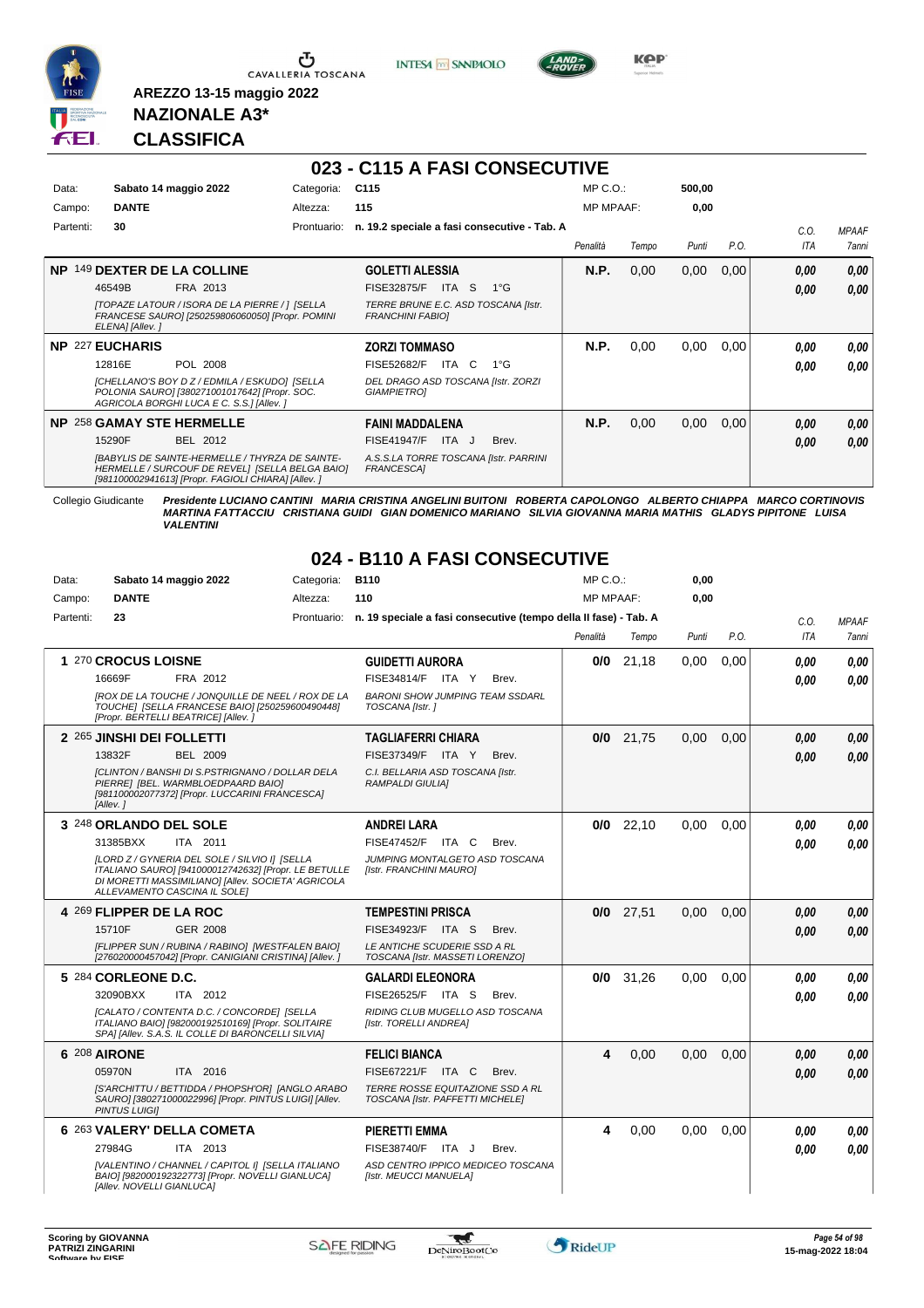

 $\sigma$  CAVALLERIA TOSCANA

**INTESA** M SANPAOLO



**Kep** 

#### **NAZIONALE A3\* CLASSIFICA**

**AREZZO 13-15 maggio 2022**

#### **023 - C115 A FASI CONSECUTIVE**

| Data:     | Sabato 14 maggio 2022                                                                                                                                           | Categoria:  | C <sub>115</sub>                                               | $MP C. O.$ :     |       | 500,00 |      |      |              |
|-----------|-----------------------------------------------------------------------------------------------------------------------------------------------------------------|-------------|----------------------------------------------------------------|------------------|-------|--------|------|------|--------------|
| Campo:    | <b>DANTE</b>                                                                                                                                                    | Altezza:    | 115                                                            | <b>MP MPAAF:</b> |       | 0,00   |      |      |              |
| Partenti: | 30                                                                                                                                                              | Prontuario: | n. 19.2 speciale a fasi consecutive - Tab. A                   |                  |       |        |      | C.O. | <b>MPAAF</b> |
|           |                                                                                                                                                                 |             |                                                                | Penalità         | Tempo | Punti  | P.O. | ITA  | <b>7anni</b> |
| NP.       | 149 DEXTER DE LA COLLINE                                                                                                                                        |             | <b>GOLETTI ALESSIA</b>                                         | <b>N.P.</b>      | 0,00  | 0,00   | 0,00 | 0.00 | 0,00         |
|           | 46549B<br>FRA 2013                                                                                                                                              |             | FISE32875/F<br>ITA S<br>$1^{\circ}G$                           |                  |       |        |      | 0.00 | 0,00         |
|           | [TOPAZE LATOUR / ISORA DE LA PIERRE / ] [SELLA<br>FRANCESE SAURO] [250259806060050] [Propr. POMINI<br>ELENA] [Allev.]                                           |             | TERRE BRUNE E.C. ASD TOSCANA [Istr.<br><b>FRANCHINI FABIOI</b> |                  |       |        |      |      |              |
|           | <b>NP 227 EUCHARIS</b>                                                                                                                                          |             | <b>ZORZI TOMMASO</b>                                           | <b>N.P.</b>      | 0,00  | 0.00   | 0,00 | 0.00 | 0,00         |
|           | 12816E<br>POL 2008                                                                                                                                              |             | FISE52682/F<br>ITA C<br>1°G                                    |                  |       |        |      | 0.00 | 0.00         |
|           | [CHELLANO'S BOY D Z / EDMILA / ESKUDO] [SELLA<br>POLONIA SAURO] [380271001017642] [Propr. SOC.<br>AGRICOLA BORGHI LUCA E C. S.S.] [Allev. ]                     |             | DEL DRAGO ASD TOSCANA [Istr. ZORZI<br><b>GIAMPIETROI</b>       |                  |       |        |      |      |              |
|           | <b>NP 258 GAMAY STE HERMELLE</b>                                                                                                                                |             | <b>FAINI MADDALENA</b>                                         | N.P.             | 0,00  | 0,00   | 0,00 | 0.00 | 0,00         |
|           | BEL 2012<br>15290F                                                                                                                                              |             | Brev.<br><b>FISE41947/F</b><br>ITA J                           |                  |       |        |      | 0.00 | 0,00         |
|           | <b>[BABYLIS DE SAINTE-HERMELLE / THYRZA DE SAINTE-</b><br>HERMELLE / SURCOUF DE REVEL] [SELLA BELGA BAIO]<br>[981100002941613] [Propr. FAGIOLI CHIARA] [Allev.] |             | A.S.S.LA TORRE TOSCANA [Istr. PARRINI<br>FRANCESCA1            |                  |       |        |      |      |              |

Collegio Giudicante Presidente LUCIANO CANTINI MARIA CRISTINA ANGELINI BUITONI ROBERTA CAPOLONGO ALBERTO CHIAPPA MARCO CORTINOVIS<br>MARTINA FATTACCIU CRISTIANA GUIDI GIAN DOMENICO MARIANO SILVIA GIOVANNA MARIA MATHIS GLADYS

**024 - B110 A FASI CONSECUTIVE** 

| Data:     | Sabato 14 maggio 2022                                                                                                                                                                       | Categoria: | B110                                                                         | MP C.O.:         |             | 0,00  |      |            |              |
|-----------|---------------------------------------------------------------------------------------------------------------------------------------------------------------------------------------------|------------|------------------------------------------------------------------------------|------------------|-------------|-------|------|------------|--------------|
| Campo:    | <b>DANTE</b>                                                                                                                                                                                | Altezza:   | 110                                                                          | <b>MP MPAAF:</b> |             | 0,00  |      |            |              |
| Partenti: | 23                                                                                                                                                                                          |            | Prontuario: n. 19 speciale a fasi consecutive (tempo della II fase) - Tab. A |                  |             |       |      | C.O.       | <b>MPAAF</b> |
|           |                                                                                                                                                                                             |            |                                                                              | Penalità         | Tempo       | Punti | P.O. | <b>ITA</b> | 7anni        |
|           | 1 270 CROCUS LOISNE                                                                                                                                                                         |            | <b>GUIDETTI AURORA</b>                                                       |                  | $0/0$ 21,18 | 0,00  | 0,00 | 0.00       | 0.00         |
|           | FRA 2012<br>16669F                                                                                                                                                                          |            | FISE34814/F ITA Y<br>Brev.                                                   |                  |             |       |      | 0.00       | 0.00         |
|           | IROX DE LA TOUCHE / JONQUILLE DE NEEL / ROX DE LA<br>TOUCHE] [SELLA FRANCESE BAIO] [250259600490448]<br>[Propr. BERTELLI BEATRICE] [Allev. ]                                                |            | <b>BARONI SHOW JUMPING TEAM SSDARL</b><br>TOSCANA [Istr.]                    |                  |             |       |      |            |              |
|           | 2 265 JINSHI DEI FOLLETTI                                                                                                                                                                   |            | <b>TAGLIAFERRI CHIARA</b>                                                    | 0/0              | 21,75       | 0,00  | 0,00 | 0.00       | 0.00         |
|           | 13832F<br><b>BEL 2009</b>                                                                                                                                                                   |            | FISE37349/F ITA Y<br>Brev.                                                   |                  |             |       |      | 0.00       | 0,00         |
|           | [CLINTON / BANSHI DI S.PSTRIGNANO / DOLLAR DELA<br>PIERRE] [BEL. WARMBLOEDPAARD BAIO]<br>[981100002077372] [Propr. LUCCARINI FRANCESCA]<br>[Allev.]                                         |            | C.I. BELLARIA ASD TOSCANA [Istr.<br><b>RAMPALDI GIULIAI</b>                  |                  |             |       |      |            |              |
|           | 3 248 ORLANDO DEL SOLE                                                                                                                                                                      |            | <b>ANDREI LARA</b>                                                           | 0/0              | 22.10       | 0.00  | 0.00 | 0.00       | 0.00         |
|           | 31385BXX<br>ITA 2011                                                                                                                                                                        |            | FISE47452/F<br>ITA C<br>Brev.                                                |                  |             |       |      | 0.00       | 0.00         |
|           | [LORD Z / GYNERIA DEL SOLE / SILVIO I] [SELLA<br>ITALIANO SAURO] [941000012742632] [Propr. LE BETULLE<br>DI MORETTI MASSIMILIANO] [Allev. SOCIETA' AGRICOLA<br>ALLEVAMENTO CASCINA IL SOLEI |            | JUMPING MONTALGETO ASD TOSCANA<br>[Istr. FRANCHINI MAURO]                    |                  |             |       |      |            |              |
|           | 4 269 FLIPPER DE LA ROC                                                                                                                                                                     |            | <b>TEMPESTINI PRISCA</b>                                                     |                  | $0/0$ 27.51 | 0.00  | 0.00 | 0,00       | 0,00         |
|           | 15710F<br><b>GER 2008</b>                                                                                                                                                                   |            | FISE34923/F ITA S<br>Brev.                                                   |                  |             |       |      | 0.00       | 0.00         |
|           | [FLIPPER SUN / RUBINA / RABINO] [WESTFALEN BAIO]<br>[276020000457042] [Propr. CANIGIANI CRISTINA] [Allev. ]                                                                                 |            | LE ANTICHE SCUDERIE SSD A RL<br>TOSCANA [Istr. MASSETI LORENZO]              |                  |             |       |      |            |              |
|           | 5 284 CORLEONE D.C.                                                                                                                                                                         |            | <b>GALARDI ELEONORA</b>                                                      | 0/0              | 31.26       | 0,00  | 0.00 | 0.00       | 0.00         |
|           | 32090BXX<br>ITA 2012                                                                                                                                                                        |            | FISE26525/F ITA S<br>Brev.                                                   |                  |             |       |      | 0.00       | 0.00         |
|           | [CALATO / CONTENTA D.C. / CONCORDE] [SELLA<br>ITALIANO BAIO] [982000192510169] [Propr. SOLITAIRE<br>SPAI [Allev. S.A.S. IL COLLE DI BARONCELLI SILVIA]                                      |            | RIDING CLUB MUGELLO ASD TOSCANA<br>[Istr. TORELLI ANDREA]                    |                  |             |       |      |            |              |
|           | 6 208 AIRONE                                                                                                                                                                                |            | <b>FELICI BIANCA</b>                                                         | 4                | 0,00        | 0,00  | 0.00 | 0,00       | 0,00         |
|           | 05970N<br>ITA 2016                                                                                                                                                                          |            | FISE67221/F ITA C<br>Brev.                                                   |                  |             |       |      | 0,00       | 0.00         |
|           | [S'ARCHITTU / BETTIDDA / PHOPSH'OR] [ANGLO ARABO<br>SAURO] [380271000022996] [Propr. PINTUS LUIGI] [Allev.<br><b>PINTUS LUIGII</b>                                                          |            | TERRE ROSSE EQUITAZIONE SSD A RL<br>TOSCANA [Istr. PAFFETTI MICHELE]         |                  |             |       |      |            |              |
|           | 6 263 VALERY' DELLA COMETA                                                                                                                                                                  |            | <b>PIERETTI EMMA</b>                                                         | 4                | 0,00        | 0.00  | 0.00 | 0.00       | 0.00         |
|           | 27984G<br>ITA 2013                                                                                                                                                                          |            | FISE38740/F ITA J<br>Brev.                                                   |                  |             |       |      | 0.00       | 0.00         |
|           | [VALENTINO / CHANNEL / CAPITOL I] [SELLA ITALIANO<br>BAIOI [982000192322773] [Propr. NOVELLI GIANLUCA]<br>[Allev. NOVELLI GIANLUCA]                                                         |            | ASD CENTRO IPPICO MEDICEO TOSCANA<br>[Istr. MEUCCI MANUELA]                  |                  |             |       |      |            |              |

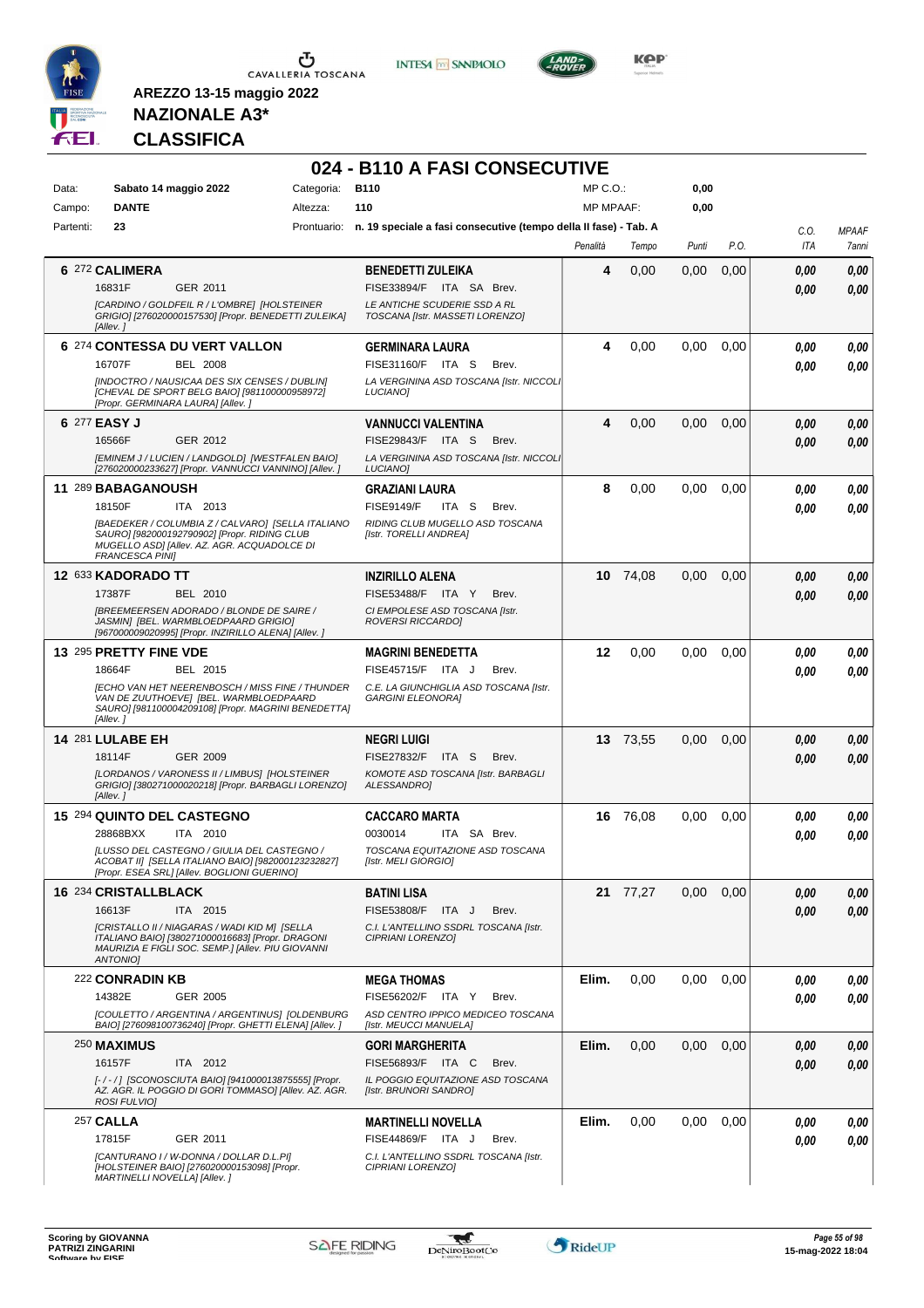

**INTESA M** SANPAOLO



**KOP** 

### **NAZIONALE A3\* CLASSIFICA**

|           |                                                                                                                                                                            |            | 024 - B110 A FASI CONSECUTIVE                                                |                  |          |       |      |      |              |
|-----------|----------------------------------------------------------------------------------------------------------------------------------------------------------------------------|------------|------------------------------------------------------------------------------|------------------|----------|-------|------|------|--------------|
| Data:     | Sabato 14 maggio 2022                                                                                                                                                      | Categoria: | <b>B110</b>                                                                  | $MP C. O.$ :     |          | 0,00  |      |      |              |
| Campo:    | <b>DANTE</b>                                                                                                                                                               | Altezza:   | 110                                                                          | <b>MP MPAAF:</b> |          | 0,00  |      |      |              |
| Partenti: | 23                                                                                                                                                                         |            | Prontuario: n. 19 speciale a fasi consecutive (tempo della II fase) - Tab. A |                  |          |       |      | C.O. | <b>MPAAF</b> |
|           |                                                                                                                                                                            |            |                                                                              | Penalità         | Tempo    | Punti | P.O. | ITA  | 7anni        |
|           | 6 272 CALIMERA                                                                                                                                                             |            | <b>BENEDETTI ZULEIKA</b>                                                     | 4                | 0,00     | 0,00  | 0,00 | 0,00 | 0,00         |
|           | 16831F<br>GER 2011                                                                                                                                                         |            | FISE33894/F<br>ITA SA Brev.                                                  |                  |          |       |      | 0.00 | 0,00         |
|           | [CARDINO / GOLDFEIL R / L'OMBRE] [HOLSTEINER<br>GRIGIO] [276020000157530] [Propr. BENEDETTI ZULEIKA]<br>[Allev.]                                                           |            | LE ANTICHE SCUDERIE SSD A RL<br>TOSCANA [Istr. MASSETI LORENZO]              |                  |          |       |      |      |              |
|           | 6 274 CONTESSA DU VERT VALLON                                                                                                                                              |            | <b>GERMINARA LAURA</b>                                                       | 4                | 0,00     | 0,00  | 0.00 | 0.00 | 0,00         |
|           | 16707F<br><b>BEL 2008</b>                                                                                                                                                  |            | FISE31160/F ITA S<br>Brev.                                                   |                  |          |       |      | 0.00 | 0,00         |
|           | [INDOCTRO / NAUSICAA DES SIX CENSES / DUBLIN]<br>[CHEVAL DE SPORT BELG BAIO] [981100000958972]<br>[Propr. GERMINARA LAURA] [Allev. ]                                       |            | LA VERGININA ASD TOSCANA [Istr. NICCOLI<br><b>LUCIANOI</b>                   |                  |          |       |      |      |              |
|           | 6 277 EASY J                                                                                                                                                               |            | <b>VANNUCCI VALENTINA</b>                                                    | 4                | 0,00     | 0.00  | 0,00 | 0,00 | 0,00         |
|           | 16566F<br>GER 2012                                                                                                                                                         |            | FISE29843/F ITA S<br>Brev.                                                   |                  |          |       |      | 0.00 | 0.00         |
|           | [EMINEM J / LUCIEN / LANDGOLD] [WESTFALEN BAIO]<br>[276020000233627] [Propr. VANNUCCI VANNINO] [Allev. ]                                                                   |            | LA VERGININA ASD TOSCANA [Istr. NICCOLI<br>LUCIANO]                          |                  |          |       |      |      |              |
|           | 11 289 BABAGANOUSH                                                                                                                                                         |            | <b>GRAZIANI LAURA</b>                                                        | 8                | 0,00     | 0,00  | 0,00 | 0.00 | 0,00         |
|           | 18150F<br>ITA 2013                                                                                                                                                         |            | <b>FISE9149/F</b><br>ITA S<br>Brev.                                          |                  |          |       |      | 0.00 | 0.00         |
|           | [BAEDEKER / COLUMBIA Z / CALVARO] [SELLA ITALIANO<br>SAURO] [982000192790902] [Propr. RIDING CLUB<br>MUGELLO ASD] [Allev. AZ. AGR. ACQUADOLCE DI<br><b>FRANCESCA PINII</b> |            | RIDING CLUB MUGELLO ASD TOSCANA<br>[Istr. TORELLI ANDREA]                    |                  |          |       |      |      |              |
|           | 12 633 KADORADO TT                                                                                                                                                         |            | <b>INZIRILLO ALENA</b>                                                       | 10               | 74,08    | 0,00  | 0,00 | 0.00 | 0,00         |
|           | 17387F<br>BEL 2010                                                                                                                                                         |            | FISE53488/F ITA Y<br>Brev.                                                   |                  |          |       |      | 0.00 | 0.00         |
|           | <b>IBREEMEERSEN ADORADO / BLONDE DE SAIRE /</b><br>JASMIN] [BEL. WARMBLOEDPAARD GRIGIO]<br>[967000009020995] [Propr. INZIRILLO ALENA] [Allev. ]                            |            | CI EMPOLESE ASD TOSCANA [Istr.<br>ROVERSI RICCARDO]                          |                  |          |       |      |      |              |
|           | 13 295 PRETTY FINE VDE                                                                                                                                                     |            | <b>MAGRINI BENEDETTA</b>                                                     | 12               | 0,00     | 0,00  | 0,00 | 0.00 | 0,00         |
|           | BEL 2015<br>18664F                                                                                                                                                         |            | FISE45715/F ITA J<br>Brev.                                                   |                  |          |       |      | 0.00 | 0.00         |
|           | <b>IECHO VAN HET NEERENBOSCH / MISS FINE / THUNDER</b><br>VAN DE ZUUTHOEVE] [BEL. WARMBLOEDPAARD<br>SAURO] [981100004209108] [Propr. MAGRINI BENEDETTA]<br>[Allev.]        |            | C.E. LA GIUNCHIGLIA ASD TOSCANA [Istr.<br><b>GARGINI ELEONORAI</b>           |                  |          |       |      |      |              |
|           | <b>14 281 LULABE EH</b>                                                                                                                                                    |            | <b>NEGRI LUIGI</b>                                                           |                  | 13 73.55 | 0,00  | 0,00 | 0,00 | 0,00         |
|           | 18114F<br>GER 2009                                                                                                                                                         |            | <b>FISE27832/F</b><br>ITA S<br>Brev.                                         |                  |          |       |      | 0.00 | 0.00         |
|           | [LORDANOS / VARONESS II / LIMBUS] [HOLSTEINER<br>GRIGIO] [380271000020218] [Propr. BARBAGLI LORENZO]<br>[Allev.]                                                           |            | KOMOTE ASD TOSCANA [Istr. BARBAGLI<br>ALESSANDRO]                            |                  |          |       |      |      |              |
|           | 15 294 QUINTO DEL CASTEGNO                                                                                                                                                 |            | <b>CACCARO MARTA</b>                                                         |                  | 16 76.08 | 0,00  | 0,00 | 0.00 | 0,00         |
|           | 28868BXX<br>ITA 2010                                                                                                                                                       |            | 0030014<br>ITA SA Brev.                                                      |                  |          |       |      | 0.00 | 0.00         |
|           | [LUSSO DEL CASTEGNO / GIULIA DEL CASTEGNO /<br>ACOBAT II] [SELLA ITALIANO BAIO] [982000123232827]<br>[Propr. ESEA SRL] [Allev. BOGLIONI GUERINO]                           |            | TOSCANA EQUITAZIONE ASD TOSCANA<br>[Istr. MELI GIORGIO]                      |                  |          |       |      |      |              |
|           | 16 234 CRISTALLBLACK                                                                                                                                                       |            | <b>BATINI LISA</b>                                                           |                  | 21 77,27 | 0.00  | 0.00 | 0,00 | 0,00         |
|           | 16613F<br>ITA 2015                                                                                                                                                         |            | FISE53808/F ITA J<br>Brev.                                                   |                  |          |       |      | 0.00 | 0,00         |
|           | [CRISTALLO II / NIAGARAS / WADI KID M] [SELLA<br>ITALIANO BAIO] [380271000016683] [Propr. DRAGONI<br>MAURIZIA E FIGLI SOC. SEMP.1 IAIlev. PIU GIOVANNI<br>ANTONIO]         |            | C.I. L'ANTELLINO SSDRL TOSCANA [Istr.<br>CIPRIANI LORENZO]                   |                  |          |       |      |      |              |
|           | 222 CONRADIN KB                                                                                                                                                            |            | <b>MEGA THOMAS</b>                                                           | Elim.            | 0,00     | 0.00  | 0.00 | 0.00 | 0,00         |
|           | 14382E<br>GER 2005                                                                                                                                                         |            | FISE56202/F ITA Y<br>Brev.                                                   |                  |          |       |      | 0.00 | 0,00         |
|           | [COULETTO / ARGENTINA / ARGENTINUS] [OLDENBURG<br>BAIO] [276098100736240] [Propr. GHETTI ELENA] [Allev.]                                                                   |            | ASD CENTRO IPPICO MEDICEO TOSCANA<br>[Istr. MEUCCI MANUELA]                  |                  |          |       |      |      |              |
|           | 250 MAXIMUS                                                                                                                                                                |            | <b>GORI MARGHERITA</b>                                                       | Elim.            | 0,00     | 0,00  | 0,00 | 0,00 | 0,00         |
|           | 16157F<br>ITA 2012                                                                                                                                                         |            | FISE56893/F ITA C<br>Brev.                                                   |                  |          |       |      | 0,00 | 0,00         |
|           | [-/-/] [SCONOSCIUTA BAIO] [941000013875555] [Propr.<br>AZ. AGR. IL POGGIO DI GORI TOMMASO] [Allev. AZ. AGR.<br>ROSI FULVIO]                                                |            | IL POGGIO EQUITAZIONE ASD TOSCANA<br>[Istr. BRUNORI SANDRO]                  |                  |          |       |      |      |              |
|           | <b>257 CALLA</b>                                                                                                                                                           |            | <b>MARTINELLI NOVELLA</b>                                                    | Elim.            | 0,00     | 0.00  | 0,00 | 0,00 | 0,00         |
|           | GER 2011<br>17815F                                                                                                                                                         |            | FISE44869/F ITA J<br>Brev.                                                   |                  |          |       |      | 0,00 | 0,00         |
|           | [CANTURANO I / W-DONNA / DOLLAR D.L.PI]<br>[HOLSTEINER BAIO] [276020000153098] [Propr.<br>MARTINELLI NOVELLA] [Allev.]                                                     |            | C.I. L'ANTELLINO SSDRL TOSCANA [Istr.<br>CIPRIANI LORENZO]                   |                  |          |       |      |      |              |

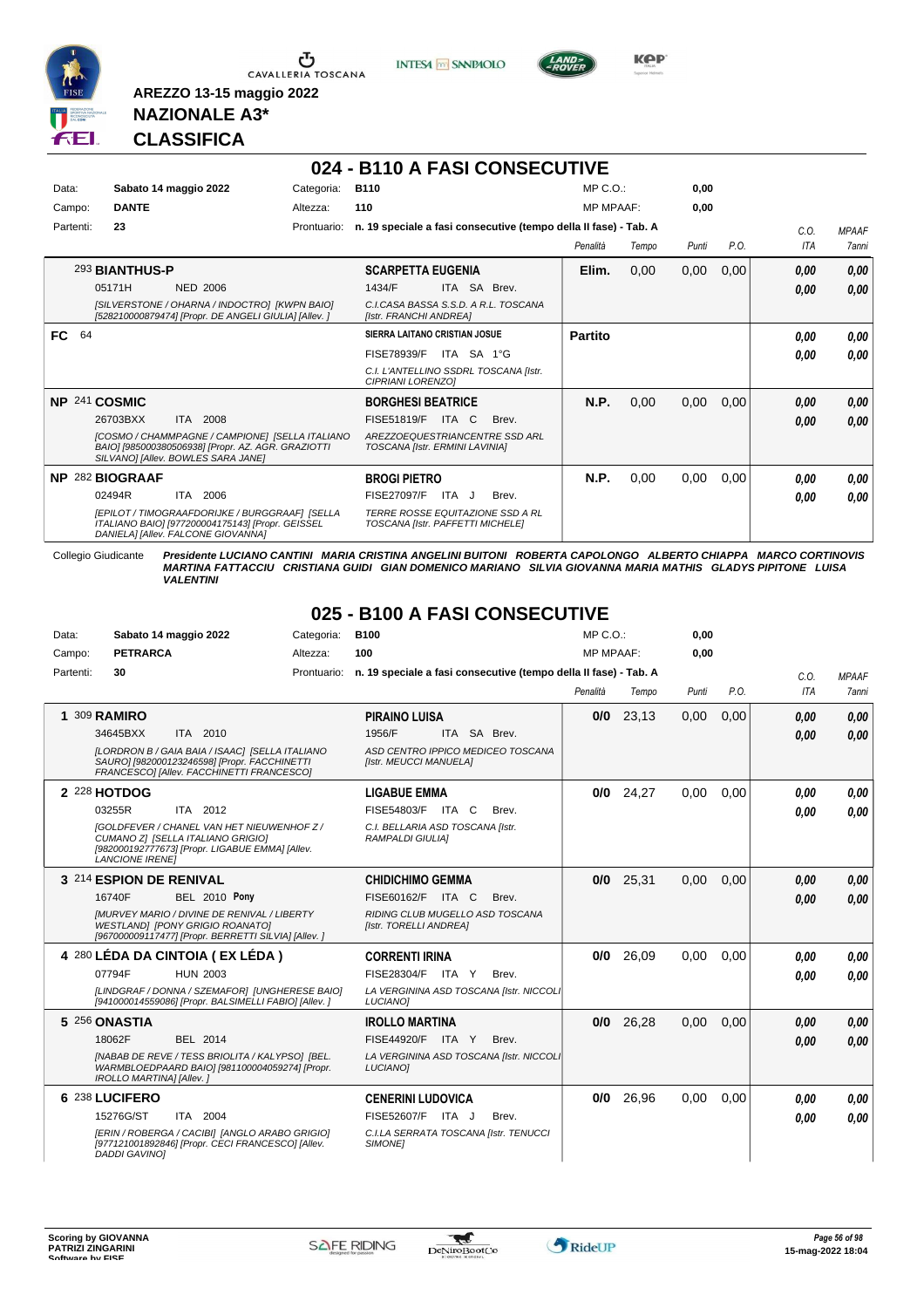

Ⴠ CAVALLERIA TOSCANA **INTESA M** SANPAOLO



**Kep** 

#### **NAZIONALE A3\* CLASSIFICA**

**AREZZO 13-15 maggio 2022**

#### **024 - B110 A FASI CONSECUTIVE**

| Data:<br>Campo: | Sabato 14 maggio 2022<br><b>DANTE</b>                                                                                                                                             | Categoria:<br>Altezza: | <b>B110</b><br>110                                                                                                                       | MP C. O.<br><b>MP MPAAF:</b> |       | 0,00<br>0,00 |      |                    |                              |
|-----------------|-----------------------------------------------------------------------------------------------------------------------------------------------------------------------------------|------------------------|------------------------------------------------------------------------------------------------------------------------------------------|------------------------------|-------|--------------|------|--------------------|------------------------------|
| Partenti:       | 23                                                                                                                                                                                | Prontuario:            | n. 19 speciale a fasi consecutive (tempo della II fase) - Tab. A                                                                         | Penalità                     | Tempo | Punti        | P.O. | C.O.<br><b>ITA</b> | <b>MPAAF</b><br><b>7anni</b> |
|                 | 293 BIANTHUS-P<br>05171H<br><b>NED 2006</b><br>[SILVERSTONE / OHARNA / INDOCTRO] [KWPN BAIO]<br>[528210000879474] [Propr. DE ANGELI GIULIA] [Allev.]                              |                        | <b>SCARPETTA EUGENIA</b><br><b>SA</b><br>1434/F<br><b>ITA</b><br>Brev.<br>C.I.CASA BASSA S.S.D. A R.L. TOSCANA<br>[Istr. FRANCHI ANDREA] | Elim.                        | 0,00  | 0,00         | 0,00 | 0,00<br>0.00       | 0,00<br>0,00                 |
| <b>FC</b><br>64 |                                                                                                                                                                                   |                        | SIERRA LAITANO CRISTIAN JOSUE<br>ITA SA 1°G<br>FISE78939/F<br>C.I. L'ANTELLINO SSDRL TOSCANA [Istr.<br><b>CIPRIANI LORENZOI</b>          | <b>Partito</b>               |       |              |      | 0.00<br>0.00       | 0,00<br>0.00                 |
| NP 241 COSMIC   | 2008<br>26703BXX<br><b>ITA</b><br>[COSMO / CHAMMPAGNE / CAMPIONE] [SELLA ITALIANO<br>BAIO] [985000380506938] [Propr. AZ. AGR. GRAZIOTTI<br>SILVANOI [Allev. BOWLES SARA JANE]     |                        | <b>BORGHESI BEATRICE</b><br>FISE51819/F<br>ITA C<br>Brev.<br>AREZZOEQUESTRIANCENTRE SSD ARL<br>TOSCANA [Istr. ERMINI LAVINIA]            | N.P.                         | 0,00  | 0,00         | 0,00 | 0,00<br>0.00       | 0,00<br>0,00                 |
| NP.             | 282 BIOGRAAF<br>02494R<br>ITA<br>2006<br>[EPILOT / TIMOGRAAFDORIJKE / BURGGRAAF] [SELLA<br>ITALIANO BAIO] [977200004175143] [Propr. GEISSEL<br>DANIELA] [Allev. FALCONE GIOVANNA] |                        | <b>BROGI PIETRO</b><br>FISE27097/F<br>ITA J<br>Brev.<br><b>TERRE ROSSE EQUITAZIONE SSD A RL</b><br>TOSCANA [Istr. PAFFETTI MICHELE]      | N.P.                         | 0,00  | 0,00         | 0,00 | 0.00<br>0.00       | 0,00<br>0,00                 |

Collegio Giudicante Presidente LUCIANO CANTINI MARIA CRISTINA ANGELINI BUITONI ROBERTA CAPOLONGO ALBERTO CHIAPPA MARCO CORTINOVIS<br>MARTINA FATTACCIU CRISTIANA GUIDI GIAN DOMENICO MARIANO SILVIA GIOVANNA MARIA MATHIS GLADYS

|           |                                                                                                                                                                     |             | ----                                                             |                  |       |       |      |            |              |
|-----------|---------------------------------------------------------------------------------------------------------------------------------------------------------------------|-------------|------------------------------------------------------------------|------------------|-------|-------|------|------------|--------------|
| Data:     | Sabato 14 maggio 2022                                                                                                                                               | Categoria:  | <b>B100</b>                                                      | MP C. O.         |       | 0.00  |      |            |              |
| Campo:    | <b>PETRARCA</b>                                                                                                                                                     | Altezza:    | 100                                                              | <b>MP MPAAF:</b> |       | 0.00  |      |            |              |
| Partenti: | 30                                                                                                                                                                  | Prontuario: | n. 19 speciale a fasi consecutive (tempo della II fase) - Tab. A |                  |       |       |      | C.0.       | <b>MPAAF</b> |
|           |                                                                                                                                                                     |             |                                                                  | Penalità         | Tempo | Punti | P.O. | <b>ITA</b> | 7anni        |
|           | 1 309 RAMIRO                                                                                                                                                        |             | <b>PIRAINO LUISA</b>                                             | 0/0              | 23,13 | 0,00  | 0,00 | 0.00       | 0.00         |
|           | ITA 2010<br>34645BXX                                                                                                                                                |             | 1956/F<br>ITA SA Brev.                                           |                  |       |       |      | 0.00       | 0.00         |
|           | ILORDRON B / GAIA BAIA / ISAAC] [SELLA ITALIANO<br>SAURO] [982000123246598] [Propr. FACCHINETTI<br>FRANCESCOI [Allev. FACCHINETTI FRANCESCO]                        |             | ASD CENTRO IPPICO MEDICEO TOSCANA<br>[Istr. MEUCCI MANUELA]      |                  |       |       |      |            |              |
|           | 2 228 HOTDOG                                                                                                                                                        |             | <b>LIGABUE EMMA</b>                                              | 0/0              | 24,27 | 0.00  | 0.00 | 0.00       | 0.00         |
|           | ITA 2012<br>03255R                                                                                                                                                  |             | FISE54803/F ITA C<br>Brev.                                       |                  |       |       |      | 0.00       | 0.00         |
|           | <b>IGOLDFEVER / CHANEL VAN HET NIEUWENHOF Z /</b><br>CUMANO ZI [SELLA ITALIANO GRIGIO]<br>[982000192777673] [Propr. LIGABUE EMMA] [Allev.<br><b>LANCIONE IRENEI</b> |             | C.I. BELLARIA ASD TOSCANA [Istr.<br><b>RAMPALDI GIULIAI</b>      |                  |       |       |      |            |              |
|           | 3 214 ESPION DE RENIVAL                                                                                                                                             |             | <b>CHIDICHIMO GEMMA</b>                                          | 0/0              | 25,31 | 0.00  | 0,00 | 0.00       | 0.00         |
|           | <b>BEL 2010 Pony</b><br>16740F                                                                                                                                      |             | FISE60162/F ITA C<br><b>Brev</b>                                 |                  |       |       |      | 0.00       | 0.00         |
|           | [MURVEY MARIO / DIVINE DE RENIVAL / LIBERTY<br><b>WESTLANDI IPONY GRIGIO ROANATOI</b><br>[967000009117477] [Propr. BERRETTI SILVIA] [Allev. ]                       |             | RIDING CLUB MUGELLO ASD TOSCANA<br>[Istr. TORELLI ANDREA]        |                  |       |       |      |            |              |
|           | 4 280 LÉDA DA CINTOIA (EX LÉDA )                                                                                                                                    |             | <b>CORRENTI IRINA</b>                                            | 0/0              | 26.09 | 0.00  | 0.00 | 0.00       | 0.00         |
|           | <b>HUN 2003</b><br>07794F                                                                                                                                           |             | FISE28304/F ITA Y<br>Brev.                                       |                  |       |       |      | 0.00       | 0.00         |
|           | [LINDGRAF / DONNA / SZEMAFOR] [UNGHERESE BAIO]<br>[941000014559086] [Propr. BALSIMELLI FABIO] [Allev. ]                                                             |             | LA VERGININA ASD TOSCANA [Istr. NICCOLI<br>LUCIANO]              |                  |       |       |      |            |              |
|           | 5 256 ONASTIA                                                                                                                                                       |             | <b>IROLLO MARTINA</b>                                            | 0/0              | 26.28 | 0,00  | 0,00 | 0.00       | 0.00         |
|           | BEL 2014<br>18062F                                                                                                                                                  |             | <b>FISE44920/F ITA Y</b><br>Brev.                                |                  |       |       |      | 0.00       | 0.00         |
|           | [NABAB DE REVE / TESS BRIOLITA / KALYPSO] [BEL.<br>WARMBLOEDPAARD BAIO] [981100004059274] [Propr.<br>IROLLO MARTINA] [Allev.]                                       |             | LA VERGININA ASD TOSCANA [Istr. NICCOLI<br>LUCIANO]              |                  |       |       |      |            |              |
|           | 6 238 LUCIFERO                                                                                                                                                      |             | <b>CENERINI LUDOVICA</b>                                         | 0/0              | 26,96 | 0,00  | 0,00 | 0.00       | 0.00         |
|           | ITA 2004<br>15276G/ST                                                                                                                                               |             | FISE52607/F ITA J<br>Brev.                                       |                  |       |       |      | 0.00       | 0.00         |
|           | [ERIN / ROBERGA / CACIBI] [ANGLO ARABO GRIGIO]<br>[977121001892846] [Propr. CECI FRANCESCO] [Allev.<br><b>DADDI GAVINO1</b>                                         |             | C.I.LA SERRATA TOSCANA [Istr. TENUCCI<br><b>SIMONEI</b>          |                  |       |       |      |            |              |

# **025 - B100 A FASI CONSECUTIVE**

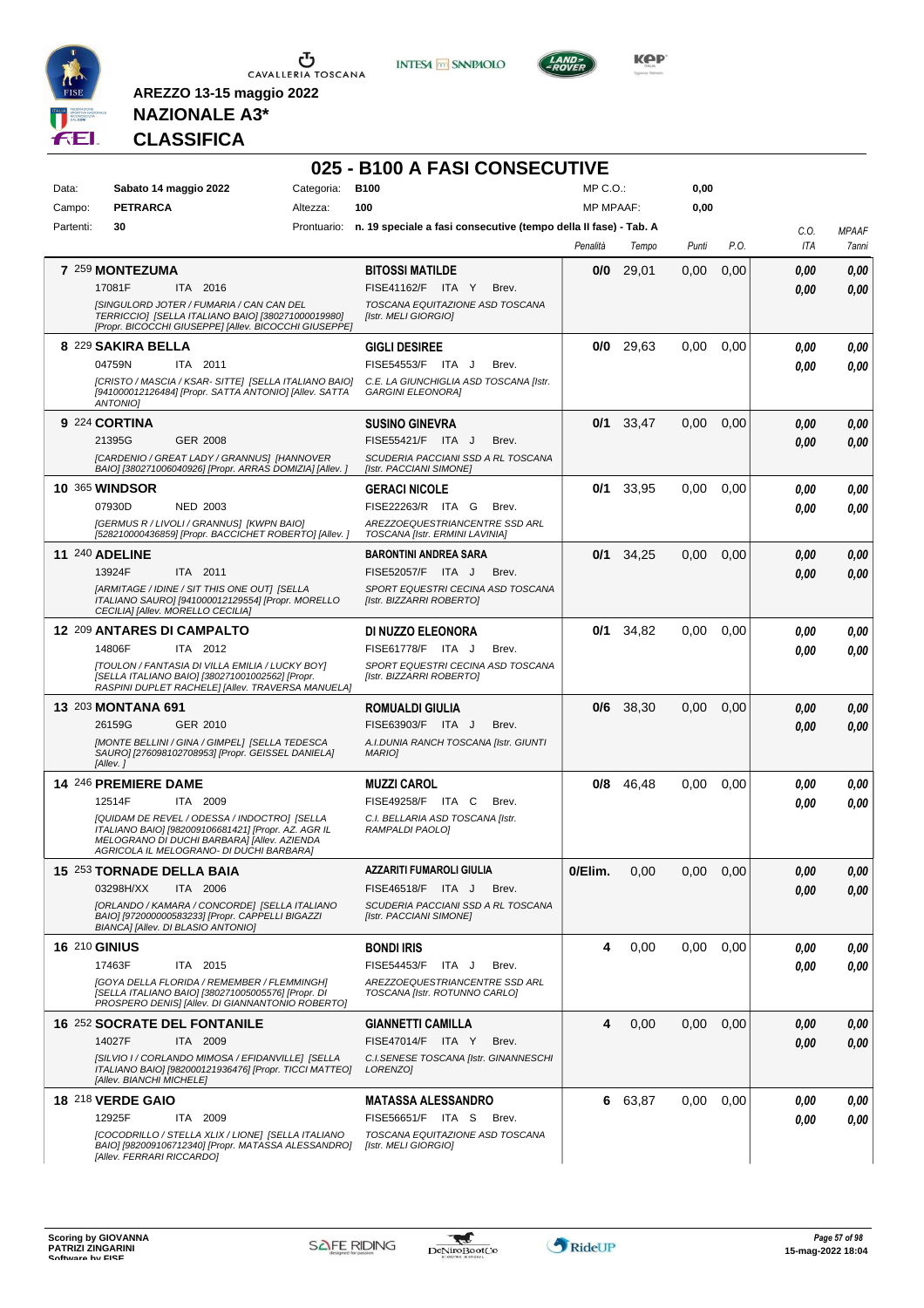

**INTESA M** SANPAOLO



**KOP** 

### **NAZIONALE A3\* CLASSIFICA**

|           |                                                                                                                                         |            | 025 - B100 A FASI CONSECUTIVE                                                |                  |             |       |      |      |              |
|-----------|-----------------------------------------------------------------------------------------------------------------------------------------|------------|------------------------------------------------------------------------------|------------------|-------------|-------|------|------|--------------|
| Data:     | Sabato 14 maggio 2022                                                                                                                   | Categoria: | <b>B100</b>                                                                  | $MP C. O.$ :     |             | 0,00  |      |      |              |
| Campo:    | <b>PETRARCA</b>                                                                                                                         | Altezza:   | 100                                                                          | <b>MP MPAAF:</b> |             | 0,00  |      |      |              |
| Partenti: | 30                                                                                                                                      |            | Prontuario: n. 19 speciale a fasi consecutive (tempo della II fase) - Tab. A |                  |             |       |      | C.O. | <b>MPAAF</b> |
|           |                                                                                                                                         |            |                                                                              | Penalità         | Tempo       | Punti | P.O. | ITA  | 7anni        |
|           | 7 259 MONTEZUMA                                                                                                                         |            | <b>BITOSSI MATILDE</b>                                                       | 0/0              | 29,01       | 0,00  | 0,00 | 0,00 | 0,00         |
|           | 17081F<br>ITA 2016                                                                                                                      |            | FISE41162/F ITA Y<br>Brev.                                                   |                  |             |       |      | 0.00 | 0,00         |
|           | [SINGULORD JOTER / FUMARIA / CAN CAN DEL<br>TERRICCIO] [SELLA ITALIANO BAIO] [380271000019980]                                          |            | TOSCANA EQUITAZIONE ASD TOSCANA<br><b>Ilstr. MELI GIORGIOI</b>               |                  |             |       |      |      |              |
|           | [Propr. BICOCCHI GIUSEPPE] [Allev. BICOCCHI GIUSEPPE]                                                                                   |            |                                                                              |                  |             |       |      |      |              |
|           | 8 229 SAKIRA BELLA                                                                                                                      |            | <b>GIGLI DESIREE</b>                                                         | 0/0              | 29,63       | 0,00  | 0,00 | 0,00 | 0,00         |
|           | 04759N<br>ITA 2011                                                                                                                      |            | FISE54553/F ITA J<br>Brev.                                                   |                  |             |       |      | 0,00 | 0,00         |
|           | [CRISTO / MASCIA / KSAR- SITTE] [SELLA ITALIANO BAIO]<br>[941000012126484] [Propr. SATTA ANTONIO] [Allev. SATTA<br><b>ANTONIOI</b>      |            | C.E. LA GIUNCHIGLIA ASD TOSCANA [Istr.<br><b>GARGINI ELEONORA]</b>           |                  |             |       |      |      |              |
|           | 9 224 CORTINA                                                                                                                           |            | <b>SUSINO GINEVRA</b>                                                        | 0/1              | 33,47       | 0,00  | 0,00 | 0,00 | 0.00         |
|           | 21395G<br>GER 2008                                                                                                                      |            | FISE55421/F ITA J<br>Brev.                                                   |                  |             |       |      | 0.00 | 0.00         |
|           | [CARDENIO / GREAT LADY / GRANNUS] [HANNOVER<br>BAIO] [380271006040926] [Propr. ARRAS DOMIZIA] [Allev. ]                                 |            | SCUDERIA PACCIANI SSD A RL TOSCANA<br>[Istr. PACCIANI SIMONE]                |                  |             |       |      |      |              |
|           | <b>10 365 WINDSOR</b>                                                                                                                   |            | <b>GERACI NICOLE</b>                                                         | 0/1              | 33,95       | 0,00  | 0,00 | 0,00 | 0.00         |
|           | 07930D<br><b>NED 2003</b>                                                                                                               |            | FISE22263/R ITA G<br>Brev.                                                   |                  |             |       |      | 0.00 | 0.00         |
|           | [GERMUS R / LIVOLI / GRANNUS] [KWPN BAIO]                                                                                               |            | AREZZOEQUESTRIANCENTRE SSD ARL                                               |                  |             |       |      |      |              |
|           | [528210000436859] [Propr. BACCICHET ROBERTO] [Allev.]                                                                                   |            | TOSCANA [Istr. ERMINI LAVINIA]                                               |                  |             |       |      |      |              |
|           | <b>11 240 ADELINE</b>                                                                                                                   |            | <b>BARONTINI ANDREA SARA</b>                                                 | 0/1              | 34,25       | 0,00  | 0.00 | 0,00 | 0,00         |
|           | 13924F<br>ITA 2011<br>[ARMITAGE / IDINE / SIT THIS ONE OUT] [SELLA                                                                      |            | FISE52057/F ITA J<br>Brev.<br>SPORT EQUESTRI CECINA ASD TOSCANA              |                  |             |       |      | 0.00 | 0,00         |
|           | ITALIANO SAURO] [941000012129554] [Propr. MORELLO<br>CECILIA] [Allev. MORELLO CECILIA]                                                  |            | [Istr. BIZZARRI ROBERTO]                                                     |                  |             |       |      |      |              |
|           | 12 209 ANTARES DI CAMPALTO                                                                                                              |            | DI NUZZO ELEONORA                                                            | 0/1              | 34,82       | 0,00  | 0,00 | 0,00 | 0,00         |
|           | 14806F<br>ITA 2012                                                                                                                      |            | FISE61778/F ITA J<br>Brev.                                                   |                  |             |       |      | 0,00 | 0.00         |
|           | [TOULON / FANTASIA DI VILLA EMILIA / LUCKY BOY]                                                                                         |            | SPORT EQUESTRI CECINA ASD TOSCANA                                            |                  |             |       |      |      |              |
|           | [SELLA ITALIANO BAIO] [380271001002562] [Propr.<br>RASPINI DUPLET RACHELE] [Allev. TRAVERSA MANUELA]                                    |            | [Istr. BIZZARRI ROBERTO]                                                     |                  |             |       |      |      |              |
|           | <b>13 203 MONTANA 691</b>                                                                                                               |            | <b>ROMUALDI GIULIA</b>                                                       |                  | $0/6$ 38,30 | 0,00  | 0,00 | 0,00 | 0,00         |
|           | 26159G<br>GER 2010                                                                                                                      |            | FISE63903/F ITA J<br>Brev.                                                   |                  |             |       |      | 0.00 | 0.00         |
|           | [MONTE BELLINI / GINA / GIMPEL] [SELLA TEDESCA<br>SAURO] [276098102708953] [Propr. GEISSEL DANIELA]                                     |            | A.I.DUNIA RANCH TOSCANA [Istr. GIUNTI<br><b>MARIO</b>                        |                  |             |       |      |      |              |
|           | [Allev.]                                                                                                                                |            |                                                                              |                  |             |       |      |      |              |
|           | 14 246 PREMIERE DAME                                                                                                                    |            | <b>MUZZI CAROL</b>                                                           | 0/8              | 46,48       | 0,00  | 0.00 | 0.00 | 0,00         |
|           | 12514F<br>ITA 2009                                                                                                                      |            | FISE49258/F ITA C<br>Brev.                                                   |                  |             |       |      | 0.00 | 0.00         |
|           | [QUIDAM DE REVEL / ODESSA / INDOCTRO] [SELLA<br>ITALIANO BAIO] [982009106681421] [Propr. AZ. AGR IL                                     |            | C.I. BELLARIA ASD TOSCANA [Istr.<br>RAMPALDI PAOLO]                          |                  |             |       |      |      |              |
|           | MELOGRANO DI DUCHI BARBARA] [Allev. AZIENDA<br>AGRICOLA IL MELOGRANO- DI DUCHI BARBARAJ                                                 |            |                                                                              |                  |             |       |      |      |              |
|           | 15 253 TORNADE DELLA BAIA                                                                                                               |            | <b>AZZARITI FUMAROLI GIULIA</b>                                              | 0/Elim.          | 0,00        | 0,00  | 0,00 | 0,00 | 0,00         |
|           | 03298H/XX<br>ITA 2006                                                                                                                   |            | FISE46518/F ITA J<br>Brev.                                                   |                  |             |       |      | 0,00 | 0,00         |
|           | [ORLANDO / KAMARA / CONCORDE] [SELLA ITALIANO                                                                                           |            | SCUDERIA PACCIANI SSD A RL TOSCANA                                           |                  |             |       |      |      |              |
|           | BAIO] [972000000583233] [Propr. CAPPELLI BIGAZZI<br>BIANCA] [Allev. DI BLASIO ANTONIO]                                                  |            | [Istr. PACCIANI SIMONE]                                                      |                  |             |       |      |      |              |
|           | <b>16 210 GINIUS</b>                                                                                                                    |            | <b>BONDI IRIS</b>                                                            | 4                | 0,00        | 0,00  | 0,00 | 0.00 | 0,00         |
|           | 17463F<br>ITA 2015                                                                                                                      |            | <b>FISE54453/F</b><br>ITA J<br>Brev.                                         |                  |             |       |      | 0,00 | 0,00         |
|           | <b>IGOYA DELLA FLORIDA / REMEMBER / FLEMMINGH]</b><br>[SELLA ITALIANO BAIO] [380271005005576] [Propr. DI                                |            | AREZZOEQUESTRIANCENTRE SSD ARL<br>TOSCANA [Istr. ROTUNNO CARLO]              |                  |             |       |      |      |              |
|           | PROSPERO DENISI [Allev. DI GIANNANTONIO ROBERTO]                                                                                        |            |                                                                              |                  |             |       |      |      |              |
|           | <b>16 252 SOCRATE DEL FONTANILE</b>                                                                                                     |            | <b>GIANNETTI CAMILLA</b>                                                     | 4                | 0,00        | 0,00  | 0,00 | 0,00 | 0,00         |
|           | 14027F<br>ITA 2009                                                                                                                      |            | FISE47014/F ITA Y<br>Brev.                                                   |                  |             |       |      | 0.00 | 0,00         |
|           | [SILVIO I / CORLANDO MIMOSA / EFIDANVILLE] [SELLA<br>ITALIANO BAIO] [982000121936476] [Propr. TICCI MATTEO]<br>[Allev. BIANCHI MICHELE] |            | C.I.SENESE TOSCANA [Istr. GINANNESCHI<br>LORENZO]                            |                  |             |       |      |      |              |
|           | 18 218 VERDE GAIO                                                                                                                       |            | <b>MATASSA ALESSANDRO</b>                                                    | 6                | 63,87       | 0,00  | 0.00 | 0,00 | 0,00         |
|           | 12925F<br>ITA 2009                                                                                                                      |            | FISE56651/F ITA S<br>Brev.                                                   |                  |             |       |      | 0,00 | 0,00         |
|           | [COCODRILLO / STELLA XLIX / LIONE] [SELLA ITALIANO<br>BAIO] [982009106712340] [Propr. MATASSA ALESSANDRO]                               |            | TOSCANA EQUITAZIONE ASD TOSCANA<br>[Istr. MELI GIORGIO]                      |                  |             |       |      |      |              |
|           | [Allev. FERRARI RICCARDO]                                                                                                               |            |                                                                              |                  |             |       |      |      |              |

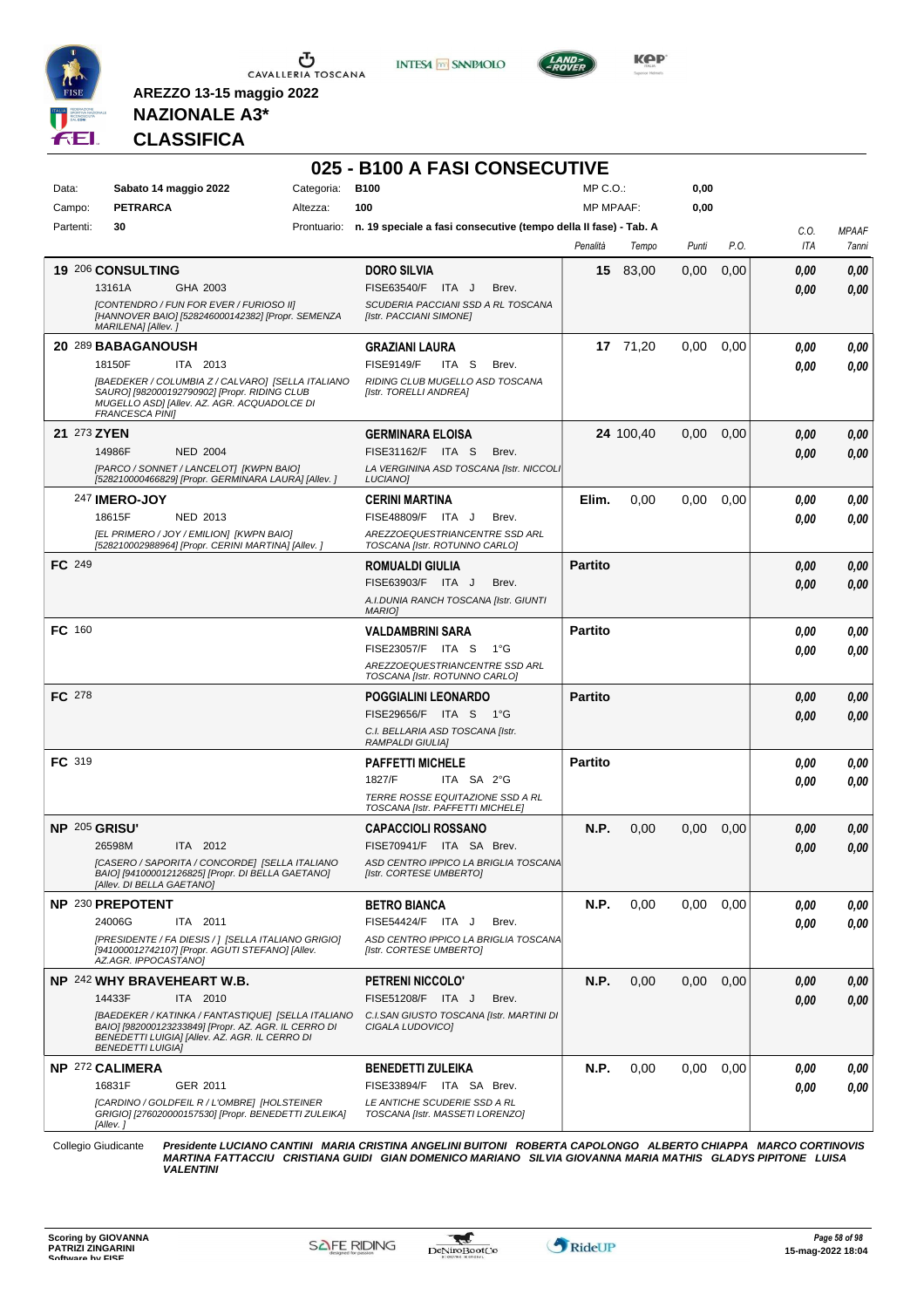

**INTESA** M SANPAOLO



**Kep** 

#### **NAZIONALE A3\* CLASSIFICA**

**AREZZO 13-15 maggio 2022**

|               |                                                                                                                                                                                          |            | 025 - B100 A FASI CONSECUTIVE                                                |                  |           |       |      |            |              |
|---------------|------------------------------------------------------------------------------------------------------------------------------------------------------------------------------------------|------------|------------------------------------------------------------------------------|------------------|-----------|-------|------|------------|--------------|
| Data:         | Sabato 14 maggio 2022                                                                                                                                                                    | Categoria: | <b>B100</b>                                                                  | $MP C. O.$ :     |           | 0,00  |      |            |              |
| Campo:        | <b>PETRARCA</b>                                                                                                                                                                          | Altezza:   | 100                                                                          | <b>MP MPAAF:</b> |           | 0,00  |      |            |              |
| Partenti:     | 30                                                                                                                                                                                       |            | Prontuario: n. 19 speciale a fasi consecutive (tempo della II fase) - Tab. A |                  |           |       |      | C.O.       | <b>MPAAF</b> |
|               |                                                                                                                                                                                          |            |                                                                              | Penalità         | Tempo     | Punti | P.O. | <b>ITA</b> | 7anni        |
|               | 19 206 CONSULTING                                                                                                                                                                        |            | <b>DORO SILVIA</b>                                                           |                  | 15 83,00  | 0,00  | 0,00 | 0,00       | 0,00         |
|               | 13161A<br>GHA 2003                                                                                                                                                                       |            | FISE63540/F<br>ITA J<br>Brev.                                                |                  |           |       |      | 0,00       | 0,00         |
|               | [CONTENDRO / FUN FOR EVER / FURIOSO II]<br>[HANNOVER BAIO] [528246000142382] [Propr. SEMENZA<br>MARILENA] [Allev. ]                                                                      |            | SCUDERIA PACCIANI SSD A RL TOSCANA<br>[Istr. PACCIANI SIMONE]                |                  |           |       |      |            |              |
|               | 20 289 BABAGANOUSH                                                                                                                                                                       |            | <b>GRAZIANI LAURA</b>                                                        |                  | 17 71.20  | 0.00  | 0,00 | 0,00       | 0,00         |
|               | 18150F<br>ITA 2013                                                                                                                                                                       |            | <b>FISE9149/F</b><br>ITA S<br>Brev.                                          |                  |           |       |      | 0.00       | 0,00         |
|               | [BAEDEKER / COLUMBIA Z / CALVARO] [SELLA ITALIANO<br>SAURO] [982000192790902] [Propr. RIDING CLUB<br>MUGELLO ASD] [Allev. AZ. AGR. ACQUADOLCE DI<br><b>FRANCESCA PINII</b>               |            | RIDING CLUB MUGELLO ASD TOSCANA<br>[Istr. TORELLI ANDREA]                    |                  |           |       |      |            |              |
| 21 273 ZYEN   |                                                                                                                                                                                          |            | <b>GERMINARA ELOISA</b>                                                      |                  | 24 100,40 | 0,00  | 0,00 | 0,00       | 0,00         |
|               | 14986F<br><b>NED 2004</b>                                                                                                                                                                |            | FISE31162/F ITA S<br>Brev.                                                   |                  |           |       |      | 0.00       | 0,00         |
|               | [PARCO / SONNET / LANCELOT] [KWPN BAIO]<br>[528210000466829] [Propr. GERMINARA LAURA] [Allev.]                                                                                           |            | LA VERGININA ASD TOSCANA [Istr. NICCOLI<br><b>LUCIANO1</b>                   |                  |           |       |      |            |              |
|               | <b>247 IMERO-JOY</b>                                                                                                                                                                     |            | <b>CERINI MARTINA</b>                                                        | Elim.            | 0,00      | 0.00  | 0,00 | 0,00       | 0.00         |
|               | 18615F<br>NED 2013                                                                                                                                                                       |            | FISE48809/F ITA J<br>Brev.                                                   |                  |           |       |      | 0.00       | 0.00         |
|               | [EL PRIMERO / JOY / EMILION] [KWPN BAIO]<br>[528210002988964] [Propr. CERINI MARTINA] [Allev. ]                                                                                          |            | AREZZOEQUESTRIANCENTRE SSD ARL<br>TOSCANA [Istr. ROTUNNO CARLO]              |                  |           |       |      |            |              |
| FC 249        |                                                                                                                                                                                          |            | <b>ROMUALDI GIULIA</b>                                                       | <b>Partito</b>   |           |       |      | 0,00       | 0.00         |
|               |                                                                                                                                                                                          |            | FISE63903/F ITA J<br>Brev.                                                   |                  |           |       |      | 0.00       | 0.00         |
|               |                                                                                                                                                                                          |            | A.I.DUNIA RANCH TOSCANA [Istr. GIUNTI<br><b>MARIOI</b>                       |                  |           |       |      |            |              |
| FC 160        |                                                                                                                                                                                          |            | VALDAMBRINI SARA                                                             | <b>Partito</b>   |           |       |      | 0,00       | 0.00         |
|               |                                                                                                                                                                                          |            | FISE23057/F ITA S<br>1°G                                                     |                  |           |       |      | 0,00       | 0.00         |
|               |                                                                                                                                                                                          |            | AREZZOEQUESTRIANCENTRE SSD ARL<br>TOSCANA [Istr. ROTUNNO CARLO]              |                  |           |       |      |            |              |
| <b>FC</b> 278 |                                                                                                                                                                                          |            | POGGIALINI LEONARDO                                                          | <b>Partito</b>   |           |       |      | 0,00       | 0,00         |
|               |                                                                                                                                                                                          |            | FISE29656/F ITA S 1°G                                                        |                  |           |       |      | 0.00       | 0,00         |
|               |                                                                                                                                                                                          |            | C.I. BELLARIA ASD TOSCANA [Istr.<br>RAMPALDI GIULIA]                         |                  |           |       |      |            |              |
| <b>FC</b> 319 |                                                                                                                                                                                          |            | <b>PAFFETTI MICHELE</b>                                                      | <b>Partito</b>   |           |       |      | 0.00       | 0.00         |
|               |                                                                                                                                                                                          |            | 1827/F<br>ITA SA 2°G                                                         |                  |           |       |      | 0.00       | 0.00         |
|               |                                                                                                                                                                                          |            | TERRE ROSSE EQUITAZIONE SSD A RL                                             |                  |           |       |      |            |              |
|               |                                                                                                                                                                                          |            | TOSCANA [Istr. PAFFETTI MICHELE]                                             |                  |           |       |      |            |              |
| NP 205 GRISU' |                                                                                                                                                                                          |            | <b>CAPACCIOLI ROSSANO</b>                                                    | N.P.             | 0,00      | 0,00  | 0,00 | 0.00       | 0.00         |
|               | 26598M<br>ITA 2012<br>[CASERO / SAPORITA / CONCORDE] [SELLA ITALIANO                                                                                                                     |            | FISE70941/F ITA SA Brev.<br>ASD CENTRO IPPICO LA BRIGLIA TOSCANA             |                  |           |       |      | 0.00       | 0.00         |
|               | BAIO] [941000012126825] [Propr. DI BELLA GAETANO]<br>[Allev. DI BELLA GAETANO]                                                                                                           |            | [Istr. CORTESE UMBERTO]                                                      |                  |           |       |      |            |              |
|               | NP 230 PREPOTENT                                                                                                                                                                         |            | <b>BETRO BIANCA</b>                                                          | N.P.             | 0,00      | 0,00  | 0,00 | 0,00       | 0,00         |
|               | 24006G<br>ITA 2011                                                                                                                                                                       |            | FISE54424/F ITA J<br>Brev.                                                   |                  |           |       |      | 0.00       | 0.00         |
|               | [PRESIDENTE / FA DIESIS / ] [SELLA ITALIANO GRIGIO]<br>[941000012742107] [Propr. AGUTI STEFANO] [Allev.<br>AZ.AGR. IPPOCASTANO]                                                          |            | ASD CENTRO IPPICO LA BRIGLIA TOSCANA<br>[Istr. CORTESE UMBERTO]              |                  |           |       |      |            |              |
|               | NP 242 WHY BRAVEHEART W.B.                                                                                                                                                               |            | <b>PETRENI NICCOLO'</b>                                                      | N.P.             | 0,00      | 0,00  | 0,00 | 0,00       | 0,00         |
|               | 14433F<br>ITA 2010                                                                                                                                                                       |            | FISE51208/F ITA J<br>Brev.                                                   |                  |           |       |      | 0,00       | 0.00         |
|               | [BAEDEKER / KATINKA / FANTASTIQUE] [SELLA ITALIANO<br>BAIO] [982000123233849] [Propr. AZ. AGR. IL CERRO DI<br>BENEDETTI LUIGIA] [Allev. AZ. AGR. IL CERRO DI<br><b>BENEDETTI LUIGIA]</b> |            | C.I.SAN GIUSTO TOSCANA [Istr. MARTINI DI<br>CIGALA LUDOVICO]                 |                  |           |       |      |            |              |
|               | NP 272 CALIMERA                                                                                                                                                                          |            | <b>BENEDETTI ZULEIKA</b>                                                     | N.P.             | 0,00      | 0.00  | 0.00 | 0,00       | 0,00         |
|               | 16831F<br>GER 2011                                                                                                                                                                       |            | FISE33894/F ITA SA Brev.                                                     |                  |           |       |      | 0.00       | 0.00         |
|               | [CARDINO / GOLDFEIL R / L'OMBRE] [HOLSTEINER<br>GRIGIO] [276020000157530] [Propr. BENEDETTI ZULEIKA]<br>[Allev.]                                                                         |            | LE ANTICHE SCUDERIE SSD A RL<br>TOSCANA [Istr. MASSETI LORENZO]              |                  |           |       |      |            |              |

Collegio Giudicante Presidente LUCIANO CANTINI MARIA CRISTINA ANGELINI BUITONI ROBERTA CAPOLONGO ALBERTO CHIAPPA MARCO CORTINOVIS<br>MARTINA FATTACCIU CRISTIANA GUIDI GIAN DOMENICO MARIANO SILVIA GIOVANNA MARIA MATHIS GLADYS *VALENTINI*



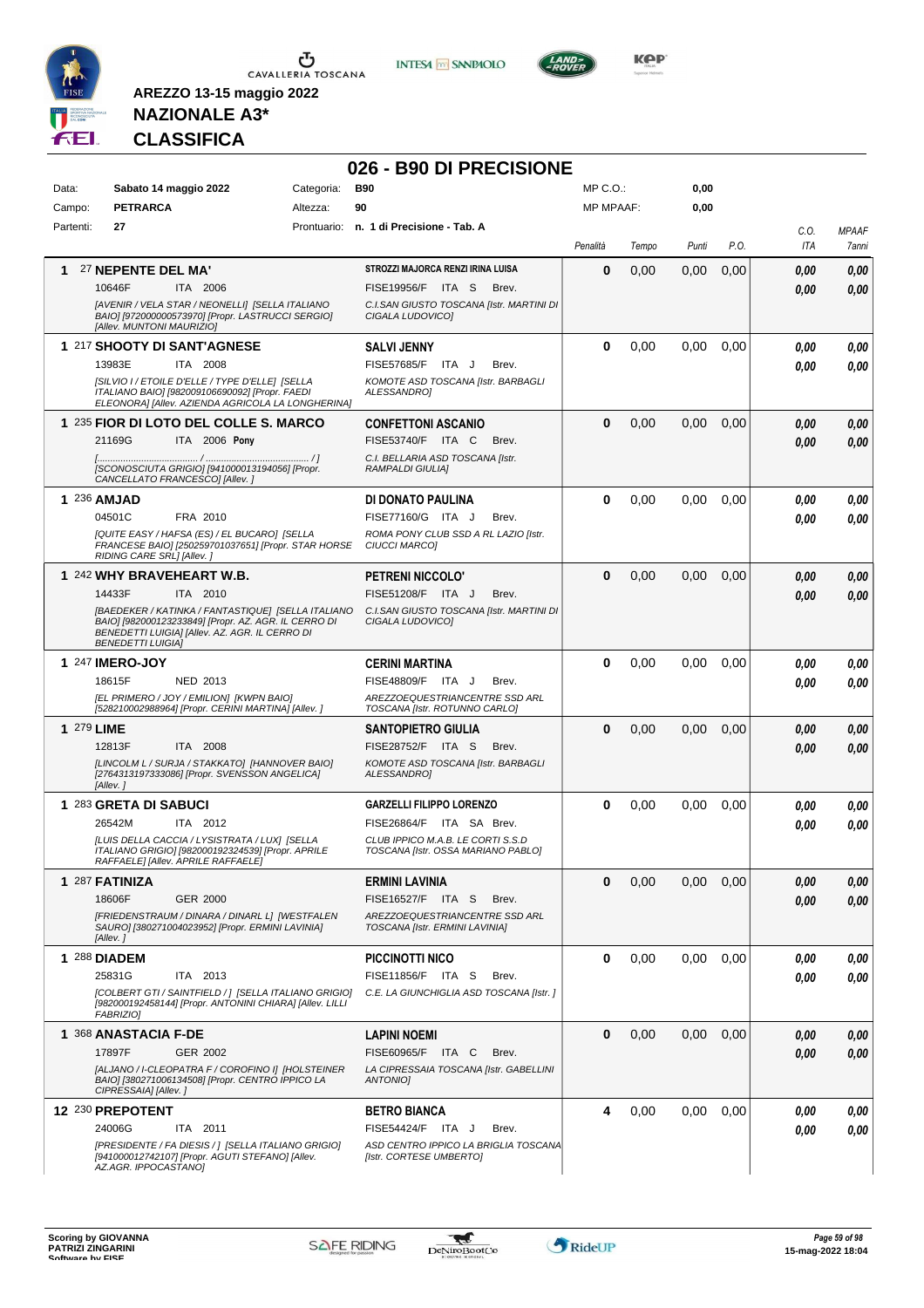



**026 - B90 DI PRECISIONE**



**Kep** 

### **NAZIONALE A3\* CLASSIFICA**

| Campo:<br>Partenti:<br>1 | <b>PETRARCA</b><br>27<br>27 NEPENTE DEL MA'                                                                                                                                              | Altezza: | 90<br>Prontuario: n. 1 di Precisione - Tab. A                           | <b>MP MPAAF:</b> |       | 0,00     |      |             |                       |
|--------------------------|------------------------------------------------------------------------------------------------------------------------------------------------------------------------------------------|----------|-------------------------------------------------------------------------|------------------|-------|----------|------|-------------|-----------------------|
|                          |                                                                                                                                                                                          |          |                                                                         |                  |       |          |      |             |                       |
|                          |                                                                                                                                                                                          |          |                                                                         | Penalità         | Tempo | Punti    | P.O. | C.O.<br>ITA | <b>MPAAF</b><br>7anni |
|                          |                                                                                                                                                                                          |          | STROZZI MAJORCA RENZI IRINA LUISA                                       | 0                | 0,00  | 0,00     | 0,00 | 0.00        | 0,00                  |
|                          | 10646F<br>ITA 2006                                                                                                                                                                       |          | FISE19956/F ITA S Brev.                                                 |                  |       |          |      | 0.00        | 0,00                  |
|                          | [AVENIR / VELA STAR / NEONELLI] [SELLA ITALIANO<br>BAIO] [972000000573970] [Propr. LASTRUCCI SERGIO]<br>[Allev. MUNTONI MAURIZIO]                                                        |          | C.I.SAN GIUSTO TOSCANA [Istr. MARTINI DI<br>CIGALA LUDOVICO]            |                  |       |          |      |             |                       |
|                          | 1 217 SHOOTY DI SANT'AGNESE                                                                                                                                                              |          |                                                                         | 0                |       |          |      |             |                       |
|                          | 13983E<br>ITA 2008                                                                                                                                                                       |          | <b>SALVI JENNY</b><br>FISE57685/F ITA J<br>Brev.                        |                  | 0,00  | 0,00     | 0,00 | 0.00        | 0,00                  |
|                          | [SILVIO I / ETOILE D'ELLE / TYPE D'ELLE] [SELLA<br>ITALIANO BAIO] [982009106690092] [Propr. FAEDI<br>ELEONORA] [Allev. AZIENDA AGRICOLA LA LONGHERINA]                                   |          | KOMOTE ASD TOSCANA [Istr. BARBAGLI<br>ALESSANDRO]                       |                  |       |          |      | 0.00        | 0,00                  |
|                          | 1 235 FIOR DI LOTO DEL COLLE S. MARCO                                                                                                                                                    |          | <b>CONFETTONI ASCANIO</b>                                               | $\bf{0}$         | 0,00  | 0.00     | 0,00 | 0.00        | 0,00                  |
|                          | 21169G<br>ITA 2006 Pony                                                                                                                                                                  |          | FISE53740/F ITA C<br>Brev.                                              |                  |       |          |      | 0.00        | 0,00                  |
|                          | [SCONOSCIUTA GRIGIO] [941000013194056] [Propr.<br>CANCELLATO FRANCESCO] [Allev.]                                                                                                         |          | C.I. BELLARIA ASD TOSCANA [Istr.<br>RAMPALDI GIULIA]                    |                  |       |          |      |             |                       |
| 1 236 AMJAD              |                                                                                                                                                                                          |          | DI DONATO PAULINA                                                       | 0                | 0,00  | 0.00     | 0,00 | 0.00        | 0,00                  |
|                          | FRA 2010<br>04501C                                                                                                                                                                       |          | FISE77160/G ITA J<br>Brev.                                              |                  |       |          |      | 0.00        | 0,00                  |
|                          | [QUITE EASY / HAFSA (ES) / EL BUCARO] [SELLA<br>FRANCESE BAIO] [250259701037651] [Propr. STAR HORSE<br>RIDING CARE SRL] [Allev.]                                                         |          | ROMA PONY CLUB SSD A RL LAZIO [Istr.<br><b>CIUCCI MARCOI</b>            |                  |       |          |      |             |                       |
|                          | 1 242 WHY BRAVEHEART W.B.                                                                                                                                                                |          | <b>PETRENI NICCOLO'</b>                                                 | $\bf{0}$         | 0,00  | 0.00     | 0,00 | 0.00        | 0,00                  |
|                          | 14433F<br>ITA 2010                                                                                                                                                                       |          | FISE51208/F ITA J<br>Brev.                                              |                  |       |          |      | 0.00        | 0.00                  |
|                          | [BAEDEKER / KATINKA / FANTASTIQUE] [SELLA ITALIANO<br>BAIO] [982000123233849] [Propr. AZ. AGR. IL CERRO DI<br>BENEDETTI LUIGIA] [Allev. AZ. AGR. IL CERRO DI<br><b>BENEDETTI LUIGIA]</b> |          | C.I.SAN GIUSTO TOSCANA [Istr. MARTINI DI<br>CIGALA LUDOVICOI            |                  |       |          |      |             |                       |
|                          | 1 247 IMERO-JOY                                                                                                                                                                          |          | <b>CERINI MARTINA</b>                                                   | 0                | 0,00  | 0,00     | 0,00 | 0.00        | 0,00                  |
|                          | <b>NED 2013</b><br>18615F                                                                                                                                                                |          | FISE48809/F ITA J<br>Brev.                                              |                  |       |          |      | 0.00        | 0,00                  |
|                          | [EL PRIMERO / JOY / EMILION] [KWPN BAIO]                                                                                                                                                 |          | AREZZOEQUESTRIANCENTRE SSD ARL                                          |                  |       |          |      |             |                       |
|                          | [528210002988964] [Propr. CERINI MARTINA] [Allev. ]                                                                                                                                      |          | TOSCANA [Istr. ROTUNNO CARLO]                                           |                  |       |          |      |             |                       |
| 1 279 LIME               |                                                                                                                                                                                          |          | <b>SANTOPIETRO GIULIA</b>                                               | $\bf{0}$         | 0,00  | 0,00     | 0,00 | 0.00        | 0,00                  |
|                          | 12813F<br>ITA 2008                                                                                                                                                                       |          | FISE28752/F ITA S<br>Brev.                                              |                  |       |          |      | 0.00        | 0,00                  |
|                          | [LINCOLM L / SURJA / STAKKATO] [HANNOVER BAIO]<br>[2764313197333086] [Propr. SVENSSON ANGELICA]<br>[Allev.]                                                                              |          | KOMOTE ASD TOSCANA [Istr. BARBAGLI<br>ALESSANDRO]                       |                  |       |          |      |             |                       |
|                          | 1 283 GRETA DI SABUCI                                                                                                                                                                    |          | <b>GARZELLI FILIPPO LORENZO</b>                                         | 0                | 0,00  | 0.00     | 0,00 | 0.00        | 0,00                  |
|                          | 26542M<br>ITA 2012                                                                                                                                                                       |          | FISE26864/F ITA SA Brev.                                                |                  |       |          |      | 0.00        | 0,00                  |
|                          | ILUIS DELLA CACCIA / LYSISTRATA / LUXI [SELLA<br>ITALIANO GRIGIO] [982000192324539] [Propr. APRILE<br>RAFFAELE] [Allev. APRILE RAFFAELE]                                                 |          | CLUB IPPICO M.A.B. LE CORTI S.S.D<br>TOSCANA [Istr. OSSA MARIANO PABLO] |                  |       |          |      |             |                       |
|                          | 1 287 FATINIZA                                                                                                                                                                           |          | <b>ERMINI LAVINIA</b>                                                   | 0                | 0,00  | 0,00     | 0,00 | 0,00        | 0,00                  |
|                          | 18606F<br><b>GER 2000</b>                                                                                                                                                                |          | FISE16527/F ITA S Brev.                                                 |                  |       |          |      | 0.00        | 0,00                  |
|                          | [FRIEDENSTRAUM / DINARA / DINARL L] [WESTFALEN<br>SAURO] [380271004023952] [Propr. ERMINI LAVINIA]<br>[Allev.]                                                                           |          | AREZZOEQUESTRIANCENTRE SSD ARL<br>TOSCANA [Istr. ERMINI LAVINIA]        |                  |       |          |      |             |                       |
| 1 288 DIADEM             |                                                                                                                                                                                          |          | PICCINOTTI NICO                                                         | 0                | 0,00  | 0.00     | 0.00 | 0,00        | 0,00                  |
|                          | ITA 2013<br>25831G                                                                                                                                                                       |          | FISE11856/F ITA S Brev.                                                 |                  |       |          |      | 0.00        | 0,00                  |
|                          | [COLBERT GTI / SAINTFIELD / ] [SELLA ITALIANO GRIGIO]<br>[982000192458144] [Propr. ANTONINI CHIARA] [Allev. LILLI<br>FABRIZIO]                                                           |          | C.E. LA GIUNCHIGLIA ASD TOSCANA [Istr. ]                                |                  |       |          |      |             |                       |
|                          | 1 368 ANASTACIA F-DE                                                                                                                                                                     |          | <b>LAPINI NOEMI</b>                                                     | $\bf{0}$         | 0,00  | 0.00     | 0,00 | 0,00        | 0,00                  |
|                          | 17897F<br><b>GER 2002</b>                                                                                                                                                                |          | FISE60965/F ITA C Brev.                                                 |                  |       |          |      | 0.00        | 0,00                  |
|                          | [ALJANO / I-CLEOPATRA F / COROFINO I] [HOLSTEINER<br>BAIO] [380271006134508] [Propr. CENTRO IPPICO LA<br>CIPRESSAIA] [Allev.]                                                            |          | LA CIPRESSAIA TOSCANA [Istr. GABELLINI<br><b>ANTONIOI</b>               |                  |       |          |      |             |                       |
|                          | 12 230 PREPOTENT                                                                                                                                                                         |          | <b>BETRO BIANCA</b>                                                     | 4                | 0,00  | $0.00\,$ | 0,00 | 0,00        | 0,00                  |
|                          | ITA 2011<br>24006G                                                                                                                                                                       |          | FISE54424/F ITA J<br>Brev.                                              |                  |       |          |      | 0.00        | 0,00                  |
|                          | [PRESIDENTE / FA DIESIS / ] [SELLA ITALIANO GRIGIO]<br>[941000012742107] [Propr. AGUTI STEFANO] [Allev.<br>AZ.AGR. IPPOCASTANO]                                                          |          | ASD CENTRO IPPICO LA BRIGLIA TOSCANA<br>[Istr. CORTESE UMBERTO]         |                  |       |          |      |             |                       |

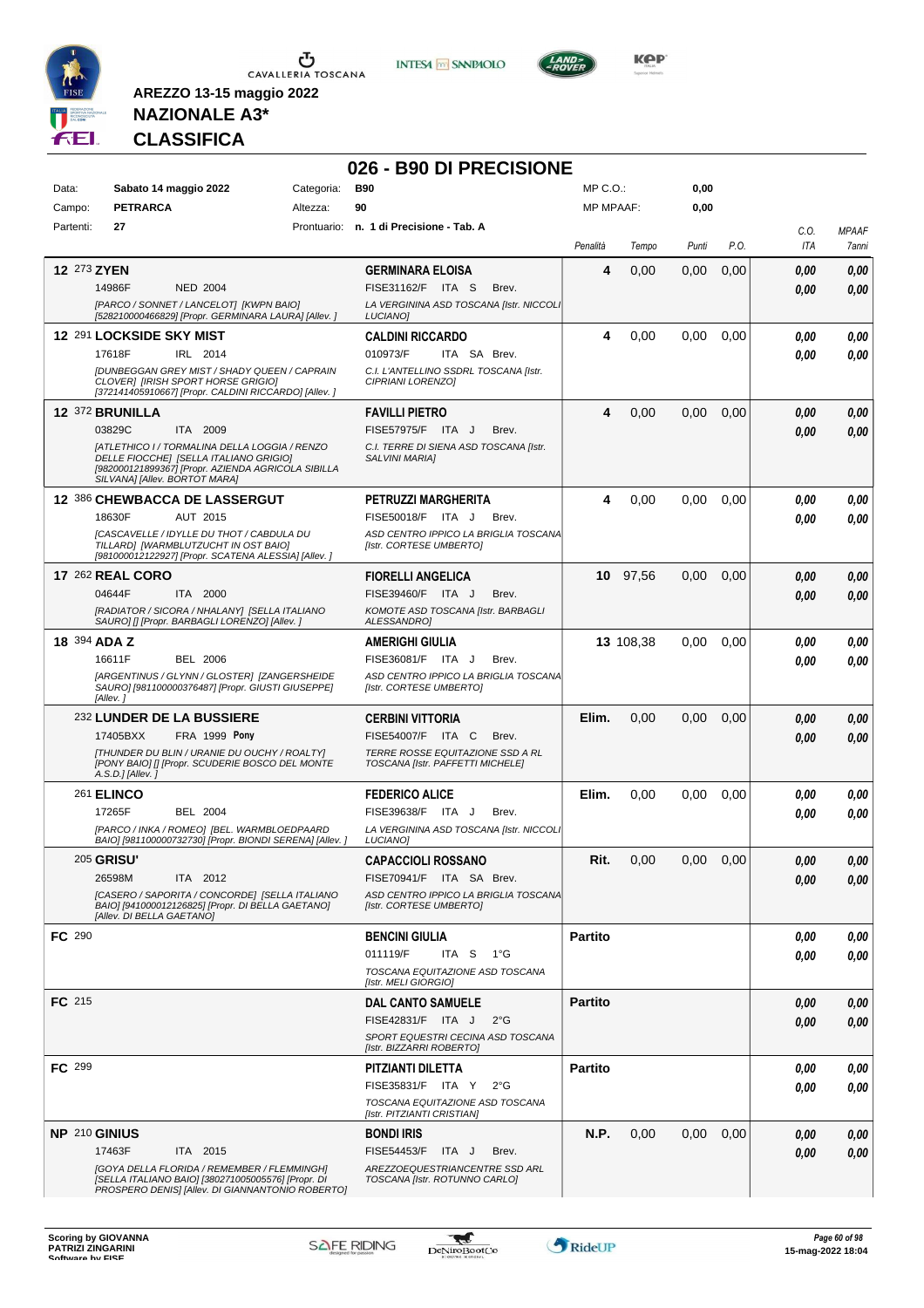





**KOP** 

### **NAZIONALE A3\* CLASSIFICA**

**AREZZO 13-15 maggio 2022**

#### **026 - B90 DI PRECISIONE**

| Data:         | Sabato 14 maggio 2022                                                                                                                                                          | Categoria: | <b>B90</b>                                                           | MP C.O.:         |           | 0,00  |      |             |                       |
|---------------|--------------------------------------------------------------------------------------------------------------------------------------------------------------------------------|------------|----------------------------------------------------------------------|------------------|-----------|-------|------|-------------|-----------------------|
| Campo:        | <b>PETRARCA</b>                                                                                                                                                                | Altezza:   | 90                                                                   | <b>MP MPAAF:</b> |           | 0,00  |      |             |                       |
| Partenti:     | 27                                                                                                                                                                             |            | Prontuario: n. 1 di Precisione - Tab. A                              | Penalità         | Tempo     | Punti | P.O. | C.O.<br>ITA | <b>MPAAF</b><br>7anni |
| 12 273 ZYEN   |                                                                                                                                                                                |            | <b>GERMINARA ELOISA</b>                                              | 4                | 0,00      | 0,00  | 0,00 | 0,00        | 0,00                  |
|               | 14986F<br><b>NED 2004</b>                                                                                                                                                      |            | FISE31162/F ITA S<br>Brev.                                           |                  |           |       |      | 0,00        | 0,00                  |
|               | [PARCO / SONNET / LANCELOT] [KWPN BAIO]<br>[528210000466829] [Propr. GERMINARA LAURA] [Allev. ]                                                                                |            | LA VERGININA ASD TOSCANA [Istr. NICCOLI<br><b>LUCIANOI</b>           |                  |           |       |      |             |                       |
|               | 12 291 LOCKSIDE SKY MIST                                                                                                                                                       |            | <b>CALDINI RICCARDO</b>                                              | 4                | 0,00      | 0,00  | 0,00 | 0,00        | 0,00                  |
|               | 17618F<br>IRL 2014                                                                                                                                                             |            | 010973/F<br>ITA SA Brev.                                             |                  |           |       |      | 0,00        | 0,00                  |
|               | [DUNBEGGAN GREY MIST / SHADY QUEEN / CAPRAIN<br><b>CLOVERI [IRISH SPORT HORSE GRIGIO]</b><br>[372141405910667] [Propr. CALDINI RICCARDO] [Allev.]                              |            | C.I. L'ANTELLINO SSDRL TOSCANA [Istr.<br>CIPRIANI LORENZOI           |                  |           |       |      |             |                       |
|               | <b>12 372 BRUNILLA</b>                                                                                                                                                         |            | <b>FAVILLI PIETRO</b>                                                | 4                | 0,00      | 0,00  | 0,00 | 0,00        | 0,00                  |
|               | 03829C<br>ITA 2009                                                                                                                                                             |            | FISE57975/F ITA J<br>Brev.                                           |                  |           |       |      | 0.00        | 0,00                  |
|               | [ATLETHICO I / TORMALINA DELLA LOGGIA / RENZO<br>DELLE FIOCCHE] [SELLA ITALIANO GRIGIO]<br>[982000121899367] [Propr. AZIENDA AGRICOLA SIBILLA<br>SILVANA] [Allev. BORTOT MARA] |            | C.I. TERRE DI SIENA ASD TOSCANA [Istr.<br><b>SALVINI MARIAI</b>      |                  |           |       |      |             |                       |
|               | <b>12 386 CHEWBACCA DE LASSERGUT</b>                                                                                                                                           |            | <b>PETRUZZI MARGHERITA</b>                                           | 4                | 0,00      | 0,00  | 0,00 | 0.00        | 0,00                  |
|               | 18630F<br>AUT 2015                                                                                                                                                             |            | FISE50018/F ITA J<br>Brev.                                           |                  |           |       |      | 0.00        | 0.00                  |
|               | [CASCAVELLE / IDYLLE DU THOT / CABDULA DU<br>TILLARD] [WARMBLUTZUCHT IN OST BAIO]<br>[981000012122927] [Propr. SCATENA ALESSIA] [Allev.]                                       |            | ASD CENTRO IPPICO LA BRIGLIA TOSCANA<br>[Istr. CORTESE UMBERTO]      |                  |           |       |      |             |                       |
|               | <b>17 262 REAL CORO</b>                                                                                                                                                        |            | <b>FIORELLI ANGELICA</b>                                             |                  | 10 97,56  | 0,00  | 0,00 | 0.00        | 0,00                  |
|               | 04644F<br>ITA 2000                                                                                                                                                             |            | FISE39460/F ITA J<br>Brev.                                           |                  |           |       |      | 0.00        | 0.00                  |
|               | [RADIATOR / SICORA / NHALANY] [SELLA ITALIANO<br>SAUROI II [Propr. BARBAGLI LORENZO] [Allev. ]                                                                                 |            | KOMOTE ASD TOSCANA [Istr. BARBAGLI<br>ALESSANDRO]                    |                  |           |       |      |             |                       |
|               | 18 394 ADA Z                                                                                                                                                                   |            | <b>AMERIGHI GIULIA</b>                                               |                  | 13 108,38 | 0,00  | 0,00 | 0.00        | 0,00                  |
|               | 16611F<br><b>BEL 2006</b>                                                                                                                                                      |            | FISE36081/F ITA J<br>Brev.                                           |                  |           |       |      | 0.00        | 0.00                  |
|               | [ARGENTINUS / GLYNN / GLOSTER] [ZANGERSHEIDE<br>SAURO] [981100000376487] [Propr. GIUSTI GIUSEPPE]<br>[Allev. ]                                                                 |            | ASD CENTRO IPPICO LA BRIGLIA TOSCANA<br>[Istr. CORTESE UMBERTO]      |                  |           |       |      |             |                       |
|               | 232 LUNDER DE LA BUSSIERE                                                                                                                                                      |            | <b>CERBINI VITTORIA</b>                                              | Elim.            | 0,00      | 0,00  | 0,00 | 0,00        | 0,00                  |
|               | FRA 1999 Pony<br>17405BXX                                                                                                                                                      |            | FISE54007/F ITA C<br>Brev.                                           |                  |           |       |      | 0.00        | 0,00                  |
|               | [THUNDER DU BLIN / URANIE DU OUCHY / ROALTY]<br>[PONY BAIO] [] [Propr. SCUDERIE BOSCO DEL MONTE<br>A.S.D.] [Allev.]                                                            |            | TERRE ROSSE EQUITAZIONE SSD A RL<br>TOSCANA [Istr. PAFFETTI MICHELE] |                  |           |       |      |             |                       |
|               | <b>261 ELINCO</b>                                                                                                                                                              |            | <b>FEDERICO ALICE</b>                                                | Elim.            | 0,00      | 0,00  | 0,00 | 0.00        | 0,00                  |
|               | 17265F<br><b>BEL 2004</b>                                                                                                                                                      |            | FISE39638/F ITA J<br>Brev.                                           |                  |           |       |      | 0.00        | 0.00                  |
|               | [PARCO / INKA / ROMEO] [BEL. WARMBLOEDPAARD<br>BAIO] [981100000732730] [Propr. BIONDI SERENA] [Allev.]                                                                         |            | LA VERGININA ASD TOSCANA [Istr. NICCOLI<br>LUCIANO]                  |                  |           |       |      |             |                       |
|               | <b>205 GRISU'</b>                                                                                                                                                              |            | <b>CAPACCIOLI ROSSANO</b>                                            | Rit.             | 0,00      | 0,00  | 0,00 | 0,00        | 0,00                  |
|               | 26598M<br>ITA 2012                                                                                                                                                             |            | FISE70941/F ITA SA Brev.                                             |                  |           |       |      | 0,00        | 0,00                  |
|               | [CASERO / SAPORITA / CONCORDE] [SELLA ITALIANO<br>BAIO] [941000012126825] [Propr. DI BELLA GAETANO]<br>[Allev. DI BELLA GAETANO]                                               |            | ASD CENTRO IPPICO LA BRIGLIA TOSCANA<br>[Istr. CORTESE UMBERTO]      |                  |           |       |      |             |                       |
| <b>FC</b> 290 |                                                                                                                                                                                |            | <b>BENCINI GIULIA</b>                                                | <b>Partito</b>   |           |       |      | 0,00        | 0,00                  |
|               |                                                                                                                                                                                |            | 011119/F<br>ITA S $1^{\circ}G$                                       |                  |           |       |      | 0,00        | 0,00                  |
|               |                                                                                                                                                                                |            | TOSCANA EQUITAZIONE ASD TOSCANA<br>[Istr. MELI GIORGIO]              |                  |           |       |      |             |                       |
| FC 215        |                                                                                                                                                                                |            | <b>DAL CANTO SAMUELE</b>                                             | <b>Partito</b>   |           |       |      | 0,00        | 0,00                  |
|               |                                                                                                                                                                                |            | FISE42831/F ITA J<br>$2^{\circ}$ G                                   |                  |           |       |      | 0,00        | 0,00                  |
|               |                                                                                                                                                                                |            | SPORT EQUESTRI CECINA ASD TOSCANA<br>[Istr. BIZZARRI ROBERTO]        |                  |           |       |      |             |                       |
| FC 299        |                                                                                                                                                                                |            | PITZIANTI DILETTA                                                    | <b>Partito</b>   |           |       |      | 0.00        | 0,00                  |
|               |                                                                                                                                                                                |            | FISE35831/F ITA Y<br>$2^{\circ}G$                                    |                  |           |       |      | 0.00        | 0,00                  |
|               |                                                                                                                                                                                |            | TOSCANA EQUITAZIONE ASD TOSCANA<br>[Istr. PITZIANTI CRISTIAN]        |                  |           |       |      |             |                       |
|               | NP 210 GINIUS                                                                                                                                                                  |            | <b>BONDI IRIS</b>                                                    | N.P.             | 0,00      | 0,00  | 0,00 | 0.00        | 0,00                  |
|               | 17463F<br>ITA 2015                                                                                                                                                             |            | FISE54453/F ITA J<br>Brev.                                           |                  |           |       |      | 0.00        | 0.00                  |
|               | [GOYA DELLA FLORIDA / REMEMBER / FLEMMINGH]<br>[SELLA ITALIANO BAIO] [380271005005576] [Propr. DI<br>PROSPERO DENIS] [Allev. DI GIANNANTONIO ROBERTO]                          |            | AREZZOEQUESTRIANCENTRE SSD ARL<br>TOSCANA [Istr. ROTUNNO CARLO]      |                  |           |       |      |             |                       |

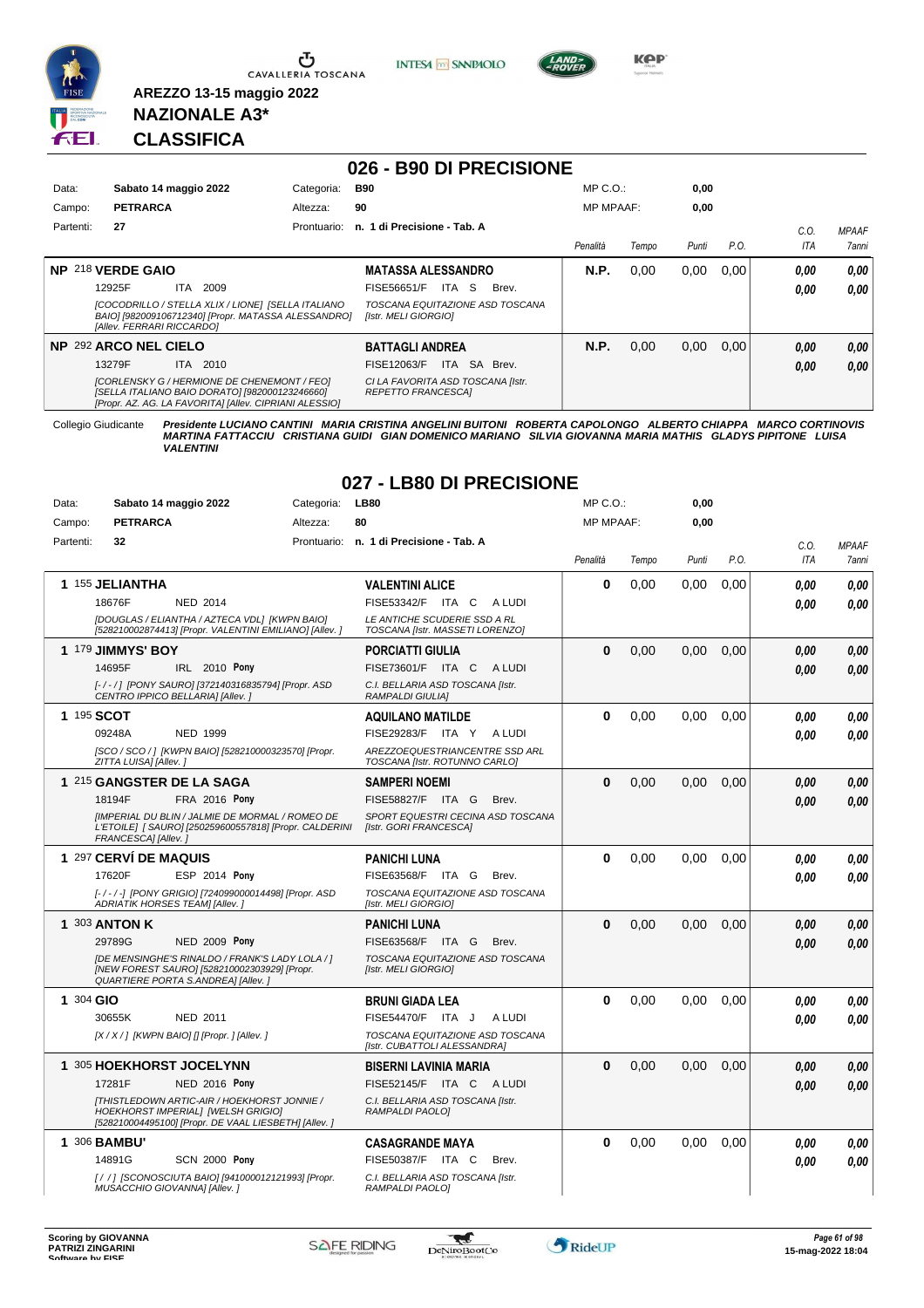

Ⴠ CAVALLERIA TOSCANA **INTESA** M SANPAOLO



**KPP** 

#### **NAZIONALE A3\* CLASSIFICA**

**AREZZO 13-15 maggio 2022**

#### **026 - B90 DI PRECISIONE** Data: Sabato 14 maggio 2022 **Categoria: B90** Prontuario: **n. 1 di Precisione - Tab. A** Campo: **PETRARCA** Partenti: **27** Altezza: **90** MP C.O.: MP MPAAF: **0,00 0,00** *Penalità Tempo Punti P.O. C.O. ITA MPAAF 7anni* **NP** 218 **VERDE GAIO** ITA 2009 **MATASSA ALESSANDRO** *[COCODRILLO / STELLA XLIX / LIONE] [SELLA ITALIANO BAIO] [982009106712340] [Propr. MATASSA ALESSANDRO] [Allev. FERRARI RICCARDO] [Istr. MELI GIORGIO] TOSCANA EQUITAZIONE ASD TOSCANA* 12925F ITA 2009 FISE56651/F ITA S Brev. **0,00 0,00 N.P.** 0,00 0,00 0,00 *0,00 0,00 0,00* **NP** 292 **ARCO NEL CIELO** ITA 2010 **BATTAGLI ANDREA** *[CORLENSKY G / HERMIONE DE CHENEMONT / FEO] [SELLA ITALIANO BAIO DORATO] [982000123246660] [Propr. AZ. AG. LA FAVORITA] [Allev. CIPRIANI ALESSIO] CI LA FAVORITA ASD TOSCANA [Istr. REPETTO FRANCESCA]* 13279F ITA 2010 FISE12063/F ITA SA Brev. <mark>0,00 0,00</mark> **N.P.** 0,00 0,00 0,00 *0,00 0,00 0,00*

Collegio Giudicante Presidente LUCIANO CANTINI MARIA CRISTINA ANGELINI BUITONI ROBERTA CAPOLONGO ALBERTO CHIAPPA MARCO CORTINOVIS<br>MARTINA FATTACCIU CRISTIANA GUIDI GIAN DOMENICO MARIANO SILVIA GIOVANNA MARIA MATHIS GLADYS *VALENTINI*

**027 - LB80 DI PRECISIONE**

| Data:     | Sabato 14 maggio 2022                                                                                                                             | Categoria:  | <b>LB80</b>                                                     | MP C.O.:         |       | 0,00  |      |            |              |
|-----------|---------------------------------------------------------------------------------------------------------------------------------------------------|-------------|-----------------------------------------------------------------|------------------|-------|-------|------|------------|--------------|
| Campo:    | <b>PETRARCA</b>                                                                                                                                   | Altezza:    | 80                                                              | <b>MP MPAAF:</b> |       | 0,00  |      |            |              |
| Partenti: | 32                                                                                                                                                | Prontuario: | n. 1 di Precisione - Tab. A                                     |                  |       |       |      | C.O.       | <b>MPAAF</b> |
|           |                                                                                                                                                   |             |                                                                 | Penalità         | Tempo | Punti | P.O. | <b>ITA</b> | 7anni        |
|           | 1 155 JELIANTHA                                                                                                                                   |             |                                                                 | $\bf{0}$         |       |       |      |            |              |
|           | 18676F<br><b>NED 2014</b>                                                                                                                         |             | <b>VALENTINI ALICE</b><br>FISE53342/F<br>ITA C<br>A LUDI        |                  | 0,00  | 0.00  | 0,00 | 0.00       | 0,00         |
|           |                                                                                                                                                   |             |                                                                 |                  |       |       |      | 0.00       | 0.00         |
|           | [DOUGLAS / ELIANTHA / AZTECA VDL] [KWPN BAIO]<br>[528210002874413] [Propr. VALENTINI EMILIANO] [Allev. ]                                          |             | LE ANTICHE SCUDERIE SSD A RL<br>TOSCANA [Istr. MASSETI LORENZO] |                  |       |       |      |            |              |
|           | 1 179 JIMMYS' BOY                                                                                                                                 |             | <b>PORCIATTI GIULIA</b>                                         | $\bf{0}$         | 0,00  | 0,00  | 0,00 | 0.00       | 0,00         |
|           | 14695F<br>IRL 2010 Pony                                                                                                                           |             | FISE73601/F ITA C<br>A LUDI                                     |                  |       |       |      | 0.00       | 0.00         |
|           | [-/-/] [PONY SAURO] [372140316835794] [Propr. ASD<br>CENTRO IPPICO BELLARIA] [Allev.]                                                             |             | C.I. BELLARIA ASD TOSCANA [Istr.<br><b>RAMPALDI GIULIAI</b>     |                  |       |       |      |            |              |
|           | 1 195 SCOT                                                                                                                                        |             | <b>AQUILANO MATILDE</b>                                         | $\bf{0}$         | 0,00  | 0.00  | 0.00 | 0.00       | 0.00         |
|           | 09248A<br>NED 1999                                                                                                                                |             | FISE29283/F ITA Y<br>A LUDI                                     |                  |       |       |      | 0.00       | 0.00         |
|           | [SCO / SCO / ] [KWPN BAIO] [528210000323570] [Propr.                                                                                              |             | AREZZOEQUESTRIANCENTRE SSD ARL                                  |                  |       |       |      |            |              |
|           | ZITTA LUISA] [Allev.]                                                                                                                             |             | TOSCANA [Istr. ROTUNNO CARLO]                                   |                  |       |       |      |            |              |
|           | 1 215 GANGSTER DE LA SAGA                                                                                                                         |             | <b>SAMPERI NOEMI</b>                                            | $\bf{0}$         | 0,00  | 0.00  | 0.00 | 0.00       | 0,00         |
|           | 18194F<br>FRA 2016 Pony                                                                                                                           |             | FISE58827/F<br>ITA G<br>Brev.                                   |                  |       |       |      | 0.00       | 0.00         |
|           | [IMPERIAL DU BLIN / JALMIE DE MORMAL / ROMEO DE<br>L'ETOILE] [ SAURO] [250259600557818] [Propr. CALDERINI<br>FRANCESCA] [Allev.]                  |             | SPORT EQUESTRI CECINA ASD TOSCANA<br>[Istr. GORI FRANCESCA]     |                  |       |       |      |            |              |
|           | 1 297 CERVÍ DE MAQUIS                                                                                                                             |             | <b>PANICHI LUNA</b>                                             | $\Omega$         | 0,00  | 0.00  | 0,00 | 0.00       | 0.00         |
|           | <b>ESP 2014 Pony</b><br>17620F                                                                                                                    |             | FISE63568/F<br>ITA G<br>Brev.                                   |                  |       |       |      | 0.00       | 0.00         |
|           | [-/-/-] [PONY GRIGIO] [724099000014498] [Propr. ASD<br>ADRIATIK HORSES TEAM] [Allev.]                                                             |             | TOSCANA EQUITAZIONE ASD TOSCANA<br>[Istr. MELI GIORGIO]         |                  |       |       |      |            |              |
|           | 1 303 ANTON K                                                                                                                                     |             | <b>PANICHI LUNA</b>                                             | $\bf{0}$         | 0,00  | 0.00  | 0,00 | 0.00       | 0,00         |
|           | <b>NED 2009 Pony</b><br>29789G                                                                                                                    |             | FISE63568/F ITA G<br>Brev.                                      |                  |       |       |      | 0.00       | 0.00         |
|           | [DE MENSINGHE'S RINALDO / FRANK'S LADY LOLA / ]                                                                                                   |             | TOSCANA EQUITAZIONE ASD TOSCANA                                 |                  |       |       |      |            |              |
|           | [NEW FOREST SAURO] [528210002303929] [Propr.<br>QUARTIERE PORTA S.ANDREA] [Allev.]                                                                |             | [Istr. MELI GIORGIO]                                            |                  |       |       |      |            |              |
| 1 304 GIO |                                                                                                                                                   |             | <b>BRUNI GIADA LEA</b>                                          | $\bf{0}$         | 0,00  | 0,00  | 0,00 | 0.00       | 0,00         |
|           | 30655K<br><b>NED 2011</b>                                                                                                                         |             | FISE54470/F ITA J<br>A LUDI                                     |                  |       |       |      | 0.00       | 0.00         |
|           | [X / X / ] [KWPN BAIO] [] [Propr. ] [Allev. ]                                                                                                     |             | TOSCANA EQUITAZIONE ASD TOSCANA<br>[Istr. CUBATTOLI ALESSANDRA] |                  |       |       |      |            |              |
|           | 1 305 HOEKHORST JOCELYNN                                                                                                                          |             | <b>BISERNI LAVINIA MARIA</b>                                    | $\bf{0}$         | 0,00  | 0,00  | 0,00 | 0.00       | 0,00         |
|           | 17281F<br><b>NED 2016 Pony</b>                                                                                                                    |             | FISE52145/F ITA C<br>A LUDI                                     |                  |       |       |      | 0.00       | 0.00         |
|           | [THISTLEDOWN ARTIC-AIR / HOEKHORST JONNIE /<br><b>HOEKHORST IMPERIALI [WELSH GRIGIO]</b><br>[528210004495100] [Propr. DE VAAL LIESBETH] [Allev. ] |             | C.I. BELLARIA ASD TOSCANA [Istr.<br>RAMPALDI PAOLO]             |                  |       |       |      |            |              |
|           | 1 306 BAMBU'                                                                                                                                      |             | <b>CASAGRANDE MAYA</b>                                          | 0                | 0,00  | 0,00  | 0,00 | 0.00       | 0,00         |
|           | <b>SCN 2000 Pony</b><br>14891G                                                                                                                    |             | FISE50387/F ITA C<br>Brev.                                      |                  |       |       |      | 0.00       | 0.00         |
|           | [/ / ] [SCONOSCIUTA BAIO] [941000012121993] [Propr.<br>MUSACCHIO GIOVANNAI [Allev.]                                                               |             | C.I. BELLARIA ASD TOSCANA [Istr.<br>RAMPALDI PAOLO]             |                  |       |       |      |            |              |

 $\blacktriangledown$ 

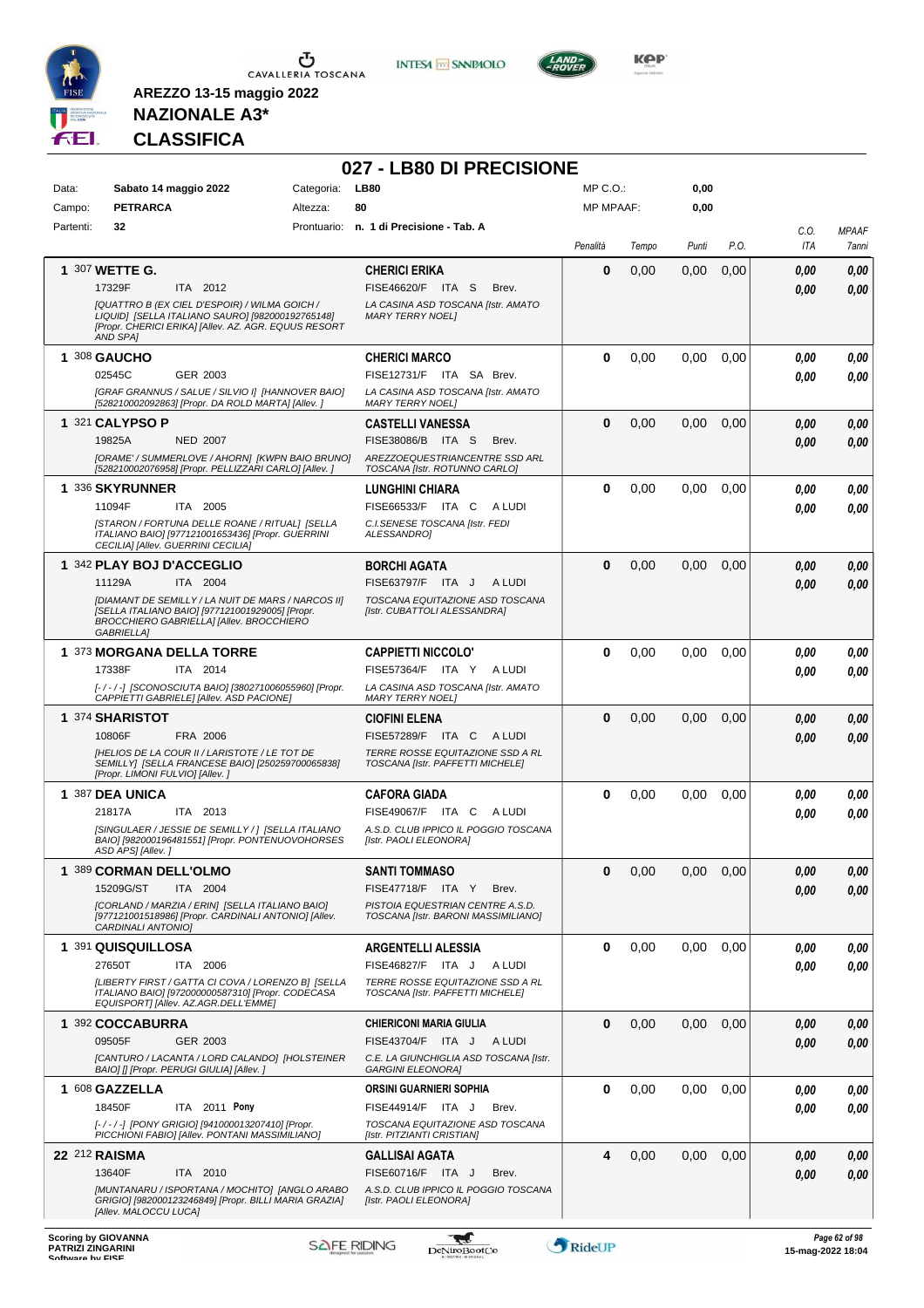





**KOP** 

### **NAZIONALE A3\* CLASSIFICA**

|                 |                                                                                                                                                                       |                        | 027 - LB80 DI PRECISIONE                                                |                              |       |              |      |                    |              |
|-----------------|-----------------------------------------------------------------------------------------------------------------------------------------------------------------------|------------------------|-------------------------------------------------------------------------|------------------------------|-------|--------------|------|--------------------|--------------|
| Data:<br>Campo: | Sabato 14 maggio 2022<br><b>PETRARCA</b>                                                                                                                              | Categoria:<br>Altezza: | <b>LB80</b><br>80                                                       | MP C.O.:<br><b>MP MPAAF:</b> |       | 0,00<br>0,00 |      |                    |              |
| Partenti:       | 32                                                                                                                                                                    |                        | Prontuario: n. 1 di Precisione - Tab. A                                 |                              |       |              |      |                    | <b>MPAAF</b> |
|                 |                                                                                                                                                                       |                        |                                                                         | Penalità                     | Tempo | Punti        | P.O. | C.O.<br><b>ITA</b> | 7anni        |
|                 | 1 307 WETTE G.                                                                                                                                                        |                        | <b>CHERICI ERIKA</b>                                                    | 0                            | 0,00  | 0,00         | 0,00 | 0.00               | 0,00         |
|                 | 17329F<br>ITA 2012                                                                                                                                                    |                        | FISE46620/F ITA S<br>Brev.                                              |                              |       |              |      | 0.00               | 0,00         |
|                 | [QUATTRO B (EX CIEL D'ESPOIR) / WILMA GOICH /<br>LIQUID] [SELLA ITALIANO SAURO] [982000192765148]<br>[Propr. CHERICI ERIKA] [Allev. AZ. AGR. EQUUS RESORT<br>AND SPAI |                        | LA CASINA ASD TOSCANA [Istr. AMATO<br><b>MARY TERRY NOEL1</b>           |                              |       |              |      |                    |              |
|                 | 1 308 GAUCHO                                                                                                                                                          |                        | <b>CHERICI MARCO</b>                                                    | $\bf{0}$                     | 0,00  | 0,00         | 0,00 | 0.00               | 0,00         |
|                 | 02545C<br>GER 2003                                                                                                                                                    |                        | FISE12731/F ITA SA Brev.                                                |                              |       |              |      | 0.00               | 0,00         |
|                 | [GRAF GRANNUS / SALUE / SILVIO I] [HANNOVER BAIO]<br>[528210002092863] [Propr. DA ROLD MARTA] [Allev.]                                                                |                        | LA CASINA ASD TOSCANA [Istr. AMATO<br><b>MARY TERRY NOEL1</b>           |                              |       |              |      |                    |              |
|                 | 1 321 CALYPSO P                                                                                                                                                       |                        | <b>CASTELLI VANESSA</b>                                                 | $\bf{0}$                     | 0,00  | 0,00         | 0,00 | 0.00               | 0,00         |
|                 | 19825A<br><b>NED 2007</b>                                                                                                                                             |                        | FISE38086/B ITA S<br>Brev.                                              |                              |       |              |      | 0.00               | 0.00         |
|                 | [ORAME' / SUMMERLOVE / AHORN] [KWPN BAIO BRUNO]<br>[528210002076958] [Propr. PELLIZZARI CARLO] [Allev.]                                                               |                        | AREZZOEQUESTRIANCENTRE SSD ARL<br>TOSCANA [Istr. ROTUNNO CARLO]         |                              |       |              |      |                    |              |
|                 | 1 336 SKYRUNNER                                                                                                                                                       |                        | LUNGHINI CHIARA                                                         | $\bf{0}$                     | 0,00  | 0,00         | 0,00 | 0.00               | 0,00         |
|                 | 11094F<br>ITA 2005                                                                                                                                                    |                        | FISE66533/F ITA C<br>A LUDI                                             |                              |       |              |      | 0.00               | 0.00         |
|                 | [STARON / FORTUNA DELLE ROANE / RITUAL] [SELLA<br>ITALIANO BAIO] [977121001653436] [Propr. GUERRINI                                                                   |                        | C.I. SENESE TOSCANA [Istr. FEDI<br>ALESSANDRO1                          |                              |       |              |      |                    |              |
|                 | CECILIA] [Allev. GUERRINI CECILIA]<br>1 342 PLAY BOJ D'ACCEGLIO                                                                                                       |                        | <b>BORCHI AGATA</b>                                                     | $\bf{0}$                     | 0,00  | 0,00         | 0,00 | 0.00               | 0,00         |
|                 | 11129A<br>ITA 2004                                                                                                                                                    |                        | FISE63797/F ITA J<br>A LUDI                                             |                              |       |              |      | 0.00               | 0,00         |
|                 | [DIAMANT DE SEMILLY/LA NUIT DE MARS / NARCOS II]                                                                                                                      |                        | TOSCANA EQUITAZIONE ASD TOSCANA                                         |                              |       |              |      |                    |              |
|                 | [SELLA ITALIANO BAIO] [977121001929005] [Propr.<br>BROCCHIERO GABRIELLA] [Allev. BROCCHIERO<br><b>GABRIELLA1</b>                                                      |                        | [Istr. CUBATTOLI ALESSANDRA]                                            |                              |       |              |      |                    |              |
|                 | 1 373 MORGANA DELLA TORRE                                                                                                                                             |                        | <b>CAPPIETTI NICCOLO'</b>                                               | 0                            | 0,00  | 0,00         | 0,00 | 0.00               | 0,00         |
|                 | 17338F<br>ITA 2014                                                                                                                                                    |                        | FISE57364/F ITA Y<br>A LUDI                                             |                              |       |              |      | 0.00               | 0,00         |
|                 | [-/-/-] [SCONOSCIUTA BAIO] [380271006055960] [Propr.<br>CAPPIETTI GABRIELE] [Allev. ASD PACIONE]                                                                      |                        | LA CASINA ASD TOSCANA [Istr. AMATO<br><b>MARY TERRY NOEL1</b>           |                              |       |              |      |                    |              |
|                 | 1 374 SHARISTOT                                                                                                                                                       |                        | <b>CIOFINI ELENA</b>                                                    | $\bf{0}$                     | 0,00  | 0,00         | 0,00 | 0.00               | 0,00         |
|                 | 10806F<br>FRA 2006                                                                                                                                                    |                        | FISE57289/F ITA C<br>A LUDI                                             |                              |       |              |      | 0.00               | 0,00         |
|                 | [HELIOS DE LA COUR II / LARISTOTE / LE TOT DE<br>SEMILLY] [SELLA FRANCESE BAIO] [250259700065838]                                                                     |                        | TERRE ROSSE EQUITAZIONE SSD A RL<br>TOSCANA [Istr. PAFFETTI MICHELE]    |                              |       |              |      |                    |              |
|                 | [Propr. LIMONI FULVIO] [Allev.]                                                                                                                                       |                        |                                                                         |                              |       |              |      |                    |              |
|                 | 1 387 DEA UNICA                                                                                                                                                       |                        | <b>CAFORA GIADA</b>                                                     | 0                            | 0,00  | 0,00         | 0,00 | 0,00               | 0,00         |
|                 | ITA 2013<br>21817A<br>[SINGULAER / JESSIE DE SEMILLY / ] [SELLA ITALIANO                                                                                              |                        | FISE49067/F ITA C ALUDI<br>A.S.D. CLUB IPPICO IL POGGIO TOSCANA         |                              |       |              |      | 0.00               | 0.00         |
|                 | BAIO] [982000196481551] [Propr. PONTENUOVOHORSES<br>ASD APS] [Allev.]                                                                                                 |                        | [Istr. PAOLI ELEONORA]                                                  |                              |       |              |      |                    |              |
|                 | 1 389 CORMAN DELL'OLMO                                                                                                                                                |                        | <b>SANTI TOMMASO</b>                                                    | 0                            | 0,00  | 0,00         | 0,00 | 0.00               | 0,00         |
|                 | 15209G/ST<br>ITA 2004                                                                                                                                                 |                        | FISE47718/F ITA Y<br>Brev.                                              |                              |       |              |      | 0.00               | 0,00         |
|                 | [CORLAND / MARZIA / ERIN] [SELLA ITALIANO BAIO]<br>[977121001518986] [Propr. CARDINALI ANTONIO] [Allev.                                                               |                        | PISTOIA EQUESTRIAN CENTRE A.S.D.<br>TOSCANA [Istr. BARONI MASSIMILIANO] |                              |       |              |      |                    |              |
|                 | <b>CARDINALI ANTONIO1</b>                                                                                                                                             |                        |                                                                         |                              |       |              |      |                    |              |
|                 | 1 391 QUISQUILLOSA<br>27650T<br>ITA 2006                                                                                                                              |                        | <b>ARGENTELLI ALESSIA</b><br>FISE46827/F ITA J<br>A LUDI                | 0                            | 0,00  | 0,00         | 0,00 | 0.00<br>0.00       | 0,00<br>0,00 |
|                 | [LIBERTY FIRST / GATTA CI COVA / LORENZO B] [SELLA                                                                                                                    |                        | TERRE ROSSE EQUITAZIONE SSD A RL                                        |                              |       |              |      |                    |              |
|                 | ITALIANO BAIO] [972000000587310] [Propr. CODECASA<br>EQUISPORT] [Allev. AZ.AGR.DELL'EMME]                                                                             |                        | TOSCANA [Istr. PAFFETTI MICHELE]                                        |                              |       |              |      |                    |              |
|                 | 1 392 COCCABURRA                                                                                                                                                      |                        | <b>CHIERICONI MARIA GIULIA</b>                                          | $\bf{0}$                     | 0,00  | 0,00         | 0,00 | 0.00               | 0,00         |
|                 | 09505F<br>GER 2003                                                                                                                                                    |                        | FISE43704/F ITA J<br>A LUDI                                             |                              |       |              |      | 0.00               | 0,00         |
|                 | [CANTURO / LACANTA / LORD CALANDO] [HOLSTEINER<br>BAIO] [] [Propr. PERUGI GIULIA] [Allev. ]                                                                           |                        | C.E. LA GIUNCHIGLIA ASD TOSCANA [Istr.<br><b>GARGINI ELEONORA]</b>      |                              |       |              |      |                    |              |
|                 | 1 608 GAZZELLA                                                                                                                                                        |                        | ORSINI GUARNIERI SOPHIA                                                 | $\mathbf 0$                  | 0,00  | 0,00         | 0,00 | 0.00               | 0,00         |
|                 | 18450F<br><b>ITA</b> 2011 Pony                                                                                                                                        |                        | FISE44914/F ITA J<br>Brev.                                              |                              |       |              |      | 0.00               | 0,00         |
|                 | [-/-/-] [PONY GRIGIO] [941000013207410] [Propr.<br>PICCHIONI FABIO] [Allev. PONTANI MASSIMILIANO]                                                                     |                        | TOSCANA EQUITAZIONE ASD TOSCANA<br>[Istr. PITZIANTI CRISTIAN]           |                              |       |              |      |                    |              |
|                 | 22 212 RAISMA                                                                                                                                                         |                        | <b>GALLISAI AGATA</b>                                                   | 4                            | 0,00  | 0,00         | 0,00 | 0.00               | 0,00         |
|                 | 13640F<br>ITA 2010                                                                                                                                                    |                        | FISE60716/F ITA J<br>Brev.                                              |                              |       |              |      | 0.00               | 0,00         |
|                 | [MUNTANARU / ISPORTANA / MOCHITO] [ANGLO ARABO<br>GRIGIO] [982000123246849] [Propr. BILLI MARIA GRAZIA]                                                               |                        | A.S.D. CLUB IPPICO IL POGGIO TOSCANA<br>[Istr. PAOLI ELEONORA]          |                              |       |              |      |                    |              |

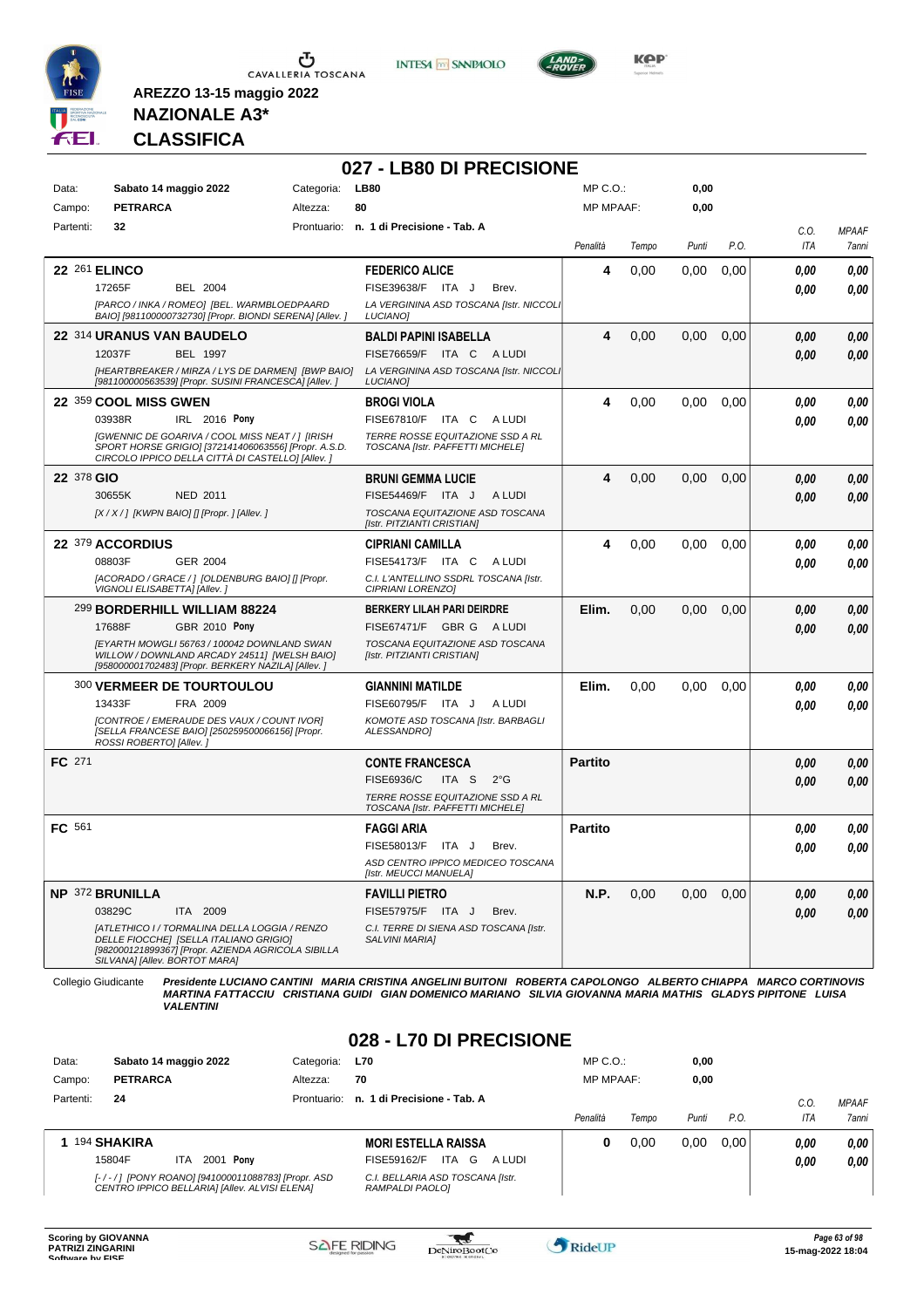





**Kep** 

#### **NAZIONALE A3\* CLASSIFICA**

**AREZZO 13-15 maggio 2022**

|            |                                                                                                                                                                                                                                |            | 027 - LB80 DI PRECISIONE                                                                                                               |                  |       |       |                   |              |                       |
|------------|--------------------------------------------------------------------------------------------------------------------------------------------------------------------------------------------------------------------------------|------------|----------------------------------------------------------------------------------------------------------------------------------------|------------------|-------|-------|-------------------|--------------|-----------------------|
| Data:      | Sabato 14 maggio 2022                                                                                                                                                                                                          | Categoria: | <b>LB80</b>                                                                                                                            | MP C.O.:         |       | 0,00  |                   |              |                       |
| Campo:     | <b>PETRARCA</b>                                                                                                                                                                                                                | Altezza:   | 80                                                                                                                                     | <b>MP MPAAF:</b> |       | 0,00  |                   |              |                       |
| Partenti:  | 32                                                                                                                                                                                                                             |            | Prontuario: n. 1 di Precisione - Tab. A                                                                                                | Penalità         | Tempo | Punti | P.O.              | C.O.<br>ITA  | <b>MPAAF</b><br>7anni |
|            | <b>22 261 ELINCO</b><br>17265F<br><b>BEL 2004</b><br>[PARCO / INKA / ROMEO] [BEL. WARMBLOEDPAARD<br>BAIO] [981100000732730] [Propr. BIONDI SERENA] [Allev. ]                                                                   |            | <b>FEDERICO ALICE</b><br>FISE39638/F ITA J<br>Brev.<br>LA VERGININA ASD TOSCANA [Istr. NICCOLI<br><b>LUCIANO1</b>                      | 4                | 0,00  | 0.00  | 0,00              | 0,00<br>0,00 | 0,00<br>0.00          |
|            | 22 314 URANUS VAN BAUDELO<br>12037F<br><b>BEL 1997</b><br>[HEARTBREAKER / MIRZA / LYS DE DARMEN] [BWP BAIO]<br>[981100000563539] [Propr. SUSINI FRANCESCA] [Allev.]                                                            |            | <b>BALDI PAPINI ISABELLA</b><br>FISE76659/F ITA C<br>A LUDI<br>LA VERGININA ASD TOSCANA [Istr. NICCOLI<br>LUCIANO]                     | 4                | 0,00  | 0,00  | 0.00              | 0,00<br>0.00 | 0,00<br>0.00          |
|            | 22 359 COOL MISS GWEN<br>03938R<br>IRL 2016 Pony<br>[GWENNIC DE GOARIVA / COOL MISS NEAT / ] [IRISH<br>SPORT HORSE GRIGIO] [372141406063556] [Propr. A.S.D.<br>CIRCOLO IPPICO DELLA CITTÀ DI CASTELLO] [Allev.]                |            | <b>BROGI VIOLA</b><br>FISE67810/F<br>ITA C<br>A LUDI<br>TERRE ROSSE EQUITAZIONE SSD A RL<br>TOSCANA [Istr. PAFFETTI MICHELE]           | 4                | 0,00  | 0,00  | 0,00              | 0,00<br>0.00 | 0.00<br>0.00          |
| 22 378 GIO | <b>NED 2011</b><br>30655K<br>[X / X / ] [KWPN BAIO] [] [Propr. ] [Allev. ]                                                                                                                                                     |            | <b>BRUNI GEMMA LUCIE</b><br>FISE54469/F ITA J<br>A LUDI<br>TOSCANA EQUITAZIONE ASD TOSCANA<br>[Istr. PITZIANTI CRISTIAN]               | 4                | 0,00  | 0.00  | 0.00              | 0.00<br>0.00 | 0,00<br>0,00          |
|            | 22 379 ACCORDIUS<br>08803F<br><b>GER 2004</b><br>[ACORADO / GRACE / ] [OLDENBURG BAIO] [] [Propr.<br>VIGNOLI ELISABETTA] [Allev.]                                                                                              |            | <b>CIPRIANI CAMILLA</b><br>FISE54173/F ITA C<br>A LUDI<br>C.I. L'ANTELLINO SSDRL TOSCANA [Istr.<br>CIPRIANI LORENZO]                   | 4                | 0,00  | 0,00  | 0,00              | 0.00<br>0.00 | 0.00<br>0.00          |
|            | 299 BORDERHILL WILLIAM 88224<br>GBR 2010 Pony<br>17688F<br>[EYARTH MOWGLI 56763 / 100042 DOWNLAND SWAN<br>WILLOW / DOWNLAND ARCADY 24511] [WELSH BAIO]<br>[958000001702483] [Propr. BERKERY NAZILA] [Allev. ]                  |            | <b>BERKERY LILAH PARI DEIRDRE</b><br>FISE67471/F GBR G A LUDI<br>TOSCANA EQUITAZIONE ASD TOSCANA<br>[Istr. PITZIANTI CRISTIAN]         | Elim.            | 0,00  | 0,00  | 0,00              | 0,00<br>0.00 | 0,00<br>0.00          |
|            | <b>300 VERMEER DE TOURTOULOU</b><br>13433F<br>FRA 2009<br>[CONTROE / EMERAUDE DES VAUX / COUNT IVOR]<br>[SELLA FRANCESE BAIO] [250259500066156] [Propr.<br>ROSSI ROBERTO] [Allev.]                                             |            | <b>GIANNINI MATILDE</b><br>FISE60795/F ITA J<br>A LUDI<br>KOMOTE ASD TOSCANA [Istr. BARBAGLI<br>ALESSANDRO]                            | Elim.            | 0,00  | 0,00  | 0,00              | 0.00<br>0.00 | 0.00<br>0.00          |
| FC 271     |                                                                                                                                                                                                                                |            | <b>CONTE FRANCESCA</b><br>FISE6936/C<br>ITA S<br>$2^{\circ}$ G<br>TERRE ROSSE EQUITAZIONE SSD A RL<br>TOSCANA [Istr. PAFFETTI MICHELE] | <b>Partito</b>   |       |       |                   | 0,00<br>0.00 | 0,00<br>0.00          |
| FC 561     |                                                                                                                                                                                                                                |            | <b>FAGGI ARIA</b><br>FISE58013/F<br>ITA J<br>Brev.<br>ASD CENTRO IPPICO MEDICEO TOSCANA<br>[Istr. MEUCCI MANUELA]                      | <b>Partito</b>   |       |       |                   | 0,00<br>0.00 | 0,00<br>0.00          |
|            | <b>NP 372 BRUNILLA</b><br>03829C<br>ITA 2009<br>[ATLETHICO I / TORMALINA DELLA LOGGIA / RENZO<br>DELLE FIOCCHEI ISELLA ITALIANO GRIGIOI<br>[982000121899367] [Propr. AZIENDA AGRICOLA SIBILLA<br>SILVANA] [Allev. BORTOT MARA] |            | <b>FAVILLI PIETRO</b><br>FISE57975/F ITA J<br>Brev.<br>C.I. TERRE DI SIENA ASD TOSCANA [Istr.<br>SALVINI MARIA]                        | <b>N.P.</b>      | 0,00  |       | $0.00 \quad 0.00$ | 0,00<br>0,00 | 0,00<br>0,00          |

Collegio Giudicante Presidente LUCIANO CANTINI MARIA CRISTINA ANGELINI BUITONI ROBERTA CAPOLONGO ALBERTO CHIAPPA MARCO CORTINOVIS<br>MARTINA FATTACCIU CRISTIANA GUIDI GIAN DOMENICO MARIANO SILVIA GIOVANNA MARIA MATHIS GLADYS

#### **028 - L70 DI PRECISIONE**

| Data:     | Sabato 14 maggio 2022  |                                                                                                    | Categoria: | <b>L70</b>                                          | $MP C. O.$ :     |       | 0,00  |      |      |              |
|-----------|------------------------|----------------------------------------------------------------------------------------------------|------------|-----------------------------------------------------|------------------|-------|-------|------|------|--------------|
| Campo:    | <b>PETRARCA</b>        |                                                                                                    | Altezza:   | 70                                                  | <b>MP MPAAF:</b> |       | 0,00  |      |      |              |
| Partenti: | 24                     |                                                                                                    |            | Prontuario: n. 1 di Precisione - Tab. A             |                  |       |       |      | C.O  | <b>MPAAF</b> |
|           |                        |                                                                                                    |            |                                                     | Penalità         | Tempo | Punti | P.O. | ITA  | 7anni        |
|           | <sup>194</sup> SHAKIRA |                                                                                                    |            | <b>MORI ESTELLA RAISSA</b>                          | o                | 0.00  | 0.00  | 0.00 | 0.00 | 0,00         |
|           | 15804F                 | Ponv<br>2001<br><b>ITA</b>                                                                         |            | ITA.<br>G<br>FISE59162/F<br>A LUDI                  |                  |       |       |      | 0,00 | 0,00         |
|           |                        | [-/-/] [PONY ROANO] [941000011088783] [Propr. ASD<br>CENTRO IPPICO BELLARIA] [Allev. ALVISI ELENA] |            | C.I. BELLARIA ASD TOSCANA [Istr.<br>RAMPALDI PAOLO1 |                  |       |       |      |      |              |

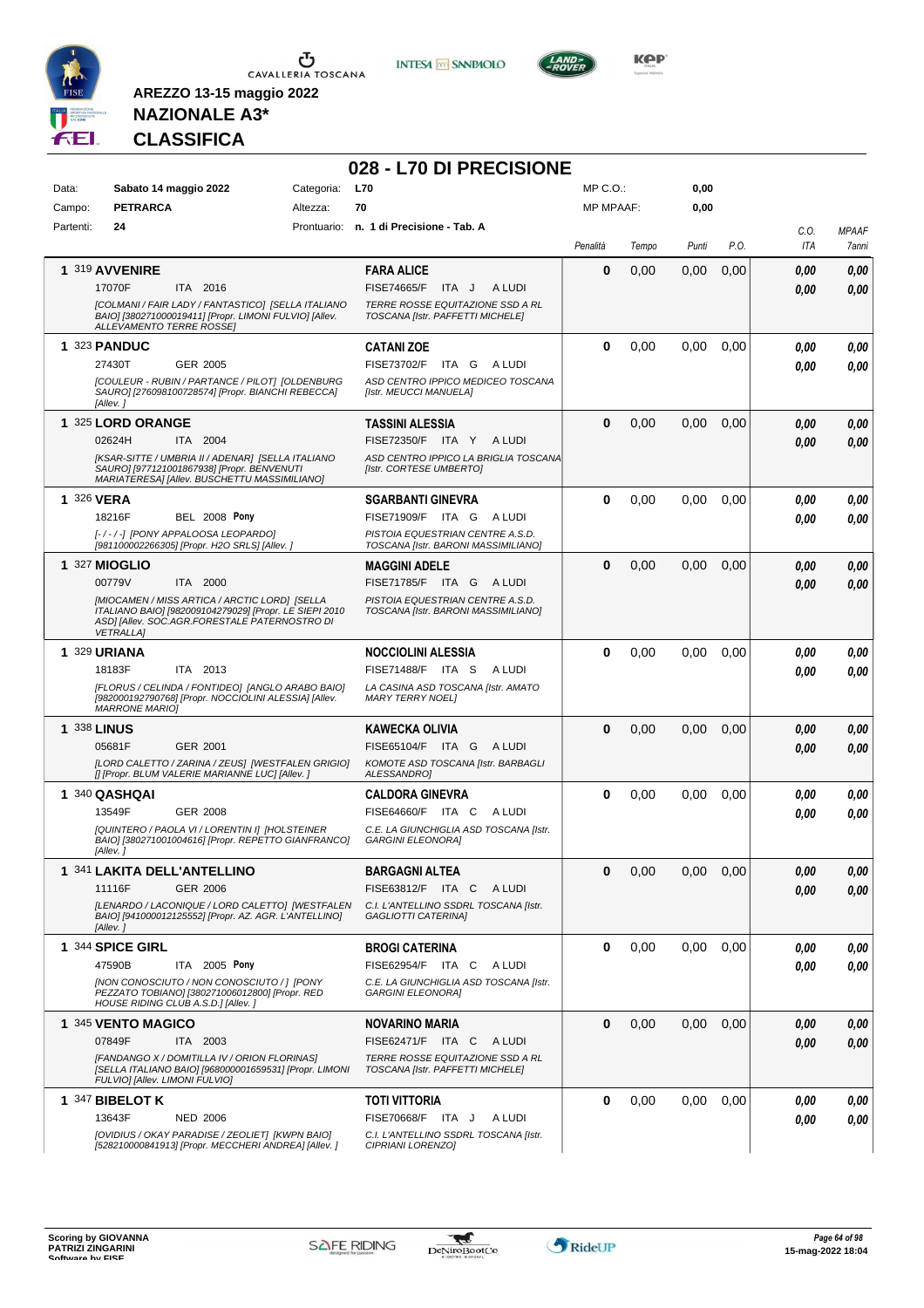

**INTESA M** SANPAOLO

**028 - L70 DI PRECISIONE**



**KOP** 

### **NAZIONALE A3\* CLASSIFICA**

| Data:              | Sabato 14 maggio 2022                                                                                                                    | Categoria: | <b>L70</b>                                                              | $MP C. O.$ :     |       | 0,00     |      |             |                       |
|--------------------|------------------------------------------------------------------------------------------------------------------------------------------|------------|-------------------------------------------------------------------------|------------------|-------|----------|------|-------------|-----------------------|
| Campo:             | <b>PETRARCA</b>                                                                                                                          | Altezza:   | 70                                                                      | <b>MP MPAAF:</b> |       | 0,00     |      |             |                       |
| Partenti:          | 24                                                                                                                                       |            | Prontuario: n. 1 di Precisione - Tab. A                                 |                  |       |          |      |             |                       |
|                    |                                                                                                                                          |            |                                                                         | Penalità         | Tempo | Punti    | P.O. | C.0.<br>ITA | <b>MPAAF</b><br>7anni |
|                    |                                                                                                                                          |            |                                                                         |                  |       |          |      |             |                       |
|                    | 1 319 AVVENIRE                                                                                                                           |            | <b>FARA ALICE</b>                                                       | 0                | 0,00  | 0,00     | 0,00 | 0.00        | 0,00                  |
|                    | 17070F<br>ITA 2016                                                                                                                       |            | <b>FISE74665/F</b><br>ITA J<br>A LUDI                                   |                  |       |          |      | 0,00        | 0,00                  |
|                    | [COLMANI / FAIR LADY / FANTASTICO] [SELLA ITALIANO<br>BAIO] [380271000019411] [Propr. LIMONI FULVIO] [Allev.<br>ALLEVAMENTO TERRE ROSSEJ |            | TERRE ROSSE EQUITAZIONE SSD A RL<br>TOSCANA [Istr. PAFFETTI MICHELE]    |                  |       |          |      |             |                       |
|                    | 1 323 PANDUC                                                                                                                             |            | <b>CATANI ZOE</b>                                                       | 0                | 0,00  | 0,00     | 0,00 | 0.00        | 0,00                  |
|                    | 27430T<br>GER 2005                                                                                                                       |            | FISE73702/F ITA G<br>A LUDI                                             |                  |       |          |      | 0.00        | 0,00                  |
|                    | <b>[COULEUR - RUBIN / PARTANCE / PILOT] [OLDENBURG</b><br>SAURO] [276098100728574] [Propr. BIANCHI REBECCA]<br>[Allev.]                  |            | ASD CENTRO IPPICO MEDICEO TOSCANA<br>[Istr. MEUCCI MANUELA]             |                  |       |          |      |             |                       |
|                    | 1 325 LORD ORANGE                                                                                                                        |            | <b>TASSINI ALESSIA</b>                                                  | 0                | 0,00  | 0,00     | 0,00 | 0.00        | 0,00                  |
|                    | 02624H<br>ITA 2004                                                                                                                       |            | <b>FISE72350/F</b><br>ITA Y ALUDI                                       |                  |       |          |      | 0.00        | 0,00                  |
|                    | [KSAR-SITTE / UMBRIA II / ADENAR] [SELLA ITALIANO                                                                                        |            | ASD CENTRO IPPICO LA BRIGLIA TOSCANA                                    |                  |       |          |      |             |                       |
|                    | SAURO] [977121001867938] [Propr. BENVENUTI<br>MARIATERESA] [Allev. BUSCHETTU MASSIMILIANO]                                               |            | [Istr. CORTESE UMBERTO]                                                 |                  |       |          |      |             |                       |
| 1 326 VERA         |                                                                                                                                          |            | <b>SGARBANTI GINEVRA</b>                                                | 0                | 0,00  | 0,00     | 0,00 | 0.00        | 0,00                  |
|                    | 18216F<br><b>BEL 2008 Pony</b>                                                                                                           |            | FISE71909/F ITA G<br>A LUDI                                             |                  |       |          |      | 0.00        | 0,00                  |
|                    | [-/-/-] [PONY APPALOOSA LEOPARDO]                                                                                                        |            | PISTOIA EQUESTRIAN CENTRE A.S.D.                                        |                  |       |          |      |             |                       |
|                    | [981100002266305] [Propr. H2O SRLS] [Allev. j                                                                                            |            | TOSCANA [Istr. BARONI MASSIMILIANO]                                     |                  |       |          |      |             |                       |
|                    | 1 327 MIOGLIO                                                                                                                            |            | <b>MAGGINI ADELE</b>                                                    | $\bf{0}$         | 0,00  | 0,00     | 0,00 | 0,00        | 0,00                  |
|                    | 00779V<br>ITA 2000                                                                                                                       |            | <b>FISE71785/F</b><br>ITA G ALUDI                                       |                  |       |          |      | 0,00        | 0.00                  |
|                    | [MIOCAMEN / MISS ARTICA / ARCTIC LORD] [SELLA<br>ITALIANO BAIO] [982009104279029] [Propr. LE SIEPI 2010                                  |            | PISTOIA EQUESTRIAN CENTRE A.S.D.<br>TOSCANA [Istr. BARONI MASSIMILIANO] |                  |       |          |      |             |                       |
|                    | ASD] [Allev. SOC.AGR.FORESTALE PATERNOSTRO DI<br><b>VETRALLA1</b>                                                                        |            |                                                                         |                  |       |          |      |             |                       |
|                    | 1 329 URIANA                                                                                                                             |            | <b>NOCCIOLINI ALESSIA</b>                                               | 0                | 0,00  | 0,00     | 0,00 | 0.00        | 0,00                  |
|                    | ITA 2013<br>18183F                                                                                                                       |            | FISE71488/F ITA S<br>A LUDI                                             |                  |       |          |      | 0.00        |                       |
|                    | [FLORUS / CELINDA / FONTIDEO] [ANGLO ARABO BAIO]                                                                                         |            | LA CASINA ASD TOSCANA [Istr. AMATO                                      |                  |       |          |      |             | 0,00                  |
|                    | [982000192790768] [Propr. NOCCIOLINI ALESSIA] [Allev.<br><b>MARRONE MARIOI</b>                                                           |            | <b>MARY TERRY NOEL1</b>                                                 |                  |       |          |      |             |                       |
| <b>1 338 LINUS</b> |                                                                                                                                          |            | <b>KAWECKA OLIVIA</b>                                                   | $\bf{0}$         | 0,00  | 0,00     | 0,00 | 0.00        | 0,00                  |
|                    | 05681F<br>GER 2001                                                                                                                       |            | FISE65104/F ITA G ALUDI                                                 |                  |       |          |      | 0,00        | 0,00                  |
|                    | [LORD CALETTO / ZARINA / ZEUS] [WESTFALEN GRIGIO]                                                                                        |            | KOMOTE ASD TOSCANA [Istr. BARBAGLI                                      |                  |       |          |      |             |                       |
|                    | [] [Propr. BLUM VALERIE MARIANNE LUC] [Allev. ]                                                                                          |            | ALESSANDRO]                                                             |                  |       |          |      |             |                       |
|                    | 1 340 QASHQAI                                                                                                                            |            | <b>CALDORA GINEVRA</b>                                                  | 0                | 0,00  | 0,00     | 0,00 | 0.00        | 0,00                  |
|                    | 13549F<br>GER 2008                                                                                                                       |            | FISE64660/F ITA C<br>A LUDI                                             |                  |       |          |      | 0.00        | 0,00                  |
|                    | [QUINTERO / PAOLA VI / LORENTIN I] [HOLSTEINER<br>BAIOI [380271001004616] [Propr. REPETTO GIANFRANCO]<br>[Allev.]                        |            | C.E. LA GIUNCHIGLIA ASD TOSCANA [Istr.<br><b>GARGINI ELEONORA]</b>      |                  |       |          |      |             |                       |
|                    | 1 341 LAKITA DELL'ANTELLINO                                                                                                              |            | <b>BARGAGNI ALTEA</b>                                                   | 0                | 0,00  | 0,00     | 0,00 | 0.00        | 0.00                  |
|                    | 11116F<br>GER 2006                                                                                                                       |            | FISE63812/F ITA C ALUDI                                                 |                  |       |          |      | 0,00        | 0,00                  |
|                    | [LENARDO / LACONIQUE / LORD CALETTO] [WESTFALEN<br>BAIO] [941000012125552] [Propr. AZ. AGR. L'ANTELLINO]<br>[Allev.]                     |            | C.I. L'ANTELLINO SSDRL TOSCANA [Istr.<br>GAGLIOTTI CATERINA]            |                  |       |          |      |             |                       |
|                    | 1 344 SPICE GIRL                                                                                                                         |            | <b>BROGI CATERINA</b>                                                   | 0                | 0,00  | $0.00\,$ | 0.00 | 0,00        | 0,00                  |
|                    | 47590B<br>ITA 2005 Pony                                                                                                                  |            | FISE62954/F ITA C<br>A LUDI                                             |                  |       |          |      | 0.00        | 0,00                  |
|                    | [NON CONOSCIUTO / NON CONOSCIUTO / ] [PONY<br>PEZZATO TOBIANO] [380271006012800] [Propr. RED                                             |            | C.E. LA GIUNCHIGLIA ASD TOSCANA [Istr.<br><b>GARGINI ELEONORA]</b>      |                  |       |          |      |             |                       |
|                    | HOUSE RIDING CLUB A.S.D.] [Allev.]                                                                                                       |            |                                                                         |                  |       |          |      |             |                       |
|                    | 1 345 VENTO MAGICO                                                                                                                       |            | <b>NOVARINO MARIA</b>                                                   | $\bf{0}$         | 0,00  | 0,00     | 0,00 | 0,00        | 0,00                  |
|                    | 07849F<br>ITA 2003                                                                                                                       |            | FISE62471/F ITA C ALUDI                                                 |                  |       |          |      | 0,00        | 0,00                  |
|                    | [FANDANGO X / DOMITILLA IV / ORION FLORINAS]<br>[SELLA ITALIANO BAIO] [968000001659531] [Propr. LIMONI<br>FULVIOI [Allev. LIMONI FULVIO] |            | TERRE ROSSE EQUITAZIONE SSD A RL<br>TOSCANA [Istr. PAFFETTI MICHELE]    |                  |       |          |      |             |                       |
|                    | 1 347 BIBELOT K                                                                                                                          |            | <b>TOTI VITTORIA</b>                                                    | 0                | 0,00  | 0.00     | 0,00 | 0.00        | 0,00                  |
|                    | 13643F<br><b>NED 2006</b>                                                                                                                |            | FISE70668/F ITA J<br>A LUDI                                             |                  |       |          |      | 0.00        | 0,00                  |
|                    | [OVIDIUS / OKAY PARADISE / ZEOLIET] [KWPN BAIO]                                                                                          |            | C.I. L'ANTELLINO SSDRL TOSCANA [Istr.                                   |                  |       |          |      |             |                       |
|                    | [528210000841913] [Propr. MECCHERI ANDREA] [Allev. ]                                                                                     |            | CIPRIANI LORENZO]                                                       |                  |       |          |      |             |                       |

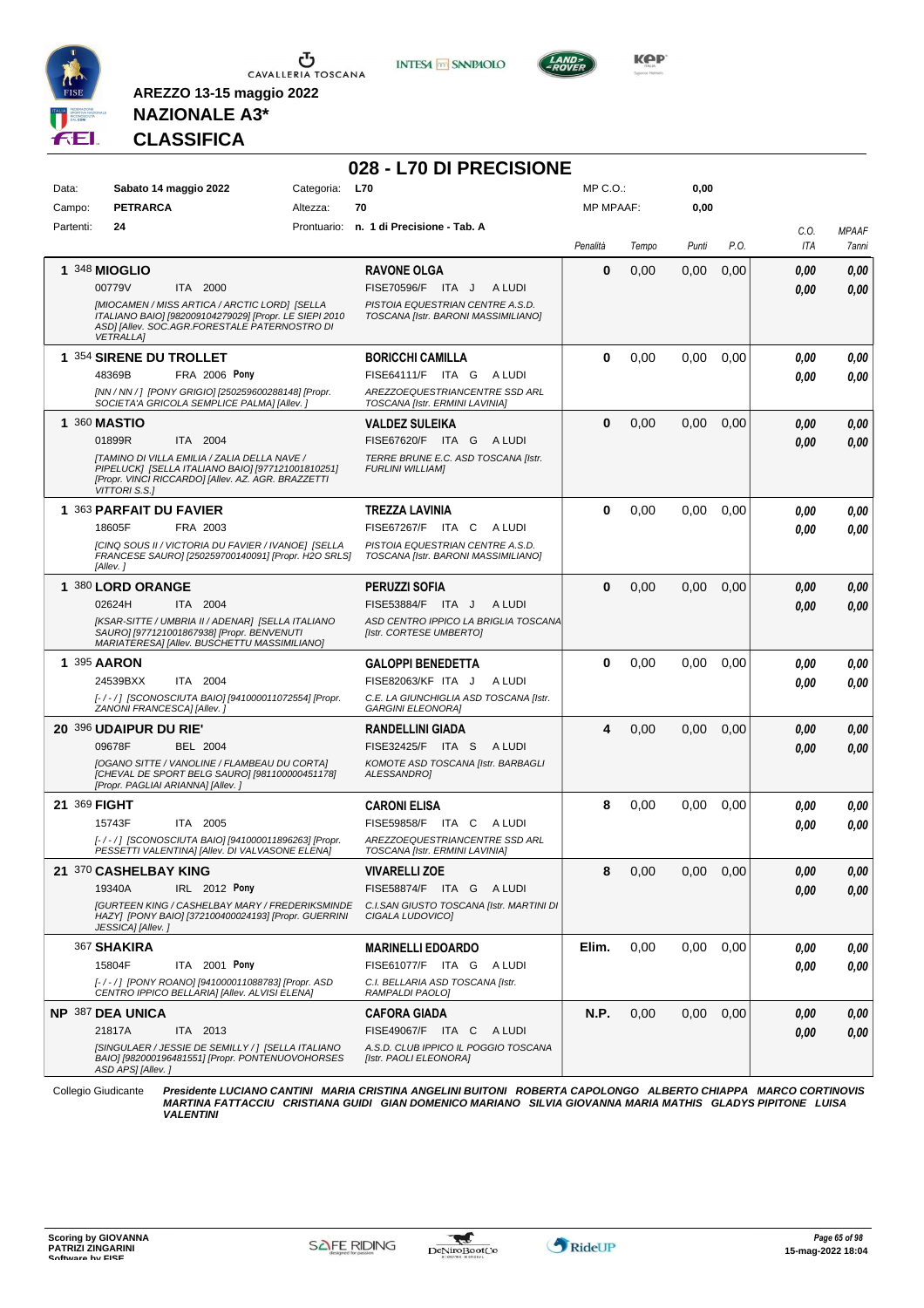

**INTESA M** SANPAOLO



**Kep** 

#### **NAZIONALE A3\* CLASSIFICA**

**AREZZO 13-15 maggio 2022**

|                     |                                                                                                                                                                              |            | 028 - L70 DI PRECISIONE                                                 |              |       |       |      |            |              |
|---------------------|------------------------------------------------------------------------------------------------------------------------------------------------------------------------------|------------|-------------------------------------------------------------------------|--------------|-------|-------|------|------------|--------------|
| Data:               | Sabato 14 maggio 2022                                                                                                                                                        | Categoria: | <b>L70</b>                                                              | $MP C. O.$ : |       | 0,00  |      |            |              |
| Campo:              | <b>PETRARCA</b>                                                                                                                                                              | Altezza:   | 70                                                                      | MP MPAAF:    |       | 0,00  |      |            |              |
| Partenti:           | 24                                                                                                                                                                           |            | Prontuario: n. 1 di Precisione - Tab. A                                 |              |       |       |      | C.0.       | <b>MPAAF</b> |
|                     |                                                                                                                                                                              |            |                                                                         | Penalità     | Tempo | Punti | P.O. | <b>ITA</b> | 7anni        |
|                     | <b>1 348 MIOGLIO</b>                                                                                                                                                         |            | <b>RAVONE OLGA</b>                                                      | $\bf{0}$     | 0,00  | 0,00  | 0,00 | 0.00       | 0,00         |
|                     | 00779V<br>ITA 2000                                                                                                                                                           |            | FISE70596/F ITA J<br>A LUDI                                             |              |       |       |      | 0.00       | 0,00         |
|                     | [MIOCAMEN / MISS ARTICA / ARCTIC LORD] [SELLA<br>ITALIANO BAIO] [982009104279029] [Propr. LE SIEPI 2010<br>ASDI [Allev. SOC.AGR.FORESTALE PATERNOSTRO DI<br><b>VETRALLA]</b> |            | PISTOIA EQUESTRIAN CENTRE A.S.D.<br>TOSCANA [Istr. BARONI MASSIMILIANO] |              |       |       |      |            |              |
|                     | 1 354 SIRENE DU TROLLET                                                                                                                                                      |            | <b>BORICCHI CAMILLA</b>                                                 | $\bf{0}$     | 0,00  | 0,00  | 0,00 | 0.00       | 0,00         |
|                     | 48369B<br>FRA 2006 Pony                                                                                                                                                      |            | FISE64111/F ITA G<br>A LUDI                                             |              |       |       |      | 0.00       | 0,00         |
|                     | [NN / NN / ] [PONY GRIGIO] [250259600288148] [Propr.<br>SOCIETA'A GRICOLA SEMPLICE PALMA] [Allev. ]                                                                          |            | AREZZOEQUESTRIANCENTRE SSD ARL<br>TOSCANA [Istr. ERMINI LAVINIA]        |              |       |       |      |            |              |
| <b>1 360 MASTIO</b> |                                                                                                                                                                              |            | <b>VALDEZ SULEIKA</b>                                                   | $\bf{0}$     | 0,00  | 0,00  | 0,00 | 0.00       | 0,00         |
|                     | 01899R<br>ITA 2004                                                                                                                                                           |            | FISE67620/F ITA G ALUDI                                                 |              |       |       |      | 0.00       | 0,00         |
|                     | [TAMINO DI VILLA EMILIA / ZALIA DELLA NAVE /<br>PIPELUCK] [SELLA ITALIANO BAIO] [977121001810251]<br>[Propr. VINCI RICCARDO] [Allev. AZ. AGR. BRAZZETTI<br>VITTORI S.S.]     |            | TERRE BRUNE E.C. ASD TOSCANA [Istr.<br><b>FURLINI WILLIAMI</b>          |              |       |       |      |            |              |
|                     | 1 363 PARFAIT DU FAVIER                                                                                                                                                      |            | TREZZA LAVINIA                                                          | $\bf{0}$     | 0,00  | 0,00  | 0,00 | 0.00       | 0,00         |
|                     | 18605F<br>FRA 2003                                                                                                                                                           |            | FISE67267/F ITA C<br>A LUDI                                             |              |       |       |      | 0.00       | 0,00         |
|                     | [CINQ SOUS II / VICTORIA DU FAVIER / IVANOE] [SELLA<br>FRANCESE SAURO] [250259700140091] [Propr. H2O SRLS]<br>[Allev.]                                                       |            | PISTOIA EQUESTRIAN CENTRE A.S.D.<br>TOSCANA [Istr. BARONI MASSIMILIANO] |              |       |       |      |            |              |
|                     | 1 380 LORD ORANGE                                                                                                                                                            |            | PERUZZI SOFIA                                                           | $\bf{0}$     | 0,00  | 0,00  | 0,00 | 0.00       | 0,00         |
|                     | 02624H<br>ITA 2004                                                                                                                                                           |            | FISE53884/F ITA J<br>A LUDI                                             |              |       |       |      | 0.00       | 0,00         |
|                     | [KSAR-SITTE / UMBRIA II / ADENAR] [SELLA ITALIANO<br>SAURO] [977121001867938] [Propr. BENVENUTI<br>MARIATERESA] [Allev. BUSCHETTU MASSIMILIANO]                              |            | ASD CENTRO IPPICO LA BRIGLIA TOSCANA<br>[Istr. CORTESE UMBERTO]         |              |       |       |      |            |              |
| <b>1 395 AARON</b>  |                                                                                                                                                                              |            | <b>GALOPPI BENEDETTA</b>                                                | $\bf{0}$     | 0,00  | 0,00  | 0,00 | 0.00       | 0,00         |
|                     | 24539BXX<br>ITA 2004                                                                                                                                                         |            | FISE82063/KF ITA J<br>A LUDI                                            |              |       |       |      | 0.00       | 0,00         |
|                     | [-/-/] [SCONOSCIUTA BAIO] [941000011072554] [Propr.<br>ZANONI FRANCESCA] [Allev.]                                                                                            |            | C.E. LA GIUNCHIGLIA ASD TOSCANA [Istr.<br><b>GARGINI ELEONORA]</b>      |              |       |       |      |            |              |
|                     | 20 396 UDAIPUR DU RIE'                                                                                                                                                       |            | <b>RANDELLINI GIADA</b>                                                 | 4            | 0,00  | 0,00  | 0,00 | 0.00       | 0,00         |
|                     | 09678F<br>BEL 2004                                                                                                                                                           |            | FISE32425/F ITA S<br>A LUDI                                             |              |       |       |      | 0.00       | 0,00         |
|                     | [OGANO SITTE / VANOLINE / FLAMBEAU DU CORTA]<br>[CHEVAL DE SPORT BELG SAURO] [981100000451178]<br>[Propr. PAGLIAI ARIANNA] [Allev.]                                          |            | KOMOTE ASD TOSCANA [Istr. BARBAGLI<br>ALESSANDRO1                       |              |       |       |      |            |              |
| 21 369 FIGHT        |                                                                                                                                                                              |            | <b>CARONI ELISA</b>                                                     | 8            | 0,00  | 0,00  | 0,00 | 0.00       | 0,00         |
|                     | 15743F<br>ITA 2005                                                                                                                                                           |            | FISE59858/F ITA C<br>A LUDI                                             |              |       |       |      | 0.00       | 0,00         |
|                     | [-/-/] [SCONOSCIUTA BAIO] [941000011896263] [Propr.<br>PESSETTI VALENTINA] [Allev. DI VALVASONE ELENA]                                                                       |            | AREZZOEQUESTRIANCENTRE SSD ARL<br>TOSCANA [Istr. ERMINI LAVINIA]        |              |       |       |      |            |              |
|                     | 21 370 CASHELBAY KING                                                                                                                                                        |            | <b>VIVARELLI ZOE</b>                                                    | 8            | 0,00  | 0,00  | 0,00 | 0,00       | 0,00         |
|                     | 19340A<br>IRL 2012 Pony                                                                                                                                                      |            | FISE58874/F ITA G ALUDI                                                 |              |       |       |      | 0.00       | 0,00         |
|                     | <b>[GURTEEN KING / CASHELBAY MARY / FREDERIKSMINDE</b><br>HAZY] [PONY BAIO] [372100400024193] [Propr. GUERRINI<br>JESSICA] [Allev.]                                          |            | C.I.SAN GIUSTO TOSCANA [Istr. MARTINI DI<br>CIGALA LUDOVICO]            |              |       |       |      |            |              |
|                     | 367 SHAKIRA                                                                                                                                                                  |            | <b>MARINELLI EDOARDO</b>                                                | Elim.        | 0,00  | 0,00  | 0,00 | 0.00       | 0,00         |
|                     | 15804F<br>ITA 2001 Pony                                                                                                                                                      |            | FISE61077/F ITA G ALUDI                                                 |              |       |       |      | 0.00       | 0,00         |
|                     | [-/-/] [PONY ROANO] [941000011088783] [Propr. ASD<br>CENTRO IPPICO BELLARIA] [Allev. ALVISI ELENA]                                                                           |            | C.I. BELLARIA ASD TOSCANA [Istr.<br>RAMPALDI PAOLO]                     |              |       |       |      |            |              |
|                     | <b>NP 387 DEA UNICA</b>                                                                                                                                                      |            | <b>CAFORA GIADA</b>                                                     | N.P.         | 0,00  | 0,00  | 0,00 | 0,00       | 0,00         |
|                     | ITA 2013<br>21817A                                                                                                                                                           |            | FISE49067/F ITA C<br>A LUDI                                             |              |       |       |      | 0,00       | 0,00         |
|                     | [SINGULAER / JESSIE DE SEMILLY / ] [SELLA ITALIANO<br>BAIO] [982000196481551] [Propr. PONTENUOVOHORSES<br>ASD APS] [Allev.]                                                  |            | A.S.D. CLUB IPPICO IL POGGIO TOSCANA<br>[Istr. PAOLI ELEONORA]          |              |       |       |      |            |              |

Collegio Giudicante Presidente LUCIANO CANTINI MARIA CRISTINA ANGELINI BUITONI ROBERTA CAPOLONGO ALBERTO CHIAPPA MARCO CORTINOVIS<br>MARTINA FATTACCIU CRISTIANA GUIDI GIAN DOMENICO MARIANO SILVIA GIOVANNA MARIA MATHIS GLADYS

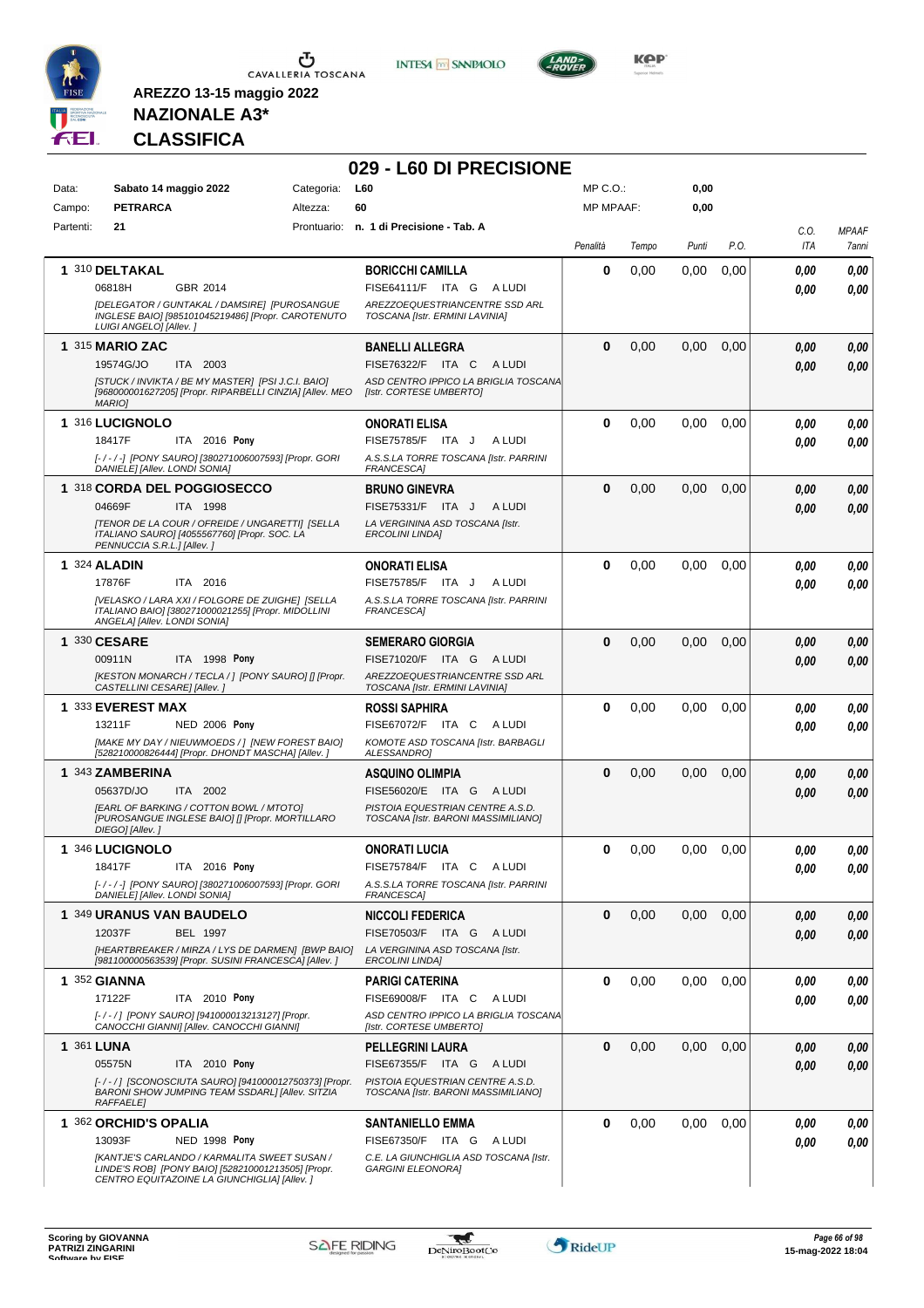

**INTESA M** SANPAOLO



**KOP** 

### **NAZIONALE A3\* CLASSIFICA**

| Data:      | Sabato 14 maggio 2022                                                                                                                              | Categoria: | 029 - L60 DI PRECISIONE<br>L60                                          | MP C.O.:         |       | 0,00  |      |                    |                       |
|------------|----------------------------------------------------------------------------------------------------------------------------------------------------|------------|-------------------------------------------------------------------------|------------------|-------|-------|------|--------------------|-----------------------|
| Campo:     | <b>PETRARCA</b>                                                                                                                                    | Altezza:   | 60                                                                      | <b>MP MPAAF:</b> |       | 0,00  |      |                    |                       |
| Partenti:  | 21                                                                                                                                                 |            | Prontuario: n. 1 di Precisione - Tab. A                                 | Penalità         | Tempo | Punti | P.O. | C.O.<br><b>ITA</b> | <b>MPAAF</b><br>7anni |
|            | 1 310 DELTAKAL                                                                                                                                     |            | <b>BORICCHI CAMILLA</b>                                                 | 0                | 0,00  | 0,00  | 0,00 | 0,00               | 0,00                  |
|            | GBR 2014<br>06818H                                                                                                                                 |            | FISE64111/F ITA G ALUDI                                                 |                  |       |       |      | 0.00               | 0,00                  |
|            | [DELEGATOR / GUNTAKAL / DAMSIRE] [PUROSANGUE<br>INGLESE BAIO] [985101045219486] [Propr. CAROTENUTO<br>LUIGI ANGELO] [Allev.]                       |            | AREZZOEQUESTRIANCENTRE SSD ARL<br>TOSCANA [Istr. ERMINI LAVINIA]        |                  |       |       |      |                    |                       |
|            | <b>1 315 MARIO ZAC</b>                                                                                                                             |            | <b>BANELLI ALLEGRA</b>                                                  | $\bf{0}$         | 0,00  | 0,00  | 0,00 | 0.00               | 0,00                  |
|            | 19574G/JO<br>ITA 2003                                                                                                                              |            | FISE76322/F ITA C<br>A LUDI                                             |                  |       |       |      | 0.00               | 0,00                  |
|            | [STUCK / INVIKTA / BE MY MASTER] [PSI J.C.I. BAIO]<br>[968000001627205] [Propr. RIPARBELLI CINZIA] [Allev. MEO<br><b>MARIOI</b>                    |            | ASD CENTRO IPPICO LA BRIGLIA TOSCANA<br>[Istr. CORTESE UMBERTO]         |                  |       |       |      |                    |                       |
|            | 1 316 LUCIGNOLO                                                                                                                                    |            | <b>ONORATI ELISA</b>                                                    | $\bf{0}$         | 0,00  | 0.00  | 0,00 | 0.00               | 0,00                  |
|            | ITA 2016 Pony<br>18417F                                                                                                                            |            | FISE75785/F ITA J<br>A LUDI                                             |                  |       |       |      | 0.00               | 0,00                  |
|            | [-/-/-] [PONY SAURO] [380271006007593] [Propr. GORI<br>DANIELE] [Allev. LONDI SONIA]                                                               |            | A.S.S.LA TORRE TOSCANA [Istr. PARRINI<br>FRANCESCA]                     |                  |       |       |      |                    |                       |
|            | 1 318 CORDA DEL POGGIOSECCO                                                                                                                        |            | <b>BRUNO GINEVRA</b>                                                    | $\bf{0}$         | 0,00  | 0,00  | 0,00 | 0.00               | 0,00                  |
|            | 04669F<br>ITA 1998                                                                                                                                 |            | FISE75331/F ITA J<br>A LUDI                                             |                  |       |       |      | 0.00               | 0,00                  |
|            | [TENOR DE LA COUR / OFREIDE / UNGARETTI] [SELLA<br>ITALIANO SAURO] [4055567760] [Propr. SOC. LA<br>PENNUCCIA S.R.L.] [Allev.]                      |            | LA VERGININA ASD TOSCANA [Istr.<br><b>ERCOLINI LINDA]</b>               |                  |       |       |      |                    |                       |
|            | <b>1 324 ALADIN</b>                                                                                                                                |            | <b>ONORATI ELISA</b>                                                    | 0                | 0,00  | 0,00  | 0,00 | 0.00               | 0,00                  |
|            | 17876F<br>ITA 2016<br>[VELASKO / LARA XXI / FOLGORE DE ZUIGHE] [SELLA                                                                              |            | FISE75785/F ITA J<br>A LUDI<br>A.S.S.LA TORRE TOSCANA [Istr. PARRINI    |                  |       |       |      | 0.00               | 0,00                  |
|            | ITALIANO BAIO] [380271000021255] [Propr. MIDOLLINI<br>ANGELA] [Allev. LONDI SONIA]                                                                 |            | FRANCESCA]                                                              |                  |       |       |      |                    |                       |
|            | 1 330 CESARE                                                                                                                                       |            | <b>SEMERARO GIORGIA</b>                                                 | $\Omega$         | 0,00  | 0,00  | 0,00 | 0.00               | 0,00                  |
|            | 00911N<br>ITA 1998 Pony                                                                                                                            |            | FISE71020/F ITA G<br>A LUDI                                             |                  |       |       |      | 0.00               | 0,00                  |
|            | [KESTON MONARCH / TECLA / ] [PONY SAURO] [] [Propr.<br>CASTELLINI CESARE] [Allev.]                                                                 |            | AREZZOEQUESTRIANCENTRE SSD ARL<br>TOSCANA [Istr. ERMINI LAVINIA]        |                  |       |       |      |                    |                       |
|            | 1 333 EVEREST MAX                                                                                                                                  |            | <b>ROSSI SAPHIRA</b>                                                    | 0                | 0,00  | 0,00  | 0,00 | 0.00               | 0,00                  |
|            | 13211F<br><b>NED 2006 Pony</b><br>[MAKE MY DAY / NIEUWMOEDS / ] [NEW FOREST BAIO]                                                                  |            | FISE67072/F ITA C ALUDI<br>KOMOTE ASD TOSCANA [Istr. BARBAGLI           |                  |       |       |      | 0.00               | 0,00                  |
|            | [528210000826444] [Propr. DHONDT MASCHA] [Allev.]                                                                                                  |            | ALESSANDRO]                                                             |                  |       |       |      |                    |                       |
|            | 1 343 ZAMBERINA                                                                                                                                    |            | <b>ASQUINO OLIMPIA</b>                                                  | $\bf{0}$         | 0,00  | 0,00  | 0,00 | 0.00               | 0,00                  |
|            | 05637D/JO<br>ITA 2002<br>[EARL OF BARKING / COTTON BOWL / MTOTO]                                                                                   |            | FISE56020/E ITA G ALUDI                                                 |                  |       |       |      | 0.00               | 0,00                  |
|            | [PUROSANGUE INGLESE BAIO] [] [Propr. MORTILLARO<br>DIEGO] [Allev.]                                                                                 |            | PISTOIA EQUESTRIAN CENTRE A.S.D.<br>TOSCANA [Istr. BARONI MASSIMILIANO] |                  |       |       |      |                    |                       |
|            | 1 346 LUCIGNOLO                                                                                                                                    |            | <b>ONORATI LUCIA</b>                                                    | 0                | 0,00  | 0,00  | 0,00 | 0,00               | 0,00                  |
|            | 18417F<br>ITA 2016 Pony<br>[-/-/-] [PONY SAURO] [380271006007593] [Propr. GORI                                                                     |            | FISE75784/F ITA C ALUDI<br>A.S.S.LA TORRE TOSCANA [Istr. PARRINI        |                  |       |       |      | 0.00               | 0,00                  |
|            | DANIELE] [Allev. LONDI SONIA]                                                                                                                      |            | FRANCESCA]                                                              |                  |       |       |      |                    |                       |
|            | 1 349 URANUS VAN BAUDELO                                                                                                                           |            | <b>NICCOLI FEDERICA</b>                                                 | 0                | 0,00  | 0,00  | 0,00 | 0,00               | 0,00                  |
|            | 12037F<br><b>BEL 1997</b><br>[HEARTBREAKER / MIRZA / LYS DE DARMEN] [BWP BAIO]                                                                     |            | FISE70503/F ITA G ALUDI<br>LA VERGININA ASD TOSCANA [Istr.              |                  |       |       |      | 0.00               | 0,00                  |
|            | [981100000563539] [Propr. SUSINI FRANCESCA] [Allev.]                                                                                               |            | <b>ERCOLINI LINDA]</b>                                                  |                  |       |       |      |                    |                       |
|            | <b>1 352 GIANNA</b>                                                                                                                                |            | <b>PARIGI CATERINA</b>                                                  | $\mathbf 0$      | 0,00  | 0,00  | 0,00 | 0.00               | 0,00                  |
|            | 17122F<br>ITA 2010 Pony<br>[-/-/] [PONY SAURO] [941000013213127] [Propr.                                                                           |            | FISE69008/F ITA C ALUDI<br>ASD CENTRO IPPICO LA BRIGLIA TOSCANA         |                  |       |       |      | 0.00               | 0,00                  |
|            | CANOCCHI GIANNII [Allev. CANOCCHI GIANNI]                                                                                                          |            | [Istr. CORTESE UMBERTO]                                                 |                  |       |       |      |                    |                       |
| 1 361 LUNA |                                                                                                                                                    |            | <b>PELLEGRINI LAURA</b>                                                 | $\mathbf 0$      | 0,00  | 0,00  | 0,00 | 0,00               | 0,00                  |
|            | 05575N<br>ITA 2010 Pony<br>[-/-/] [SCONOSCIUTA SAURO] [941000012750373] [Propr.                                                                    |            | FISE67355/F ITA G ALUDI<br>PISTOIA EQUESTRIAN CENTRE A.S.D.             |                  |       |       |      | 0.00               | 0,00                  |
|            | BARONI SHOW JUMPING TEAM SSDARL] [Allev. SITZIA<br><b>RAFFAELE</b>                                                                                 |            | TOSCANA [Istr. BARONI MASSIMILIANO]                                     |                  |       |       |      |                    |                       |
|            | 1 362 ORCHID'S OPALIA                                                                                                                              |            | <b>SANTANIELLO EMMA</b>                                                 | 0                | 0,00  | 0,00  | 0,00 | 0,00               | 0,00                  |
|            | 13093F<br><b>NED 1998 Pony</b>                                                                                                                     |            | FISE67350/F ITA G<br>A LUDI                                             |                  |       |       |      | 0,00               | 0,00                  |
|            | [KANTJE'S CARLANDO / KARMALITA SWEET SUSAN /<br>LINDE'S ROB] [PONY BAIO] [528210001213505] [Propr.<br>CENTRO EQUITAZOINE LA GIUNCHIGLIA] [Allev. ] |            | C.E. LA GIUNCHIGLIA ASD TOSCANA [Istr.<br><b>GARGINI ELEONORA]</b>      |                  |       |       |      |                    |                       |

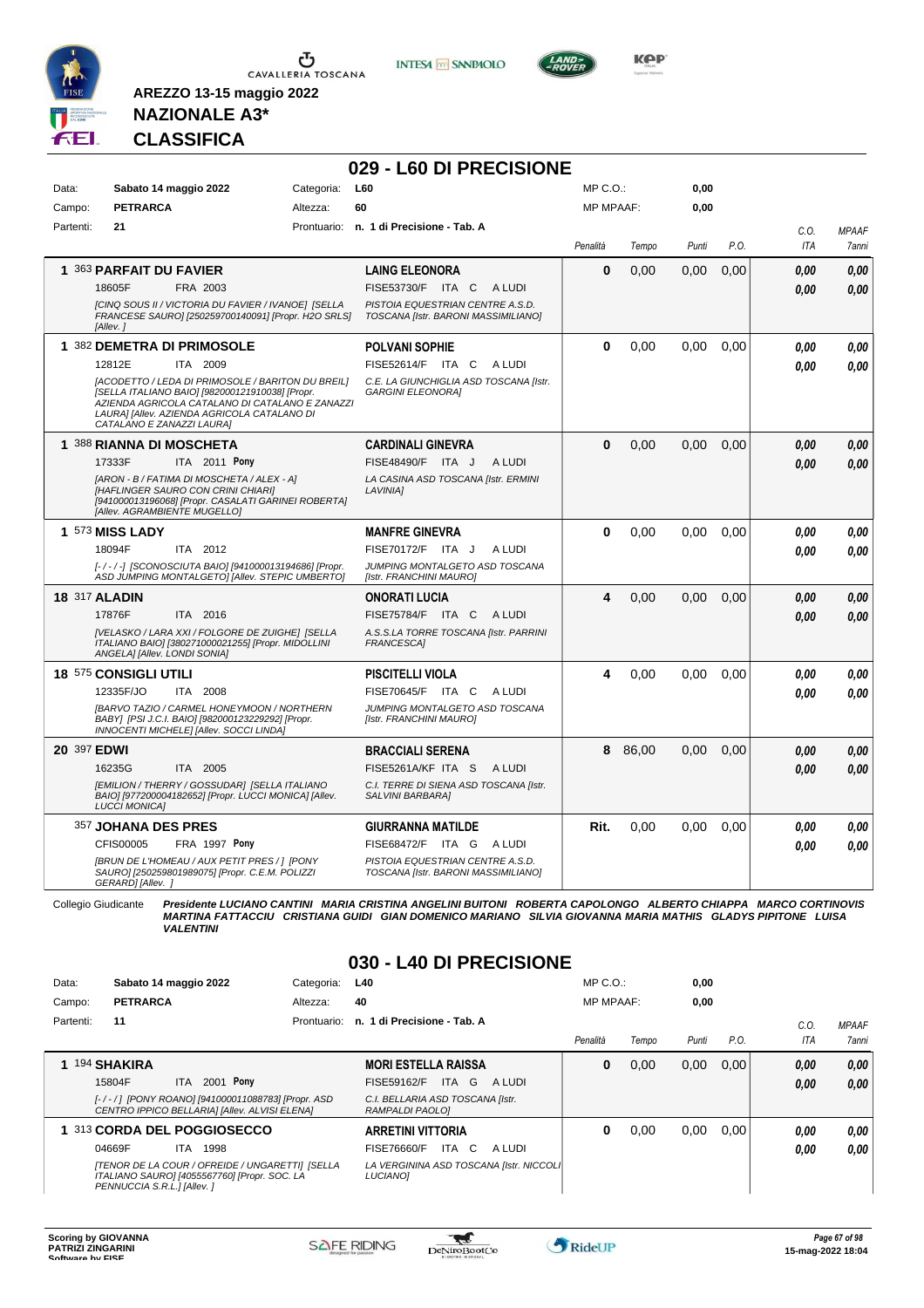

**INTESA M** SANPAOLO



**Kep** 

#### **NAZIONALE A3\* CLASSIFICA**

**AREZZO 13-15 maggio 2022**

|                      |                                                                                                                                                                                                                                            |            | 029 - L60 DI PRECISIONE                                                 |                  |         |       |      |                    |                       |
|----------------------|--------------------------------------------------------------------------------------------------------------------------------------------------------------------------------------------------------------------------------------------|------------|-------------------------------------------------------------------------|------------------|---------|-------|------|--------------------|-----------------------|
| Data:                | Sabato 14 maggio 2022                                                                                                                                                                                                                      | Categoria: | L60                                                                     | MP C.O.:         |         | 0,00  |      |                    |                       |
| Campo:               | <b>PETRARCA</b>                                                                                                                                                                                                                            | Altezza:   | 60                                                                      | <b>MP MPAAF:</b> |         | 0,00  |      |                    |                       |
| Partenti:            | 21                                                                                                                                                                                                                                         |            | Prontuario: n. 1 di Precisione - Tab. A                                 | Penalità         | Tempo   | Punti | P.O. | C.O.<br><b>ITA</b> | <b>MPAAF</b><br>7anni |
|                      | 1 363 PARFAIT DU FAVIER                                                                                                                                                                                                                    |            | <b>LAING ELEONORA</b>                                                   | 0                | 0,00    | 0.00  | 0.00 | 0.00               | 0.00                  |
|                      | FRA 2003<br>18605F                                                                                                                                                                                                                         |            | FISE53730/F ITA C<br>A LUDI                                             |                  |         |       |      | 0.00               | 0,00                  |
|                      | [CINQ SOUS II / VICTORIA DU FAVIER / IVANOE] [SELLA<br>FRANCESE SAURO] [250259700140091] [Propr. H2O SRLS]<br>[Allev.]                                                                                                                     |            | PISTOIA EQUESTRIAN CENTRE A.S.D.<br>TOSCANA [Istr. BARONI MASSIMILIANO] |                  |         |       |      |                    |                       |
|                      | 1 382 DEMETRA DI PRIMOSOLE                                                                                                                                                                                                                 |            | <b>POLVANI SOPHIE</b>                                                   | 0                | 0.00    | 0.00  | 0.00 | 0.00               | 0,00                  |
|                      | 12812E<br>ITA 2009                                                                                                                                                                                                                         |            | FISE52614/F ITA C<br>A LUDI                                             |                  |         |       |      | 0.00               | 0.00                  |
|                      | <b>IACODETTO / LEDA DI PRIMOSOLE / BARITON DU BREILI</b><br>[SELLA ITALIANO BAIO] [982000121910038] [Propr.<br>AZIENDA AGRICOLA CATALANO DI CATALANO E ZANAZZI<br>LAURA] [Allev. AZIENDA AGRICOLA CATALANO DI<br>CATALANO E ZANAZZI LAURA] |            | C.E. LA GIUNCHIGLIA ASD TOSCANA [Istr.<br><b>GARGINI ELEONORAI</b>      |                  |         |       |      |                    |                       |
|                      | 1 388 RIANNA DI MOSCHETA                                                                                                                                                                                                                   |            | <b>CARDINALI GINEVRA</b>                                                | $\bf{0}$         | 0,00    | 0.00  | 0,00 | 0.00               | 0,00                  |
|                      | 17333F<br><b>ITA</b> 2011 Pony                                                                                                                                                                                                             |            | FISE48490/F ITA J<br>A LUDI                                             |                  |         |       |      | 0.00               | 0,00                  |
|                      | [ARON - B / FATIMA DI MOSCHETA / ALEX - A]<br>[HAFLINGER SAURO CON CRINI CHIARI]<br>[941000013196068] [Propr. CASALATI GARINEI ROBERTA]<br>[Allev. AGRAMBIENTE MUGELLO]                                                                    |            | LA CASINA ASD TOSCANA [Istr. ERMINI<br>LAVINIA]                         |                  |         |       |      |                    |                       |
|                      | 1 573 MISS LADY                                                                                                                                                                                                                            |            | <b>MANFRE GINEVRA</b>                                                   | $\mathbf{0}$     | 0.00    | 0.00  | 0,00 | 0.00               | 0,00                  |
|                      | 18094F<br>ITA 2012                                                                                                                                                                                                                         |            | FISE70172/F ITA J<br>A LUDI                                             |                  |         |       |      | 0.00               | 0.00                  |
|                      | [-/-/-] [SCONOSCIUTA BAIO] [941000013194686] [Propr.<br>ASD JUMPING MONTALGETO] [Allev. STEPIC UMBERTO]                                                                                                                                    |            | JUMPING MONTALGETO ASD TOSCANA<br>[Istr. FRANCHINI MAURO]               |                  |         |       |      |                    |                       |
| <b>18 317 ALADIN</b> |                                                                                                                                                                                                                                            |            | ONORATI LUCIA                                                           | 4                | 0,00    | 0.00  | 0.00 | 0.00               | 0.00                  |
|                      | 17876F<br>ITA 2016                                                                                                                                                                                                                         |            | <b>FISE75784/F ITA C</b><br>A LUDI                                      |                  |         |       |      | 0.00               | 0,00                  |
|                      | [VELASKO / LARA XXI / FOLGORE DE ZUIGHE] [SELLA<br>ITALIANO BAIO] [380271000021255] [Propr. MIDOLLINI<br>ANGELA] [Allev. LONDI SONIA]                                                                                                      |            | A.S.S.LA TORRE TOSCANA [Istr. PARRINI<br>FRANCESCA]                     |                  |         |       |      |                    |                       |
|                      | 18 575 CONSIGLI UTILI                                                                                                                                                                                                                      |            | <b>PISCITELLI VIOLA</b>                                                 | 4                | 0.00    | 0.00  | 0.00 | 0.00               | 0.00                  |
|                      | ITA 2008<br>12335F/JO                                                                                                                                                                                                                      |            | FISE70645/F ITA C<br>A LUDI                                             |                  |         |       |      | 0.00               | 0.00                  |
|                      | [BARVO TAZIO / CARMEL HONEYMOON / NORTHERN<br>BABY] [PSI J.C.I. BAIO] [982000123229292] [Propr.<br>INNOCENTI MICHELE] [Allev. SOCCI LINDA]                                                                                                 |            | JUMPING MONTALGETO ASD TOSCANA<br>[Istr. FRANCHINI MAURO]               |                  |         |       |      |                    |                       |
| 20 397 EDWI          |                                                                                                                                                                                                                                            |            | <b>BRACCIALI SERENA</b>                                                 |                  | 8 86,00 | 0,00  | 0.00 | 0.00               | 0,00                  |
|                      | ITA 2005<br>16235G                                                                                                                                                                                                                         |            | FISE5261A/KF ITA S<br>A LUDI                                            |                  |         |       |      | 0.00               | 0.00                  |
|                      | [EMILION / THERRY / GOSSUDAR] [SELLA ITALIANO<br>BAIO] [977200004182652] [Propr. LUCCI MONICA] [Allev.<br><b>LUCCI MONICA]</b>                                                                                                             |            | C.I. TERRE DI SIENA ASD TOSCANA [Istr.<br>SALVINI BARBARAI              |                  |         |       |      |                    |                       |
|                      | 357 JOHANA DES PRES                                                                                                                                                                                                                        |            | <b>GIURRANNA MATILDE</b>                                                | Rit.             | 0,00    | 0,00  | 0,00 | 0.00               | 0,00                  |
|                      | CFIS00005<br>FRA 1997 Pony                                                                                                                                                                                                                 |            | FISE68472/F ITA G<br>A LUDI                                             |                  |         |       |      | 0.00               | 0.00                  |
|                      | [BRUN DE L'HOMEAU / AUX PETIT PRES / ] [PONY<br>SAURO] [250259801989075] [Propr. C.E.M. POLIZZI<br>GERARD] [Allev. ]                                                                                                                       |            | PISTOIA EQUESTRIAN CENTRE A.S.D.<br>TOSCANA [Istr. BARONI MASSIMILIANO] |                  |         |       |      |                    |                       |

Collegio Giudicante Presidente LUCIANO CANTINI MARIA CRISTINA ANGELINI BUITONI ROBERTA CAPOLONGO ALBERTO CHIAPPA MARCO CORTINOVIS<br>MARTINA FATTACCIU CRISTIANA GUIDI GIAN DOMENICO MARIANO SILVIA GIOVANNA MARIA MATHIS GLADYS

#### **030 - L40 DI PRECISIONE**

| Data:     | Sabato 14 maggio 2022                                                                                                          | Categoria:  | L40                                                  | MP C. O.         |       | 0,00  |      |            |              |
|-----------|--------------------------------------------------------------------------------------------------------------------------------|-------------|------------------------------------------------------|------------------|-------|-------|------|------------|--------------|
| Campo:    | <b>PETRARCA</b>                                                                                                                | Altezza:    | 40                                                   | <b>MP MPAAF:</b> |       | 0,00  |      |            |              |
| Partenti: | 11                                                                                                                             | Prontuario: | n. 1 di Precisione - Tab. A                          |                  |       |       |      | C.0        | <b>MPAAF</b> |
|           |                                                                                                                                |             |                                                      | Penalità         | Tempo | Punti | P.O. | <b>ITA</b> | 7anni        |
|           | 194 SHAKIRA                                                                                                                    |             | <b>MORI ESTELLA RAISSA</b>                           | 0                | 0,00  | 0,00  | 0.00 | 0,00       | 0,00         |
|           | 2001 Pony<br>15804F<br>ITA                                                                                                     |             | FISE59162/F<br>ITA G<br>A LUDI                       |                  |       |       |      | 0,00       | 0.00         |
|           | [-/-/] [PONY ROANO] [941000011088783] [Propr. ASD<br>CENTRO IPPICO BELLARIA] [Allev. ALVISI ELENA]                             |             | C.I. BELLARIA ASD TOSCANA [Istr.<br>RAMPALDI PAOLOI  |                  |       |       |      |            |              |
|           | 313 CORDA DEL POGGIOSECCO                                                                                                      |             | <b>ARRETINI VITTORIA</b>                             | 0                | 0,00  | 0,00  | 0.00 | 0,00       | 0,00         |
|           | 04669F<br>1998<br>ITA.                                                                                                         |             | <b>FISE76660/F</b><br>ITA C<br>A LUDI                |                  |       |       |      | 0,00       | 0.00         |
|           | [TENOR DE LA COUR / OFREIDE / UNGARETTI]  [SELLA<br>ITALIANO SAURO] [4055567760] [Propr. SOC. LA<br>PENNUCCIA S.R.L.] [Allev.] |             | LA VERGININA ASD TOSCANA [Istr. NICCOLI]<br>LUCIANO] |                  |       |       |      |            |              |

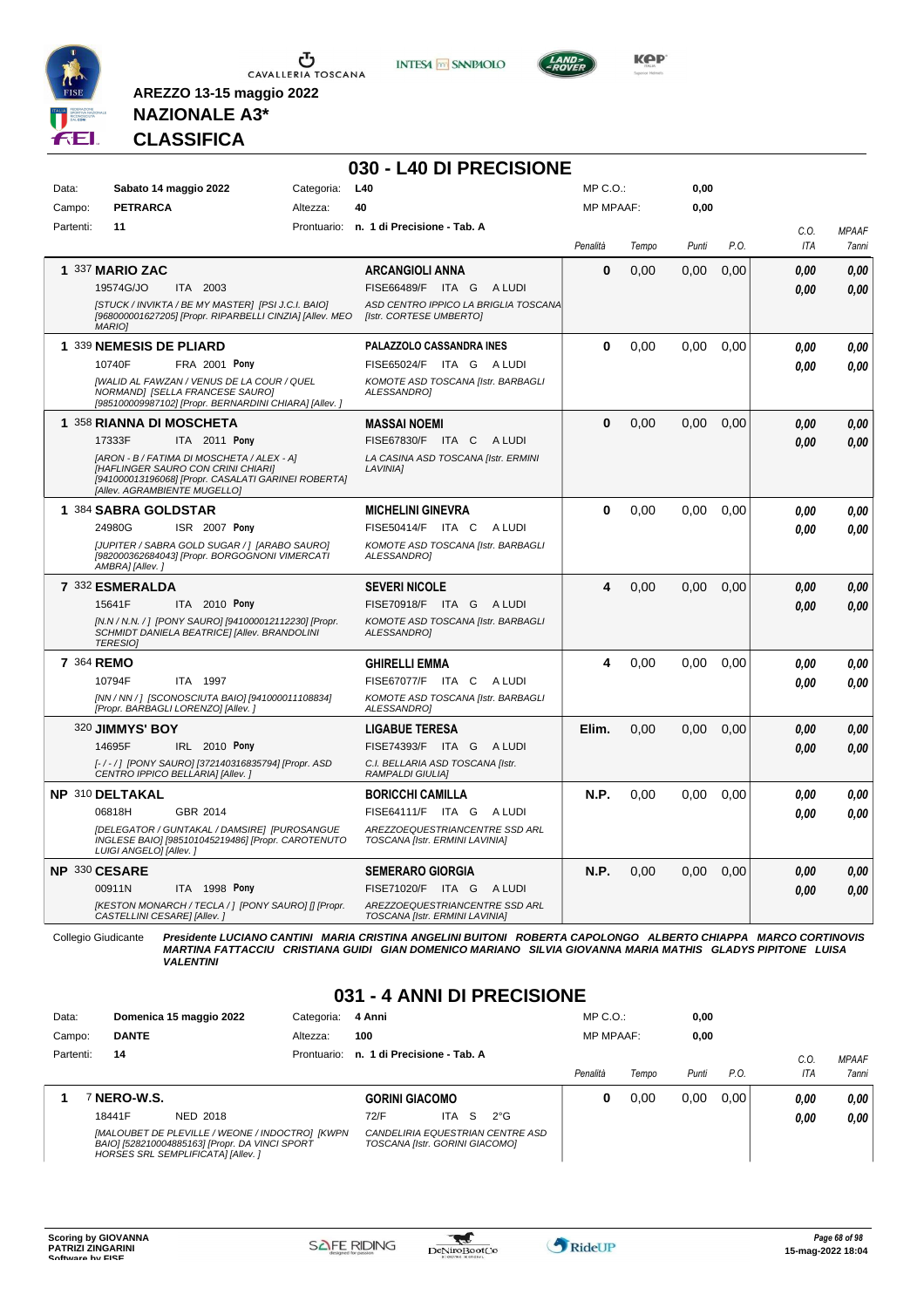

**INTESA M** SANPAOLO

**030 - L40 DI PRECISIONE**



**Kep** 

#### **NAZIONALE A3\* CLASSIFICA**

**AREZZO 13-15 maggio 2022**

| Data:<br>Campo: | Sabato 14 maggio 2022<br><b>PETRARCA</b>                                                                                                                                                                                              | L40<br>Categoria:<br>Altezza:<br>40                                                                                                  | $MP C. O.$ :<br><b>MP MPAAF:</b> |       | 0,00<br>0.00 |      |                    |                       |
|-----------------|---------------------------------------------------------------------------------------------------------------------------------------------------------------------------------------------------------------------------------------|--------------------------------------------------------------------------------------------------------------------------------------|----------------------------------|-------|--------------|------|--------------------|-----------------------|
| Partenti:       | 11                                                                                                                                                                                                                                    | Prontuario: n. 1 di Precisione - Tab. A                                                                                              | Penalità                         | Tempo | Punti        | P.O. | C.O.<br><b>ITA</b> | <b>MPAAF</b><br>7anni |
|                 | 1 337 MARIO ZAC<br>19574G/JO<br>ITA 2003<br>[STUCK / INVIKTA / BE MY MASTER] [PSI J.C.I. BAIO]<br>[968000001627205] [Propr. RIPARBELLI CINZIA] [Allev. MEO<br><b>MARIO1</b>                                                           | <b>ARCANGIOLI ANNA</b><br>FISE66489/F ITA G ALUDI<br>ASD CENTRO IPPICO LA BRIGLIA TOSCANA<br>[Istr. CORTESE UMBERTO]                 | $\bf{0}$                         | 0.00  | 0.00         | 0.00 | 0.00<br>0.00       | 0.00<br>0.00          |
|                 | 1 339 NEMESIS DE PLIARD<br>FRA 2001 Pony<br>10740F<br>[WALID AL FAWZAN / VENUS DE LA COUR / QUEL<br>NORMANDJ [SELLA FRANCESE SAURO]<br>[985100009987102] [Propr. BERNARDINI CHIARA] [Allev. ]                                         | PALAZZOLO CASSANDRA INES<br>FISE65024/F<br>ITA GALUDI<br>KOMOTE ASD TOSCANA [Istr. BARBAGLI<br>ALESSANDRO1                           | $\Omega$                         | 0,00  | 0,00         | 0,00 | 0.00<br>0.00       | 0,00<br>0.00          |
|                 | 1 358 RIANNA DI MOSCHETA<br>17333F<br>ITA 2011 Pony<br>[ARON - B / FATIMA DI MOSCHETA / ALEX - A]<br><b>IHAFLINGER SAURO CON CRINI CHIARII</b><br>[941000013196068] [Propr. CASALATI GARINEI ROBERTA]<br>[Allev. AGRAMBIENTE MUGELLO] | <b>MASSAI NOEMI</b><br>FISE67830/F ITA C<br>A LUDI<br>LA CASINA ASD TOSCANA [Istr. ERMINI<br>LAVINIA]                                | $\bf{0}$                         | 0,00  | 0.00         | 0.00 | 0.00<br>0.00       | 0.00<br>0.00          |
|                 | 1 384 SABRA GOLDSTAR<br>24980G<br>ISR 2007 Pony<br>[JUPITER / SABRA GOLD SUGAR / ] [ARABO SAURO]<br>[982000362684043] [Propr. BORGOGNONI VIMERCATI<br>AMBRA] [Allev.]                                                                 | <b>MICHELINI GINEVRA</b><br>FISE50414/F ITA C<br>A LUDI<br>KOMOTE ASD TOSCANA [Istr. BARBAGLI<br>ALESSANDRO1                         | $\bf{0}$                         | 0,00  | 0,00         | 0,00 | 0.00<br>0.00       | 0,00<br>0.00          |
|                 | 7 332 ESMERALDA<br>ITA 2010 Pony<br>15641F<br>[N.N / N.N. / ] [PONY SAURO] [941000012112230] [Propr.<br>.<br>SCHMIDT DANIELA BEATRICE] [Allev. BRANDOLINI<br><b>TERESIOI</b>                                                          | <b>SEVERI NICOLE</b><br>FISE70918/F ITA G ALUDI<br>KOMOTE ASD TOSCANA [Istr. BARBAGLI<br><b>ALESSANDROI</b>                          | 4                                | 0,00  | 0.00         | 0,00 | 0.00<br>0.00       | 0,00<br>0.00          |
| 7 364 REMO      | 10794F<br>ITA 1997<br>[NN / NN / ] [SCONOSCIUTA BAIO] [941000011108834]<br>[Propr. BARBAGLI LORENZO] [Allev. ]                                                                                                                        | <b>GHIRELLI EMMA</b><br>FISE67077/F ITA C<br>A LUDI<br>KOMOTE ASD TOSCANA [Istr. BARBAGLI<br>ALESSANDRO]                             | 4                                | 0,00  | 0.00         | 0.00 | 0.00<br>0.00       | 0.00<br>0.00          |
|                 | 320 JIMMYS' BOY<br>14695F<br>IRL 2010 Pony<br>[-/-/] [PONY SAURO] [372140316835794] [Propr. ASD<br>CENTRO IPPICO BELLARIA] [Allev.]                                                                                                   | <b>LIGABUE TERESA</b><br>FISE74393/F ITA G ALUDI<br>C.I. BELLARIA ASD TOSCANA [Istr.<br>RAMPALDI GIULIA]                             | Elim.                            | 0.00  | 0.00         | 0.00 | 0.00<br>0.00       | 0.00<br>0.00          |
|                 | NP 310 DELTAKAL<br>06818H<br>GBR 2014<br>[DELEGATOR / GUNTAKAL / DAMSIRE] [PUROSANGUE<br>INGLESE BAIO] [985101045219486] [Propr. CAROTENUTO<br>LUIGI ANGELO] [Allev.]                                                                 | <b>BORICCHI CAMILLA</b><br>FISE64111/F ITA G ALUDI<br>AREZZOEQUESTRIANCENTRE SSD ARL<br>TOSCANA [Istr. ERMINI LAVINIA]               | N.P.                             | 0.00  | 0.00         | 0.00 | 0.00<br>0.00       | 0.00<br>0.00          |
|                 | NP 330 CESARE<br>00911N<br><b>ITA</b> 1998 Pony<br>[KESTON MONARCH / TECLA / ] [PONY SAURO] [] [Propr.<br>CASTELLINI CESARE] [Allev.]                                                                                                 | <b>SEMERARO GIORGIA</b><br><b>FISE71020/F</b><br>ITA G<br>A LUDI<br>AREZZOEQUESTRIANCENTRE SSD ARL<br>TOSCANA [Istr. ERMINI LAVINIA] | N.P.                             | 0,00  | 0,00         | 0,00 | 0.00<br>0.00       | 0,00<br>0.00          |

Collegio Giudicante Presidente LUCIANO CANTINI MARIA CRISTINA ANGELINI BUITONI ROBERTA CAPOLONGO ALBERTO CHIAPPA MARCO CORTINOVIS<br>MARTINA FATTACCIU CRISTIANA GUIDI GIAN DOMENICO MARIANO SILVIA GIOVANNA MARIA MATHIS GLADYS

#### **031 - 4 ANNI DI PRECISIONE**

| Data:     |                        | Domenica 15 maggio 2022                                                                                                                | Categoria:  | 4 Anni                      |                                |                  |                                  | $MP C. O.$ : |       | 0,00  |      |      |              |
|-----------|------------------------|----------------------------------------------------------------------------------------------------------------------------------------|-------------|-----------------------------|--------------------------------|------------------|----------------------------------|--------------|-------|-------|------|------|--------------|
|           | <b>DANTE</b><br>Campo: |                                                                                                                                        | Altezza:    | 100                         |                                | <b>MP MPAAF:</b> |                                  | 0,00         |       |       |      |      |              |
| Partenti: | 14                     |                                                                                                                                        | Prontuario: | n. 1 di Precisione - Tab. A |                                |                  |                                  |              |       |       |      | C.O  | <b>MPAAF</b> |
|           |                        |                                                                                                                                        |             |                             |                                |                  |                                  | Penalità     | Tempo | Punti | P.O. | ITA  | 7anni        |
|           | NERO-W.S.              |                                                                                                                                        |             |                             | <b>GORINI GIACOMO</b>          |                  |                                  | 0            | 0.00  | 0.00  | 0.00 | 0.00 | 0.00         |
|           | 18441F                 | NED 2018                                                                                                                               |             | 72/F                        | ITA                            | -S               | $2^{\circ}G$                     |              |       |       |      | 0.00 | 0.00         |
|           |                        | [MALOUBET DE PLEVILLE / WEONE / INDOCTRO] [KWPN<br>BAIO] [528210004885163] [Propr. DA VINCI SPORT<br>HORSES SRL SEMPLIFICATAI [Allev.] |             |                             | TOSCANA [Istr. GORINI GIACOMO] |                  | CANDELIRIA EQUESTRIAN CENTRE ASD |              |       |       |      |      |              |

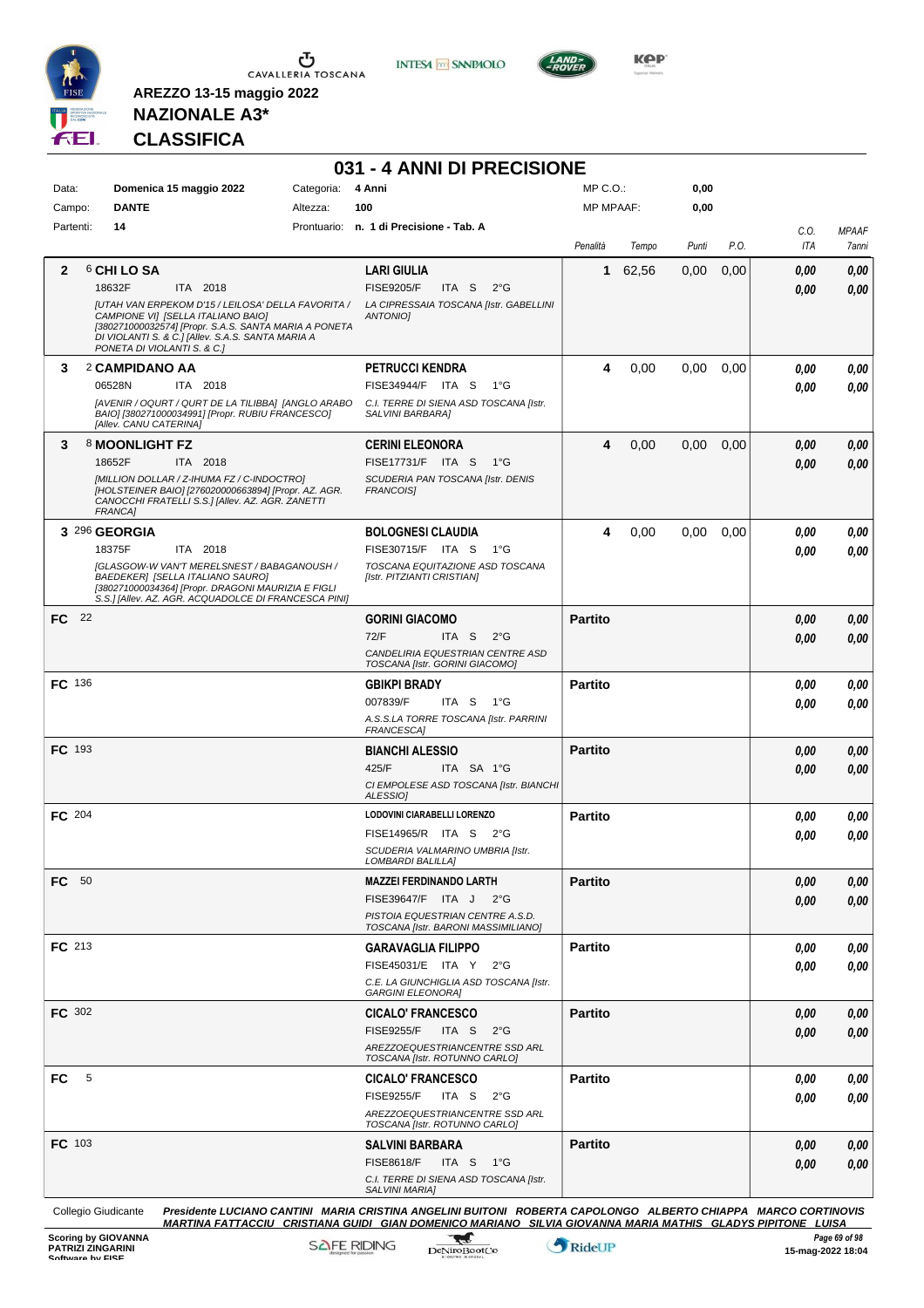

**INTESA M** SANPAOLO



**Kep** 

### **NAZIONALE A3\* CLASSIFICA**

**AREZZO 13-15 maggio 2022**

|               |   |                                                                                                                                                                                 |          |            | 031 - 4 ANNI DI PRECISIONE                                                                                                                                                                                                         |                |       |       |      |             |                       |
|---------------|---|---------------------------------------------------------------------------------------------------------------------------------------------------------------------------------|----------|------------|------------------------------------------------------------------------------------------------------------------------------------------------------------------------------------------------------------------------------------|----------------|-------|-------|------|-------------|-----------------------|
| Data:         |   | Domenica 15 maggio 2022                                                                                                                                                         |          | Categoria: | 4 Anni                                                                                                                                                                                                                             | MP C.O.:       |       | 0,00  |      |             |                       |
| Campo:        |   | <b>DANTE</b>                                                                                                                                                                    |          | Altezza:   | 100                                                                                                                                                                                                                                | MP MPAAF:      |       | 0,00  |      |             |                       |
| Partenti:     |   | 14                                                                                                                                                                              |          |            | Prontuario: n. 1 di Precisione - Tab. A                                                                                                                                                                                            | Penalità       | Tempo | Punti | P.O. | C.O.<br>ITA | <b>MPAAF</b><br>7anni |
| 2             |   | 6 CHI LO SA                                                                                                                                                                     |          |            | <b>LARI GIULIA</b>                                                                                                                                                                                                                 | 1              | 62,56 | 0,00  | 0,00 | 0,00        | 0,00                  |
|               |   | 18632F<br>JUTAH VAN ERPEKOM D'15 / LEILOSA' DELLA FAVORITA /                                                                                                                    | ITA 2018 |            | <b>FISE9205/F</b><br>ITA S<br>$2^{\circ}$ G<br>LA CIPRESSAIA TOSCANA [Istr. GABELLINI                                                                                                                                              |                |       |       |      | 0,00        | 0,00                  |
|               |   | CAMPIONE VI] [SELLA ITALIANO BAIO]<br>[380271000032574] [Propr. S.A.S. SANTA MARIA A PONETA<br>DI VIOLANTI S. & C.] [Allev. S.A.S. SANTA MARIA A<br>PONETA DI VIOLANTI S. & C.] |          |            | <b>ANTONIOI</b>                                                                                                                                                                                                                    |                |       |       |      |             |                       |
| 3             |   | 2 CAMPIDANO AA                                                                                                                                                                  |          |            | <b>PETRUCCI KENDRA</b>                                                                                                                                                                                                             | 4              | 0,00  | 0,00  | 0.00 | 0,00        | 0,00                  |
|               |   | 06528N                                                                                                                                                                          | ITA 2018 |            | FISE34944/F ITA S<br>1°G                                                                                                                                                                                                           |                |       |       |      | 0.00        | 0.00                  |
|               |   | [AVENIR / OQURT / QURT DE LA TILIBBA] [ANGLO ARABO<br>BAIO] [380271000034991] [Propr. RUBIU FRANCESCO]<br>[Allev. CANU CATERINA]                                                |          |            | C.I. TERRE DI SIENA ASD TOSCANA [Istr.<br>SALVINI BARBARA]                                                                                                                                                                         |                |       |       |      |             |                       |
| 3             |   | 8 MOONLIGHT FZ                                                                                                                                                                  |          |            | <b>CERINI ELEONORA</b>                                                                                                                                                                                                             | 4              | 0,00  | 0,00  | 0,00 | 0,00        | 0,00                  |
|               |   | 18652F                                                                                                                                                                          | ITA 2018 |            | FISE17731/F ITA S<br>− 1°G                                                                                                                                                                                                         |                |       |       |      | 0,00        | 0.00                  |
|               |   | [MILLION DOLLAR / Z-IHUMA FZ / C-INDOCTRO]<br>[HOLSTEINER BAIO] [276020000663894] [Propr. AZ. AGR.<br>CANOCCHI FRATELLI S.S.] [Allev. AZ. AGR. ZANETTI<br><b>FRANCA1</b>        |          |            | SCUDERIA PAN TOSCANA [Istr. DENIS<br><b>FRANCOISI</b>                                                                                                                                                                              |                |       |       |      |             |                       |
|               |   | 3 296 GEORGIA                                                                                                                                                                   |          |            | <b>BOLOGNESI CLAUDIA</b>                                                                                                                                                                                                           | 4              | 0,00  | 0.00  | 0.00 | 0.00        | 0,00                  |
|               |   | 18375F                                                                                                                                                                          | ITA 2018 |            | FISE30715/F ITA S<br>1°G                                                                                                                                                                                                           |                |       |       |      | 0.00        | 0.00                  |
|               |   | <b>[GLASGOW-W VAN'T MERELSNEST / BABAGANOUSH /</b><br>BAEDEKER] [SELLA ITALIANO SAURO]                                                                                          |          |            | TOSCANA EQUITAZIONE ASD TOSCANA<br>[Istr. PITZIANTI CRISTIAN]                                                                                                                                                                      |                |       |       |      |             |                       |
|               |   | [380271000034364] [Propr. DRAGONI MAURIZIA E FIGLI<br>S.S.] [Allev. AZ. AGR. ACQUADOLCE DI FRANCESCA PINI]                                                                      |          |            |                                                                                                                                                                                                                                    |                |       |       |      |             |                       |
| FC 22         |   |                                                                                                                                                                                 |          |            | <b>GORINI GIACOMO</b>                                                                                                                                                                                                              | <b>Partito</b> |       |       |      | 0,00        | 0,00                  |
|               |   |                                                                                                                                                                                 |          |            | 72/F<br>ITA S<br>$2^{\circ}$ G                                                                                                                                                                                                     |                |       |       |      | 0,00        | 0.00                  |
|               |   |                                                                                                                                                                                 |          |            | CANDELIRIA EQUESTRIAN CENTRE ASD<br>TOSCANA [Istr. GORINI GIACOMO]                                                                                                                                                                 |                |       |       |      |             |                       |
| FC 136        |   |                                                                                                                                                                                 |          |            | <b>GBIKPI BRADY</b>                                                                                                                                                                                                                | <b>Partito</b> |       |       |      | 0.00        | 0,00                  |
|               |   |                                                                                                                                                                                 |          |            | 007839/F<br>ITA S 1°G<br>A.S.S.LA TORRE TOSCANA [Istr. PARRINI<br>FRANCESCA]                                                                                                                                                       |                |       |       |      | 0,00        | 0.00                  |
| <b>FC</b> 193 |   |                                                                                                                                                                                 |          |            | <b>BIANCHI ALESSIO</b>                                                                                                                                                                                                             | <b>Partito</b> |       |       |      | 0,00        | 0,00                  |
|               |   |                                                                                                                                                                                 |          |            | 425/F<br>ITA SA 1°G                                                                                                                                                                                                                |                |       |       |      | 0,00        | 0,00                  |
|               |   |                                                                                                                                                                                 |          |            | CI EMPOLESE ASD TOSCANA [Istr. BIANCHI<br>ALESSIO]                                                                                                                                                                                 |                |       |       |      |             |                       |
| FC 204        |   |                                                                                                                                                                                 |          |            | LODOVINI CIARABELLI LORENZO                                                                                                                                                                                                        | <b>Partito</b> |       |       |      | 0.00        | 0,00                  |
|               |   |                                                                                                                                                                                 |          |            | FISE14965/R ITA S 2°G<br>SCUDERIA VALMARINO UMBRIA [Istr.                                                                                                                                                                          |                |       |       |      | 0.00        | 0.00                  |
|               |   |                                                                                                                                                                                 |          |            | LOMBARDI BALILLAI                                                                                                                                                                                                                  |                |       |       |      |             |                       |
| FC 50         |   |                                                                                                                                                                                 |          |            | <b>MAZZEI FERDINANDO LARTH</b>                                                                                                                                                                                                     | <b>Partito</b> |       |       |      | 0,00        | 0,00                  |
|               |   |                                                                                                                                                                                 |          |            | FISE39647/F ITA J 2°G                                                                                                                                                                                                              |                |       |       |      | 0,00        | 0,00                  |
|               |   |                                                                                                                                                                                 |          |            | PISTOIA EQUESTRIAN CENTRE A.S.D.<br>TOSCANA [Istr. BARONI MASSIMILIANO]                                                                                                                                                            |                |       |       |      |             |                       |
| FC 213        |   |                                                                                                                                                                                 |          |            | <b>GARAVAGLIA FILIPPO</b>                                                                                                                                                                                                          | <b>Partito</b> |       |       |      | 0.00        | 0,00                  |
|               |   |                                                                                                                                                                                 |          |            | FISE45031/E ITA Y 2°G                                                                                                                                                                                                              |                |       |       |      | 0,00        | 0,00                  |
|               |   |                                                                                                                                                                                 |          |            | C.E. LA GIUNCHIGLIA ASD TOSCANA [Istr.<br><b>GARGINI ELEONORA]</b>                                                                                                                                                                 |                |       |       |      |             |                       |
| <b>FC</b> 302 |   |                                                                                                                                                                                 |          |            | <b>CICALO' FRANCESCO</b>                                                                                                                                                                                                           | <b>Partito</b> |       |       |      | 0,00        | 0,00                  |
|               |   |                                                                                                                                                                                 |          |            | <b>FISE9255/F</b><br>ITA S<br>$2^{\circ}G$<br>AREZZOEQUESTRIANCENTRE SSD ARL                                                                                                                                                       |                |       |       |      | 0,00        | 0,00                  |
|               |   |                                                                                                                                                                                 |          |            | TOSCANA [Istr. ROTUNNO CARLO]                                                                                                                                                                                                      |                |       |       |      |             |                       |
| FC            | 5 |                                                                                                                                                                                 |          |            | <b>CICALO' FRANCESCO</b>                                                                                                                                                                                                           | <b>Partito</b> |       |       |      | 0,00        | 0,00                  |
|               |   |                                                                                                                                                                                 |          |            | <b>FISE9255/F</b><br>ITA S<br>$2^{\circ}$ G<br>AREZZOEQUESTRIANCENTRE SSD ARL                                                                                                                                                      |                |       |       |      | 0,00        | 0,00                  |
|               |   |                                                                                                                                                                                 |          |            | TOSCANA [Istr. ROTUNNO CARLO]                                                                                                                                                                                                      |                |       |       |      |             |                       |
| <b>FC</b> 103 |   |                                                                                                                                                                                 |          |            | <b>SALVINI BARBARA</b>                                                                                                                                                                                                             | <b>Partito</b> |       |       |      | 0,00        | 0,00                  |
|               |   |                                                                                                                                                                                 |          |            | <b>FISE8618/F</b><br>ITA S $1^{\circ}G$<br>C.I. TERRE DI SIENA ASD TOSCANA [Istr.                                                                                                                                                  |                |       |       |      | 0,00        | 0,00                  |
|               |   |                                                                                                                                                                                 |          |            | SALVINI MARIA]                                                                                                                                                                                                                     |                |       |       |      |             |                       |
|               |   | Collegio Giudicante                                                                                                                                                             |          |            | Presidente LUCIANO CANTINI MARIA CRISTINA ANGELINI BUITONI ROBERTA CAPOLONGO ALBERTO CHIAPPA MARCO CORTINOVIS<br><u>MARTINA FATTACCIU CRISTIANA GUIDI GIAN DOMENICO MARIANO SILVIA GIOVANNA MARIA MATHIS GLADYS PIPITONE LUISA</u> |                |       |       |      |             |                       |

**Scoring by GIOVANNA**<br>
Page 69 of 98<br>
Software by FISE RIDING<br>
Software by FISE RIDING Devices and Control RideUP<br>
Software by FISE RIDING Devices and Control RideUP<br> **Page 69 of 98** 

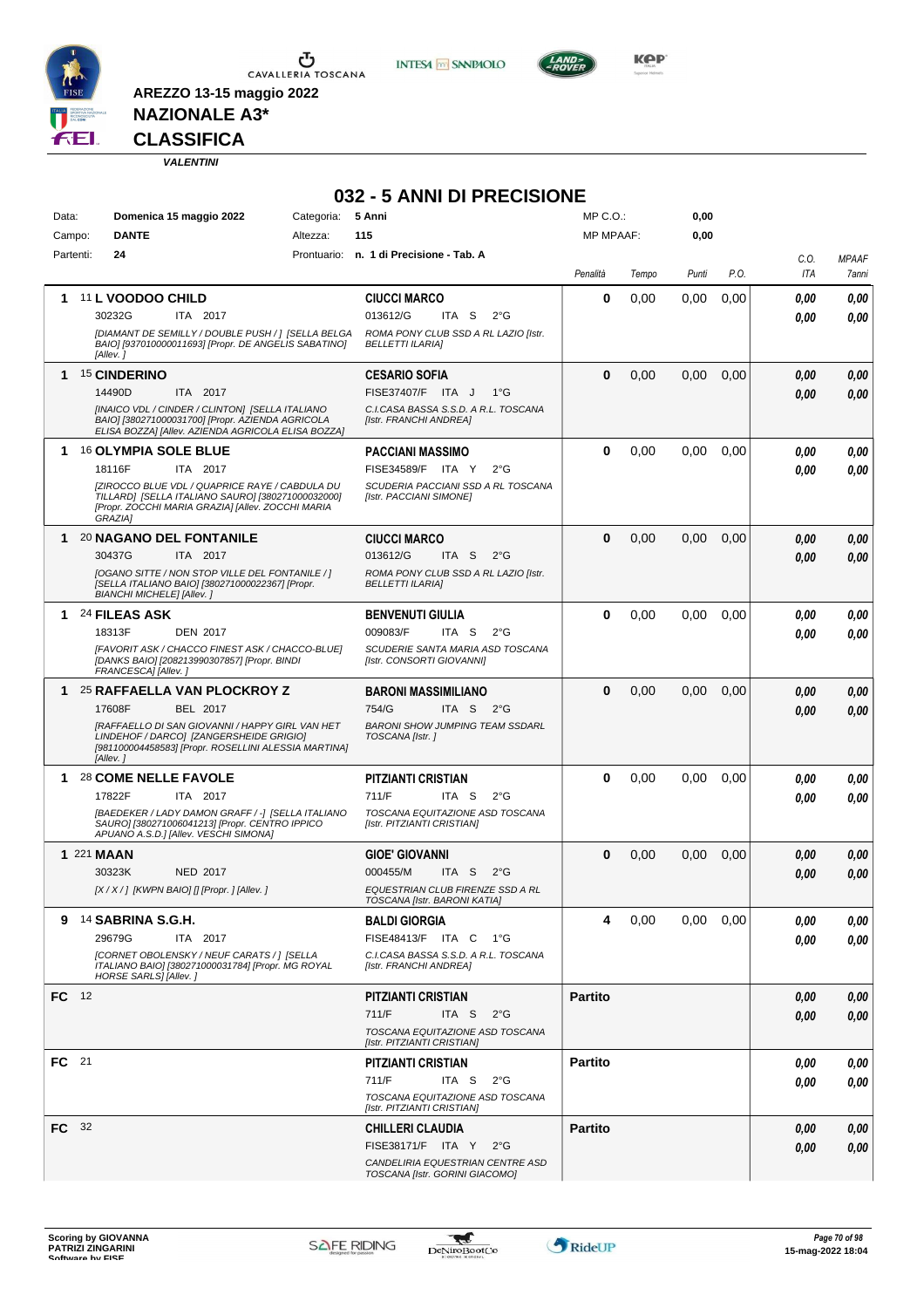

**AREZZO 13-15 maggio 2022**





**NAZIONALE A3\***

#### **CLASSIFICA**

*VALENTINI*

#### **032 - 5 ANNI DI PRECISIONE**

| Data:        | Domenica 15 maggio 2022                                                                                                                                                    | Categoria: | 5 Anni                                                                    | MP C.O.:         |       | 0,00  |      |            |              |
|--------------|----------------------------------------------------------------------------------------------------------------------------------------------------------------------------|------------|---------------------------------------------------------------------------|------------------|-------|-------|------|------------|--------------|
| Campo:       | <b>DANTE</b>                                                                                                                                                               | Altezza:   | 115                                                                       | <b>MP MPAAF:</b> |       | 0,00  |      |            |              |
| Partenti:    | 24                                                                                                                                                                         |            | Prontuario: n. 1 di Precisione - Tab. A                                   |                  |       |       |      | C.O.       | <b>MPAAF</b> |
|              |                                                                                                                                                                            |            |                                                                           | Penalità         | Tempo | Punti | P.O. | <b>ITA</b> | 7anni        |
|              | 1 11 L VOODOO CHILD                                                                                                                                                        |            | <b>CIUCCI MARCO</b>                                                       | 0                | 0,00  | 0,00  | 0,00 | 0.00       | 0,00         |
|              | 30232G<br>ITA 2017                                                                                                                                                         |            | 013612/G<br>ITA S<br>$2^{\circ}$ G                                        |                  |       |       |      | 0.00       | 0.00         |
|              | [DIAMANT DE SEMILLY / DOUBLE PUSH / ] [SELLA BELGA<br>BAIO] [937010000011693] [Propr. DE ANGELIS SABATINO]<br>[Allev.]                                                     |            | ROMA PONY CLUB SSD A RL LAZIO [Istr.<br><b>BELLETTI ILARIAI</b>           |                  |       |       |      |            |              |
|              |                                                                                                                                                                            |            |                                                                           |                  |       |       |      |            |              |
|              | 1 15 CINDERINO                                                                                                                                                             |            | <b>CESARIO SOFIA</b>                                                      | 0                | 0,00  | 0,00  | 0,00 | 0,00       | 0,00         |
|              | 14490D<br>ITA 2017<br>[INAICO VDL / CINDER / CLINTON] [SELLA ITALIANO                                                                                                      |            | FISE37407/F ITA J<br>$1^{\circ}G$<br>C.I.CASA BASSA S.S.D. A R.L. TOSCANA |                  |       |       |      | 0,00       | 0,00         |
|              | BAIO] [380271000031700] [Propr. AZIENDA AGRICOLA<br>ELISA BOZZA] [Allev. AZIENDA AGRICOLA ELISA BOZZA]                                                                     |            | [Istr. FRANCHI ANDREA]                                                    |                  |       |       |      |            |              |
| 1.           | 16 OLYMPIA SOLE BLUE                                                                                                                                                       |            | PACCIANI MASSIMO                                                          | 0                | 0,00  | 0,00  | 0,00 | 0,00       | 0,00         |
|              | 18116F<br>ITA 2017                                                                                                                                                         |            | FISE34589/F ITA Y<br>$2^{\circ}$ G                                        |                  |       |       |      | 0.00       | 0.00         |
|              | [ZIROCCO BLUE VDL / QUAPRICE RAYE / CABDULA DU<br>TILLARD] [SELLA ITALIANO SAURO] [380271000032000]<br>[Propr. ZOCCHI MARIA GRAZIA] [Allev. ZOCCHI MARIA<br><b>GRAZIA1</b> |            | SCUDERIA PACCIANI SSD A RL TOSCANA<br>[Istr. PACCIANI SIMONE]             |                  |       |       |      |            |              |
|              | 1 20 NAGANO DEL FONTANILE                                                                                                                                                  |            | <b>CIUCCI MARCO</b>                                                       | 0                | 0,00  | 0,00  | 0,00 | 0,00       | 0,00         |
|              | 30437G<br>ITA 2017                                                                                                                                                         |            | 013612/G<br>ITA S<br>$2^{\circ}$ G                                        |                  |       |       |      | 0.00       | 0,00         |
|              | [OGANO SITTE / NON STOP VILLE DEL FONTANILE / ]<br>[SELLA ITALIANO BAIO] [380271000022367] [Propr.<br><b>BIANCHI MICHELE] [Allev.]</b>                                     |            | ROMA PONY CLUB SSD A RL LAZIO [Istr.<br><b>BELLETTI ILARIAI</b>           |                  |       |       |      |            |              |
|              | 1 24 FILEAS ASK                                                                                                                                                            |            | <b>BENVENUTI GIULIA</b>                                                   | 0                | 0,00  | 0,00  | 0,00 | 0.00       | 0,00         |
|              | 18313F<br><b>DEN 2017</b>                                                                                                                                                  |            | 009083/F<br>ITA S<br>$2^{\circ}$ G                                        |                  |       |       |      | 0.00       | 0.00         |
|              | [FAVORIT ASK / CHACCO FINEST ASK / CHACCO-BLUE]<br>[DANKS BAIO] [208213990307857] [Propr. BINDI<br>FRANCESCA] [Allev.]                                                     |            | SCUDERIE SANTA MARIA ASD TOSCANA<br>[Istr. CONSORTI GIOVANNI]             |                  |       |       |      |            |              |
|              | 1 25 RAFFAELLA VAN PLOCKROY Z                                                                                                                                              |            | <b>BARONI MASSIMILIANO</b>                                                | 0                | 0,00  | 0,00  | 0,00 | 0,00       | 0,00         |
|              | 17608F<br>BEL 2017                                                                                                                                                         |            | 754/G<br>ITA S<br>$2^{\circ}G$                                            |                  |       |       |      | 0.00       | 0.00         |
|              | [RAFFAELLO DI SAN GIOVANNI / HAPPY GIRL VAN HET<br>LINDEHOF / DARCO] [ZANGERSHEIDE GRIGIO]<br>[981100004458583] [Propr. ROSELLINI ALESSIA MARTINA]<br>[Allev.]             |            | <b>BARONI SHOW JUMPING TEAM SSDARL</b><br>TOSCANA [Istr.]                 |                  |       |       |      |            |              |
|              | 1 28 COME NELLE FAVOLE                                                                                                                                                     |            | <b>PITZIANTI CRISTIAN</b>                                                 | 0                | 0,00  | 0.00  | 0.00 | 0,00       | 0,00         |
|              | ITA 2017<br>17822F                                                                                                                                                         |            | 711/F<br>ITA S<br>$2^{\circ}$ G                                           |                  |       |       |      | 0.00       | 0.00         |
|              | [BAEDEKER / LADY DAMON GRAFF / -] [SELLA ITALIANO<br>SAURO] [380271006041213] [Propr. CENTRO IPPICO<br>APUANO A.S.D.] [Allev. VESCHI SIMONA]                               |            | TOSCANA EQUITAZIONE ASD TOSCANA<br>[Istr. PITZIANTI CRISTIAN]             |                  |       |       |      |            |              |
|              | 1 221 MAAN                                                                                                                                                                 |            | <b>GIOE' GIOVANNI</b>                                                     | 0                | 0,00  | 0,00  | 0,00 | 0,00       | 0,00         |
|              | 30323K<br><b>NED 2017</b>                                                                                                                                                  |            | 000455/M<br>ITA S<br>$2^{\circ}$ G                                        |                  |       |       |      | 0,00       | 0,00         |
|              | [X / X / ] [KWPN BAIO] [] [Propr. ] [Allev. ]                                                                                                                              |            | EQUESTRIAN CLUB FIRENZE SSD A RL<br>TOSCANA [Istr. BARONI KATIA]          |                  |       |       |      |            |              |
| 9            | 14 SABRINA S.G.H.                                                                                                                                                          |            | <b>BALDI GIORGIA</b>                                                      | 4                | 0,00  | 0,00  | 0,00 | 0,00       | 0,00         |
|              | 29679G<br>ITA 2017                                                                                                                                                         |            | FISE48413/F ITA C 1°G                                                     |                  |       |       |      | 0,00       | 0,00         |
|              | [CORNET OBOLENSKY / NEUF CARATS / ] [SELLA<br>ITALIANO BAIO] [380271000031784] [Propr. MG ROYAL<br>HORSE SARLS] [Allev.]                                                   |            | C.I.CASA BASSA S.S.D. A R.L. TOSCANA<br>[Istr. FRANCHI ANDREA]            |                  |       |       |      |            |              |
| FC 12        |                                                                                                                                                                            |            | PITZIANTI CRISTIAN                                                        | <b>Partito</b>   |       |       |      | 0.00       | 0,00         |
|              |                                                                                                                                                                            |            | 711/F<br>ITA S<br>$2^{\circ}G$                                            |                  |       |       |      | 0.00       | 0,00         |
|              |                                                                                                                                                                            |            | TOSCANA EQUITAZIONE ASD TOSCANA<br>[Istr. PITZIANTI CRISTIAN]             |                  |       |       |      |            |              |
| FC 21        |                                                                                                                                                                            |            | PITZIANTI CRISTIAN                                                        | <b>Partito</b>   |       |       |      | 0,00       | 0,00         |
|              |                                                                                                                                                                            |            | 711/F<br>ITA S<br>$2^{\circ}G$                                            |                  |       |       |      | 0.00       | 0,00         |
|              |                                                                                                                                                                            |            | TOSCANA EQUITAZIONE ASD TOSCANA<br>[Istr. PITZIANTI CRISTIAN]             |                  |       |       |      |            |              |
| <b>FC</b> 32 |                                                                                                                                                                            |            | <b>CHILLERI CLAUDIA</b>                                                   | <b>Partito</b>   |       |       |      | 0,00       | 0,00         |
|              |                                                                                                                                                                            |            | FISE38171/F ITA Y 2°G                                                     |                  |       |       |      | 0,00       | 0,00         |
|              |                                                                                                                                                                            |            | CANDELIRIA EQUESTRIAN CENTRE ASD<br>TOSCANA [Istr. GORINI GIACOMO]        |                  |       |       |      |            |              |

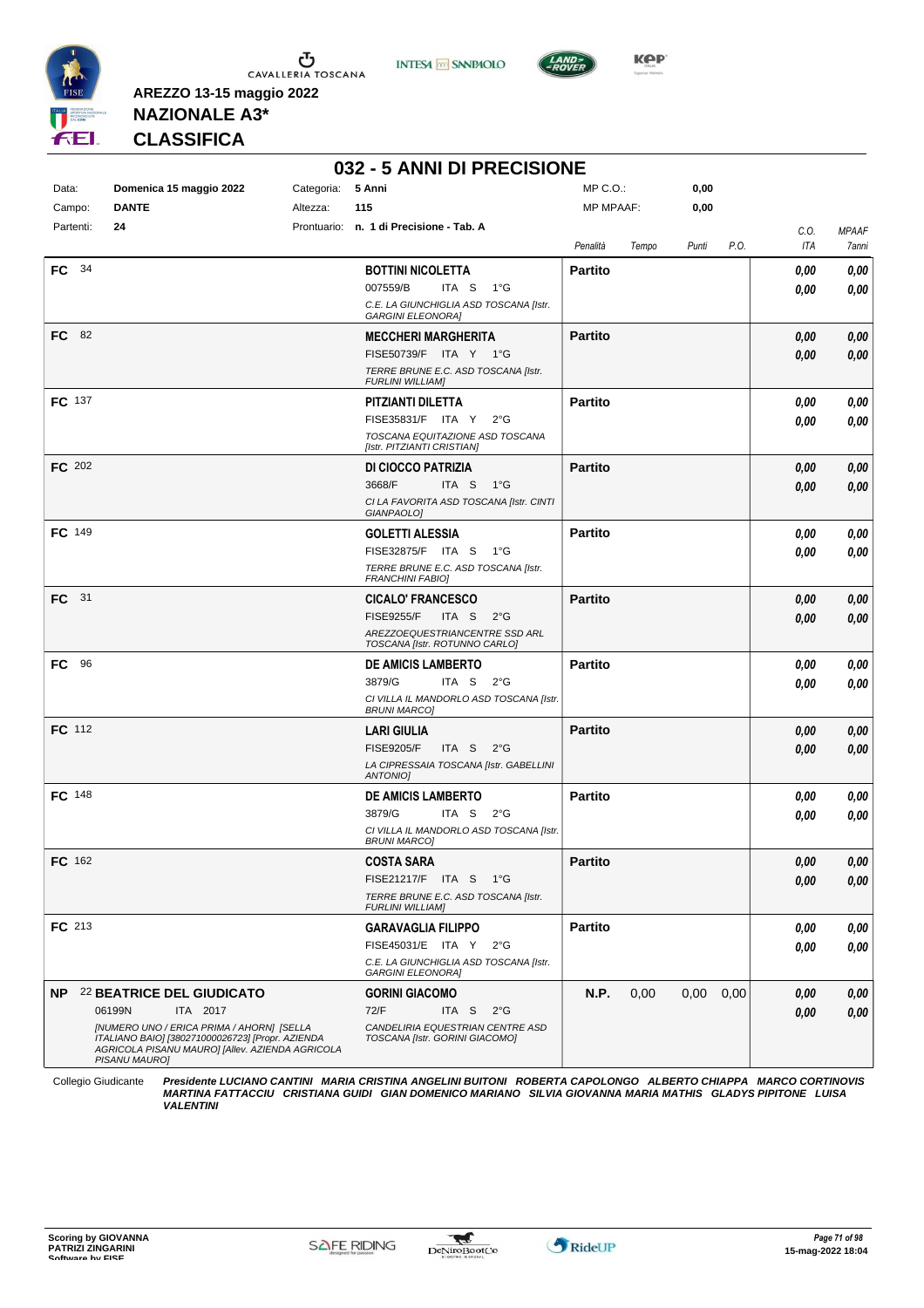





**Kep** 

**AREZZO 13-15 maggio 2022 NAZIONALE A3\***

**CLASSIFICA**

# **032 - 5 ANNI DI PRECISIONE**

| Data:<br>Campo: | Domenica 15 maggio 2022<br><b>DANTE</b>                                                                                                                           | Categoria: 5 Anni<br>Altezza: | 115                                                                | MP C.O.:<br>MP MPAAF: |       | 0,00<br>0,00 |      |                    |                       |
|-----------------|-------------------------------------------------------------------------------------------------------------------------------------------------------------------|-------------------------------|--------------------------------------------------------------------|-----------------------|-------|--------------|------|--------------------|-----------------------|
| Partenti:       | 24                                                                                                                                                                | Prontuario:                   | n. 1 di Precisione - Tab. A                                        |                       |       |              |      |                    |                       |
|                 |                                                                                                                                                                   |                               |                                                                    | Penalità              | Tempo | Punti        | P.O. | C.O.<br><b>ITA</b> | <b>MPAAF</b><br>7anni |
| FC 34           |                                                                                                                                                                   |                               | <b>BOTTINI NICOLETTA</b>                                           | <b>Partito</b>        |       |              |      | 0,00               | 0,00                  |
|                 |                                                                                                                                                                   |                               | 007559/B<br>ITA S<br>1°G                                           |                       |       |              |      | 0,00               | 0,00                  |
|                 |                                                                                                                                                                   |                               | C.E. LA GIUNCHIGLIA ASD TOSCANA [Istr.<br><b>GARGINI ELEONORA]</b> |                       |       |              |      |                    |                       |
| FC.<br>- 82     |                                                                                                                                                                   |                               | <b>MECCHERI MARGHERITA</b>                                         | <b>Partito</b>        |       |              |      | 0,00               | 0,00                  |
|                 |                                                                                                                                                                   |                               | FISE50739/F ITA Y 1°G                                              |                       |       |              |      | 0,00               | 0,00                  |
|                 |                                                                                                                                                                   |                               | TERRE BRUNE E.C. ASD TOSCANA [Istr.<br><b>FURLINI WILLIAM]</b>     |                       |       |              |      |                    |                       |
| <b>FC</b> 137   |                                                                                                                                                                   |                               | PITZIANTI DILETTA                                                  | <b>Partito</b>        |       |              |      | 0,00               | 0,00                  |
|                 |                                                                                                                                                                   |                               | FISE35831/F ITA Y<br>2°G                                           |                       |       |              |      | 0,00               | 0,00                  |
|                 |                                                                                                                                                                   |                               | TOSCANA EQUITAZIONE ASD TOSCANA<br>[Istr. PITZIANTI CRISTIAN]      |                       |       |              |      |                    |                       |
| FC 202          |                                                                                                                                                                   |                               | DI CIOCCO PATRIZIA                                                 | <b>Partito</b>        |       |              |      | 0,00               | 0,00                  |
|                 |                                                                                                                                                                   |                               | 3668/F<br>ITA S<br>1°G                                             |                       |       |              |      | 0,00               | 0,00                  |
|                 |                                                                                                                                                                   |                               | CI LA FAVORITA ASD TOSCANA [Istr. CINTI<br>GIANPAOLO]              |                       |       |              |      |                    |                       |
| <b>FC</b> 149   |                                                                                                                                                                   |                               | <b>GOLETTI ALESSIA</b>                                             | <b>Partito</b>        |       |              |      | 0,00               | 0,00                  |
|                 |                                                                                                                                                                   |                               | FISE32875/F ITA S<br>1°G                                           |                       |       |              |      | 0,00               | 0,00                  |
|                 |                                                                                                                                                                   |                               | TERRE BRUNE E.C. ASD TOSCANA [Istr.<br><b>FRANCHINI FABIO]</b>     |                       |       |              |      |                    |                       |
| <b>FC</b> 31    |                                                                                                                                                                   |                               | <b>CICALO' FRANCESCO</b>                                           | <b>Partito</b>        |       |              |      | 0,00               | 0,00                  |
|                 |                                                                                                                                                                   |                               | <b>FISE9255/F</b><br>ITA S<br>$2^{\circ}$ G                        |                       |       |              |      | 0,00               | 0,00                  |
|                 |                                                                                                                                                                   |                               | AREZZOEQUESTRIANCENTRE SSD ARL<br>TOSCANA [Istr. ROTUNNO CARLO]    |                       |       |              |      |                    |                       |
| 96<br>FC.       |                                                                                                                                                                   |                               | DE AMICIS LAMBERTO                                                 | <b>Partito</b>        |       |              |      | 0,00               | 0,00                  |
|                 |                                                                                                                                                                   |                               | 3879/G<br>ITA S<br>$2^{\circ}$ G                                   |                       |       |              |      | 0,00               | 0,00                  |
|                 |                                                                                                                                                                   |                               | CI VILLA IL MANDORLO ASD TOSCANA [Istr.<br><b>BRUNI MARCO]</b>     |                       |       |              |      |                    |                       |
| FC 112          |                                                                                                                                                                   |                               | LARI GIULIA                                                        | <b>Partito</b>        |       |              |      | 0,00               | 0,00                  |
|                 |                                                                                                                                                                   |                               | <b>FISE9205/F</b><br>ITA S<br>$2^{\circ}$ G                        |                       |       |              |      | 0,00               | 0,00                  |
|                 |                                                                                                                                                                   |                               | LA CIPRESSAIA TOSCANA [Istr. GABELLINI<br>ANTONIO]                 |                       |       |              |      |                    |                       |
| <b>FC</b> 148   |                                                                                                                                                                   |                               | <b>DE AMICIS LAMBERTO</b>                                          | <b>Partito</b>        |       |              |      | 0,00               | 0,00                  |
|                 |                                                                                                                                                                   |                               | 3879/G<br>ITA S<br>$2^{\circ}G$                                    |                       |       |              |      | 0,00               | 0,00                  |
|                 |                                                                                                                                                                   |                               | CI VILLA IL MANDORLO ASD TOSCANA [Istr.<br><b>BRUNI MARCO]</b>     |                       |       |              |      |                    |                       |
| FC 162          |                                                                                                                                                                   |                               | <b>COSTA SARA</b>                                                  | <b>Partito</b>        |       |              |      | 0,00               | 0,00                  |
|                 |                                                                                                                                                                   |                               | FISE21217/F ITA S 1°G                                              |                       |       |              |      | 0,00               | 0,00                  |
|                 |                                                                                                                                                                   |                               | TERRE BRUNE E.C. ASD TOSCANA [Istr.<br><b>FURLINI WILLIAM]</b>     |                       |       |              |      |                    |                       |
| <b>FC</b> 213   |                                                                                                                                                                   |                               | <b>GARAVAGLIA FILIPPO</b>                                          | <b>Partito</b>        |       |              |      | 0,00               | 0,00                  |
|                 |                                                                                                                                                                   |                               | FISE45031/E ITA Y<br>$2^{\circ}G$                                  |                       |       |              |      | 0,00               | 0,00                  |
|                 |                                                                                                                                                                   |                               | C.E. LA GIUNCHIGLIA ASD TOSCANA [Istr.<br><b>GARGINI ELEONORAI</b> |                       |       |              |      |                    |                       |
| NP.             | 22 BEATRICE DEL GIUDICATO                                                                                                                                         |                               | <b>GORINI GIACOMO</b>                                              | N.P.                  | 0,00  | 0,00         | 0,00 | 0,00               | 0,00                  |
|                 | 06199N<br>ITA 2017                                                                                                                                                |                               | 72/F<br>ITA S<br>$2^{\circ}G$                                      |                       |       |              |      | 0,00               | 0,00                  |
|                 | [NUMERO UNO / ERICA PRIMA / AHORN] [SELLA<br>ITALIANO BAIO] [380271000026723] [Propr. AZIENDA<br>AGRICOLA PISANU MAURO] [Allev. AZIENDA AGRICOLA<br>PISANU MAURO] |                               | CANDELIRIA EQUESTRIAN CENTRE ASD<br>TOSCANA [Istr. GORINI GIACOMO] |                       |       |              |      |                    |                       |

Collegio Giudicante Presidente LUCIANO CANTINI MARIA CRISTINA ANGELINI BUITONI ROBERTA CAPOLONGO ALBERTO CHIAPPA MARCO CORTINOVIS<br>MARTINA FATTACCIU CRISTIANA GUIDI GIAN DOMENICO MARIANO SILVIA GIOVANNA MARIA MATHIS GLADYS

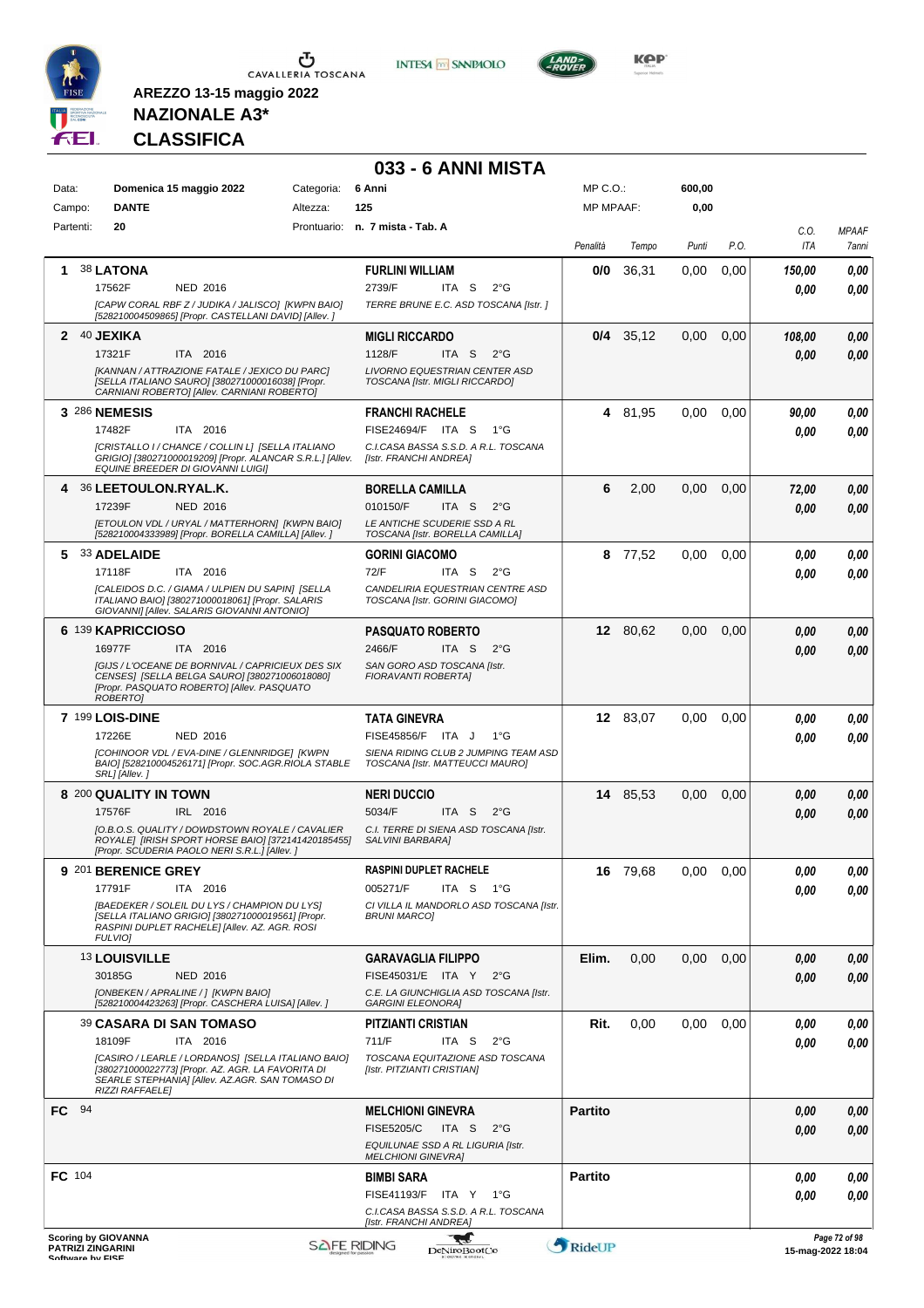

CAVALLERIA TOSCANA

**INTES4 M SANPAOLO** 



**NAZIONALE A3\* CLASSIFICA**

**AREZZO 13-15 maggio 2022**

#### **033 - 6 ANNI MISTA** MP C.O.: **600,00** Data: **Domenica 15 maggio 2022** Categoria: 6 Anni Campo: **DANTE** Altezza: **125** MP MPAAF: **0,00** Partenti: **20** Prontuario: **n. 7 mista - Tab. A** *C.O. MPAAF Penalità Tempo Punti P.O. ITA 7anni* **1** 38 **LATONA FURLINI WILLIAM 0/0** 36,31 0,00 0,00 *150,00 0,00* NED 2016 ITA S 2°G 17562F 2739/F *0,00 0,00 TERRE BRUNE E.C. ASD TOSCANA [Istr. ] [CAPW CORAL RBF Z / JUDIKA / JALISCO] [KWPN BAIO] [528210004509865] [Propr. CASTELLANI DAVID] [Allev. ]* **2** 40 **JEXIKA 0/4** 35,12 0,00 0,00 *108,00* **MIGLI RICCARDO** *0,00* ITA 2016 ITA S 2°G 17321F 1128/F *0,00 0,00 [KANNAN / ATTRAZIONE FATALE / JEXICO DU PARC] LIVORNO EQUESTRIAN CENTER ASD TOSCANA [Istr. MIGLI RICCARDO] [SELLA ITALIANO SAURO] [380271000016038] [Propr. CARNIANI ROBERTO] [Allev. CARNIANI ROBERTO]* **3** 286 **NEMESIS FRANCHI RACHELE 4** 81,95 0,00 0,00 *90,00 0,00* ITA 2016 17482F ITA 2016 FISE24694/F ITA S 1°G <mark> 0,00 0,00</mark> *0,00 C.I.CASA BASSA S.S.D. A R.L. TOSCANA [CRISTALLO I / CHANCE / COLLIN L] [SELLA ITALIANO GRIGIO] [380271000019209] [Propr. ALANCAR S.R.L.] [Allev. EQUINE BREEDER DI GIOVANNI LUIGI] [Istr. FRANCHI ANDREA]* **4** 36 **LEETOULON.RYAL.K. BORELLA CAMILLA 6** 2,00 0,00 0,00 *72,00 0,00* NED 2016 ITA S 2°G 17239F 010150/F *0,00 0,00 [ETOULON VDL / URYAL / MATTERHORN] [KWPN BAIO] LE ANTICHE SCUDERIE SSD A RL [528210004333989] [Propr. BORELLA CAMILLA] [Allev. ] TOSCANA [Istr. BORELLA CAMILLA]* **5** 33 **ADELAIDE GORINI GIACOMO 8** 77,52 0,00 0,00 *0,00 0,00* ITA 2016 ITA S 2°G 17118F 72/F *0,00 0,00 CANDELIRIA EQUESTRIAN CENTRE ASD [CALEIDOS D.C. / GIAMA / ULPIEN DU SAPIN] [SELLA ITALIANO BAIO] [380271000018061] [Propr. SALARIS GIOVANNI] [Allev. SALARIS GIOVANNI ANTONIO] TOSCANA [Istr. GORINI GIACOMO]* **6** 139 **KAPRICCIOSO PASQUATO ROBERTO 12** 80,62 0,00 0,00 *0,00 0,00* ITA S 2°G ITA 2016 *0,00* 16977F ITA 2016 2466/F ITA S 2°G <mark> 0,00 0,00</mark> *SAN GORO ASD TOSCANA [Istr. [GIJS / L'OCEANE DE BORNIVAL / CAPRICIEUX DES SIX CENSES] [SELLA BELGA SAURO] [380271006018080] FIORAVANTI ROBERTA] [Propr. PASQUATO ROBERTO] [Allev. PASQUATO ROBERTO]* **7** 199 **LOIS-DINE TATA GINEVRA 12** 83,07 0,00 0,00 *0,00 0,00* NED 2016 *0,00* ITA J 1°G 17226E FISE45856/F *0,00 [COHINOOR VDL / EVA-DINE / GLENNRIDGE] [KWPN SIENA RIDING CLUB 2 JUMPING TEAM ASD TOSCANA [Istr. MATTEUCCI MAURO] BAIO] [528210004526171] [Propr. SOC.AGR.RIOLA STABLE SRL] [Allev. ]* **8** 200 **QUALITY IN TOWN NERI DUCCIO 14** 85,53 0,00 0,00 *0,00 0,00* IRL 2016 ITA S 2°G 17576F IRL 2016 5034/F ITA S 2°G <mark> 0,00 0,00</mark> *0,00 [O.B.O.S. QUALITY / DOWDSTOWN ROYALE / CAVALIER C.I. TERRE DI SIENA ASD TOSCANA [Istr. SALVINI BARBARA] ROYALE] [IRISH SPORT HORSE BAIO] [372141420185455] [Propr. SCUDERIA PAOLO NERI S.R.L.] [Allev. ]* **9** 201 **BERENICE GREY RASPINI DUPLET RACHELE 16** 79,68 0,00 0,00 *0,00 0,00* ITA 2016 ITA S 1°G *0,00* 17791F ITA 2016 005271/F ITA S 1°G <mark> 0,00 0,00</mark> *CI VILLA IL MANDORLO ASD TOSCANA [Istr. [BAEDEKER / SOLEIL DU LYS / CHAMPION DU LYS] [SELLA ITALIANO GRIGIO] [380271000019561] [Propr. RASPINI DUPLET RACHELE] [Allev. AZ. AGR. ROSI BRUNI MARCO] FULVIO]* 13 **LOUISVILLE GARAVAGLIA FILIPPO Elim.** 0,00 0,00 0,00 *0,00 0,00* NED 2016 30185G NED 2016 FISE45031/E ITA Y 2°G **0,00 0,00** *0,00 [ONBEKEN / APRALINE / ] [KWPN BAIO] C.E. LA GIUNCHIGLIA ASD TOSCANA [Istr. [528210004423263] [Propr. CASCHERA LUISA] [Allev. ] GARGINI ELEONORA]* 39 **CASARA DI SAN TOMASO PITZIANTI CRISTIAN Rit.** 0,00 0,00 0,00 *0,00 0,00* ITA 2016 ITA S 2°G 18109F 711/F *0,00 0,00 TOSCANA EQUITAZIONE ASD TOSCANA [CASIRO / LEARLE / LORDANOS] [SELLA ITALIANO BAIO] [380271000022773] [Propr. AZ. AGR. LA FAVORITA DI [Istr. PITZIANTI CRISTIAN] SEARLE STEPHANIA] [Allev. AZ.AGR. SAN TOMASO DI RIZZI RAFFAELE]* **FC** 94 **MELCHIONI GINEVRA Partito** *0,00 0,00* ITA S 2°G *0,00* FISE5205/C *0,00 EQUILUNAE SSD A RL LIGURIA [Istr. MELCHIONI GINEVRA]* **FC** 104 **BIMBI SARA Partito** *0,00 0,00 0,00* ITA Y 1°G FISE41193/F *0,00 C.I.CASA BASSA S.S.D. A R.L. TOSCANA [Istr. FRANCHI ANDREA]* **Scoring by GIOVANNA** -ad *Page 72 of 98* **PATRIZI ZINGARINI SOFTWARE DESCRIPTION CONSUMING PROPERTY AND DENSITY DENSITY DENSITY DENSITY DENSITY DENSITY DENSITY DENSITY DENSITY DENSITY DENSITY DENSITY DENSITY DENSITY DENSITY DENSITY DENSITY DENSITY DENSITY DENSITY DENSITY DENSITY D**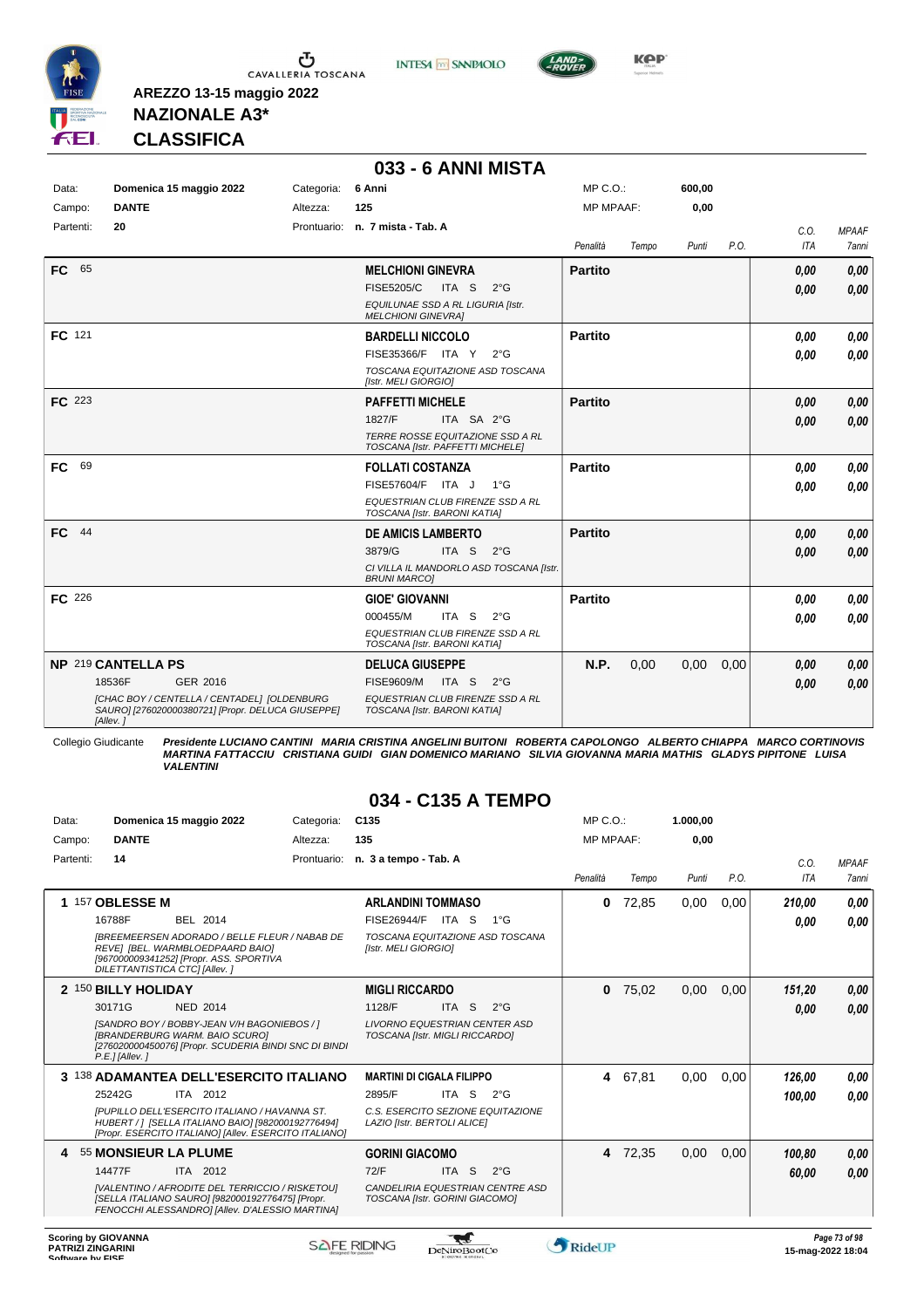





**Kep** 

### **NAZIONALE A3\* CLASSIFICA**

**AREZZO 13-15 maggio 2022**

|                 |                                                                                                                                                          |                        | 033 - 6 ANNI MISTA                                                                                                                        |                              |       |                |      |              |                              |
|-----------------|----------------------------------------------------------------------------------------------------------------------------------------------------------|------------------------|-------------------------------------------------------------------------------------------------------------------------------------------|------------------------------|-------|----------------|------|--------------|------------------------------|
| Data:<br>Campo: | Domenica 15 maggio 2022<br><b>DANTE</b>                                                                                                                  | Categoria:<br>Altezza: | 6 Anni<br>125                                                                                                                             | MP C.O.:<br><b>MP MPAAF:</b> |       | 600.00<br>0,00 |      |              |                              |
| Partenti:       | 20                                                                                                                                                       |                        | Prontuario: n. 7 mista - Tab. A                                                                                                           | Penalità                     | Tempo | Punti          | P.O. | C.O.<br>ITA  | <b>MPAAF</b><br><b>7anni</b> |
| FC 65           |                                                                                                                                                          |                        | <b>MELCHIONI GINEVRA</b><br><b>FISE5205/C</b><br>ITA S<br>$2^{\circ}$ G<br>EQUILUNAE SSD A RL LIGURIA [Istr.<br><b>MELCHIONI GINEVRA]</b> | <b>Partito</b>               |       |                |      | 0,00<br>0.00 | 0,00<br>0,00                 |
| FC 121          |                                                                                                                                                          |                        | <b>BARDELLI NICCOLO</b><br>FISE35366/F ITA Y<br>$2^{\circ}G$<br>TOSCANA EQUITAZIONE ASD TOSCANA<br>[Istr. MELI GIORGIO]                   | Partito                      |       |                |      | 0.00<br>0.00 | 0,00<br>0,00                 |
| <b>FC</b> 223   |                                                                                                                                                          |                        | <b>PAFFETTI MICHELE</b><br>1827/F<br>ITA SA 2°G<br>TERRE ROSSE EQUITAZIONE SSD A RL<br>TOSCANA [Istr. PAFFETTI MICHELE]                   | <b>Partito</b>               |       |                |      | 0,00<br>0.00 | 0,00<br>0,00                 |
| 69<br>FC        |                                                                                                                                                          |                        | <b>FOLLATI COSTANZA</b><br>FISE57604/F ITA J<br>$1^{\circ}G$<br>EQUESTRIAN CLUB FIRENZE SSD A RL<br>TOSCANA [Istr. BARONI KATIA]          | <b>Partito</b>               |       |                |      | 0.00<br>0,00 | 0,00<br>0,00                 |
| FC 44           |                                                                                                                                                          |                        | <b>DE AMICIS LAMBERTO</b><br>ITA S<br>3879/G<br>$2^{\circ}G$<br>CI VILLA IL MANDORLO ASD TOSCANA [Istr.<br><b>BRUNI MARCO]</b>            | <b>Partito</b>               |       |                |      | 0,00<br>0.00 | 0,00<br>0,00                 |
| FC 226          |                                                                                                                                                          |                        | <b>GIOE' GIOVANNI</b><br>000455/M<br>ITA S<br>$2^{\circ}$ G<br>EQUESTRIAN CLUB FIRENZE SSD A RL<br>TOSCANA [Istr. BARONI KATIA]           | Partito                      |       |                |      | 0.00<br>0.00 | 0,00<br>0,00                 |
|                 | NP 219 CANTELLA PS<br>18536F<br>GER 2016<br>[CHAC BOY / CENTELLA / CENTADEL] [OLDENBURG<br>SAURO] [276020000380721] [Propr. DELUCA GIUSEPPE]<br>[Allev.] |                        | <b>DELUCA GIUSEPPE</b><br><b>FISE9609/M</b><br>ITA S<br>$2^{\circ}$ G<br>EQUESTRIAN CLUB FIRENZE SSD A RL<br>TOSCANA [Istr. BARONI KATIA] | N.P.                         | 0,00  | 0,00           | 0,00 | 0,00<br>0.00 | 0,00<br>0.00                 |

Collegio Giudicante Presidente LUCIANO CANTINI MARIA CRISTINA ANGELINI BUITONI ROBERTA CAPOLONGO ALBERTO CHIAPPA MARCO CORTINOVIS<br>MARTINA FATTACCIU CRISTIANA GUIDI GIAN DOMENICO MARIANO SILVIA GIOVANNA MARIA MATHIS GLADYS

#### **034 - C135 A TEMPO**

| Data:     | Domenica 15 maggio 2022                                                                                                                                                                                                                   | Categoria:  | C <sub>135</sub>                                                                                                                        | MP C. O.  |         | 1.000,00 |      |                  |                               |
|-----------|-------------------------------------------------------------------------------------------------------------------------------------------------------------------------------------------------------------------------------------------|-------------|-----------------------------------------------------------------------------------------------------------------------------------------|-----------|---------|----------|------|------------------|-------------------------------|
| Campo:    | <b>DANTE</b>                                                                                                                                                                                                                              | Altezza:    | 135                                                                                                                                     | MP MPAAF: |         | 0.00     |      |                  |                               |
| Partenti: | 14                                                                                                                                                                                                                                        | Prontuario: | n. 3 a tempo - Tab. A                                                                                                                   | Penalità  | Tempo   | Punti    | P.O. | C.0.<br>ITA      | <b>MPAAF</b><br>7anni         |
|           | 1 157 OBLESSE M<br>16788F<br>BEL 2014<br><b>IBREEMEERSEN ADORADO / BELLE FLEUR / NABAB DE</b><br>REVE] [BEL. WARMBLOEDPAARD BAIO]<br>[967000009341252] [Propr. ASS. SPORTIVA<br>DILETTANTISTICA CTC] [Allev.]                             |             | <b>ARLANDINI TOMMASO</b><br><b>FISE26944/F</b><br>ITA S<br>$1^{\circ}G$<br>TOSCANA EQUITAZIONE ASD TOSCANA<br>[Istr. MELI GIORGIO]      | 0         | 72,85   | 0,00     | 0,00 | 210,00<br>0,00   | 0,00<br>0,00                  |
|           | 2 150 BILLY HOLIDAY<br>30171G<br><b>NED 2014</b><br>[SANDRO BOY / BOBBY-JEAN V/H BAGONIEBOS / ]<br><b>IBRANDERBURG WARM, BAIO SCUROI</b><br>[276020000450076] [Propr. SCUDERIA BINDI SNC DI BINDI<br>$P.E.$ ] [Allev.]                    |             | <b>MIGLI RICCARDO</b><br>1128/F<br>ITA S<br>$2^{\circ}$ G<br><b>LIVORNO EQUESTRIAN CENTER ASD</b><br>TOSCANA [Istr. MIGLI RICCARDO]     | $\bf{0}$  | 75,02   | 0,00     | 0,00 | 151,20<br>0,00   | 0,00<br>0,00                  |
|           | 3 138 ADAMANTEA DELL'ESERCITO ITALIANO<br>25242G<br>ITA 2012<br>IPUPILLO DELL'ESERCITO ITALIANO / HAVANNA ST.<br>HUBERT / 1 [SELLA ITALIANO BAIO] [982000192776494]<br>[Propr. ESERCITO ITALIANO] [Allev. ESERCITO ITALIANO]              |             | <b>MARTINI DI CIGALA FILIPPO</b><br>2895/F<br>ITA S<br>$2^{\circ}G$<br>C.S. ESERCITO SEZIONE EQUITAZIONE<br>LAZIO [Istr. BERTOLI ALICE] |           | 4 67,81 | 0,00     | 0,00 | 126,00<br>100.00 | 0,00<br>0.00                  |
|           | 55 MONSIEUR LA PLUME<br>14477F<br>ITA 2012<br><b>IVALENTINO / AFRODITE DEL TERRICCIO / RISKETOUI</b><br>[SELLA ITALIANO SAURO] [982000192776475] [Propr.<br>FENOCCHI ALESSANDROI [Allev. D'ALESSIO MARTINA]<br><b>Scoring by GIOVANNA</b> |             | <b>GORINI GIACOMO</b><br>72/F<br>ITA <sub>S</sub><br>$2^{\circ}G$<br>CANDELIRIA EQUESTRIAN CENTRE ASD<br>TOSCANA [Istr. GORINI GIACOMO] |           | 4 72,35 | 0,00     | 0,00 | 100,80<br>60,00  | 0,00<br>0,00<br>Page 73 of 98 |

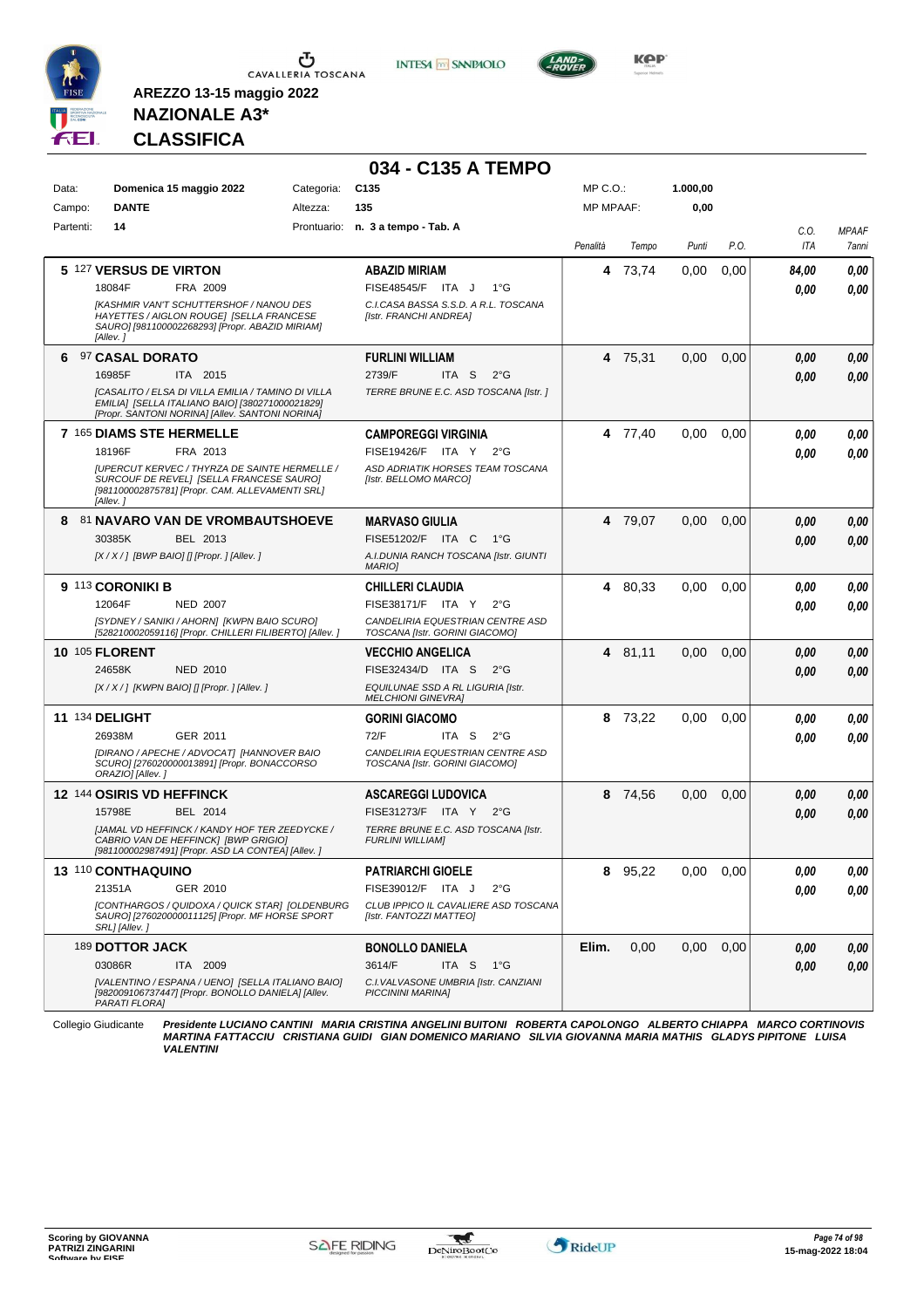

**INTESA** M SANPAOLO



**NAZIONALE A3\* CLASSIFICA**

**AREZZO 13-15 maggio 2022**

|                 |                                                                                                                                                                 |                        | 034 - C135 A TEMPO                                                 |                                  |         |                  |      |             |                       |
|-----------------|-----------------------------------------------------------------------------------------------------------------------------------------------------------------|------------------------|--------------------------------------------------------------------|----------------------------------|---------|------------------|------|-------------|-----------------------|
| Data:<br>Campo: | Domenica 15 maggio 2022<br><b>DANTE</b>                                                                                                                         | Categoria:<br>Altezza: | C <sub>135</sub><br>135                                            | $MP C. O.$ :<br><b>MP MPAAF:</b> |         | 1.000,00<br>0,00 |      |             |                       |
| Partenti:       | 14                                                                                                                                                              |                        | Prontuario: n. 3 a tempo - Tab. A                                  |                                  |         |                  |      |             |                       |
|                 |                                                                                                                                                                 |                        |                                                                    | Penalità                         | Tempo   | Punti            | P.O. | C.O.<br>ITA | <b>MPAAF</b><br>7anni |
|                 | 5 127 VERSUS DE VIRTON                                                                                                                                          |                        | <b>ABAZID MIRIAM</b>                                               |                                  | 4 73,74 | 0,00             | 0,00 | 84,00       | 0,00                  |
|                 | FRA 2009<br>18084F                                                                                                                                              |                        | FISE48545/F ITA J<br>$1^{\circ}G$                                  |                                  |         |                  |      | 0.00        | 0,00                  |
|                 | [KASHMIR VAN'T SCHUTTERSHOF / NANOU DES<br>HAYETTES / AIGLON ROUGE] [SELLA FRANCESE<br>SAURO] [981100002268293] [Propr. ABAZID MIRIAM]<br>[Allev.]              |                        | C.I.CASA BASSA S.S.D. A R.L. TOSCANA<br>[Istr. FRANCHI ANDREA]     |                                  |         |                  |      |             |                       |
| 6               | 97 CASAL DORATO                                                                                                                                                 |                        | <b>FURLINI WILLIAM</b>                                             |                                  | 4 75,31 | 0,00             | 0,00 | 0,00        | 0,00                  |
|                 | 16985F<br>ITA 2015                                                                                                                                              |                        | 2739/F<br>ITA S<br>$2^{\circ}$ G                                   |                                  |         |                  |      | 0,00        | 0,00                  |
|                 | <b>[CASALITO / ELSA DI VILLA EMILIA / TAMINO DI VILLA</b><br>EMILIA] [SELLA ITALIANO BAIO] [380271000021829]<br>[Propr. SANTONI NORINA] [Allev. SANTONI NORINA] |                        | TERRE BRUNE E.C. ASD TOSCANA [Istr.]                               |                                  |         |                  |      |             |                       |
|                 | 7 165 DIAMS STE HERMELLE                                                                                                                                        |                        | <b>CAMPOREGGI VIRGINIA</b>                                         |                                  | 4 77,40 | 0,00             | 0,00 | 0.00        | 0,00                  |
|                 | 18196F<br>FRA 2013                                                                                                                                              |                        | FISE19426/F ITA Y<br>$2^{\circ}$ G                                 |                                  |         |                  |      | 0.00        | 0,00                  |
|                 | <b>IUPERCUT KERVEC / THYRZA DE SAINTE HERMELLE /</b><br>SURCOUF DE REVEL] [SELLA FRANCESE SAURO]<br>[981100002875781] [Propr. CAM. ALLEVAMENTI SRL]<br>[Allev.] |                        | ASD ADRIATIK HORSES TEAM TOSCANA<br>[Istr. BELLOMO MARCO]          |                                  |         |                  |      |             |                       |
| 8               | 81 NAVARO VAN DE VROMBAUTSHOEVE                                                                                                                                 |                        | <b>MARVASO GIULIA</b>                                              |                                  | 4 79,07 | 0,00             | 0,00 | 0,00        | 0,00                  |
|                 | 30385K<br>BEL 2013                                                                                                                                              |                        | FISE51202/F ITA C<br>1°G                                           |                                  |         |                  |      | 0,00        | 0,00                  |
|                 | $[X/X/$ ] [BWP BAIO] [] [Propr. ] [Allev. ]                                                                                                                     |                        | A.I.DUNIA RANCH TOSCANA [Istr. GIUNTI<br><b>MARIOI</b>             |                                  |         |                  |      |             |                       |
|                 | 9 113 CORONIKI B                                                                                                                                                |                        | <b>CHILLERI CLAUDIA</b>                                            |                                  | 4 80,33 | 0,00             | 0,00 | 0.00        | 0,00                  |
|                 | 12064F<br><b>NED 2007</b>                                                                                                                                       |                        | FISE38171/F ITA Y<br>$2^{\circ}$ G                                 |                                  |         |                  |      | 0.00        | 0,00                  |
|                 | [SYDNEY / SANIKI / AHORN] [KWPN BAIO SCURO]<br>[528210002059116] [Propr. CHILLERI FILIBERTO] [Allev.]                                                           |                        | CANDELIRIA EQUESTRIAN CENTRE ASD<br>TOSCANA [Istr. GORINI GIACOMO] |                                  |         |                  |      |             |                       |
|                 | <b>10 105 FLORENT</b>                                                                                                                                           |                        | <b>VECCHIO ANGELICA</b>                                            |                                  | 4 81,11 | 0,00             | 0,00 | 0,00        | 0,00                  |
|                 | 24658K<br>NED 2010                                                                                                                                              |                        | FISE32434/D ITA S<br>$2^{\circ}$ G                                 |                                  |         |                  |      | 0,00        | 0,00                  |
|                 | $[X/X/$ ] [KWPN BAIO] [] [Propr. ] [Allev. ]                                                                                                                    |                        | EQUILUNAE SSD A RL LIGURIA [Istr.<br><b>MELCHIONI GINEVRA]</b>     |                                  |         |                  |      |             |                       |
|                 | <b>11 134 DELIGHT</b>                                                                                                                                           |                        | <b>GORINI GIACOMO</b>                                              |                                  | 8 73,22 | 0,00             | 0,00 | 0.00        | 0,00                  |
|                 | 26938M<br>GER 2011                                                                                                                                              |                        | 72/F<br>ITA S<br>$2^{\circ}G$                                      |                                  |         |                  |      | 0.00        | 0,00                  |
|                 | [DIRANO / APECHE / ADVOCAT] [HANNOVER BAIO<br>SCURO] [276020000013891] [Propr. BONACCORSO<br>ORAZIO] [Allev.]                                                   |                        | CANDELIRIA EQUESTRIAN CENTRE ASD<br>TOSCANA [Istr. GORINI GIACOMO] |                                  |         |                  |      |             |                       |
|                 | <b>12 144 OSIRIS VD HEFFINCK</b>                                                                                                                                |                        | <b>ASCAREGGI LUDOVICA</b>                                          | 8                                | 74,56   | 0,00             | 0,00 | 0,00        | 0,00                  |
|                 | 15798E<br>BEL 2014                                                                                                                                              |                        | FISE31273/F ITA Y 2°G                                              |                                  |         |                  |      | 0,00        | 0,00                  |
|                 | [JAMAL VD HEFFINCK / KANDY HOF TER ZEEDYCKE /<br>CABRIO VAN DE HEFFINCK] [BWP GRIGIO]<br>[981100002987491] [Propr. ASD LA CONTEA] [Allev. ]                     |                        | TERRE BRUNE E.C. ASD TOSCANA [Istr.<br><b>FURLINI WILLIAMI</b>     |                                  |         |                  |      |             |                       |
|                 | <b>13 110 CONTHAQUINO</b>                                                                                                                                       |                        | <b>PATRIARCHI GIOELE</b>                                           |                                  | 8 95,22 | 0,00             | 0,00 | 0,00        | 0,00                  |
|                 | 21351A<br>GER 2010                                                                                                                                              |                        | FISE39012/F ITA J<br>$2^{\circ}G$                                  |                                  |         |                  |      | 0,00        | 0,00                  |
|                 | [CONTHARGOS / QUIDOXA / QUICK STAR] [OLDENBURG<br>SAURO] [276020000011125] [Propr. MF HORSE SPORT<br>SRL] [Allev. ]                                             |                        | CLUB IPPICO IL CAVALIERE ASD TOSCANA<br>[Istr. FANTOZZI MATTEO]    |                                  |         |                  |      |             |                       |
|                 | 189 DOTTOR JACK                                                                                                                                                 |                        | <b>BONOLLO DANIELA</b>                                             | Elim.                            | 0,00    | 0.00             | 0,00 | 0,00        | 0,00                  |
|                 | 03086R<br>ITA 2009                                                                                                                                              |                        | 3614/F<br>ITA S 1°G                                                |                                  |         |                  |      | 0,00        | 0,00                  |
|                 | [VALENTINO / ESPANA / UENO] [SELLA ITALIANO BAIO]<br>[982009106737447] [Propr. BONOLLO DANIELA] [Allev.<br>PARATI FLORA]                                        |                        | C.I. VAL VASONE UMBRIA [Istr. CANZIANI<br><b>PICCININI MARINA]</b> |                                  |         |                  |      |             |                       |

Collegio Giudicante Presidente LUCIANO CANTINI MARIA CRISTINA ANGELINI BUITONI ROBERTA CAPOLONGO ALBERTO CHIAPPA MARCO CORTINOVIS<br>MARTINA FATTACCIU CRISTIANA GUIDI GIAN DOMENICO MARIANO SILVIA GIOVANNA MARIA MATHIS GLADYS

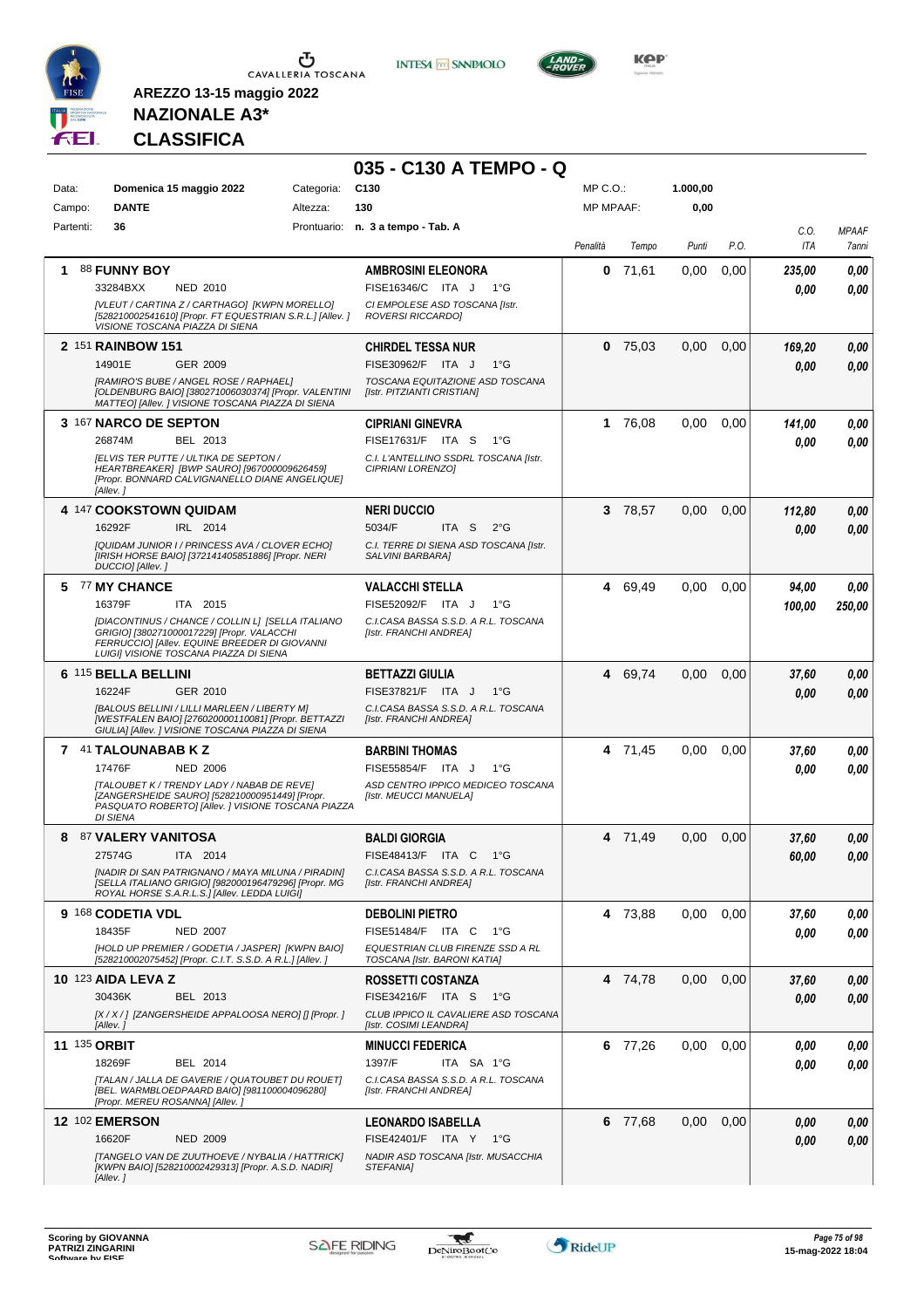

**INTESA M** SANPAOLO



**KOP** 

# **NAZIONALE A3\* CLASSIFICA**

|                     |                                                                                                                                                                                            |                        | 035 - C130 A TEMPO - Q                                           |                              |           |                  |      |             |                       |
|---------------------|--------------------------------------------------------------------------------------------------------------------------------------------------------------------------------------------|------------------------|------------------------------------------------------------------|------------------------------|-----------|------------------|------|-------------|-----------------------|
| Data:               | Domenica 15 maggio 2022<br><b>DANTE</b>                                                                                                                                                    | Categoria:<br>Altezza: | C <sub>130</sub><br>130                                          | MP C.O.:<br><b>MP MPAAF:</b> |           | 1.000,00<br>0,00 |      |             |                       |
| Campo:<br>Partenti: | 36                                                                                                                                                                                         |                        | Prontuario: n. 3 a tempo - Tab. A                                |                              |           |                  |      |             |                       |
|                     |                                                                                                                                                                                            |                        |                                                                  | Penalità                     | Tempo     | Punti            | P.O. | C.O.<br>ITA | <b>MPAAF</b><br>7anni |
| 1                   | 88 FUNNY BOY                                                                                                                                                                               |                        | <b>AMBROSINI ELEONORA</b>                                        | 0                            | 71,61     | 0,00             | 0,00 | 235,00      | 0,00                  |
|                     | 33284BXX<br>NED 2010                                                                                                                                                                       |                        | FISE16346/C ITA J<br>$1^{\circ}G$                                |                              |           |                  |      | 0.00        | 0.00                  |
|                     | [VLEUT / CARTINA Z / CARTHAGO] [KWPN MORELLO]<br>[528210002541610] [Propr. FT EQUESTRIAN S.R.L.] [Allev.]<br>VISIONE TOSCANA PIAZZA DI SIENA                                               |                        | CI EMPOLESE ASD TOSCANA [Istr.<br>ROVERSI RICCARDO]              |                              |           |                  |      |             |                       |
|                     | 2 151 RAINBOW 151                                                                                                                                                                          |                        | <b>CHIRDEL TESSA NUR</b>                                         |                              | $0$ 75,03 | 0,00             | 0,00 | 169,20      | 0,00                  |
|                     | 14901E<br>GER 2009                                                                                                                                                                         |                        | FISE30962/F ITA J<br>$1^{\circ}G$                                |                              |           |                  |      | 0.00        | 0,00                  |
|                     | [RAMIRO'S BUBE / ANGEL ROSE / RAPHAEL]<br>[OLDENBURG BAIO] [380271006030374] [Propr. VALENTINI<br>MATTEO] [Allev. ] VISIONE TOSCANA PIAZZA DI SIENA                                        |                        | TOSCANA EQUITAZIONE ASD TOSCANA<br>[Istr. PITZIANTI CRISTIAN]    |                              |           |                  |      |             |                       |
|                     | 3 167 NARCO DE SEPTON                                                                                                                                                                      |                        | <b>CIPRIANI GINEVRA</b>                                          | 1                            | 76,08     | 0,00             | 0.00 | 141,00      | 0,00                  |
|                     | 26874M<br>BEL 2013                                                                                                                                                                         |                        | FISE17631/F ITA S<br>1°G                                         |                              |           |                  |      | 0.00        | 0.00                  |
|                     | <b>IELVIS TER PUTTE / ULTIKA DE SEPTON /</b><br>HEARTBREAKER] [BWP SAURO] [967000009626459]<br>[Propr. BONNARD CALVIGNANELLO DIANE ANGELIQUE]<br>[Allev. 1                                 |                        | C.I. L'ANTELLINO SSDRL TOSCANA [Istr.<br>CIPRIANI LORENZO]       |                              |           |                  |      |             |                       |
|                     | 4 147 COOKSTOWN QUIDAM                                                                                                                                                                     |                        | <b>NERI DUCCIO</b>                                               |                              | 3 78,57   | 0,00             | 0,00 | 112,80      | 0,00                  |
|                     | 16292F<br>IRL 2014                                                                                                                                                                         |                        | 5034/F<br>ITA <sub>S</sub><br>$2^{\circ}G$                       |                              |           |                  |      | 0.00        | 0.00                  |
|                     | [QUIDAM JUNIOR I / PRINCESS AVA / CLOVER ECHO]<br>[IRISH HORSE BAIO] [372141405851886] [Propr. NERI<br>DUCCIO] [Allev.]                                                                    |                        | C.I. TERRE DI SIENA ASD TOSCANA [Istr.<br>SALVINI BARBARA]       |                              |           |                  |      |             |                       |
|                     | 5 77 MY CHANCE                                                                                                                                                                             |                        | <b>VALACCHI STELLA</b>                                           |                              | 4 69,49   | 0.00             | 0.00 | 94,00       | 0,00                  |
|                     | 16379F<br>ITA 2015                                                                                                                                                                         |                        | FISE52092/F ITA J<br>$1^{\circ}G$                                |                              |           |                  |      | 100,00      | 250,00                |
|                     | [DIACONTINUS / CHANCE / COLLIN L] [SELLA ITALIANO<br>GRIGIO] [380271000017229] [Propr. VALACCHI<br>FERRUCCIO] [Allev. EQUINE BREEDER DI GIOVANNI<br>LUIGI] VISIONE TOSCANA PIAZZA DI SIENA |                        | C.I.CASA BASSA S.S.D. A R.L. TOSCANA<br>[Istr. FRANCHI ANDREA]   |                              |           |                  |      |             |                       |
|                     | 6 115 BELLA BELLINI                                                                                                                                                                        |                        | <b>BETTAZZI GIULIA</b>                                           |                              | 4 69,74   | 0,00             | 0,00 | 37,60       | 0,00                  |
|                     | 16224F<br>GER 2010                                                                                                                                                                         |                        | FISE37821/F ITA J<br>$1^{\circ}G$                                |                              |           |                  |      | 0.00        | 0.00                  |
|                     | [BALOUS BELLINI / LILLI MARLEEN / LIBERTY M]<br>[WESTFALEN BAIO] [276020000110081] [Propr. BETTAZZI<br>GIULIA] [Allev. ] VISIONE TOSCANA PIAZZA DI SIENA                                   |                        | C.I.CASA BASSA S.S.D. A R.L. TOSCANA<br>[Istr. FRANCHI ANDREA]   |                              |           |                  |      |             |                       |
|                     | 7 41 TALOUNABAB K Z                                                                                                                                                                        |                        | <b>BARBINI THOMAS</b>                                            |                              | 4 71,45   | 0,00             | 0,00 | 37,60       | 0,00                  |
|                     | 17476F<br><b>NED 2006</b>                                                                                                                                                                  |                        | FISE55854/F ITA J<br>$1^{\circ}G$                                |                              |           |                  |      | 0.00        | 0,00                  |
|                     | [TALOUBET K / TRENDY LADY / NABAB DE REVE]<br>[ZANGERSHEIDE SAURO] [528210000951449] [Propr.<br>PASQUATO ROBERTO] [Allev. ] VISIONE TOSCANA PIAZZA<br><b>DI SIENA</b>                      |                        | ASD CENTRO IPPICO MEDICEO TOSCANA<br>[Istr. MEUCCI MANUELA]      |                              |           |                  |      |             |                       |
| 8                   | <b>87 VALERY VANITOSA</b>                                                                                                                                                                  |                        | <b>BALDI GIORGIA</b>                                             |                              | 4 71,49   | 0.00             | 0,00 | 37,60       | 0,00                  |
|                     | 27574G<br><b>ITA 2014</b>                                                                                                                                                                  |                        | FISE48413/F ITA C 1°G                                            |                              |           |                  |      | 60,00       | $0,\!00$              |
|                     | [NADIR DI SAN PATRIGNANO / MAYA MILUNA / PIRADIN]<br>[SELLA ITALIANO GRIGIO] [982000196479296] [Propr. MG<br>ROYAL HORSE S.A.R.L.S.] [Allev. LEDDA LUIGI]                                  |                        | C.I.CASA BASSA S.S.D. A R.L. TOSCANA<br>[Istr. FRANCHI ANDREA]   |                              |           |                  |      |             |                       |
|                     | 9 168 CODETIA VDL                                                                                                                                                                          |                        | <b>DEBOLINI PIETRO</b>                                           |                              | 4 73,88   | 0.00             | 0,00 | 37,60       | 0,00                  |
|                     | 18435F<br><b>NED 2007</b>                                                                                                                                                                  |                        | FISE51484/F ITA C 1°G                                            |                              |           |                  |      | 0.00        | 0,00                  |
|                     | [HOLD UP PREMIER / GODETIA / JASPER] [KWPN BAIO]<br>[528210002075452] [Propr. C.I.T. S.S.D. A R.L.] [Allev. ]                                                                              |                        | EQUESTRIAN CLUB FIRENZE SSD A RL<br>TOSCANA [Istr. BARONI KATIA] |                              |           |                  |      |             |                       |
|                     | <b>10 123 AIDA LEVA Z</b>                                                                                                                                                                  |                        | ROSSETTI COSTANZA                                                |                              | 4 74,78   | 0.00             | 0,00 | 37,60       | 0,00                  |
|                     | 30436K<br>BEL 2013                                                                                                                                                                         |                        | FISE34216/F ITA S<br>1°G                                         |                              |           |                  |      | 0,00        | 0,00                  |
|                     | [X / X / ] [ZANGERSHEIDE APPALOOSA NERO] [] [Propr. ]<br>[Allev.]                                                                                                                          |                        | CLUB IPPICO IL CAVALIERE ASD TOSCANA<br>[Istr. COSIMI LEANDRA]   |                              |           |                  |      |             |                       |
| <b>11 135 ORBIT</b> | 18269F<br>BEL 2014                                                                                                                                                                         |                        | <b>MINUCCI FEDERICA</b><br>1397/F<br>ITA SA 1°G                  |                              | 6 77,26   | 0.00             | 0,00 | 0.00        | 0,00                  |
|                     | [TALAN / JALLA DE GAVERIE / QUATOUBET DU ROUET]                                                                                                                                            |                        | C.I.CASA BASSA S.S.D. A R.L. TOSCANA                             |                              |           |                  |      | 0,00        | 0,00                  |
|                     | [BEL. WARMBLOEDPAARD BAIO] [981100004096280]<br>[Propr. MEREU ROSANNA] [Allev.]                                                                                                            |                        | [Istr. FRANCHI ANDREA]                                           |                              |           |                  |      |             |                       |
|                     | <b>12 102 EMERSON</b>                                                                                                                                                                      |                        | <b>LEONARDO ISABELLA</b>                                         |                              | 6 77,68   | 0,00             | 0,00 | 0,00        | 0,00                  |
|                     | 16620F<br><b>NED 2009</b>                                                                                                                                                                  |                        | FISE42401/F ITA Y 1°G                                            |                              |           |                  |      | 0,00        | 0,00                  |
|                     | [TANGELO VAN DE ZUUTHOEVE / NYBALIA / HATTRICK]<br>[KWPN BAIO] [528210002429313] [Propr. A.S.D. NADIR]<br>[Allev.]                                                                         |                        | NADIR ASD TOSCANA [Istr. MUSACCHIA<br>STEFANIA]                  |                              |           |                  |      |             |                       |

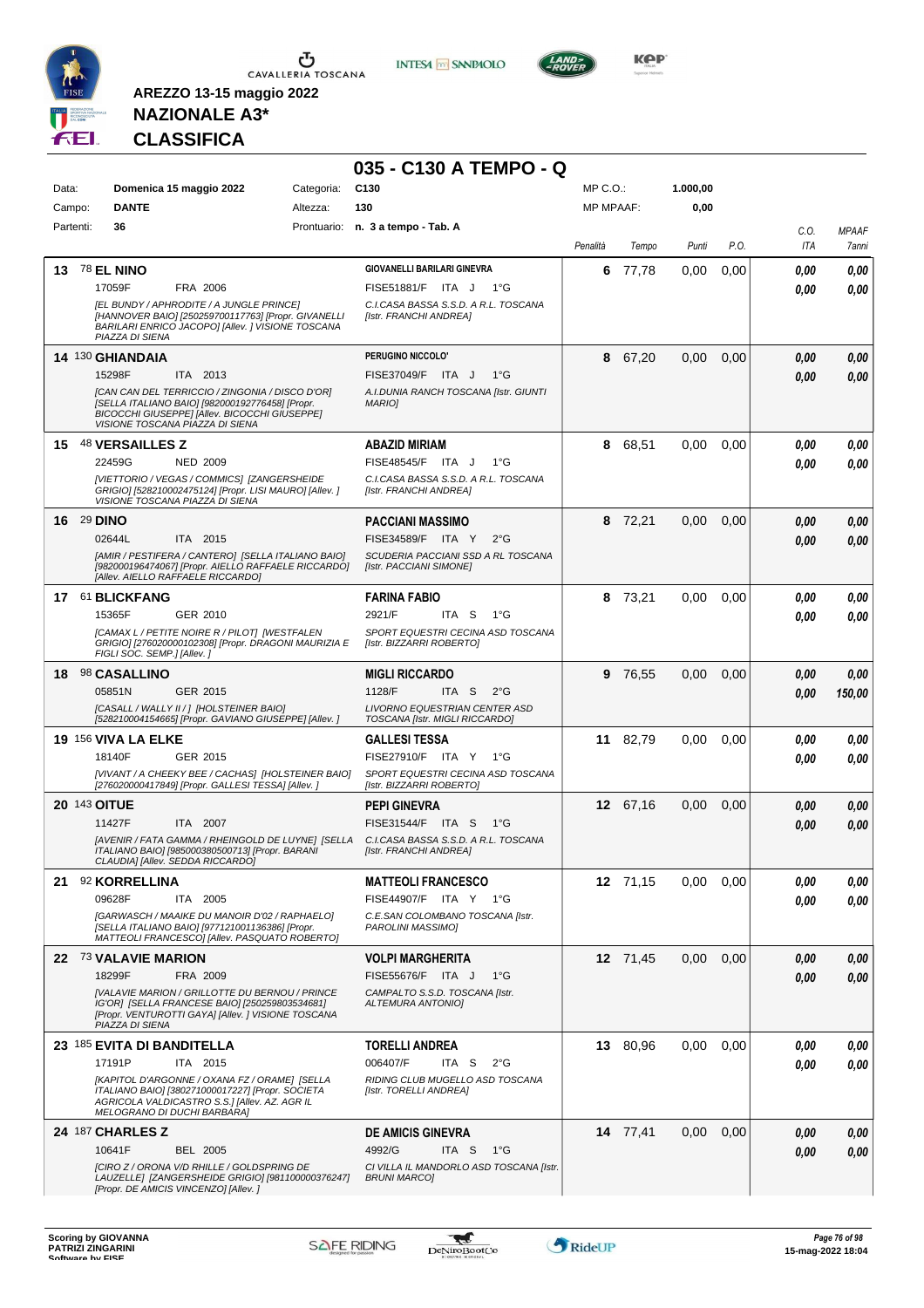

**INTESA M** SANPAOLO

**035 - C130 A TEMPO - Q**



**KOP** 

# **NAZIONALE A3\* CLASSIFICA**

| Data:     | Domenica 15 maggio 2022                                                                                                                                                                | Categoria: | C <sub>130</sub>                                                | MP C.O.:         |          | 1.000,00 |      |      |              |
|-----------|----------------------------------------------------------------------------------------------------------------------------------------------------------------------------------------|------------|-----------------------------------------------------------------|------------------|----------|----------|------|------|--------------|
| Campo:    | <b>DANTE</b>                                                                                                                                                                           | Altezza:   | 130                                                             | <b>MP MPAAF:</b> |          | 0,00     |      |      |              |
| Partenti: | 36                                                                                                                                                                                     |            | Prontuario: n. 3 a tempo - Tab. A                               |                  |          |          |      | C.O. | <b>MPAAF</b> |
|           |                                                                                                                                                                                        |            |                                                                 | Penalità         | Tempo    | Punti    | P.O. | ITA  | 7anni        |
|           | 13 78 EL NINO                                                                                                                                                                          |            | <b>GIOVANELLI BARILARI GINEVRA</b>                              | 6                | 77,78    | 0.00     | 0,00 | 0.00 | 0.00         |
|           | 17059F<br>FRA 2006                                                                                                                                                                     |            | FISE51881/F ITA J<br>$1^{\circ}G$                               |                  |          |          |      | 0.00 | 0,00         |
|           | [EL BUNDY / APHRODITE / A JUNGLE PRINCE]<br>[HANNOVER BAIO] [250259700117763] [Propr. GIVANELLI<br>BARILARI ENRICO JACOPO] [Allev. ] VISIONE TOSCANA<br>PIAZZA DI SIENA                |            | C.I.CASA BASSA S.S.D. A R.L. TOSCANA<br>[Istr. FRANCHI ANDREA]  |                  |          |          |      |      |              |
|           | 14 130 GHIANDAIA                                                                                                                                                                       |            | PERUGINO NICCOLO'                                               |                  | 8 67,20  | 0,00     | 0,00 | 0.00 | 0,00         |
|           | 15298F<br>ITA 2013                                                                                                                                                                     |            | FISE37049/F ITA J<br>1°G                                        |                  |          |          |      | 0.00 | 0,00         |
|           | [CAN CAN DEL TERRICCIO / ZINGONIA / DISCO D'OR]<br>ISELLA ITALIANO BAIOI [982000192776458] [Propr.<br>BICOCCHI GIUSEPPE] [Allev. BICOCCHI GIUSEPPE]<br>VISIONE TOSCANA PIAZZA DI SIENA |            | A.I.DUNIA RANCH TOSCANA [Istr. GIUNTI<br><b>MARIOI</b>          |                  |          |          |      |      |              |
|           | 15 48 VERSAILLES Z                                                                                                                                                                     |            | <b>ABAZID MIRIAM</b>                                            | 8                | 68,51    | 0,00     | 0,00 | 0.00 | 0,00         |
|           | 22459G<br><b>NED 2009</b>                                                                                                                                                              |            | FISE48545/F ITA J<br>$1^{\circ}G$                               |                  |          |          |      | 0.00 | 0,00         |
|           | [VIETTORIO / VEGAS / COMMICS] [ZANGERSHEIDE<br>GRIGIO] [528210002475124] [Propr. LISI MAURO] [Allev.]<br>VISIONE TOSCANA PIAZZA DI SIENA                                               |            | C.I.CASA BASSA S.S.D. A R.L. TOSCANA<br>[Istr. FRANCHI ANDREA]  |                  |          |          |      |      |              |
|           | <b>16 29 DINO</b>                                                                                                                                                                      |            | <b>PACCIANI MASSIMO</b>                                         |                  | 8 72,21  | 0,00     | 0,00 | 0,00 | 0,00         |
|           | 02644L<br>ITA 2015                                                                                                                                                                     |            | FISE34589/F ITA Y<br>$2^{\circ}$ G                              |                  |          |          |      | 0.00 | 0.00         |
|           | [AMIR / PESTIFERA / CANTERO] [SELLA ITALIANO BAIO]<br>[982000196474067] [Propr. AIELLO RAFFAELE RICCARDO]<br>[Allev. AIELLO RAFFAELE RICCARDO]                                         |            | SCUDERIA PACCIANI SSD A RL TOSCANA<br>[Istr. PACCIANI SIMONE]   |                  |          |          |      |      |              |
|           | 17 61 BLICKFANG                                                                                                                                                                        |            | <b>FARINA FABIO</b>                                             | 8                | 73,21    | 0,00     | 0.00 | 0.00 | 0,00         |
|           | 15365F<br>GER 2010                                                                                                                                                                     |            | 2921/F<br>ITA S<br>− 1°G                                        |                  |          |          |      | 0.00 | 0.00         |
|           | [CAMAX L / PETITE NOIRE R / PILOT] [WESTFALEN<br>GRIGIO] [276020000102308] [Propr. DRAGONI MAURIZIA E<br>FIGLI SOC. SEMP.] [Allev.]                                                    |            | SPORT EQUESTRI CECINA ASD TOSCANA<br>[Istr. BIZZARRI ROBERTO]   |                  |          |          |      |      |              |
| 18        | 98 CASALLINO                                                                                                                                                                           |            | <b>MIGLI RICCARDO</b>                                           |                  | 9 76,55  | 0,00     | 0,00 | 0.00 | 0,00         |
|           | 05851N<br>GER 2015                                                                                                                                                                     |            | 1128/F<br>ITA S<br>$2^{\circ}$ G                                |                  |          |          |      | 0.00 | 150,00       |
|           | [CASALL / WALLY II / ] [HOLSTEINER BAIO]<br>[528210004154665] [Propr. GAVIANO GIUSEPPE] [Allev.]                                                                                       |            | LIVORNO EQUESTRIAN CENTER ASD<br>TOSCANA [Istr. MIGLI RICCARDO] |                  |          |          |      |      |              |
|           | <b>19 156 VIVA LA ELKE</b>                                                                                                                                                             |            | <b>GALLESI TESSA</b>                                            |                  | 11 82,79 | 0,00     | 0,00 | 0.00 | 0,00         |
|           | GER 2015<br>18140F                                                                                                                                                                     |            | FISE27910/F ITA Y 1°G                                           |                  |          |          |      | 0.00 | 0,00         |
|           | [VIVANT / A CHEEKY BEE / CACHAS] [HOLSTEINER BAIO]<br>[276020000417849] [Propr. GALLESI TESSA] [Allev. ]                                                                               |            | SPORT EQUESTRI CECINA ASD TOSCANA<br>[Istr. BIZZARRI ROBERTO]   |                  |          |          |      |      |              |
|           | <b>20 143 OITUE</b>                                                                                                                                                                    |            | <b>PEPI GINEVRA</b>                                             |                  | 12 67,16 | 0,00     | 0,00 | 0,00 | 0,00         |
|           | 11427F<br>ITA 2007                                                                                                                                                                     |            | FISE31544/F ITA S<br>1°G                                        |                  |          |          |      | 0.00 | 0,00         |
|           | [AVENIR / FATA GAMMA / RHEINGOLD DE LUYNE] [SELLA<br>ITALIANO BAIO] [985000380500713] [Propr. BARANI<br>CLAUDIA] [Allev. SEDDA RICCARDO]                                               |            | C.I.CASA BASSA S.S.D. A R.L. TOSCANA<br>[Istr. FRANCHI ANDREA]  |                  |          |          |      |      |              |
| 21        | 92 KORRELLINA                                                                                                                                                                          |            | <b>MATTEOLI FRANCESCO</b>                                       |                  | 12 71,15 | 0,00     | 0,00 | 0,00 | 0,00         |
|           | 09628F<br>ITA 2005                                                                                                                                                                     |            | FISE44907/F ITA Y 1°G                                           |                  |          |          |      | 0.00 | 0,00         |
|           | [GARWASCH / MAAIKE DU MANOIR D'02 / RAPHAELO]<br>[SELLA ITALIANO BAIO] [977121001136386] [Propr.<br>MATTEOLI FRANCESCO] [Allev. PASQUATO ROBERTO]                                      |            | C.E.SAN COLOMBANO TOSCANA [Istr.<br>PAROLINI MASSIMO]           |                  |          |          |      |      |              |
|           | 22 73 VALAVIE MARION                                                                                                                                                                   |            | <b>VOLPI MARGHERITA</b>                                         |                  | 12 71,45 | 0,00     | 0,00 | 0.00 | 0,00         |
|           | 18299F<br>FRA 2009                                                                                                                                                                     |            | FISE55676/F ITA J<br>$1^{\circ}G$                               |                  |          |          |      | 0.00 | 0,00         |
|           | [VALAVIE MARION / GRILLOTTE DU BERNOU / PRINCE<br>IG'OR] [SELLA FRANCESE BAIO] [250259803534681]<br>[Propr. VENTUROTTI GAYA] [Allev. ] VISIONE TOSCANA<br>PIAZZA DI SIENA              |            | CAMPALTO S.S.D. TOSCANA [Istr.<br><b>ALTEMURA ANTONIO]</b>      |                  |          |          |      |      |              |
|           | 23 185 EVITA DI BANDITELLA                                                                                                                                                             |            | <b>TORELLI ANDREA</b>                                           |                  | 13 80,96 | 0,00     | 0,00 | 0.00 | 0,00         |
|           | 17191P<br>ITA 2015                                                                                                                                                                     |            | 006407/F<br>ITA S<br>2°G                                        |                  |          |          |      | 0.00 | 0,00         |
|           | [KAPITOL D'ARGONNE / OXANA FZ / ORAME] [SELLA<br>ITALIANO BAIO] [380271000017227] [Propr. SOCIETA<br>AGRICOLA VALDICASTRO S.S.] [Allev. AZ. AGR IL<br>MELOGRANO DI DUCHI BARBARA]      |            | RIDING CLUB MUGELLO ASD TOSCANA<br>[Istr. TORELLI ANDREA]       |                  |          |          |      |      |              |
|           | <b>24 187 CHARLES Z</b>                                                                                                                                                                |            | <b>DE AMICIS GINEVRA</b>                                        |                  | 14 77,41 | 0,00     | 0,00 | 0.00 | 0,00         |
|           | 10641F<br><b>BEL 2005</b>                                                                                                                                                              |            | 4992/G<br>ITA S<br>1°G                                          |                  |          |          |      | 0.00 | 0,00         |
|           | [CIRO Z / ORONA V/D RHILLE / GOLDSPRING DE<br>LAUZELLE  [ZANGERSHEIDE GRIGIO] [981100000376247]<br>[Propr. DE AMICIS VINCENZO] [Allev.]                                                |            | CI VILLA IL MANDORLO ASD TOSCANA [Istr.<br><b>BRUNI MARCO]</b>  |                  |          |          |      |      |              |

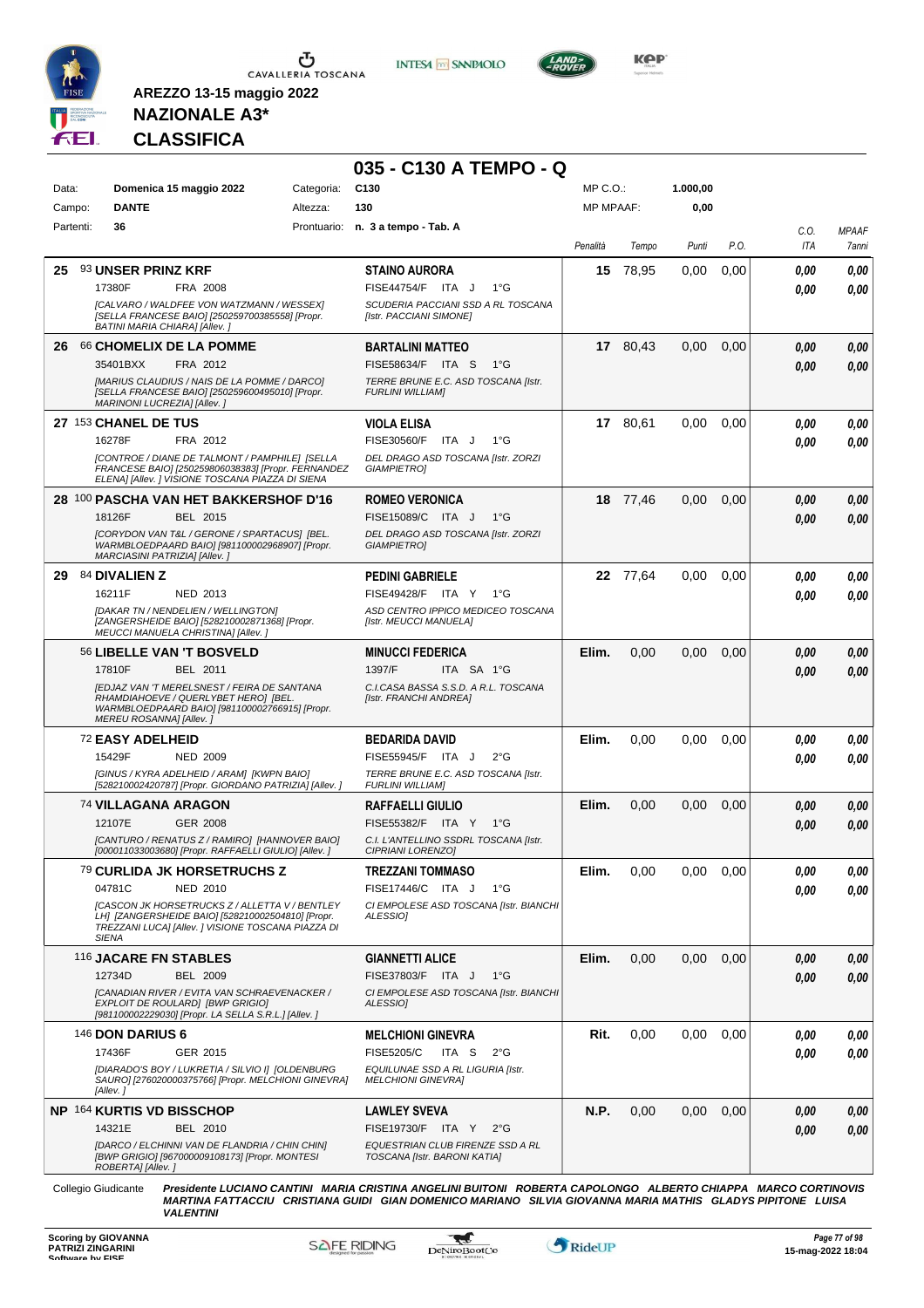

**INTESA** M SANPAOLO



**Kep** 

### **NAZIONALE A3\* CLASSIFICA**

**AREZZO 13-15 maggio 2022**

|        |           |                                                                                                                                                                           |            | 035 - C130 A TEMPO - Q                                           |                  |          |          |      |             |                       |
|--------|-----------|---------------------------------------------------------------------------------------------------------------------------------------------------------------------------|------------|------------------------------------------------------------------|------------------|----------|----------|------|-------------|-----------------------|
| Data:  |           | Domenica 15 maggio 2022                                                                                                                                                   | Categoria: | C <sub>130</sub>                                                 | MP C.O.:         |          | 1.000,00 |      |             |                       |
| Campo: |           | <b>DANTE</b>                                                                                                                                                              | Altezza:   | 130                                                              | <b>MP MPAAF:</b> |          | 0,00     |      |             |                       |
|        | Partenti: | 36                                                                                                                                                                        |            | Prontuario: n. 3 a tempo - Tab. A                                | Penalità         | Tempo    | Punti    | P.O. | C.O.<br>ITA | <b>MPAAF</b><br>7anni |
| 25.    |           | 93 UNSER PRINZ KRF                                                                                                                                                        |            | <b>STAINO AURORA</b>                                             |                  | 15 78,95 | 0,00     | 0,00 | 0.00        | 0,00                  |
|        |           | 17380F<br>FRA 2008                                                                                                                                                        |            | FISE44754/F ITA J<br>$1^{\circ}G$                                |                  |          |          |      | 0.00        | 0,00                  |
|        |           | [CALVARO / WALDFEE VON WATZMANN / WESSEX]<br>[SELLA FRANCESE BAIO] [250259700385558] [Propr.<br>BATINI MARIA CHIARA] [Allev. ]                                            |            | SCUDERIA PACCIANI SSD A RL TOSCANA<br>[Istr. PACCIANI SIMONE]    |                  |          |          |      |             |                       |
| 26     |           | 66 CHOMELIX DE LA POMME                                                                                                                                                   |            | <b>BARTALINI MATTEO</b>                                          |                  | 17 80,43 | 0,00     | 0,00 | 0.00        | 0,00                  |
|        |           | 35401BXX<br>FRA 2012<br>[MARIUS CLAUDIUS / NAIS DE LA POMME / DARCO]                                                                                                      |            | FISE58634/F ITA S<br>1°G<br>TERRE BRUNE E.C. ASD TOSCANA [Istr.  |                  |          |          |      | 0.00        | 0,00                  |
|        |           | [SELLA FRANCESE BAIO] [250259600495010] [Propr.<br>MARINONI LUCREZIA] [Allev.]                                                                                            |            | <b>FURLINI WILLIAM]</b>                                          |                  |          |          |      |             |                       |
|        |           | 27 153 CHANEL DE TUS                                                                                                                                                      |            | <b>VIOLA ELISA</b>                                               |                  | 17 80,61 | 0,00     | 0,00 | 0.00        | 0,00                  |
|        |           | 16278F<br>FRA 2012                                                                                                                                                        |            | FISE30560/F<br>ITA J<br>$1^{\circ}G$                             |                  |          |          |      | 0.00        | 0,00                  |
|        |           | [CONTROE / DIANE DE TALMONT / PAMPHILE] [SELLA<br>FRANCESE BAIO] [250259806038383] [Propr. FERNANDEZ<br>ELENA] [Allev. ] VISIONE TOSCANA PIAZZA DI SIENA                  |            | DEL DRAGO ASD TOSCANA [Istr. ZORZI<br><b>GIAMPIETRO]</b>         |                  |          |          |      |             |                       |
|        |           | 28 100 PASCHA VAN HET BAKKERSHOF D'16                                                                                                                                     |            | <b>ROMEO VERONICA</b>                                            |                  | 18 77,46 | 0,00     | 0,00 | 0,00        | 0,00                  |
|        |           | 18126F<br>BEL 2015                                                                                                                                                        |            | FISE15089/C ITA J<br>$1^{\circ}G$                                |                  |          |          |      | 0.00        | 0,00                  |
|        |           | [CORYDON VAN T&L / GERONE / SPARTACUS] [BEL.<br>WARMBLOEDPAARD BAIO] [981100002968907] [Propr.<br>MARCIASINI PATRIZIA] [Allev.]                                           |            | DEL DRAGO ASD TOSCANA [Istr. ZORZI<br><b>GIAMPIETROI</b>         |                  |          |          |      |             |                       |
| 29     |           | 84 DIVALIEN Z                                                                                                                                                             |            | <b>PEDINI GABRIELE</b>                                           |                  | 22 77,64 | 0,00     | 0,00 | 0.00        | 0,00                  |
|        |           | 16211F<br>NED 2013                                                                                                                                                        |            | FISE49428/F ITA Y<br>1°G                                         |                  |          |          |      | 0.00        | 0.00                  |
|        |           | [DAKAR TN / NENDELIEN / WELLINGTON]<br>[ZANGERSHEIDE BAIO] [528210002871368] [Propr.<br>MEUCCI MANUELA CHRISTINA] [Allev.]                                                |            | ASD CENTRO IPPICO MEDICEO TOSCANA<br>[Istr. MEUCCI MANUELA]      |                  |          |          |      |             |                       |
|        |           | 56 LIBELLE VAN 'T BOSVELD                                                                                                                                                 |            | <b>MINUCCI FEDERICA</b>                                          | Elim.            | 0,00     | 0,00     | 0,00 | 0.00        | 0,00                  |
|        |           | 17810F<br>BEL 2011                                                                                                                                                        |            | 1397/F<br>ITA SA 1°G                                             |                  |          |          |      | 0.00        | 0,00                  |
|        |           | <b>IEDJAZ VAN 'T MERELSNEST / FEIRA DE SANTANA</b><br>RHAMDIAHOEVE / QUERLYBET HERO] [BEL.<br>WARMBLOEDPAARD BAIO] [981100002766915] [Propr.<br>MEREU ROSANNA] [Allev.]   |            | C.I.CASA BASSA S.S.D. A R.L. TOSCANA<br>[Istr. FRANCHI ANDREA]   |                  |          |          |      |             |                       |
|        |           | 72 EASY ADELHEID                                                                                                                                                          |            | <b>BEDARIDA DAVID</b>                                            | Elim.            | 0.00     | 0,00     | 0,00 | 0.00        | 0,00                  |
|        |           | 15429F<br><b>NED 2009</b>                                                                                                                                                 |            | FISE55945/F ITA J<br>$2^{\circ}G$                                |                  |          |          |      | 0.00        | 0,00                  |
|        |           | [GINUS / KYRA ADELHEID / ARAM] [KWPN BAIO]<br>[528210002420787] [Propr. GIORDANO PATRIZIA] [Allev. ]                                                                      |            | TERRE BRUNE E.C. ASD TOSCANA [Istr.<br><b>FURLINI WILLIAMI</b>   |                  |          |          |      |             |                       |
|        |           | 74 VILLAGANA ARAGON                                                                                                                                                       |            | <b>RAFFAELLI GIULIO</b>                                          | Elim.            | 0,00     | 0,00     | 0,00 | 0.00        | 0,00                  |
|        |           | 12107E<br><b>GER 2008</b>                                                                                                                                                 |            | FISE55382/F ITA Y 1°G                                            |                  |          |          |      | 0.00        | 0,00                  |
|        |           | [CANTURO / RENATUS Z / RAMIRO] [HANNOVER BAIO]<br>[000011033003680] [Propr. RAFFAELLI GIULIO] [Allev.]                                                                    |            | C.I. L'ANTELLINO SSDRL TOSCANA [Istr.<br>CIPRIANI LORENZO]       |                  |          |          |      |             |                       |
|        |           | 79 CURLIDA JK HORSETRUCHS Z                                                                                                                                               |            | <b>TREZZANI TOMMASO</b>                                          | Elim.            | 0,00     | 0,00     | 0,00 | 0,00        | 0,00                  |
|        |           | 04781C<br>NED 2010                                                                                                                                                        |            | FISE17446/C ITA J<br>1°G                                         |                  |          |          |      | 0.00        | 0,00                  |
|        |           | [CASCON JK HORSETRUCKS Z / ALLETTA V / BENTLEY<br>LH] [ZANGERSHEIDE BAIO] [528210002504810] [Propr.<br>TREZZANI LUCA] [Allev. ] VISIONE TOSCANA PIAZZA DI<br><b>SIENA</b> |            | CI EMPOLESE ASD TOSCANA [Istr. BIANCHI<br>ALESSIO]               |                  |          |          |      |             |                       |
|        |           | 116 JACARE FN STABLES                                                                                                                                                     |            | <b>GIANNETTI ALICE</b>                                           | Elim.            | 0,00     | 0,00     | 0,00 | 0,00        | 0,00                  |
|        |           | 12734D<br><b>BEL 2009</b>                                                                                                                                                 |            | FISE37803/F ITA J<br>$1^{\circ}G$                                |                  |          |          |      | 0.00        | 0,00                  |
|        |           | [CANADIAN RIVER / EVITA VAN SCHRAEVENACKER /<br>EXPLOIT DE ROULARD] [BWP GRIGIO]<br>[981100002229030] [Propr. LA SELLA S.R.L.] [Allev.]                                   |            | CI EMPOLESE ASD TOSCANA [Istr. BIANCHI<br>ALESSIO]               |                  |          |          |      |             |                       |
|        |           | <b>146 DON DARIUS 6</b>                                                                                                                                                   |            | <b>MELCHIONI GINEVRA</b>                                         | Rit.             | 0,00     | 0,00     | 0,00 | 0.00        | 0,00                  |
|        |           | 17436F<br>GER 2015                                                                                                                                                        |            | <b>FISE5205/C</b><br>ITA S<br>$2^{\circ}G$                       |                  |          |          |      | 0.00        | 0,00                  |
|        |           | [DIARADO'S BOY / LUKRETIA / SILVIO I] [OLDENBURG<br>SAURO] [276020000375766] [Propr. MELCHIONI GINEVRA]<br>[Allev.]                                                       |            | EQUILUNAE SSD A RL LIGURIA [Istr.<br><b>MELCHIONI GINEVRAI</b>   |                  |          |          |      |             |                       |
|        |           | <b>NP 164 KURTIS VD BISSCHOP</b>                                                                                                                                          |            | <b>LAWLEY SVEVA</b>                                              | N.P.             | 0,00     | 0,00     | 0,00 | 0,00        | 0,00                  |
|        |           | 14321E<br>BEL 2010                                                                                                                                                        |            | FISE19730/F ITA Y 2°G                                            |                  |          |          |      | 0.00        | 0,00                  |
|        |           | [DARCO / ELCHINNI VAN DE FLANDRIA / CHIN CHIN]<br>[BWP GRIGIO] [967000009108173] [Propr. MONTESI<br>ROBERTA] [Allev.]                                                     |            | EQUESTRIAN CLUB FIRENZE SSD A RL<br>TOSCANA [Istr. BARONI KATIA] |                  |          |          |      |             |                       |

Collegio Giudicante Presidente LUCIANO CANTINI MARIA CRISTINA ANGELINI BUITONI ROBERTA CAPOLONGO ALBERTO CHIAPPA MARCO CORTINOVIS<br>MARTINA FATTACCIU CRISTIANA GUIDI GIAN DOMENICO MARIANO SILVIA GIOVANNA MARIA MATHIS GLADYS

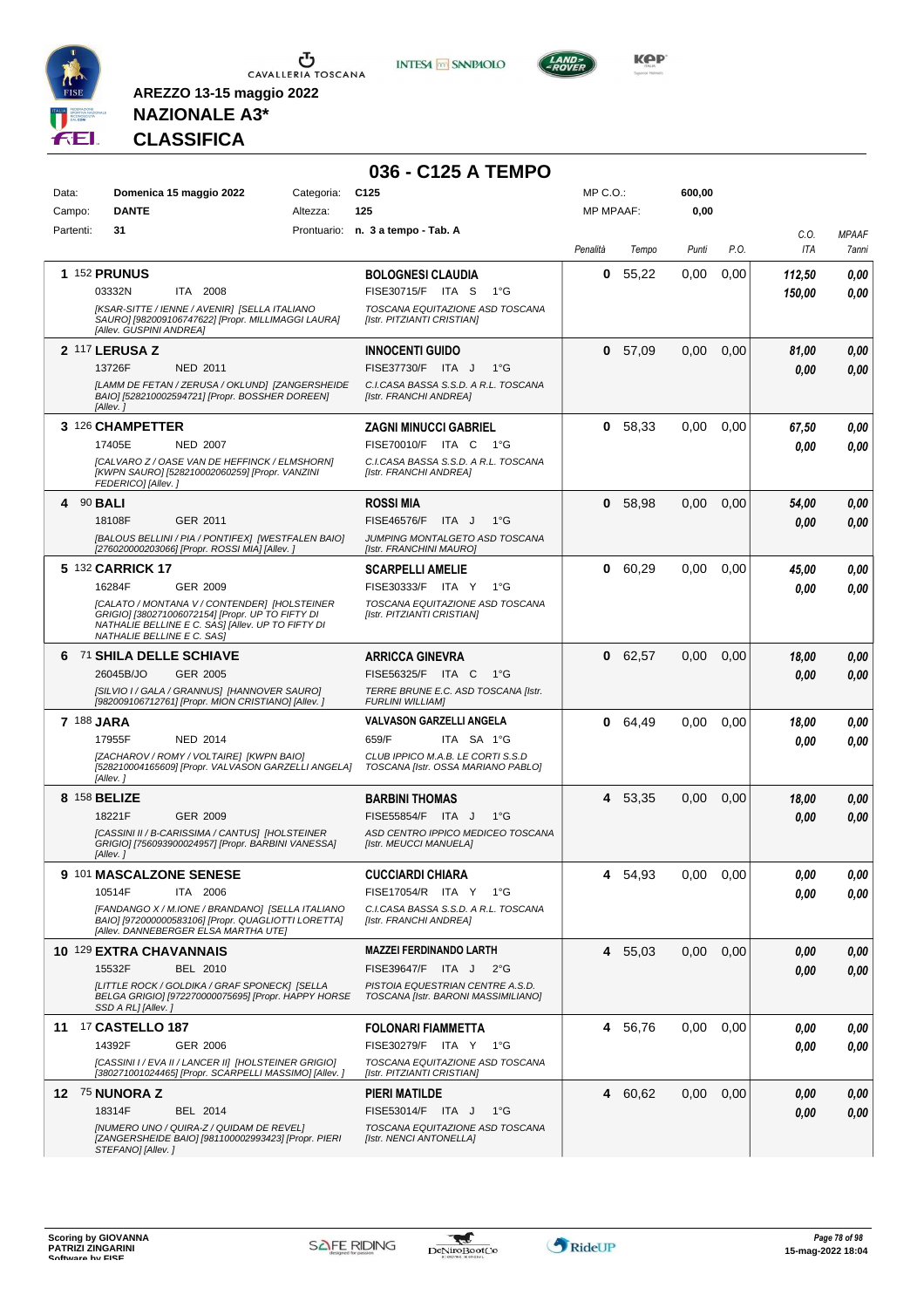





**KOP** 

# **NAZIONALE A3\* CLASSIFICA**

|                  |                                                                                                                                                 |            | 036 - C125 A TEMPO                                                      |           |         |        |      |        |              |
|------------------|-------------------------------------------------------------------------------------------------------------------------------------------------|------------|-------------------------------------------------------------------------|-----------|---------|--------|------|--------|--------------|
| Data:            | Domenica 15 maggio 2022                                                                                                                         | Categoria: | C <sub>125</sub>                                                        | MP C.O.:  |         | 600,00 |      |        |              |
| Campo:           | <b>DANTE</b>                                                                                                                                    | Altezza:   | 125                                                                     | MP MPAAF: |         | 0,00   |      |        |              |
| Partenti:        | 31                                                                                                                                              |            | Prontuario: n. 3 a tempo - Tab. A                                       |           |         |        |      | C.O.   | <b>MPAAF</b> |
|                  |                                                                                                                                                 |            |                                                                         | Penalità  | Tempo   | Punti  | P.O. | ITA    | 7anni        |
|                  | <b>1 152 PRUNUS</b>                                                                                                                             |            | <b>BOLOGNESI CLAUDIA</b>                                                | 0         | 55,22   | 0,00   | 0,00 | 112,50 | 0.00         |
|                  | 03332N<br>ITA 2008                                                                                                                              |            | FISE30715/F ITA S<br>1°G                                                |           |         |        |      | 150,00 | 0.00         |
|                  | [KSAR-SITTE / IENNE / AVENIR] [SELLA ITALIANO                                                                                                   |            | TOSCANA EQUITAZIONE ASD TOSCANA                                         |           |         |        |      |        |              |
|                  | SAURO] [982009106747622] [Propr. MILLIMAGGI LAURA]<br>[Allev. GUSPINI ANDREA]                                                                   |            | [Istr. PITZIANTI CRISTIAN]                                              |           |         |        |      |        |              |
|                  | <b>2 117 LERUSA Z</b>                                                                                                                           |            | <b>INNOCENTI GUIDO</b>                                                  | 0         | 57.09   | 0,00   | 0,00 | 81,00  | 0,00         |
|                  | 13726F<br>NED 2011                                                                                                                              |            | FISE37730/F ITA J<br>$1^{\circ}G$                                       |           |         |        |      | 0.00   | 0.00         |
|                  | [LAMM DE FETAN / ZERUSA / OKLUND] [ZANGERSHEIDE<br>BAIO] [528210002594721] [Propr. BOSSHER DOREEN]<br>[Allev.]                                  |            | C.I.CASA BASSA S.S.D. A R.L. TOSCANA<br>[Istr. FRANCHI ANDREA]          |           |         |        |      |        |              |
|                  | 3 126 CHAMPETTER                                                                                                                                |            | ZAGNI MINUCCI GABRIEL                                                   | 0         | 58,33   | 0.00   | 0,00 | 67.50  | 0,00         |
|                  | 17405E<br><b>NED 2007</b>                                                                                                                       |            | FISE70010/F ITA C 1°G                                                   |           |         |        |      | 0.00   | 0,00         |
|                  | [CALVARO Z / OASE VAN DE HEFFINCK / ELMSHORN]                                                                                                   |            | C.I.CASA BASSA S.S.D. A R.L. TOSCANA                                    |           |         |        |      |        |              |
|                  | [KWPN SAURO] [528210002060259] [Propr. VANZINI<br>FEDERICO] [Allev.]                                                                            |            | [Istr. FRANCHI ANDREA]                                                  |           |         |        |      |        |              |
| 4 90 <b>BALI</b> |                                                                                                                                                 |            | <b>ROSSI MIA</b>                                                        | 0         | 58,98   | 0,00   | 0,00 | 54,00  | 0,00         |
|                  | GER 2011<br>18108F                                                                                                                              |            | FISE46576/F ITA J<br>$1^{\circ}G$                                       |           |         |        |      | 0.00   | 0.00         |
|                  | [BALOUS BELLINI / PIA / PONTIFEX] [WESTFALEN BAIO]<br>[276020000203066] [Propr. ROSSI MIA] [Allev.]                                             |            | JUMPING MONTALGETO ASD TOSCANA<br>[Istr. FRANCHINI MAURO]               |           |         |        |      |        |              |
|                  | 5 132 CARRICK 17                                                                                                                                |            | <b>SCARPELLI AMELIE</b>                                                 | 0         | 60,29   | 0,00   | 0,00 | 45,00  | 0,00         |
|                  | 16284F<br>GER 2009                                                                                                                              |            | FISE30333/F ITA Y<br>1°G                                                |           |         |        |      | 0.00   | 0.00         |
|                  | [CALATO / MONTANA V / CONTENDER] [HOLSTEINER                                                                                                    |            | TOSCANA EQUITAZIONE ASD TOSCANA                                         |           |         |        |      |        |              |
|                  | GRIGIO] [380271006072154] [Propr. UP TO FIFTY DI<br>NATHALIE BELLINE E C. SAS] [Allev. UP TO FIFTY DI<br>NATHALIE BELLINE E C. SAS]             |            | [Istr. PITZIANTI CRISTIAN]                                              |           |         |        |      |        |              |
|                  | 6 71 SHILA DELLE SCHIAVE                                                                                                                        |            | <b>ARRICCA GINEVRA</b>                                                  |           | 0 62,57 | 0,00   | 0,00 | 18,00  | 0.00         |
|                  | 26045B/JO<br>GER 2005                                                                                                                           |            | FISE56325/F ITA C<br>— 1°G                                              |           |         |        |      | 0.00   | 0.00         |
|                  | [SILVIO I / GALA / GRANNUS] [HANNOVER SAURO]<br>[982009106712761] [Propr. MION CRISTIANO] [Allev.]                                              |            | TERRE BRUNE E.C. ASD TOSCANA [Istr.<br><b>FURLINI WILLIAM]</b>          |           |         |        |      |        |              |
| 7 188 JARA       |                                                                                                                                                 |            | VALVASON GARZELLI ANGELA                                                | 0         | 64,49   | 0,00   | 0,00 | 18,00  | 0.00         |
|                  | 17955F<br><b>NED 2014</b>                                                                                                                       |            | 659/F<br>ITA SA 1°G                                                     |           |         |        |      | 0.00   | 0.00         |
|                  | [ZACHAROV / ROMY / VOLTAIRE] [KWPN BAIO]<br>[528210004165609] [Propr. VALVASON GARZELLI ANGELA]<br>[Allev.]                                     |            | CLUB IPPICO M.A.B. LE CORTI S.S.D<br>TOSCANA [Istr. OSSA MARIANO PABLO] |           |         |        |      |        |              |
|                  | 8 158 BELIZE                                                                                                                                    |            | <b>BARBINI THOMAS</b>                                                   |           | 4 53,35 | 0,00   | 0,00 | 18,00  | 0,00         |
|                  | 18221F<br>GER 2009                                                                                                                              |            | FISE55854/F ITA J<br>$1^{\circ}G$                                       |           |         |        |      | 0.00   | 0.00         |
|                  | [CASSINI II / B-CARISSIMA / CANTUS] [HOLSTEINER                                                                                                 |            | ASD CENTRO IPPICO MEDICEO TOSCANA                                       |           |         |        |      |        |              |
|                  | GRIGIO] [756093900024957] [Propr. BARBINI VANESSA]<br>[Allev. ]                                                                                 |            | [Istr. MEUCCI MANUELA]                                                  |           |         |        |      |        |              |
|                  | 9 101 MASCALZONE SENESE                                                                                                                         |            | <b>CUCCIARDI CHIARA</b>                                                 | 4         | 54,93   | 0,00   | 0,00 | 0,00   | 0,00         |
|                  | 10514F<br>ITA 2006                                                                                                                              |            | FISE17054/R ITA Y 1°G                                                   |           |         |        |      | 0.00   | 0,00         |
|                  | [FANDANGO X / M.IONE / BRANDANO] [SELLA ITALIANO<br>BAIO] [972000000583106] [Propr. QUAGLIOTTI LORETTA]<br>[Allev. DANNEBERGER ELSA MARTHA UTE] |            | C.I.CASA BASSA S.S.D. A R.L. TOSCANA<br>[Istr. FRANCHI ANDREA]          |           |         |        |      |        |              |
|                  | 10 129 EXTRA CHAVANNAIS                                                                                                                         |            | <b>MAZZEI FERDINANDO LARTH</b>                                          |           | 4 55,03 | 0,00   | 0,00 | 0,00   | 0,00         |
|                  | 15532F<br>BEL 2010                                                                                                                              |            | FISE39647/F ITA J<br>$2^{\circ}G$                                       |           |         |        |      | 0.00   | 0,00         |
|                  | [LITTLE ROCK / GOLDIKA / GRAF SPONECK] [SELLA<br>BELGA GRIGIO] [972270000075695] [Propr. HAPPY HORSE<br>SSD A RL] [Allev.]                      |            | PISTOIA EQUESTRIAN CENTRE A.S.D.<br>TOSCANA [Istr. BARONI MASSIMILIANO] |           |         |        |      |        |              |
|                  | 11 17 CASTELLO 187                                                                                                                              |            | <b>FOLONARI FIAMMETTA</b>                                               |           | 4 56,76 | 0,00   | 0,00 | 0,00   | 0,00         |
|                  | 14392F<br>GER 2006                                                                                                                              |            | FISE30279/F ITA Y 1°G                                                   |           |         |        |      | 0.00   | 0,00         |
|                  | [CASSINI I / EVA II / LANCER II] [HOLSTEINER GRIGIO]<br>[380271001024465] [Propr. SCARPELLI MASSIMO] [Allev.]                                   |            | TOSCANA EQUITAZIONE ASD TOSCANA<br>[Istr. PITZIANTI CRISTIAN]           |           |         |        |      |        |              |
|                  | 12 75 NUNORA Z                                                                                                                                  |            | PIERI MATILDE                                                           |           | 4 60,62 | 0,00   | 0,00 | 0,00   | 0,00         |
|                  | 18314F<br>BEL 2014                                                                                                                              |            | FISE53014/F ITA J<br>$1^{\circ}G$                                       |           |         |        |      | 0,00   | 0,00         |
|                  | [NUMERO UNO / QUIRA-Z / QUIDAM DE REVEL]                                                                                                        |            | TOSCANA EQUITAZIONE ASD TOSCANA                                         |           |         |        |      |        |              |
|                  | [ZANGERSHEIDE BAIO] [981100002993423] [Propr. PIERI<br>STEFANO] [Allev.]                                                                        |            | [Istr. NENCI ANTONELLA]                                                 |           |         |        |      |        |              |

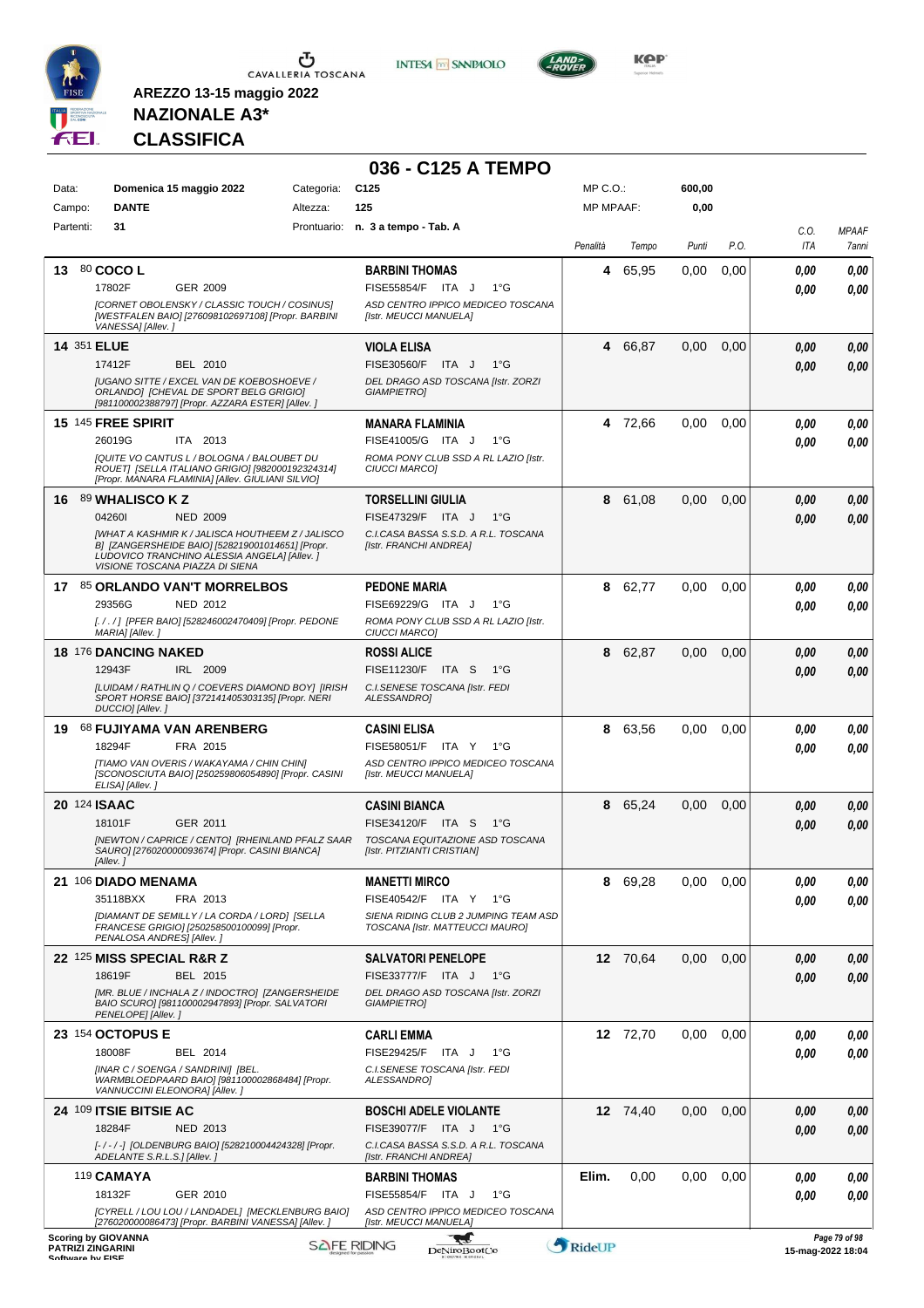

**INTESA** M SANPAOLO

**036 - C125 A TEMPO**



**KOP** 

# **NAZIONALE A3\* CLASSIFICA**

| Data:     | Domenica 15 maggio 2022                                                                                                                                                                                                                                     | Categoria: | C <sub>125</sub>                                                                                                                      | MP C.O.:         |          | 600,00 |      |                   |                       |
|-----------|-------------------------------------------------------------------------------------------------------------------------------------------------------------------------------------------------------------------------------------------------------------|------------|---------------------------------------------------------------------------------------------------------------------------------------|------------------|----------|--------|------|-------------------|-----------------------|
| Campo:    | <b>DANTE</b>                                                                                                                                                                                                                                                | Altezza:   | 125                                                                                                                                   | <b>MP MPAAF:</b> |          | 0,00   |      |                   |                       |
| Partenti: | 31                                                                                                                                                                                                                                                          |            | Prontuario: n. 3 a tempo - Tab. A                                                                                                     | Penalità         | Tempo    | Punti  | P.O. | C.O.<br>ITA       | <b>MPAAF</b><br>7anni |
| 13        | 80 COCO L<br>17802F<br>GER 2009<br>[CORNET OBOLENSKY / CLASSIC TOUCH / COSINUS]<br>[WESTFALEN BAIO] [276098102697108] [Propr. BARBINI<br>VANESSA] [Allev.]                                                                                                  |            | <b>BARBINI THOMAS</b><br>FISE55854/F ITA J<br>$1^{\circ}$ G<br>ASD CENTRO IPPICO MEDICEO TOSCANA<br>[Istr. MEUCCI MANUELA]            | 4                | 65,95    | 0.00   | 0,00 | 0.00<br>0.00      | 0,00<br>0.00          |
|           | <b>14 351 ELUE</b><br>17412F<br>BEL 2010<br><b>IUGANO SITTE / EXCEL VAN DE KOEBOSHOEVE /</b><br>ORLANDO] [CHEVAL DE SPORT BELG GRIGIO]                                                                                                                      |            | <b>VIOLA ELISA</b><br>FISE30560/F<br>ITA J<br>$1^{\circ}$ G<br>DEL DRAGO ASD TOSCANA [Istr. ZORZI<br><b>GIAMPIETRO]</b>               | 4                | 66,87    | 0,00   | 0,00 | 0.00<br>0.00      | 0,00<br>0,00          |
|           | [981100002388797] [Propr. AZZARA ESTER] [Allev. ]<br><b>15 145 FREE SPIRIT</b><br>26019G<br>ITA 2013<br>[QUITE VO CANTUS L / BOLOGNA / BALOUBET DU<br>ROUET] [SELLA ITALIANO GRIGIO] [982000192324314]<br>[Propr. MANARA FLAMINIA] [Allev. GIULIANI SILVIO] |            | <b>MANARA FLAMINIA</b><br>FISE41005/G ITA J<br>$1^{\circ}G$<br>ROMA PONY CLUB SSD A RL LAZIO [Istr.<br>CIUCCI MARCO]                  |                  | 4 72,66  | 0,00   | 0,00 | 0,00<br>0.00      | 0,00<br>0,00          |
| 16        | 89 WHALISCO K Z<br>042601<br><b>NED 2009</b><br><b>IWHAT A KASHMIR K / JALISCA HOUTHEEM Z / JALISCO</b><br>B] [ZANGERSHEIDE BAIO] [528219001014651] [Propr.<br>LUDOVICO TRANCHINO ALESSIA ANGELA] [Allev. ]<br>VISIONE TOSCANA PIAZZA DI SIENA              |            | <b>TORSELLINI GIULIA</b><br>FISE47329/F ITA J<br>$1^{\circ}$ G<br>C.I.CASA BASSA S.S.D. A R.L. TOSCANA<br>[Istr. FRANCHI ANDREA]      | 8                | 61,08    | 0,00   | 0,00 | 0,00<br>0.00      | 0,00<br>0.00          |
|           | 17 85 ORLANDO VAN'T MORRELBOS<br>29356G<br>NED 2012<br>[. / . / ] [PFER BAIO] [528246002470409] [Propr. PEDONE<br>MARIA] [Allev. ]                                                                                                                          |            | <b>PEDONE MARIA</b><br>FISE69229/G ITA J<br>$1^{\circ}G$<br>ROMA PONY CLUB SSD A RL LAZIO [Istr.<br><b>CIUCCI MARCOI</b>              | 8                | 62,77    | 0,00   | 0,00 | 0.00<br>0.00      | 0,00<br>0.00          |
|           | 18 176 DANCING NAKED<br>12943F<br>IRL 2009<br>[LUIDAM / RATHLIN Q / COEVERS DIAMOND BOY] [IRISH<br>SPORT HORSE BAIO] [372141405303135] [Propr. NERI<br>DUCCIO] [Allev.]                                                                                     |            | <b>ROSSI ALICE</b><br>FISE11230/F ITA S<br>$1^{\circ}$ G<br>C.I. SENESE TOSCANA [Istr. FEDI<br>ALESSANDRO]                            | 8                | 62,87    | 0,00   | 0,00 | 0.00<br>0.00      | 0,00<br>0,00          |
| 19.       | 68 FUJIYAMA VAN ARENBERG<br>18294F<br>FRA 2015<br>[TIAMO VAN OVERIS / WAKAYAMA / CHIN CHIN]<br>[SCONOSCIUTA BAIO] [250259806054890] [Propr. CASINI<br>ELISA] [Allev.]                                                                                       |            | <b>CASINI ELISA</b><br>FISE58051/F ITA Y 1°G<br>ASD CENTRO IPPICO MEDICEO TOSCANA<br>[Istr. MEUCCI MANUELA]                           | 8                | 63,56    | 0,00   | 0,00 | 0.00<br>0.00      | 0,00<br>0,00          |
|           | 20 124 ISAAC<br>18101F<br>GER 2011<br>[NEWTON / CAPRICE / CENTO] [RHEINLAND PFALZ SAAR<br>SAURO] [276020000093674] [Propr. CASINI BIANCA]<br>[Allev.]                                                                                                       |            | <b>CASINI BIANCA</b><br>FISE34120/F ITA S<br>$1^{\circ}G$<br>TOSCANA EQUITAZIONE ASD TOSCANA<br>[Istr. PITZIANTI CRISTIAN]            | 8                | 65,24    | 0,00   | 0,00 | 0,00<br>0.00      | 0,00<br>0.00          |
|           | 21 106 DIADO MENAMA<br>35118BXX<br>FRA 2013<br>[DIAMANT DE SEMILLY / LA CORDA / LORD] [SELLA<br>FRANCESE GRIGIO] [250258500100099] [Propr.<br>PENALOSA ANDRES] [Allev.]                                                                                     |            | <b>MANETTI MIRCO</b><br><b>FISE40542/F</b><br>ITA Y<br>1°G<br>SIENA RIDING CLUB 2 JUMPING TEAM ASD<br>TOSCANA [Istr. MATTEUCCI MAURO] |                  | 8 69,28  | 0,00   | 0,00 | 0,00<br>0.00      | 0,00<br>0.00          |
|           | 22 125 MISS SPECIAL R&R Z<br>18619F<br>BEL 2015<br>[MR. BLUE / INCHALA Z / INDOCTRO] [ZANGERSHEIDE<br>BAIO SCURO] [981100002947893] [Propr. SALVATORI<br>PENELOPE] [Allev.]                                                                                 |            | <b>SALVATORI PENELOPE</b><br>FISE33777/F ITA J<br>1°G<br>DEL DRAGO ASD TOSCANA [Istr. ZORZI<br><b>GIAMPIETRO]</b>                     |                  | 12 70,64 | 0,00   | 0,00 | 0,00<br>0,00      | 0,00<br>0,00          |
|           | 23 154 OCTOPUS E<br>18008F<br>BEL 2014<br>[INAR C / SOENGA / SANDRINI] [BEL.<br>WARMBLOEDPAARD BAIO] [981100002868484] [Propr.<br>VANNUCCINI ELEONORA] [Allev.]                                                                                             |            | <b>CARLI EMMA</b><br>FISE29425/F ITA J<br>$1^{\circ}G$<br>C.I.SENESE TOSCANA [Istr. FEDI<br>ALESSANDRO]                               |                  | 12 72,70 | 0,00   | 0,00 | 0.00<br>0.00      | 0,00<br>0,00          |
|           | 24 109 ITSIE BITSIE AC<br>18284F<br>NED 2013<br>[-/-/-] [OLDENBURG BAIO] [528210004424328] [Propr.<br>ADELANTE S.R.L.S.] [Allev.]                                                                                                                           |            | <b>BOSCHI ADELE VIOLANTE</b><br>FISE39077/F ITA J<br>1°G<br>C.I.CASA BASSA S.S.D. A R.L. TOSCANA<br>[Istr. FRANCHI ANDREA]            |                  | 12 74,40 | 0,00   | 0,00 | 0,00<br>0,00      | 0,00<br>0,00          |
|           | 119 <b>CAMAYA</b><br>18132F<br>GER 2010<br>[CYRELL / LOU LOU / LANDADEL] [MECKLENBURG BAIO]<br>[276020000086473] [Propr. BARBINI VANESSA] [Allev.]                                                                                                          |            | <b>BARBINI THOMAS</b><br>FISE55854/F ITA J<br>$1^{\circ}G$<br>ASD CENTRO IPPICO MEDICEO TOSCANA                                       | Elim.            | 0,00     | 0,00   | 0,00 | 0.00<br>0.00      | 0,00<br>0,00          |
|           | <b>Scoring by GIOVANNA</b><br><b>PATRIZI ZINGARINI</b><br>Coffware by EICE                                                                                                                                                                                  |            | [Istr. MEUCCI MANUELA]<br><b>SAFE RIDING</b><br><b>DeNiroBootCo</b>                                                                   | RideUP           |          |        |      | 15-mag-2022 18:04 | Page 79 of 98         |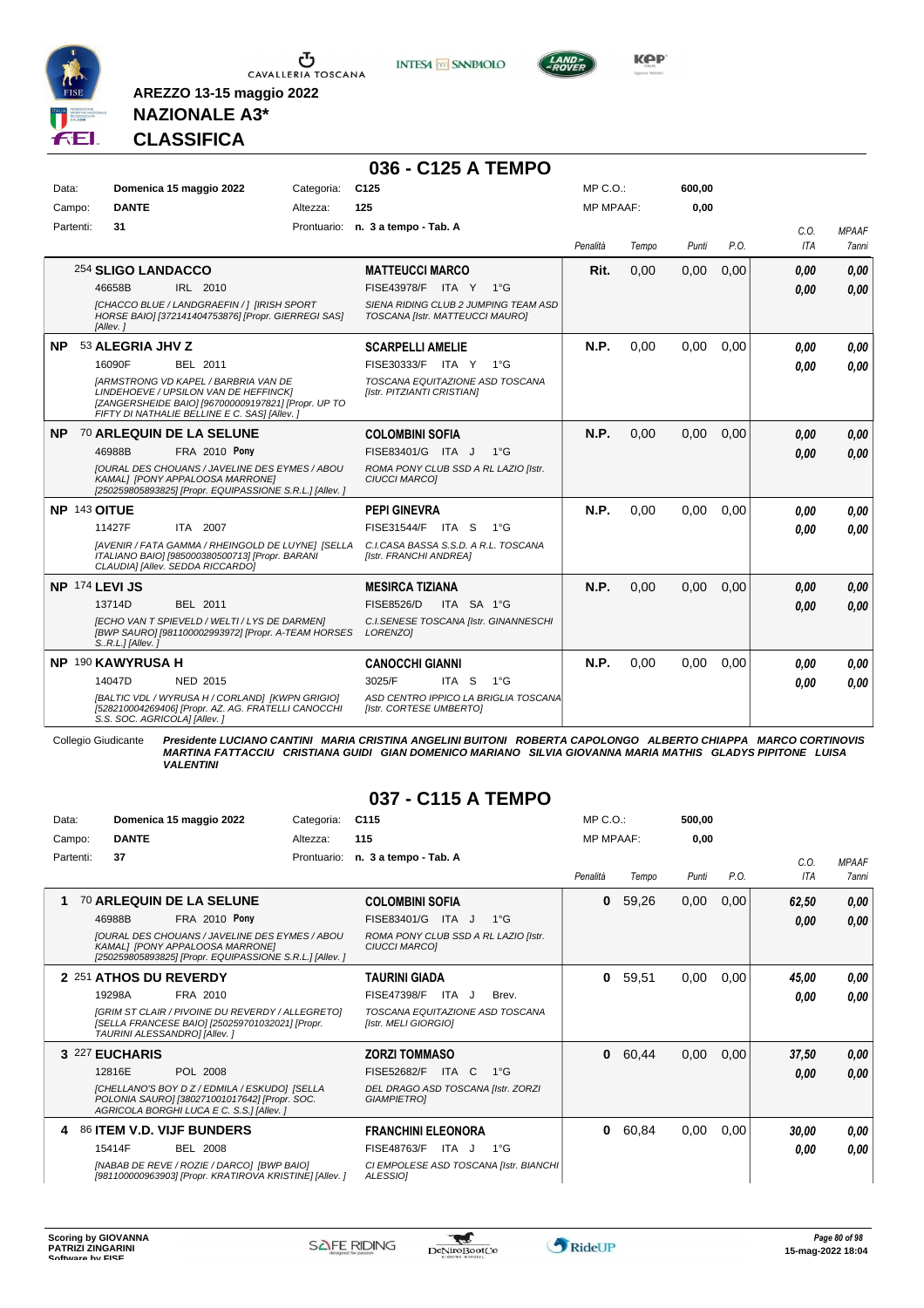

**INTESA M** SANPAOLO

**036 - C125 A TEMPO**



**Kep** 

### **NAZIONALE A3\* CLASSIFICA**

**AREZZO 13-15 maggio 2022**

| Data:        | Domenica 15 maggio 2022                                                                                                                                                                                                                            | Categoria: | C <sub>125</sub>                                                                                                                     | MP C.O.:         |       | 600,00 |      |              |                       |
|--------------|----------------------------------------------------------------------------------------------------------------------------------------------------------------------------------------------------------------------------------------------------|------------|--------------------------------------------------------------------------------------------------------------------------------------|------------------|-------|--------|------|--------------|-----------------------|
| Campo:       | <b>DANTE</b>                                                                                                                                                                                                                                       | Altezza:   | 125                                                                                                                                  | <b>MP MPAAF:</b> |       | 0,00   |      |              |                       |
| Partenti:    | 31                                                                                                                                                                                                                                                 |            | Prontuario: n. 3 a tempo - Tab. A                                                                                                    | Penalità         | Tempo | Punti  | P.O. | C.0.<br>ITA  | <b>MPAAF</b><br>7anni |
|              | 254 SLIGO LANDACCO<br>46658B<br>IRL 2010<br>ICHACCO BLUE / LANDGRAEFIN /   [IRISH SPORT<br>HORSE BAIO] [372141404753876] [Propr. GIERREGI SAS]                                                                                                     |            | <b>MATTEUCCI MARCO</b><br><b>FISE43978/F ITA Y</b><br>1°G<br>SIENA RIDING CLUB 2 JUMPING TEAM ASD<br>TOSCANA [Istr. MATTEUCCI MAURO] | Rit.             | 0,00  | 0,00   | 0,00 | 0.00<br>0.00 | 0,00<br>0.00          |
| NP.          | [Allev.]<br>53 ALEGRIA JHV Z<br>16090F<br>BEL 2011<br><b>IARMSTRONG VD KAPEL / BARBRIA VAN DE</b><br>LINDEHOEVE / UPSILON VAN DE HEFFINCK]<br>[ZANGERSHEIDE BAIO] [967000009197821] [Propr. UP TO<br>FIFTY DI NATHALIE BELLINE E C. SAS] [Allev. ] |            | <b>SCARPELLI AMELIE</b><br>FISE30333/F ITA Y 1°G<br>TOSCANA EQUITAZIONE ASD TOSCANA<br>[Istr. PITZIANTI CRISTIAN]                    | N.P.             | 0.00  | 0,00   | 0.00 | 0.00<br>0.00 | 0,00<br>0.00          |
| NP.          | 70 ARLEQUIN DE LA SELUNE<br>FRA 2010 Pony<br>46988B<br><b>JOURAL DES CHOUANS / JAVELINE DES EYMES / ABOU</b><br>KAMAL] [PONY APPALOOSA MARRONE]<br>[250259805893825] [Propr. EQUIPASSIONE S.R.L.] [Allev. ]                                        |            | <b>COLOMBINI SOFIA</b><br>FISE83401/G ITA J<br>$1^{\circ}G$<br>ROMA PONY CLUB SSD A RL LAZIO [Istr.<br><b>CIUCCI MARCOI</b>          | N.P.             | 0,00  | 0,00   | 0,00 | 0.00<br>0.00 | 0,00<br>0,00          |
| NP 143 OITUE | ITA 2007<br>11427F<br>[AVENIR / FATA GAMMA / RHEINGOLD DE LUYNE] [SELLA<br>ITALIANO BAIO] [985000380500713] [Propr. BARANI<br>CLAUDIA] [Allev. SEDDA RICCARDO]                                                                                     |            | <b>PEPI GINEVRA</b><br>FISE31544/F ITA S<br>1°G<br>C.I.CASA BASSA S.S.D. A R.L. TOSCANA<br>[Istr. FRANCHI ANDREA]                    | N.P.             | 0.00  | 0.00   | 0.00 | 0.00<br>0.00 | 0,00<br>0.00          |
|              | NP 174 LEVI JS<br>13714D<br>BEL 2011<br>[ECHO VAN T SPIEVELD / WELTI / LYS DE DARMEN]<br>[BWP SAURO] [981100002993972] [Propr. A-TEAM HORSES<br>$SR.L.]$ [Allev.]                                                                                  |            | <b>MESIRCA TIZIANA</b><br><b>FISE8526/D</b><br>ITA SA 1°G<br>C.I.SENESE TOSCANA [Istr. GINANNESCHI<br>LORENZO1                       | N.P.             | 0,00  | 0,00   | 0,00 | 0.00<br>0.00 | 0.00<br>0.00          |
|              | NP 190 KAWYRUSA H<br>14047D<br>NED 2015<br>[BALTIC VDL / WYRUSA H / CORLAND] [KWPN GRIGIO]<br>[528210004269406] [Propr. AZ. AG. FRATELLI CANOCCHI<br>S.S. SOC. AGRICOLA] [Allev.]                                                                  |            | <b>CANOCCHI GIANNI</b><br>3025/F<br>ITA S<br>$1^{\circ}G$<br>ASD CENTRO IPPICO LA BRIGLIA TOSCANA<br>[Istr. CORTESE UMBERTO]         | N.P.             | 0.00  | 0.00   | 0.00 | 0.00<br>0.00 | 0.00<br>0.00          |

Collegio Giudicante Presidente LUCIANO CANTINI MARIA CRISTINA ANGELINI BUITONI ROBERTA CAPOLONGO ALBERTO CHIAPPA MARCO CORTINOVIS<br>MARTINA FATTACCIU CRISTIANA GUIDI GIAN DOMENICO MARIANO SILVIA GIOVANNA MARIA MATHIS GLADYS

#### **037 - C115 A TEMPO**

| Data:     | Domenica 15 maggio 2022                                                                                                                              | Categoria:  | C <sub>115</sub>                                          | $MP C. O.$ :     |       | 500,00 |      |       |              |
|-----------|------------------------------------------------------------------------------------------------------------------------------------------------------|-------------|-----------------------------------------------------------|------------------|-------|--------|------|-------|--------------|
| Campo:    | <b>DANTE</b>                                                                                                                                         | Altezza:    | 115                                                       | <b>MP MPAAF:</b> |       | 0.00   |      |       |              |
| Partenti: | 37                                                                                                                                                   | Prontuario: | n. 3 a tempo - Tab. A                                     |                  |       |        |      | C.O.  | <b>MPAAF</b> |
|           |                                                                                                                                                      |             |                                                           | Penalità         | Tempo | Punti  | P.O. | ITA   | 7anni        |
|           | <b>70 ARLEQUIN DE LA SELUNE</b>                                                                                                                      |             | <b>COLOMBINI SOFIA</b>                                    | 0                | 59,26 | 0,00   | 0,00 | 62,50 | 0,00         |
|           | <b>FRA 2010 Pony</b><br>46988B                                                                                                                       |             | FISE83401/G<br>$1^{\circ}$ G<br>ITA J                     |                  |       |        |      | 0.00  | 0.00         |
|           | <b>IOURAL DES CHOUANS / JAVELINE DES EYMES / ABOU</b><br>KAMALI IPONY APPALOOSA MARRONEI<br>[250259805893825] [Propr. EQUIPASSIONE S.R.L.] [Allev. ] |             | ROMA PONY CLUB SSD A RL LAZIO [Istr.<br>CIUCCI MARCOI     |                  |       |        |      |       |              |
|           | 2 251 ATHOS DU REVERDY                                                                                                                               |             | <b>TAURINI GIADA</b>                                      | 0                | 59,51 | 0,00   | 0,00 | 45,00 | 0,00         |
|           | FRA 2010<br>19298A                                                                                                                                   |             | <b>FISE47398/F</b><br>ITA<br>Brev.<br>J.                  |                  |       |        |      | 0.00  | 0.00         |
|           | [GRIM ST CLAIR / PIVOINE DU REVERDY / ALLEGRETO]<br>[SELLA FRANCESE BAIO] [250259701032021] [Propr.<br>TAURINI ALESSANDRO] [Allev.]                  |             | TOSCANA EQUITAZIONE ASD TOSCANA<br>[Istr. MELI GIORGIO]   |                  |       |        |      |       |              |
|           | 3 227 EUCHARIS                                                                                                                                       |             | <b>ZORZI TOMMASO</b>                                      | 0                | 60,44 | 0,00   | 0,00 | 37,50 | 0,00         |
|           | 12816E<br>POL 2008                                                                                                                                   |             | <b>FISE52682/F</b><br>ITA C<br>$1^{\circ}G$               |                  |       |        |      | 0,00  | 0,00         |
|           | [CHELLANO'S BOY D Z / EDMILA / ESKUDO] [SELLA<br>POLONIA SAURO] [380271001017642] [Propr. SOC.<br>AGRICOLA BORGHI LUCA E C. S.S.] [Allev. ]          |             | DEL DRAGO ASD TOSCANA [Istr. ZORZI<br><b>GIAMPIETRO1</b>  |                  |       |        |      |       |              |
| 4         | 86 ITEM V.D. VIJF BUNDERS                                                                                                                            |             | <b>FRANCHINI ELEONORA</b>                                 | $\bf{0}$         | 60,84 | 0,00   | 0,00 | 30,00 | 0.00         |
|           | 15414F<br><b>BEL 2008</b>                                                                                                                            |             | $1^{\circ}$ G<br>FISE48763/F<br>ITA J                     |                  |       |        |      | 0.00  | 0.00         |
|           | <b>INABAB DE REVE / ROZIE / DARCO1 IBWP BAIO1</b><br>[981100000963903] [Propr. KRATIROVA KRISTINE] [Allev.]                                          |             | CI EMPOLESE ASD TOSCANA [Istr. BIANCHI<br><b>ALESSIOI</b> |                  |       |        |      |       |              |

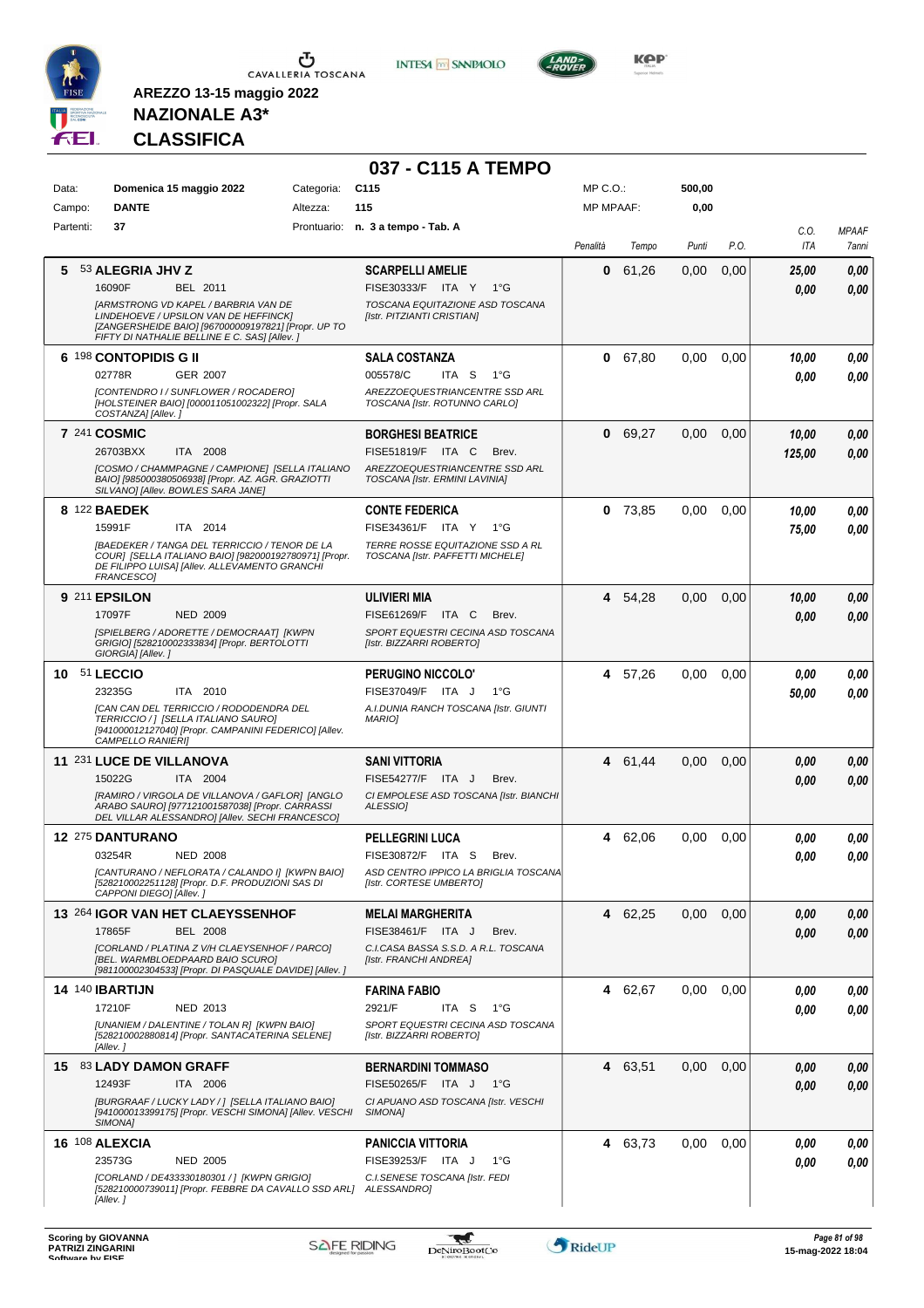

**INTESA M** SANPAOLO



**KOP** 

# **NAZIONALE A3\* CLASSIFICA**

|              |                                                                                                                                                                                             |            | 037 - C115 A TEMPO                                                                         |                  |           |        |      |                |                       |
|--------------|---------------------------------------------------------------------------------------------------------------------------------------------------------------------------------------------|------------|--------------------------------------------------------------------------------------------|------------------|-----------|--------|------|----------------|-----------------------|
| Data:        | Domenica 15 maggio 2022                                                                                                                                                                     | Categoria: | C <sub>115</sub>                                                                           | $MP C. O.$ :     |           | 500,00 |      |                |                       |
| Campo:       | <b>DANTE</b>                                                                                                                                                                                | Altezza:   | 115                                                                                        | <b>MP MPAAF:</b> |           | 0,00   |      |                |                       |
| Partenti:    | 37                                                                                                                                                                                          |            | Prontuario: n. 3 a tempo - Tab. A                                                          | Penalità         | Tempo     | Punti  | P.O. | C.O.<br>ITA    | <b>MPAAF</b><br>7anni |
|              | 5 53 ALEGRIA JHV Z<br>16090F<br>BEL 2011                                                                                                                                                    |            | <b>SCARPELLI AMELIE</b><br>FISE30333/F ITA Y<br>1°G                                        | 0                | 61,26     | 0,00   | 0,00 | 25,00<br>0,00  | 0,00<br>0.00          |
|              | <b>JARMSTRONG VD KAPEL / BARBRIA VAN DE</b><br>LINDEHOEVE / UPSILON VAN DE HEFFINCK]<br>[ZANGERSHEIDE BAIO] [967000009197821] [Propr. UP TO<br>FIFTY DI NATHALIE BELLINE E C. SAS] [Allev.] |            | TOSCANA EQUITAZIONE ASD TOSCANA<br>[Istr. PITZIANTI CRISTIAN]                              |                  |           |        |      |                |                       |
|              | 6 <sup>198</sup> CONTOPIDIS G II<br>02778R<br>GER 2007                                                                                                                                      |            | <b>SALA COSTANZA</b><br>005578/C<br>ITA S<br>1°G                                           | 0                | 67,80     | 0,00   | 0,00 | 10,00<br>0.00  | 0,00<br>0.00          |
|              | [CONTENDRO I / SUNFLOWER / ROCADERO]<br>[HOLSTEINER BAIO] [000011051002322] [Propr. SALA<br>COSTANZA] [Allev.]                                                                              |            | AREZZOEQUESTRIANCENTRE SSD ARL<br>TOSCANA [Istr. ROTUNNO CARLO]                            |                  |           |        |      |                |                       |
|              | 7 241 COSMIC<br>26703BXX<br>ITA 2008                                                                                                                                                        |            | <b>BORGHESI BEATRICE</b><br>FISE51819/F ITA C<br>Brev.                                     |                  | 0 69,27   | 0,00   | 0,00 | 10,00          | 0,00                  |
|              | ICOSMO / CHAMMPAGNE / CAMPIONE] [SELLA ITALIANO<br>BAIO] [985000380506938] [Propr. AZ. AGR. GRAZIOTTI<br>SILVANO] [Allev. BOWLES SARA JANE]                                                 |            | AREZZOEQUESTRIANCENTRE SSD ARL<br>TOSCANA [Istr. ERMINI LAVINIA]                           |                  |           |        |      | 125,00         | 0.00                  |
|              | 8 122 <b>BAEDEK</b><br>15991F<br>ITA 2014                                                                                                                                                   |            | <b>CONTE FEDERICA</b><br>FISE34361/F ITA Y 1°G                                             |                  | $0$ 73,85 | 0,00   | 0,00 | 10,00          | 0.00<br>0.00          |
|              | <b>IBAEDEKER / TANGA DEL TERRICCIO / TENOR DE LA</b><br>COUR] [SELLA ITALIANO BAIO] [982000192780971] [Propr.<br>DE FILIPPO LUISA] [Allev. ALLEVAMENTO GRANCHI<br>FRANCESCO1                |            | TERRE ROSSE EQUITAZIONE SSD A RL<br>TOSCANA [Istr. PAFFETTI MICHELE]                       |                  |           |        |      | 75,00          |                       |
|              | 9 211 EPSILON<br>17097F<br><b>NED 2009</b>                                                                                                                                                  |            | <b>ULIVIERI MIA</b><br>FISE61269/F ITA C<br>Brev.                                          |                  | 4 54,28   | 0.00   | 0,00 | 10,00          | 0,00                  |
|              | [SPIELBERG / ADORETTE / DEMOCRAAT] [KWPN<br>GRIGIO] [528210002333834] [Propr. BERTOLOTTI<br>GIORGIA] [Allev.]                                                                               |            | SPORT EQUESTRI CECINA ASD TOSCANA<br>[Istr. BIZZARRI ROBERTO]                              |                  |           |        |      | 0.00           | 0.00                  |
| 10 51 LECCIO | 23235G<br>ITA 2010                                                                                                                                                                          |            | PERUGINO NICCOLO'<br>FISE37049/F ITA J<br>1°G                                              |                  | 4 57,26   | 0,00   | 0,00 | 0.00<br>50,00  | 0,00<br>0.00          |
|              | [CAN CAN DEL TERRICCIO / RODODENDRA DEL<br>TERRICCIO /   [SELLA ITALIANO SAURO]<br>[941000012127040] [Propr. CAMPANINI FEDERICO] [Allev.<br><i>CAMPELLO RANIERI]</i>                        |            | A.I.DUNIA RANCH TOSCANA [Istr. GIUNTI<br><b>MARIOI</b>                                     |                  |           |        |      |                |                       |
|              | 11 231 LUCE DE VILLANOVA                                                                                                                                                                    |            | <b>SANI VITTORIA</b>                                                                       |                  | 4 61,44   | 0.00   | 0,00 | 0,00           | 0,00                  |
|              | 15022G<br>ITA 2004<br>[RAMIRO / VIRGOLA DE VILLANOVA / GAFLOR] [ANGLO<br>ARABO SAURO] [977121001587038] [Propr. CARRASSI<br>DEL VILLAR ALESSANDRO] [Allev. SECHI FRANCESCO]                 |            | FISE54277/F ITA J<br>Brev.<br>CI EMPOLESE ASD TOSCANA [Istr. BIANCHI<br>ALESSIO]           |                  |           |        |      | 0,00           | 0.00                  |
|              | 12 275 DANTURANO                                                                                                                                                                            |            | <b>PELLEGRINI LUCA</b>                                                                     |                  | 4 62,06   | 0,00   | 0,00 | 0,00           | 0,00                  |
|              | 03254R<br><b>NED 2008</b><br>[CANTURANO / NEFLORATA / CALANDO I] [KWPN BAIO]<br>[528210002251128] [Propr. D.F. PRODUZIONI SAS DI<br>CAPPONI DIEGOI [Allev.]                                 |            | FISE30872/F ITA S Brev.<br>ASD CENTRO IPPICO LA BRIGLIA TOSCANA<br>[Istr. CORTESE UMBERTO] |                  |           |        |      | $\pmb{0,\!00}$ | 0,00                  |
|              | 13 264 IGOR VAN HET CLAEYSSENHOF<br>17865F<br><b>BEL 2008</b>                                                                                                                               |            | <b>MELAI MARGHERITA</b><br>FISE38461/F ITA J<br>Brev.                                      |                  | 4 62,25   | 0.00   | 0,00 | 0,00           | 0,00                  |
|              | [CORLAND / PLATINA Z V/H CLAEYSENHOF / PARCO]<br>[BEL. WARMBLOEDPAARD BAIO SCURO]<br>[981100002304533] [Propr. DI PASQUALE DAVIDE] [Allev.]                                                 |            | C.I.CASA BASSA S.S.D. A R.L. TOSCANA<br>[Istr. FRANCHI ANDREA]                             |                  |           |        |      | 0,00           | 0,00                  |
|              | <b>14 140 IBARTIJN</b>                                                                                                                                                                      |            | <b>FARINA FABIO</b><br>ITA <sub>S</sub>                                                    |                  | 4 62,67   | 0,00   | 0,00 | 0.00           | 0,00                  |
|              | 17210F<br>NED 2013<br>[UNANIEM / DALENTINE / TOLAN R] [KWPN BAIO]<br>[528210002880814] [Propr. SANTACATERINA SELENE]<br>[Allev.]                                                            |            | 2921/F<br>1°G<br>SPORT EQUESTRI CECINA ASD TOSCANA<br>[Istr. BIZZARRI ROBERTO]             |                  |           |        |      | 0,00           | 0,00                  |
|              | 15 83 LADY DAMON GRAFF                                                                                                                                                                      |            | <b>BERNARDINI TOMMASO</b>                                                                  |                  | 4 63,51   | 0,00   | 0,00 | 0,00           | 0,00                  |
|              | 12493F<br>ITA 2006<br>[BURGRAAF / LUCKY LADY / ] [SELLA ITALIANO BAIO]<br>[941000013399175] [Propr. VESCHI SIMONA] [Allev. VESCHI<br>SIMONA1                                                |            | FISE50265/F ITA J 1°G<br>CI APUANO ASD TOSCANA [Istr. VESCHI<br>SIMONA]                    |                  |           |        |      | 0,00           | 0,00                  |
|              | 16 108 ALEXCIA                                                                                                                                                                              |            | <b>PANICCIA VITTORIA</b><br>$1^{\circ}G$                                                   |                  | 4 63,73   | 0,00   | 0,00 | 0,00           | 0,00                  |
|              | 23573G<br><b>NED 2005</b><br>[CORLAND / DE433330180301 / ] [KWPN GRIGIO]<br>[528210000739011] [Propr. FEBBRE DA CAVALLO SSD ARL] ALESSANDRO]<br>[Allev.]                                    |            | FISE39253/F ITA J<br>C.I.SENESE TOSCANA [Istr. FEDI                                        |                  |           |        |      | 0,00           | 0.00                  |

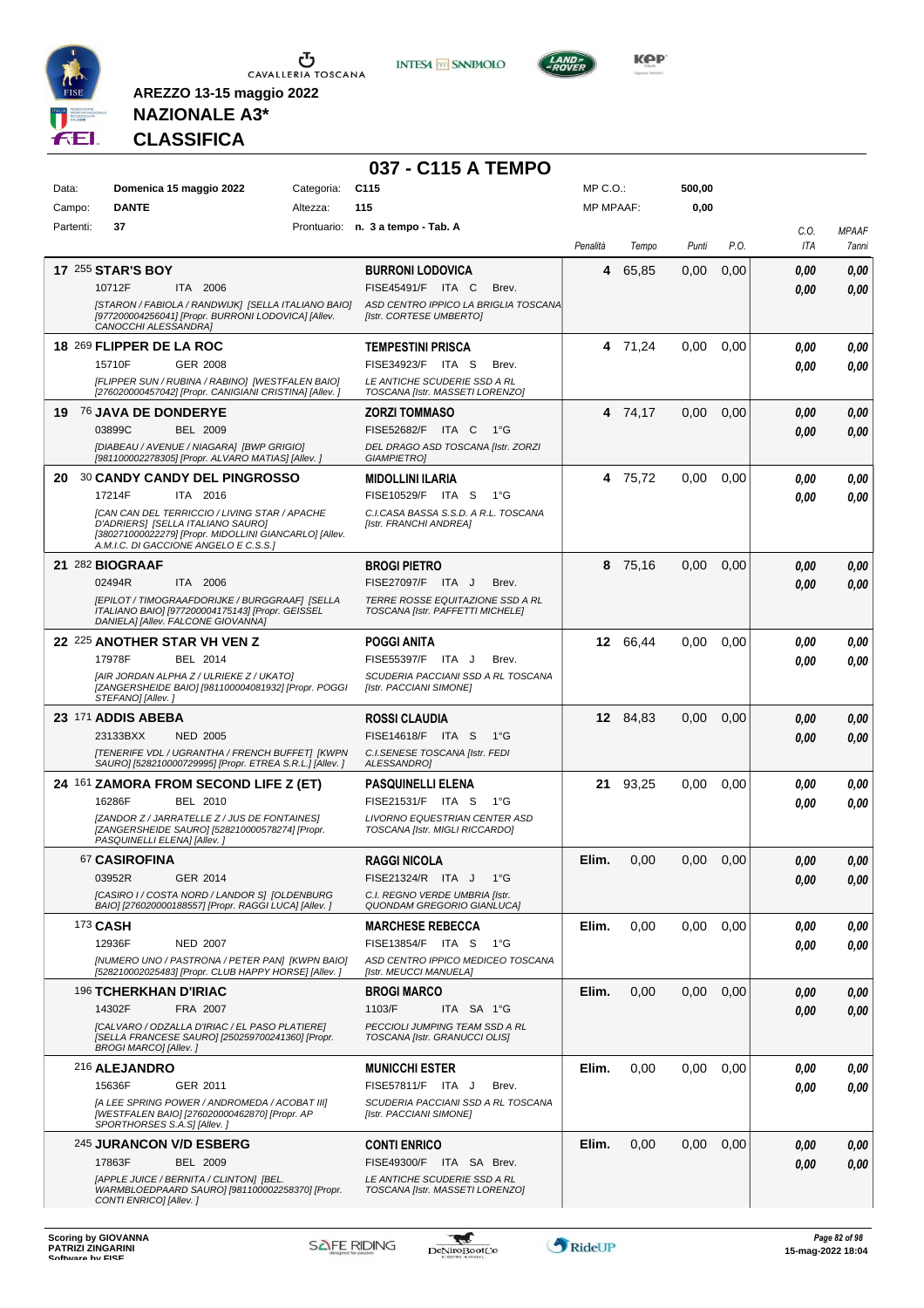

**INTESA M** SANPAOLO

**037 - C115 A TEMPO**



**KOP** 

# **NAZIONALE A3\* CLASSIFICA**

| Data:     | Domenica 15 maggio 2022                                                                                                                                                                                                                               | Categoria: | C115                                                                                                                           | MP C. O.         |          | 500,00 |      |                    |                        |
|-----------|-------------------------------------------------------------------------------------------------------------------------------------------------------------------------------------------------------------------------------------------------------|------------|--------------------------------------------------------------------------------------------------------------------------------|------------------|----------|--------|------|--------------------|------------------------|
| Campo:    | <b>DANTE</b>                                                                                                                                                                                                                                          | Altezza:   | 115                                                                                                                            | <b>MP MPAAF:</b> |          | 0,00   |      |                    |                        |
| Partenti: | 37                                                                                                                                                                                                                                                    |            | Prontuario: n. 3 a tempo - Tab. A                                                                                              | Penalità         | Tempo    | Punti  | P.O. | C.O.<br>ITA        | <b>MPAAF</b><br>7anni  |
|           | <b>17 255 STAR'S BOY</b><br>10712F<br>ITA 2006<br>[STARON / FABIOLA / RANDWIJK] [SELLA ITALIANO BAIO]<br>[977200004256041] [Propr. BURRONI LODOVICA] [Allev.<br>CANOCCHI ALESSANDRA]                                                                  |            | <b>BURRONI LODOVICA</b><br>FISE45491/F ITA C<br>Brev.<br>ASD CENTRO IPPICO LA BRIGLIA TOSCANA<br>[Istr. CORTESE UMBERTO]       |                  | 4 65.85  | 0.00   | 0,00 | 0.00<br>0.00       | 0,00<br>0,00           |
|           | 18 269 FLIPPER DE LA ROC<br>15710F<br>GER 2008<br>[FLIPPER SUN / RUBINA / RABINO] [WESTFALEN BAIO]<br>[276020000457042] [Propr. CANIGIANI CRISTINA] [Allev.]                                                                                          |            | <b>TEMPESTINI PRISCA</b><br>FISE34923/F ITA S<br>Brev.<br>LE ANTICHE SCUDERIE SSD A RL<br>TOSCANA [Istr. MASSETI LORENZO]      |                  | 4 71,24  | 0,00   | 0,00 | 0.00<br>0.00       | 0,00<br>0,00           |
|           | 19 76 JAVA DE DONDERYE<br>03899C<br><b>BEL 2009</b><br>[DIABEAU / AVENUE / NIAGARA] [BWP GRIGIO]<br>[981100002278305] [Propr. ALVARO MATIAS] [Allev. ]                                                                                                |            | <b>ZORZI TOMMASO</b><br>FISE52682/F ITA C<br>1°G<br>DEL DRAGO ASD TOSCANA [Istr. ZORZI<br><b>GIAMPIETRO]</b>                   |                  | 4 74,17  | 0,00   | 0,00 | 0.00<br>0.00       | 0,00<br>0,00           |
|           | 20 30 CANDY CANDY DEL PINGROSSO<br>17214F<br>ITA 2016<br><b>[CAN CAN DEL TERRICCIO / LIVING STAR / APACHE</b><br>D'ADRIERS] [SELLA ITALIANO SAURO]<br>[380271000022279] [Propr. MIDOLLINI GIANCARLO] [Allev.<br>A.M.I.C. DI GACCIONE ANGELO E C.S.S.] |            | <b>MIDOLLINI ILARIA</b><br>FISE10529/F ITA S<br>$1^{\circ}G$<br>C.I.CASA BASSA S.S.D. A R.L. TOSCANA<br>[Istr. FRANCHI ANDREA] |                  | 4 75,72  | 0,00   | 0,00 | 0.00<br>0.00       | 0,00<br>0,00           |
|           | 21 282 BIOGRAAF<br>02494R<br>ITA 2006<br>[EPILOT / TIMOGRAAFDORIJKE / BURGGRAAF] [SELLA<br>ITALIANO BAIO] [977200004175143] [Propr. GEISSEL<br>DANIELA] [Allev. FALCONE GIOVANNA]                                                                     |            | <b>BROGI PIETRO</b><br>FISE27097/F ITA J<br>Brev.<br>TERRE ROSSE EQUITAZIONE SSD A RL<br>TOSCANA [Istr. PAFFETTI MICHELE]      |                  | 8 75,16  | 0,00   | 0,00 | 0.00<br>0.00       | 0,00<br>0.00           |
|           | 22 225 ANOTHER STAR VH VEN Z<br>17978F<br>BEL 2014<br>[AIR JORDAN ALPHA Z / ULRIEKE Z / UKATO]<br>[ZANGERSHEIDE BAIO] [981100004081932] [Propr. POGGI<br>STEFANO] [Allev.]                                                                            |            | <b>POGGI ANITA</b><br>FISE55397/F ITA J<br>Brev.<br>SCUDERIA PACCIANI SSD A RL TOSCANA<br>[Istr. PACCIANI SIMONE]              |                  | 12 66,44 | 0,00   | 0,00 | 0.00<br>0.00       | 0,00<br>0,00           |
|           | 23 171 ADDIS ABEBA<br>23133BXX<br><b>NED 2005</b><br><b>ITENERIFE VDL / UGRANTHA / FRENCH BUFFET] [KWPN</b><br>SAURO] [528210000729995] [Propr. ETREA S.R.L.] [Allev.]                                                                                |            | <b>ROSSI CLAUDIA</b><br>FISE14618/F ITA S<br>$1^{\circ}G$<br>C.I. SENESE TOSCANA [Istr. FEDI<br>ALESSANDRO]                    |                  | 12 84,83 | 0,00   | 0,00 | 0.00<br>0.00       | 0,00<br>0,00           |
|           | 24 <sup>161</sup> ZAMORA FROM SECOND LIFE Z (ET)<br>16286F<br>BEL 2010<br>[ZANDOR Z / JARRATELLE Z / JUS DE FONTAINES]<br>[ZANGERSHEIDE SAURO] [528210000578274] [Propr.<br>PASQUINELLI ELENA] [Allev.]                                               |            | <b>PASQUINELLI ELENA</b><br>FISE21531/F ITA S<br>1°G<br>LIVORNO EQUESTRIAN CENTER ASD<br>TOSCANA [Istr. MIGLI RICCARDO]        |                  | 21 93,25 | 0,00   | 0,00 | 0.00<br>0.00       | 0,00<br>0.00           |
|           | 67 CASIROFINA<br>03952R<br>GER 2014<br>[CASIRO I / COSTA NORD / LANDOR S] [OLDENBURG<br>BAIO] [276020000188557] [Propr. RAGGI LUCA] [Allev. ]                                                                                                         |            | <b>RAGGI NICOLA</b><br>FISE21324/R ITA J 1°G<br>C.I. REGNO VERDE UMBRIA [Istr.<br>QUONDAM GREGORIO GIANLUCA]                   | Elim.            | 0,00     | 0,00   | 0,00 | 0.00<br>$\it 0,00$ | 0,00<br>$\pmb{0,\!00}$ |
|           | 173 CASH<br>12936F<br><b>NED 2007</b><br>[NUMERO UNO / PASTRONA / PETER PAN] [KWPN BAIO]<br>[528210002025483] [Propr. CLUB HAPPY HORSE] [Allev. ]                                                                                                     |            | <b>MARCHESE REBECCA</b><br>FISE13854/F ITA S<br>1°G<br>ASD CENTRO IPPICO MEDICEO TOSCANA<br>[Istr. MEUCCI MANUELA]             | Elim.            | 0,00     | 0,00   | 0.00 | 0.00<br>0.00       | 0,00<br>0,00           |
|           | 196 TCHERKHAN D'IRIAC<br>14302F<br>FRA 2007<br>[CALVARO / ODZALLA D'IRIAC / EL PASO PLATIERE]<br>[SELLA FRANCESE SAURO] [250259700241360] [Propr.<br><b>BROGI MARCO] [Allev.]</b>                                                                     |            | <b>BROGI MARCO</b><br>1103/F<br>ITA SA 1°G<br>PECCIOLI JUMPING TEAM SSD A RL<br>TOSCANA [Istr. GRANUCCI OLIS]                  | Elim.            | 0,00     | 0,00   | 0,00 | 0.00<br>0.00       | 0,00<br>0,00           |
|           | 216 ALEJANDRO<br>15636F<br>GER 2011<br>[A LEE SPRING POWER / ANDROMEDA / ACOBAT III]<br>[WESTFALEN BAIO] [276020000462870] [Propr. AP<br>SPORTHORSES S.A.S] [Allev.]                                                                                  |            | <b>MUNICCHI ESTER</b><br>FISE57811/F ITA J<br>Brev.<br>SCUDERIA PACCIANI SSD A RL TOSCANA<br>[Istr. PACCIANI SIMONE]           | Elim.            | 0,00     | 0,00   | 0.00 | 0.00<br>0.00       | 0,00<br>0,00           |
|           | 245 JURANCON V/D ESBERG<br>17863F<br><b>BEL 2009</b><br>[APPLE JUICE / BERNITA / CLINTON] [BEL.<br>WARMBLOEDPAARD SAURO] [981100002258370] [Propr.<br>CONTI ENRICO] [Allev.]                                                                          |            | <b>CONTI ENRICO</b><br>FISE49300/F ITA SA Brev.<br>LE ANTICHE SCUDERIE SSD A RL<br>TOSCANA [Istr. MASSETI LORENZO]             | Elim.            | 0,00     | 0,00   | 0,00 | 0,00<br>0.00       | 0,00<br>0,00           |

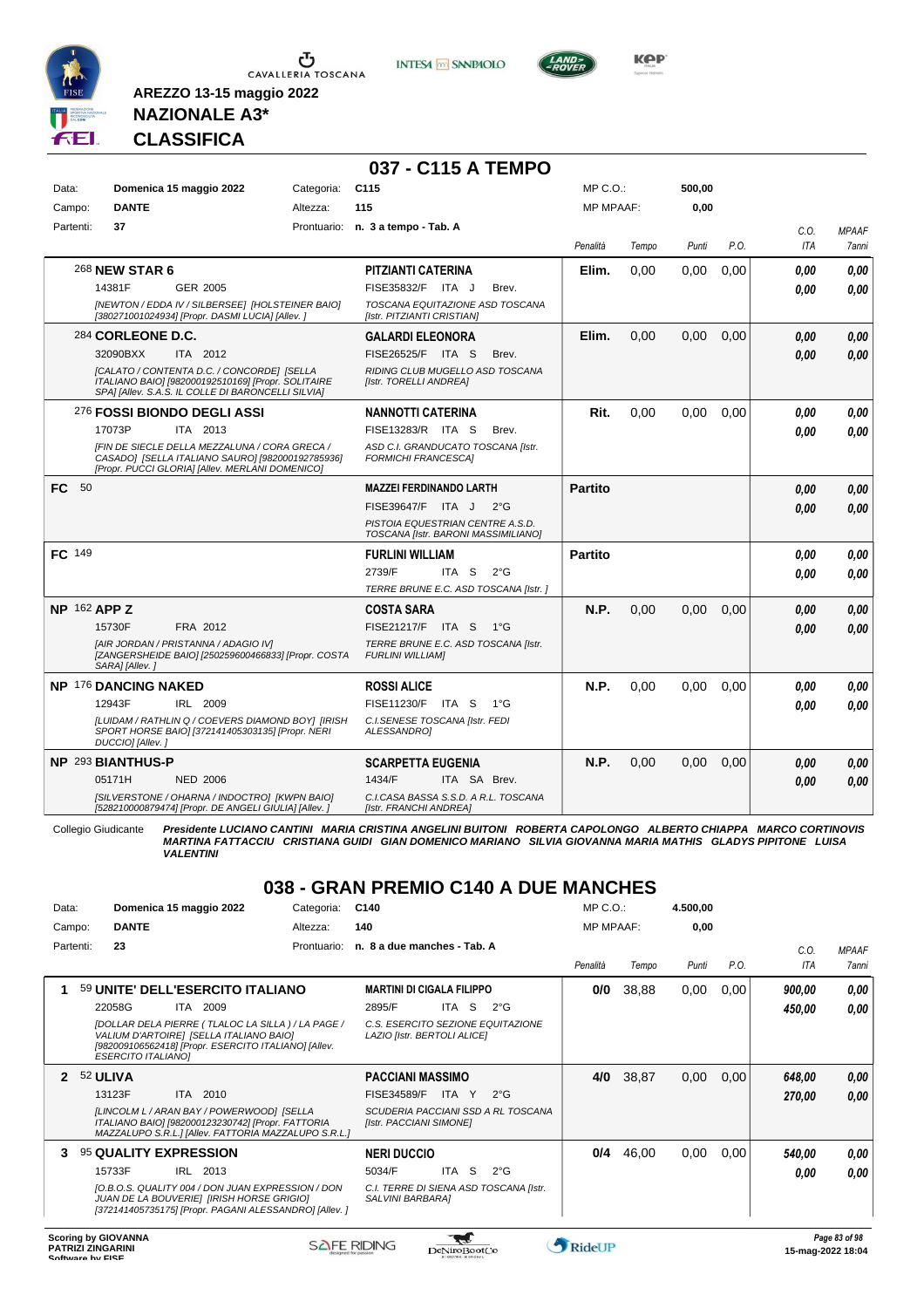

**INTESA M** SANPAOLO

**037 - C115 A TEMPO**



**Kep** 

### **NAZIONALE A3\* CLASSIFICA**

**AREZZO 13-15 maggio 2022**

| Data:               |                             | Domenica 15 maggio 2022                                                                                                                                | Categoria: | C <sub>115</sub>                                                        |               | MP C.O.:         |       | 500,00 |      |            |              |
|---------------------|-----------------------------|--------------------------------------------------------------------------------------------------------------------------------------------------------|------------|-------------------------------------------------------------------------|---------------|------------------|-------|--------|------|------------|--------------|
| Campo:              | <b>DANTE</b>                |                                                                                                                                                        | Altezza:   | 115                                                                     |               | <b>MP MPAAF:</b> |       | 0,00   |      |            |              |
| Partenti:           | 37                          |                                                                                                                                                        |            | Prontuario: n. 3 a tempo - Tab. A                                       |               |                  |       |        |      | C.O.       | <b>MPAAF</b> |
|                     |                             |                                                                                                                                                        |            |                                                                         |               | Penalità         | Tempo | Punti  | P.O. | <b>ITA</b> | 7anni        |
|                     | 268 <b>NEW STAR 6</b>       |                                                                                                                                                        |            | PITZIANTI CATERINA                                                      |               | Elim.            | 0,00  | 0,00   | 0,00 | 0.00       | 0.00         |
|                     | 14381F                      | GER 2005                                                                                                                                               |            | FISE35832/F ITA J                                                       | Brev.         |                  |       |        |      | 0.00       | 0.00         |
|                     |                             | [NEWTON / EDDA IV / SILBERSEE] [HOLSTEINER BAIO]<br>[380271001024934] [Propr. DASMI LUCIA] [Allev. ]                                                   |            | TOSCANA EQUITAZIONE ASD TOSCANA<br><b>Ilstr. PITZIANTI CRISTIANI</b>    |               |                  |       |        |      |            |              |
|                     | 284 CORLEONE D.C.           |                                                                                                                                                        |            | <b>GALARDI ELEONORA</b>                                                 |               | Elim.            | 0,00  | 0,00   | 0,00 | 0,00       | 0.00         |
|                     | 32090BXX                    | ITA 2012                                                                                                                                               |            | FISE26525/F ITA S                                                       | Brev.         |                  |       |        |      | 0.00       | 0,00         |
|                     |                             | [CALATO / CONTENTA D.C. / CONCORDE] [SELLA<br>ITALIANO BAIO] [982000192510169] [Propr. SOLITAIRE<br>SPAI [Allev. S.A.S. IL COLLE DI BARONCELLI SILVIA] |            | RIDING CLUB MUGELLO ASD TOSCANA<br>[Istr. TORELLI ANDREA]               |               |                  |       |        |      |            |              |
|                     |                             | 276 FOSSI BIONDO DEGLI ASSI                                                                                                                            |            | <b>NANNOTTI CATERINA</b>                                                |               | Rit.             | 0,00  | 0,00   | 0.00 | 0.00       | 0,00         |
|                     | 17073P                      | ITA 2013                                                                                                                                               |            | FISE13283/R ITA S                                                       | Brev.         |                  |       |        |      | 0.00       | 0.00         |
|                     |                             | IFIN DE SIECLE DELLA MEZZALUNA / CORA GRECA /<br>CASADO] [SELLA ITALIANO SAURO] [982000192785936]<br>[Propr. PUCCI GLORIA] [Allev. MERLANI DOMENICO]   |            | ASD C.I. GRANDUCATO TOSCANA [Istr.<br><b>FORMICHI FRANCESCAI</b>        |               |                  |       |        |      |            |              |
| FC.<br>- 50         |                             |                                                                                                                                                        |            | <b>MAZZEI FERDINANDO LARTH</b>                                          |               | <b>Partito</b>   |       |        |      | 0.00       | 0,00         |
|                     |                             |                                                                                                                                                        |            | FISE39647/F ITA J                                                       | $2^{\circ}G$  |                  |       |        |      | 0.00       | 0.00         |
|                     |                             |                                                                                                                                                        |            | PISTOIA EQUESTRIAN CENTRE A.S.D.<br>TOSCANA [Istr. BARONI MASSIMILIANO] |               |                  |       |        |      |            |              |
| <b>FC</b> 149       |                             |                                                                                                                                                        |            | <b>FURLINI WILLIAM</b>                                                  |               | <b>Partito</b>   |       |        |      | 0,00       | 0.00         |
|                     |                             |                                                                                                                                                        |            | 2739/F<br>ITA <sub>S</sub>                                              | $2^{\circ}$ G |                  |       |        |      | 0.00       | 0,00         |
|                     |                             |                                                                                                                                                        |            | TERRE BRUNE E.C. ASD TOSCANA [Istr.]                                    |               |                  |       |        |      |            |              |
| <b>NP 162 APP Z</b> |                             |                                                                                                                                                        |            | <b>COSTA SARA</b>                                                       |               | N.P.             | 0.00  | 0.00   | 0.00 | 0.00       | 0.00         |
|                     | 15730F                      | FRA 2012                                                                                                                                               |            | FISE21217/F ITA S 1°G                                                   |               |                  |       |        |      | 0.00       | 0,00         |
|                     | SARA] [Allev.]              | [AIR JORDAN / PRISTANNA / ADAGIO IV]<br>[ZANGERSHEIDE BAIO] [250259600466833] [Propr. COSTA                                                            |            | TERRE BRUNE E.C. ASD TOSCANA [Istr.<br><b>FURLINI WILLIAM]</b>          |               |                  |       |        |      |            |              |
|                     | <b>NP 176 DANCING NAKED</b> |                                                                                                                                                        |            | <b>ROSSI ALICE</b>                                                      |               | N.P.             | 0,00  | 0.00   | 0,00 | 0.00       | 0.00         |
|                     | 12943F                      | IRL 2009                                                                                                                                               |            | FISE11230/F ITA S                                                       | $1^{\circ}G$  |                  |       |        |      | 0.00       | 0.00         |
|                     | DUCCIO] [Allev.]            | [LUIDAM / RATHLIN Q / COEVERS DIAMOND BOY] [IRISH<br>SPORT HORSE BAIO] [372141405303135] [Propr. NERI                                                  |            | C.I.SENESE TOSCANA [Istr. FEDI<br>ALESSANDROI                           |               |                  |       |        |      |            |              |
|                     | NP 293 BIANTHUS-P           |                                                                                                                                                        |            | <b>SCARPETTA EUGENIA</b>                                                |               | N.P.             | 0.00  | 0.00   | 0.00 | 0,00       | 0,00         |
|                     | 05171H                      | <b>NED 2006</b>                                                                                                                                        |            | 1434/F<br>ITA SA Brev.                                                  |               |                  |       |        |      | 0.00       | 0.00         |
|                     |                             | [SILVERSTONE / OHARNA / INDOCTRO] [KWPN BAIO]<br>[528210000879474] [Propr. DE ANGELI GIULIA] [Allev. ]                                                 |            | C.I.CASA BASSA S.S.D. A R.L. TOSCANA<br>[Istr. FRANCHI ANDREA]          |               |                  |       |        |      |            |              |

Collegio Giudicante *Presidente LUCIANO CANTINI MARIA CRISTINA ANGELINI BUITONI ROBERTA CAPOLONGO ALBERTO CHIAPPA MARCO CORTINOVIS MARTINA FATTACCIU CRISTIANA GUIDI GIAN DOMENICO MARIANO SILVIA GIOVANNA MARIA MATHIS GLADYS PIPITONE LUISA VALENTINI*

#### **038 - GRAN PREMIO C140 A DUE MANCHES**

| Data:                                                                      | Domenica 15 maggio 2022                                                                                                                                                                                                                  | Categoria:  | C140                                                                                                                    |              | MP C. O.         |       | 4.500,00 |      |                   |                       |
|----------------------------------------------------------------------------|------------------------------------------------------------------------------------------------------------------------------------------------------------------------------------------------------------------------------------------|-------------|-------------------------------------------------------------------------------------------------------------------------|--------------|------------------|-------|----------|------|-------------------|-----------------------|
| Campo:                                                                     | <b>DANTE</b>                                                                                                                                                                                                                             | Altezza:    | 140                                                                                                                     |              | <b>MP MPAAF:</b> |       | 0,00     |      |                   |                       |
| Partenti:                                                                  | 23                                                                                                                                                                                                                                       | Prontuario: | n. 8 a due manches - Tab. A                                                                                             |              | Penalità         | Tempo | Punti    | P.O. | C.0<br>ITA        | <b>MPAAF</b><br>7anni |
| 1                                                                          | 59 UNITE' DELL'ESERCITO ITALIANO<br>22058G<br>ITA 2009<br>[DOLLAR DELA PIERRE (TLALOC LA SILLA)/LA PAGE/<br>VALIUM D'ARTOIRE] [SELLA ITALIANO BAIO]<br>[982009106562418] [Propr. ESERCITO ITALIANO] [Allev.<br><b>ESERCITO ITALIANOI</b> |             | <b>MARTINI DI CIGALA FILIPPO</b><br>ITA S<br>2895/F<br>C.S. ESERCITO SEZIONE EQUITAZIONE<br>LAZIO [Istr. BERTOLI ALICE] | $2^{\circ}G$ | 0/0              | 38,88 | 0,00     | 0,00 | 900,00<br>450,00  | 0,00<br>0.00          |
| $\overline{2}$                                                             | 52 ULIVA<br>13123F<br>ITA 2010<br>[LINCOLM L / ARAN BAY / POWERWOOD] [SELLA<br>ITALIANO BAIO] [982000123230742] [Propr. FATTORIA<br>MAZZALUPO S.R.L.I IAIlev. FATTORIA MAZZALUPO S.R.L.I                                                 |             | <b>PACCIANI MASSIMO</b><br><b>FISE34589/F</b><br>ITA Y<br>SCUDERIA PACCIANI SSD A RL TOSCANA<br>[Istr. PACCIANI SIMONE] | $2^{\circ}G$ | 4/0              | 38,87 | 0,00     | 0,00 | 648,00<br>270,00  | 0,00<br>0,00          |
| 3                                                                          | 95 QUALITY EXPRESSION<br>IRL 2013<br>15733F<br>[O.B.O.S. QUALITY 004 / DON JUAN EXPRESSION / DON<br>JUAN DE LA BOUVERIE] [IRISH HORSE GRIGIO]<br>[372141405735175] [Propr. PAGANI ALESSANDRO] [Allev. ]                                  |             | <b>NERI DUCCIO</b><br>5034/F<br>ITA S<br>C.I. TERRE DI SIENA ASD TOSCANA [Istr.<br>SALVINI BARBARA]                     | $2^{\circ}G$ | 0/4              | 46,00 | 0,00     | 0,00 | 540,00<br>0.00    | 0,00<br>0.00          |
| <b>Scoring by GIOVANNA</b><br><b>PATRIZI ZINGARINI</b><br>Coffware by EICE |                                                                                                                                                                                                                                          |             | <b>SAFE RIDING</b><br>eNiroBootCo<br>CONTRACTOR COMPANY                                                                 |              | <b>RideUP</b>    |       |          |      | 15-mag-2022 18:04 | Page 83 of 98         |

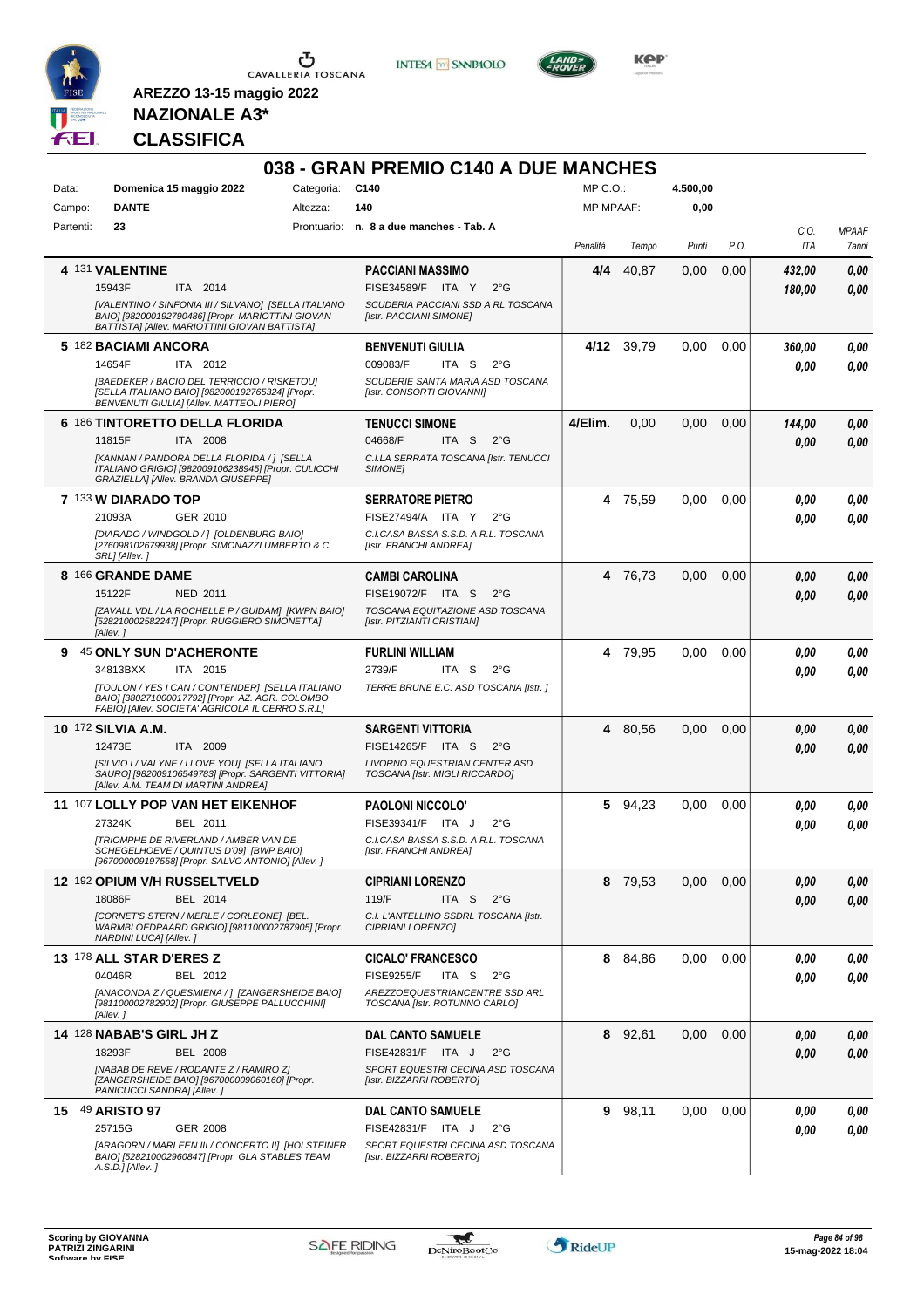

**INTESA M** SANPAOLO



**KOP** 

# **NAZIONALE A3\* CLASSIFICA**

|           |                                                                                                                                                            |            | 038 - GRAN PREMIO C140 A DUE MANCHES                            |                  |            |          |      |             |                       |
|-----------|------------------------------------------------------------------------------------------------------------------------------------------------------------|------------|-----------------------------------------------------------------|------------------|------------|----------|------|-------------|-----------------------|
| Data:     | Domenica 15 maggio 2022                                                                                                                                    | Categoria: | C140                                                            | $MP C. O.$ :     |            | 4.500,00 |      |             |                       |
| Campo:    | <b>DANTE</b>                                                                                                                                               | Altezza:   | 140                                                             | <b>MP MPAAF:</b> |            | 0,00     |      |             |                       |
| Partenti: | 23                                                                                                                                                         |            | Prontuario: n. 8 a due manches - Tab. A                         | Penalità         | Tempo      | Punti    | P.O. | C.O.<br>ITA | <b>MPAAF</b><br>7anni |
|           | 4 131 VALENTINE                                                                                                                                            |            | <b>PACCIANI MASSIMO</b>                                         | 4/4              | 40,87      | 0,00     | 0,00 | 432,00      | 0,00                  |
|           | 15943F<br>ITA 2014                                                                                                                                         |            | FISE34589/F ITA Y<br>$2^{\circ}$ G                              |                  |            |          |      | 180,00      | 0,00                  |
|           | [VALENTINO / SINFONIA III / SILVANO] [SELLA ITALIANO<br>BAIO] [982000192790486] [Propr. MARIOTTINI GIOVAN<br>BATTISTA] [Allev. MARIOTTINI GIOVAN BATTISTA] |            | SCUDERIA PACCIANI SSD A RL TOSCANA<br>[Istr. PACCIANI SIMONE]   |                  |            |          |      |             |                       |
|           | 5 182 BACIAMI ANCORA<br>14654F<br>ITA 2012                                                                                                                 |            | <b>BENVENUTI GIULIA</b><br>009083/F<br>ITA S<br>$2^{\circ}$ G   |                  | 4/12 39.79 | 0,00     | 0,00 | 360.00      | 0,00                  |
|           | [BAEDEKER / BACIO DEL TERRICCIO / RISKETOU]<br>[SELLA ITALIANO BAIO] [982000192765324] [Propr.<br>BENVENUTI GIULIA] [Allev. MATTEOLI PIERO]                |            | SCUDERIE SANTA MARIA ASD TOSCANA<br>[Istr. CONSORTI GIOVANNI]   |                  |            |          |      | 0.00        | 0,00                  |
|           | 6 186 TINTORETTO DELLA FLORIDA                                                                                                                             |            | <b>TENUCCI SIMONE</b>                                           | 4/Elim.          | 0,00       | 0,00     | 0,00 | 144,00      | 0,00                  |
|           | 11815F<br>ITA 2008                                                                                                                                         |            | 04668/F<br>ITA S<br>$2^{\circ}$ G                               |                  |            |          |      | 0.00        | 0,00                  |
|           | [KANNAN / PANDORA DELLA FLORIDA / ] [SELLA<br>ITALIANO GRIGIO] [982009106238945] [Propr. CULICCHI<br>GRAZIELLA] [Allev. BRANDA GIUSEPPE]                   |            | C.I.LA SERRATA TOSCANA [Istr. TENUCCI<br><b>SIMONEI</b>         |                  |            |          |      |             |                       |
|           | 7 133 W DIARADO TOP                                                                                                                                        |            | <b>SERRATORE PIETRO</b>                                         |                  | 4 75,59    | 0,00     | 0.00 | 0,00        | 0.00                  |
|           | 21093A<br>GER 2010                                                                                                                                         |            | FISE27494/A ITA Y<br>$2^{\circ}G$                               |                  |            |          |      | 0.00        | 0.00                  |
|           | [DIARADO / WINDGOLD / ] [OLDENBURG BAIO]<br>[276098102679938] [Propr. SIMONAZZI UMBERTO & C.<br>SRL] [Allev.]                                              |            | C.I.CASA BASSA S.S.D. A R.L. TOSCANA<br>[Istr. FRANCHI ANDREA]  |                  |            |          |      |             |                       |
|           | 8 166 GRANDE DAME                                                                                                                                          |            | <b>CAMBI CAROLINA</b>                                           |                  | 4 76,73    | 0,00     | 0,00 | 0,00        | 0,00                  |
|           | 15122F<br>NED 2011                                                                                                                                         |            | FISE19072/F ITA S<br>$2^{\circ}$ G                              |                  |            |          |      | 0.00        | 0.00                  |
|           | [ZAVALL VDL / LA ROCHELLE P / GUIDAM] [KWPN BAIO]<br>[528210002582247] [Propr. RUGGIERO SIMONETTA]<br>[Allev.]                                             |            | TOSCANA EQUITAZIONE ASD TOSCANA<br>[Istr. PITZIANTI CRISTIAN]   |                  |            |          |      |             |                       |
| 9         | <b>45 ONLY SUN D'ACHERONTE</b>                                                                                                                             |            | <b>FURLINI WILLIAM</b>                                          |                  | 4 79,95    | 0.00     | 0.00 | 0,00        | 0,00                  |
|           | 34813BXX<br>ITA 2015                                                                                                                                       |            | 2739/F<br>ITA S<br>$2^{\circ}G$                                 |                  |            |          |      | 0.00        | 0.00                  |
|           | [TOULON / YES I CAN / CONTENDER] [SELLA ITALIANO<br>BAIO] [380271000017792] [Propr. AZ. AGR. COLOMBO<br>FABIO] [Allev. SOCIETA' AGRICOLA IL CERRO S.R.L]   |            | TERRE BRUNE E.C. ASD TOSCANA [Istr.]                            |                  |            |          |      |             |                       |
|           | <b>10 172 SILVIA A.M.</b>                                                                                                                                  |            | <b>SARGENTI VITTORIA</b>                                        |                  | 4 80,56    | 0,00     | 0,00 | 0.00        | 0,00                  |
|           | 12473E<br>ITA 2009                                                                                                                                         |            | FISE14265/F ITA S<br>$2^{\circ}$ G                              |                  |            |          |      | 0.00        | 0,00                  |
|           | [SILVIO I / VALYNE / I LOVE YOU] [SELLA ITALIANO<br>SAUROI [982009106549783] [Propr. SARGENTI VITTORIA]<br>[Allev. A.M. TEAM DI MARTINI ANDREA]            |            | LIVORNO EQUESTRIAN CENTER ASD<br>TOSCANA [Istr. MIGLI RICCARDO] |                  |            |          |      |             |                       |
|           | 11 107 LOLLY POP VAN HET EIKENHOF                                                                                                                          |            | <b>PAOLONI NICCOLO'</b>                                         |                  | 5 94,23    | 0.00     | 0.00 | 0.00        | 0,00                  |
|           | 27324K<br>BEL 2011                                                                                                                                         |            | FISE39341/F ITA J<br>$2^{\circ}G$                               |                  |            |          |      | 0.00        | 0,00                  |
|           | <b>[TRIOMPHE DE RIVERLAND / AMBER VAN DE</b><br>SCHEGELHOEVE / QUINTUS D'091 IBWP BAIO1<br>[967000009197558] [Propr. SALVO ANTONIO] [Allev.]               |            | C.I.CASA BASSA S.S.D. A R.L. TOSCANA<br>[Istr. FRANCHI ANDREA]  |                  |            |          |      |             |                       |
|           | <b>12 192 OPIUM V/H RUSSELTVELD</b>                                                                                                                        |            | <b>CIPRIANI LORENZO</b>                                         |                  | 8 79,53    | 0,00     | 0,00 | 0,00        | 0,00                  |
|           | 18086F<br>BEL 2014                                                                                                                                         |            | 119/F<br>ITA S<br>$2^{\circ}$ G                                 |                  |            |          |      | 0,00        | 0,00                  |
|           | [CORNET'S STERN / MERLE / CORLEONE] [BEL.<br>WARMBLOEDPAARD GRIGIO] [981100002787905] [Propr.<br>NARDINI LUCA] [Allev.]                                    |            | C.I. L'ANTELLINO SSDRL TOSCANA [Istr.<br>CIPRIANI LORENZO]      |                  |            |          |      |             |                       |
|           | 13 178 ALL STAR D'ERES Z                                                                                                                                   |            | <b>CICALO' FRANCESCO</b>                                        | 8                | 84,86      | 0.00     | 0.00 | 0,00        | 0,00                  |
|           | 04046R<br>BEL 2012                                                                                                                                         |            | <b>FISE9255/F</b><br>ITA <sub>S</sub><br>$2^{\circ}$ G          |                  |            |          |      | 0,00        | 0,00                  |
|           | [ANACONDA Z / QUESMIENA / ] [ZANGERSHEIDE BAIO]<br>[981100002782902] [Propr. GIUSEPPE PALLUCCHINI]<br>[Allev.]                                             |            | AREZZOEQUESTRIANCENTRE SSD ARL<br>TOSCANA [Istr. ROTUNNO CARLO] |                  |            |          |      |             |                       |
|           | <b>14 128 NABAB'S GIRL JH Z</b>                                                                                                                            |            | <b>DAL CANTO SAMUELE</b>                                        |                  | 8 92,61    | 0.00     | 0,00 | 0,00        | 0,00                  |
|           | 18293F<br><b>BEL 2008</b>                                                                                                                                  |            | FISE42831/F ITA J<br>$2^{\circ}$ G                              |                  |            |          |      | 0,00        | 0,00                  |
|           | [NABAB DE REVE / RODANTE Z / RAMIRO Z]<br>[ZANGERSHEIDE BAIO] [967000009060160] [Propr.<br>PANICUCCI SANDRA] [Allev.]                                      |            | SPORT EQUESTRI CECINA ASD TOSCANA<br>[Istr. BIZZARRI ROBERTO]   |                  |            |          |      |             |                       |
|           | 15 49 ARISTO 97                                                                                                                                            |            | <b>DAL CANTO SAMUELE</b>                                        | 9                | 98,11      | 0.00     | 0,00 | 0,00        | 0,00                  |
|           | 25715G<br>GER 2008                                                                                                                                         |            | FISE42831/F ITA J<br>$2^{\circ}G$                               |                  |            |          |      | 0,00        | 0,00                  |
|           | [ARAGORN / MARLEEN III / CONCERTO II] [HOLSTEINER<br>BAIO] [528210002960847] [Propr. GLA STABLES TEAM<br>A.S.D.] [Allev.]                                  |            | SPORT EQUESTRI CECINA ASD TOSCANA<br>[Istr. BIZZARRI ROBERTO]   |                  |            |          |      |             |                       |

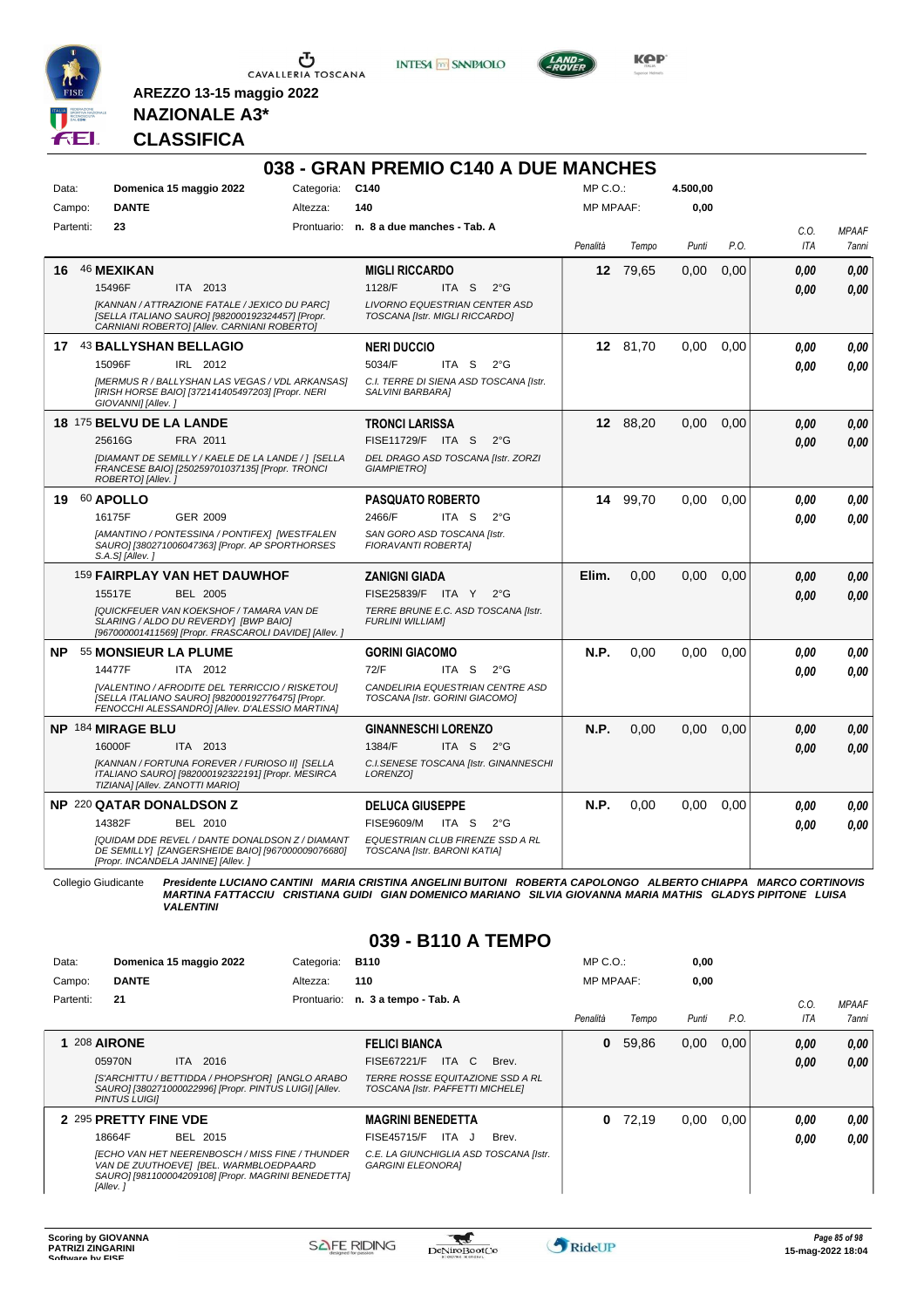

**INTESA M** SANPAOLO



**KOP** 

# **NAZIONALE A3\* CLASSIFICA**

| Data:     |                          | Domenica 15 maggio 2022                                                                                                                                | Categoria:  | C140                                                                                                                                                                                                                        | MP C.O.:         |          | 4.500,00 |      |      |              |
|-----------|--------------------------|--------------------------------------------------------------------------------------------------------------------------------------------------------|-------------|-----------------------------------------------------------------------------------------------------------------------------------------------------------------------------------------------------------------------------|------------------|----------|----------|------|------|--------------|
| Campo:    | <b>DANTE</b>             |                                                                                                                                                        | Altezza:    | 140                                                                                                                                                                                                                         | <b>MP MPAAF:</b> |          | 0,00     |      |      |              |
| Partenti: | 23                       |                                                                                                                                                        | Prontuario: | n. 8 a due manches - Tab. A                                                                                                                                                                                                 |                  |          |          |      | C.O. | <b>MPAAF</b> |
|           |                          |                                                                                                                                                        |             |                                                                                                                                                                                                                             | Penalità         | Tempo    | Punti    | P.O. | ITA  | <b>7anni</b> |
| 16        | <b>46 MEXIKAN</b>        |                                                                                                                                                        |             | <b>MIGLI RICCARDO</b>                                                                                                                                                                                                       | 12               | 79,65    | 0,00     | 0.00 | 0.00 | 0,00         |
|           | 15496F                   | ITA 2013                                                                                                                                               |             | 1128/F<br>ITA <sub>S</sub><br>$2^{\circ}$ G                                                                                                                                                                                 |                  |          |          |      | 0.00 | 0.00         |
|           |                          | [KANNAN / ATTRAZIONE FATALE / JEXICO DU PARC]<br>[SELLA ITALIANO SAURO] [982000192324457] [Propr.<br>CARNIANI ROBERTO] [Allev. CARNIANI ROBERTO]       |             | <b>LIVORNO EQUESTRIAN CENTER ASD</b><br>TOSCANA [Istr. MIGLI RICCARDO]                                                                                                                                                      |                  |          |          |      |      |              |
|           |                          | 17 43 BALLYSHAN BELLAGIO                                                                                                                               |             | <b>NERI DUCCIO</b>                                                                                                                                                                                                          |                  | 12 81,70 | 0.00     | 0,00 | 0.00 | 0.00         |
|           | 15096F                   | IRL 2012                                                                                                                                               |             | 5034/F<br>ITA S<br>$2^{\circ}G$                                                                                                                                                                                             |                  |          |          |      | 0,00 | 0,00         |
|           | GIOVANNI] [Allev.]       | [MERMUS R / BALLYSHAN LAS VEGAS / VDL ARKANSAS]<br>[IRISH HORSE BAIO] [372141405497203] [Propr. NERI                                                   |             | C.I. TERRE DI SIENA ASD TOSCANA [Istr.<br>SALVINI BARBARA]                                                                                                                                                                  |                  |          |          |      |      |              |
|           | 18 175 BELVU DE LA LANDE |                                                                                                                                                        |             | <b>TRONCI LARISSA</b>                                                                                                                                                                                                       |                  | 12 88,20 | 0,00     | 0,00 | 0,00 | 0,00         |
|           | 25616G                   | FRA 2011                                                                                                                                               |             | FISE11729/F ITA S<br>$2^{\circ}G$                                                                                                                                                                                           |                  |          |          |      | 0.00 | 0.00         |
|           | ROBERTO] [Allev.]        | [DIAMANT DE SEMILLY / KAELE DE LA LANDE / ] [SELLA<br>FRANCESE BAIO] [250259701037135] [Propr. TRONCI                                                  |             | DEL DRAGO ASD TOSCANA [Istr. ZORZI<br><b>GIAMPIETROI</b>                                                                                                                                                                    |                  |          |          |      |      |              |
| 19        | 60 APOLLO                |                                                                                                                                                        |             | <b>PASQUATO ROBERTO</b>                                                                                                                                                                                                     | 14               | 99,70    | 0.00     | 0.00 | 0.00 | 0.00         |
|           | 16175F                   | GER 2009                                                                                                                                               |             | 2466/F<br>ITA S<br>$2^{\circ}$ G                                                                                                                                                                                            |                  |          |          |      | 0.00 | 0.00         |
|           | S.A.S] [Allev.]          | [AMANTINO / PONTESSINA / PONTIFEX] [WESTFALEN<br>SAURO] [380271006047363] [Propr. AP SPORTHORSES                                                       |             | SAN GORO ASD TOSCANA [Istr.<br><b>FIORAVANTI ROBERTAI</b>                                                                                                                                                                   |                  |          |          |      |      |              |
|           |                          | 159 FAIRPLAY VAN HET DAUWHOF                                                                                                                           |             | <b>ZANIGNI GIADA</b>                                                                                                                                                                                                        | Elim.            | 0,00     | 0,00     | 0,00 | 0.00 | 0.00         |
|           | 15517E                   | <b>BEL 2005</b>                                                                                                                                        |             | FISE25839/F ITA Y<br>$2^{\circ}G$                                                                                                                                                                                           |                  |          |          |      | 0.00 | 0.00         |
|           |                          | <b>IQUICKFEUER VAN KOEKSHOF / TAMARA VAN DE</b><br>SLARING / ALDO DU REVERDY] [BWP BAIO]<br>[967000001411569] [Propr. FRASCAROLI DAVIDE] [Allev.]      |             | TERRE BRUNE E.C. ASD TOSCANA [Istr.<br><b>FURLINI WILLIAMI</b>                                                                                                                                                              |                  |          |          |      |      |              |
| <b>NP</b> |                          | 55 MONSIEUR LA PLUME                                                                                                                                   |             | <b>GORINI GIACOMO</b>                                                                                                                                                                                                       | N.P.             | 0,00     | 0,00     | 0,00 | 0.00 | 0.00         |
|           | 14477F                   | ITA 2012                                                                                                                                               |             | 72/F<br>ITA S<br>$2^{\circ}G$                                                                                                                                                                                               |                  |          |          |      | 0.00 | 0.00         |
|           |                          | [VALENTINO / AFRODITE DEL TERRICCIO / RISKETOU]<br>[SELLA ITALIANO SAURO] [982000192776475] [Propr.<br>FENOCCHI ALESSANDRO] [Allev. D'ALESSIO MARTINA] |             | CANDELIRIA EQUESTRIAN CENTRE ASD<br>TOSCANA [Istr. GORINI GIACOMO]                                                                                                                                                          |                  |          |          |      |      |              |
|           | NP 184 MIRAGE BLU        |                                                                                                                                                        |             | <b>GINANNESCHI LORENZO</b>                                                                                                                                                                                                  | N.P.             | 0,00     | 0,00     | 0,00 | 0,00 | 0,00         |
|           | 16000F                   | <b>ITA 2013</b>                                                                                                                                        |             | 1384/F<br>ITA S<br>2°G                                                                                                                                                                                                      |                  |          |          |      | 0.00 | 0.00         |
|           |                          | [KANNAN / FORTUNA FOREVER / FURIOSO II] [SELLA<br>ITALIANO SAURO] [982000192322191] [Propr. MESIRCA<br>TIZIANA] [Allev. ZANOTTI MARIO]                 |             | C.I.SENESE TOSCANA [Istr. GINANNESCHI<br>LORENZO1                                                                                                                                                                           |                  |          |          |      |      |              |
|           |                          | <b>NP 220 QATAR DONALDSON Z</b>                                                                                                                        |             | <b>DELUCA GIUSEPPE</b>                                                                                                                                                                                                      | N.P.             | 0.00     | 0,00     | 0,00 | 0.00 | 0.00         |
|           | 14382F                   | BEL 2010                                                                                                                                               |             | <b>FISE9609/M</b><br>ITA S<br>$2^{\circ}G$                                                                                                                                                                                  |                  |          |          |      | 0.00 | 0.00         |
|           |                          | [QUIDAM DDE REVEL / DANTE DONALDSON Z / DIAMANT<br>DE SEMILLY] [ZANGERSHEIDE BAIO] [967000009076680]<br>[Propr. INCANDELA JANINE] [Allev. ]            |             | EQUESTRIAN CLUB FIRENZE SSD A RL<br>TOSCANA [Istr. BARONI KATIA]                                                                                                                                                            |                  |          |          |      |      |              |
|           | Collegio Giudicante      | <b>VALENTINI</b>                                                                                                                                       |             | Presidente LUCIANO CANTINI MARIA CRISTINA ANGELINI BUITONI ROBERTA CAPOLONGO ALBERTO CHIAPPA MARCO CORTINOVIS<br>MARTINA FATTACCIU CRISTIANA GUIDI GIAN DOMENICO MARIANO SILVIA GIOVANNA MARIA MATHIS GLADYS PIPITONE LUISA |                  |          |          |      |      |              |

| Data:     |                       | Domenica 15 maggio 2022                                                                                                                                 | Categoria: | <b>B110</b>                                                                 | $MP C. O.$ :     |       | 0,00  |      |      |              |
|-----------|-----------------------|---------------------------------------------------------------------------------------------------------------------------------------------------------|------------|-----------------------------------------------------------------------------|------------------|-------|-------|------|------|--------------|
| Campo:    | <b>DANTE</b>          |                                                                                                                                                         | Altezza:   | 110                                                                         | <b>MP MPAAF:</b> |       | 0,00  |      |      |              |
| Partenti: | 21                    |                                                                                                                                                         |            | Prontuario: n. 3 a tempo - Tab. A                                           |                  |       |       |      | C.0  | <b>MPAAF</b> |
|           |                       |                                                                                                                                                         |            |                                                                             | Penalità         | Tempo | Punti | P.O. | ITA  | <b>7anni</b> |
|           | 208 AIRONE            |                                                                                                                                                         |            | <b>FELICI BIANCA</b>                                                        | 0                | 59,86 | 0,00  | 0,00 | 0.00 | 0,00         |
|           | 05970N                | ITA 2016                                                                                                                                                |            | ITA C<br>FISE67221/F<br>Brev.                                               |                  |       |       |      | 0,00 | 0,00         |
|           | <b>PINTUS LUIGII</b>  | [S'ARCHITTU / BETTIDDA / PHOPSH'OR]  [ANGLO ARABO<br>SAURO] [380271000022996] [Propr. PINTUS LUIGI] [Allev.                                             |            | <i>TERRE ROSSE EQUITAZIONE SSD A RL</i><br>TOSCANA [Istr. PAFFETTI MICHELE] |                  |       |       |      |      |              |
|           | 2 295 PRETTY FINE VDE |                                                                                                                                                         |            | <b>MAGRINI BENEDETTA</b>                                                    | 0                | 72,19 | 0,00  | 0,00 | 0.00 | 0,00         |
|           | 18664F                | BEL 2015                                                                                                                                                |            | ITA J<br><b>FISE45715/F</b><br>Brev.                                        |                  |       |       |      | 0.00 | 0.00         |
|           | [Allev.]              | <b>IECHO VAN HET NEERENBOSCH / MISS FINE / THUNDER</b><br>VAN DE ZUUTHOEVE] [BEL. WARMBLOEDPAARD<br>SAURO] [981100004209108] [Propr. MAGRINI BENEDETTA] |            | C.E. LA GIUNCHIGLIA ASD TOSCANA [Istr.<br><b>GARGINI ELEONORAI</b>          |                  |       |       |      |      |              |

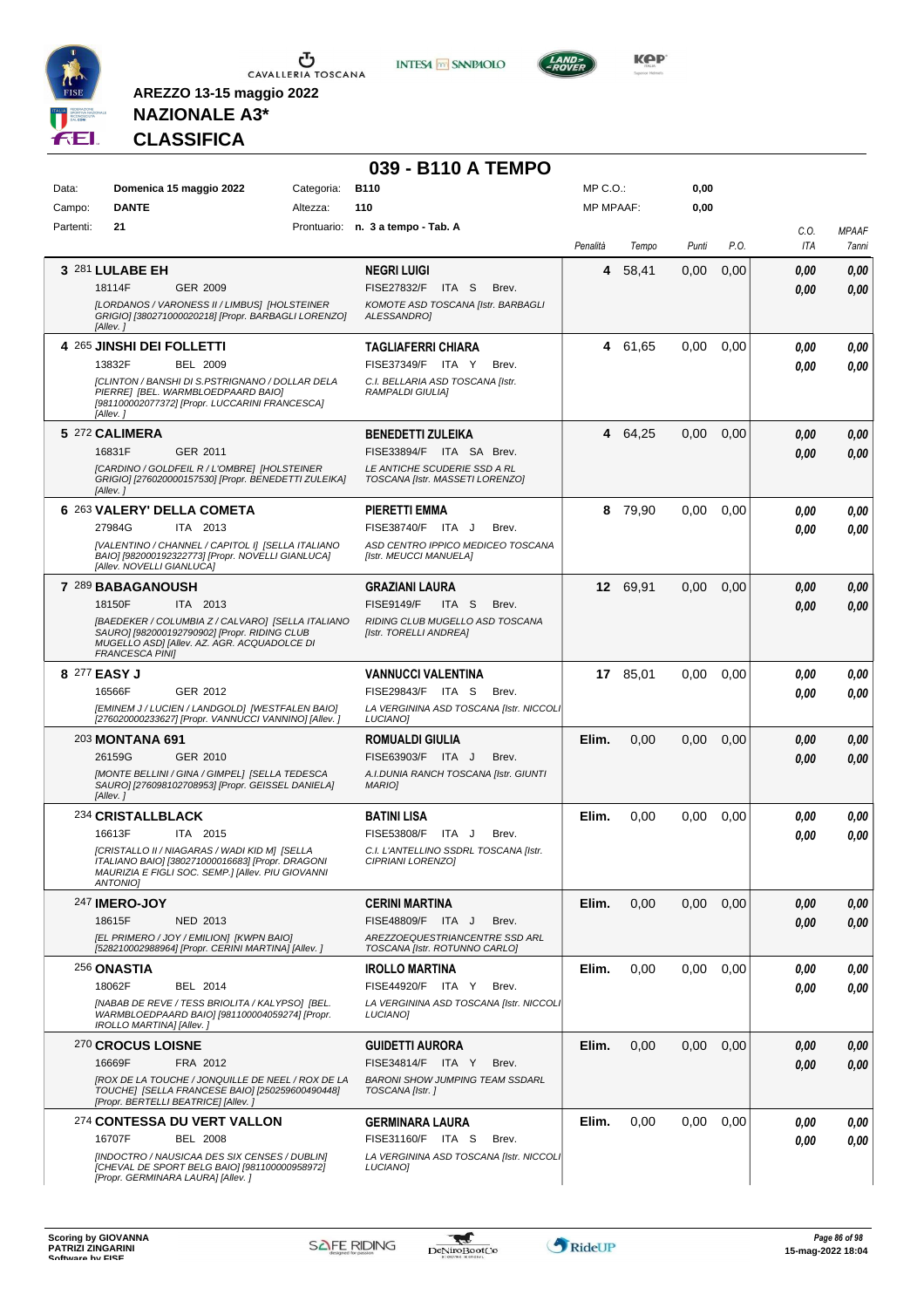

**INTESA M** SANPAOLO



**KOP** 

# **NAZIONALE A3\* CLASSIFICA**

|              |                                                                                                                                                                            |            | 039 - B110 A TEMPO                                              |                  |          |       |      |             |                       |
|--------------|----------------------------------------------------------------------------------------------------------------------------------------------------------------------------|------------|-----------------------------------------------------------------|------------------|----------|-------|------|-------------|-----------------------|
| Data:        | Domenica 15 maggio 2022                                                                                                                                                    | Categoria: | <b>B110</b>                                                     | MP C.O.:         |          | 0,00  |      |             |                       |
| Campo:       | <b>DANTE</b>                                                                                                                                                               | Altezza:   | 110                                                             | <b>MP MPAAF:</b> |          | 0,00  |      |             |                       |
| Partenti:    | 21                                                                                                                                                                         |            | Prontuario: n. 3 a tempo - Tab. A                               | Penalità         | Tempo    | Punti | P.O. | C.O.<br>ITA | <b>MPAAF</b><br>7anni |
|              | 3 281 LULABE EH                                                                                                                                                            |            | <b>NEGRI LUIGI</b>                                              | 4                | 58,41    | 0,00  | 0,00 | 0.00        | 0,00                  |
|              | 18114F<br>GER 2009                                                                                                                                                         |            | <b>FISE27832/F</b><br>ITA S<br>Brev.                            |                  |          |       |      | 0.00        | 0,00                  |
|              | [LORDANOS / VARONESS II / LIMBUS] [HOLSTEINER<br>GRIGIO] [380271000020218] [Propr. BARBAGLI LORENZO]<br>[Allev.]                                                           |            | KOMOTE ASD TOSCANA [Istr. BARBAGLI<br>ALESSANDRO1               |                  |          |       |      |             |                       |
|              | 4 265 JINSHI DEI FOLLETTI                                                                                                                                                  |            | <b>TAGLIAFERRI CHIARA</b>                                       |                  | 4 61,65  | 0,00  | 0,00 | 0.00        | 0,00                  |
|              | 13832F<br>BEL 2009                                                                                                                                                         |            | FISE37349/F ITA Y<br>Brev.                                      |                  |          |       |      | 0.00        | 0,00                  |
|              | [CLINTON / BANSHI DI S.PSTRIGNANO / DOLLAR DELA<br>PIERRE] [BEL. WARMBLOEDPAARD BAIO]<br>[981100002077372] [Propr. LUCCARINI FRANCESCA]<br>[Allev.]                        |            | C.I. BELLARIA ASD TOSCANA [Istr.<br><b>RAMPALDI GIULIAI</b>     |                  |          |       |      |             |                       |
|              | 5 272 CALIMERA                                                                                                                                                             |            | <b>BENEDETTI ZULEIKA</b>                                        |                  | 4 64,25  | 0,00  | 0,00 | 0.00        | 0,00                  |
|              | GER 2011<br>16831F                                                                                                                                                         |            | FISE33894/F ITA SA Brev.                                        |                  |          |       |      | 0.00        | 0,00                  |
|              | [CARDINO / GOLDFEIL R / L'OMBRE] [HOLSTEINER<br>GRIGIO] [276020000157530] [Propr. BENEDETTI ZULEIKA]<br>[Allev. 1                                                          |            | LE ANTICHE SCUDERIE SSD A RL<br>TOSCANA [Istr. MASSETI LORENZO] |                  |          |       |      |             |                       |
|              | 6 263 VALERY' DELLA COMETA                                                                                                                                                 |            | <b>PIERETTI EMMA</b>                                            |                  | 8 79,90  | 0,00  | 0,00 | 0.00        | 0,00                  |
|              | 27984G<br>ITA 2013                                                                                                                                                         |            | FISE38740/F ITA J<br>Brev.                                      |                  |          |       |      | 0.00        | 0.00                  |
|              | [VALENTINO / CHANNEL / CAPITOL I] [SELLA ITALIANO<br>BAIO] [982000192322773] [Propr. NOVELLI GIANLUCA]<br>[Allev. NOVELLI GIANLUCA]                                        |            | ASD CENTRO IPPICO MEDICEO TOSCANA<br>[Istr. MEUCCI MANUELA]     |                  |          |       |      |             |                       |
|              | 7 289 BABAGANOUSH                                                                                                                                                          |            | <b>GRAZIANI LAURA</b>                                           |                  | 12 69,91 | 0.00  | 0.00 | 0.00        | 0,00                  |
|              | 18150F<br>ITA 2013                                                                                                                                                         |            | <b>FISE9149/F</b><br>ITA <sub>S</sub><br>Brev.                  |                  |          |       |      | 0.00        | 0.00                  |
|              | [BAEDEKER / COLUMBIA Z / CALVARO] [SELLA ITALIANO<br>SAURO] [982000192790902] [Propr. RIDING CLUB<br>MUGELLO ASDI [Allev. AZ. AGR. ACQUADOLCE DI<br><b>FRANCESCA PINI]</b> |            | RIDING CLUB MUGELLO ASD TOSCANA<br>[Istr. TORELLI ANDREA]       |                  |          |       |      |             |                       |
| 8 277 EASY J |                                                                                                                                                                            |            | <b>VANNUCCI VALENTINA</b>                                       |                  | 17 85,01 | 0,00  | 0,00 | 0.00        | 0,00                  |
|              | 16566F<br>GER 2012                                                                                                                                                         |            | <b>FISE29843/F</b><br>ITA S<br>Brev.                            |                  |          |       |      | 0.00        | 0.00                  |
|              | [EMINEM J / LUCIEN / LANDGOLD] [WESTFALEN BAIO]<br>[276020000233627] [Propr. VANNUCCI VANNINO] [Allev. ]                                                                   |            | LA VERGININA ASD TOSCANA [Istr. NICCOLI<br><b>LUCIANO</b>       |                  |          |       |      |             |                       |
|              | <b>203 MONTANA 691</b>                                                                                                                                                     |            | <b>ROMUALDI GIULIA</b>                                          | Elim.            | 0.00     | 0.00  | 0,00 | 0.00        | 0,00                  |
|              | 26159G<br>GER 2010                                                                                                                                                         |            | FISE63903/F ITA J<br>Brev.                                      |                  |          |       |      | 0.00        | 0,00                  |
|              | <b>[MONTE BELLINI / GINA / GIMPEL] [SELLA TEDESCA</b><br>SAURO] [276098102708953] [Propr. GEISSEL DANIELA]<br>[Allev.]                                                     |            | A.I.DUNIA RANCH TOSCANA [Istr. GIUNTI<br><b>MARIOI</b>          |                  |          |       |      |             |                       |
|              | 234 CRISTALLBLACK                                                                                                                                                          |            | <b>BATINI LISA</b>                                              | Elim.            | 0,00     | 0.00  | 0,00 | 0,00        | 0,00                  |
|              | 16613F<br>ITA 2015                                                                                                                                                         |            | FISE53808/F<br>ITA J<br>Brev.                                   |                  |          |       |      | 0.00        | 0,00                  |
|              | [CRISTALLO II / NIAGARAS / WADI KID M] [SELLA<br>ITALIANO BAIO] [380271000016683] [Propr. DRAGONI<br>MAURIZIA E FIGLI SOC. SEMP.] [Allev. PIU GIOVANNI<br><b>ANTONIOI</b>  |            | C.I. L'ANTELLINO SSDRL TOSCANA [Istr.<br>CIPRIANI LORENZO]      |                  |          |       |      |             |                       |
|              | <b>247 IMERO-JOY</b>                                                                                                                                                       |            | <b>CERINI MARTINA</b>                                           | Elim.            | 0,00     | 0,00  | 0,00 | 0,00        | 0,00                  |
|              | 18615F<br>NED 2013                                                                                                                                                         |            | FISE48809/F ITA J<br>Brev.                                      |                  |          |       |      | 0,00        | 0.00                  |
|              | [EL PRIMERO / JOY / EMILION] [KWPN BAIO]<br>[528210002988964] [Propr. CERINI MARTINA] [Allev. ]                                                                            |            | AREZZOEQUESTRIANCENTRE SSD ARL<br>TOSCANA [Istr. ROTUNNO CARLO] |                  |          |       |      |             |                       |
|              | 256 ONASTIA                                                                                                                                                                |            | <b>IROLLO MARTINA</b>                                           | Elim.            | 0,00     | 0,00  | 0,00 | 0.00        | 0,00                  |
|              | 18062F<br>BEL 2014                                                                                                                                                         |            | FISE44920/F ITA Y<br>Brev.                                      |                  |          |       |      | 0.00        | 0.00                  |
|              | INABAB DE REVE / TESS BRIOLITA / KALYPSO1 IBEL.<br>WARMBLOEDPAARD BAIO] [981100004059274] [Propr.<br>IROLLO MARTINA] [Allev.]                                              |            | LA VERGININA ASD TOSCANA [Istr. NICCOLI<br>LUCIANO]             |                  |          |       |      |             |                       |
|              | 270 CROCUS LOISNE                                                                                                                                                          |            | <b>GUIDETTI AURORA</b>                                          | Elim.            | 0,00     | 0,00  | 0,00 | 0.00        | 0,00                  |
|              | 16669F<br>FRA 2012                                                                                                                                                         |            | FISE34814/F ITA Y<br>Brev.                                      |                  |          |       |      | 0.00        | 0,00                  |
|              | IROX DE LA TOUCHE / JONQUILLE DE NEEL / ROX DE LA<br>TOUCHE] [SELLA FRANCESE BAIO] [250259600490448]<br>[Propr. BERTELLI BEATRICE] [Allev.]                                |            | <b>BARONI SHOW JUMPING TEAM SSDARL</b><br>TOSCANA [Istr.]       |                  |          |       |      |             |                       |
|              | 274 CONTESSA DU VERT VALLON                                                                                                                                                |            | <b>GERMINARA LAURA</b>                                          | Elim.            | 0,00     | 0,00  | 0,00 | 0.00        | 0,00                  |
|              | 16707F<br><b>BEL 2008</b>                                                                                                                                                  |            | FISE31160/F ITA S<br>Brev.                                      |                  |          |       |      | 0.00        | 0,00                  |
|              | [INDOCTRO / NAUSICAA DES SIX CENSES / DUBLIN]<br>[CHEVAL DE SPORT BELG BAIO] [981100000958972]<br>[Propr. GERMINARA LAURA] [Allev. ]                                       |            | LA VERGININA ASD TOSCANA [Istr. NICCOLI<br><b>LUCIANOI</b>      |                  |          |       |      |             |                       |

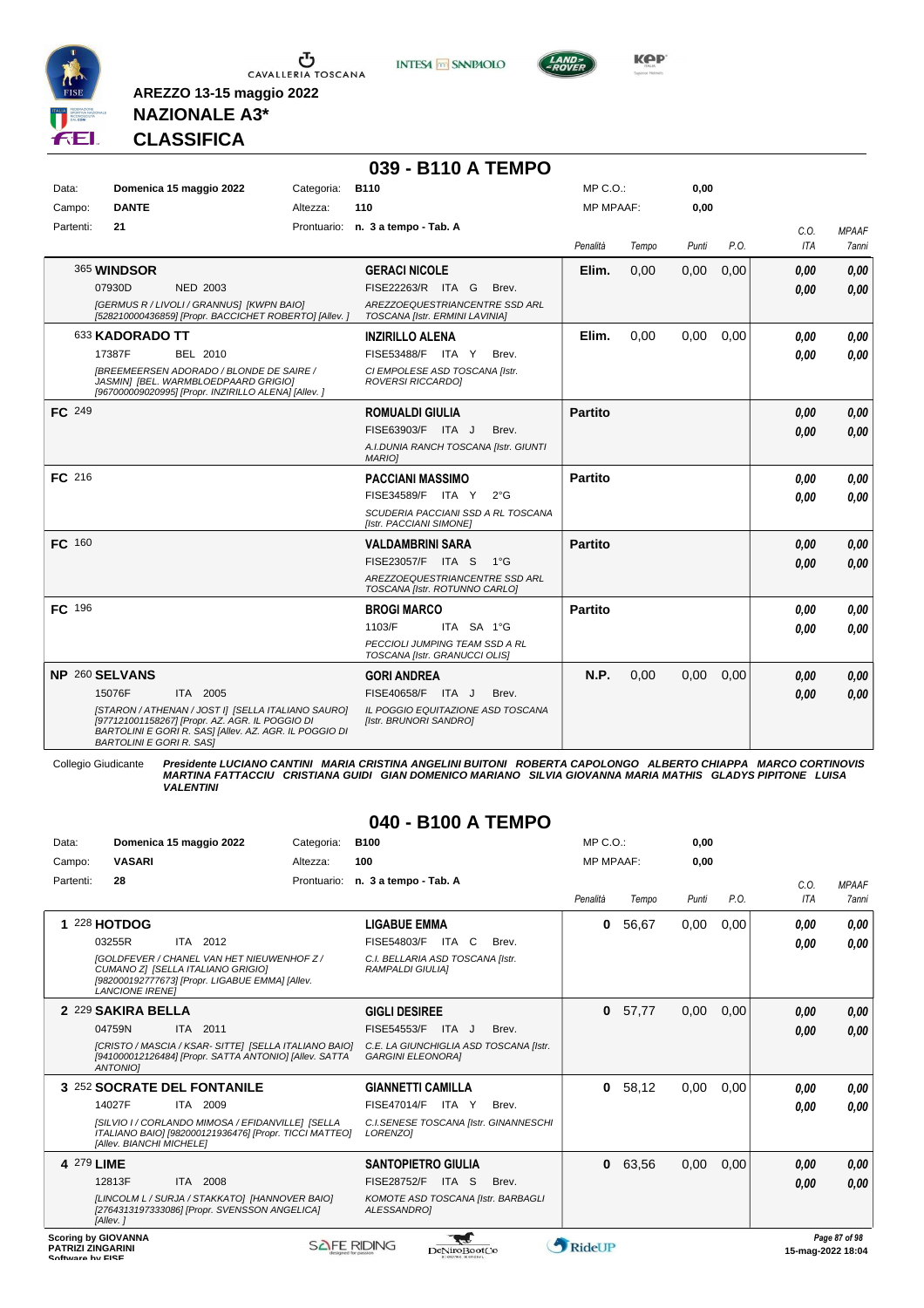



**039 - B110 A TEMPO**



**Kep** 

## **NAZIONALE A3\* CLASSIFICA**

**AREZZO 13-15 maggio 2022**

| Data:         |                                 | Domenica 15 maggio 2022                                                                                                                                         | Categoria: | <b>B110</b>                                                      | MP C.O.:       |       | 0,00  |      |            |              |
|---------------|---------------------------------|-----------------------------------------------------------------------------------------------------------------------------------------------------------------|------------|------------------------------------------------------------------|----------------|-------|-------|------|------------|--------------|
| Campo:        | <b>DANTE</b>                    |                                                                                                                                                                 | Altezza:   | 110                                                              | MP MPAAF:      |       | 0,00  |      |            |              |
| Partenti:     | 21                              |                                                                                                                                                                 |            | Prontuario: n. 3 a tempo - Tab. A                                |                |       |       |      | C.O.       | <b>MPAAF</b> |
|               |                                 |                                                                                                                                                                 |            |                                                                  | Penalità       | Tempo | Punti | P.O. | <b>ITA</b> | <b>7anni</b> |
|               | 365 WINDSOR                     |                                                                                                                                                                 |            | <b>GERACI NICOLE</b>                                             | Elim.          | 0,00  | 0,00  | 0,00 | 0,00       | 0,00         |
|               | 07930D                          | <b>NED 2003</b>                                                                                                                                                 |            | FISE22263/R ITA G<br>Brev.                                       |                |       |       |      | 0.00       | 0,00         |
|               |                                 | [GERMUS R / LIVOLI / GRANNUS] [KWPN BAIO]<br>[528210000436859] [Propr. BACCICHET ROBERTO] [Allev.]                                                              |            | AREZZOEQUESTRIANCENTRE SSD ARL<br>TOSCANA [Istr. ERMINI LAVINIA] |                |       |       |      |            |              |
|               | 633 KADORADO TT                 |                                                                                                                                                                 |            | <b>INZIRILLO ALENA</b>                                           | Elim.          | 0,00  | 0,00  | 0,00 | 0.00       | 0.00         |
|               | 17387F                          | BEL 2010                                                                                                                                                        |            | FISE53488/F ITA Y<br>Brev.                                       |                |       |       |      | 0.00       | 0,00         |
|               |                                 | <b>IBREEMEERSEN ADORADO / BLONDE DE SAIRE /</b><br>JASMIN] [BEL. WARMBLOEDPAARD GRIGIO]<br>[967000009020995] [Propr. INZIRILLO ALENA] [Allev. ]                 |            | CI EMPOLESE ASD TOSCANA [Istr.<br><b>ROVERSI RICCARDOI</b>       |                |       |       |      |            |              |
| <b>FC</b> 249 |                                 |                                                                                                                                                                 |            | <b>ROMUALDI GIULIA</b>                                           | <b>Partito</b> |       |       |      | 0.00       | 0,00         |
|               |                                 |                                                                                                                                                                 |            | FISE63903/F ITA J<br>Brev.                                       |                |       |       |      | 0.00       | 0,00         |
|               |                                 |                                                                                                                                                                 |            | A.I.DUNIA RANCH TOSCANA [Istr. GIUNTI<br><b>MARIOI</b>           |                |       |       |      |            |              |
| FC 216        |                                 |                                                                                                                                                                 |            | <b>PACCIANI MASSIMO</b>                                          | <b>Partito</b> |       |       |      | 0.00       | 0.00         |
|               |                                 |                                                                                                                                                                 |            | FISE34589/F ITA Y<br>$2^{\circ}$ G                               |                |       |       |      | 0.00       | 0.00         |
|               |                                 |                                                                                                                                                                 |            | SCUDERIA PACCIANI SSD A RL TOSCANA<br>[Istr. PACCIANI SIMONE]    |                |       |       |      |            |              |
| <b>FC</b> 160 |                                 |                                                                                                                                                                 |            | <b>VALDAMBRINI SARA</b>                                          | <b>Partito</b> |       |       |      | 0.00       | 0,00         |
|               |                                 |                                                                                                                                                                 |            | FISE23057/F ITA S<br>$1^{\circ}G$                                |                |       |       |      | 0.00       | 0.00         |
|               |                                 |                                                                                                                                                                 |            | AREZZOEQUESTRIANCENTRE SSD ARL<br>TOSCANA [Istr. ROTUNNO CARLO]  |                |       |       |      |            |              |
| FC 196        |                                 |                                                                                                                                                                 |            | <b>BROGI MARCO</b>                                               | <b>Partito</b> |       |       |      | 0.00       | 0.00         |
|               |                                 |                                                                                                                                                                 |            | ITA SA 1°G<br>1103/F                                             |                |       |       |      | 0.00       | 0.00         |
|               |                                 |                                                                                                                                                                 |            | PECCIOLI JUMPING TEAM SSD A RL<br>TOSCANA [Istr. GRANUCCI OLIS]  |                |       |       |      |            |              |
|               | NP 260 SELVANS                  |                                                                                                                                                                 |            | <b>GORI ANDREA</b>                                               | N.P.           | 0.00  | 0,00  | 0.00 | 0.00       | 0,00         |
|               | 15076F                          | ITA 2005                                                                                                                                                        |            | FISE40658/F ITA J<br>Brev.                                       |                |       |       |      | 0.00       | 0.00         |
|               | <b>BARTOLINI E GORI R. SASI</b> | [STARON / ATHENAN / JOST I] [SELLA ITALIANO SAURO]<br>[977121001158267] [Propr. AZ. AGR. IL POGGIO DI<br>BARTOLINI E GORI R. SASI [Allev. AZ. AGR. IL POGGIO DI |            | IL POGGIO EQUITAZIONE ASD TOSCANA<br>[Istr. BRUNORI SANDRO]      |                |       |       |      |            |              |

Collegio Giudicante Presidente LUCIANO CANTINI MARIA CRISTINA ANGELINI BUITONI ROBERTA CAPOLONGO ALBERTO CHIAPPA MARCO CORTINOVIS<br>MARTINA FATTACCIU CRISTIANA GUIDI GIAN DOMENICO MARIANO SILVIA GIOVANNA MARIA MATHIS GLADYS *VALENTINI*

#### **040 - B100 A TEMPO**

| Data:                                        | Domenica 15 maggio 2022                                                                                                                                             | Categoria:         | <b>B100</b>                                                        |       | MP C. O.         |       | 0,00  |      |                   |               |
|----------------------------------------------|---------------------------------------------------------------------------------------------------------------------------------------------------------------------|--------------------|--------------------------------------------------------------------|-------|------------------|-------|-------|------|-------------------|---------------|
| Campo:                                       | <b>VASARI</b>                                                                                                                                                       | Altezza:           | 100                                                                |       | <b>MP MPAAF:</b> |       | 0,00  |      |                   |               |
| Partenti:                                    | 28                                                                                                                                                                  | Prontuario:        | n. 3 a tempo - Tab. A                                              |       |                  |       |       |      | C.O.              | <b>MPAAF</b>  |
|                                              |                                                                                                                                                                     |                    |                                                                    |       | Penalità         | Tempo | Punti | P.O. | <b>ITA</b>        | <b>7anni</b>  |
|                                              | 228 HOTDOG                                                                                                                                                          |                    | <b>LIGABUE EMMA</b>                                                |       | 0                | 56,67 | 0,00  | 0,00 | 0,00              | 0,00          |
|                                              | ITA 2012<br>03255R                                                                                                                                                  |                    | FISE54803/F<br>ITA<br>C.                                           | Brev. |                  |       |       |      | 0,00              | 0.00          |
|                                              | <b>IGOLDFEVER / CHANEL VAN HET NIEUWENHOF Z /</b><br>CUMANO ZI [SELLA ITALIANO GRIGIO]<br>[982000192777673] [Propr. LIGABUE EMMA] [Allev.<br><b>LANCIONE IRENEI</b> |                    | C.I. BELLARIA ASD TOSCANA [Istr.<br><b>RAMPALDI GIULIAI</b>        |       |                  |       |       |      |                   |               |
|                                              | 2 229 SAKIRA BELLA                                                                                                                                                  |                    | <b>GIGLI DESIREE</b>                                               |       | $\bf{0}$         | 57,77 | 0,00  | 0.00 | 0.00              | 0,00          |
|                                              | 04759N<br>ITA 2011                                                                                                                                                  |                    | FISE54553/F<br>ITA J                                               | Brev. |                  |       |       |      | 0,00              | 0,00          |
|                                              | [CRISTO / MASCIA / KSAR- SITTE] [SELLA ITALIANO BAIO]<br>[941000012126484] [Propr. SATTA ANTONIO] [Allev. SATTA<br><b>ANTONIOI</b>                                  |                    | C.E. LA GIUNCHIGLIA ASD TOSCANA [Istr.<br><b>GARGINI ELEONORAI</b> |       |                  |       |       |      |                   |               |
|                                              | 3 252 SOCRATE DEL FONTANILE                                                                                                                                         |                    | <b>GIANNETTI CAMILLA</b>                                           |       | $\mathbf{0}$     | 58,12 | 0,00  | 0,00 | 0,00              | 0,00          |
|                                              | 14027F<br>ITA 2009                                                                                                                                                  |                    | FISE47014/F ITA Y                                                  | Brev. |                  |       |       |      | 0,00              | 0.00          |
|                                              | [SILVIO I / CORLANDO MIMOSA / EFIDANVILLE] [SELLA<br>ITALIANO BAIO] [982000121936476] [Propr. TICCI MATTEO]<br>[Allev. BIANCHI MICHELE]                             |                    | C.I.SENESE TOSCANA [Istr. GINANNESCHI<br><b>LORENZO1</b>           |       |                  |       |       |      |                   |               |
|                                              | 4 279 LIME                                                                                                                                                          |                    | <b>SANTOPIETRO GIULIA</b>                                          |       | $\mathbf{0}$     | 63,56 | 0,00  | 0,00 | 0,00              | 0,00          |
|                                              | 12813F<br>ITA 2008                                                                                                                                                  |                    | <b>FISE28752/F ITA S</b>                                           | Brev. |                  |       |       |      | 0.00              | 0,00          |
|                                              | [LINCOLM L / SURJA / STAKKATO] [HANNOVER BAIO]<br>[2764313197333086] [Propr. SVENSSON ANGELICA]<br>[Allev.]                                                         |                    | KOMOTE ASD TOSCANA [Istr. BARBAGLI<br>ALESSANDROI                  |       |                  |       |       |      |                   |               |
| <b>PATRIZI ZINGARINI</b><br>Coffware by EICE | <b>Scoring by GIOVANNA</b>                                                                                                                                          | <b>SAFE RIDING</b> | DeNiroBootCo                                                       |       | <b>RideUP</b>    |       |       |      | 15-mag-2022 18:04 | Page 87 of 98 |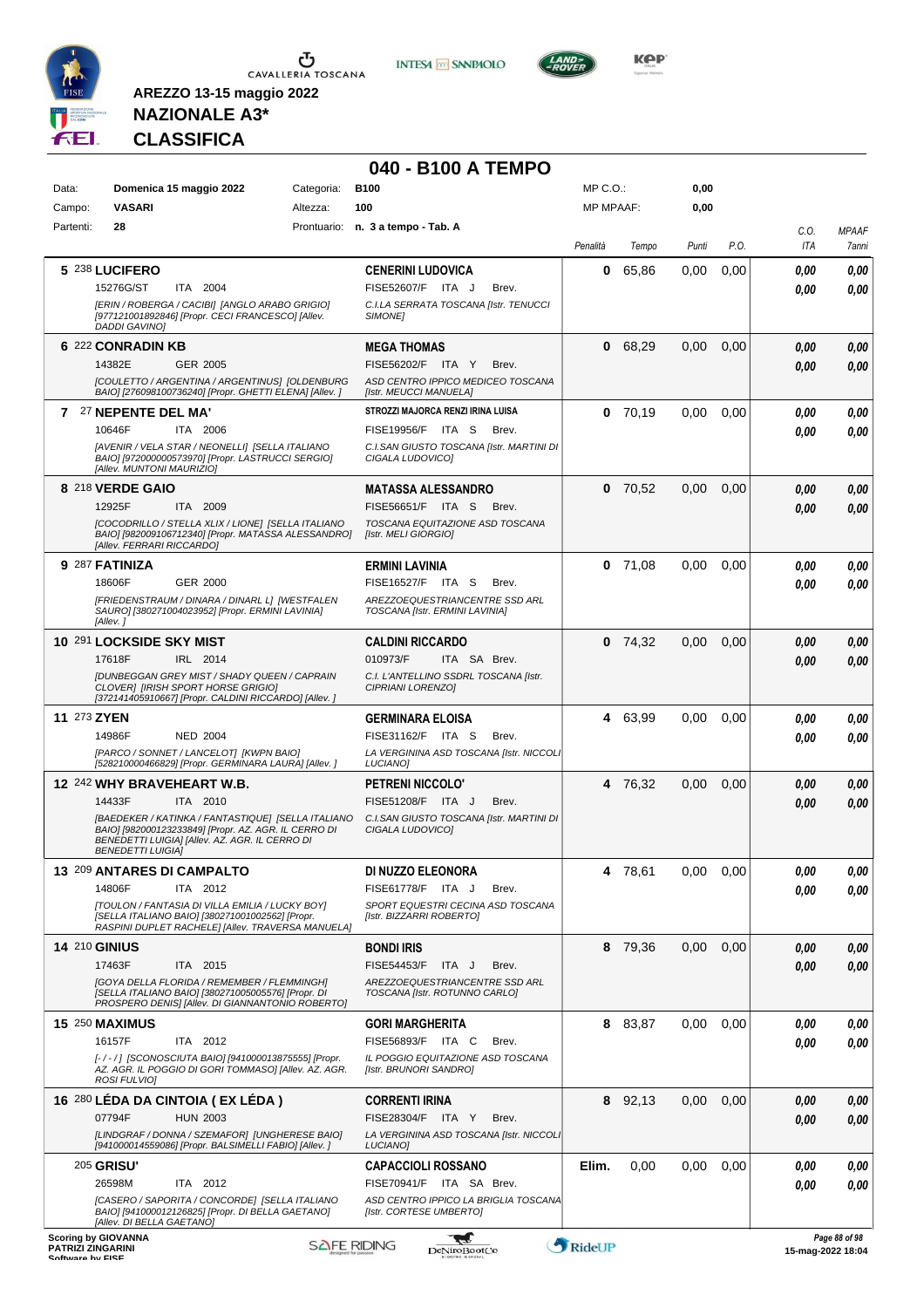

**INTESA** M SANPAOLO



**KOP** 

# **NAZIONALE A3\* CLASSIFICA**

|                                              |                                                                                                                                                                                                                                              |            | 040 - B100 A TEMPO                                                                                                                                        |                  |           |       |      |                    |                       |
|----------------------------------------------|----------------------------------------------------------------------------------------------------------------------------------------------------------------------------------------------------------------------------------------------|------------|-----------------------------------------------------------------------------------------------------------------------------------------------------------|------------------|-----------|-------|------|--------------------|-----------------------|
| Data:                                        | Domenica 15 maggio 2022                                                                                                                                                                                                                      | Categoria: | <b>B100</b>                                                                                                                                               | $MP C. O.$ :     |           | 0,00  |      |                    |                       |
| Campo:                                       | <b>VASARI</b>                                                                                                                                                                                                                                | Altezza:   | 100                                                                                                                                                       | <b>MP MPAAF:</b> |           | 0,00  |      |                    |                       |
| Partenti:                                    | 28                                                                                                                                                                                                                                           |            | Prontuario: n. 3 a tempo - Tab. A                                                                                                                         | Penalità         | Tempo     | Punti | P.O. | C.O.<br><b>ITA</b> | <b>MPAAF</b><br>7anni |
|                                              | 5 238 LUCIFERO<br>15276G/ST<br>ITA 2004<br>[ERIN / ROBERGA / CACIBI] [ANGLO ARABO GRIGIO]<br>[977121001892846] [Propr. CECI FRANCESCO] [Allev.<br>DADDI GAVINO]                                                                              |            | <b>CENERINI LUDOVICA</b><br>FISE52607/F ITA J<br>Brev.<br>C.I.LA SERRATA TOSCANA [Istr. TENUCCI<br>SIMONE]                                                | 0                | 65,86     | 0,00  | 0,00 | 0.00<br>0.00       | 0,00<br>0.00          |
|                                              | 6 222 CONRADIN KB<br>14382E<br><b>GER 2005</b><br>[COULETTO / ARGENTINA / ARGENTINUS] [OLDENBURG                                                                                                                                             |            | <b>MEGA THOMAS</b><br>FISE56202/F ITA Y<br>Brev.<br>ASD CENTRO IPPICO MEDICEO TOSCANA                                                                     | $\bf{0}$         | 68,29     | 0,00  | 0,00 | 0.00<br>0.00       | 0,00<br>0,00          |
|                                              | BAIO] [276098100736240] [Propr. GHETTI ELENA] [Allev. ]<br>7 27 NEPENTE DEL MA'<br>10646F<br>ITA 2006<br>[AVENIR / VELA STAR / NEONELLI] [SELLA ITALIANO<br>BAIO] [972000000573970] [Propr. LASTRUCCI SERGIO]                                |            | [Istr. MEUCCI MANUELA]<br>STROZZI MAJORCA RENZI IRINA LUISA<br>FISE19956/F ITA S<br>Brev.<br>C.I.SAN GIUSTO TOSCANA [Istr. MARTINI DI<br>CIGALA LUDOVICO] |                  | $0$ 70,19 | 0,00  | 0,00 | 0.00<br>0.00       | 0,00<br>0.00          |
|                                              | [Allev. MUNTONI MAURIZIO]<br>8 218 VERDE GAIO<br>12925F<br>ITA 2009<br>[COCODRILLO / STELLA XLIX / LIONE] [SELLA ITALIANO<br>BAIO] [982009106712340] [Propr. MATASSA ALESSANDRO]<br>[Allev. FERRARI RICCARDO]                                |            | MATASSA ALESSANDRO<br>FISE56651/F ITA S<br>Brev.<br>TOSCANA EQUITAZIONE ASD TOSCANA<br>[Istr. MELI GIORGIO]                                               |                  | $0$ 70,52 | 0,00  | 0,00 | 0.00<br>0.00       | 0,00<br>0,00          |
|                                              | 9 287 FATINIZA<br>18606F<br>GER 2000<br>[FRIEDENSTRAUM / DINARA / DINARL L] [WESTFALEN<br>SAURO] [380271004023952] [Propr. ERMINI LAVINIA]<br>[Allev.]                                                                                       |            | <b>ERMINI LAVINIA</b><br>FISE16527/F ITA S<br>Brev.<br>AREZZOEQUESTRIANCENTRE SSD ARL<br>TOSCANA [Istr. ERMINI LAVINIA]                                   | 0                | 71,08     | 0.00  | 0.00 | 0.00<br>0.00       | 0,00<br>0.00          |
|                                              | 10 291 LOCKSIDE SKY MIST<br>17618F<br>IRL 2014<br>[DUNBEGGAN GREY MIST / SHADY QUEEN / CAPRAIN<br>CLOVER1 [IRISH SPORT HORSE GRIGIO]<br>[372141405910667] [Propr. CALDINI RICCARDO] [Allev.]                                                 |            | <b>CALDINI RICCARDO</b><br>010973/F<br>ITA SA Brev.<br>C.I. L'ANTELLINO SSDRL TOSCANA [Istr.<br>CIPRIANI LORENZO]                                         |                  | $0$ 74,32 | 0,00  | 0,00 | 0.00<br>0.00       | 0,00<br>0,00          |
| 11 273 ZYEN                                  | 14986F<br><b>NED 2004</b><br>[PARCO / SONNET / LANCELOT] [KWPN BAIO]<br>[528210000466829] [Propr. GERMINARA LAURA] [Allev. ]                                                                                                                 |            | <b>GERMINARA ELOISA</b><br>FISE31162/F ITA S<br>Brev.<br>LA VERGININA ASD TOSCANA [Istr. NICCOLI<br>LUCIANO]                                              |                  | 4 63,99   | 0,00  | 0,00 | 0.00<br>0.00       | 0,00<br>0.00          |
|                                              | 12 242 WHY BRAVEHEART W.B.<br>14433F<br>ITA 2010<br>[BAEDEKER / KATINKA / FANTASTIQUE] [SELLA ITALIANO<br>BAIO] [982000123233849] [Propr. AZ. AGR. IL CERRO DI<br>BENEDETTI LUIGIA] [Allev. AZ. AGR. IL CERRO DI<br><b>BENEDETTI LUIGIA]</b> |            | PETRENI NICCOLO'<br>FISE51208/F ITA J<br>Brev.<br>C.I.SAN GIUSTO TOSCANA [Istr. MARTINI DI<br>CIGALA LUDOVICOI                                            |                  | 4 76.32   | 0,00  | 0,00 | 0.00<br>0.00       | 0,00<br>0.00          |
|                                              | 13 209 ANTARES DI CAMPALTO<br>14806F<br>ITA 2012<br><b>[TOULON / FANTASIA DI VILLA EMILIA / LUCKY BOY]</b><br>[SELLA ITALIANO BAIO] [380271001002562] [Propr.<br>RASPINI DUPLET RACHELE] [Allev. TRAVERSA MANUELA]                           |            | DI NUZZO ELEONORA<br>FISE61778/F ITA J<br>Brev.<br>SPORT EQUESTRI CECINA ASD TOSCANA<br>[Istr. BIZZARRI ROBERTO]                                          |                  | 4 78,61   | 0.00  | 0,00 | 0,00<br>0.00       | 0,00<br>0,00          |
|                                              | <b>14 210 GINIUS</b><br>17463F<br>ITA 2015<br>[GOYA DELLA FLORIDA / REMEMBER / FLEMMINGH]<br>[SELLA ITALIANO BAIO] [380271005005576] [Propr. DI<br>PROSPERO DENISI [Allev. DI GIANNANTONIO ROBERTO]                                          |            | <b>BONDI IRIS</b><br>FISE54453/F<br>ITA J<br>Brev.<br>AREZZOEQUESTRIANCENTRE SSD ARL<br>TOSCANA [Istr. ROTUNNO CARLO]                                     | 8                | 79,36     | 0,00  | 0,00 | 0.00<br>0.00       | 0,00<br>0,00          |
|                                              | <b>15 250 MAXIMUS</b><br>16157F<br>ITA 2012<br>[-/-/] [SCONOSCIUTA BAIO] [941000013875555] [Propr.<br>AZ. AGR. IL POGGIO DI GORI TOMMASO] [Allev. AZ. AGR.<br>ROSI FULVIO]                                                                   |            | <b>GORI MARGHERITA</b><br>FISE56893/F ITA C<br>Brev.<br>IL POGGIO EQUITAZIONE ASD TOSCANA<br>[Istr. BRUNORI SANDRO]                                       |                  | 8 83,87   | 0,00  | 0,00 | 0.00<br>0.00       | 0,00<br>0,00          |
|                                              | 16 280 LÉDA DA CINTOIA (EX LÉDA)<br><b>HUN 2003</b><br>07794F<br>[LINDGRAF / DONNA / SZEMAFOR] [UNGHERESE BAIO]<br>[941000014559086] [Propr. BALSIMELLI FABIO] [Allev. ]                                                                     |            | <b>CORRENTI IRINA</b><br>FISE28304/F ITA Y<br>Brev.<br>LA VERGININA ASD TOSCANA [Istr. NICCOLI<br>LUCIANO]                                                |                  | 8 92,13   | 0,00  | 0,00 | 0.00<br>0.00       | 0,00<br>0,00          |
|                                              | <b>205 GRISU'</b><br>26598M<br>ITA 2012<br>[CASERO / SAPORITA / CONCORDE] [SELLA ITALIANO<br>BAIO] [941000012126825] [Propr. DI BELLA GAETANO]                                                                                               |            | <b>CAPACCIOLI ROSSANO</b><br>FISE70941/F ITA SA Brev.<br>ASD CENTRO IPPICO LA BRIGLIA TOSCANA<br>[Istr. CORTESE UMBERTO]                                  | Elim.            | 0,00      | 0,00  | 0,00 | 0.00<br>0.00       | 0,00<br>0.00          |
| <b>PATRIZI ZINGARINI</b><br>Coffware by EICE | [Allev. DI BELLA GAETANO]<br><b>Scoring by GIOVANNA</b>                                                                                                                                                                                      |            | W<br><b>SAFE RIDING</b><br><b>DeNiroBootCo</b>                                                                                                            | RideUP           |           |       |      | 15-mag-2022 18:04  | Page 88 of 98         |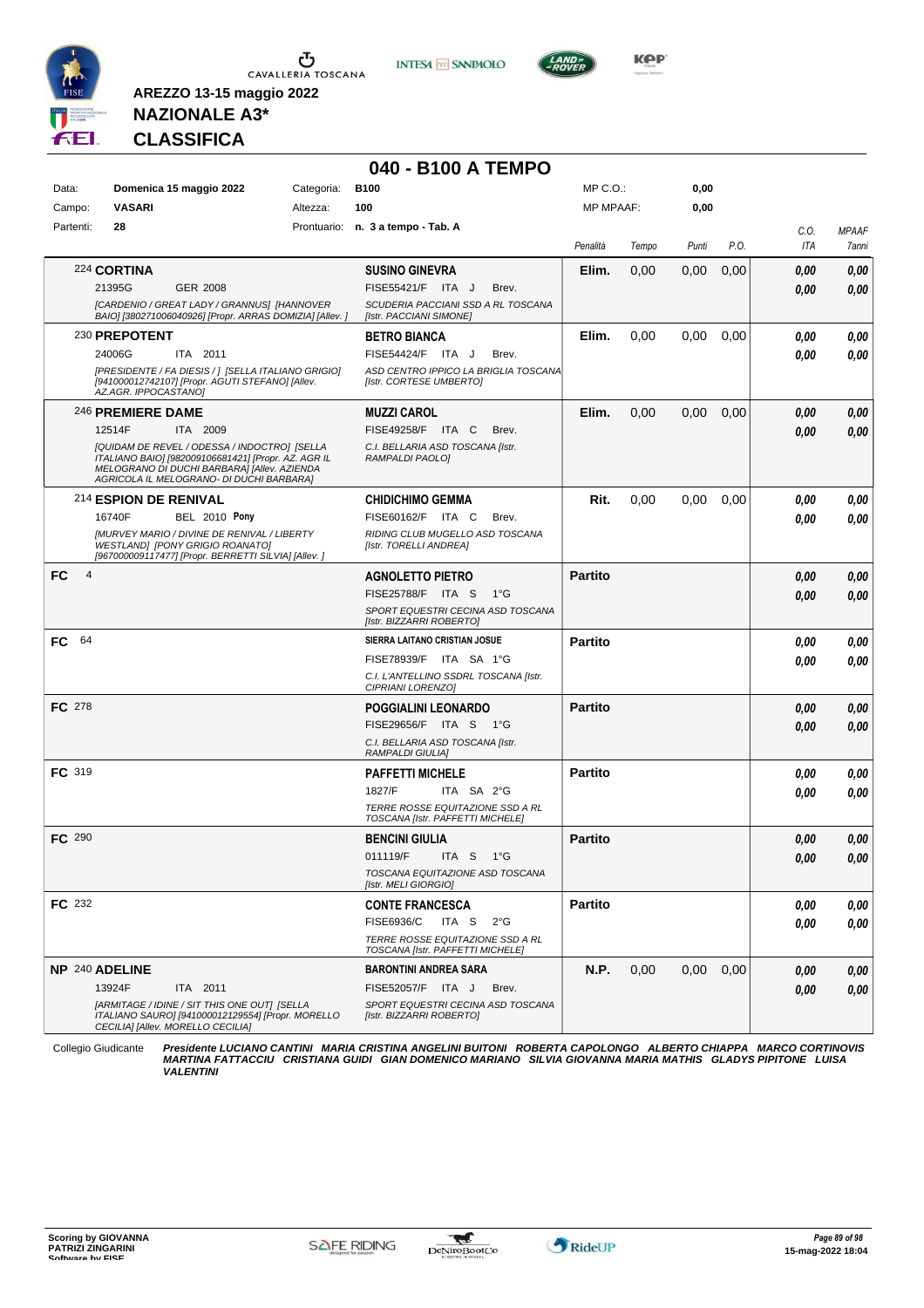





**Kep** 

**AREZZO 13-15 maggio 2022 NAZIONALE A3\***

**CLASSIFICA**

# **040 - B100 A TEMPO**

| Domenica 15 maggio 2022<br>Categoria:<br><b>B100</b><br>MP C.O.:<br>0,00<br>Data:<br><b>VASARI</b><br>Campo:<br>Altezza:<br>100<br><b>MP MPAAF:</b><br>0,00<br>Partenti:<br>28<br>Prontuario: n. 3 a tempo - Tab. A<br>C.O.<br><b>MPAAF</b><br>P.O.<br>ITA<br>Penalità<br>Punti<br>Tempo<br>224 CORTINA<br>Elim.<br>0,00<br>0,00<br><b>SUSINO GINEVRA</b><br>0,00<br>0.00<br>21395G<br><b>GER 2008</b><br>FISE55421/F ITA J<br>Brev.<br>0.00<br>[CARDENIO / GREAT LADY / GRANNUS] [HANNOVER<br>SCUDERIA PACCIANI SSD A RL TOSCANA<br>BAIO] [380271006040926] [Propr. ARRAS DOMIZIA] [Allev. ]<br>[Istr. PACCIANI SIMONE]<br>230 PREPOTENT<br>Elim.<br>0,00<br>0,00<br>0,00<br><b>BETRO BIANCA</b><br>0,00<br>24006G<br>ITA 2011<br>FISE54424/F ITA J<br>Brev.<br>0.00<br>[PRESIDENTE / FA DIESIS / ] [SELLA ITALIANO GRIGIO]<br>ASD CENTRO IPPICO LA BRIGLIA TOSCANA<br>[941000012742107] [Propr. AGUTI STEFANO] [Allev.<br>[Istr. CORTESE UMBERTO]<br>AZ.AGR. IPPOCASTANO]<br>Elim.<br>0,00<br>0,00<br>0,00<br>246 PREMIERE DAME<br><b>MUZZI CAROL</b><br>0.00<br>0,00<br>12514F<br>FISE49258/F ITA C<br><b>ITA 2009</b><br>Brev.<br>0,00<br>0.00<br>[QUIDAM DE REVEL / ODESSA / INDOCTRO] [SELLA<br>C.I. BELLARIA ASD TOSCANA [Istr.<br>ITALIANO BAIO] [982009106681421] [Propr. AZ. AGR IL<br>RAMPALDI PAOLO]<br>MELOGRANO DI DUCHI BARBARA] [Allev. AZIENDA<br>AGRICOLA IL MELOGRANO- DI DUCHI BARBARA]<br>214 ESPION DE RENIVAL<br>Rit.<br>0,00<br>0,00<br><b>CHIDICHIMO GEMMA</b><br>0.00<br>0.00<br><b>BEL 2010 Pony</b><br>FISE60162/F ITA C<br>16740F<br>Brev.<br>0.00<br><b>IMURVEY MARIO / DIVINE DE RENIVAL / LIBERTY</b><br>RIDING CLUB MUGELLO ASD TOSCANA<br><b>WESTLANDI IPONY GRIGIO ROANATOI</b><br><b>Ilstr. TORELLI ANDREA1</b><br>[967000009117477] [Propr. BERRETTI SILVIA] [Allev.]<br>$\overline{4}$<br>FC<br><b>Partito</b><br><b>AGNOLETTO PIETRO</b><br>0.00<br>FISE25788/F ITA S<br>1°G<br>0.00<br>SPORT EQUESTRI CECINA ASD TOSCANA<br>[Istr. BIZZARRI ROBERTO]<br>64<br>SIERRA LAITANO CRISTIAN JOSUE<br>FC<br><b>Partito</b><br>0.00<br>FISE78939/F ITA SA 1°G<br>0.00<br>C.I. L'ANTELLINO SSDRL TOSCANA [Istr.<br>CIPRIANI LORENZO]<br><b>FC</b> 278<br>POGGIALINI LEONARDO<br><b>Partito</b><br>0,00<br>FISE29656/F ITA S 1°G<br>0,00<br>C.I. BELLARIA ASD TOSCANA [Istr.<br>RAMPALDI GIULIA]<br>FC 319<br><b>PAFFETTI MICHELE</b><br><b>Partito</b><br>0.00<br>1827/F<br>ITA SA 2°G<br>0.00<br>TERRE ROSSE EQUITAZIONE SSD A RL<br>TOSCANA [Istr. PAFFETTI MICHELE]<br><b>FC 290</b><br><b>Partito</b><br><b>BENCINI GIULIA</b><br>0,00<br>011119/F<br>ITA S 1°G<br>0,00<br>TOSCANA EQUITAZIONE ASD TOSCANA<br>[Istr. MELI GIORGIO]<br>FC 232<br><b>Partito</b><br><b>CONTE FRANCESCA</b><br>0,00<br>FISE6936/C<br>ITA S<br>$2^{\circ}G$<br>0.00<br>TERRE ROSSE EQUITAZIONE SSD A RL<br>TOSCANA [Istr. PAFFETTI MICHELE]<br>NP 240 ADELINE<br><b>BARONTINI ANDREA SARA</b><br>N.P.<br>0,00<br>0.00<br>0,00<br>0,00<br>13924F<br>ITA 2011<br>FISE52057/F ITA J<br>Brev.<br>0.00<br>[ARMITAGE / IDINE / SIT THIS ONE OUT] [SELLA<br>SPORT EQUESTRI CECINA ASD TOSCANA<br>ITALIANO SAURO] [941000012129554] [Propr. MORELLO<br>[Istr. BIZZARRI ROBERTO]<br>CECILIA] [Allev. MORELLO CECILIA] |  |  | rv.<br>$\sim$ 1998 - 1999 - 1999 - 1999 - 1999 - 1999 - 1999 - 1999 - 1999 - 1999 - 1999 - 1999 - 1999 - 199 |  |  |       |
|-----------------------------------------------------------------------------------------------------------------------------------------------------------------------------------------------------------------------------------------------------------------------------------------------------------------------------------------------------------------------------------------------------------------------------------------------------------------------------------------------------------------------------------------------------------------------------------------------------------------------------------------------------------------------------------------------------------------------------------------------------------------------------------------------------------------------------------------------------------------------------------------------------------------------------------------------------------------------------------------------------------------------------------------------------------------------------------------------------------------------------------------------------------------------------------------------------------------------------------------------------------------------------------------------------------------------------------------------------------------------------------------------------------------------------------------------------------------------------------------------------------------------------------------------------------------------------------------------------------------------------------------------------------------------------------------------------------------------------------------------------------------------------------------------------------------------------------------------------------------------------------------------------------------------------------------------------------------------------------------------------------------------------------------------------------------------------------------------------------------------------------------------------------------------------------------------------------------------------------------------------------------------------------------------------------------------------------------------------------------------------------------------------------------------------------------------------------------------------------------------------------------------------------------------------------------------------------------------------------------------------------------------------------------------------------------------------------------------------------------------------------------------------------------------------------------------------------------------------------------------------------------------------------------------------------------------------------------------------------------------------------------------------------------------------------------------------------------------------------------------------------------------------------------------------------------------------------------------------|--|--|--------------------------------------------------------------------------------------------------------------|--|--|-------|
|                                                                                                                                                                                                                                                                                                                                                                                                                                                                                                                                                                                                                                                                                                                                                                                                                                                                                                                                                                                                                                                                                                                                                                                                                                                                                                                                                                                                                                                                                                                                                                                                                                                                                                                                                                                                                                                                                                                                                                                                                                                                                                                                                                                                                                                                                                                                                                                                                                                                                                                                                                                                                                                                                                                                                                                                                                                                                                                                                                                                                                                                                                                                                                                                                             |  |  |                                                                                                              |  |  |       |
|                                                                                                                                                                                                                                                                                                                                                                                                                                                                                                                                                                                                                                                                                                                                                                                                                                                                                                                                                                                                                                                                                                                                                                                                                                                                                                                                                                                                                                                                                                                                                                                                                                                                                                                                                                                                                                                                                                                                                                                                                                                                                                                                                                                                                                                                                                                                                                                                                                                                                                                                                                                                                                                                                                                                                                                                                                                                                                                                                                                                                                                                                                                                                                                                                             |  |  |                                                                                                              |  |  |       |
|                                                                                                                                                                                                                                                                                                                                                                                                                                                                                                                                                                                                                                                                                                                                                                                                                                                                                                                                                                                                                                                                                                                                                                                                                                                                                                                                                                                                                                                                                                                                                                                                                                                                                                                                                                                                                                                                                                                                                                                                                                                                                                                                                                                                                                                                                                                                                                                                                                                                                                                                                                                                                                                                                                                                                                                                                                                                                                                                                                                                                                                                                                                                                                                                                             |  |  |                                                                                                              |  |  |       |
|                                                                                                                                                                                                                                                                                                                                                                                                                                                                                                                                                                                                                                                                                                                                                                                                                                                                                                                                                                                                                                                                                                                                                                                                                                                                                                                                                                                                                                                                                                                                                                                                                                                                                                                                                                                                                                                                                                                                                                                                                                                                                                                                                                                                                                                                                                                                                                                                                                                                                                                                                                                                                                                                                                                                                                                                                                                                                                                                                                                                                                                                                                                                                                                                                             |  |  |                                                                                                              |  |  | 7anni |
|                                                                                                                                                                                                                                                                                                                                                                                                                                                                                                                                                                                                                                                                                                                                                                                                                                                                                                                                                                                                                                                                                                                                                                                                                                                                                                                                                                                                                                                                                                                                                                                                                                                                                                                                                                                                                                                                                                                                                                                                                                                                                                                                                                                                                                                                                                                                                                                                                                                                                                                                                                                                                                                                                                                                                                                                                                                                                                                                                                                                                                                                                                                                                                                                                             |  |  |                                                                                                              |  |  | 0,00  |
|                                                                                                                                                                                                                                                                                                                                                                                                                                                                                                                                                                                                                                                                                                                                                                                                                                                                                                                                                                                                                                                                                                                                                                                                                                                                                                                                                                                                                                                                                                                                                                                                                                                                                                                                                                                                                                                                                                                                                                                                                                                                                                                                                                                                                                                                                                                                                                                                                                                                                                                                                                                                                                                                                                                                                                                                                                                                                                                                                                                                                                                                                                                                                                                                                             |  |  |                                                                                                              |  |  | 0.00  |
|                                                                                                                                                                                                                                                                                                                                                                                                                                                                                                                                                                                                                                                                                                                                                                                                                                                                                                                                                                                                                                                                                                                                                                                                                                                                                                                                                                                                                                                                                                                                                                                                                                                                                                                                                                                                                                                                                                                                                                                                                                                                                                                                                                                                                                                                                                                                                                                                                                                                                                                                                                                                                                                                                                                                                                                                                                                                                                                                                                                                                                                                                                                                                                                                                             |  |  |                                                                                                              |  |  |       |
|                                                                                                                                                                                                                                                                                                                                                                                                                                                                                                                                                                                                                                                                                                                                                                                                                                                                                                                                                                                                                                                                                                                                                                                                                                                                                                                                                                                                                                                                                                                                                                                                                                                                                                                                                                                                                                                                                                                                                                                                                                                                                                                                                                                                                                                                                                                                                                                                                                                                                                                                                                                                                                                                                                                                                                                                                                                                                                                                                                                                                                                                                                                                                                                                                             |  |  |                                                                                                              |  |  | 0,00  |
|                                                                                                                                                                                                                                                                                                                                                                                                                                                                                                                                                                                                                                                                                                                                                                                                                                                                                                                                                                                                                                                                                                                                                                                                                                                                                                                                                                                                                                                                                                                                                                                                                                                                                                                                                                                                                                                                                                                                                                                                                                                                                                                                                                                                                                                                                                                                                                                                                                                                                                                                                                                                                                                                                                                                                                                                                                                                                                                                                                                                                                                                                                                                                                                                                             |  |  |                                                                                                              |  |  | 0,00  |
|                                                                                                                                                                                                                                                                                                                                                                                                                                                                                                                                                                                                                                                                                                                                                                                                                                                                                                                                                                                                                                                                                                                                                                                                                                                                                                                                                                                                                                                                                                                                                                                                                                                                                                                                                                                                                                                                                                                                                                                                                                                                                                                                                                                                                                                                                                                                                                                                                                                                                                                                                                                                                                                                                                                                                                                                                                                                                                                                                                                                                                                                                                                                                                                                                             |  |  |                                                                                                              |  |  |       |
|                                                                                                                                                                                                                                                                                                                                                                                                                                                                                                                                                                                                                                                                                                                                                                                                                                                                                                                                                                                                                                                                                                                                                                                                                                                                                                                                                                                                                                                                                                                                                                                                                                                                                                                                                                                                                                                                                                                                                                                                                                                                                                                                                                                                                                                                                                                                                                                                                                                                                                                                                                                                                                                                                                                                                                                                                                                                                                                                                                                                                                                                                                                                                                                                                             |  |  |                                                                                                              |  |  |       |
|                                                                                                                                                                                                                                                                                                                                                                                                                                                                                                                                                                                                                                                                                                                                                                                                                                                                                                                                                                                                                                                                                                                                                                                                                                                                                                                                                                                                                                                                                                                                                                                                                                                                                                                                                                                                                                                                                                                                                                                                                                                                                                                                                                                                                                                                                                                                                                                                                                                                                                                                                                                                                                                                                                                                                                                                                                                                                                                                                                                                                                                                                                                                                                                                                             |  |  |                                                                                                              |  |  |       |
|                                                                                                                                                                                                                                                                                                                                                                                                                                                                                                                                                                                                                                                                                                                                                                                                                                                                                                                                                                                                                                                                                                                                                                                                                                                                                                                                                                                                                                                                                                                                                                                                                                                                                                                                                                                                                                                                                                                                                                                                                                                                                                                                                                                                                                                                                                                                                                                                                                                                                                                                                                                                                                                                                                                                                                                                                                                                                                                                                                                                                                                                                                                                                                                                                             |  |  |                                                                                                              |  |  |       |
|                                                                                                                                                                                                                                                                                                                                                                                                                                                                                                                                                                                                                                                                                                                                                                                                                                                                                                                                                                                                                                                                                                                                                                                                                                                                                                                                                                                                                                                                                                                                                                                                                                                                                                                                                                                                                                                                                                                                                                                                                                                                                                                                                                                                                                                                                                                                                                                                                                                                                                                                                                                                                                                                                                                                                                                                                                                                                                                                                                                                                                                                                                                                                                                                                             |  |  |                                                                                                              |  |  | 0,00  |
|                                                                                                                                                                                                                                                                                                                                                                                                                                                                                                                                                                                                                                                                                                                                                                                                                                                                                                                                                                                                                                                                                                                                                                                                                                                                                                                                                                                                                                                                                                                                                                                                                                                                                                                                                                                                                                                                                                                                                                                                                                                                                                                                                                                                                                                                                                                                                                                                                                                                                                                                                                                                                                                                                                                                                                                                                                                                                                                                                                                                                                                                                                                                                                                                                             |  |  |                                                                                                              |  |  | 0,00  |
|                                                                                                                                                                                                                                                                                                                                                                                                                                                                                                                                                                                                                                                                                                                                                                                                                                                                                                                                                                                                                                                                                                                                                                                                                                                                                                                                                                                                                                                                                                                                                                                                                                                                                                                                                                                                                                                                                                                                                                                                                                                                                                                                                                                                                                                                                                                                                                                                                                                                                                                                                                                                                                                                                                                                                                                                                                                                                                                                                                                                                                                                                                                                                                                                                             |  |  |                                                                                                              |  |  |       |
|                                                                                                                                                                                                                                                                                                                                                                                                                                                                                                                                                                                                                                                                                                                                                                                                                                                                                                                                                                                                                                                                                                                                                                                                                                                                                                                                                                                                                                                                                                                                                                                                                                                                                                                                                                                                                                                                                                                                                                                                                                                                                                                                                                                                                                                                                                                                                                                                                                                                                                                                                                                                                                                                                                                                                                                                                                                                                                                                                                                                                                                                                                                                                                                                                             |  |  |                                                                                                              |  |  | 0,00  |
|                                                                                                                                                                                                                                                                                                                                                                                                                                                                                                                                                                                                                                                                                                                                                                                                                                                                                                                                                                                                                                                                                                                                                                                                                                                                                                                                                                                                                                                                                                                                                                                                                                                                                                                                                                                                                                                                                                                                                                                                                                                                                                                                                                                                                                                                                                                                                                                                                                                                                                                                                                                                                                                                                                                                                                                                                                                                                                                                                                                                                                                                                                                                                                                                                             |  |  |                                                                                                              |  |  | 0.00  |
|                                                                                                                                                                                                                                                                                                                                                                                                                                                                                                                                                                                                                                                                                                                                                                                                                                                                                                                                                                                                                                                                                                                                                                                                                                                                                                                                                                                                                                                                                                                                                                                                                                                                                                                                                                                                                                                                                                                                                                                                                                                                                                                                                                                                                                                                                                                                                                                                                                                                                                                                                                                                                                                                                                                                                                                                                                                                                                                                                                                                                                                                                                                                                                                                                             |  |  |                                                                                                              |  |  |       |
|                                                                                                                                                                                                                                                                                                                                                                                                                                                                                                                                                                                                                                                                                                                                                                                                                                                                                                                                                                                                                                                                                                                                                                                                                                                                                                                                                                                                                                                                                                                                                                                                                                                                                                                                                                                                                                                                                                                                                                                                                                                                                                                                                                                                                                                                                                                                                                                                                                                                                                                                                                                                                                                                                                                                                                                                                                                                                                                                                                                                                                                                                                                                                                                                                             |  |  |                                                                                                              |  |  | 0,00  |
|                                                                                                                                                                                                                                                                                                                                                                                                                                                                                                                                                                                                                                                                                                                                                                                                                                                                                                                                                                                                                                                                                                                                                                                                                                                                                                                                                                                                                                                                                                                                                                                                                                                                                                                                                                                                                                                                                                                                                                                                                                                                                                                                                                                                                                                                                                                                                                                                                                                                                                                                                                                                                                                                                                                                                                                                                                                                                                                                                                                                                                                                                                                                                                                                                             |  |  |                                                                                                              |  |  | 0.00  |
|                                                                                                                                                                                                                                                                                                                                                                                                                                                                                                                                                                                                                                                                                                                                                                                                                                                                                                                                                                                                                                                                                                                                                                                                                                                                                                                                                                                                                                                                                                                                                                                                                                                                                                                                                                                                                                                                                                                                                                                                                                                                                                                                                                                                                                                                                                                                                                                                                                                                                                                                                                                                                                                                                                                                                                                                                                                                                                                                                                                                                                                                                                                                                                                                                             |  |  |                                                                                                              |  |  |       |
|                                                                                                                                                                                                                                                                                                                                                                                                                                                                                                                                                                                                                                                                                                                                                                                                                                                                                                                                                                                                                                                                                                                                                                                                                                                                                                                                                                                                                                                                                                                                                                                                                                                                                                                                                                                                                                                                                                                                                                                                                                                                                                                                                                                                                                                                                                                                                                                                                                                                                                                                                                                                                                                                                                                                                                                                                                                                                                                                                                                                                                                                                                                                                                                                                             |  |  |                                                                                                              |  |  | 0,00  |
|                                                                                                                                                                                                                                                                                                                                                                                                                                                                                                                                                                                                                                                                                                                                                                                                                                                                                                                                                                                                                                                                                                                                                                                                                                                                                                                                                                                                                                                                                                                                                                                                                                                                                                                                                                                                                                                                                                                                                                                                                                                                                                                                                                                                                                                                                                                                                                                                                                                                                                                                                                                                                                                                                                                                                                                                                                                                                                                                                                                                                                                                                                                                                                                                                             |  |  |                                                                                                              |  |  | 0.00  |
|                                                                                                                                                                                                                                                                                                                                                                                                                                                                                                                                                                                                                                                                                                                                                                                                                                                                                                                                                                                                                                                                                                                                                                                                                                                                                                                                                                                                                                                                                                                                                                                                                                                                                                                                                                                                                                                                                                                                                                                                                                                                                                                                                                                                                                                                                                                                                                                                                                                                                                                                                                                                                                                                                                                                                                                                                                                                                                                                                                                                                                                                                                                                                                                                                             |  |  |                                                                                                              |  |  |       |
|                                                                                                                                                                                                                                                                                                                                                                                                                                                                                                                                                                                                                                                                                                                                                                                                                                                                                                                                                                                                                                                                                                                                                                                                                                                                                                                                                                                                                                                                                                                                                                                                                                                                                                                                                                                                                                                                                                                                                                                                                                                                                                                                                                                                                                                                                                                                                                                                                                                                                                                                                                                                                                                                                                                                                                                                                                                                                                                                                                                                                                                                                                                                                                                                                             |  |  |                                                                                                              |  |  | 0,00  |
|                                                                                                                                                                                                                                                                                                                                                                                                                                                                                                                                                                                                                                                                                                                                                                                                                                                                                                                                                                                                                                                                                                                                                                                                                                                                                                                                                                                                                                                                                                                                                                                                                                                                                                                                                                                                                                                                                                                                                                                                                                                                                                                                                                                                                                                                                                                                                                                                                                                                                                                                                                                                                                                                                                                                                                                                                                                                                                                                                                                                                                                                                                                                                                                                                             |  |  |                                                                                                              |  |  | 0.00  |
|                                                                                                                                                                                                                                                                                                                                                                                                                                                                                                                                                                                                                                                                                                                                                                                                                                                                                                                                                                                                                                                                                                                                                                                                                                                                                                                                                                                                                                                                                                                                                                                                                                                                                                                                                                                                                                                                                                                                                                                                                                                                                                                                                                                                                                                                                                                                                                                                                                                                                                                                                                                                                                                                                                                                                                                                                                                                                                                                                                                                                                                                                                                                                                                                                             |  |  |                                                                                                              |  |  |       |
|                                                                                                                                                                                                                                                                                                                                                                                                                                                                                                                                                                                                                                                                                                                                                                                                                                                                                                                                                                                                                                                                                                                                                                                                                                                                                                                                                                                                                                                                                                                                                                                                                                                                                                                                                                                                                                                                                                                                                                                                                                                                                                                                                                                                                                                                                                                                                                                                                                                                                                                                                                                                                                                                                                                                                                                                                                                                                                                                                                                                                                                                                                                                                                                                                             |  |  |                                                                                                              |  |  | 0,00  |
|                                                                                                                                                                                                                                                                                                                                                                                                                                                                                                                                                                                                                                                                                                                                                                                                                                                                                                                                                                                                                                                                                                                                                                                                                                                                                                                                                                                                                                                                                                                                                                                                                                                                                                                                                                                                                                                                                                                                                                                                                                                                                                                                                                                                                                                                                                                                                                                                                                                                                                                                                                                                                                                                                                                                                                                                                                                                                                                                                                                                                                                                                                                                                                                                                             |  |  |                                                                                                              |  |  | 0.00  |
|                                                                                                                                                                                                                                                                                                                                                                                                                                                                                                                                                                                                                                                                                                                                                                                                                                                                                                                                                                                                                                                                                                                                                                                                                                                                                                                                                                                                                                                                                                                                                                                                                                                                                                                                                                                                                                                                                                                                                                                                                                                                                                                                                                                                                                                                                                                                                                                                                                                                                                                                                                                                                                                                                                                                                                                                                                                                                                                                                                                                                                                                                                                                                                                                                             |  |  |                                                                                                              |  |  |       |
|                                                                                                                                                                                                                                                                                                                                                                                                                                                                                                                                                                                                                                                                                                                                                                                                                                                                                                                                                                                                                                                                                                                                                                                                                                                                                                                                                                                                                                                                                                                                                                                                                                                                                                                                                                                                                                                                                                                                                                                                                                                                                                                                                                                                                                                                                                                                                                                                                                                                                                                                                                                                                                                                                                                                                                                                                                                                                                                                                                                                                                                                                                                                                                                                                             |  |  |                                                                                                              |  |  | 0,00  |
|                                                                                                                                                                                                                                                                                                                                                                                                                                                                                                                                                                                                                                                                                                                                                                                                                                                                                                                                                                                                                                                                                                                                                                                                                                                                                                                                                                                                                                                                                                                                                                                                                                                                                                                                                                                                                                                                                                                                                                                                                                                                                                                                                                                                                                                                                                                                                                                                                                                                                                                                                                                                                                                                                                                                                                                                                                                                                                                                                                                                                                                                                                                                                                                                                             |  |  |                                                                                                              |  |  | 0,00  |
|                                                                                                                                                                                                                                                                                                                                                                                                                                                                                                                                                                                                                                                                                                                                                                                                                                                                                                                                                                                                                                                                                                                                                                                                                                                                                                                                                                                                                                                                                                                                                                                                                                                                                                                                                                                                                                                                                                                                                                                                                                                                                                                                                                                                                                                                                                                                                                                                                                                                                                                                                                                                                                                                                                                                                                                                                                                                                                                                                                                                                                                                                                                                                                                                                             |  |  |                                                                                                              |  |  |       |
|                                                                                                                                                                                                                                                                                                                                                                                                                                                                                                                                                                                                                                                                                                                                                                                                                                                                                                                                                                                                                                                                                                                                                                                                                                                                                                                                                                                                                                                                                                                                                                                                                                                                                                                                                                                                                                                                                                                                                                                                                                                                                                                                                                                                                                                                                                                                                                                                                                                                                                                                                                                                                                                                                                                                                                                                                                                                                                                                                                                                                                                                                                                                                                                                                             |  |  |                                                                                                              |  |  | 0,00  |
|                                                                                                                                                                                                                                                                                                                                                                                                                                                                                                                                                                                                                                                                                                                                                                                                                                                                                                                                                                                                                                                                                                                                                                                                                                                                                                                                                                                                                                                                                                                                                                                                                                                                                                                                                                                                                                                                                                                                                                                                                                                                                                                                                                                                                                                                                                                                                                                                                                                                                                                                                                                                                                                                                                                                                                                                                                                                                                                                                                                                                                                                                                                                                                                                                             |  |  |                                                                                                              |  |  | 0,00  |
|                                                                                                                                                                                                                                                                                                                                                                                                                                                                                                                                                                                                                                                                                                                                                                                                                                                                                                                                                                                                                                                                                                                                                                                                                                                                                                                                                                                                                                                                                                                                                                                                                                                                                                                                                                                                                                                                                                                                                                                                                                                                                                                                                                                                                                                                                                                                                                                                                                                                                                                                                                                                                                                                                                                                                                                                                                                                                                                                                                                                                                                                                                                                                                                                                             |  |  |                                                                                                              |  |  |       |

Collegio Giudicante Presidente LUCIANO CANTINI MARIA CRISTINA ANGELINI BUITONI ROBERTA CAPOLONGO ALBERTO CHIAPPA MARCO CORTINOVIS<br>MARTINA FATTACCIU CRISTIANA GUIDI GIAN DOMENICO MARIANO SILVIA GIOVANNA MARIA MATHIS GLADYS *VALENTINI*

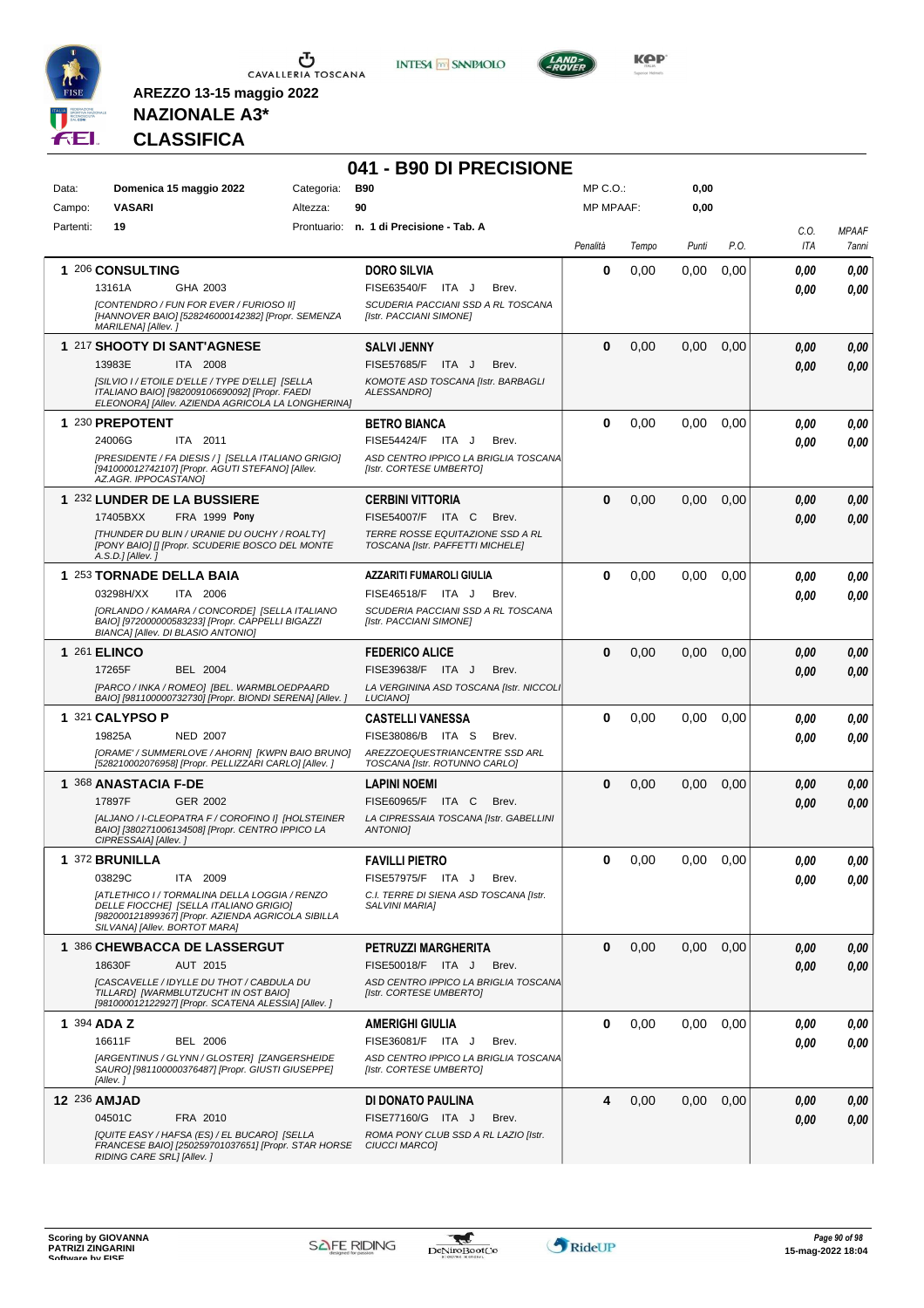

**INTESA** M SANPAOLO



**Kep** 

**0,00**

### **NAZIONALE A3\* CLASSIFICA**

**AREZZO 13-15 maggio 2022**

#### **041 - B90 DI PRECISIONE** Data: **Domenica 15 maggio 2022** Categoria: B90 Prontuario: **n. 1 di Precisione - Tab. A** Altezza: **90** MP C.O.: MP MPAAF:

| Campo:    | <b>VASARI</b>             | Altezza:                                                                                                                                                                       | 90                                                                   | <b>MP MPAAF:</b> |       | 0,00  |      |             |                       |
|-----------|---------------------------|--------------------------------------------------------------------------------------------------------------------------------------------------------------------------------|----------------------------------------------------------------------|------------------|-------|-------|------|-------------|-----------------------|
| Partenti: | 19                        | Prontuario:                                                                                                                                                                    | n. 1 di Precisione - Tab. A                                          | Penalità         | Tempo | Punti | P.O. | C.O.<br>ITA | <b>MPAAF</b><br>7anni |
|           | 1 206 CONSULTING          |                                                                                                                                                                                | <b>DORO SILVIA</b>                                                   | 0                | 0.00  | 0,00  | 0,00 | 0.00        | 0.00                  |
|           | 13161A                    | GHA 2003                                                                                                                                                                       | FISE63540/F ITA J<br>Brev.                                           |                  |       |       |      | 0.00        | 0.00                  |
|           | MARILENA] [Allev.]        | [CONTENDRO / FUN FOR EVER / FURIOSO II]<br>[HANNOVER BAIO] [528246000142382] [Propr. SEMENZA                                                                                   | SCUDERIA PACCIANI SSD A RL TOSCANA<br>[Istr. PACCIANI SIMONE]        |                  |       |       |      |             |                       |
|           |                           | 1 217 SHOOTY DI SANT'AGNESE                                                                                                                                                    | <b>SALVI JENNY</b>                                                   | 0                | 0,00  | 0,00  | 0,00 | 0.00        | 0,00                  |
|           | 13983E                    | ITA 2008                                                                                                                                                                       | <b>FISE57685/F</b><br>ITA J<br>Brev.                                 |                  |       |       |      | 0.00        | 0.00                  |
|           |                           | [SILVIO I / ETOILE D'ELLE / TYPE D'ELLE] [SELLA<br>ITALIANO BAIO] [982009106690092] [Propr. FAEDI<br>ELEONORA] [Allev. AZIENDA AGRICOLA LA LONGHERINA]                         | KOMOTE ASD TOSCANA [Istr. BARBAGLI<br><b>ALESSANDROI</b>             |                  |       |       |      |             |                       |
|           | 1 230 PREPOTENT           |                                                                                                                                                                                | <b>BETRO BIANCA</b>                                                  | 0                | 0,00  | 0,00  | 0,00 | 0,00        | 0,00                  |
|           | 24006G                    | ITA 2011                                                                                                                                                                       | FISE54424/F ITA J<br>Brev.                                           |                  |       |       |      | 0.00        | 0.00                  |
|           | AZ.AGR. IPPOCASTANO]      | [PRESIDENTE / FA DIESIS / ] [SELLA ITALIANO GRIGIO]<br>[941000012742107] [Propr. AGUTI STEFANO] [Allev.                                                                        | ASD CENTRO IPPICO LA BRIGLIA TOSCANA<br>[Istr. CORTESE UMBERTO]      |                  |       |       |      |             |                       |
|           |                           | 1 232 LUNDER DE LA BUSSIERE                                                                                                                                                    | <b>CERBINI VITTORIA</b>                                              | 0                | 0,00  | 0.00  | 0.00 | 0.00        | 0.00                  |
|           | 17405BXX                  | FRA 1999 Pony                                                                                                                                                                  | FISE54007/F ITA C<br>Brev.                                           |                  |       |       |      | 0.00        | 0,00                  |
|           | A.S.D.] [Allev.]          | [THUNDER DU BLIN / URANIE DU OUCHY / ROALTY]<br>[PONY BAIO] [] [Propr. SCUDERIE BOSCO DEL MONTE                                                                                | TERRE ROSSE EQUITAZIONE SSD A RL<br>TOSCANA [Istr. PAFFETTI MICHELE] |                  |       |       |      |             |                       |
|           | 1 253 TORNADE DELLA BAIA  |                                                                                                                                                                                | <b>AZZARITI FUMAROLI GIULIA</b>                                      | 0                | 0,00  | 0,00  | 0,00 | 0.00        | 0,00                  |
|           | 03298H/XX                 | ITA 2006                                                                                                                                                                       | FISE46518/F ITA J<br>Brev.                                           |                  |       |       |      | 0.00        | 0.00                  |
|           |                           | [ORLANDO / KAMARA / CONCORDE] [SELLA ITALIANO<br>BAIOI [972000000583233] [Propr. CAPPELLI BIGAZZI<br>BIANCA] [Allev. DI BLASIO ANTONIO]                                        | SCUDERIA PACCIANI SSD A RL TOSCANA<br>[Istr. PACCIANI SIMONE]        |                  |       |       |      |             |                       |
|           | <b>1 261 ELINCO</b>       |                                                                                                                                                                                | <b>FEDERICO ALICE</b>                                                | 0                | 0,00  | 0,00  | 0,00 | 0.00        | 0.00                  |
|           | 17265F                    | BEL 2004                                                                                                                                                                       | FISE39638/F ITA J<br>Brev.                                           |                  |       |       |      | 0.00        | 0.00                  |
|           |                           | [PARCO / INKA / ROMEO] [BEL. WARMBLOEDPAARD<br>BAIO] [981100000732730] [Propr. BIONDI SERENA] [Allev.]                                                                         | LA VERGININA ASD TOSCANA [Istr. NICCOLI<br>LUCIANO]                  |                  |       |       |      |             |                       |
|           | 1 321 CALYPSO P           |                                                                                                                                                                                | <b>CASTELLI VANESSA</b>                                              | 0                | 0,00  | 0,00  | 0,00 | 0.00        | 0.00                  |
|           | 19825A                    | <b>NED 2007</b>                                                                                                                                                                | FISE38086/B ITA S<br>Brev.                                           |                  |       |       |      | 0.00        | 0.00                  |
|           |                           | [ORAME' / SUMMERLOVE / AHORN] [KWPN BAIO BRUNO]<br>[528210002076958] [Propr. PELLIZZARI CARLO] [Allev.]                                                                        | AREZZOEQUESTRIANCENTRE SSD ARL<br>TOSCANA [Istr. ROTUNNO CARLO]      |                  |       |       |      |             |                       |
|           | 1 368 ANASTACIA F-DE      |                                                                                                                                                                                | <b>LAPINI NOEMI</b>                                                  | 0                | 0,00  | 0,00  | 0,00 | 0.00        | 0,00                  |
|           | 17897F                    | GER 2002                                                                                                                                                                       | FISE60965/F ITA C<br>Brev.                                           |                  |       |       |      | 0.00        | 0,00                  |
|           | CIPRESSAIA] [Allev.]      | [ALJANO / I-CLEOPATRA F / COROFINO I] [HOLSTEINER<br>BAIO] [380271006134508] [Propr. CENTRO IPPICO LA                                                                          | LA CIPRESSAIA TOSCANA [Istr. GABELLINI<br><b>ANTONIOI</b>            |                  |       |       |      |             |                       |
|           | 1 372 BRUNILLA            |                                                                                                                                                                                | <b>FAVILLI PIETRO</b>                                                | 0                | 0,00  | 0.00  | 0,00 | 0,00        | 0,00                  |
|           | 03829C                    | ITA 2009                                                                                                                                                                       | FISE57975/F ITA J<br>Brev.                                           |                  |       |       |      | 0.00        | 0.00                  |
|           |                           | [ATLETHICO I / TORMALINA DELLA LOGGIA / RENZO<br>DELLE FIOCCHE] [SELLA ITALIANO GRIGIO]<br>[982000121899367] [Propr. AZIENDA AGRICOLA SIBILLA<br>SILVANA] [Allev. BORTOT MARA] | C.I. TERRE DI SIENA ASD TOSCANA [Istr.<br>SALVINI MARIA]             |                  |       |       |      |             |                       |
|           |                           | 1 386 CHEWBACCA DE LASSERGUT                                                                                                                                                   | PETRUZZI MARGHERITA                                                  | 0                | 0,00  | 0,00  | 0,00 | 0,00        | 0,00                  |
|           | 18630F                    | AUT 2015                                                                                                                                                                       | FISE50018/F ITA J<br>Brev.                                           |                  |       |       |      | 0.00        | 0.00                  |
|           |                           | [CASCAVELLE / IDYLLE DU THOT / CABDULA DU<br>TILLARD] [WARMBLUTZUCHT IN OST BAIO]<br>[981000012122927] [Propr. SCATENA ALESSIA] [Allev.]                                       | ASD CENTRO IPPICO LA BRIGLIA TOSCANA<br>[Istr. CORTESE UMBERTO]      |                  |       |       |      |             |                       |
|           | 1 394 ADA Z               |                                                                                                                                                                                | <b>AMERIGHI GIULIA</b>                                               | 0                | 0,00  | 0,00  | 0,00 | 0,00        | 0,00                  |
|           | 16611F                    | <b>BEL 2006</b>                                                                                                                                                                | FISE36081/F ITA J<br>Brev.                                           |                  |       |       |      | 0,00        | 0.00                  |
|           | [Allev.]                  | [ARGENTINUS / GLYNN / GLOSTER] [ZANGERSHEIDE<br>SAURO] [981100000376487] [Propr. GIUSTI GIUSEPPE]                                                                              | ASD CENTRO IPPICO LA BRIGLIA TOSCANA<br>[Istr. CORTESE UMBERTO]      |                  |       |       |      |             |                       |
|           | 12 236 AMJAD              |                                                                                                                                                                                | DI DONATO PAULINA                                                    | 4                | 0,00  | 0,00  | 0,00 | 0,00        | 0,00                  |
|           | 04501C                    | FRA 2010                                                                                                                                                                       | FISE77160/G ITA J<br>Brev.                                           |                  |       |       |      | 0,00        | 0.00                  |
|           | RIDING CARE SRL] [Allev.] | [QUITE EASY / HAFSA (ES) / EL BUCARO] [SELLA<br>FRANCESE BAIO] [250259701037651] [Propr. STAR HORSE                                                                            | ROMA PONY CLUB SSD A RL LAZIO [Istr.<br>CIUCCI MARCO]                |                  |       |       |      |             |                       |

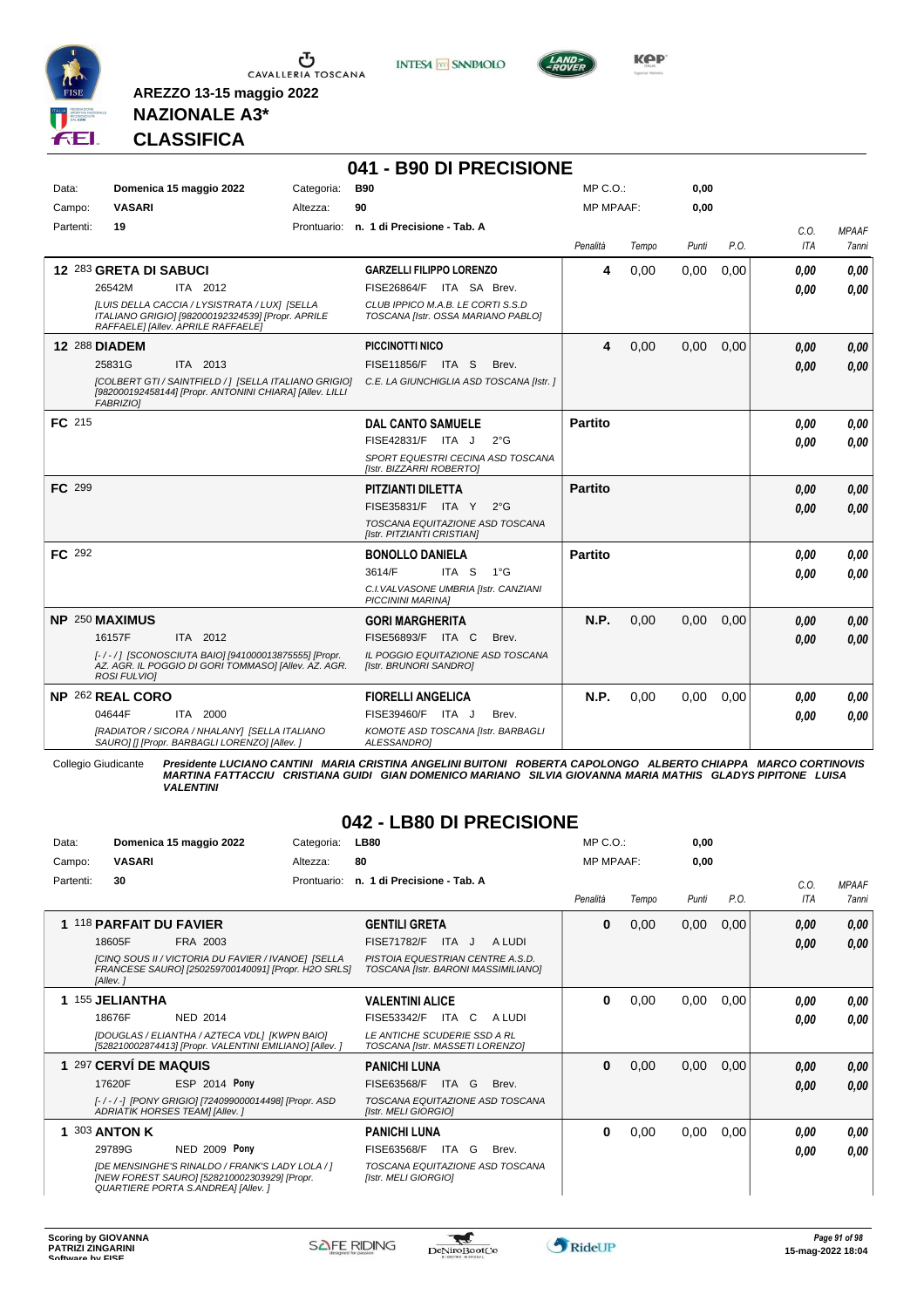

**INTESA M** SANPAOLO

**041 - B90 DI PRECISIONE**



**Kep** 

#### **NAZIONALE A3\* CLASSIFICA**

**AREZZO 13-15 maggio 2022**

| Data:     | Domenica 15 maggio 2022                                                                                                                  | Categoria: | <b>B90</b>                                                              | MP C.O.:         |       | 0,00  |      |             |                       |
|-----------|------------------------------------------------------------------------------------------------------------------------------------------|------------|-------------------------------------------------------------------------|------------------|-------|-------|------|-------------|-----------------------|
| Campo:    | <b>VASARI</b>                                                                                                                            | Altezza:   | 90                                                                      | <b>MP MPAAF:</b> |       | 0,00  |      |             |                       |
| Partenti: | 19                                                                                                                                       |            | Prontuario: n. 1 di Precisione - Tab. A                                 | Penalità         | Tempo | Punti | P.O. | C.O.<br>ITA | <b>MPAAF</b><br>7anni |
|           | 12 283 GRETA DI SABUCI                                                                                                                   |            | <b>GARZELLI FILIPPO LORENZO</b>                                         | 4                | 0,00  | 0,00  | 0,00 | 0.00        | 0.00                  |
|           | 26542M<br>ITA 2012                                                                                                                       |            | FISE26864/F ITA SA Brev.                                                |                  |       |       |      | 0.00        | 0.00                  |
|           | [LUIS DELLA CACCIA / LYSISTRATA / LUX] [SELLA<br>ITALIANO GRIGIO] [982000192324539] [Propr. APRILE<br>RAFFAELE] [Allev. APRILE RAFFAELE] |            | CLUB IPPICO M.A.B. LE CORTI S.S.D<br>TOSCANA [Istr. OSSA MARIANO PABLO] |                  |       |       |      |             |                       |
|           | <b>12 288 DIADEM</b>                                                                                                                     |            | PICCINOTTI NICO                                                         | 4                | 0,00  | 0,00  | 0,00 | 0,00        | 0,00                  |
|           | 25831G<br>ITA 2013                                                                                                                       |            | <b>FISE11856/F ITA S</b><br>Brev.                                       |                  |       |       |      | 0.00        | 0.00                  |
|           | [COLBERT GTI / SAINTFIELD / ] [SELLA ITALIANO GRIGIO]<br>[982000192458144] [Propr. ANTONINI CHIARA] [Allev. LILLI<br><b>FABRIZIO1</b>    |            | C.E. LA GIUNCHIGLIA ASD TOSCANA [Istr. ]                                |                  |       |       |      |             |                       |
| FC 215    |                                                                                                                                          |            | <b>DAL CANTO SAMUELE</b>                                                | <b>Partito</b>   |       |       |      | 0,00        | 0,00                  |
|           |                                                                                                                                          |            | $FISE42831/F$ ITA J<br>$2^{\circ}$ G                                    |                  |       |       |      | 0.00        | 0.00                  |
|           |                                                                                                                                          |            | SPORT EQUESTRI CECINA ASD TOSCANA<br>[Istr. BIZZARRI ROBERTO]           |                  |       |       |      |             |                       |
| FC 299    |                                                                                                                                          |            | <b>PITZIANTI DILETTA</b>                                                | <b>Partito</b>   |       |       |      | 0.00        | 0.00                  |
|           |                                                                                                                                          |            | FISE35831/F ITA Y<br>$2^{\circ}G$                                       |                  |       |       |      | 0.00        | 0.00                  |
|           |                                                                                                                                          |            | TOSCANA EQUITAZIONE ASD TOSCANA<br>[Istr. PITZIANTI CRISTIAN]           |                  |       |       |      |             |                       |
| FC 292    |                                                                                                                                          |            | <b>BONOLLO DANIELA</b>                                                  | <b>Partito</b>   |       |       |      | 0.00        | 0.00                  |
|           |                                                                                                                                          |            | 3614/F<br>ITA S<br>$1^{\circ}G$                                         |                  |       |       |      | 0.00        | 0.00                  |
|           |                                                                                                                                          |            | C.I. VALVASONE UMBRIA [Istr. CANZIANI<br><b>PICCININI MARINA1</b>       |                  |       |       |      |             |                       |
|           | NP 250 MAXIMUS                                                                                                                           |            | <b>GORI MARGHERITA</b>                                                  | N.P.             | 0.00  | 0.00  | 0,00 | 0,00        | 0,00                  |
|           | 16157F<br>ITA 2012                                                                                                                       |            | FISE56893/F ITA C<br>Brev.                                              |                  |       |       |      | 0.00        | 0.00                  |
|           | [-/-/] [SCONOSCIUTA BAIO] [941000013875555] [Propr.<br>AZ. AGR. IL POGGIO DI GORI TOMMASO] [Allev. AZ. AGR.<br>ROSI FULVIO]              |            | IL POGGIO EQUITAZIONE ASD TOSCANA<br>[Istr. BRUNORI SANDRO]             |                  |       |       |      |             |                       |
|           | <b>NP 262 REAL CORO</b>                                                                                                                  |            | <b>FIORELLI ANGELICA</b>                                                | N.P.             | 0.00  | 0,00  | 0,00 | 0.00        | 0,00                  |
|           | ITA 2000<br>04644F                                                                                                                       |            | FISE39460/F ITA J<br>Brev.                                              |                  |       |       |      | 0,00        | 0.00                  |
|           | [RADIATOR / SICORA / NHALANY] [SELLA ITALIANO<br>SAURO] [] [Propr. BARBAGLI LORENZO] [Allev.]                                            |            | KOMOTE ASD TOSCANA [Istr. BARBAGLI<br>ALESSANDRO]                       |                  |       |       |      |             |                       |

Collegio Giudicante Presidente LUCIANO CANTINI MARIA CRISTINA ANGELINI BUITONI ROBERTA CAPOLONGO ALBERTO CHIAPPA MARCO CORTINOVIS<br>MARTINA FATTACCIU CRISTIANA GUIDI GIAN DOMENICO MARIANO SILVIA GIOVANNA MARIA MATHIS GLADYS *VALENTINI*

#### **042 - LB80 DI PRECISIONE**

| Data:     | Domenica 15 maggio 2022                                                                                                               | Categoria:  | <b>LB80</b>                                                             | $MP C. O.$ :     |       | 0,00  |      |            |              |
|-----------|---------------------------------------------------------------------------------------------------------------------------------------|-------------|-------------------------------------------------------------------------|------------------|-------|-------|------|------------|--------------|
| Campo:    | <b>VASARI</b>                                                                                                                         | Altezza:    | 80                                                                      | <b>MP MPAAF:</b> |       | 0,00  |      |            |              |
| Partenti: | 30                                                                                                                                    | Prontuario: | n. 1 di Precisione - Tab. A                                             |                  |       |       |      | C.0.       | <b>MPAAF</b> |
|           |                                                                                                                                       |             |                                                                         | Penalità         | Tempo | Punti | P.O. | <b>ITA</b> | 7anni        |
|           | 118 PARFAIT DU FAVIER                                                                                                                 |             | <b>GENTILI GRETA</b>                                                    | 0                | 0,00  | 0,00  | 0,00 | 0,00       | 0,00         |
|           | 18605F<br>FRA 2003                                                                                                                    |             | <b>FISE71782/F</b><br>ITA J<br>A LUDI                                   |                  |       |       |      | 0,00       | 0,00         |
|           | [CINQ SOUS II / VICTORIA DU FAVIER / IVANOE] [SELLA<br>FRANCESE SAURO] [250259700140091] [Propr. H2O SRLS]<br>[Allev.]                |             | PISTOIA EQUESTRIAN CENTRE A.S.D.<br>TOSCANA [Istr. BARONI MASSIMILIANO] |                  |       |       |      |            |              |
|           | 155 JELIANTHA                                                                                                                         |             | <b>VALENTINI ALICE</b>                                                  | 0                | 0,00  | 0,00  | 0,00 | 0.00       | 0,00         |
|           | 18676F<br><b>NED 2014</b>                                                                                                             |             | FISE53342/F<br>ITA C<br>A LUDI                                          |                  |       |       |      | 0.00       | 0.00         |
|           | [DOUGLAS / ELIANTHA / AZTECA VDL] [KWPN BAIO]<br>[528210002874413] [Propr. VALENTINI EMILIANO] [Allev. ]                              |             | LE ANTICHE SCUDERIE SSD A RL<br>TOSCANA [Istr. MASSETI LORENZO]         |                  |       |       |      |            |              |
|           | 1 297 CERVÍ DE MAQUIS                                                                                                                 |             | <b>PANICHI LUNA</b>                                                     | $\bf{0}$         | 0,00  | 0,00  | 0,00 | 0,00       | 0,00         |
|           | ESP 2014 Pony<br>17620F                                                                                                               |             | FISE63568/F<br><b>ITA</b><br>G<br>Brev.                                 |                  |       |       |      | 0,00       | 0,00         |
|           | [-/-/-] [PONY GRIGIO] [724099000014498] [Propr. ASD<br>ADRIATIK HORSES TEAM] [Allev. ]                                                |             | TOSCANA EQUITAZIONE ASD TOSCANA<br>[Istr. MELI GIORGIO]                 |                  |       |       |      |            |              |
|           | 303 ANTON K                                                                                                                           |             | <b>PANICHI LUNA</b>                                                     | 0                | 0,00  | 0,00  | 0,00 | 0.00       | 0,00         |
|           | <b>NED 2009 Pony</b><br>29789G                                                                                                        |             | ITA G<br>FISE63568/F<br>Brev.                                           |                  |       |       |      | 0.00       | 0.00         |
|           | [DE MENSINGHE'S RINALDO / FRANK'S LADY LOLA / ]<br>[NEW FOREST SAURO] [528210002303929] [Propr.<br>QUARTIERE PORTA S.ANDREA] [Allev.] |             | TOSCANA EQUITAZIONE ASD TOSCANA<br>[Istr. MELI GIORGIO]                 |                  |       |       |      |            |              |

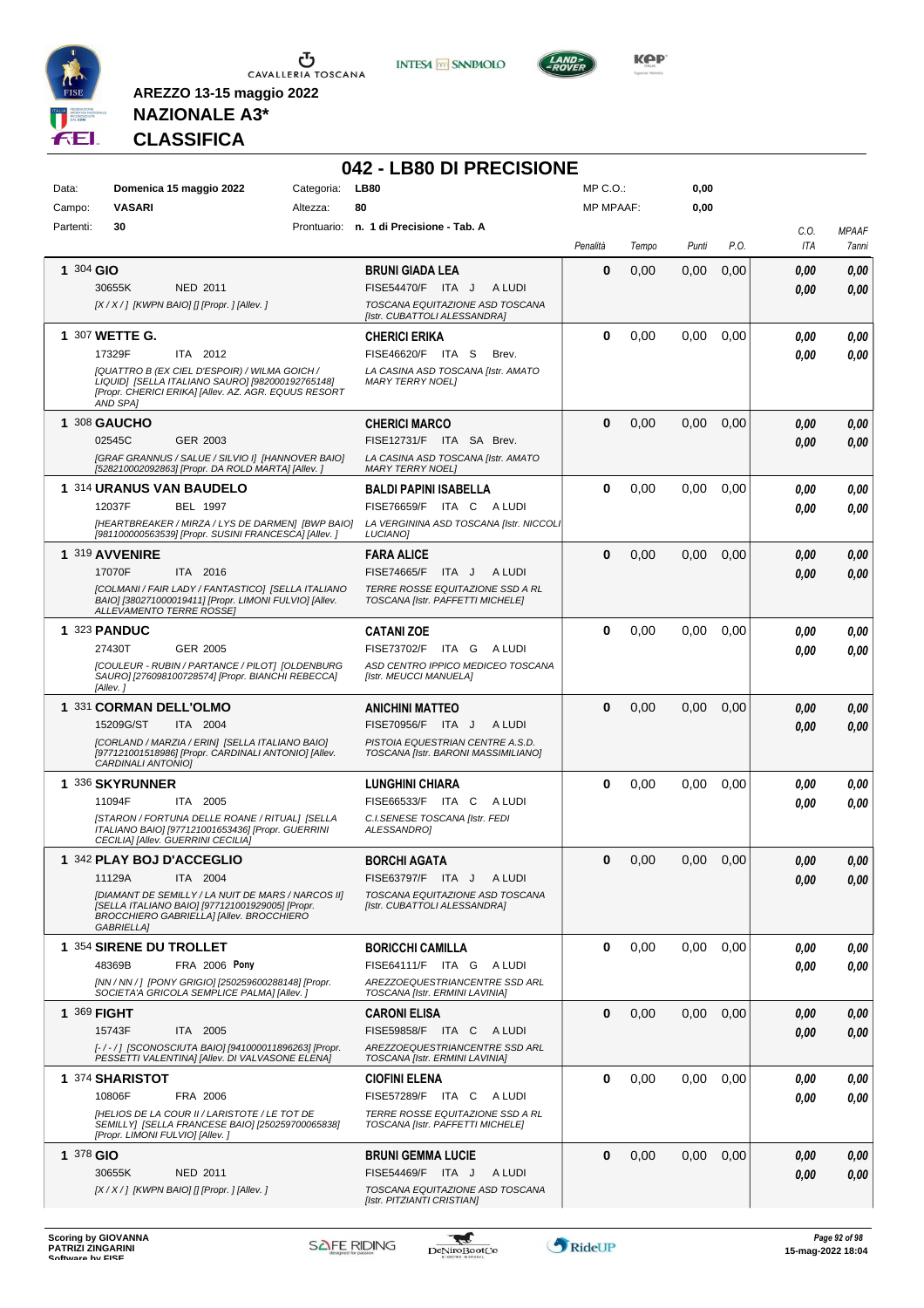





**KOP** 

# **NAZIONALE A3\* CLASSIFICA**

|                 |                                                                                                                                                                                                                      |                        | 042 - LB80 DI PRECISIONE                                                                                                                            |                                  |       |              |      |              |                       |
|-----------------|----------------------------------------------------------------------------------------------------------------------------------------------------------------------------------------------------------------------|------------------------|-----------------------------------------------------------------------------------------------------------------------------------------------------|----------------------------------|-------|--------------|------|--------------|-----------------------|
| Data:<br>Campo: | Domenica 15 maggio 2022<br><b>VASARI</b>                                                                                                                                                                             | Categoria:<br>Altezza: | <b>LB80</b><br>80                                                                                                                                   | $MP C. O.$ :<br><b>MP MPAAF:</b> |       | 0,00<br>0,00 |      |              |                       |
| Partenti:       | 30                                                                                                                                                                                                                   |                        | Prontuario: n. 1 di Precisione - Tab. A                                                                                                             | Penalità                         | Tempo | Punti        | P.O. | C.O.<br>ITA  | <b>MPAAF</b><br>7anni |
| 1 304 GIO       | 30655K<br>NED 2011<br>[X / X / ] [KWPN BAIO] [] [Propr. ] [Allev. ]                                                                                                                                                  |                        | <b>BRUNI GIADA LEA</b><br>FISE54470/F ITA J<br>A LUDI<br>TOSCANA EQUITAZIONE ASD TOSCANA                                                            | 0                                | 0,00  | 0,00         | 0,00 | 0,00<br>0.00 | 0,00<br>0,00          |
|                 | 1 307 WETTE G.<br>17329F<br>ITA 2012<br>[QUATTRO B (EX CIEL D'ESPOIR) / WILMA GOICH /<br>LIQUID] [SELLA ITALIANO SAURO] [982000192765148]<br>[Propr. CHERICI ERIKA] [Allev. AZ. AGR. EQUUS RESORT<br><b>AND SPAI</b> |                        | [Istr. CUBATTOLI ALESSANDRA]<br><b>CHERICI ERIKA</b><br>FISE46620/F ITA S<br>Brev.<br>LA CASINA ASD TOSCANA [Istr. AMATO<br><b>MARY TERRY NOEL1</b> | 0                                | 0.00  | 0,00         | 0.00 | 0,00<br>0,00 | 0,00<br>0.00          |
|                 | 1 308 GAUCHO<br>02545C<br>GER 2003<br>[GRAF GRANNUS / SALUE / SILVIO I] [HANNOVER BAIO]<br>[528210002092863] [Propr. DA ROLD MARTA] [Allev. ]                                                                        |                        | <b>CHERICI MARCO</b><br>FISE12731/F ITA SA Brev.<br>LA CASINA ASD TOSCANA [Istr. AMATO<br><b>MARY TERRY NOEL1</b>                                   | $\bf{0}$                         | 0,00  | 0,00         | 0,00 | 0,00<br>0.00 | 0,00<br>0.00          |
|                 | 1 314 URANUS VAN BAUDELO<br>12037F<br><b>BEL 1997</b><br>[HEARTBREAKER / MIRZA / LYS DE DARMEN] [BWP BAIO]<br>[981100000563539] [Propr. SUSINI FRANCESCA] [Allev. ]                                                  |                        | <b>BALDI PAPINI ISABELLA</b><br><b>FISE76659/F ITA C</b><br>A LUDI<br>LA VERGININA ASD TOSCANA [Istr. NICCOLI<br><b>LUCIANO1</b>                    | $\bf{0}$                         | 0,00  | 0,00         | 0,00 | 0,00<br>0,00 | 0,00<br>0.00          |
|                 | 1 319 AVVENIRE<br>17070F<br>ITA 2016<br>[COLMANI / FAIR LADY / FANTASTICO] [SELLA ITALIANO<br>BAIO] [380271000019411] [Propr. LIMONI FULVIO] [Allev.<br><b>ALLEVAMENTO TERRE ROSSEI</b>                              |                        | <b>FARA ALICE</b><br><b>FISE74665/F</b><br>ITA J<br>A LUDI<br>TERRE ROSSE EQUITAZIONE SSD A RL<br>TOSCANA [Istr. PAFFETTI MICHELE]                  | $\bf{0}$                         | 0,00  | 0,00         | 0.00 | 0,00<br>0.00 | 0,00<br>0,00          |
|                 | <b>1 323 PANDUC</b><br>27430T<br>GER 2005<br>[COULEUR - RUBIN / PARTANCE / PILOT] [OLDENBURG<br>SAURO] [276098100728574] [Propr. BIANCHI REBECCA]<br>[Allev.]                                                        |                        | <b>CATANI ZOE</b><br>FISE73702/F ITA G ALUDI<br>ASD CENTRO IPPICO MEDICEO TOSCANA<br>[Istr. MEUCCI MANUELA]                                         | 0                                | 0,00  | 0.00         | 0,00 | 0,00<br>0.00 | 0,00<br>0.00          |
|                 | 1 331 CORMAN DELL'OLMO<br>15209G/ST<br>ITA 2004<br>[CORLAND / MARZIA / ERIN] [SELLA ITALIANO BAIO]<br>[977121001518986] [Propr. CARDINALI ANTONIO] [Allev.<br>CARDINALI ANTONIO]                                     |                        | <b>ANICHINI MATTEO</b><br>FISE70956/F ITA J<br>A LUDI<br>PISTOIA EQUESTRIAN CENTRE A.S.D.<br>TOSCANA [Istr. BARONI MASSIMILIANO]                    | $\bf{0}$                         | 0,00  | 0,00         | 0,00 | 0.00<br>0.00 | 0,00<br>0.00          |
|                 | 1 336 SKYRUNNER<br>11094F<br>ITA 2005<br>[STARON / FORTUNA DELLE ROANE / RITUAL] [SELLA<br>ITALIANO BAIO] [977121001653436] [Propr. GUERRINI<br>CECILIA] [Allev. GUERRINI CECILIA]                                   |                        | <b>LUNGHINI CHIARA</b><br>FISE66533/F ITA C<br>A LUDI<br>C.I.SENESE TOSCANA [Istr. FEDI<br><b>ALESSANDROI</b>                                       | $\bf{0}$                         | 0,00  | 0,00         | 0,00 | 0,00<br>0,00 | 0,00<br>0.00          |
|                 | 1 342 PLAY BOJ D'ACCEGLIO<br>11129A<br>ITA 2004<br>[DIAMANT DE SEMILLY / LA NUIT DE MARS / NARCOS II]<br>[SELLA ITALIANO BAIO] [977121001929005] [Propr.<br>BROCCHIERO GABRIELLA] [Allev. BROCCHIERO<br>GABRIELLA]   |                        | <b>BORCHI AGATA</b><br>FISE63797/F ITA J<br>A LUDI<br>TOSCANA EQUITAZIONE ASD TOSCANA<br>[Istr. CUBATTOLI ALESSANDRA]                               | 0                                | 0,00  | 0,00         | 0,00 | 0,00<br>0,00 | 0,00<br>0,00          |
|                 | 1 354 SIRENE DU TROLLET<br>48369B<br><b>FRA 2006 Pony</b><br>[NN / NN / ] [PONY GRIGIO] [250259600288148] [Propr.<br>SOCIETA'A GRICOLA SEMPLICE PALMA] [Allev. ]                                                     |                        | <b>BORICCHI CAMILLA</b><br>FISE64111/F ITA G ALUDI<br>AREZZOEQUESTRIANCENTRE SSD ARL<br>TOSCANA [Istr. ERMINI LAVINIA]                              | 0                                | 0,00  | 0.00         | 0.00 | 0,00<br>0,00 | 0,00<br>0,00          |
| 1 369 FIGHT     | 15743F<br>ITA 2005<br>[-/-/] [SCONOSCIUTA BAIO] [941000011896263] [Propr.<br>PESSETTI VALENTINA] [Allev. DI VALVASONE ELENA]                                                                                         |                        | <b>CARONI ELISA</b><br>FISE59858/F ITA C ALUDI<br>AREZZOEQUESTRIANCENTRE SSD ARL<br>TOSCANA [Istr. ERMINI LAVINIA]                                  | $\bf{0}$                         | 0,00  | 0,00         | 0,00 | 0,00<br>0,00 | 0,00<br>0,00          |
|                 | 1 374 SHARISTOT<br>10806F<br>FRA 2006<br>[HELIOS DE LA COUR II / LARISTOTE / LE TOT DE<br>SEMILLY] [SELLA FRANCESE BAIO] [250259700065838]<br>[Propr. LIMONI FULVIO] [Allev.]                                        |                        | <b>CIOFINI ELENA</b><br>FISE57289/F ITA C<br>A LUDI<br>TERRE ROSSE EQUITAZIONE SSD A RL<br>TOSCANA [Istr. PAFFETTI MICHELE]                         | 0                                | 0,00  | 0,00         | 0,00 | 0,00<br>0,00 | 0,00<br>0,00          |
| 1 378 GIO       | 30655K<br>NED 2011<br>$[X/X$ / ] [KWPN BAIO] [] [Propr. ] [Allev. ]                                                                                                                                                  |                        | <b>BRUNI GEMMA LUCIE</b><br>FISE54469/F ITA J<br>A LUDI<br>TOSCANA EQUITAZIONE ASD TOSCANA<br>[Istr. PITZIANTI CRISTIAN]                            | $\bf{0}$                         | 0,00  | 0,00         | 0,00 | 0,00<br>0,00 | 0,00<br>0,00          |

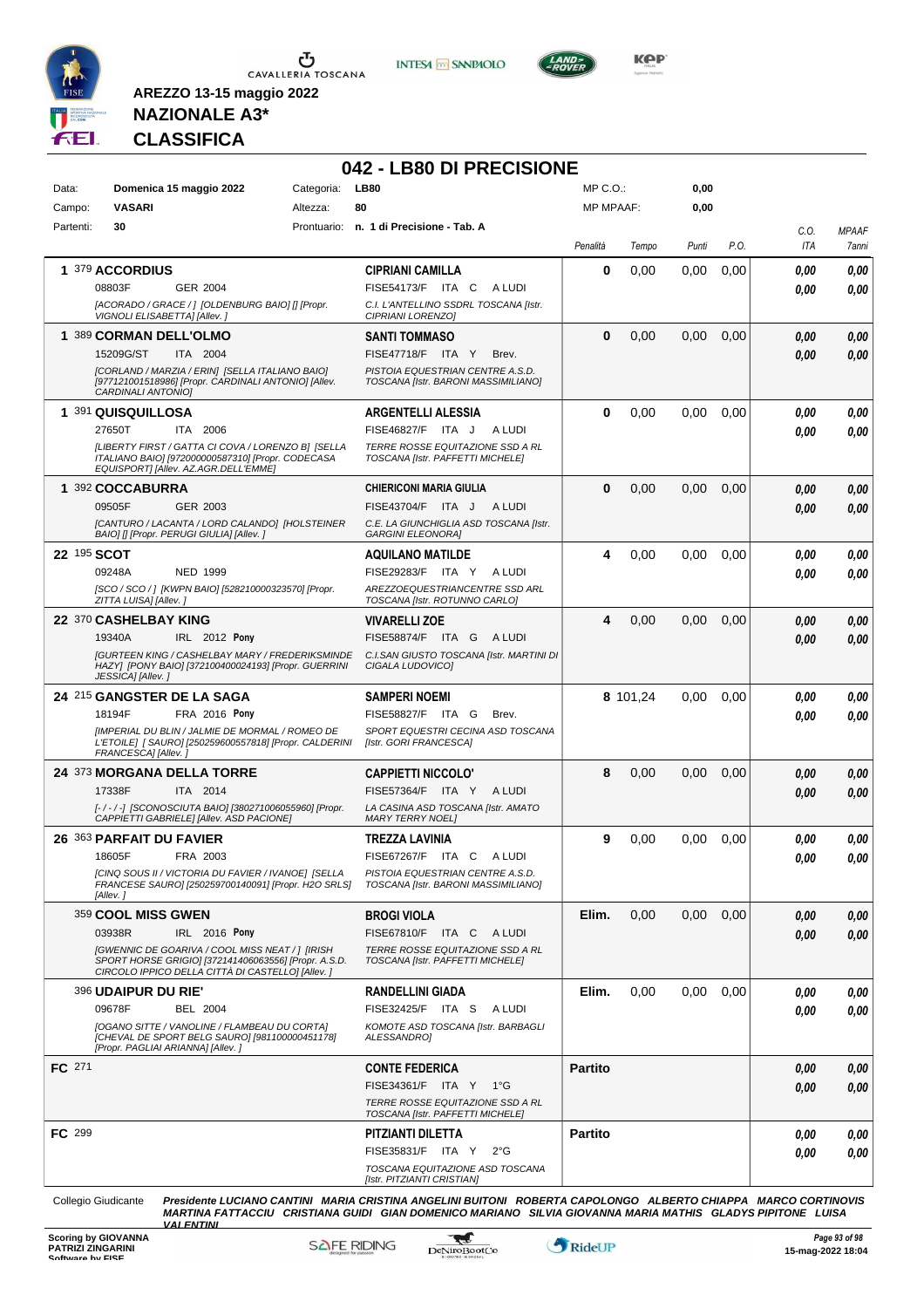

**INTESA** M SANPAOLO



**NAZIONALE A3\* CLASSIFICA**

**AREZZO 13-15 maggio 2022**

# **042 - LB80 DI PRECISIONE**

| Data:     | Domenica 15 maggio 2022                                                                                                                                     | Categoria: | <b>LB80</b>                                                             | MP C.O.:         |          | 0,00  |      |              |                       |
|-----------|-------------------------------------------------------------------------------------------------------------------------------------------------------------|------------|-------------------------------------------------------------------------|------------------|----------|-------|------|--------------|-----------------------|
| Campo:    | <b>VASARI</b>                                                                                                                                               | Altezza:   | 80                                                                      | <b>MP MPAAF:</b> |          | 0,00  |      |              |                       |
| Partenti: | 30                                                                                                                                                          |            | Prontuario: n. 1 di Precisione - Tab. A                                 | Penalità         | Tempo    | Punti | P.O. | C.O.<br>ITA  | <b>MPAAF</b><br>7anni |
|           | 1 379 ACCORDIUS                                                                                                                                             |            | <b>CIPRIANI CAMILLA</b>                                                 | $\bf{0}$         | 0.00     | 0,00  | 0,00 | 0,00         | 0,00                  |
|           | 08803F<br>GER 2004                                                                                                                                          |            | FISE54173/F ITA C ALUDI                                                 |                  |          |       |      | 0.00         | 0.00                  |
|           | [ACORADO / GRACE / ] [OLDENBURG BAIO] [] [Propr.<br>VIGNOLI ELISABETTA] [Allev.]                                                                            |            | C.I. L'ANTELLINO SSDRL TOSCANA [Istr.<br>CIPRIANI LORENZO]              |                  |          |       |      |              |                       |
|           | 1 389 CORMAN DELL'OLMO                                                                                                                                      |            | <b>SANTI TOMMASO</b>                                                    | $\bf{0}$         | 0,00     | 0,00  | 0,00 | 0,00         | 0,00                  |
|           | 15209G/ST<br>ITA 2004                                                                                                                                       |            | FISE47718/F ITA Y<br>Brev.                                              |                  |          |       |      | 0.00         | 0,00                  |
|           | [CORLAND / MARZIA / ERIN] [SELLA ITALIANO BAIO]<br>[977121001518986] [Propr. CARDINALI ANTONIO] [Allev.<br>CARDINALI ANTONIOI                               |            | PISTOIA EQUESTRIAN CENTRE A.S.D.<br>TOSCANA [Istr. BARONI MASSIMILIANO] |                  |          |       |      |              |                       |
|           | 1 391 QUISQUILLOSA                                                                                                                                          |            | <b>ARGENTELLI ALESSIA</b>                                               | 0                | 0,00     | 0,00  | 0,00 | 0.00         | 0,00                  |
|           | 27650T<br>ITA 2006                                                                                                                                          |            | FISE46827/F ITA J<br>A LUDI                                             |                  |          |       |      | 0.00         | 0,00                  |
|           | [LIBERTY FIRST / GATTA CI COVA / LORENZO B] [SELLA<br>ITALIANO BAIO] [972000000587310] [Propr. CODECASA<br>EQUISPORT] [Allev. AZ.AGR.DELL'EMME]             |            | TERRE ROSSE EQUITAZIONE SSD A RL<br>TOSCANA [Istr. PAFFETTI MICHELE]    |                  |          |       |      |              |                       |
|           | 1 392 COCCABURRA                                                                                                                                            |            | <b>CHIERICONI MARIA GIULIA</b>                                          | $\bf{0}$         | 0,00     | 0.00  | 0,00 | 0.00         | 0,00                  |
|           | 09505F<br>GER 2003                                                                                                                                          |            | FISE43704/F ITA J<br>A LUDI                                             |                  |          |       |      | 0.00         | 0,00                  |
|           | [CANTURO / LACANTA / LORD CALANDO] [HOLSTEINER<br>BAIO] [] [Propr. PERUGI GIULIA] [Allev. ]                                                                 |            | C.E. LA GIUNCHIGLIA ASD TOSCANA [Istr.<br><b>GARGINI ELEONORA]</b>      |                  |          |       |      |              |                       |
|           | 22 195 SCOT                                                                                                                                                 |            |                                                                         | 4                | 0,00     | 0,00  | 0,00 |              | 0,00                  |
|           | 09248A<br><b>NED 1999</b>                                                                                                                                   |            | <b>AQUILANO MATILDE</b><br>FISE29283/F ITA Y<br>A LUDI                  |                  |          |       |      | 0.00<br>0.00 | 0.00                  |
|           | [SCO / SCO / ] [KWPN BAIO] [528210000323570] [Propr.                                                                                                        |            | AREZZOEQUESTRIANCENTRE SSD ARL                                          |                  |          |       |      |              |                       |
|           | ZITTA LUISA] [Allev.]                                                                                                                                       |            | TOSCANA [Istr. ROTUNNO CARLO]                                           |                  |          |       |      |              |                       |
|           | 22 370 CASHELBAY KING                                                                                                                                       |            | <b>VIVARELLI ZOE</b>                                                    | 4                | 0,00     | 0,00  | 0,00 | 0,00         | 0,00                  |
|           | 19340A<br>IRL 2012 Pony                                                                                                                                     |            | FISE58874/F ITA G<br>A LUDI                                             |                  |          |       |      | 0.00         | 0.00                  |
|           | <b>[GURTEEN KING / CASHELBAY MARY / FREDERIKSMINDE</b><br>HAZY] [PONY BAIO] [372100400024193] [Propr. GUERRINI<br>JESSICA] [Allev.]                         |            | C.I.SAN GIUSTO TOSCANA [Istr. MARTINI DI<br>CIGALA LUDOVICO]            |                  |          |       |      |              |                       |
|           | 24 215 GANGSTER DE LA SAGA                                                                                                                                  |            | <b>SAMPERI NOEMI</b>                                                    |                  | 8 101,24 | 0,00  | 0,00 | 0.00         | 0,00                  |
|           | 18194F<br>FRA 2016 Pony                                                                                                                                     |            | FISE58827/F ITA G<br>Brev.                                              |                  |          |       |      | 0.00         | 0,00                  |
|           | [IMPERIAL DU BLIN / JALMIE DE MORMAL / ROMEO DE<br>L'ETOILE] [ SAURO] [250259600557818] [Propr. CALDERINI<br>FRANCESCA] [Allev.]                            |            | SPORT EQUESTRI CECINA ASD TOSCANA<br>[Istr. GORI FRANCESCA]             |                  |          |       |      |              |                       |
|           | 24 373 MORGANA DELLA TORRE                                                                                                                                  |            | <b>CAPPIETTI NICCOLO'</b>                                               | 8                | 0,00     | 0.00  | 0,00 | 0.00         | 0,00                  |
|           | 17338F<br>ITA 2014                                                                                                                                          |            | FISE57364/F ITA Y ALUDI                                                 |                  |          |       |      | 0.00         | 0.00                  |
|           | [-/-/-] [SCONOSCIUTA BAIO] [380271006055960] [Propr.<br>CAPPIETTI GABRIELE] [Allev. ASD PACIONE]                                                            |            | LA CASINA ASD TOSCANA [Istr. AMATO<br><b>MARY TERRY NOEL1</b>           |                  |          |       |      |              |                       |
|           | 26 363 PARFAIT DU FAVIER                                                                                                                                    |            | <b>TREZZA LAVINIA</b>                                                   | 9                | 0.00     | 0,00  | 0.00 | 0,00         | 0,00                  |
|           | FRA 2003<br>18605F                                                                                                                                          |            | FISE67267/F ITA C ALUDI                                                 |                  |          |       |      | 0.00         | 0.00                  |
|           | [CINQ SOUS II / VICTORIA DU FAVIER / IVANOE] [SELLA<br>FRANCESE SAURO] [250259700140091] [Propr. H2O SRLS]<br>[Allev.]                                      |            | PISTOIA EQUESTRIAN CENTRE A.S.D.<br>TOSCANA [Istr. BARONI MASSIMILIANO] |                  |          |       |      |              |                       |
|           | 359 COOL MISS GWEN                                                                                                                                          |            | <b>BROGI VIOLA</b>                                                      | Elim.            | 0,00     | 0,00  | 0,00 | 0,00         | 0,00                  |
|           | IRL 2016 Pony<br>03938R                                                                                                                                     |            | FISE67810/F ITA C ALUDI                                                 |                  |          |       |      | 0.00         | 0,00                  |
|           |                                                                                                                                                             |            |                                                                         |                  |          |       |      |              |                       |
|           | [GWENNIC DE GOARIVA / COOL MISS NEAT / ] [IRISH<br>SPORT HORSE GRIGIO] [372141406063556] [Propr. A.S.D.<br>CIRCOLO IPPICO DELLA CITTÀ DI CASTELLO] [Allev.] |            | TERRE ROSSE EQUITAZIONE SSD A RL<br>TOSCANA [Istr. PAFFETTI MICHELE]    |                  |          |       |      |              |                       |
|           | <b>396 UDAIPUR DU RIE'</b>                                                                                                                                  |            | <b>RANDELLINI GIADA</b>                                                 | Elim.            | 0,00     | 0,00  | 0,00 | 0.00         | 0,00                  |
|           | 09678F<br>BEL 2004                                                                                                                                          |            | FISE32425/F ITA S ALUDI                                                 |                  |          |       |      | 0.00         | 0,00                  |
|           | [OGANO SITTE / VANOLINE / FLAMBEAU DU CORTA]<br>[CHEVAL DE SPORT BELG SAURO] [981100000451178]<br>[Propr. PAGLIAI ARIANNA] [Allev.]                         |            | KOMOTE ASD TOSCANA [Istr. BARBAGLI<br>ALESSANDRO]                       |                  |          |       |      |              |                       |
| FC 271    |                                                                                                                                                             |            | <b>CONTE FEDERICA</b>                                                   | <b>Partito</b>   |          |       |      | 0,00         | 0,00                  |
|           |                                                                                                                                                             |            | FISE34361/F ITA Y 1°G                                                   |                  |          |       |      | 0.00         | 0,00                  |
|           |                                                                                                                                                             |            | TERRE ROSSE EQUITAZIONE SSD A RL<br>TOSCANA [Istr. PAFFETTI MICHELE]    |                  |          |       |      |              |                       |
| FC 299    |                                                                                                                                                             |            | PITZIANTI DILETTA                                                       | <b>Partito</b>   |          |       |      | 0.00         | 0,00                  |
|           |                                                                                                                                                             |            | FISE35831/F ITA Y<br>$2^{\circ}G$<br>TOSCANA EQUITAZIONE ASD TOSCANA    |                  |          |       |      | 0.00         | 0,00                  |

Collegio Giudicante Presidente LUCIANO CANTINI MARIA CRISTINA ANGELINI BUITONI ROBERTA CAPOLONGO ALBERTO CHIAPPA MARCO CORTINOVIS<br>MARTINA FATTACCIU CRISTIANA GUIDI GIAN DOMENICO MARIANO SILVIA GIOVANNA MARIA MATHIS GLADYS

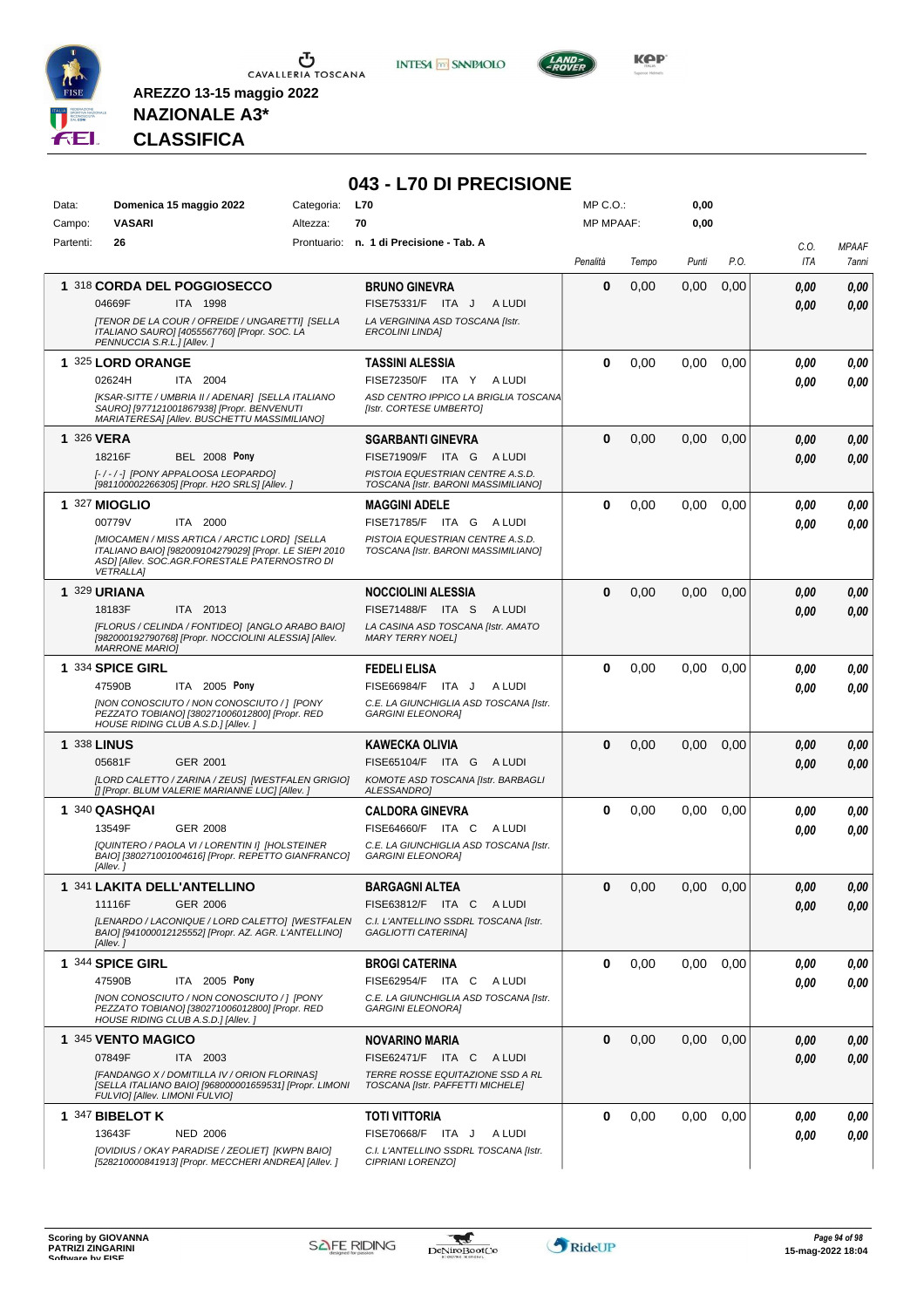

**INTESA M** SANPAOLO



**NAZIONALE A3\* CLASSIFICA**

|                    |                                                                                                                                                                                     |            | 043 - L70 DI PRECISIONE                                                                  |                  |       |       |      |             |                       |
|--------------------|-------------------------------------------------------------------------------------------------------------------------------------------------------------------------------------|------------|------------------------------------------------------------------------------------------|------------------|-------|-------|------|-------------|-----------------------|
| Data:              | Domenica 15 maggio 2022                                                                                                                                                             | Categoria: | <b>L70</b>                                                                               | $MP C. O.$ :     |       | 0,00  |      |             |                       |
| Campo:             | <b>VASARI</b>                                                                                                                                                                       | Altezza:   | 70                                                                                       | <b>MP MPAAF:</b> |       | 0,00  |      |             |                       |
| Partenti:          | 26                                                                                                                                                                                  |            | Prontuario: n. 1 di Precisione - Tab. A                                                  | Penalità         | Tempo | Punti | P.O. | C.O.<br>ITA | <b>MPAAF</b><br>7anni |
|                    | 1 318 CORDA DEL POGGIOSECCO                                                                                                                                                         |            | <b>BRUNO GINEVRA</b>                                                                     | 0                | 0,00  | 0,00  | 0,00 | 0.00        | 0,00                  |
|                    | ITA 1998<br>04669F<br>[TENOR DE LA COUR / OFREIDE / UNGARETTI] [SELLA<br>ITALIANO SAURO] [4055567760] [Propr. SOC. LA<br>PENNUCCIA S.R.L.] [Allev.]                                 |            | FISE75331/F ITA J<br>A LUDI<br>LA VERGININA ASD TOSCANA [Istr.<br><b>ERCOLINI LINDA]</b> |                  |       |       |      | 0.00        | 0,00                  |
|                    | 1 325 LORD ORANGE                                                                                                                                                                   |            | TASSINI ALESSIA                                                                          | 0                | 0.00  | 0.00  | 0,00 | 0.00        | 0,00                  |
|                    | 02624H<br>ITA 2004                                                                                                                                                                  |            | FISE72350/F ITA Y ALUDI                                                                  |                  |       |       |      | 0.00        | 0.00                  |
|                    | [KSAR-SITTE / UMBRIA II / ADENAR] [SELLA ITALIANO<br>SAURO] [977121001867938] [Propr. BENVENUTI<br>MARIATERESA] [Allev. BUSCHETTU MASSIMILIANO]                                     |            | ASD CENTRO IPPICO LA BRIGLIA TOSCANA<br>[Istr. CORTESE UMBERTO]                          |                  |       |       |      |             |                       |
| 1 326 VERA         |                                                                                                                                                                                     |            | <b>SGARBANTI GINEVRA</b>                                                                 | $\bf{0}$         | 0,00  | 0,00  | 0,00 | 0,00        | 0,00                  |
|                    | 18216F<br><b>BEL 2008 Pony</b>                                                                                                                                                      |            | FISE71909/F ITA G ALUDI                                                                  |                  |       |       |      | 0,00        | 0,00                  |
|                    | [-/-/-] [PONY APPALOOSA LEOPARDO]<br>[981100002266305] [Propr. H2O SRLS] [Allev. j                                                                                                  |            | PISTOIA EQUESTRIAN CENTRE A.S.D.<br>TOSCANA [Istr. BARONI MASSIMILIANO]                  |                  |       |       |      |             |                       |
|                    | <b>1 327 MIOGLIO</b>                                                                                                                                                                |            | <b>MAGGINI ADELE</b>                                                                     | 0                | 0,00  | 0,00  | 0.00 | 0,00        | 0,00                  |
|                    | 00779V<br>ITA 2000                                                                                                                                                                  |            | FISE71785/F ITA G ALUDI                                                                  |                  |       |       |      | 0.00        | 0.00                  |
|                    | <b>IMIOCAMEN / MISS ARTICA / ARCTIC LORDI ISELLA</b><br>ITALIANO BAIO] [982009104279029] [Propr. LE SIEPI 2010<br>ASDI [Allev. SOC.AGR.FORESTALE PATERNOSTRO DI<br><b>VETRALLA1</b> |            | PISTOIA EQUESTRIAN CENTRE A.S.D.<br>TOSCANA [Istr. BARONI MASSIMILIANO]                  |                  |       |       |      |             |                       |
|                    | <b>1 329 URIANA</b>                                                                                                                                                                 |            | <b>NOCCIOLINI ALESSIA</b>                                                                | 0                | 0,00  | 0,00  | 0,00 | 0.00        | 0,00                  |
|                    | 18183F<br>ITA 2013                                                                                                                                                                  |            | FISE71488/F ITA S<br>A LUDI                                                              |                  |       |       |      | 0.00        | 0.00                  |
|                    | [FLORUS / CELINDA / FONTIDEO] [ANGLO ARABO BAIO]<br>[982000192790768] [Propr. NOCCIOLINI ALESSIA] [Allev.<br><b>MARRONE MARIO]</b>                                                  |            | LA CASINA ASD TOSCANA [Istr. AMATO<br><b>MARY TERRY NOEL1</b>                            |                  |       |       |      |             |                       |
|                    | 1 334 SPICE GIRL                                                                                                                                                                    |            | <b>FEDELI ELISA</b>                                                                      | 0                | 0,00  | 0,00  | 0,00 | 0.00        | 0,00                  |
|                    | ITA 2005 Pony<br>47590B                                                                                                                                                             |            | FISE66984/F ITA J<br>A LUDI                                                              |                  |       |       |      | 0.00        | 0.00                  |
|                    | [NON CONOSCIUTO / NON CONOSCIUTO / ] [PONY<br>PEZZATO TOBIANO] [380271006012800] [Propr. RED<br>HOUSE RIDING CLUB A.S.D.] [Allev.]                                                  |            | C.E. LA GIUNCHIGLIA ASD TOSCANA [Istr.<br><b>GARGINI ELEONORA]</b>                       |                  |       |       |      |             |                       |
| <b>1 338 LINUS</b> |                                                                                                                                                                                     |            | <b>KAWECKA OLIVIA</b>                                                                    | 0                | 0,00  | 0.00  | 0,00 | 0.00        | 0,00                  |
|                    | 05681F<br>GER 2001                                                                                                                                                                  |            | FISE65104/F ITA G ALUDI                                                                  |                  |       |       |      | 0.00        | 0.00                  |
|                    | [LORD CALETTO / ZARINA / ZEUS] [WESTFALEN GRIGIO]<br>[] [Propr. BLUM VALERIE MARIANNE LUC] [Allev. ]                                                                                |            | KOMOTE ASD TOSCANA [Istr. BARBAGLI<br>ALESSANDRO]                                        |                  |       |       |      |             |                       |
|                    | 1 340 QASHQAI                                                                                                                                                                       |            | <b>CALDORA GINEVRA</b>                                                                   | $\bf{0}$         | 0,00  | 0,00  | 0,00 | 0.00        | 0,00                  |
|                    | 13549F<br>GER 2008                                                                                                                                                                  |            | FISE64660/F ITA C<br>A LUDI                                                              |                  |       |       |      | 0.00        | 0.00                  |
|                    | [QUINTERO / PAOLA VI / LORENTIN I] [HOLSTEINER<br>BAIO] [380271001004616] [Propr. REPETTO GIANFRANCO]<br>[Allev. ]                                                                  |            | C.E. LA GIUNCHIGLIA ASD TOSCANA [Istr.<br><b>GARGINI ELEONORA]</b>                       |                  |       |       |      |             |                       |
|                    | 1 341 LAKITA DELL'ANTELLINO                                                                                                                                                         |            | <b>BARGAGNI ALTEA</b>                                                                    | 0                | 0,00  | 0,00  | 0,00 | 0,00        | 0,00                  |
|                    | 11116F<br><b>GER 2006</b>                                                                                                                                                           |            | FISE63812/F ITA C ALUDI                                                                  |                  |       |       |      | 0,00        | 0,00                  |
|                    | [LENARDO / LACONIQUE / LORD CALETTO] [WESTFALEN<br>BAIO] [941000012125552] [Propr. AZ. AGR. L'ANTELLINO]<br>[Allev.]                                                                |            | C.I. L'ANTELLINO SSDRL TOSCANA [Istr.<br>GAGLIOTTI CATERINA]                             |                  |       |       |      |             |                       |
|                    | 1 344 SPICE GIRL                                                                                                                                                                    |            | <b>BROGI CATERINA</b>                                                                    | 0                | 0,00  | 0,00  | 0,00 | 0,00        | 0,00                  |
|                    | 47590B<br>ITA 2005 Pony                                                                                                                                                             |            | FISE62954/F ITA C ALUDI                                                                  |                  |       |       |      | 0.00        | 0.00                  |
|                    | [NON CONOSCIUTO / NON CONOSCIUTO / ] [PONY<br>PEZZATO TOBIANO] [380271006012800] [Propr. RED<br>HOUSE RIDING CLUB A.S.D.] [Allev. ]                                                 |            | C.E. LA GIUNCHIGLIA ASD TOSCANA [Istr.<br><b>GARGINI ELEONORA]</b>                       |                  |       |       |      |             |                       |
|                    | 1 345 VENTO MAGICO                                                                                                                                                                  |            | <b>NOVARINO MARIA</b>                                                                    | 0                | 0,00  | 0,00  | 0,00 | 0,00        | 0,00                  |
|                    | 07849F<br>ITA 2003                                                                                                                                                                  |            | FISE62471/F ITA C ALUDI                                                                  |                  |       |       |      | 0,00        | 0,00                  |
|                    | [FANDANGO X / DOMITILLA IV / ORION FLORINAS]<br>[SELLA ITALIANO BAIO] [968000001659531] [Propr. LIMONI<br>FULVIO] [Allev. LIMONI FULVIO]                                            |            | TERRE ROSSE EQUITAZIONE SSD A RL<br>TOSCANA [Istr. PAFFETTI MICHELE]                     |                  |       |       |      |             |                       |
|                    | 1 347 BIBELOT K                                                                                                                                                                     |            | <b>TOTI VITTORIA</b>                                                                     | 0                | 0,00  | 0,00  | 0,00 | 0.00        | 0,00                  |
|                    | 13643F<br><b>NED 2006</b><br>[OVIDIUS / OKAY PARADISE / ZEOLIET] [KWPN BAIO]                                                                                                        |            | FISE70668/F ITA J<br>A LUDI                                                              |                  |       |       |      | 0,00        | 0,00                  |
|                    | [528210000841913] [Propr. MECCHERI ANDREA] [Allev. ]                                                                                                                                |            | C.I. L'ANTELLINO SSDRL TOSCANA [Istr.<br>CIPRIANI LORENZO]                               |                  |       |       |      |             |                       |

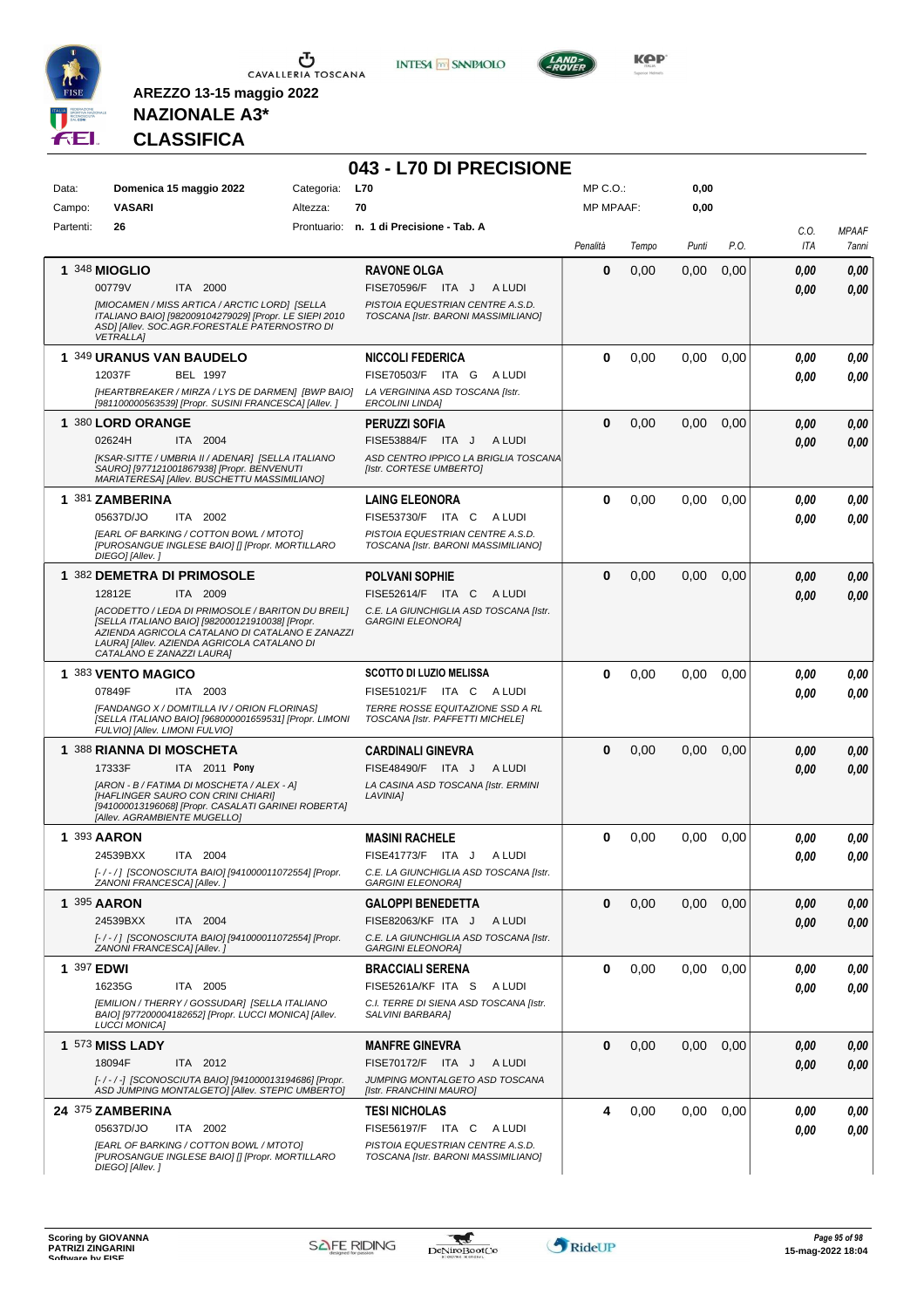

**INTESA M** SANPAOLO

**043 - L70 DI PRECISIONE**



**KOP** 

# **NAZIONALE A3\* CLASSIFICA**

| Data:      | Domenica 15 maggio 2022                                                                                                                                                                                                                                                                 | Categoria: | <b>L70</b>                                                                                                                        | MP C.O.:         |       | 0,00  |      |              |                       |
|------------|-----------------------------------------------------------------------------------------------------------------------------------------------------------------------------------------------------------------------------------------------------------------------------------------|------------|-----------------------------------------------------------------------------------------------------------------------------------|------------------|-------|-------|------|--------------|-----------------------|
| Campo:     | <b>VASARI</b>                                                                                                                                                                                                                                                                           | Altezza:   | 70                                                                                                                                | <b>MP MPAAF:</b> |       | 0,00  |      |              |                       |
| Partenti:  | 26                                                                                                                                                                                                                                                                                      |            | Prontuario: n. 1 di Precisione - Tab. A                                                                                           | Penalità         | Tempo | Punti | P.O. | C.O.<br>ITA  | <b>MPAAF</b><br>7anni |
|            | 1 348 MIOGLIO<br>00779V<br>ITA 2000<br>[MIOCAMEN / MISS ARTICA / ARCTIC LORD] [SELLA<br>ITALIANO BAIO] [982009104279029] [Propr. LE SIEPI 2010<br>ASD] [Allev. SOC.AGR.FORESTALE PATERNOSTRO DI<br><b>VETRALLA1</b>                                                                     |            | <b>RAVONE OLGA</b><br>FISE70596/F ITA J<br>A LUDI<br>PISTOIA EQUESTRIAN CENTRE A.S.D.<br>TOSCANA [Istr. BARONI MASSIMILIANO]      | $\mathbf 0$      | 0,00  | 0,00  | 0,00 | 0.00<br>0.00 | 0,00<br>0,00          |
|            | 1 349 URANUS VAN BAUDELO<br>12037F<br><b>BEL 1997</b><br>[HEARTBREAKER / MIRZA / LYS DE DARMEN] [BWP BAIO]<br>[981100000563539] [Propr. SUSINI FRANCESCA] [Allev. ]                                                                                                                     |            | <b>NICCOLI FEDERICA</b><br>FISE70503/F ITA G<br>A LUDI<br>LA VERGININA ASD TOSCANA [Istr.<br><b>ERCOLINI LINDA]</b>               | 0                | 0,00  | 0,00  | 0.00 | 0.00<br>0.00 | 0.00<br>0.00          |
|            | 1 380 LORD ORANGE<br>02624H<br>ITA 2004<br>[KSAR-SITTE / UMBRIA II / ADENAR] [SELLA ITALIANO<br>SAURO] [977121001867938] [Propr. BENVENUTI<br>MARIATERESA] [Allev. BUSCHETTU MASSIMILIANO]                                                                                              |            | <b>PERUZZI SOFIA</b><br>FISE53884/F ITA J<br>A LUDI<br>ASD CENTRO IPPICO LA BRIGLIA TOSCANA<br>[Istr. CORTESE UMBERTO]            | $\bf{0}$         | 0,00  | 0,00  | 0,00 | 0.00<br>0.00 | 0,00<br>0,00          |
|            | 1 381 ZAMBERINA<br>05637D/JO<br>ITA 2002<br><b>IEARL OF BARKING / COTTON BOWL / MTOTOI</b><br>[PUROSANGUE INGLESE BAIO] [] [Propr. MORTILLARO<br>DIEGO] [Allev.]                                                                                                                        |            | <b>LAING ELEONORA</b><br>FISE53730/F ITA C<br>A LUDI<br>PISTOIA EQUESTRIAN CENTRE A.S.D.<br>TOSCANA [Istr. BARONI MASSIMILIANO]   | 0                | 0,00  | 0,00  | 0,00 | 0.00<br>0.00 | 0,00<br>0,00          |
|            | 1 382 DEMETRA DI PRIMOSOLE<br>12812E<br>ITA 2009<br>[ACODETTO / LEDA DI PRIMOSOLE / BARITON DU BREIL]<br>[SELLA ITALIANO BAIO] [982000121910038] [Propr.<br>AZIENDA AGRICOLA CATALANO DI CATALANO E ZANAZZI<br>LAURA] [Allev. AZIENDA AGRICOLA CATALANO DI<br>CATALANO E ZANAZZI LAURA] |            | <b>POLVANI SOPHIE</b><br>FISE52614/F ITA C<br>A LUDI<br>C.E. LA GIUNCHIGLIA ASD TOSCANA [Istr.<br><b>GARGINI ELEONORA]</b>        | $\bf{0}$         | 0,00  | 0,00  | 0,00 | 0.00<br>0.00 | 0,00<br>0,00          |
|            | 1 383 VENTO MAGICO<br>07849F<br>ITA 2003<br>[FANDANGO X / DOMITILLA IV / ORION FLORINAS]<br>[SELLA ITALIANO BAIO] [968000001659531] [Propr. LIMONI<br>FULVIO] [Allev. LIMONI FULVIO]                                                                                                    |            | <b>SCOTTO DI LUZIO MELISSA</b><br>FISE51021/F ITA C ALUDI<br>TERRE ROSSE EQUITAZIONE SSD A RL<br>TOSCANA [Istr. PAFFETTI MICHELE] | 0                | 0,00  | 0,00  | 0.00 | 0.00<br>0.00 | 0,00<br>0.00          |
|            | 1 388 RIANNA DI MOSCHETA<br>17333F<br>ITA 2011 Pony<br>[ARON - B / FATIMA DI MOSCHETA / ALEX - A]<br>[HAFLINGER SAURO CON CRINI CHIARI]<br>[941000013196068] [Propr. CASALATI GARINEI ROBERTA]<br>[Allev. AGRAMBIENTE MUGELLO]                                                          |            | <b>CARDINALI GINEVRA</b><br>FISE48490/F ITA J<br>A LUDI<br>LA CASINA ASD TOSCANA [Istr. ERMINI<br>LAVINIA]                        | $\bf{0}$         | 0,00  | 0,00  | 0,00 | 0.00<br>0.00 | 0,00<br>0,00          |
|            | 1 393 AARON<br>24539BXX<br>ITA 2004<br>[-/-/] [SCONOSCIUTA BAIO] [941000011072554] [Propr.<br>ZANONI FRANCESCA] [Allev.]                                                                                                                                                                |            | <b>MASINI RACHELE</b><br>FISE41773/F ITA J<br>A LUDI<br>C.E. LA GIUNCHIGLIA ASD TOSCANA [Istr.<br>GARGINI ELEONORA]               | 0                | 0,00  | 0,00  | 0,00 | 0.00<br>0.00 | 0,00<br>0,00          |
|            | 1 395 AARON<br>24539BXX<br>ITA 2004<br>[-/-/] [SCONOSCIUTA BAIO] [941000011072554] [Propr.<br>ZANONI FRANCESCA] [Allev.]                                                                                                                                                                |            | <b>GALOPPI BENEDETTA</b><br>FISE82063/KF ITA J<br>A LUDI<br>C.E. LA GIUNCHIGLIA ASD TOSCANA [Istr.<br><b>GARGINI ELEONORA]</b>    | $\bf{0}$         | 0,00  | 0,00  | 0,00 | 0,00<br>0.00 | 0,00<br>0,00          |
| 1 397 EDWI | 16235G<br>ITA 2005<br>[EMILION / THERRY / GOSSUDAR] [SELLA ITALIANO<br>BAIO] [977200004182652] [Propr. LUCCI MONICA] [Allev.<br><b>LUCCI MONICA]</b>                                                                                                                                    |            | <b>BRACCIALI SERENA</b><br>FISE5261A/KF ITA S<br>A LUDI<br>C.I. TERRE DI SIENA ASD TOSCANA Ilstr.<br>SALVINI BARBARA]             | $\mathbf 0$      | 0,00  | 0,00  | 0,00 | 0.00<br>0.00 | 0,00<br>0,00          |
|            | <b>1 573 MISS LADY</b><br>18094F<br>ITA 2012<br>[-/-/-] [SCONOSCIUTA BAIO] [941000013194686] [Propr.<br>ASD JUMPING MONTALGETO] [Allev. STEPIC UMBERTO]                                                                                                                                 |            | <b>MANFRE GINEVRA</b><br>FISE70172/F ITA J<br>A LUDI<br>JUMPING MONTALGETO ASD TOSCANA<br>[Istr. FRANCHINI MAURO]                 | $\bf{0}$         | 0,00  | 0,00  | 0,00 | 0.00<br>0.00 | 0,00<br>0,00          |
|            | 24 375 ZAMBERINA<br>05637D/JO<br>ITA 2002<br>[EARL OF BARKING / COTTON BOWL / MTOTO]<br>[PUROSANGUE INGLESE BAIO] [] [Propr. MORTILLARO<br>DIEGO] [Allev.]                                                                                                                              |            | <b>TESI NICHOLAS</b><br>FISE56197/F ITA C<br>A LUDI<br>PISTOIA EQUESTRIAN CENTRE A.S.D.<br>TOSCANA [Istr. BARONI MASSIMILIANO]    | 4                | 0,00  | 0,00  | 0,00 | 0.00<br>0.00 | 0,00<br>0,00          |

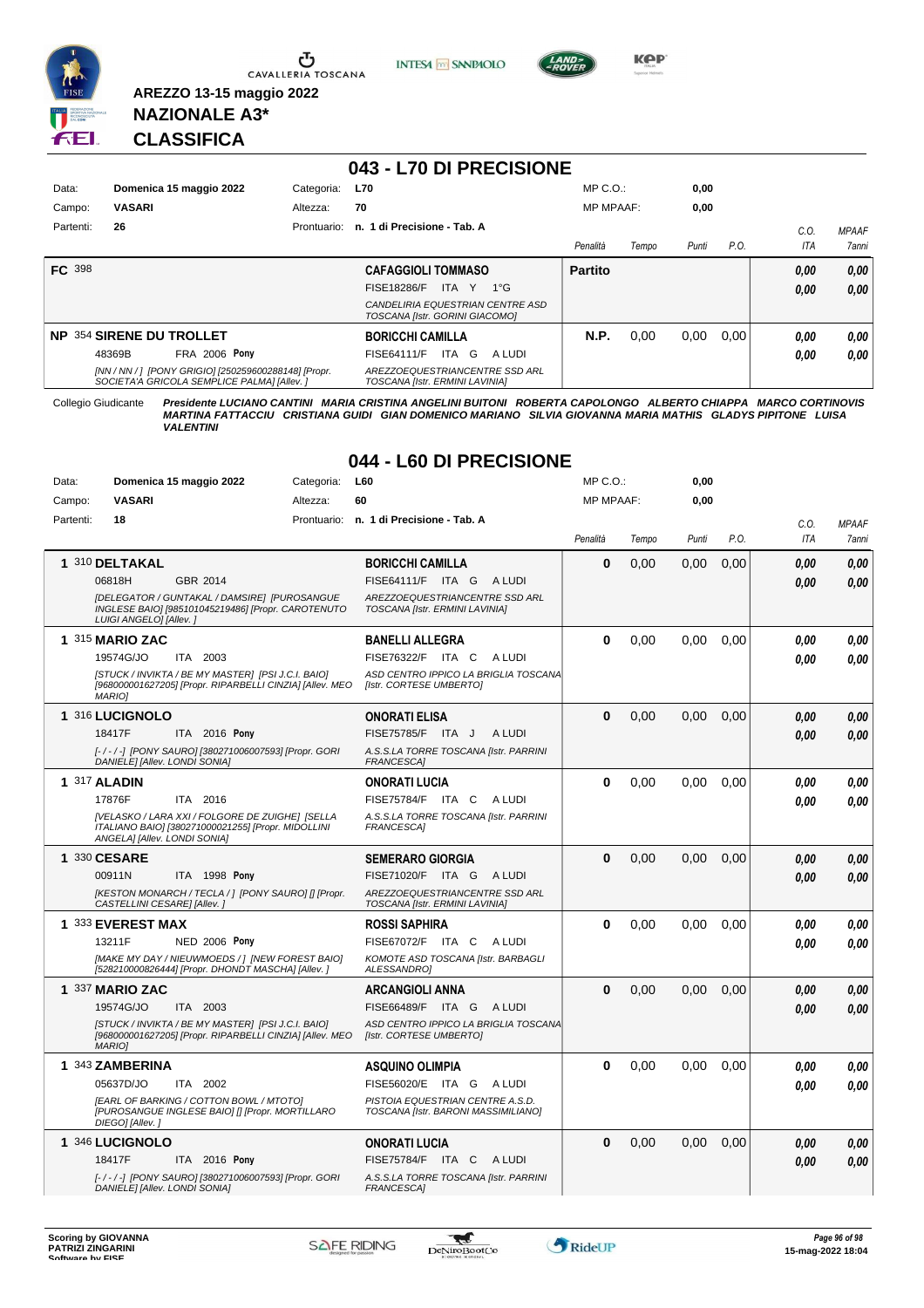

Ⴠ CAVALLERIA TOSCANA





**KOP** 

**NAZIONALE A3\* CLASSIFICA**

**AREZZO 13-15 maggio 2022**

#### **043 - L70 DI PRECISIONE**

| Data:         | Domenica 15 maggio 2022                                                                             | Categoria:  | <b>L70</b>                                                         | $MP C. O.$ :     |       | 0,00  |      |      |              |
|---------------|-----------------------------------------------------------------------------------------------------|-------------|--------------------------------------------------------------------|------------------|-------|-------|------|------|--------------|
| Campo:        | <b>VASARI</b>                                                                                       | Altezza:    | 70                                                                 | <b>MP MPAAF:</b> |       | 0,00  |      |      |              |
| Partenti:     | 26                                                                                                  | Prontuario: | n. 1 di Precisione - Tab. A                                        |                  |       |       |      | C.0  | <b>MPAAF</b> |
|               |                                                                                                     |             |                                                                    | Penalità         | Tempo | Punti | P.O. | ITA  | 7anni        |
| <b>FC</b> 398 |                                                                                                     |             | <b>CAFAGGIOLI TOMMASO</b>                                          | <b>Partito</b>   |       |       |      | 0,00 | 0,00         |
|               |                                                                                                     |             | FISE18286/F<br>ITA Y 1°G                                           |                  |       |       |      | 0,00 | 0.00         |
|               |                                                                                                     |             | CANDELIRIA EQUESTRIAN CENTRE ASD<br>TOSCANA [Istr. GORINI GIACOMO] |                  |       |       |      |      |              |
|               | NP 354 SIRENE DU TROLLET                                                                            |             | <b>BORICCHI CAMILLA</b>                                            | N.P.             | 0.00  | 0,00  | 0.00 | 0,00 | 0,00         |
|               | <b>FRA 2006 Pony</b><br>48369B                                                                      |             | ITA G<br><b>FISE64111/F</b><br>A LUDI                              |                  |       |       |      | 0.00 | 0.00         |
|               | [NN / NN / ] [PONY GRIGIO] [250259600288148] [Propr.<br>SOCIETA'A GRICOLA SEMPLICE PALMAI [Allev. ] |             | AREZZOEQUESTRIANCENTRE SSD ARL<br>TOSCANA [Istr. ERMINI LAVINIA]   |                  |       |       |      |      |              |

Collegio Giudicante *Presidente LUCIANO CANTINI MARIA CRISTINA ANGELINI BUITONI ROBERTA CAPOLONGO ALBERTO CHIAPPA MARCO CORTINOVIS MARTINA FATTACCIU CRISTIANA GUIDI GIAN DOMENICO MARIANO SILVIA GIOVANNA MARIA MATHIS GLADYS PIPITONE LUISA VALENTINI*

#### **044 - L60 DI PRECISIONE**

| Data:     | Domenica 15 maggio 2022                                                                                                               | Categoria: | <b>L60</b>                                                              | $MP C. O.$ :     |       | 0,00  |      |            |              |
|-----------|---------------------------------------------------------------------------------------------------------------------------------------|------------|-------------------------------------------------------------------------|------------------|-------|-------|------|------------|--------------|
| Campo:    | <b>VASARI</b>                                                                                                                         | Altezza:   | 60                                                                      | <b>MP MPAAF:</b> |       | 0,00  |      |            |              |
| Partenti: | 18                                                                                                                                    |            | Prontuario: n. 1 di Precisione - Tab. A                                 |                  |       |       |      | C.O.       | <b>MPAAF</b> |
|           |                                                                                                                                       |            |                                                                         | Penalità         | Tempo | Punti | P.O. | <b>ITA</b> | 7anni        |
|           | 1 310 DELTAKAL                                                                                                                        |            | <b>BORICCHI CAMILLA</b>                                                 | $\bf{0}$         | 0,00  | 0,00  | 0,00 | 0.00       | 0,00         |
|           | 06818H<br>GBR 2014                                                                                                                    |            | FISE64111/F ITA G ALUDI                                                 |                  |       |       |      | 0.00       | 0.00         |
|           | [DELEGATOR / GUNTAKAL / DAMSIRE] [PUROSANGUE<br>INGLESE BAIO] [985101045219486] [Propr. CAROTENUTO<br>LUIGI ANGELO] [Allev. ]         |            | AREZZOEQUESTRIANCENTRE SSD ARL<br>TOSCANA [Istr. ERMINI LAVINIA]        |                  |       |       |      |            |              |
|           | 1 315 MARIO ZAC                                                                                                                       |            | <b>BANELLI ALLEGRA</b>                                                  | $\bf{0}$         | 0,00  | 0.00  | 0,00 | 0.00       | 0.00         |
|           | 19574G/JO<br>ITA 2003                                                                                                                 |            | FISE76322/F ITA C<br>A LUDI                                             |                  |       |       |      | 0.00       | 0.00         |
|           | [STUCK / INVIKTA / BE MY MASTER] [PSI J.C.I. BAIO]<br>[968000001627205] [Propr. RIPARBELLI CINZIA] [Allev. MEO<br><b>MARIOI</b>       |            | ASD CENTRO IPPICO LA BRIGLIA TOSCANA<br>[Istr. CORTESE UMBERTO]         |                  |       |       |      |            |              |
|           | 1 316 LUCIGNOLO                                                                                                                       |            | <b>ONORATI ELISA</b>                                                    | $\bf{0}$         | 0,00  | 0,00  | 0,00 | 0.00       | 0,00         |
|           | 18417F<br>ITA 2016 Pony                                                                                                               |            | FISE75785/F ITA J<br>A LUDI                                             |                  |       |       |      | 0.00       | 0.00         |
|           | [-/-/-] [PONY SAURO] [380271006007593] [Propr. GORI<br>DANIELE] [Allev. LONDI SONIA]                                                  |            | A.S.S.LA TORRE TOSCANA [Istr. PARRINI<br>FRANCESCA]                     |                  |       |       |      |            |              |
|           | 1 317 ALADIN                                                                                                                          |            | <b>ONORATI LUCIA</b>                                                    | $\bf{0}$         | 0.00  | 0.00  | 0,00 | 0.00       | 0.00         |
|           | 17876F<br>ITA 2016                                                                                                                    |            | FISE75784/F ITA C<br>A LUDI                                             |                  |       |       |      | 0.00       | 0.00         |
|           | [VELASKO / LARA XXI / FOLGORE DE ZUIGHE] [SELLA<br>ITALIANO BAIO] [380271000021255] [Propr. MIDOLLINI<br>ANGELA] [Allev. LONDI SONIA] |            | A.S.S.LA TORRE TOSCANA [Istr. PARRINI<br><b>FRANCESCAI</b>              |                  |       |       |      |            |              |
|           | 1 330 CESARE                                                                                                                          |            | <b>SEMERARO GIORGIA</b>                                                 | $\bf{0}$         | 0,00  | 0.00  | 0.00 | 0.00       | 0,00         |
|           | 00911N<br><b>ITA 1998 Pony</b>                                                                                                        |            | FISE71020/F ITA G<br>A LUDI                                             |                  |       |       |      | 0.00       | 0.00         |
|           | [KESTON MONARCH / TECLA / ] [PONY SAURO] [] [Propr.<br>CASTELLINI CESARE] [Allev.]                                                    |            | AREZZOEQUESTRIANCENTRE SSD ARL<br>TOSCANA [Istr. ERMINI LAVINIA]        |                  |       |       |      |            |              |
|           | 1 333 EVEREST MAX                                                                                                                     |            | <b>ROSSI SAPHIRA</b>                                                    | $\bf{0}$         | 0.00  | 0.00  | 0.00 | 0,00       | 0,00         |
|           | <b>NED 2006 Pony</b><br>13211F                                                                                                        |            | FISE67072/F ITA C ALUDI                                                 |                  |       |       |      | 0.00       | 0.00         |
|           | [MAKE MY DAY / NIEUWMOEDS / ] [NEW FOREST BAIO]<br>[528210000826444] [Propr. DHONDT MASCHA] [Allev.]                                  |            | KOMOTE ASD TOSCANA [Istr. BARBAGLI<br>ALESSANDRO1                       |                  |       |       |      |            |              |
|           | 1 337 MARIO ZAC                                                                                                                       |            | <b>ARCANGIOLI ANNA</b>                                                  | $\bf{0}$         | 0.00  | 0.00  | 0.00 | 0.00       | 0,00         |
|           | 19574G/JO<br>ITA 2003                                                                                                                 |            | FISE66489/F ITA G ALUDI                                                 |                  |       |       |      | 0.00       | 0.00         |
|           | [STUCK / INVIKTA / BE MY MASTER] [PSI J.C.I. BAIO]<br>[968000001627205] [Propr. RIPARBELLI CINZIA] [Allev. MEO<br><b>MARIO1</b>       |            | ASD CENTRO IPPICO LA BRIGLIA TOSCANA<br>[Istr. CORTESE UMBERTO]         |                  |       |       |      |            |              |
|           | 1 343 ZAMBERINA                                                                                                                       |            | <b>ASQUINO OLIMPIA</b>                                                  | $\bf{0}$         | 0,00  | 0,00  | 0,00 | 0.00       | 0,00         |
|           | 05637D/JO<br>ITA 2002                                                                                                                 |            | FISE56020/E ITA G ALUDI                                                 |                  |       |       |      | 0.00       | 0.00         |
|           | [EARL OF BARKING / COTTON BOWL / MTOTO]<br>[PUROSANGUE INGLESE BAIO] [] [Propr. MORTILLARO<br>DIEGO] [Allev.]                         |            | PISTOIA EQUESTRIAN CENTRE A.S.D.<br>TOSCANA [Istr. BARONI MASSIMILIANO] |                  |       |       |      |            |              |
|           | 1 346 LUCIGNOLO                                                                                                                       |            | <b>ONORATI LUCIA</b>                                                    | $\bf{0}$         | 0,00  | 0,00  | 0,00 | 0.00       | 0,00         |
|           | 18417F<br>ITA 2016 Pony                                                                                                               |            | FISE75784/F ITA C<br>A LUDI                                             |                  |       |       |      | 0.00       | 0.00         |
|           | [-/-/-] [PONY SAURO] [380271006007593] [Propr. GORI<br>DANIELE] [Allev. LONDI SONIA]                                                  |            | A.S.S.LA TORRE TOSCANA [Istr. PARRINI<br><b>FRANCESCA]</b>              |                  |       |       |      |            |              |

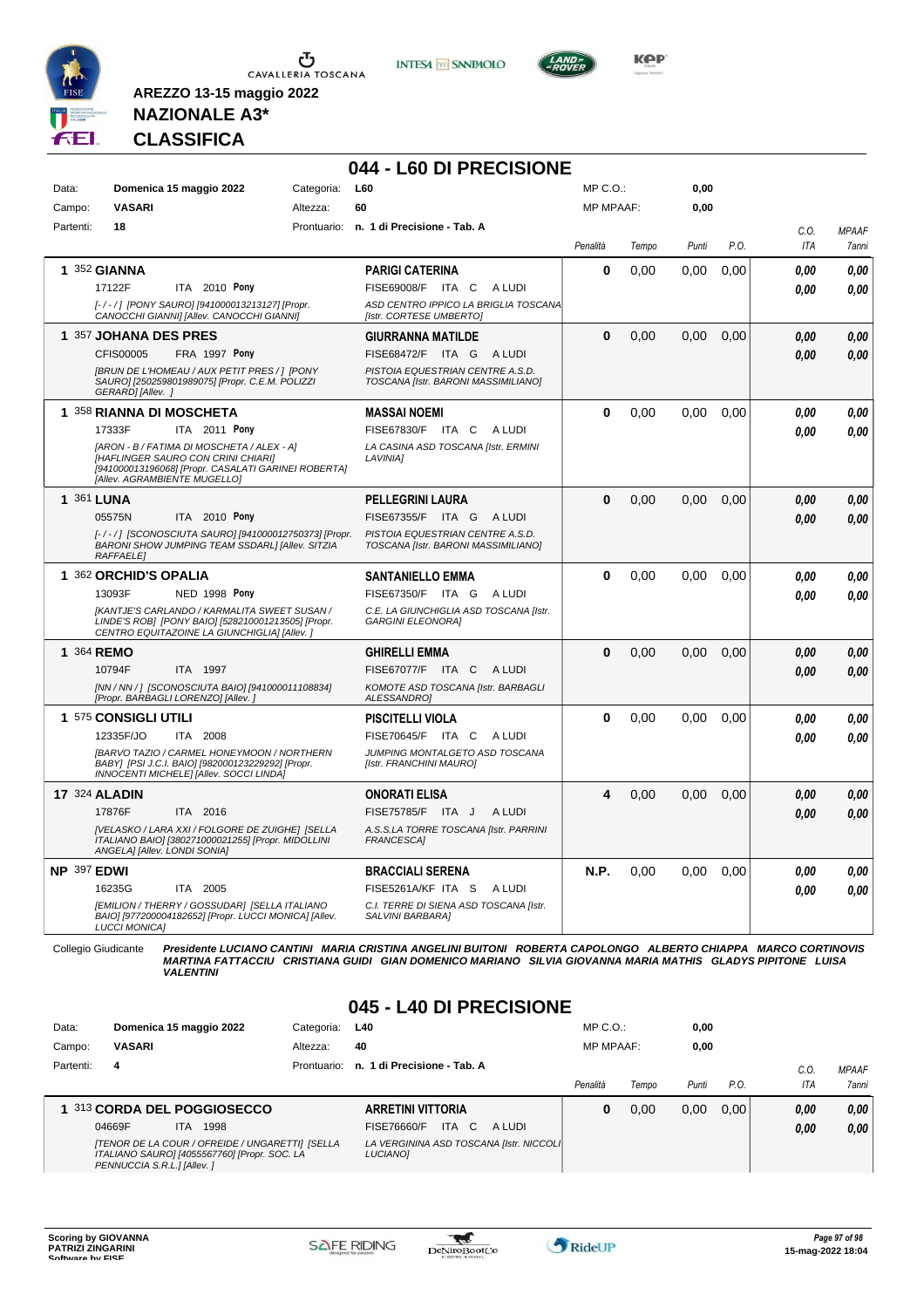





**Kep** 

### **NAZIONALE A3\* CLASSIFICA**

**AREZZO 13-15 maggio 2022**

### **044 - L60 DI PRECISIONE**

| Data:       | Domenica 15 maggio 2022                                                                                                                                                 | Categoria: | L60                                                                     | MP C.O.:         |       | 0,00  |      |            |              |
|-------------|-------------------------------------------------------------------------------------------------------------------------------------------------------------------------|------------|-------------------------------------------------------------------------|------------------|-------|-------|------|------------|--------------|
| Campo:      | VASARI                                                                                                                                                                  | Altezza:   | 60                                                                      | <b>MP MPAAF:</b> |       | 0,00  |      |            |              |
| Partenti:   | 18                                                                                                                                                                      |            | Prontuario: n. 1 di Precisione - Tab. A                                 |                  |       |       |      | C.0.       | <b>MPAAF</b> |
|             |                                                                                                                                                                         |            |                                                                         | Penalità         | Tempo | Punti | P.O. | <b>ITA</b> | 7anni        |
|             | 1 352 GIANNA                                                                                                                                                            |            | <b>PARIGI CATERINA</b>                                                  | $\bf{0}$         | 0.00  | 0,00  | 0,00 | 0.00       | 0.00         |
|             | 17122F<br>ITA 2010 Pony                                                                                                                                                 |            | FISE69008/F ITA C<br>A LUDI                                             |                  |       |       |      | 0.00       | 0.00         |
|             | [-/-/] [PONY SAURO] [941000013213127] [Propr.<br>CANOCCHI GIANNI] [Allev. CANOCCHI GIANNI]                                                                              |            | ASD CENTRO IPPICO LA BRIGLIA TOSCANA<br>[Istr. CORTESE UMBERTO]         |                  |       |       |      |            |              |
|             | 1 357 JOHANA DES PRES                                                                                                                                                   |            | <b>GIURRANNA MATILDE</b>                                                | $\bf{0}$         | 0.00  | 0.00  | 0.00 | 0.00       | 0,00         |
|             | CFIS00005<br>FRA 1997 Pony                                                                                                                                              |            | FISE68472/F ITA G<br>A LUDI                                             |                  |       |       |      | 0.00       | 0.00         |
|             | [BRUN DE L'HOMEAU / AUX PETIT PRES / ] [PONY<br>SAURO] [250259801989075] [Propr. C.E.M. POLIZZI<br>GERARD] [Allev. ]                                                    |            | PISTOIA EQUESTRIAN CENTRE A.S.D.<br>TOSCANA [Istr. BARONI MASSIMILIANO] |                  |       |       |      |            |              |
|             | 1 358 RIANNA DI MOSCHETA                                                                                                                                                |            | <b>MASSAI NOEMI</b>                                                     | $\bf{0}$         | 0,00  | 0.00  | 0.00 | 0.00       | 0.00         |
|             | ITA 2011 Pony<br>17333F                                                                                                                                                 |            | FISE67830/F ITA C<br>A LUDI                                             |                  |       |       |      | 0.00       | 0.00         |
|             | [ARON - B / FATIMA DI MOSCHETA / ALEX - A]<br>[HAFLINGER SAURO CON CRINI CHIARI]<br>[941000013196068] [Propr. CASALATI GARINEI ROBERTA]<br>[Allev. AGRAMBIENTE MUGELLO] |            | LA CASINA ASD TOSCANA [Istr. ERMINI<br><b>LAVINIA1</b>                  |                  |       |       |      |            |              |
|             | 1 361 LUNA                                                                                                                                                              |            | <b>PELLEGRINI LAURA</b>                                                 | $\Omega$         | 0.00  | 0.00  | 0.00 | 0,00       | 0,00         |
|             | 05575N<br>ITA 2010 Pony                                                                                                                                                 |            | FISE67355/F ITA G ALUDI                                                 |                  |       |       |      | 0.00       | 0.00         |
|             | [-/-/] [SCONOSCIUTA SAURO] [941000012750373] [Propr.<br>BARONI SHOW JUMPING TEAM SSDARLI [Allev. SITZIA<br><b>RAFFAELE</b>                                              |            | PISTOIA EQUESTRIAN CENTRE A.S.D.<br>TOSCANA [Istr. BARONI MASSIMILIANO] |                  |       |       |      |            |              |
|             | 1 362 ORCHID'S OPALIA                                                                                                                                                   |            | <b>SANTANIELLO EMMA</b>                                                 | $\Omega$         | 0,00  | 0,00  | 0,00 | 0.00       | 0.00         |
|             | <b>NED 1998 Pony</b><br>13093F                                                                                                                                          |            | FISE67350/F ITA G<br>A LUDI                                             |                  |       |       |      | 0.00       | 0.00         |
|             | [KANTJE'S CARLANDO / KARMALITA SWEET SUSAN /<br>LINDE'S ROB] [PONY BAIO] [528210001213505] [Propr.<br>CENTRO EQUITAZOINE LA GIUNCHIGLIA] [Allev. ]                      |            | C.E. LA GIUNCHIGLIA ASD TOSCANA [Istr.<br><b>GARGINI ELEONORAI</b>      |                  |       |       |      |            |              |
|             | 1 364 REMO                                                                                                                                                              |            | <b>GHIRELLI EMMA</b>                                                    | $\Omega$         | 0,00  | 0.00  | 0,00 | 0.00       | 0,00         |
|             | ITA 1997<br>10794F                                                                                                                                                      |            | FISE67077/F ITA C ALUDI                                                 |                  |       |       |      | 0.00       | 0,00         |
|             | [NN / NN / ] [SCONOSCIUTA BAIO] [941000011108834]<br>[Propr. BARBAGLI LORENZO] [Allev.]                                                                                 |            | KOMOTE ASD TOSCANA [Istr. BARBAGLI<br>ALESSANDRO]                       |                  |       |       |      |            |              |
|             | 1 575 CONSIGLI UTILI                                                                                                                                                    |            | <b>PISCITELLI VIOLA</b>                                                 | $\bf{0}$         | 0,00  | 0,00  | 0,00 | 0.00       | 0,00         |
|             | 12335F/JO<br>ITA 2008                                                                                                                                                   |            | FISE70645/F ITA C<br>A LUDI                                             |                  |       |       |      | 0.00       | 0.00         |
|             | [BARVO TAZIO / CARMEL HONEYMOON / NORTHERN<br>BABY] [PSI J.C.I. BAIO] [982000123229292] [Propr.<br>INNOCENTI MICHELE] [Allev. SOCCI LINDA]                              |            | JUMPING MONTALGETO ASD TOSCANA<br>[Istr. FRANCHINI MAURO]               |                  |       |       |      |            |              |
|             | <b>17 324 ALADIN</b>                                                                                                                                                    |            | <b>ONORATI ELISA</b>                                                    | 4                | 0.00  | 0.00  | 0.00 | 0.00       | 0,00         |
|             | 17876F<br>ITA 2016                                                                                                                                                      |            | FISE75785/F ITA J<br>A LUDI                                             |                  |       |       |      | 0.00       | 0.00         |
|             | [VELASKO / LARA XXI / FOLGORE DE ZUIGHE] [SELLA<br>ITALIANO BAIO] [380271000021255] [Propr. MIDOLLINI<br>ANGELA] [Allev. LONDI SONIA]                                   |            | A.S.S.LA TORRE TOSCANA [Istr. PARRINI<br><b>FRANCESCA1</b>              |                  |       |       |      |            |              |
| NP 397 EDWI |                                                                                                                                                                         |            | <b>BRACCIALI SERENA</b>                                                 | N.P.             | 0.00  | 0.00  | 0,00 | 0.00       | 0.00         |
|             | ITA 2005<br>16235G                                                                                                                                                      |            | FISE5261A/KF ITA S<br>A LUDI                                            |                  |       |       |      | 0.00       | 0.00         |
|             | [EMILION / THERRY / GOSSUDAR] [SELLA ITALIANO<br>BAIO] [977200004182652] [Propr. LUCCI MONICA] [Allev.<br><b>LUCCI MONICAI</b>                                          |            | C.I. TERRE DI SIENA ASD TOSCANA [Istr.<br>SALVINI BARBARA]              |                  |       |       |      |            |              |

Collegio Giudicante Presidente LUCIANO CANTINI MARIA CRISTINA ANGELINI BUITONI ROBERTA CAPOLONGO ALBERTO CHIAPPA MARCO CORTINOVIS<br>MARTINA FATTACCIU CRISTIANA GUIDI GIAN DOMENICO MARIANO SILVIA GIOVANNA MARIA MATHIS GLADYS

#### **045 - L40 DI PRECISIONE**

| Data:     | Domenica 15 maggio 2022                                                                                                       | Categoria:  | L40                                                  | $MP C. O.$ :     |       | 0,00  |      |      |              |
|-----------|-------------------------------------------------------------------------------------------------------------------------------|-------------|------------------------------------------------------|------------------|-------|-------|------|------|--------------|
| Campo:    | <b>VASARI</b>                                                                                                                 | Altezza:    | 40                                                   | <b>MP MPAAF:</b> |       | 0,00  |      |      |              |
| Partenti: | 4                                                                                                                             | Prontuario: | n. 1 di Precisione - Tab. A                          |                  |       |       |      | C.O  | <b>MPAAF</b> |
|           |                                                                                                                               |             |                                                      | Penalità         | Tempo | Punti | P.O. | ITA  | <b>7anni</b> |
|           | 1 313 CORDA DEL POGGIOSECCO                                                                                                   |             | <b>ARRETINI VITTORIA</b>                             | U                | 0.00  | 0,00  | 0.00 | 0.00 | 0,00         |
|           | 04669F<br>1998<br>ITA.                                                                                                        |             | <b>ITA</b><br>FISE76660/F<br>- C<br>A LUDI           |                  |       |       |      | 0,00 | 0,00         |
|           | [TENOR DE LA COUR / OFREIDE / UNGARETTI] [SELLA<br>ITALIANO SAURO] [4055567760] [Propr. SOC. LA<br>PENNUCCIA S.R.L.] [Allev.] |             | LA VERGININA ASD TOSCANA [Istr. NICCOLI]<br>LUCIANO] |                  |       |       |      |      |              |